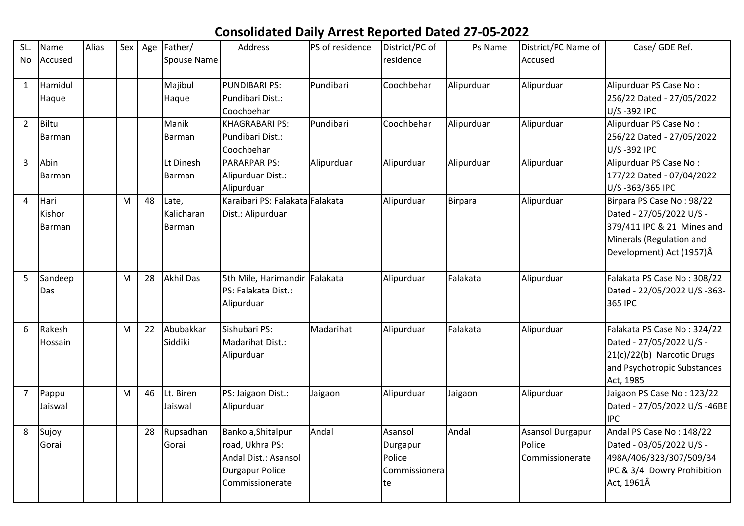## **Consolidated Daily Arrest Reported Dated 27-05-2022**

| SL.            | Name          | Alias | Sex | Age | Father/          | Address                         | PS of residence | District/PC of | Ps Name        | District/PC Name of     | Case/ GDE Ref.               |
|----------------|---------------|-------|-----|-----|------------------|---------------------------------|-----------------|----------------|----------------|-------------------------|------------------------------|
| No             | Accused       |       |     |     | Spouse Name      |                                 |                 | residence      |                | Accused                 |                              |
|                |               |       |     |     |                  |                                 |                 |                |                |                         |                              |
| $\mathbf{1}$   | Hamidul       |       |     |     | Majibul          | <b>PUNDIBARI PS:</b>            | Pundibari       | Coochbehar     | Alipurduar     | Alipurduar              | Alipurduar PS Case No:       |
|                | Haque         |       |     |     | Haque            | Pundibari Dist.:                |                 |                |                |                         | 256/22 Dated - 27/05/2022    |
|                |               |       |     |     |                  | Coochbehar                      |                 |                |                |                         | U/S-392 IPC                  |
| $\overline{2}$ | <b>Biltu</b>  |       |     |     | Manik            | <b>KHAGRABARI PS:</b>           | Pundibari       | Coochbehar     | Alipurduar     | Alipurduar              | Alipurduar PS Case No:       |
|                | Barman        |       |     |     | Barman           | Pundibari Dist.:                |                 |                |                |                         | 256/22 Dated - 27/05/2022    |
|                |               |       |     |     |                  | Coochbehar                      |                 |                |                |                         | U/S-392 IPC                  |
| $\overline{3}$ | Abin          |       |     |     | Lt Dinesh        | <b>PARARPAR PS:</b>             | Alipurduar      | Alipurduar     | Alipurduar     | Alipurduar              | Alipurduar PS Case No:       |
|                | Barman        |       |     |     | <b>Barman</b>    | Alipurduar Dist.:               |                 |                |                |                         | 177/22 Dated - 07/04/2022    |
|                |               |       |     |     |                  | Alipurduar                      |                 |                |                |                         | U/S-363/365 IPC              |
| 4              | Hari          |       | M   | 48  | Late,            | Karaibari PS: Falakata Falakata |                 | Alipurduar     | <b>Birpara</b> | Alipurduar              | Birpara PS Case No: 98/22    |
|                | Kishor        |       |     |     | Kalicharan       | Dist.: Alipurduar               |                 |                |                |                         | Dated - 27/05/2022 U/S -     |
|                | <b>Barman</b> |       |     |     | <b>Barman</b>    |                                 |                 |                |                |                         | 379/411 IPC & 21 Mines and   |
|                |               |       |     |     |                  |                                 |                 |                |                |                         | Minerals (Regulation and     |
|                |               |       |     |     |                  |                                 |                 |                |                |                         | Development) Act (1957)Â     |
|                |               |       |     |     |                  |                                 |                 |                |                |                         |                              |
| 5              | Sandeep       |       | M   | 28  | <b>Akhil Das</b> | 5th Mile, Harimandir            | Falakata        | Alipurduar     | Falakata       | Alipurduar              | Falakata PS Case No: 308/22  |
|                | Das           |       |     |     |                  | PS: Falakata Dist.:             |                 |                |                |                         | Dated - 22/05/2022 U/S -363- |
|                |               |       |     |     |                  | Alipurduar                      |                 |                |                |                         | 365 IPC                      |
|                |               |       |     |     |                  |                                 |                 |                |                |                         |                              |
| 6              | Rakesh        |       | M   | 22  | Abubakkar        | Sishubari PS:                   | Madarihat       | Alipurduar     | Falakata       | Alipurduar              | Falakata PS Case No: 324/22  |
|                | Hossain       |       |     |     | Siddiki          | Madarihat Dist.:                |                 |                |                |                         | Dated - 27/05/2022 U/S -     |
|                |               |       |     |     |                  | Alipurduar                      |                 |                |                |                         | 21(c)/22(b) Narcotic Drugs   |
|                |               |       |     |     |                  |                                 |                 |                |                |                         | and Psychotropic Substances  |
|                |               |       |     |     |                  |                                 |                 |                |                |                         | Act, 1985                    |
| $\overline{7}$ | Pappu         |       | M   | 46  | Lt. Biren        | PS: Jaigaon Dist.:              | Jaigaon         | Alipurduar     | Jaigaon        | Alipurduar              | Jaigaon PS Case No: 123/22   |
|                | Jaiswal       |       |     |     | Jaiswal          | Alipurduar                      |                 |                |                |                         | Dated - 27/05/2022 U/S -46BE |
|                |               |       |     |     |                  |                                 |                 |                |                |                         | <b>IPC</b>                   |
| 8              | Sujoy         |       |     | 28  | Rupsadhan        | Bankola, Shitalpur              | Andal           | Asansol        | Andal          | <b>Asansol Durgapur</b> | Andal PS Case No: 148/22     |
|                | Gorai         |       |     |     | Gorai            | road, Ukhra PS:                 |                 | Durgapur       |                | Police                  | Dated - 03/05/2022 U/S -     |
|                |               |       |     |     |                  | Andal Dist.: Asansol            |                 | Police         |                | Commissionerate         | 498A/406/323/307/509/34      |
|                |               |       |     |     |                  | <b>Durgapur Police</b>          |                 | Commissionera  |                |                         | IPC & 3/4 Dowry Prohibition  |
|                |               |       |     |     |                  | Commissionerate                 |                 | te             |                |                         | Act, 1961Â                   |
|                |               |       |     |     |                  |                                 |                 |                |                |                         |                              |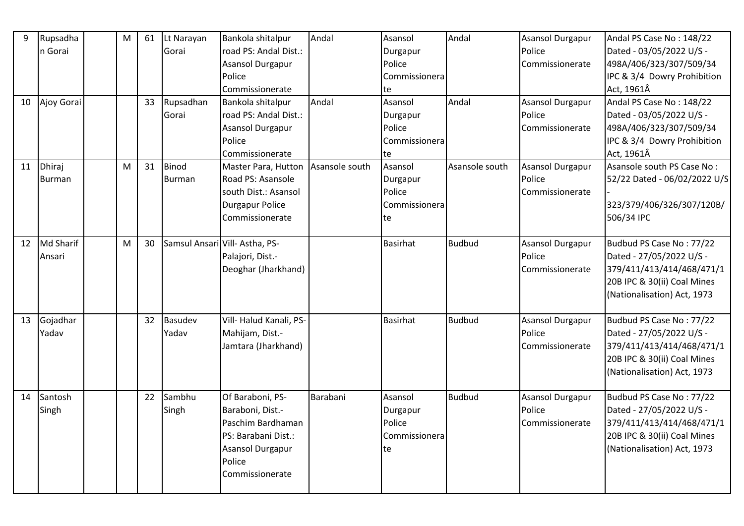| 9  | Rupsadha         | M | 61 | Lt Narayan    | Bankola shitalpur              | Andal          | Asansol       | Andal          | <b>Asansol Durgapur</b> | Andal PS Case No: 148/22     |
|----|------------------|---|----|---------------|--------------------------------|----------------|---------------|----------------|-------------------------|------------------------------|
|    | n Gorai          |   |    | Gorai         | road PS: Andal Dist.:          |                | Durgapur      |                | Police                  | Dated - 03/05/2022 U/S -     |
|    |                  |   |    |               | Asansol Durgapur               |                | Police        |                | Commissionerate         | 498A/406/323/307/509/34      |
|    |                  |   |    |               | Police                         |                | Commissionera |                |                         | IPC & 3/4 Dowry Prohibition  |
|    |                  |   |    |               | Commissionerate                |                | te            |                |                         | Act, 1961Â                   |
| 10 | Ajoy Gorai       |   | 33 | Rupsadhan     | Bankola shitalpur              | Andal          | Asansol       | Andal          | Asansol Durgapur        | Andal PS Case No: 148/22     |
|    |                  |   |    | Gorai         | road PS: Andal Dist.:          |                | Durgapur      |                | Police                  | Dated - 03/05/2022 U/S -     |
|    |                  |   |    |               | Asansol Durgapur               |                | Police        |                | Commissionerate         | 498A/406/323/307/509/34      |
|    |                  |   |    |               | Police                         |                | Commissionera |                |                         | IPC & 3/4 Dowry Prohibition  |
|    |                  |   |    |               | Commissionerate                |                | te            |                |                         | Act, 1961Â                   |
| 11 | Dhiraj           | M | 31 | <b>Binod</b>  | Master Para, Hutton            | Asansole south | Asansol       | Asansole south | Asansol Durgapur        | Asansole south PS Case No:   |
|    | Burman           |   |    | <b>Burman</b> | Road PS: Asansole              |                | Durgapur      |                | Police                  | 52/22 Dated - 06/02/2022 U/S |
|    |                  |   |    |               | south Dist.: Asansol           |                | Police        |                | Commissionerate         |                              |
|    |                  |   |    |               | <b>Durgapur Police</b>         |                | Commissionera |                |                         | 323/379/406/326/307/120B/    |
|    |                  |   |    |               | Commissionerate                |                | te            |                |                         | 506/34 IPC                   |
|    |                  |   |    |               |                                |                |               |                |                         |                              |
| 12 | <b>Md Sharif</b> | м | 30 |               | Samsul Ansari Vill- Astha, PS- |                | Basirhat      | <b>Budbud</b>  | <b>Asansol Durgapur</b> | Budbud PS Case No: 77/22     |
|    | Ansari           |   |    |               | Palajori, Dist.-               |                |               |                | Police                  | Dated - 27/05/2022 U/S -     |
|    |                  |   |    |               | Deoghar (Jharkhand)            |                |               |                | Commissionerate         | 379/411/413/414/468/471/1    |
|    |                  |   |    |               |                                |                |               |                |                         | 20B IPC & 30(ii) Coal Mines  |
|    |                  |   |    |               |                                |                |               |                |                         | (Nationalisation) Act, 1973  |
|    |                  |   |    |               |                                |                |               |                |                         |                              |
| 13 | Gojadhar         |   | 32 | Basudev       | Vill- Halud Kanali, PS-        |                | Basirhat      | <b>Budbud</b>  | Asansol Durgapur        | Budbud PS Case No: 77/22     |
|    | Yadav            |   |    | Yadav         | Mahijam, Dist.-                |                |               |                | Police                  | Dated - 27/05/2022 U/S -     |
|    |                  |   |    |               | Jamtara (Jharkhand)            |                |               |                | Commissionerate         | 379/411/413/414/468/471/1    |
|    |                  |   |    |               |                                |                |               |                |                         | 20B IPC & 30(ii) Coal Mines  |
|    |                  |   |    |               |                                |                |               |                |                         | (Nationalisation) Act, 1973  |
|    |                  |   |    |               |                                |                |               |                |                         |                              |
| 14 | Santosh          |   | 22 | Sambhu        | Of Baraboni, PS-               | Barabani       | Asansol       | <b>Budbud</b>  | <b>Asansol Durgapur</b> | Budbud PS Case No: 77/22     |
|    | Singh            |   |    | Singh         | Baraboni, Dist.-               |                | Durgapur      |                | Police                  | Dated - 27/05/2022 U/S -     |
|    |                  |   |    |               | Paschim Bardhaman              |                | Police        |                | Commissionerate         | 379/411/413/414/468/471/1    |
|    |                  |   |    |               | PS: Barabani Dist.:            |                | Commissionera |                |                         | 20B IPC & 30(ii) Coal Mines  |
|    |                  |   |    |               | <b>Asansol Durgapur</b>        |                | te            |                |                         | (Nationalisation) Act, 1973  |
|    |                  |   |    |               | Police                         |                |               |                |                         |                              |
|    |                  |   |    |               | Commissionerate                |                |               |                |                         |                              |
|    |                  |   |    |               |                                |                |               |                |                         |                              |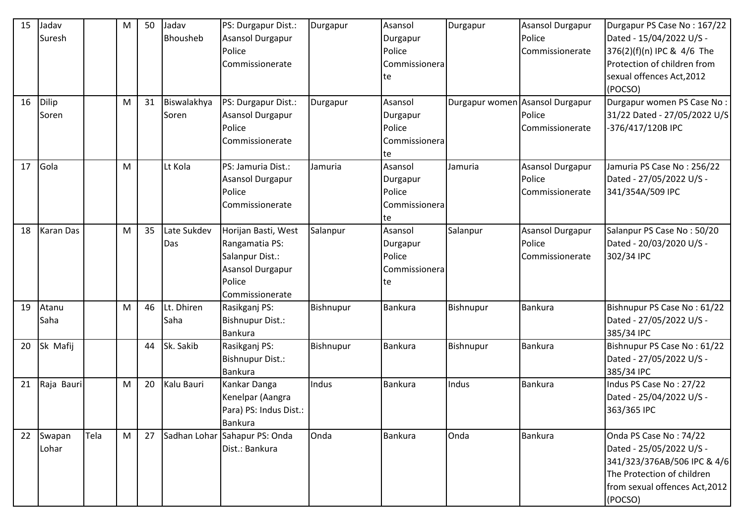| 15 | Jadav            |      | M | 50 | Jadav       | PS: Durgapur Dist.:           | Durgapur  | Asansol        | Durgapur                        | Asansol Durgapur        | Durgapur PS Case No: 167/22    |
|----|------------------|------|---|----|-------------|-------------------------------|-----------|----------------|---------------------------------|-------------------------|--------------------------------|
|    | Suresh           |      |   |    | Bhousheb    | Asansol Durgapur              |           | Durgapur       |                                 | Police                  | Dated - 15/04/2022 U/S -       |
|    |                  |      |   |    |             | Police                        |           | Police         |                                 | Commissionerate         | 376(2)(f)(n) IPC & 4/6 The     |
|    |                  |      |   |    |             | Commissionerate               |           | Commissionera  |                                 |                         | Protection of children from    |
|    |                  |      |   |    |             |                               |           | te             |                                 |                         | sexual offences Act, 2012      |
|    |                  |      |   |    |             |                               |           |                |                                 |                         | (POCSO)                        |
| 16 | Dilip            |      | M | 31 | Biswalakhya | PS: Durgapur Dist.:           | Durgapur  | Asansol        | Durgapur women Asansol Durgapur |                         | Durgapur women PS Case No:     |
|    | Soren            |      |   |    | Soren       | <b>Asansol Durgapur</b>       |           | Durgapur       |                                 | Police                  | 31/22 Dated - 27/05/2022 U/S   |
|    |                  |      |   |    |             | Police                        |           | Police         |                                 | Commissionerate         | -376/417/120B IPC              |
|    |                  |      |   |    |             | Commissionerate               |           | Commissionera  |                                 |                         |                                |
|    |                  |      |   |    |             |                               |           | te             |                                 |                         |                                |
| 17 | Gola             |      | M |    | Lt Kola     | PS: Jamuria Dist.:            | Jamuria   | Asansol        | Jamuria                         | <b>Asansol Durgapur</b> | Jamuria PS Case No: 256/22     |
|    |                  |      |   |    |             | Asansol Durgapur              |           | Durgapur       |                                 | Police                  | Dated - 27/05/2022 U/S -       |
|    |                  |      |   |    |             | Police                        |           | Police         |                                 | Commissionerate         | 341/354A/509 IPC               |
|    |                  |      |   |    |             | Commissionerate               |           | Commissionera  |                                 |                         |                                |
|    |                  |      |   |    |             |                               |           | te             |                                 |                         |                                |
| 18 | <b>Karan Das</b> |      | M | 35 | Late Sukdev | Horijan Basti, West           | Salanpur  | Asansol        | Salanpur                        | <b>Asansol Durgapur</b> | Salanpur PS Case No: 50/20     |
|    |                  |      |   |    | Das         | Rangamatia PS:                |           | Durgapur       |                                 | Police                  | Dated - 20/03/2020 U/S -       |
|    |                  |      |   |    |             | Salanpur Dist.:               |           | Police         |                                 | Commissionerate         | 302/34 IPC                     |
|    |                  |      |   |    |             | <b>Asansol Durgapur</b>       |           | Commissionera  |                                 |                         |                                |
|    |                  |      |   |    |             | Police                        |           | te             |                                 |                         |                                |
|    |                  |      |   |    |             | Commissionerate               |           |                |                                 |                         |                                |
| 19 | Atanu            |      | M | 46 | Lt. Dhiren  | Rasikganj PS:                 | Bishnupur | Bankura        | Bishnupur                       | Bankura                 | Bishnupur PS Case No: 61/22    |
|    | Saha             |      |   |    | Saha        | <b>Bishnupur Dist.:</b>       |           |                |                                 |                         | Dated - 27/05/2022 U/S -       |
|    |                  |      |   |    |             | <b>Bankura</b>                |           |                |                                 |                         | 385/34 IPC                     |
| 20 | Sk Mafij         |      |   | 44 | Sk. Sakib   | Rasikganj PS:                 | Bishnupur | <b>Bankura</b> | Bishnupur                       | Bankura                 | Bishnupur PS Case No: 61/22    |
|    |                  |      |   |    |             | <b>Bishnupur Dist.:</b>       |           |                |                                 |                         | Dated - 27/05/2022 U/S -       |
|    |                  |      |   |    |             | <b>Bankura</b>                |           |                |                                 |                         | 385/34 IPC                     |
| 21 | Raja Bauri       |      | M | 20 | Kalu Bauri  | Kankar Danga                  | Indus     | Bankura        | Indus                           | <b>Bankura</b>          | Indus PS Case No: 27/22        |
|    |                  |      |   |    |             | Kenelpar (Aangra              |           |                |                                 |                         | Dated - 25/04/2022 U/S -       |
|    |                  |      |   |    |             | Para) PS: Indus Dist.:        |           |                |                                 |                         | 363/365 IPC                    |
|    |                  |      |   |    |             | Bankura                       |           |                |                                 |                         |                                |
| 22 | Swapan           | Tela | M | 27 |             | Sadhan Lohar Sahapur PS: Onda | Onda      | Bankura        | Onda                            | <b>Bankura</b>          | Onda PS Case No: 74/22         |
|    | Lohar            |      |   |    |             | Dist.: Bankura                |           |                |                                 |                         | Dated - 25/05/2022 U/S -       |
|    |                  |      |   |    |             |                               |           |                |                                 |                         | 341/323/376AB/506 IPC & 4/6    |
|    |                  |      |   |    |             |                               |           |                |                                 |                         | The Protection of children     |
|    |                  |      |   |    |             |                               |           |                |                                 |                         | from sexual offences Act, 2012 |
|    |                  |      |   |    |             |                               |           |                |                                 |                         | (POCSO)                        |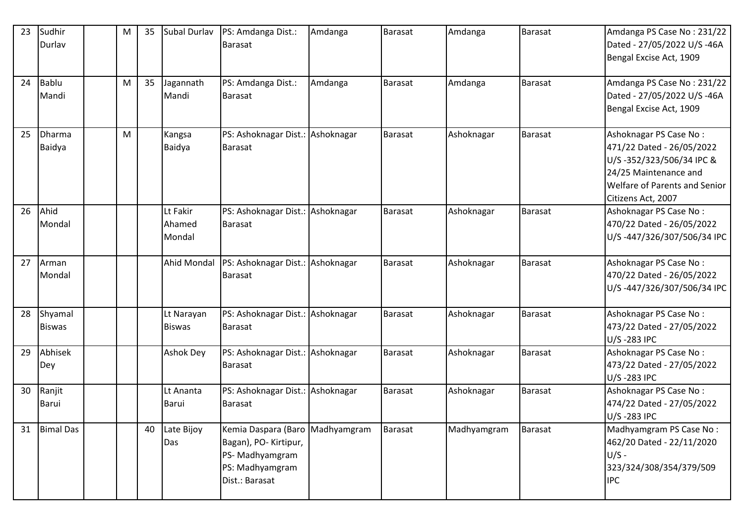| 23 | Sudhir           | M | 35 | Subal Durlav       | PS: Amdanga Dist.:               | Amdanga | <b>Barasat</b> | Amdanga     | Barasat        | Amdanga PS Case No: 231/22    |
|----|------------------|---|----|--------------------|----------------------------------|---------|----------------|-------------|----------------|-------------------------------|
|    | Durlav           |   |    |                    | <b>Barasat</b>                   |         |                |             |                | Dated - 27/05/2022 U/S -46A   |
|    |                  |   |    |                    |                                  |         |                |             |                | Bengal Excise Act, 1909       |
| 24 | Bablu            | M | 35 | Jagannath          | PS: Amdanga Dist.:               | Amdanga | Barasat        | Amdanga     | Barasat        | Amdanga PS Case No: 231/22    |
|    | Mandi            |   |    | Mandi              | <b>Barasat</b>                   |         |                |             |                | Dated - 27/05/2022 U/S -46A   |
|    |                  |   |    |                    |                                  |         |                |             |                | Bengal Excise Act, 1909       |
| 25 | Dharma           | M |    | Kangsa             | PS: Ashoknagar Dist.: Ashoknagar |         | Barasat        | Ashoknagar  | Barasat        | Ashoknagar PS Case No:        |
|    | Baidya           |   |    | Baidya             | <b>Barasat</b>                   |         |                |             |                | 471/22 Dated - 26/05/2022     |
|    |                  |   |    |                    |                                  |         |                |             |                | U/S-352/323/506/34 IPC &      |
|    |                  |   |    |                    |                                  |         |                |             |                | 24/25 Maintenance and         |
|    |                  |   |    |                    |                                  |         |                |             |                | Welfare of Parents and Senior |
|    |                  |   |    |                    |                                  |         |                |             |                | Citizens Act, 2007            |
| 26 | Ahid             |   |    | Lt Fakir           | PS: Ashoknagar Dist.: Ashoknagar |         | Barasat        | Ashoknagar  | Barasat        | Ashoknagar PS Case No:        |
|    | Mondal           |   |    | Ahamed             | Barasat                          |         |                |             |                | 470/22 Dated - 26/05/2022     |
|    |                  |   |    | Mondal             |                                  |         |                |             |                | U/S-447/326/307/506/34 IPC    |
| 27 | Arman            |   |    | <b>Ahid Mondal</b> | PS: Ashoknagar Dist.: Ashoknagar |         | Barasat        | Ashoknagar  | Barasat        | Ashoknagar PS Case No:        |
|    | Mondal           |   |    |                    | <b>Barasat</b>                   |         |                |             |                | 470/22 Dated - 26/05/2022     |
|    |                  |   |    |                    |                                  |         |                |             |                | U/S-447/326/307/506/34 IPC    |
| 28 | Shyamal          |   |    | Lt Narayan         | PS: Ashoknagar Dist.: Ashoknagar |         | Barasat        | Ashoknagar  | <b>Barasat</b> | Ashoknagar PS Case No:        |
|    | <b>Biswas</b>    |   |    | <b>Biswas</b>      | <b>Barasat</b>                   |         |                |             |                | 473/22 Dated - 27/05/2022     |
|    |                  |   |    |                    |                                  |         |                |             |                | U/S-283 IPC                   |
| 29 | Abhisek          |   |    | <b>Ashok Dey</b>   | PS: Ashoknagar Dist.: Ashoknagar |         | Barasat        | Ashoknagar  | <b>Barasat</b> | Ashoknagar PS Case No:        |
|    | Dey              |   |    |                    | <b>Barasat</b>                   |         |                |             |                | 473/22 Dated - 27/05/2022     |
|    |                  |   |    |                    |                                  |         |                |             |                | U/S-283 IPC                   |
| 30 | Ranjit           |   |    | Lt Ananta          | PS: Ashoknagar Dist.: Ashoknagar |         | <b>Barasat</b> | Ashoknagar  | <b>Barasat</b> | Ashoknagar PS Case No:        |
|    | Barui            |   |    | <b>Barui</b>       | <b>Barasat</b>                   |         |                |             |                | 474/22 Dated - 27/05/2022     |
|    |                  |   |    |                    |                                  |         |                |             |                | U/S-283 IPC                   |
| 31 | <b>Bimal Das</b> |   | 40 | Late Bijoy         | Kemia Daspara (Baro Madhyamgram  |         | Barasat        | Madhyamgram | <b>Barasat</b> | Madhyamgram PS Case No:       |
|    |                  |   |    | Das                | Bagan), PO- Kirtipur,            |         |                |             |                | 462/20 Dated - 22/11/2020     |
|    |                  |   |    |                    | PS-Madhyamgram                   |         |                |             |                | $U/S -$                       |
|    |                  |   |    |                    | PS: Madhyamgram                  |         |                |             |                | 323/324/308/354/379/509       |
|    |                  |   |    |                    | Dist.: Barasat                   |         |                |             |                | <b>IPC</b>                    |
|    |                  |   |    |                    |                                  |         |                |             |                |                               |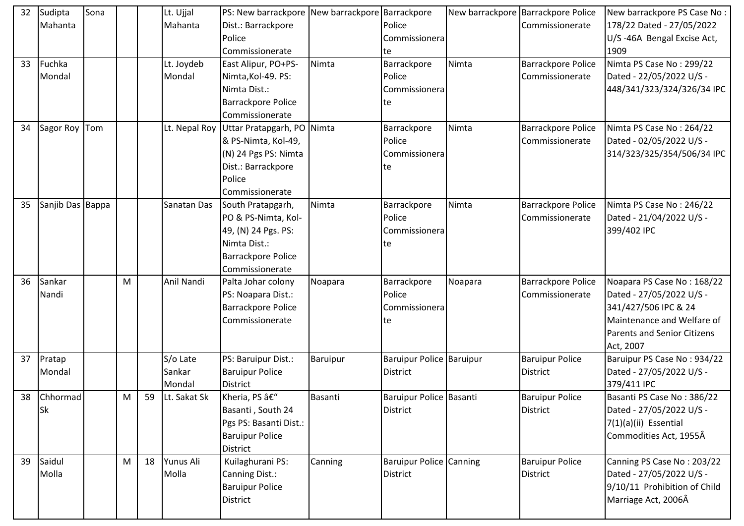| 32 | Sudipta          | Sona |   |    | Lt. Ujjal     | PS: New barrackpore New barrackpore Barrackpore |          |                                 |         | New barrackpore Barrackpore Police | New barrackpore PS Case No:        |
|----|------------------|------|---|----|---------------|-------------------------------------------------|----------|---------------------------------|---------|------------------------------------|------------------------------------|
|    | Mahanta          |      |   |    | Mahanta       | Dist.: Barrackpore                              |          | Police                          |         | Commissionerate                    | 178/22 Dated - 27/05/2022          |
|    |                  |      |   |    |               | Police                                          |          | Commissionera                   |         |                                    | U/S-46A Bengal Excise Act,         |
|    |                  |      |   |    |               | Commissionerate                                 |          | te                              |         |                                    | 1909                               |
| 33 | Fuchka           |      |   |    | Lt. Joydeb    | East Alipur, PO+PS-                             | Nimta    | Barrackpore                     | Nimta   | Barrackpore Police                 | Nimta PS Case No: 299/22           |
|    | Mondal           |      |   |    | Mondal        | Nimta, Kol-49. PS:                              |          | Police                          |         | Commissionerate                    | Dated - 22/05/2022 U/S -           |
|    |                  |      |   |    |               | Nimta Dist.:                                    |          | Commissionera                   |         |                                    | 448/341/323/324/326/34 IPC         |
|    |                  |      |   |    |               | <b>Barrackpore Police</b>                       |          | te                              |         |                                    |                                    |
|    |                  |      |   |    |               | Commissionerate                                 |          |                                 |         |                                    |                                    |
| 34 | Sagor Roy Tom    |      |   |    | Lt. Nepal Roy | Uttar Pratapgarh, PO Nimta                      |          | Barrackpore                     | Nimta   | Barrackpore Police                 | Nimta PS Case No: 264/22           |
|    |                  |      |   |    |               | & PS-Nimta, Kol-49,                             |          | Police                          |         | Commissionerate                    | Dated - 02/05/2022 U/S -           |
|    |                  |      |   |    |               | (N) 24 Pgs PS: Nimta                            |          | Commissionera                   |         |                                    | 314/323/325/354/506/34 IPC         |
|    |                  |      |   |    |               | Dist.: Barrackpore                              |          | te                              |         |                                    |                                    |
|    |                  |      |   |    |               | Police                                          |          |                                 |         |                                    |                                    |
|    |                  |      |   |    |               | Commissionerate                                 |          |                                 |         |                                    |                                    |
| 35 | Sanjib Das Bappa |      |   |    | Sanatan Das   | South Pratapgarh,                               | Nimta    | Barrackpore                     | Nimta   | Barrackpore Police                 | Nimta PS Case No: 246/22           |
|    |                  |      |   |    |               | PO & PS-Nimta, Kol-                             |          | Police                          |         | Commissionerate                    | Dated - 21/04/2022 U/S -           |
|    |                  |      |   |    |               | 49, (N) 24 Pgs. PS:                             |          | Commissionera                   |         |                                    | 399/402 IPC                        |
|    |                  |      |   |    |               | Nimta Dist.:                                    |          | te                              |         |                                    |                                    |
|    |                  |      |   |    |               | <b>Barrackpore Police</b>                       |          |                                 |         |                                    |                                    |
|    |                  |      |   |    |               | Commissionerate                                 |          |                                 |         |                                    |                                    |
| 36 | Sankar           |      | M |    | Anil Nandi    | Palta Johar colony                              | Noapara  | Barrackpore                     | Noapara | <b>Barrackpore Police</b>          | Noapara PS Case No: 168/22         |
|    | Nandi            |      |   |    |               | PS: Noapara Dist.:                              |          | Police                          |         | Commissionerate                    | Dated - 27/05/2022 U/S -           |
|    |                  |      |   |    |               | <b>Barrackpore Police</b>                       |          | Commissionera                   |         |                                    | 341/427/506 IPC & 24               |
|    |                  |      |   |    |               | Commissionerate                                 |          | te                              |         |                                    | Maintenance and Welfare of         |
|    |                  |      |   |    |               |                                                 |          |                                 |         |                                    | <b>Parents and Senior Citizens</b> |
|    |                  |      |   |    |               |                                                 |          |                                 |         |                                    | Act, 2007                          |
| 37 | Pratap           |      |   |    | S/o Late      | PS: Baruipur Dist.:                             | Baruipur | <b>Baruipur Police Baruipur</b> |         | <b>Baruipur Police</b>             | Baruipur PS Case No: 934/22        |
|    | Mondal           |      |   |    | Sankar        | <b>Baruipur Police</b>                          |          | District                        |         | <b>District</b>                    | Dated - 27/05/2022 U/S -           |
|    |                  |      |   |    | Mondal        | <b>District</b>                                 |          |                                 |         |                                    | 379/411 IPC                        |
| 38 | <b>Chhormad</b>  |      | M | 59 | Lt. Sakat Sk  | Kheria, PS –                                    | Basanti  | Baruipur Police Basanti         |         | <b>Baruipur Police</b>             | Basanti PS Case No: 386/22         |
|    | <b>Sk</b>        |      |   |    |               | Basanti, South 24                               |          | <b>District</b>                 |         | District                           | Dated - 27/05/2022 U/S -           |
|    |                  |      |   |    |               | Pgs PS: Basanti Dist.:                          |          |                                 |         |                                    | 7(1)(a)(ii) Essential              |
|    |                  |      |   |    |               | <b>Baruipur Police</b>                          |          |                                 |         |                                    | Commodities Act, 1955Â             |
|    |                  |      |   |    |               | <b>District</b>                                 |          |                                 |         |                                    |                                    |
| 39 | Saidul           |      | M | 18 | Yunus Ali     | Kuilaghurani PS:                                | Canning  | <b>Baruipur Police Canning</b>  |         | <b>Baruipur Police</b>             | Canning PS Case No: 203/22         |
|    | Molla            |      |   |    | Molla         | Canning Dist.:                                  |          | <b>District</b>                 |         | District                           | Dated - 27/05/2022 U/S -           |
|    |                  |      |   |    |               | <b>Baruipur Police</b>                          |          |                                 |         |                                    | 9/10/11 Prohibition of Child       |
|    |                  |      |   |    |               | District                                        |          |                                 |         |                                    | Marriage Act, 2006Â                |
|    |                  |      |   |    |               |                                                 |          |                                 |         |                                    |                                    |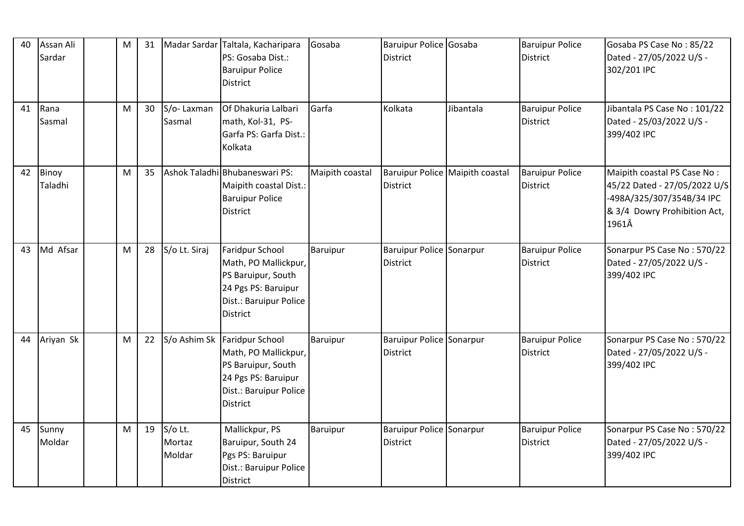| 40 | Assan Ali<br>Sardar | M | 31 |                             | Madar Sardar Taltala, Kacharipara<br>PS: Gosaba Dist.:<br><b>Baruipur Police</b><br><b>District</b>                                     | Gosaba          | Baruipur Police Gosaba<br><b>District</b>   |                                 | <b>Baruipur Police</b><br><b>District</b> | Gosaba PS Case No: 85/22<br>Dated - 27/05/2022 U/S -<br>302/201 IPC                                                               |
|----|---------------------|---|----|-----------------------------|-----------------------------------------------------------------------------------------------------------------------------------------|-----------------|---------------------------------------------|---------------------------------|-------------------------------------------|-----------------------------------------------------------------------------------------------------------------------------------|
| 41 | Rana<br>Sasmal      | M | 30 | S/o-Laxman<br>Sasmal        | Of Dhakuria Lalbari<br>math, Kol-31, PS-<br>Garfa PS: Garfa Dist.:<br>Kolkata                                                           | Garfa           | Kolkata                                     | Jibantala                       | <b>Baruipur Police</b><br>District        | Jibantala PS Case No: 101/22<br>Dated - 25/03/2022 U/S -<br>399/402 IPC                                                           |
| 42 | Binoy<br>Taladhi    | M | 35 |                             | Ashok Taladhi Bhubaneswari PS:<br>Maipith coastal Dist.:<br><b>Baruipur Police</b><br><b>District</b>                                   | Maipith coastal | District                                    | Baruipur Police Maipith coastal | <b>Baruipur Police</b><br><b>District</b> | Maipith coastal PS Case No:<br>45/22 Dated - 27/05/2022 U/S<br>-498A/325/307/354B/34 IPC<br>& 3/4 Dowry Prohibition Act,<br>1961Â |
| 43 | Md Afsar            | M | 28 | S/o Lt. Siraj               | Faridpur School<br>Math, PO Mallickpur,<br>PS Baruipur, South<br>24 Pgs PS: Baruipur<br>Dist.: Baruipur Police<br>District              | Baruipur        | Baruipur Police Sonarpur<br><b>District</b> |                                 | <b>Baruipur Police</b><br><b>District</b> | Sonarpur PS Case No: 570/22<br>Dated - 27/05/2022 U/S -<br>399/402 IPC                                                            |
| 44 | Ariyan Sk           | M | 22 |                             | S/o Ashim Sk Faridpur School<br>Math, PO Mallickpur,<br>PS Baruipur, South<br>24 Pgs PS: Baruipur<br>Dist.: Baruipur Police<br>District | <b>Baruipur</b> | Baruipur Police Sonarpur<br><b>District</b> |                                 | <b>Baruipur Police</b><br><b>District</b> | Sonarpur PS Case No: 570/22<br>Dated - 27/05/2022 U/S -<br>399/402 IPC                                                            |
| 45 | Sunny<br>Moldar     | M | 19 | S/o Lt.<br>Mortaz<br>Moldar | Mallickpur, PS<br>Baruipur, South 24<br>Pgs PS: Baruipur<br>Dist.: Baruipur Police<br><b>District</b>                                   | Baruipur        | Baruipur Police Sonarpur<br><b>District</b> |                                 | <b>Baruipur Police</b><br><b>District</b> | Sonarpur PS Case No: 570/22<br>Dated - 27/05/2022 U/S -<br>399/402 IPC                                                            |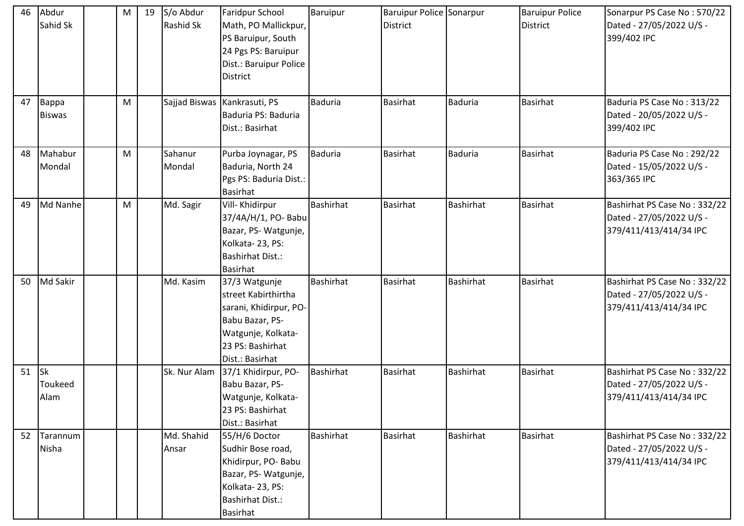| 46 | Abdur<br>Sahid Sk            | M | 19 | S/o Abdur<br><b>Rashid Sk</b> | <b>Faridpur School</b><br>Math, PO Mallickpur,<br>PS Baruipur, South<br>24 Pgs PS: Baruipur<br>Dist.: Baruipur Police<br><b>District</b>       | Baruipur         | <b>Baruipur Police Sonarpur</b><br><b>District</b> |                  | <b>Baruipur Police</b><br>District | Sonarpur PS Case No: 570/22<br>Dated - 27/05/2022 U/S -<br>399/402 IPC             |
|----|------------------------------|---|----|-------------------------------|------------------------------------------------------------------------------------------------------------------------------------------------|------------------|----------------------------------------------------|------------------|------------------------------------|------------------------------------------------------------------------------------|
| 47 | Bappa<br><b>Biswas</b>       | M |    |                               | Sajjad Biswas   Kankrasuti, PS<br>Baduria PS: Baduria<br>Dist.: Basirhat                                                                       | <b>Baduria</b>   | <b>Basirhat</b>                                    | <b>Baduria</b>   | <b>Basirhat</b>                    | Baduria PS Case No: 313/22<br>Dated - 20/05/2022 U/S -<br>399/402 IPC              |
| 48 | Mahabur<br>Mondal            | M |    | Sahanur<br>Mondal             | Purba Joynagar, PS<br>Baduria, North 24<br>Pgs PS: Baduria Dist.:<br><b>Basirhat</b>                                                           | <b>Baduria</b>   | <b>Basirhat</b>                                    | <b>Baduria</b>   | <b>Basirhat</b>                    | Baduria PS Case No: 292/22<br>Dated - 15/05/2022 U/S -<br>363/365 IPC              |
| 49 | Md Nanhe                     | M |    | Md. Sagir                     | Vill- Khidirpur<br>37/4A/H/1, PO- Babu<br>Bazar, PS-Watgunje,<br>Kolkata-23, PS:<br><b>Bashirhat Dist.:</b><br>Basirhat                        | <b>Bashirhat</b> | <b>Basirhat</b>                                    | <b>Bashirhat</b> | Basirhat                           | Bashirhat PS Case No: 332/22<br>Dated - 27/05/2022 U/S -<br>379/411/413/414/34 IPC |
| 50 | Md Sakir                     |   |    | Md. Kasim                     | 37/3 Watgunje<br>street Kabirthirtha<br>sarani, Khidirpur, PO-<br>Babu Bazar, PS-<br>Watgunje, Kolkata-<br>23 PS: Bashirhat<br>Dist.: Basirhat | <b>Bashirhat</b> | <b>Basirhat</b>                                    | <b>Bashirhat</b> | Basirhat                           | Bashirhat PS Case No: 332/22<br>Dated - 27/05/2022 U/S -<br>379/411/413/414/34 IPC |
| 51 | <b>Sk</b><br>Toukeed<br>Alam |   |    | Sk. Nur Alam                  | 37/1 Khidirpur, PO-<br>Babu Bazar, PS-<br>Watgunje, Kolkata-<br>23 PS: Bashirhat<br>Dist.: Basirhat                                            | <b>Bashirhat</b> | <b>Basirhat</b>                                    | <b>Bashirhat</b> | Basirhat                           | Bashirhat PS Case No: 332/22<br>Dated - 27/05/2022 U/S -<br>379/411/413/414/34 IPC |
| 52 | Tarannum<br><b>Nisha</b>     |   |    | Md. Shahid<br>Ansar           | 55/H/6 Doctor<br>Sudhir Bose road,<br>Khidirpur, PO-Babu<br>Bazar, PS-Watgunje,<br>Kolkata-23, PS:<br><b>Bashirhat Dist.:</b><br>Basirhat      | <b>Bashirhat</b> | <b>Basirhat</b>                                    | <b>Bashirhat</b> | <b>Basirhat</b>                    | Bashirhat PS Case No: 332/22<br>Dated - 27/05/2022 U/S -<br>379/411/413/414/34 IPC |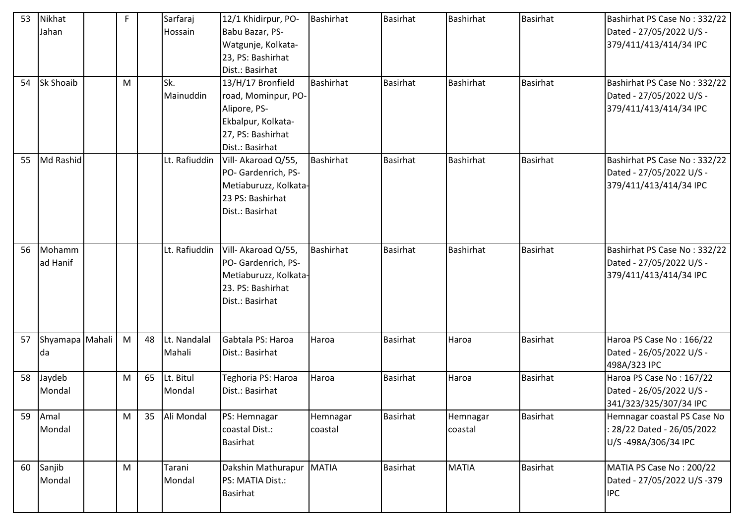| 53 | Nikhat<br>Jahan       | F |    | Sarfaraj<br>Hossain    | 12/1 Khidirpur, PO-<br>Babu Bazar, PS-<br>Watgunje, Kolkata-<br>23, PS: Bashirhat<br>Dist.: Basirhat                   | <b>Bashirhat</b>    | <b>Basirhat</b> | <b>Bashirhat</b>    | <b>Basirhat</b> | Bashirhat PS Case No: 332/22<br>Dated - 27/05/2022 U/S -<br>379/411/413/414/34 IPC |
|----|-----------------------|---|----|------------------------|------------------------------------------------------------------------------------------------------------------------|---------------------|-----------------|---------------------|-----------------|------------------------------------------------------------------------------------|
| 54 | Sk Shoaib             | M |    | Sk.<br>Mainuddin       | 13/H/17 Bronfield<br>road, Mominpur, PO-<br>Alipore, PS-<br>Ekbalpur, Kolkata-<br>27, PS: Bashirhat<br>Dist.: Basirhat | <b>Bashirhat</b>    | Basirhat        | <b>Bashirhat</b>    | Basirhat        | Bashirhat PS Case No: 332/22<br>Dated - 27/05/2022 U/S -<br>379/411/413/414/34 IPC |
| 55 | Md Rashid             |   |    | Lt. Rafiuddin          | Vill- Akaroad Q/55,<br>PO- Gardenrich, PS-<br>Metiaburuzz, Kolkata-<br>23 PS: Bashirhat<br>Dist.: Basirhat             | Bashirhat           | <b>Basirhat</b> | <b>Bashirhat</b>    | Basirhat        | Bashirhat PS Case No: 332/22<br>Dated - 27/05/2022 U/S -<br>379/411/413/414/34 IPC |
| 56 | Mohamm<br>ad Hanif    |   |    | Lt. Rafiuddin          | Vill- Akaroad Q/55,<br>PO- Gardenrich, PS-<br>Metiaburuzz, Kolkata-<br>23. PS: Bashirhat<br>Dist.: Basirhat            | <b>Bashirhat</b>    | <b>Basirhat</b> | <b>Bashirhat</b>    | <b>Basirhat</b> | Bashirhat PS Case No: 332/22<br>Dated - 27/05/2022 U/S -<br>379/411/413/414/34 IPC |
| 57 | Shyamapa Mahali<br>da | M | 48 | Lt. Nandalal<br>Mahali | Gabtala PS: Haroa<br>Dist.: Basirhat                                                                                   | Haroa               | <b>Basirhat</b> | Haroa               | Basirhat        | Haroa PS Case No: 166/22<br>Dated - 26/05/2022 U/S -<br>498A/323 IPC               |
| 58 | Jaydeb<br>Mondal      | M | 65 | Lt. Bitul<br>Mondal    | Teghoria PS: Haroa<br>Dist.: Basirhat                                                                                  | Haroa               | <b>Basirhat</b> | Haroa               | <b>Basirhat</b> | Haroa PS Case No: 167/22<br>Dated - 26/05/2022 U/S -<br>341/323/325/307/34 IPC     |
| 59 | Amal<br>Mondal        | M | 35 | Ali Mondal             | PS: Hemnagar<br>coastal Dist.:<br><b>Basirhat</b>                                                                      | Hemnagar<br>coastal | <b>Basirhat</b> | Hemnagar<br>coastal | <b>Basirhat</b> | Hemnagar coastal PS Case No<br>: 28/22 Dated - 26/05/2022<br>U/S-498A/306/34 IPC   |
| 60 | Sanjib<br>Mondal      | M |    | Tarani<br>Mondal       | Dakshin Mathurapur<br>PS: MATIA Dist.:<br><b>Basirhat</b>                                                              | <b>MATIA</b>        | <b>Basirhat</b> | <b>MATIA</b>        | <b>Basirhat</b> | MATIA PS Case No: 200/22<br>Dated - 27/05/2022 U/S -379<br><b>IPC</b>              |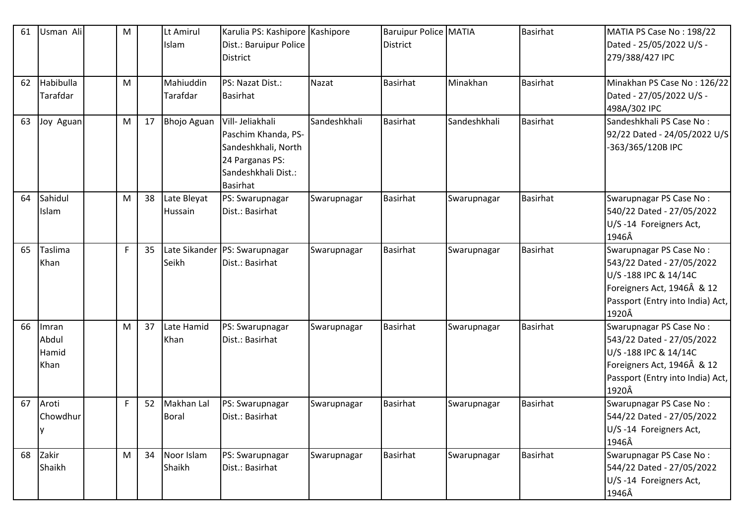| 61 | Usman Ali | M  |    | Lt Amirul          | Karulia PS: Kashipore Kashipore |              | <b>Baruipur Police MATIA</b> |              | <b>Basirhat</b> | MATIA PS Case No: 198/22         |
|----|-----------|----|----|--------------------|---------------------------------|--------------|------------------------------|--------------|-----------------|----------------------------------|
|    |           |    |    | Islam              | Dist.: Baruipur Police          |              | <b>District</b>              |              |                 | Dated - 25/05/2022 U/S -         |
|    |           |    |    |                    | <b>District</b>                 |              |                              |              |                 | 279/388/427 IPC                  |
|    |           |    |    |                    |                                 |              |                              |              |                 |                                  |
| 62 | Habibulla | M  |    | Mahiuddin          | PS: Nazat Dist.:                | Nazat        | <b>Basirhat</b>              | Minakhan     | <b>Basirhat</b> | Minakhan PS Case No: 126/22      |
|    | Tarafdar  |    |    | Tarafdar           | <b>Basirhat</b>                 |              |                              |              |                 | Dated - 27/05/2022 U/S -         |
|    |           |    |    |                    |                                 |              |                              |              |                 | 498A/302 IPC                     |
| 63 | Joy Aguan | M  | 17 | <b>Bhojo Aguan</b> | Vill- Jeliakhali                | Sandeshkhali | Basirhat                     | Sandeshkhali | <b>Basirhat</b> | Sandeshkhali PS Case No:         |
|    |           |    |    |                    | Paschim Khanda, PS-             |              |                              |              |                 | 92/22 Dated - 24/05/2022 U/S     |
|    |           |    |    |                    | Sandeshkhali, North             |              |                              |              |                 | -363/365/120B IPC                |
|    |           |    |    |                    | 24 Parganas PS:                 |              |                              |              |                 |                                  |
|    |           |    |    |                    | Sandeshkhali Dist.:             |              |                              |              |                 |                                  |
|    |           |    |    |                    | <b>Basirhat</b>                 |              |                              |              |                 |                                  |
| 64 | Sahidul   | M  | 38 | Late Bleyat        | PS: Swarupnagar                 | Swarupnagar  | Basirhat                     | Swarupnagar  | <b>Basirhat</b> | Swarupnagar PS Case No:          |
|    | Islam     |    |    | Hussain            | Dist.: Basirhat                 |              |                              |              |                 | 540/22 Dated - 27/05/2022        |
|    |           |    |    |                    |                                 |              |                              |              |                 | U/S-14 Foreigners Act,           |
|    |           |    |    |                    |                                 |              |                              |              |                 | 1946Â                            |
| 65 | Taslima   | F. | 35 |                    | Late Sikander   PS: Swarupnagar | Swarupnagar  | Basirhat                     | Swarupnagar  | <b>Basirhat</b> | Swarupnagar PS Case No:          |
|    | Khan      |    |    | Seikh              | Dist.: Basirhat                 |              |                              |              |                 | 543/22 Dated - 27/05/2022        |
|    |           |    |    |                    |                                 |              |                              |              |                 | U/S-188 IPC & 14/14C             |
|    |           |    |    |                    |                                 |              |                              |              |                 | Foreigners Act, 1946Â & 12       |
|    |           |    |    |                    |                                 |              |                              |              |                 | Passport (Entry into India) Act, |
|    |           |    |    |                    |                                 |              |                              |              |                 | 1920Â                            |
| 66 | Imran     | M  | 37 | Late Hamid         | PS: Swarupnagar                 | Swarupnagar  | Basirhat                     | Swarupnagar  | <b>Basirhat</b> | Swarupnagar PS Case No:          |
|    | Abdul     |    |    | Khan               | Dist.: Basirhat                 |              |                              |              |                 | 543/22 Dated - 27/05/2022        |
|    | Hamid     |    |    |                    |                                 |              |                              |              |                 | U/S-188 IPC & 14/14C             |
|    | Khan      |    |    |                    |                                 |              |                              |              |                 | Foreigners Act, 1946Â & 12       |
|    |           |    |    |                    |                                 |              |                              |              |                 | Passport (Entry into India) Act, |
|    |           |    |    |                    |                                 |              |                              |              |                 | 1920Â                            |
| 67 | Aroti     | F. | 52 | Makhan Lal         | PS: Swarupnagar                 | Swarupnagar  | Basirhat                     | Swarupnagar  | <b>Basirhat</b> | Swarupnagar PS Case No:          |
|    | Chowdhur  |    |    | Boral              | Dist.: Basirhat                 |              |                              |              |                 | 544/22 Dated - 27/05/2022        |
|    | <b>V</b>  |    |    |                    |                                 |              |                              |              |                 | U/S-14 Foreigners Act,           |
|    |           |    |    |                    |                                 |              |                              |              |                 | 1946Â                            |
| 68 | Zakir     | M  | 34 | Noor Islam         | PS: Swarupnagar                 | Swarupnagar  | <b>Basirhat</b>              | Swarupnagar  | Basirhat        | Swarupnagar PS Case No:          |
|    | Shaikh    |    |    | Shaikh             | Dist.: Basirhat                 |              |                              |              |                 | 544/22 Dated - 27/05/2022        |
|    |           |    |    |                    |                                 |              |                              |              |                 | U/S-14 Foreigners Act,           |
|    |           |    |    |                    |                                 |              |                              |              |                 | 1946Â                            |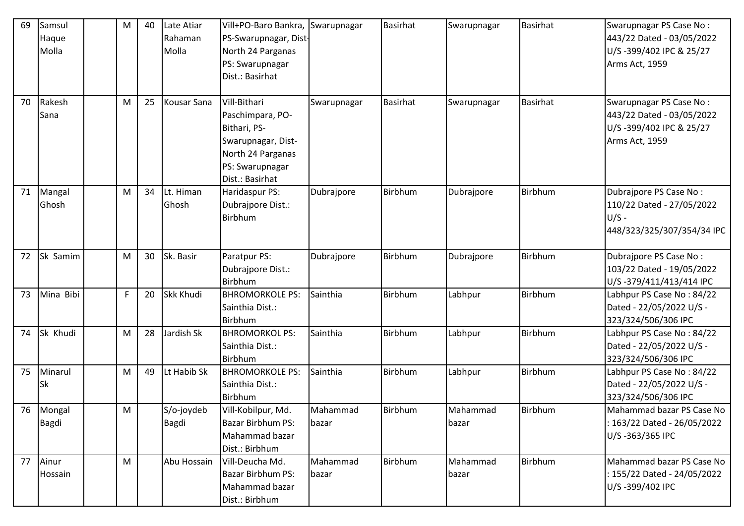| 69 | Samsul<br>Haque<br>Molla | M | 40 | Late Atiar<br>Rahaman<br>Molla | Vill+PO-Baro Bankra,<br>PS-Swarupnagar, Dist-<br>North 24 Parganas<br>PS: Swarupnagar<br>Dist.: Basirhat                          | Swarupnagar       | <b>Basirhat</b> | Swarupnagar       | Basirhat        | Swarupnagar PS Case No:<br>443/22 Dated - 03/05/2022<br>U/S-399/402 IPC & 25/27<br>Arms Act, 1959 |
|----|--------------------------|---|----|--------------------------------|-----------------------------------------------------------------------------------------------------------------------------------|-------------------|-----------------|-------------------|-----------------|---------------------------------------------------------------------------------------------------|
| 70 | Rakesh<br>Sana           | M | 25 | Kousar Sana                    | Vill-Bithari<br>Paschimpara, PO-<br>Bithari, PS-<br>Swarupnagar, Dist-<br>North 24 Parganas<br>PS: Swarupnagar<br>Dist.: Basirhat | Swarupnagar       | <b>Basirhat</b> | Swarupnagar       | <b>Basirhat</b> | Swarupnagar PS Case No:<br>443/22 Dated - 03/05/2022<br>U/S-399/402 IPC & 25/27<br>Arms Act, 1959 |
| 71 | Mangal<br>Ghosh          | M | 34 | Lt. Himan<br>Ghosh             | Haridaspur PS:<br>Dubrajpore Dist.:<br>Birbhum                                                                                    | Dubrajpore        | Birbhum         | Dubrajpore        | Birbhum         | Dubrajpore PS Case No:<br>110/22 Dated - 27/05/2022<br>$U/S -$<br>448/323/325/307/354/34 IPC      |
| 72 | Sk Samim                 | M | 30 | Sk. Basir                      | Paratpur PS:<br>Dubrajpore Dist.:<br>Birbhum                                                                                      | Dubrajpore        | Birbhum         | Dubrajpore        | Birbhum         | Dubrajpore PS Case No:<br>103/22 Dated - 19/05/2022<br>U/S-379/411/413/414 IPC                    |
| 73 | Mina Bibi                | F | 20 | <b>Skk Khudi</b>               | <b>BHROMORKOLE PS:</b><br>Sainthia Dist.:<br><b>Birbhum</b>                                                                       | Sainthia          | Birbhum         | Labhpur           | Birbhum         | Labhpur PS Case No: 84/22<br>Dated - 22/05/2022 U/S -<br>323/324/506/306 IPC                      |
| 74 | Sk Khudi                 | M | 28 | Jardish Sk                     | <b>BHROMORKOL PS:</b><br>Sainthia Dist.:<br><b>Birbhum</b>                                                                        | Sainthia          | Birbhum         | Labhpur           | Birbhum         | Labhpur PS Case No: 84/22<br>Dated - 22/05/2022 U/S -<br>323/324/506/306 IPC                      |
| 75 | Minarul<br>Sk            | M | 49 | Lt Habib Sk                    | <b>BHROMORKOLE PS:</b><br>Sainthia Dist.:<br>Birbhum                                                                              | Sainthia          | Birbhum         | Labhpur           | Birbhum         | Labhpur PS Case No: 84/22<br>Dated - 22/05/2022 U/S -<br>323/324/506/306 IPC                      |
| 76 | Mongal<br>Bagdi          | M |    | S/o-joydeb<br>Bagdi            | Vill-Kobilpur, Md.<br>Bazar Birbhum PS:<br>Mahammad bazar<br>Dist.: Birbhum                                                       | Mahammad<br>bazar | Birbhum         | Mahammad<br>bazar | <b>Birbhum</b>  | Mahammad bazar PS Case No<br>: 163/22 Dated - 26/05/2022<br>U/S-363/365 IPC                       |
| 77 | Ainur<br>Hossain         | M |    | Abu Hossain                    | Vill-Deucha Md.<br>Bazar Birbhum PS:<br>Mahammad bazar<br>Dist.: Birbhum                                                          | Mahammad<br>bazar | Birbhum         | Mahammad<br>bazar | Birbhum         | Mahammad bazar PS Case No<br>: 155/22 Dated - 24/05/2022<br>U/S-399/402 IPC                       |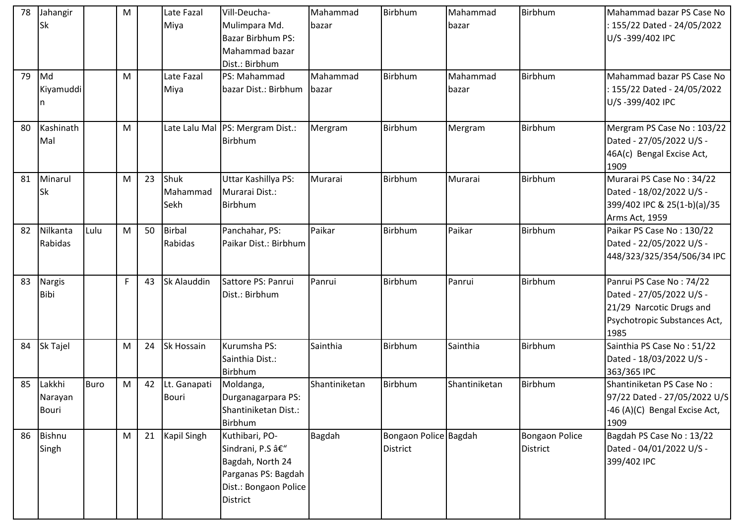| 78<br>79 | Jahangir<br>Sk<br>Md              |             | M<br>M |    | Late Fazal<br>Miya<br>Late Fazal | Vill-Deucha-<br>Mulimpara Md.<br><b>Bazar Birbhum PS:</b><br>Mahammad bazar<br>Dist.: Birbhum<br>PS: Mahammad     | Mahammad<br>bazar<br>Mahammad | Birbhum<br>Birbhum                       | Mahammad<br>bazar<br>Mahammad | Birbhum<br>Birbhum                       | Mahammad bazar PS Case No<br>: 155/22 Dated - 24/05/2022<br>U/S-399/402 IPC<br>Mahammad bazar PS Case No                 |
|----------|-----------------------------------|-------------|--------|----|----------------------------------|-------------------------------------------------------------------------------------------------------------------|-------------------------------|------------------------------------------|-------------------------------|------------------------------------------|--------------------------------------------------------------------------------------------------------------------------|
|          | Kiyamuddi                         |             |        |    | Miya                             | bazar Dist.: Birbhum                                                                                              | bazar                         |                                          | bazar                         |                                          | : 155/22 Dated - 24/05/2022<br>U/S-399/402 IPC                                                                           |
| 80       | Kashinath<br>Mal                  |             | M      |    |                                  | Late Lalu Mal   PS: Mergram Dist.:<br>Birbhum                                                                     | Mergram                       | Birbhum                                  | Mergram                       | Birbhum                                  | Mergram PS Case No: 103/22<br>Dated - 27/05/2022 U/S -<br>46A(c) Bengal Excise Act,<br>1909                              |
| 81       | Minarul<br>Sk                     |             | M      | 23 | Shuk<br>Mahammad<br>Sekh         | Uttar Kashillya PS:<br>Murarai Dist.:<br><b>Birbhum</b>                                                           | Murarai                       | Birbhum                                  | Murarai                       | Birbhum                                  | Murarai PS Case No: 34/22<br>Dated - 18/02/2022 U/S -<br>399/402 IPC & 25(1-b)(a)/35<br>Arms Act, 1959                   |
| 82       | Nilkanta<br>Rabidas               | Lulu        | M      | 50 | <b>Birbal</b><br>Rabidas         | Panchahar, PS:<br>Paikar Dist.: Birbhum                                                                           | Paikar                        | Birbhum                                  | Paikar                        | Birbhum                                  | Paikar PS Case No: 130/22<br>Dated - 22/05/2022 U/S -<br>448/323/325/354/506/34 IPC                                      |
| 83       | <b>Nargis</b><br><b>Bibi</b>      |             | F.     | 43 | Sk Alauddin                      | Sattore PS: Panrui<br>Dist.: Birbhum                                                                              | Panrui                        | Birbhum                                  | Panrui                        | Birbhum                                  | Panrui PS Case No: 74/22<br>Dated - 27/05/2022 U/S -<br>21/29 Narcotic Drugs and<br>Psychotropic Substances Act,<br>1985 |
| 84       | <b>Sk Tajel</b>                   |             | M      | 24 | Sk Hossain                       | Kurumsha PS:<br>Sainthia Dist.:<br>Birbhum                                                                        | Sainthia                      | Birbhum                                  | Sainthia                      | Birbhum                                  | Sainthia PS Case No: 51/22<br>Dated - 18/03/2022 U/S -<br>363/365 IPC                                                    |
| 85       | Lakkhi<br>Narayan<br><b>Bouri</b> | <b>Buro</b> | M      | 42 | Lt. Ganapati<br><b>Bouri</b>     | Moldanga,<br>Durganagarpara PS:<br>Shantiniketan Dist.:<br>Birbhum                                                | Shantiniketan                 | Birbhum                                  | Shantiniketan                 | Birbhum                                  | Shantiniketan PS Case No:<br>97/22 Dated - 27/05/2022 U/S<br>-46 (A)(C) Bengal Excise Act,<br>1909                       |
| 86       | <b>Bishnu</b><br>Singh            |             | M      | 21 | <b>Kapil Singh</b>               | Kuthibari, PO-<br>Sindrani, P.S –<br>Bagdah, North 24<br>Parganas PS: Bagdah<br>Dist.: Bongaon Police<br>District | <b>Bagdah</b>                 | Bongaon Police Bagdah<br><b>District</b> |                               | <b>Bongaon Police</b><br><b>District</b> | Bagdah PS Case No: 13/22<br>Dated - 04/01/2022 U/S -<br>399/402 IPC                                                      |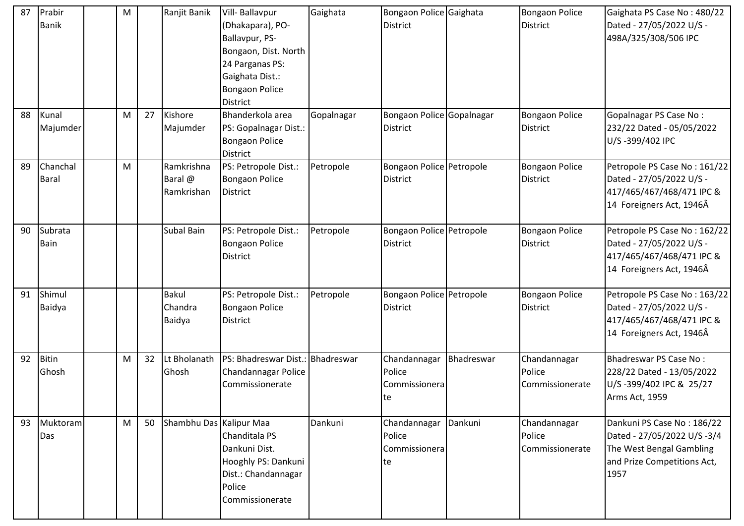| 87 | Prabir<br><b>Banik</b>   | M |    | Ranjit Banik                        | Vill- Ballavpur<br>(Dhakapara), PO-<br>Ballavpur, PS-<br>Bongaon, Dist. North<br>24 Parganas PS:<br>Gaighata Dist.:<br><b>Bongaon Police</b><br>District | Gaighata   | Bongaon Police Gaighata<br><b>District</b>     |            | <b>Bongaon Police</b><br>District         | Gaighata PS Case No: 480/22<br>Dated - 27/05/2022 U/S -<br>498A/325/308/506 IPC                                              |
|----|--------------------------|---|----|-------------------------------------|----------------------------------------------------------------------------------------------------------------------------------------------------------|------------|------------------------------------------------|------------|-------------------------------------------|------------------------------------------------------------------------------------------------------------------------------|
| 88 | Kunal<br>Majumder        | M | 27 | Kishore<br>Majumder                 | Bhanderkola area<br>PS: Gopalnagar Dist.:<br><b>Bongaon Police</b><br>District                                                                           | Gopalnagar | Bongaon Police Gopalnagar<br><b>District</b>   |            | <b>Bongaon Police</b><br>District         | Gopalnagar PS Case No:<br>232/22 Dated - 05/05/2022<br>U/S-399/402 IPC                                                       |
| 89 | Chanchal<br><b>Baral</b> | M |    | Ramkrishna<br>Baral @<br>Ramkrishan | PS: Petropole Dist.:<br><b>Bongaon Police</b><br>District                                                                                                | Petropole  | Bongaon Police Petropole<br><b>District</b>    |            | <b>Bongaon Police</b><br>District         | Petropole PS Case No: 161/22<br>Dated - 27/05/2022 U/S -<br>417/465/467/468/471 IPC &<br>14 Foreigners Act, 1946Â            |
| 90 | Subrata<br>Bain          |   |    | <b>Subal Bain</b>                   | PS: Petropole Dist.:<br><b>Bongaon Police</b><br>District                                                                                                | Petropole  | Bongaon Police Petropole<br><b>District</b>    |            | <b>Bongaon Police</b><br>District         | Petropole PS Case No: 162/22<br>Dated - 27/05/2022 U/S -<br>417/465/467/468/471 IPC &<br>14 Foreigners Act, 1946Â            |
| 91 | Shimul<br>Baidya         |   |    | <b>Bakul</b><br>Chandra<br>Baidya   | PS: Petropole Dist.:<br><b>Bongaon Police</b><br>District                                                                                                | Petropole  | Bongaon Police Petropole<br><b>District</b>    |            | <b>Bongaon Police</b><br>District         | Petropole PS Case No: 163/22<br>Dated - 27/05/2022 U/S -<br>417/465/467/468/471 IPC &<br>14 Foreigners Act, 1946Â            |
| 92 | <b>Bitin</b><br>Ghosh    | M | 32 | Lt Bholanath<br>Ghosh               | PS: Bhadreswar Dist.: Bhadreswar<br>Chandannagar Police<br>Commissionerate                                                                               |            | Chandannagar<br>Police<br>Commissionera<br>Ite | Bhadreswar | Chandannagar<br>Police<br>Commissionerate | Bhadreswar PS Case No:<br>228/22 Dated - 13/05/2022<br>U/S-399/402 IPC & 25/27<br>Arms Act, 1959                             |
| 93 | Muktoram<br>Das          | M | 50 | Shambhu Das Kalipur Maa             | Chanditala PS<br>Dankuni Dist.<br>Hooghly PS: Dankuni<br>Dist.: Chandannagar<br>Police<br>Commissionerate                                                | Dankuni    | Chandannagar<br>Police<br>Commissionera<br>te  | Dankuni    | Chandannagar<br>Police<br>Commissionerate | Dankuni PS Case No: 186/22<br>Dated - 27/05/2022 U/S -3/4<br>The West Bengal Gambling<br>and Prize Competitions Act,<br>1957 |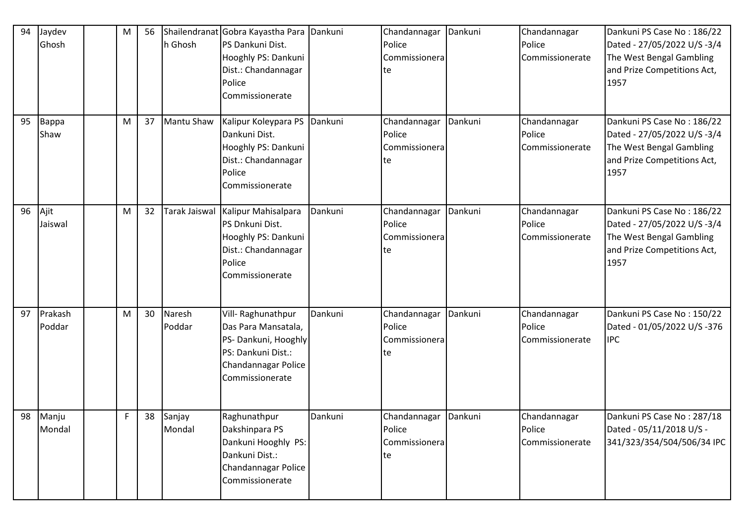| 94 | Jaydev<br>Ghosh   | м  | 56 | h Ghosh          | Shailendranat Gobra Kayastha Para Dankuni<br>PS Dankuni Dist.<br>Hooghly PS: Dankuni<br>Dist.: Chandannagar<br>Police<br>Commissionerate |         | Chandannagar<br>Police<br>Commissionera<br>te           | Dankuni | Chandannagar<br>Police<br>Commissionerate | Dankuni PS Case No: 186/22<br>Dated - 27/05/2022 U/S -3/4<br>The West Bengal Gambling<br>and Prize Competitions Act,<br>1957 |
|----|-------------------|----|----|------------------|------------------------------------------------------------------------------------------------------------------------------------------|---------|---------------------------------------------------------|---------|-------------------------------------------|------------------------------------------------------------------------------------------------------------------------------|
| 95 | Bappa<br>Shaw     | M  | 37 | Mantu Shaw       | Kalipur Koleypara PS Dankuni<br>Dankuni Dist.<br>Hooghly PS: Dankuni<br>Dist.: Chandannagar<br>Police<br>Commissionerate                 |         | Chandannagar<br>Police<br>Commissionera<br>te           | Dankuni | Chandannagar<br>Police<br>Commissionerate | Dankuni PS Case No: 186/22<br>Dated - 27/05/2022 U/S -3/4<br>The West Bengal Gambling<br>and Prize Competitions Act,<br>1957 |
| 96 | Ajit<br>Jaiswal   | M  | 32 | Tarak Jaiswal    | Kalipur Mahisalpara<br>PS Dnkuni Dist.<br>Hooghly PS: Dankuni<br>Dist.: Chandannagar<br>Police<br>Commissionerate                        | Dankuni | Chandannagar<br>Police<br>Commissionera<br>te           | Dankuni | Chandannagar<br>Police<br>Commissionerate | Dankuni PS Case No: 186/22<br>Dated - 27/05/2022 U/S -3/4<br>The West Bengal Gambling<br>and Prize Competitions Act,<br>1957 |
| 97 | Prakash<br>Poddar | M  | 30 | Naresh<br>Poddar | Vill-Raghunathpur<br>Das Para Mansatala,<br>PS- Dankuni, Hooghly<br>PS: Dankuni Dist.:<br>Chandannagar Police<br>Commissionerate         | Dankuni | Chandannagar<br>Police<br>Commissionera<br>te           | Dankuni | Chandannagar<br>Police<br>Commissionerate | Dankuni PS Case No: 150/22<br>Dated - 01/05/2022 U/S -376<br><b>IPC</b>                                                      |
| 98 | Manju<br>Mondal   | F. | 38 | Sanjay<br>Mondal | Raghunathpur<br>Dakshinpara PS<br>Dankuni Hooghly PS:<br>Dankuni Dist.:<br>Chandannagar Police<br>Commissionerate                        | Dankuni | Chandannagar Dankuni<br>Police<br>Commissionera<br>lte. |         | Chandannagar<br>Police<br>Commissionerate | Dankuni PS Case No: 287/18<br>Dated - 05/11/2018 U/S -<br>341/323/354/504/506/34 IPC                                         |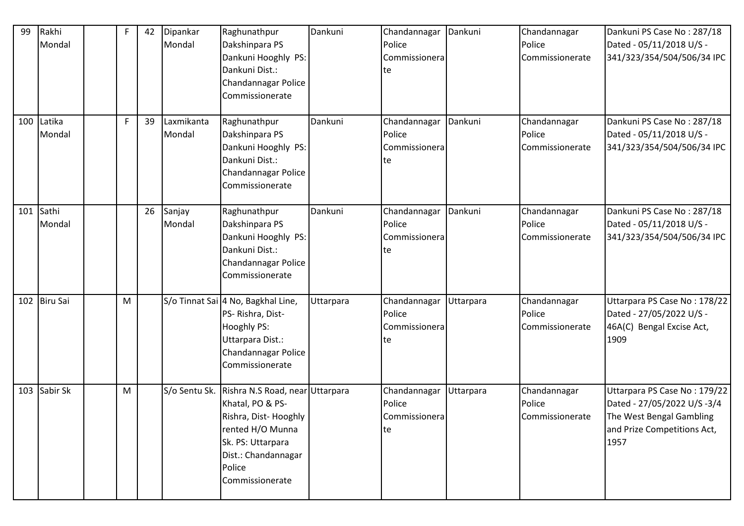| 99  | Rakhi<br>Mondal  | F | 42 | Dipankar<br>Mondal   | Raghunathpur<br>Dakshinpara PS<br>Dankuni Hooghly PS:<br>Dankuni Dist.:<br>Chandannagar Police<br>Commissionerate                                                        | Dankuni   | Chandannagar<br>Police<br>Commissionera<br>lte | Dankuni   | Chandannagar<br>Police<br>Commissionerate | Dankuni PS Case No: 287/18<br>Dated - 05/11/2018 U/S -<br>341/323/354/504/506/34 IPC                                           |
|-----|------------------|---|----|----------------------|--------------------------------------------------------------------------------------------------------------------------------------------------------------------------|-----------|------------------------------------------------|-----------|-------------------------------------------|--------------------------------------------------------------------------------------------------------------------------------|
| 100 | Latika<br>Mondal | F | 39 | Laxmikanta<br>Mondal | Raghunathpur<br>Dakshinpara PS<br>Dankuni Hooghly PS:<br>Dankuni Dist.:<br>Chandannagar Police<br>Commissionerate                                                        | Dankuni   | Chandannagar<br>Police<br>Commissionera<br>te  | Dankuni   | Chandannagar<br>Police<br>Commissionerate | Dankuni PS Case No: 287/18<br>Dated - 05/11/2018 U/S -<br>341/323/354/504/506/34 IPC                                           |
| 101 | Sathi<br>Mondal  |   | 26 | Sanjay<br>Mondal     | Raghunathpur<br>Dakshinpara PS<br>Dankuni Hooghly PS:<br>Dankuni Dist.:<br>Chandannagar Police<br>Commissionerate                                                        | Dankuni   | Chandannagar<br>Police<br>Commissionera<br>te  | Dankuni   | Chandannagar<br>Police<br>Commissionerate | Dankuni PS Case No: 287/18<br>Dated - 05/11/2018 U/S -<br>341/323/354/504/506/34 IPC                                           |
| 102 | <b>Biru Sai</b>  | M |    |                      | S/o Tinnat Sai 4 No, Bagkhal Line,<br>PS-Rishra, Dist-<br><b>Hooghly PS:</b><br>Uttarpara Dist.:<br>Chandannagar Police<br>Commissionerate                               | Uttarpara | Chandannagar<br>Police<br>Commissionera<br>te  | Uttarpara | Chandannagar<br>Police<br>Commissionerate | Uttarpara PS Case No: 178/22<br>Dated - 27/05/2022 U/S -<br>46A(C) Bengal Excise Act,<br>1909                                  |
| 103 | Sabir Sk         | M |    | S/o Sentu Sk.        | Rishra N.S Road, near Uttarpara<br>Khatal, PO & PS-<br>Rishra, Dist-Hooghly<br>rented H/O Munna<br>Sk. PS: Uttarpara<br>Dist.: Chandannagar<br>Police<br>Commissionerate |           | Chandannagar<br>Police<br>Commissionera<br>te  | Uttarpara | Chandannagar<br>Police<br>Commissionerate | Uttarpara PS Case No: 179/22<br>Dated - 27/05/2022 U/S -3/4<br>The West Bengal Gambling<br>and Prize Competitions Act,<br>1957 |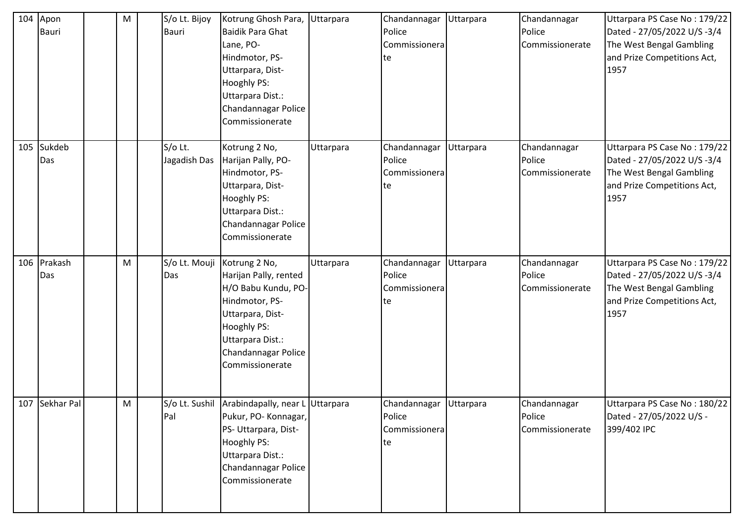| 104 | Apon<br><b>Bauri</b> | M | S/o Lt. Bijoy<br>Bauri  | Kotrung Ghosh Para,<br><b>Baidik Para Ghat</b><br>Lane, PO-<br>Hindmotor, PS-<br>Uttarpara, Dist-<br>Hooghly PS:<br>Uttarpara Dist.:<br>Chandannagar Police<br>Commissionerate   | Uttarpara | Chandannagar<br>Police<br>Commissionera<br> te            | Uttarpara | Chandannagar<br>Police<br>Commissionerate | Uttarpara PS Case No: 179/22<br>Dated - 27/05/2022 U/S -3/4<br>The West Bengal Gambling<br>and Prize Competitions Act,<br>1957 |
|-----|----------------------|---|-------------------------|----------------------------------------------------------------------------------------------------------------------------------------------------------------------------------|-----------|-----------------------------------------------------------|-----------|-------------------------------------------|--------------------------------------------------------------------------------------------------------------------------------|
| 105 | Sukdeb<br>Das        |   | S/o Lt.<br>Jagadish Das | Kotrung 2 No,<br>Harijan Pally, PO-<br>Hindmotor, PS-<br>Uttarpara, Dist-<br>Hooghly PS:<br>Uttarpara Dist.:<br>Chandannagar Police<br>Commissionerate                           | Uttarpara | Chandannagar<br>Police<br>Commissionera<br>te             | Uttarpara | Chandannagar<br>Police<br>Commissionerate | Uttarpara PS Case No: 179/22<br>Dated - 27/05/2022 U/S -3/4<br>The West Bengal Gambling<br>and Prize Competitions Act,<br>1957 |
|     | 106 Prakash<br>Das   | M | S/o Lt. Mouji<br>Das    | Kotrung 2 No,<br>Harijan Pally, rented<br>H/O Babu Kundu, PO-<br>Hindmotor, PS-<br>Uttarpara, Dist-<br>Hooghly PS:<br>Uttarpara Dist.:<br>Chandannagar Police<br>Commissionerate | Uttarpara | Chandannagar<br>Police<br>Commissionera<br> te            | Uttarpara | Chandannagar<br>Police<br>Commissionerate | Uttarpara PS Case No: 179/22<br>Dated - 27/05/2022 U/S -3/4<br>The West Bengal Gambling<br>and Prize Competitions Act,<br>1957 |
|     | 107 Sekhar Pal       | M | Pal                     | S/o Lt. Sushil Arabindapally, near L Uttarpara<br>Pukur, PO- Konnagar,<br>PS- Uttarpara, Dist-<br>Hooghly PS:<br>Uttarpara Dist.:<br>Chandannagar Police<br>Commissionerate      |           | Chandannagar Uttarpara<br>Police<br>Commissionera<br>lte. |           | Chandannagar<br>Police<br>Commissionerate | Uttarpara PS Case No: 180/22<br>Dated - 27/05/2022 U/S -<br>399/402 IPC                                                        |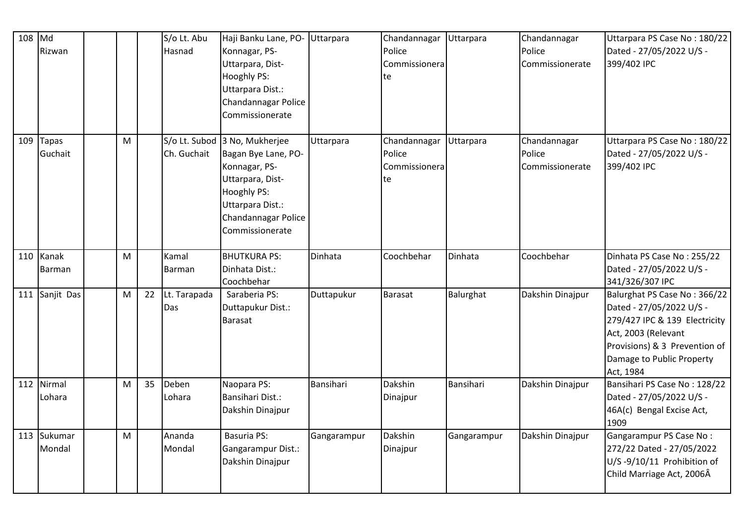| 108 | Md<br>Rizwan        |   |    | S/o Lt. Abu<br>Hasnad | Haji Banku Lane, PO-<br>Konnagar, PS-<br>Uttarpara, Dist-<br>Hooghly PS:<br>Uttarpara Dist.:<br>Chandannagar Police<br>Commissionerate                                 | <b>Uttarpara</b> | Chandannagar<br>Police<br>Commissionera<br>te | Uttarpara   | Chandannagar<br>Police<br>Commissionerate | Uttarpara PS Case No: 180/22<br>Dated - 27/05/2022 U/S -<br>399/402 IPC                                                                                                                     |
|-----|---------------------|---|----|-----------------------|------------------------------------------------------------------------------------------------------------------------------------------------------------------------|------------------|-----------------------------------------------|-------------|-------------------------------------------|---------------------------------------------------------------------------------------------------------------------------------------------------------------------------------------------|
| 109 | Tapas<br>Guchait    | M |    | Ch. Guchait           | S/o Lt. Subod 3 No, Mukherjee<br>Bagan Bye Lane, PO-<br>Konnagar, PS-<br>Uttarpara, Dist-<br>Hooghly PS:<br>Uttarpara Dist.:<br>Chandannagar Police<br>Commissionerate | Uttarpara        | Chandannagar<br>Police<br>Commissionera<br>te | Uttarpara   | Chandannagar<br>Police<br>Commissionerate | Uttarpara PS Case No: 180/22<br>Dated - 27/05/2022 U/S -<br>399/402 IPC                                                                                                                     |
|     | 110 Kanak<br>Barman | M |    | Kamal<br>Barman       | <b>BHUTKURA PS:</b><br>Dinhata Dist.:<br>Coochbehar                                                                                                                    | Dinhata          | Coochbehar                                    | Dinhata     | Coochbehar                                | Dinhata PS Case No: 255/22<br>Dated - 27/05/2022 U/S -<br>341/326/307 IPC                                                                                                                   |
| 111 | Sanjit Das          | M | 22 | Lt. Tarapada<br>Das   | Saraberia PS:<br>Duttapukur Dist.:<br>Barasat                                                                                                                          | Duttapukur       | Barasat                                       | Balurghat   | Dakshin Dinajpur                          | Balurghat PS Case No: 366/22<br>Dated - 27/05/2022 U/S -<br>279/427 IPC & 139 Electricity<br>Act, 2003 (Relevant<br>Provisions) & 3 Prevention of<br>Damage to Public Property<br>Act, 1984 |
| 112 | Nirmal<br>Lohara    | M | 35 | Deben<br>Lohara       | Naopara PS:<br><b>Bansihari Dist.:</b><br>Dakshin Dinajpur                                                                                                             | Bansihari        | Dakshin<br>Dinajpur                           | Bansihari   | Dakshin Dinajpur                          | Bansihari PS Case No: 128/22<br>Dated - 27/05/2022 U/S -<br>46A(c) Bengal Excise Act,<br>1909                                                                                               |
| 113 | Sukumar<br>Mondal   | M |    | Ananda<br>Mondal      | <b>Basuria PS:</b><br>Gangarampur Dist.:<br>Dakshin Dinajpur                                                                                                           | Gangarampur      | Dakshin<br>Dinajpur                           | Gangarampur | Dakshin Dinajpur                          | Gangarampur PS Case No:<br>272/22 Dated - 27/05/2022<br>U/S-9/10/11 Prohibition of<br>Child Marriage Act, 2006Â                                                                             |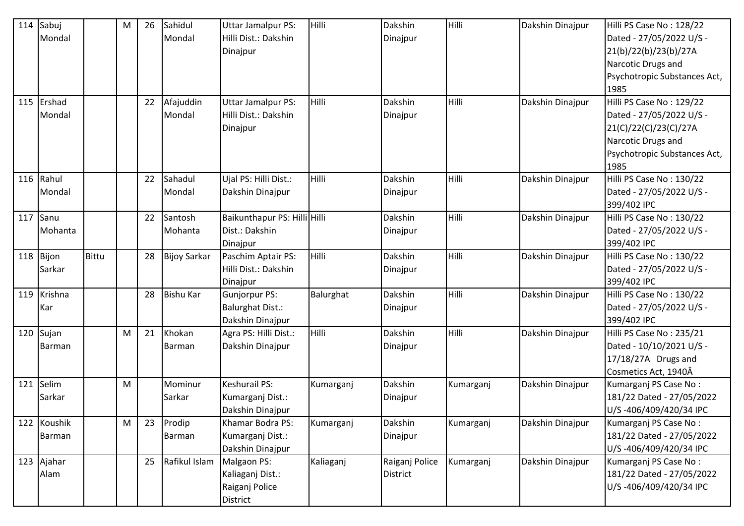| 114 | Sabuj<br>Mondal    |              | M | 26 | Sahidul<br>Mondal       | <b>Uttar Jamalpur PS:</b><br>Hilli Dist.: Dakshin<br>Dinajpur       | Hilli     | Dakshin<br>Dinajpur        | Hilli     | Dakshin Dinajpur | Hilli PS Case No: 128/22<br>Dated - 27/05/2022 U/S -<br>21(b)/22(b)/23(b)/27A<br>Narcotic Drugs and<br>Psychotropic Substances Act,<br>1985 |
|-----|--------------------|--------------|---|----|-------------------------|---------------------------------------------------------------------|-----------|----------------------------|-----------|------------------|---------------------------------------------------------------------------------------------------------------------------------------------|
| 115 | Ershad<br>Mondal   |              |   | 22 | Afajuddin<br>Mondal     | <b>Uttar Jamalpur PS:</b><br>Hilli Dist.: Dakshin<br>Dinajpur       | Hilli     | Dakshin<br>Dinajpur        | Hilli     | Dakshin Dinajpur | Hilli PS Case No: 129/22<br>Dated - 27/05/2022 U/S -<br>21(C)/22(C)/23(C)/27A<br>Narcotic Drugs and<br>Psychotropic Substances Act,<br>1985 |
| 116 | Rahul<br>Mondal    |              |   | 22 | Sahadul<br>Mondal       | Ujal PS: Hilli Dist.:<br>Dakshin Dinajpur                           | Hilli     | Dakshin<br>Dinajpur        | Hilli     | Dakshin Dinajpur | Hilli PS Case No: 130/22<br>Dated - 27/05/2022 U/S -<br>399/402 IPC                                                                         |
| 117 | Sanu<br>Mohanta    |              |   | 22 | Santosh<br>Mohanta      | Baikunthapur PS: Hilli Hilli<br>Dist.: Dakshin<br>Dinajpur          |           | Dakshin<br>Dinajpur        | Hilli     | Dakshin Dinajpur | Hilli PS Case No: 130/22<br>Dated - 27/05/2022 U/S -<br>399/402 IPC                                                                         |
| 118 | Bijon<br>Sarkar    | <b>Bittu</b> |   | 28 | <b>Bijoy Sarkar</b>     | Paschim Aptair PS:<br>Hilli Dist.: Dakshin<br>Dinajpur              | Hilli     | Dakshin<br>Dinajpur        | Hilli     | Dakshin Dinajpur | Hilli PS Case No: 130/22<br>Dated - 27/05/2022 U/S -<br>399/402 IPC                                                                         |
| 119 | Krishna<br>Kar     |              |   | 28 | <b>Bishu Kar</b>        | <b>Gunjorpur PS:</b><br><b>Balurghat Dist.:</b><br>Dakshin Dinajpur | Balurghat | Dakshin<br>Dinajpur        | Hilli     | Dakshin Dinajpur | Hilli PS Case No: 130/22<br>Dated - 27/05/2022 U/S -<br>399/402 IPC                                                                         |
| 120 | Sujan<br>Barman    |              | M | 21 | Khokan<br>Barman        | Agra PS: Hilli Dist.:<br>Dakshin Dinajpur                           | Hilli     | Dakshin<br>Dinajpur        | Hilli     | Dakshin Dinajpur | Hilli PS Case No: 235/21<br>Dated - 10/10/2021 U/S -<br>17/18/27A Drugs and<br>Cosmetics Act, 1940Â                                         |
| 121 | Selim<br>Sarkar    |              | M |    | Mominur<br>Sarkar       | <b>Keshurail PS:</b><br>Kumarganj Dist.:<br>Dakshin Dinajpur        | Kumarganj | Dakshin<br>Dinajpur        | Kumarganj | Dakshin Dinajpur | Kumarganj PS Case No:<br>181/22 Dated - 27/05/2022<br>U/S-406/409/420/34 IPC                                                                |
| 122 | Koushik<br>Barman  |              | M | 23 | Prodip<br><b>Barman</b> | Khamar Bodra PS:<br>Kumarganj Dist.:<br>Dakshin Dinajpur            | Kumarganj | Dakshin<br>Dinajpur        | Kumarganj | Dakshin Dinajpur | Kumarganj PS Case No:<br>181/22 Dated - 27/05/2022<br>U/S-406/409/420/34 IPC                                                                |
|     | 123 Ajahar<br>Alam |              |   | 25 | Rafikul Islam           | Malgaon PS:<br>Kaliaganj Dist.:<br>Raiganj Police<br>District       | Kaliaganj | Raiganj Police<br>District | Kumarganj | Dakshin Dinajpur | Kumarganj PS Case No:<br>181/22 Dated - 27/05/2022<br>U/S-406/409/420/34 IPC                                                                |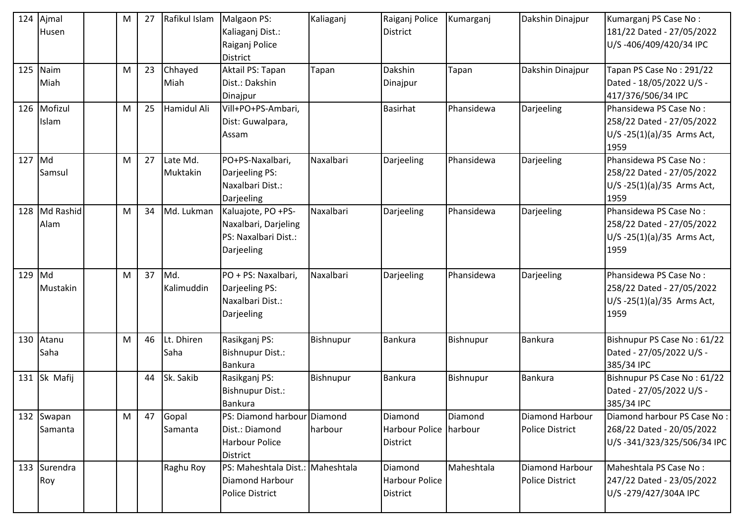| 124 | Ajmal<br>Husen        | M | 27 | Rafikul Islam        | Malgaon PS:<br>Kaliaganj Dist.:<br>Raiganj Police<br><b>District</b>               | Kaliaganj | Raiganj Police<br><b>District</b>                   | Kumarganj  | Dakshin Dinajpur                          | Kumarganj PS Case No:<br>181/22 Dated - 27/05/2022<br>U/S-406/409/420/34 IPC                 |
|-----|-----------------------|---|----|----------------------|------------------------------------------------------------------------------------|-----------|-----------------------------------------------------|------------|-------------------------------------------|----------------------------------------------------------------------------------------------|
| 125 | Naim<br>Miah          | M | 23 | Chhayed<br>Miah      | Aktail PS: Tapan<br>Dist.: Dakshin<br>Dinajpur                                     | Tapan     | Dakshin<br>Dinajpur                                 | Tapan      | Dakshin Dinajpur                          | Tapan PS Case No: 291/22<br>Dated - 18/05/2022 U/S -<br>417/376/506/34 IPC                   |
|     | 126 Mofizul<br>Islam  | M | 25 | Hamidul Ali          | Vill+PO+PS-Ambari,<br>Dist: Guwalpara,<br>Assam                                    |           | <b>Basirhat</b>                                     | Phansidewa | Darjeeling                                | Phansidewa PS Case No:<br>258/22 Dated - 27/05/2022<br>U/S-25(1)(a)/35 Arms Act,<br>1959     |
| 127 | Md<br>Samsul          | M | 27 | Late Md.<br>Muktakin | PO+PS-Naxalbari,<br>Darjeeling PS:<br>Naxalbari Dist.:<br>Darjeeling               | Naxalbari | Darjeeling                                          | Phansidewa | Darjeeling                                | Phansidewa PS Case No:<br>258/22 Dated - 27/05/2022<br>$U/S - 25(1)(a)/35$ Arms Act,<br>1959 |
| 128 | Md Rashid<br>Alam     | M | 34 | Md. Lukman           | Kaluajote, PO +PS-<br>Naxalbari, Darjeling<br>PS: Naxalbari Dist.:<br>Darjeeling   | Naxalbari | Darjeeling                                          | Phansidewa | Darjeeling                                | Phansidewa PS Case No:<br>258/22 Dated - 27/05/2022<br>U/S-25(1)(a)/35 Arms Act,<br>1959     |
| 129 | Md<br>Mustakin        | M | 37 | Md.<br>Kalimuddin    | PO + PS: Naxalbari,<br>Darjeeling PS:<br>Naxalbari Dist.:<br>Darjeeling            | Naxalbari | Darjeeling                                          | Phansidewa | Darjeeling                                | Phansidewa PS Case No:<br>258/22 Dated - 27/05/2022<br>$U/S - 25(1)(a)/35$ Arms Act,<br>1959 |
| 130 | Atanu<br>Saha         | M | 46 | Lt. Dhiren<br>Saha   | Rasikganj PS:<br>Bishnupur Dist.:<br><b>Bankura</b>                                | Bishnupur | <b>Bankura</b>                                      | Bishnupur  | Bankura                                   | Bishnupur PS Case No: 61/22<br>Dated - 27/05/2022 U/S -<br>385/34 IPC                        |
|     | 131 Sk Mafij          |   | 44 | Sk. Sakib            | Rasikganj PS:<br>Bishnupur Dist.:<br><b>Bankura</b>                                | Bishnupur | <b>Bankura</b>                                      | Bishnupur  | Bankura                                   | Bishnupur PS Case No: 61/22<br>Dated - 27/05/2022 U/S -<br>385/34 IPC                        |
|     | 132 Swapan<br>Samanta | M | 47 | Gopal<br>Samanta     | PS: Diamond harbour Diamond<br>Dist.: Diamond<br>Harbour Police<br><b>District</b> | harbour   | Diamond<br>Harbour Police harbour<br>District       | Diamond    | Diamond Harbour<br><b>Police District</b> | Diamond harbour PS Case No:<br>268/22 Dated - 20/05/2022<br>U/S-341/323/325/506/34 IPC       |
|     | 133 Surendra<br>Roy   |   |    | Raghu Roy            | PS: Maheshtala Dist.: Maheshtala<br>Diamond Harbour<br><b>Police District</b>      |           | Diamond<br><b>Harbour Police</b><br><b>District</b> | Maheshtala | Diamond Harbour<br><b>Police District</b> | Maheshtala PS Case No:<br>247/22 Dated - 23/05/2022<br>U/S-279/427/304A IPC                  |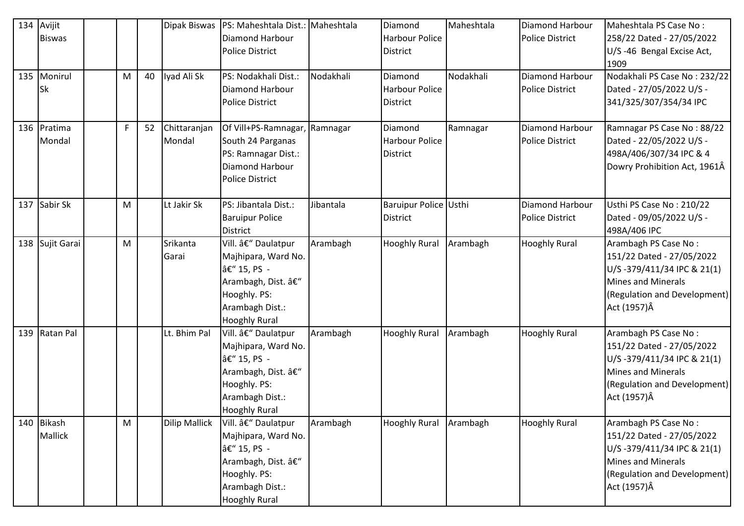| 134 | Avijit          |   |    | Dipak Biswas         | PS: Maheshtala Dist.: Maheshtala |           | Diamond               | Maheshtala | Diamond Harbour        | Maheshtala PS Case No:       |
|-----|-----------------|---|----|----------------------|----------------------------------|-----------|-----------------------|------------|------------------------|------------------------------|
|     | <b>Biswas</b>   |   |    |                      | Diamond Harbour                  |           | <b>Harbour Police</b> |            | <b>Police District</b> | 258/22 Dated - 27/05/2022    |
|     |                 |   |    |                      | <b>Police District</b>           |           | <b>District</b>       |            |                        | U/S-46 Bengal Excise Act,    |
|     |                 |   |    |                      |                                  |           |                       |            |                        | 1909                         |
|     | 135 Monirul     | M | 40 | Iyad Ali Sk          | PS: Nodakhali Dist.:             | Nodakhali | Diamond               | Nodakhali  | Diamond Harbour        | Nodakhali PS Case No: 232/22 |
|     | Sk              |   |    |                      | Diamond Harbour                  |           | <b>Harbour Police</b> |            | <b>Police District</b> | Dated - 27/05/2022 U/S -     |
|     |                 |   |    |                      | <b>Police District</b>           |           | <b>District</b>       |            |                        | 341/325/307/354/34 IPC       |
|     |                 |   |    |                      |                                  |           |                       |            |                        |                              |
|     | 136 Pratima     | F | 52 | Chittaranjan         | Of Vill+PS-Ramnagar, Ramnagar    |           | Diamond               | Ramnagar   | <b>Diamond Harbour</b> | Ramnagar PS Case No: 88/22   |
|     | Mondal          |   |    | Mondal               | South 24 Parganas                |           | <b>Harbour Police</b> |            | <b>Police District</b> | Dated - 22/05/2022 U/S -     |
|     |                 |   |    |                      | PS: Ramnagar Dist.:              |           | <b>District</b>       |            |                        | 498A/406/307/34 IPC & 4      |
|     |                 |   |    |                      | Diamond Harbour                  |           |                       |            |                        | Dowry Prohibition Act, 1961Â |
|     |                 |   |    |                      | <b>Police District</b>           |           |                       |            |                        |                              |
|     |                 |   |    |                      |                                  |           |                       |            |                        |                              |
| 137 | Sabir Sk        | M |    | Lt Jakir Sk          | PS: Jibantala Dist.:             | Jibantala | Baruipur Police Usthi |            | Diamond Harbour        | Usthi PS Case No: 210/22     |
|     |                 |   |    |                      | <b>Baruipur Police</b>           |           | <b>District</b>       |            | <b>Police District</b> | Dated - 09/05/2022 U/S -     |
|     |                 |   |    |                      | District                         |           |                       |            |                        | 498A/406 IPC                 |
|     | 138 Sujit Garai | M |    | Srikanta             | Vill. – Daulatpur                | Arambagh  | <b>Hooghly Rural</b>  | Arambagh   | <b>Hooghly Rural</b>   | Arambagh PS Case No:         |
|     |                 |   |    | Garai                | Majhipara, Ward No.              |           |                       |            |                        | 151/22 Dated - 27/05/2022    |
|     |                 |   |    |                      | â€" 15, PS -                     |           |                       |            |                        | U/S-379/411/34 IPC & 21(1)   |
|     |                 |   |    |                      | Arambagh, Dist. –                |           |                       |            |                        | <b>Mines and Minerals</b>    |
|     |                 |   |    |                      | Hooghly. PS:                     |           |                       |            |                        | (Regulation and Development) |
|     |                 |   |    |                      | Arambagh Dist.:                  |           |                       |            |                        | Act (1957) Â                 |
|     |                 |   |    |                      | <b>Hooghly Rural</b>             |           |                       |            |                        |                              |
|     | 139 Ratan Pal   |   |    | Lt. Bhim Pal         | Vill. – Daulatpur                | Arambagh  | <b>Hooghly Rural</b>  | Arambagh   | <b>Hooghly Rural</b>   | Arambagh PS Case No:         |
|     |                 |   |    |                      | Majhipara, Ward No.              |           |                       |            |                        | 151/22 Dated - 27/05/2022    |
|     |                 |   |    |                      | – 15, PS -                       |           |                       |            |                        | U/S-379/411/34 IPC & 21(1)   |
|     |                 |   |    |                      | Arambagh, Dist. –                |           |                       |            |                        | <b>Mines and Minerals</b>    |
|     |                 |   |    |                      | Hooghly. PS:                     |           |                       |            |                        | (Regulation and Development) |
|     |                 |   |    |                      | Arambagh Dist.:                  |           |                       |            |                        | Act (1957)Â                  |
|     |                 |   |    |                      | <b>Hooghly Rural</b>             |           |                       |            |                        |                              |
| 140 | <b>Bikash</b>   | M |    | <b>Dilip Mallick</b> | Vill. – Daulatpur                | Arambagh  | <b>Hooghly Rural</b>  | Arambagh   | <b>Hooghly Rural</b>   | Arambagh PS Case No:         |
|     | <b>Mallick</b>  |   |    |                      | Majhipara, Ward No.              |           |                       |            |                        | 151/22 Dated - 27/05/2022    |
|     |                 |   |    |                      | – 15, PS -                       |           |                       |            |                        | U/S-379/411/34 IPC & 21(1)   |
|     |                 |   |    |                      | Arambagh, Dist. –                |           |                       |            |                        | <b>Mines and Minerals</b>    |
|     |                 |   |    |                      | Hooghly. PS:                     |           |                       |            |                        | (Regulation and Development) |
|     |                 |   |    |                      | Arambagh Dist.:                  |           |                       |            |                        | Act (1957) Â                 |
|     |                 |   |    |                      | <b>Hooghly Rural</b>             |           |                       |            |                        |                              |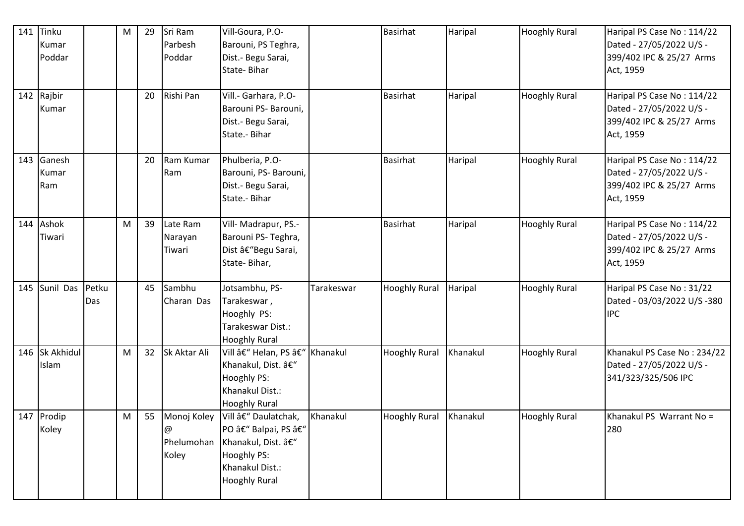| 141 | Tinku<br>Kumar<br>Poddar |              | M | 29 | Sri Ram<br>Parbesh<br>Poddar            | Vill-Goura, P.O-<br>Barouni, PS Teghra,<br>Dist.- Begu Sarai,<br>State-Bihar                                               |            | Basirhat             | Haripal  | <b>Hooghly Rural</b> | Haripal PS Case No: 114/22<br>Dated - 27/05/2022 U/S -<br>399/402 IPC & 25/27 Arms<br>Act, 1959 |
|-----|--------------------------|--------------|---|----|-----------------------------------------|----------------------------------------------------------------------------------------------------------------------------|------------|----------------------|----------|----------------------|-------------------------------------------------------------------------------------------------|
| 142 | Rajbir<br>Kumar          |              |   | 20 | Rishi Pan                               | Vill.- Garhara, P.O-<br>Barouni PS- Barouni,<br>Dist.- Begu Sarai,<br>State .- Bihar                                       |            | <b>Basirhat</b>      | Haripal  | <b>Hooghly Rural</b> | Haripal PS Case No: 114/22<br>Dated - 27/05/2022 U/S -<br>399/402 IPC & 25/27 Arms<br>Act, 1959 |
| 143 | Ganesh<br>Kumar<br>Ram   |              |   | 20 | Ram Kumar<br>Ram                        | Phulberia, P.O-<br>Barouni, PS- Barouni,<br>Dist.- Begu Sarai,<br>State .- Bihar                                           |            | Basirhat             | Haripal  | <b>Hooghly Rural</b> | Haripal PS Case No: 114/22<br>Dated - 27/05/2022 U/S -<br>399/402 IPC & 25/27 Arms<br>Act, 1959 |
| 144 | Ashok<br>Tiwari          |              | M | 39 | Late Ram<br>Narayan<br>Tiwari           | Vill- Madrapur, PS.-<br>Barouni PS-Teghra,<br>Dist â€"Begu Sarai,<br>State-Bihar,                                          |            | Basirhat             | Haripal  | <b>Hooghly Rural</b> | Haripal PS Case No: 114/22<br>Dated - 27/05/2022 U/S -<br>399/402 IPC & 25/27 Arms<br>Act, 1959 |
| 145 | Sunil Das                | Petku<br>Das |   | 45 | Sambhu<br>Charan Das                    | Jotsambhu, PS-<br>Tarakeswar,<br>Hooghly PS:<br>Tarakeswar Dist.:<br><b>Hooghly Rural</b>                                  | Tarakeswar | <b>Hooghly Rural</b> | Haripal  | <b>Hooghly Rural</b> | Haripal PS Case No: 31/22<br>Dated - 03/03/2022 U/S -380<br><b>IPC</b>                          |
|     | 146 Sk Akhidul<br>Islam  |              | M | 32 | Sk Aktar Ali                            | Vill – Helan, PS – Khanakul<br>Khanakul, Dist. –<br>Hooghly PS:<br>Khanakul Dist.:<br><b>Hooghly Rural</b>                 |            | <b>Hooghly Rural</b> | Khanakul | <b>Hooghly Rural</b> | Khanakul PS Case No: 234/22<br>Dated - 27/05/2022 U/S -<br>341/323/325/506 IPC                  |
|     | 147 Prodip<br>Koley      |              | M | 55 | Monoj Koley<br>@<br>Phelumohan<br>Koley | Vill – Daulatchak,<br>PO â€" Balpai, PS â€"<br>Khanakul, Dist. –<br>Hooghly PS:<br>Khanakul Dist.:<br><b>Hooghly Rural</b> | Khanakul   | <b>Hooghly Rural</b> | Khanakul | <b>Hooghly Rural</b> | Khanakul PS Warrant No =<br>280                                                                 |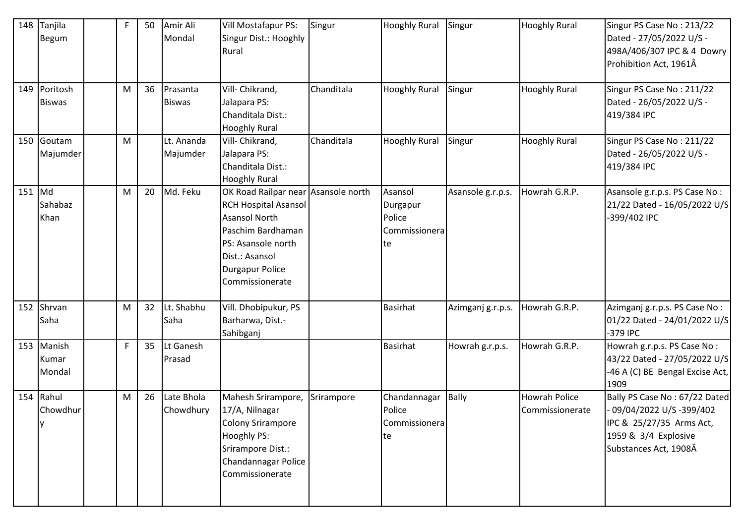| 148    | Tanjila<br>Begum              | F | 50 | Amir Ali<br>Mondal        | Vill Mostafapur PS:<br>Singur Dist.: Hooghly<br>Rural                                                                                                                                                | Singur     | <b>Hooghly Rural</b>                                 | Singur            | <b>Hooghly Rural</b>                    | Singur PS Case No: 213/22<br>Dated - 27/05/2022 U/S -<br>498A/406/307 IPC & 4 Dowry<br>Prohibition Act, 1961Â                        |
|--------|-------------------------------|---|----|---------------------------|------------------------------------------------------------------------------------------------------------------------------------------------------------------------------------------------------|------------|------------------------------------------------------|-------------------|-----------------------------------------|--------------------------------------------------------------------------------------------------------------------------------------|
|        | 149 Poritosh<br><b>Biswas</b> | M | 36 | Prasanta<br><b>Biswas</b> | Vill- Chikrand,<br>Jalapara PS:<br>Chanditala Dist.:<br><b>Hooghly Rural</b>                                                                                                                         | Chanditala | <b>Hooghly Rural</b>                                 | Singur            | <b>Hooghly Rural</b>                    | Singur PS Case No: 211/22<br>Dated - 26/05/2022 U/S -<br>419/384 IPC                                                                 |
|        | 150 Goutam<br>Majumder        | M |    | Lt. Ananda<br>Majumder    | Vill- Chikrand,<br>Jalapara PS:<br>Chanditala Dist.:<br><b>Hooghly Rural</b>                                                                                                                         | Chanditala | <b>Hooghly Rural</b>                                 | Singur            | <b>Hooghly Rural</b>                    | Singur PS Case No: 211/22<br>Dated - 26/05/2022 U/S -<br>419/384 IPC                                                                 |
| 151 Md | Sahabaz<br>Khan               | M | 20 | Md. Feku                  | OK Road Railpar near Asansole north<br><b>RCH Hospital Asansol</b><br><b>Asansol North</b><br>Paschim Bardhaman<br>PS: Asansole north<br>Dist.: Asansol<br><b>Durgapur Police</b><br>Commissionerate |            | Asansol<br>Durgapur<br>Police<br>Commissionera<br>te | Asansole g.r.p.s. | Howrah G.R.P.                           | Asansole g.r.p.s. PS Case No:<br>21/22 Dated - 16/05/2022 U/S<br>-399/402 IPC                                                        |
| 152    | Shrvan<br>Saha                | M | 32 | Lt. Shabhu<br>Saha        | Vill. Dhobipukur, PS<br>Barharwa, Dist.-<br>Sahibganj                                                                                                                                                |            | <b>Basirhat</b>                                      | Azimganj g.r.p.s. | Howrah G.R.P.                           | Azimganj g.r.p.s. PS Case No:<br>01/22 Dated - 24/01/2022 U/S<br>-379 IPC                                                            |
|        | 153 Manish<br>Kumar<br>Mondal | F | 35 | Lt Ganesh<br>Prasad       |                                                                                                                                                                                                      |            | <b>Basirhat</b>                                      | Howrah g.r.p.s.   | Howrah G.R.P.                           | Howrah g.r.p.s. PS Case No:<br>43/22 Dated - 27/05/2022 U/S<br>-46 A (C) BE Bengal Excise Act,<br>1909                               |
|        | 154 Rahul<br>Chowdhur<br>ΙV   | M | 26 | Late Bhola<br>Chowdhury   | Mahesh Srirampore,<br>17/A, Nilnagar<br><b>Colony Srirampore</b><br>Hooghly PS:<br>Srirampore Dist.:<br>Chandannagar Police<br>Commissionerate                                                       | Srirampore | Chandannagar<br>Police<br>Commissionera<br>te        | <b>Bally</b>      | <b>Howrah Police</b><br>Commissionerate | Bally PS Case No: 67/22 Dated<br>09/04/2022 U/S-399/402<br>IPC & 25/27/35 Arms Act,<br>1959 & 3/4 Explosive<br>Substances Act, 1908Â |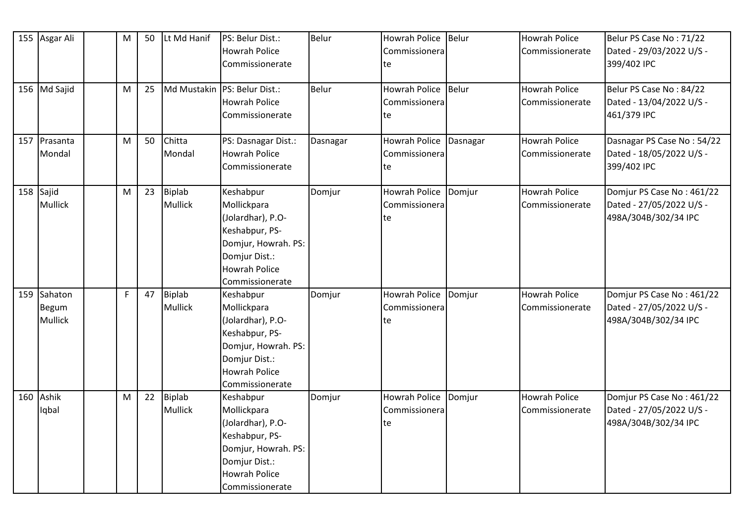|     | 155 Asgar Ali                      | M | 50 | Lt Md Hanif                     | PS: Belur Dist.:<br><b>Howrah Police</b><br>Commissionerate                                                                                        | <b>Belur</b> | <b>Howrah Police</b><br>Commissionera<br>te | Belur    | <b>Howrah Police</b><br>Commissionerate | Belur PS Case No: 71/22<br>Dated - 29/03/2022 U/S -<br>399/402 IPC            |
|-----|------------------------------------|---|----|---------------------------------|----------------------------------------------------------------------------------------------------------------------------------------------------|--------------|---------------------------------------------|----------|-----------------------------------------|-------------------------------------------------------------------------------|
|     | 156 Md Sajid                       | M | 25 |                                 | Md Mustakin   PS: Belur Dist.:<br><b>Howrah Police</b><br>Commissionerate                                                                          | Belur        | <b>Howrah Police</b><br>Commissionera<br>te | Belur    | <b>Howrah Police</b><br>Commissionerate | Belur PS Case No: 84/22<br>Dated - 13/04/2022 U/S -<br>461/379 IPC            |
|     | 157 Prasanta<br>Mondal             | M | 50 | Chitta<br>Mondal                | PS: Dasnagar Dist.:<br><b>Howrah Police</b><br>Commissionerate                                                                                     | Dasnagar     | Howrah Police<br>Commissionera<br>te        | Dasnagar | <b>Howrah Police</b><br>Commissionerate | Dasnagar PS Case No: 54/22<br>Dated - 18/05/2022 U/S -<br>399/402 IPC         |
|     | $158$ Sajid<br><b>Mullick</b>      | M | 23 | <b>Biplab</b><br><b>Mullick</b> | Keshabpur<br>Mollickpara<br>(Jolardhar), P.O-<br>Keshabpur, PS-<br>Domjur, Howrah. PS:<br>Domjur Dist.:<br><b>Howrah Police</b><br>Commissionerate | Domjur       | <b>Howrah Police</b><br>Commissionera<br>te | Domjur   | <b>Howrah Police</b><br>Commissionerate | Domjur PS Case No: 461/22<br>Dated - 27/05/2022 U/S -<br>498A/304B/302/34 IPC |
| 159 | Sahaton<br>Begum<br><b>Mullick</b> | F | 47 | <b>Biplab</b><br>Mullick        | Keshabpur<br>Mollickpara<br>(Jolardhar), P.O-<br>Keshabpur, PS-<br>Domjur, Howrah. PS:<br>Domjur Dist.:<br><b>Howrah Police</b><br>Commissionerate | Domjur       | <b>Howrah Police</b><br>Commissionera<br>te | Domjur   | <b>Howrah Police</b><br>Commissionerate | Domjur PS Case No: 461/22<br>Dated - 27/05/2022 U/S -<br>498A/304B/302/34 IPC |
| 160 | Ashik<br>Iqbal                     | M | 22 | <b>Biplab</b><br><b>Mullick</b> | Keshabpur<br>Mollickpara<br>(Jolardhar), P.O-<br>Keshabpur, PS-<br>Domjur, Howrah. PS:<br>Domjur Dist.:<br><b>Howrah Police</b><br>Commissionerate | Domjur       | Howrah Police<br>Commissionera<br>te        | Domjur   | <b>Howrah Police</b><br>Commissionerate | Domjur PS Case No: 461/22<br>Dated - 27/05/2022 U/S -<br>498A/304B/302/34 IPC |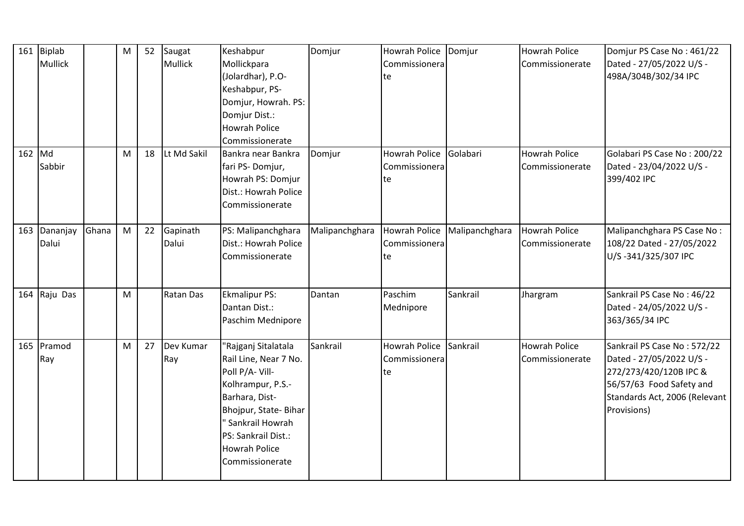|        | 161 Biplab<br><b>Mullick</b> |       | M | 52 | Saugat<br><b>Mullick</b> | Keshabpur<br>Mollickpara<br>(Jolardhar), P.O-<br>Keshabpur, PS-<br>Domjur, Howrah. PS:<br>Domjur Dist.:<br><b>Howrah Police</b><br>Commissionerate                                                                   | Domjur         | <b>Howrah Police</b><br>Commissionera<br>te | Domjur         | <b>Howrah Police</b><br>Commissionerate | Domjur PS Case No: 461/22<br>Dated - 27/05/2022 U/S -<br>498A/304B/302/34 IPC                                                                                 |
|--------|------------------------------|-------|---|----|--------------------------|----------------------------------------------------------------------------------------------------------------------------------------------------------------------------------------------------------------------|----------------|---------------------------------------------|----------------|-----------------------------------------|---------------------------------------------------------------------------------------------------------------------------------------------------------------|
| 162 Md | Sabbir                       |       | M | 18 | Lt Md Sakil              | Bankra near Bankra<br>fari PS-Domjur,<br>Howrah PS: Domjur<br>Dist.: Howrah Police<br>Commissionerate                                                                                                                | Domjur         | <b>Howrah Police</b><br>Commissionera<br>te | Golabari       | <b>Howrah Police</b><br>Commissionerate | Golabari PS Case No: 200/22<br>Dated - 23/04/2022 U/S -<br>399/402 IPC                                                                                        |
| 163    | Dananjay<br>Dalui            | Ghana | M | 22 | Gapinath<br>Dalui        | PS: Malipanchghara<br>Dist.: Howrah Police<br>Commissionerate                                                                                                                                                        | Malipanchghara | <b>Howrah Police</b><br>Commissionera<br>te | Malipanchghara | <b>Howrah Police</b><br>Commissionerate | Malipanchghara PS Case No:<br>108/22 Dated - 27/05/2022<br>U/S-341/325/307 IPC                                                                                |
|        | 164 Raju Das                 |       | M |    | <b>Ratan Das</b>         | <b>Ekmalipur PS:</b><br>Dantan Dist.:<br>Paschim Mednipore                                                                                                                                                           | Dantan         | Paschim<br>Mednipore                        | Sankrail       | Jhargram                                | Sankrail PS Case No: 46/22<br>Dated - 24/05/2022 U/S -<br>363/365/34 IPC                                                                                      |
|        | 165 Pramod<br>Ray            |       | M | 27 | Dev Kumar<br>Ray         | "Rajganj Sitalatala<br>Rail Line, Near 7 No.<br>Poll P/A-Vill-<br>Kolhrampur, P.S.-<br>Barhara, Dist-<br>Bhojpur, State-Bihar<br>" Sankrail Howrah<br>PS: Sankrail Dist.:<br><b>Howrah Police</b><br>Commissionerate | Sankrail       | <b>Howrah Police</b><br>Commissionera<br>te | Sankrail       | <b>Howrah Police</b><br>Commissionerate | Sankrail PS Case No: 572/22<br>Dated - 27/05/2022 U/S -<br>272/273/420/120B IPC &<br>56/57/63 Food Safety and<br>Standards Act, 2006 (Relevant<br>Provisions) |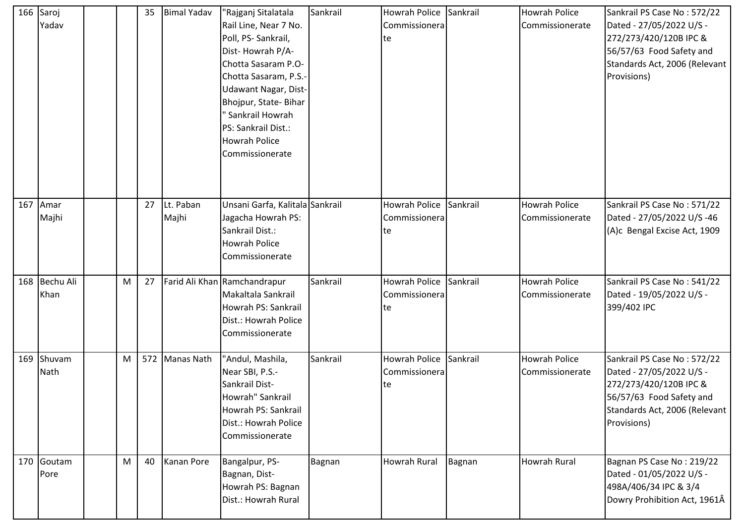| 166 | Saroj     |   | 35 | <b>Bimal Yadav</b> | "Rajganj Sitalatala             | Sankrail | Howrah Police Sankrail |          | <b>Howrah Police</b> | Sankrail PS Case No: 572/22   |
|-----|-----------|---|----|--------------------|---------------------------------|----------|------------------------|----------|----------------------|-------------------------------|
|     | Yadav     |   |    |                    | Rail Line, Near 7 No.           |          | Commissionera          |          | Commissionerate      | Dated - 27/05/2022 U/S -      |
|     |           |   |    |                    | Poll, PS-Sankrail,              |          | te                     |          |                      | 272/273/420/120B IPC &        |
|     |           |   |    |                    | Dist-Howrah P/A-                |          |                        |          |                      | 56/57/63 Food Safety and      |
|     |           |   |    |                    | Chotta Sasaram P.O-             |          |                        |          |                      | Standards Act, 2006 (Relevant |
|     |           |   |    |                    | Chotta Sasaram, P.S.-           |          |                        |          |                      | Provisions)                   |
|     |           |   |    |                    | <b>Udawant Nagar, Dist-</b>     |          |                        |          |                      |                               |
|     |           |   |    |                    | Bhojpur, State-Bihar            |          |                        |          |                      |                               |
|     |           |   |    |                    | Sankrail Howrah                 |          |                        |          |                      |                               |
|     |           |   |    |                    | PS: Sankrail Dist.:             |          |                        |          |                      |                               |
|     |           |   |    |                    | <b>Howrah Police</b>            |          |                        |          |                      |                               |
|     |           |   |    |                    | Commissionerate                 |          |                        |          |                      |                               |
|     |           |   |    |                    |                                 |          |                        |          |                      |                               |
|     |           |   |    |                    |                                 |          |                        |          |                      |                               |
|     |           |   |    |                    |                                 |          |                        |          |                      |                               |
| 167 | Amar      |   | 27 | Lt. Paban          | Unsani Garfa, Kalitala Sankrail |          | <b>Howrah Police</b>   | Sankrail | <b>Howrah Police</b> | Sankrail PS Case No: 571/22   |
|     | Majhi     |   |    | Majhi              | Jagacha Howrah PS:              |          | Commissionera          |          | Commissionerate      | Dated - 27/05/2022 U/S -46    |
|     |           |   |    |                    | Sankrail Dist.:                 |          | te                     |          |                      | (A)c Bengal Excise Act, 1909  |
|     |           |   |    |                    | <b>Howrah Police</b>            |          |                        |          |                      |                               |
|     |           |   |    |                    | Commissionerate                 |          |                        |          |                      |                               |
| 168 | Bechu Ali | M | 27 |                    | Farid Ali Khan Ramchandrapur    | Sankrail | Howrah Police          | Sankrail | <b>Howrah Police</b> | Sankrail PS Case No: 541/22   |
|     | Khan      |   |    |                    | Makaltala Sankrail              |          | Commissionera          |          | Commissionerate      | Dated - 19/05/2022 U/S -      |
|     |           |   |    |                    | Howrah PS: Sankrail             |          | te                     |          |                      | 399/402 IPC                   |
|     |           |   |    |                    | Dist.: Howrah Police            |          |                        |          |                      |                               |
|     |           |   |    |                    | Commissionerate                 |          |                        |          |                      |                               |
|     |           |   |    |                    |                                 |          |                        |          |                      |                               |
| 169 | Shuvam    | M |    | 572 Manas Nath     | "Andul, Mashila,                | Sankrail | Howrah Police          | Sankrail | <b>Howrah Police</b> | Sankrail PS Case No: 572/22   |
|     | Nath      |   |    |                    | Near SBI, P.S.-                 |          | Commissionera          |          | Commissionerate      | Dated - 27/05/2022 U/S -      |
|     |           |   |    |                    | Sankrail Dist-                  |          | te                     |          |                      | 272/273/420/120B IPC &        |
|     |           |   |    |                    | Howrah" Sankrail                |          |                        |          |                      | 56/57/63 Food Safety and      |
|     |           |   |    |                    | Howrah PS: Sankrail             |          |                        |          |                      | Standards Act, 2006 (Relevant |
|     |           |   |    |                    | Dist.: Howrah Police            |          |                        |          |                      | Provisions)                   |
|     |           |   |    |                    | Commissionerate                 |          |                        |          |                      |                               |
|     |           |   |    |                    |                                 |          |                        |          |                      |                               |
| 170 | Goutam    | M | 40 | Kanan Pore         | Bangalpur, PS-                  | Bagnan   | Howrah Rural           | Bagnan   | Howrah Rural         | Bagnan PS Case No: 219/22     |
|     | Pore      |   |    |                    | Bagnan, Dist-                   |          |                        |          |                      | Dated - 01/05/2022 U/S -      |
|     |           |   |    |                    | Howrah PS: Bagnan               |          |                        |          |                      | 498A/406/34 IPC & 3/4         |
|     |           |   |    |                    | Dist.: Howrah Rural             |          |                        |          |                      | Dowry Prohibition Act, 1961Â  |
|     |           |   |    |                    |                                 |          |                        |          |                      |                               |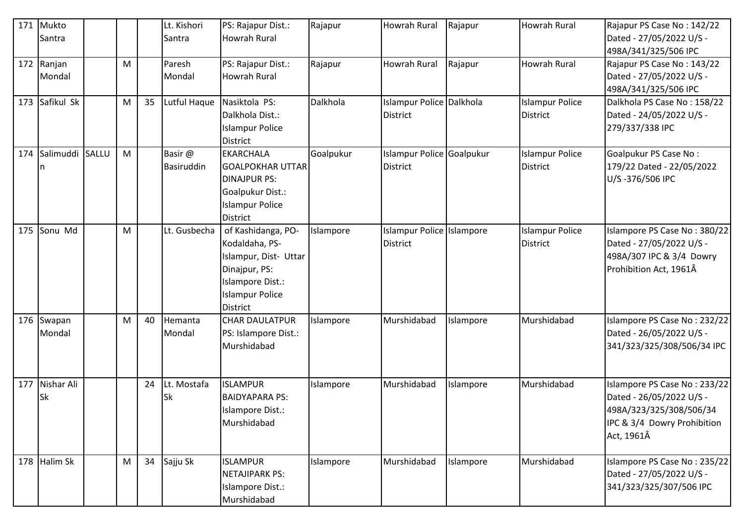| 171 | Mukto      |              |   |    | Lt. Kishori  | PS: Rajapur Dist.:      | Rajapur   | <b>Howrah Rural</b>       | Rajapur   | Howrah Rural           | Rajapur PS Case No: 142/22   |
|-----|------------|--------------|---|----|--------------|-------------------------|-----------|---------------------------|-----------|------------------------|------------------------------|
|     | Santra     |              |   |    | Santra       | <b>Howrah Rural</b>     |           |                           |           |                        | Dated - 27/05/2022 U/S -     |
|     |            |              |   |    |              |                         |           |                           |           |                        | 498A/341/325/506 IPC         |
|     | 172 Ranjan |              | M |    | Paresh       | PS: Rajapur Dist.:      | Rajapur   | <b>Howrah Rural</b>       | Rajapur   | Howrah Rural           | Rajapur PS Case No: 143/22   |
|     | Mondal     |              |   |    | Mondal       | <b>Howrah Rural</b>     |           |                           |           |                        | Dated - 27/05/2022 U/S -     |
|     |            |              |   |    |              |                         |           |                           |           |                        | 498A/341/325/506 IPC         |
| 173 | Safikul Sk |              | M | 35 | Lutful Haque | Nasiktola PS:           | Dalkhola  | Islampur Police Dalkhola  |           | <b>Islampur Police</b> | Dalkhola PS Case No: 158/22  |
|     |            |              |   |    |              | Dalkhola Dist.:         |           | <b>District</b>           |           | <b>District</b>        | Dated - 24/05/2022 U/S -     |
|     |            |              |   |    |              | <b>Islampur Police</b>  |           |                           |           |                        | 279/337/338 IPC              |
|     |            |              |   |    |              | District                |           |                           |           |                        |                              |
| 174 | Salimuddi  | <b>SALLU</b> | M |    | Basir @      | <b>EKARCHALA</b>        | Goalpukur | Islampur Police Goalpukur |           | <b>Islampur Police</b> | Goalpukur PS Case No:        |
|     | n          |              |   |    | Basiruddin   | <b>GOALPOKHAR UTTAR</b> |           | <b>District</b>           |           | <b>District</b>        | 179/22 Dated - 22/05/2022    |
|     |            |              |   |    |              | <b>DINAJPUR PS:</b>     |           |                           |           |                        | U/S-376/506 IPC              |
|     |            |              |   |    |              | Goalpukur Dist.:        |           |                           |           |                        |                              |
|     |            |              |   |    |              | <b>Islampur Police</b>  |           |                           |           |                        |                              |
|     |            |              |   |    |              | District                |           |                           |           |                        |                              |
| 175 | Sonu Md    |              | M |    | Lt. Gusbecha | of Kashidanga, PO-      | Islampore | Islampur Police Islampore |           | <b>Islampur Police</b> | Islampore PS Case No: 380/22 |
|     |            |              |   |    |              | Kodaldaha, PS-          |           | <b>District</b>           |           | <b>District</b>        | Dated - 27/05/2022 U/S -     |
|     |            |              |   |    |              | Islampur, Dist- Uttar   |           |                           |           |                        | 498A/307 IPC & 3/4 Dowry     |
|     |            |              |   |    |              | Dinajpur, PS:           |           |                           |           |                        | Prohibition Act, 1961Â       |
|     |            |              |   |    |              | Islampore Dist.:        |           |                           |           |                        |                              |
|     |            |              |   |    |              | <b>Islampur Police</b>  |           |                           |           |                        |                              |
|     |            |              |   |    |              | <b>District</b>         |           |                           |           |                        |                              |
|     | 176 Swapan |              | M | 40 | Hemanta      | <b>CHAR DAULATPUR</b>   | Islampore | Murshidabad               | Islampore | Murshidabad            | Islampore PS Case No: 232/22 |
|     | Mondal     |              |   |    | Mondal       | PS: Islampore Dist.:    |           |                           |           |                        | Dated - 26/05/2022 U/S -     |
|     |            |              |   |    |              | Murshidabad             |           |                           |           |                        | 341/323/325/308/506/34 IPC   |
|     |            |              |   |    |              |                         |           |                           |           |                        |                              |
|     |            |              |   |    |              |                         |           |                           |           |                        |                              |
| 177 | Nishar Ali |              |   | 24 | Lt. Mostafa  | <b>ISLAMPUR</b>         | Islampore | Murshidabad               | Islampore | Murshidabad            | Islampore PS Case No: 233/22 |
|     | Sk         |              |   |    | Sk           | <b>BAIDYAPARA PS:</b>   |           |                           |           |                        | Dated - 26/05/2022 U/S -     |
|     |            |              |   |    |              | Islampore Dist.:        |           |                           |           |                        | 498A/323/325/308/506/34      |
|     |            |              |   |    |              | Murshidabad             |           |                           |           |                        | IPC & 3/4 Dowry Prohibition  |
|     |            |              |   |    |              |                         |           |                           |           |                        | Act, 1961Â                   |
| 178 | Halim Sk   |              | M | 34 | Sajju Sk     | <b>ISLAMPUR</b>         | Islampore | Murshidabad               | Islampore | Murshidabad            | Islampore PS Case No: 235/22 |
|     |            |              |   |    |              | <b>NETAJIPARK PS:</b>   |           |                           |           |                        | Dated - 27/05/2022 U/S -     |
|     |            |              |   |    |              | Islampore Dist.:        |           |                           |           |                        | 341/323/325/307/506 IPC      |
|     |            |              |   |    |              | Murshidabad             |           |                           |           |                        |                              |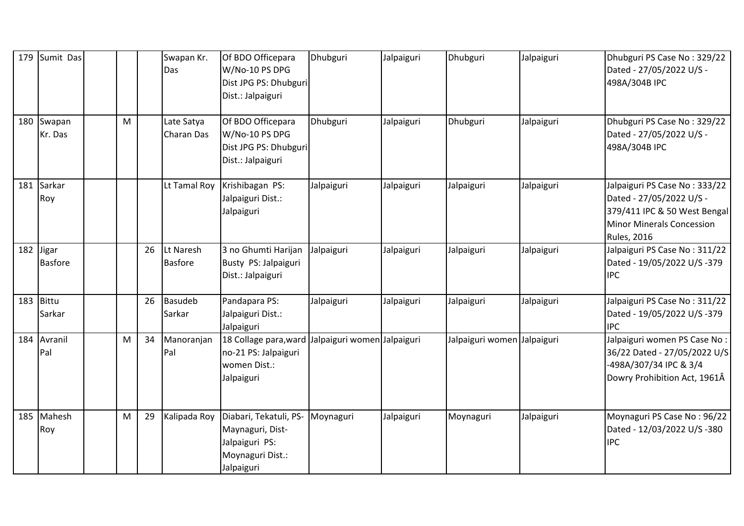| 179 | Sumit Das               |   |    | Swapan Kr.<br>Das           | Of BDO Officepara<br>W/No-10 PS DPG<br>Dist JPG PS: Dhubguri<br>Dist.: Jalpaiguri              | Dhubguri                    | Jalpaiguri | Dhubguri                    | Jalpaiguri | Dhubguri PS Case No: 329/22<br>Dated - 27/05/2022 U/S -<br>498A/304B IPC                                                                            |
|-----|-------------------------|---|----|-----------------------------|------------------------------------------------------------------------------------------------|-----------------------------|------------|-----------------------------|------------|-----------------------------------------------------------------------------------------------------------------------------------------------------|
| 180 | Swapan<br>Kr. Das       | M |    | Late Satya<br>Charan Das    | Of BDO Officepara<br>W/No-10 PS DPG<br>Dist JPG PS: Dhubguri<br>Dist.: Jalpaiguri              | Dhubguri                    | Jalpaiguri | Dhubguri                    | Jalpaiguri | Dhubguri PS Case No: 329/22<br>Dated - 27/05/2022 U/S -<br>498A/304B IPC                                                                            |
|     | 181 Sarkar<br>Roy       |   |    | Lt Tamal Roy                | Krishibagan PS:<br>Jalpaiguri Dist.:<br>Jalpaiguri                                             | Jalpaiguri                  | Jalpaiguri | Jalpaiguri                  | Jalpaiguri | Jalpaiguri PS Case No: 333/22<br>Dated - 27/05/2022 U/S -<br>379/411 IPC & 50 West Bengal<br><b>Minor Minerals Concession</b><br><b>Rules, 2016</b> |
| 182 | Jigar<br><b>Basfore</b> |   | 26 | Lt Naresh<br><b>Basfore</b> | 3 no Ghumti Harijan<br>Busty PS: Jalpaiguri<br>Dist.: Jalpaiguri                               | Jalpaiguri                  | Jalpaiguri | Jalpaiguri                  | Jalpaiguri | Jalpaiguri PS Case No: 311/22<br>Dated - 19/05/2022 U/S -379<br><b>IPC</b>                                                                          |
| 183 | Bittu<br>Sarkar         |   | 26 | <b>Basudeb</b><br>Sarkar    | Pandapara PS:<br>Jalpaiguri Dist.:<br>Jalpaiguri                                               | Jalpaiguri                  | Jalpaiguri | Jalpaiguri                  | Jalpaiguri | Jalpaiguri PS Case No: 311/22<br>Dated - 19/05/2022 U/S -379<br><b>IPC</b>                                                                          |
|     | 184 Avranil<br>Pal      | M | 34 | Manoranjan<br>Pal           | 18 Collage para, ward<br>no-21 PS: Jalpaiguri<br>women Dist.:<br>Jalpaiguri                    | Jalpaiguri women Jalpaiguri |            | Jalpaiguri women Jalpaiguri |            | Jalpaiguri women PS Case No:<br>36/22 Dated - 27/05/2022 U/S<br>-498A/307/34 IPC & 3/4<br>Dowry Prohibition Act, 1961Â                              |
|     | 185 Mahesh<br>Roy       | M | 29 | Kalipada Roy                | Diabari, Tekatuli, PS-<br>Maynaguri, Dist-<br>Jalpaiguri PS:<br>Moynaguri Dist.:<br>Jalpaiguri | Moynaguri                   | Jalpaiguri | Moynaguri                   | Jalpaiguri | Moynaguri PS Case No: 96/22<br>Dated - 12/03/2022 U/S -380<br><b>IPC</b>                                                                            |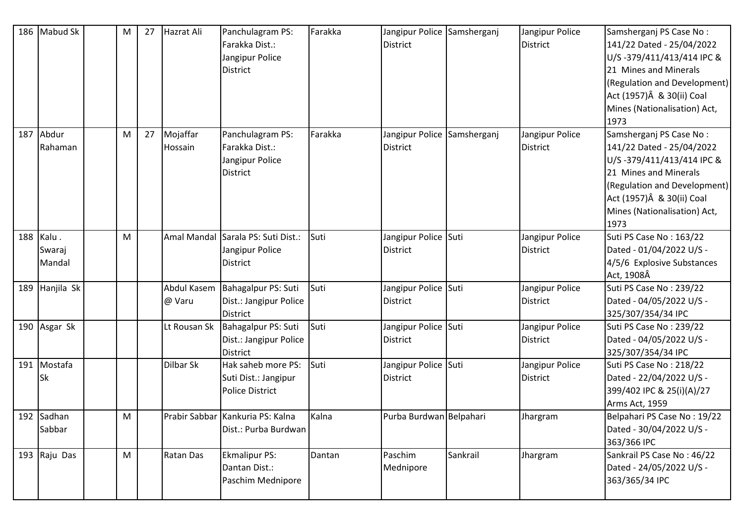| 186 | Mabud Sk                  | M | 27 | Hazrat Ali            | Panchulagram PS:<br>Farakka Dist.:<br>Jangipur Police<br><b>District</b> | Farakka | Jangipur Police Samsherganj<br><b>District</b> |          | Jangipur Police<br>District        | Samsherganj PS Case No:<br>141/22 Dated - 25/04/2022<br>U/S-379/411/413/414 IPC &<br>21 Mines and Minerals<br>(Regulation and Development)<br>Act (1957)Â & 30(ii) Coal<br>Mines (Nationalisation) Act,<br>1973 |
|-----|---------------------------|---|----|-----------------------|--------------------------------------------------------------------------|---------|------------------------------------------------|----------|------------------------------------|-----------------------------------------------------------------------------------------------------------------------------------------------------------------------------------------------------------------|
| 187 | Abdur<br>Rahaman          | M | 27 | Mojaffar<br>Hossain   | Panchulagram PS:<br>Farakka Dist.:<br>Jangipur Police<br>District        | Farakka | Jangipur Police Samsherganj<br><b>District</b> |          | Jangipur Police<br><b>District</b> | Samsherganj PS Case No:<br>141/22 Dated - 25/04/2022<br>U/S-379/411/413/414 IPC &<br>21 Mines and Minerals<br>(Regulation and Development)<br>Act (1957)Â & 30(ii) Coal<br>Mines (Nationalisation) Act,<br>1973 |
| 188 | Kalu.<br>Swaraj<br>Mandal | M |    |                       | Amal Mandal Sarala PS: Suti Dist.:<br>Jangipur Police<br><b>District</b> | Suti    | Jangipur Police Suti<br><b>District</b>        |          | Jangipur Police<br>District        | Suti PS Case No: 163/22<br>Dated - 01/04/2022 U/S -<br>4/5/6 Explosive Substances<br>Act, 1908Â                                                                                                                 |
| 189 | Hanjila Sk                |   |    | Abdul Kasem<br>@ Varu | Bahagalpur PS: Suti<br>Dist.: Jangipur Police<br><b>District</b>         | Suti    | Jangipur Police Suti<br><b>District</b>        |          | Jangipur Police<br>District        | Suti PS Case No: 239/22<br>Dated - 04/05/2022 U/S -<br>325/307/354/34 IPC                                                                                                                                       |
|     | 190 Asgar Sk              |   |    | Lt Rousan Sk          | Bahagalpur PS: Suti<br>Dist.: Jangipur Police<br><b>District</b>         | Suti    | Jangipur Police Suti<br><b>District</b>        |          | Jangipur Police<br>District        | Suti PS Case No: 239/22<br>Dated - 04/05/2022 U/S -<br>325/307/354/34 IPC                                                                                                                                       |
| 191 | Mostafa<br>Sk             |   |    | Dilbar Sk             | Hak saheb more PS:<br>Suti Dist.: Jangipur<br>Police District            | Suti    | Jangipur Police Suti<br><b>District</b>        |          | Jangipur Police<br>District        | Suti PS Case No: 218/22<br>Dated - 22/04/2022 U/S -<br>399/402 IPC & 25(i)(A)/27<br>Arms Act, 1959                                                                                                              |
|     | 192 Sadhan<br>Sabbar      | M |    |                       | Prabir Sabbar Kankuria PS: Kalna<br>Dist.: Purba Burdwan                 | Kalna   | Purba Burdwan Belpahari                        |          | Jhargram                           | Belpahari PS Case No: 19/22<br>Dated - 30/04/2022 U/S -<br>363/366 IPC                                                                                                                                          |
| 193 | Raju Das                  | M |    | Ratan Das             | <b>Ekmalipur PS:</b><br>Dantan Dist.:<br>Paschim Mednipore               | Dantan  | Paschim<br>Mednipore                           | Sankrail | Jhargram                           | Sankrail PS Case No: 46/22<br>Dated - 24/05/2022 U/S -<br>363/365/34 IPC                                                                                                                                        |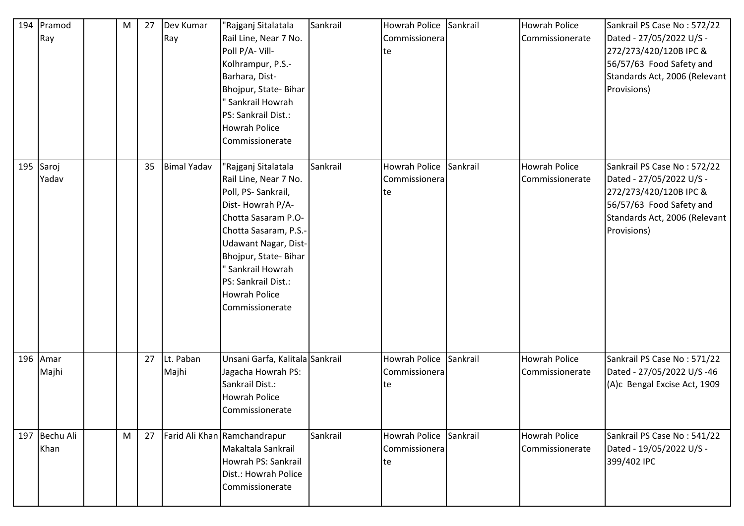| 194 | Pramod<br>Ray         | M | 27 | Dev Kumar<br>Ray   | "Rajganj Sitalatala<br>Rail Line, Near 7 No.<br>Poll P/A-Vill-<br>Kolhrampur, P.S.-<br>Barhara, Dist-<br>Bhojpur, State-Bihar<br>' Sankrail Howrah<br>PS: Sankrail Dist.:<br><b>Howrah Police</b><br>Commissionerate                                                          | Sankrail | Howrah Police Sankrail<br>Commissionera<br>lte. |          | <b>Howrah Police</b><br>Commissionerate | Sankrail PS Case No: 572/22<br>Dated - 27/05/2022 U/S -<br>272/273/420/120B IPC &<br>56/57/63 Food Safety and<br>Standards Act, 2006 (Relevant<br>Provisions) |
|-----|-----------------------|---|----|--------------------|-------------------------------------------------------------------------------------------------------------------------------------------------------------------------------------------------------------------------------------------------------------------------------|----------|-------------------------------------------------|----------|-----------------------------------------|---------------------------------------------------------------------------------------------------------------------------------------------------------------|
| 195 | Saroj<br>Yadav        |   | 35 | <b>Bimal Yadav</b> | "Rajganj Sitalatala<br>Rail Line, Near 7 No.<br>Poll, PS-Sankrail,<br>Dist-Howrah P/A-<br>Chotta Sasaram P.O-<br>Chotta Sasaram, P.S.-<br>Udawant Nagar, Dist-<br>Bhojpur, State-Bihar<br>" Sankrail Howrah<br>PS: Sankrail Dist.:<br><b>Howrah Police</b><br>Commissionerate | Sankrail | Howrah Police<br>Commissionera<br>te            | Sankrail | <b>Howrah Police</b><br>Commissionerate | Sankrail PS Case No: 572/22<br>Dated - 27/05/2022 U/S -<br>272/273/420/120B IPC &<br>56/57/63 Food Safety and<br>Standards Act, 2006 (Relevant<br>Provisions) |
| 196 | Amar<br>Majhi         |   | 27 | Lt. Paban<br>Majhi | Unsani Garfa, Kalitala Sankrail<br>Jagacha Howrah PS:<br>Sankrail Dist.:<br><b>Howrah Police</b><br>Commissionerate                                                                                                                                                           |          | <b>Howrah Police</b><br>Commissionera<br>te     | Sankrail | <b>Howrah Police</b><br>Commissionerate | Sankrail PS Case No: 571/22<br>Dated - 27/05/2022 U/S -46<br>(A)c Bengal Excise Act, 1909                                                                     |
|     | 197 Bechu Ali<br>Khan | M | 27 |                    | Farid Ali Khan Ramchandrapur<br>Makaltala Sankrail<br>Howrah PS: Sankrail<br>Dist.: Howrah Police<br>Commissionerate                                                                                                                                                          | Sankrail | Howrah Police<br>Commissionera<br>te            | Sankrail | Howrah Police<br>Commissionerate        | Sankrail PS Case No: 541/22<br>Dated - 19/05/2022 U/S -<br>399/402 IPC                                                                                        |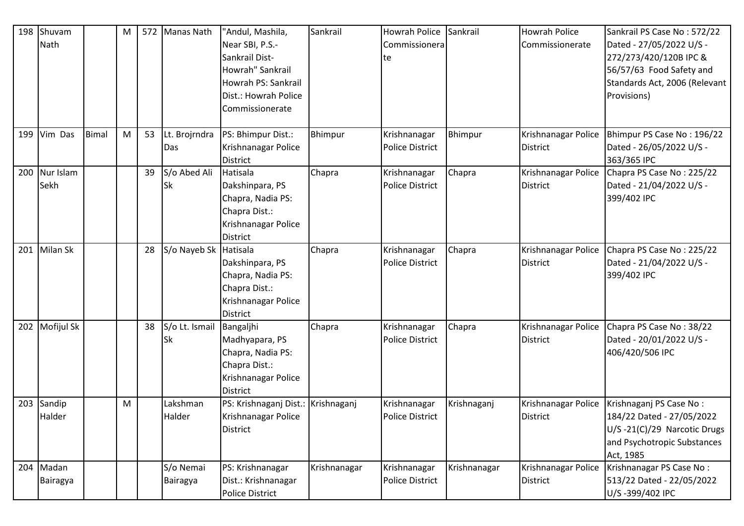| 198 | Shuvam<br>Nath    |              | M |    | 572 Manas Nath            | "Andul, Mashila,<br>Near SBI, P.S.-<br>Sankrail Dist-<br>Howrah" Sankrail<br>Howrah PS: Sankrail<br>Dist.: Howrah Police | Sankrail     | Howrah Police<br>Commissionera<br>te   | Sankrail     | <b>Howrah Police</b><br>Commissionerate | Sankrail PS Case No: 572/22<br>Dated - 27/05/2022 U/S -<br>272/273/420/120B IPC &<br>56/57/63 Food Safety and<br>Standards Act, 2006 (Relevant<br>Provisions) |
|-----|-------------------|--------------|---|----|---------------------------|--------------------------------------------------------------------------------------------------------------------------|--------------|----------------------------------------|--------------|-----------------------------------------|---------------------------------------------------------------------------------------------------------------------------------------------------------------|
| 199 | Vim Das           | <b>Bimal</b> | M | 53 | Lt. Brojrndra             | Commissionerate<br>PS: Bhimpur Dist.:                                                                                    | Bhimpur      | Krishnanagar                           | Bhimpur      | Krishnanagar Police                     | Bhimpur PS Case No: 196/22                                                                                                                                    |
|     |                   |              |   |    | Das                       | Krishnanagar Police<br><b>District</b>                                                                                   |              | <b>Police District</b>                 |              | <b>District</b>                         | Dated - 26/05/2022 U/S -<br>363/365 IPC                                                                                                                       |
| 200 | Nur Islam<br>Sekh |              |   | 39 | S/o Abed Ali<br><b>Sk</b> | Hatisala<br>Dakshinpara, PS<br>Chapra, Nadia PS:<br>Chapra Dist.:<br>Krishnanagar Police<br><b>District</b>              | Chapra       | Krishnanagar<br><b>Police District</b> | Chapra       | Krishnanagar Police<br>District         | Chapra PS Case No: 225/22<br>Dated - 21/04/2022 U/S -<br>399/402 IPC                                                                                          |
| 201 | Milan Sk          |              |   | 28 | S/o Nayeb Sk Hatisala     | Dakshinpara, PS<br>Chapra, Nadia PS:<br>Chapra Dist.:<br>Krishnanagar Police<br>District                                 | Chapra       | Krishnanagar<br><b>Police District</b> | Chapra       | Krishnanagar Police<br><b>District</b>  | Chapra PS Case No: 225/22<br>Dated - 21/04/2022 U/S -<br>399/402 IPC                                                                                          |
| 202 | Mofijul Sk        |              |   | 38 | S/o Lt. Ismail<br>Sk      | Bangaljhi<br>Madhyapara, PS<br>Chapra, Nadia PS:<br>Chapra Dist.:<br>Krishnanagar Police<br><b>District</b>              | Chapra       | Krishnanagar<br><b>Police District</b> | Chapra       | Krishnanagar Police<br><b>District</b>  | Chapra PS Case No: 38/22<br>Dated - 20/01/2022 U/S -<br>406/420/506 IPC                                                                                       |
| 203 | Sandip<br>Halder  |              | M |    | Lakshman<br>Halder        | PS: Krishnaganj Dist.: Krishnaganj<br>Krishnanagar Police<br>District                                                    |              | Krishnanagar<br><b>Police District</b> | Krishnaganj  | Krishnanagar Police<br><b>District</b>  | Krishnaganj PS Case No:<br>184/22 Dated - 27/05/2022<br>U/S-21(C)/29 Narcotic Drugs<br>and Psychotropic Substances<br>Act, 1985                               |
| 204 | Madan<br>Bairagya |              |   |    | S/o Nemai<br>Bairagya     | PS: Krishnanagar<br>Dist.: Krishnanagar<br>Police District                                                               | Krishnanagar | Krishnanagar<br><b>Police District</b> | Krishnanagar | Krishnanagar Police<br><b>District</b>  | Krishnanagar PS Case No:<br>513/22 Dated - 22/05/2022<br>U/S-399/402 IPC                                                                                      |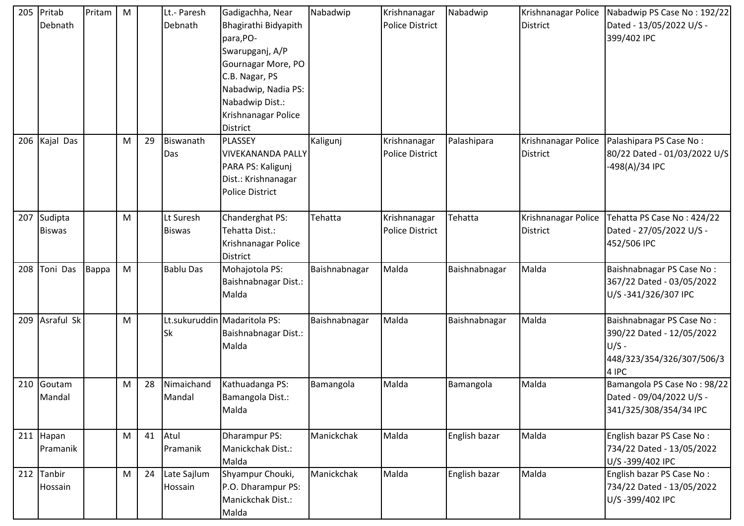| 205 | Pritab<br>Debnath        | Pritam | M |    | Lt.- Paresh<br>Debnath     | Gadigachha, Near<br>Bhagirathi Bidyapith<br>para, PO-<br>Swarupganj, A/P<br>Gournagar More, PO<br>C.B. Nagar, PS<br>Nabadwip, Nadia PS:<br>Nabadwip Dist.:<br>Krishnanagar Police<br>District | Nabadwip      | Krishnanagar<br>Police District | Nabadwip      | Krishnanagar Police<br>District | Nabadwip PS Case No: 192/22<br>Dated - 13/05/2022 U/S -<br>399/402 IPC                                  |
|-----|--------------------------|--------|---|----|----------------------------|-----------------------------------------------------------------------------------------------------------------------------------------------------------------------------------------------|---------------|---------------------------------|---------------|---------------------------------|---------------------------------------------------------------------------------------------------------|
| 206 | Kajal Das                |        | M | 29 | Biswanath<br>Das           | PLASSEY<br><b>VIVEKANANDA PALLY</b><br>PARA PS: Kaligunj<br>Dist.: Krishnanagar<br><b>Police District</b>                                                                                     | Kaligunj      | Krishnanagar<br>Police District | Palashipara   | Krishnanagar Police<br>District | Palashipara PS Case No:<br>80/22 Dated - 01/03/2022 U/S<br>498(A)/34 IPC                                |
| 207 | Sudipta<br><b>Biswas</b> |        | M |    | Lt Suresh<br><b>Biswas</b> | Chanderghat PS:<br>Tehatta Dist.:<br>Krishnanagar Police<br>District                                                                                                                          | Tehatta       | Krishnanagar<br>Police District | Tehatta       | Krishnanagar Police<br>District | Tehatta PS Case No: 424/22<br>Dated - 27/05/2022 U/S -<br>452/506 IPC                                   |
| 208 | Toni Das                 | Bappa  | M |    | <b>Bablu Das</b>           | Mohajotola PS:<br><b>Baishnabnagar Dist.:</b><br>Malda                                                                                                                                        | Baishnabnagar | Malda                           | Baishnabnagar | Malda                           | Baishnabnagar PS Case No:<br>367/22 Dated - 03/05/2022<br>U/S-341/326/307 IPC                           |
| 209 | Asraful Sk               |        | M |    | <b>Sk</b>                  | Lt.sukuruddin   Madaritola PS:<br>Baishnabnagar Dist.:<br>Malda                                                                                                                               | Baishnabnagar | Malda                           | Baishnabnagar | Malda                           | Baishnabnagar PS Case No:<br>390/22 Dated - 12/05/2022<br>$U/S -$<br>448/323/354/326/307/506/3<br>4 IPC |
| 210 | Goutam<br>Mandal         |        | M | 28 | Nimaichand<br>Mandal       | Kathuadanga PS:<br>Bamangola Dist.:<br>Malda                                                                                                                                                  | Bamangola     | Malda                           | Bamangola     | Malda                           | Bamangola PS Case No: 98/22<br>Dated - 09/04/2022 U/S -<br>341/325/308/354/34 IPC                       |
| 211 | Hapan<br>Pramanik        |        | M | 41 | Atul<br>Pramanik           | Dharampur PS:<br>Manickchak Dist.:<br>Malda                                                                                                                                                   | Manickchak    | Malda                           | English bazar | Malda                           | English bazar PS Case No:<br>734/22 Dated - 13/05/2022<br>U/S-399/402 IPC                               |
| 212 | Tanbir<br>Hossain        |        | M | 24 | Late Sajlum<br>Hossain     | Shyampur Chouki,<br>P.O. Dharampur PS:<br>Manickchak Dist.:<br>Malda                                                                                                                          | Manickchak    | Malda                           | English bazar | Malda                           | English bazar PS Case No:<br>734/22 Dated - 13/05/2022<br>U/S-399/402 IPC                               |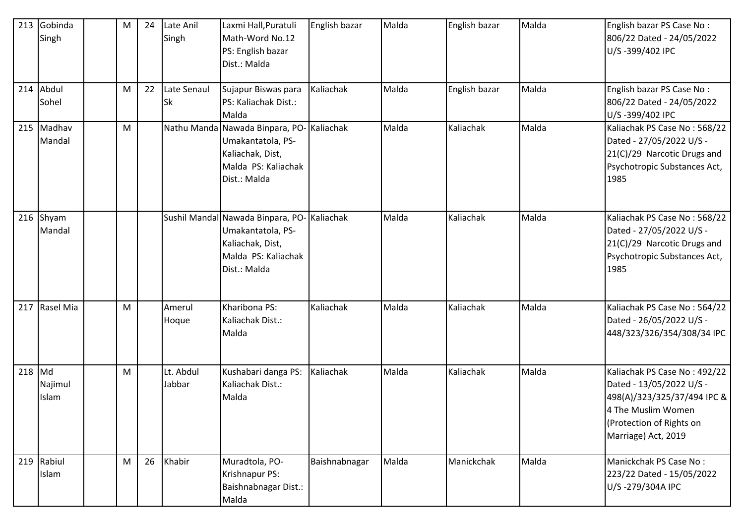| 213      | Gobinda<br>Singh     | M | 24 | Late Anil<br>Singh  | Laxmi Hall, Puratuli<br>Math-Word No.12<br>PS: English bazar<br>Dist.: Malda                                                | English bazar | Malda | English bazar | Malda | English bazar PS Case No:<br>806/22 Dated - 24/05/2022<br>U/S-399/402 IPC                                                                                        |
|----------|----------------------|---|----|---------------------|-----------------------------------------------------------------------------------------------------------------------------|---------------|-------|---------------|-------|------------------------------------------------------------------------------------------------------------------------------------------------------------------|
| 214      | Abdul<br>Sohel       | M | 22 | Late Senaul<br>Sk   | Sujapur Biswas para<br>PS: Kaliachak Dist.:<br>Malda                                                                        | Kaliachak     | Malda | English bazar | Malda | English bazar PS Case No:<br>806/22 Dated - 24/05/2022<br>U/S-399/402 IPC                                                                                        |
|          | 215 Madhav<br>Mandal | M |    |                     | Nathu Manda Nawada Binpara, PO-Kaliachak<br>Umakantatola, PS-<br>Kaliachak, Dist,<br>Malda PS: Kaliachak<br>Dist.: Malda    |               | Malda | Kaliachak     | Malda | Kaliachak PS Case No: 568/22<br>Dated - 27/05/2022 U/S -<br>21(C)/29 Narcotic Drugs and<br>Psychotropic Substances Act,<br>1985                                  |
|          | 216 Shyam<br>Mandal  |   |    |                     | Sushil Mandal Nawada Binpara, PO- Kaliachak<br>Umakantatola, PS-<br>Kaliachak, Dist,<br>Malda PS: Kaliachak<br>Dist.: Malda |               | Malda | Kaliachak     | Malda | Kaliachak PS Case No: 568/22<br>Dated - 27/05/2022 U/S -<br>21(C)/29 Narcotic Drugs and<br>Psychotropic Substances Act,<br>1985                                  |
| 217      | Rasel Mia            | M |    | Amerul<br>Hoque     | Kharibona PS:<br>Kaliachak Dist.:<br>Malda                                                                                  | Kaliachak     | Malda | Kaliachak     | Malda | Kaliachak PS Case No: 564/22<br>Dated - 26/05/2022 U/S -<br>448/323/326/354/308/34 IPC                                                                           |
| $218$ Md | Najimul<br>Islam     | M |    | Lt. Abdul<br>Jabbar | Kushabari danga PS:<br>Kaliachak Dist.:<br>Malda                                                                            | Kaliachak     | Malda | Kaliachak     | Malda | Kaliachak PS Case No: 492/22<br>Dated - 13/05/2022 U/S -<br>498(A)/323/325/37/494 IPC &<br>4 The Muslim Women<br>(Protection of Rights on<br>Marriage) Act, 2019 |
|          | 219 Rabiul<br>Islam  | M | 26 | Khabir              | Muradtola, PO-<br>Krishnapur PS:<br>Baishnabnagar Dist.:<br>Malda                                                           | Baishnabnagar | Malda | Manickchak    | Malda | Manickchak PS Case No:<br>223/22 Dated - 15/05/2022<br>U/S-279/304A IPC                                                                                          |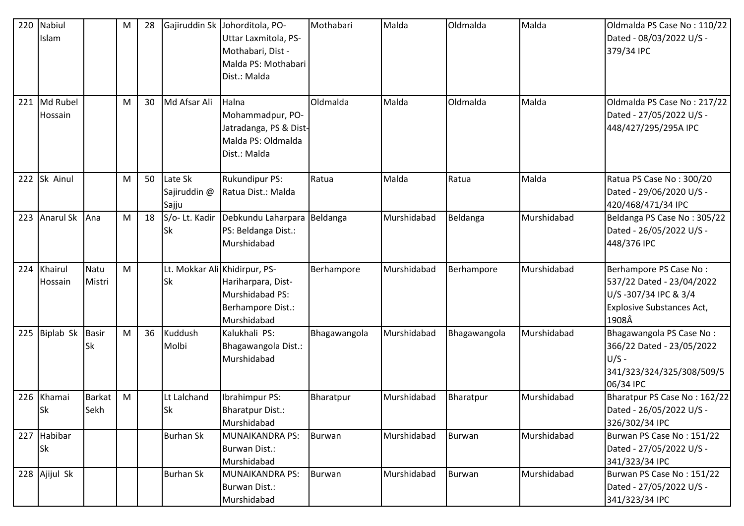| 220 | Nabiul<br>Islam      |                       | M | 28 |                                  | Gajiruddin Sk Johorditola, PO-<br>Uttar Laxmitola, PS-<br>Mothabari, Dist -<br>Malda PS: Mothabari<br>Dist.: Malda | Mothabari     | Malda       | Oldmalda      | Malda       | Oldmalda PS Case No: 110/22<br>Dated - 08/03/2022 U/S -<br>379/34 IPC                                                    |
|-----|----------------------|-----------------------|---|----|----------------------------------|--------------------------------------------------------------------------------------------------------------------|---------------|-------------|---------------|-------------|--------------------------------------------------------------------------------------------------------------------------|
| 221 | Md Rubel<br>Hossain  |                       | M | 30 | Md Afsar Ali                     | Halna<br>Mohammadpur, PO-<br>Jatradanga, PS & Dist-<br>Malda PS: Oldmalda<br>Dist.: Malda                          | Oldmalda      | Malda       | Oldmalda      | Malda       | Oldmalda PS Case No: 217/22<br>Dated - 27/05/2022 U/S -<br>448/427/295/295A IPC                                          |
| 222 | Sk Ainul             |                       | M | 50 | Late Sk<br>Sajiruddin @<br>Sajju | Rukundipur PS:<br>Ratua Dist.: Malda                                                                               | Ratua         | Malda       | Ratua         | Malda       | Ratua PS Case No: 300/20<br>Dated - 29/06/2020 U/S -<br>420/468/471/34 IPC                                               |
| 223 | <b>Anarul Sk</b>     | Ana                   | M | 18 | S/o-Lt. Kadir<br><b>Sk</b>       | Debkundu Laharpara Beldanga<br>PS: Beldanga Dist.:<br>Murshidabad                                                  |               | Murshidabad | Beldanga      | Murshidabad | Beldanga PS Case No: 305/22<br>Dated - 26/05/2022 U/S -<br>448/376 IPC                                                   |
| 224 | Khairul<br>Hossain   | Natu<br>Mistri        | M |    | <b>Sk</b>                        | Lt. Mokkar Ali Khidirpur, PS-<br>Hariharpara, Dist-<br>Murshidabad PS:<br>Berhampore Dist.:<br>Murshidabad         | Berhampore    | Murshidabad | Berhampore    | Murshidabad | Berhampore PS Case No:<br>537/22 Dated - 23/04/2022<br>U/S-307/34 IPC & 3/4<br><b>Explosive Substances Act,</b><br>1908Â |
| 225 | Biplab Sk            | <b>Basir</b><br>Sk    | M | 36 | Kuddush<br>Molbi                 | Kalukhali PS:<br>Bhagawangola Dist.:<br>Murshidabad                                                                | Bhagawangola  | Murshidabad | Bhagawangola  | Murshidabad | Bhagawangola PS Case No:<br>366/22 Dated - 23/05/2022<br>$U/S -$<br>341/323/324/325/308/509/5<br>06/34 IPC               |
| 226 | Khamai<br><b>Sk</b>  | <b>Barkat</b><br>Sekh | M |    | Lt Lalchand<br><b>Sk</b>         | Ibrahimpur PS:<br><b>Bharatpur Dist.:</b><br>Murshidabad                                                           | Bharatpur     | Murshidabad | Bharatpur     | Murshidabad | Bharatpur PS Case No: 162/22<br>Dated - 26/05/2022 U/S -<br>326/302/34 IPC                                               |
| 227 | Habibar<br><b>Sk</b> |                       |   |    | <b>Burhan Sk</b>                 | <b>MUNAIKANDRA PS:</b><br>Burwan Dist.:<br>Murshidabad                                                             | <b>Burwan</b> | Murshidabad | <b>Burwan</b> | Murshidabad | Burwan PS Case No: 151/22<br>Dated - 27/05/2022 U/S -<br>341/323/34 IPC                                                  |
|     | 228 Ajijul Sk        |                       |   |    | <b>Burhan Sk</b>                 | <b>MUNAIKANDRA PS:</b><br>Burwan Dist.:<br>Murshidabad                                                             | <b>Burwan</b> | Murshidabad | <b>Burwan</b> | Murshidabad | Burwan PS Case No: 151/22<br>Dated - 27/05/2022 U/S -<br>341/323/34 IPC                                                  |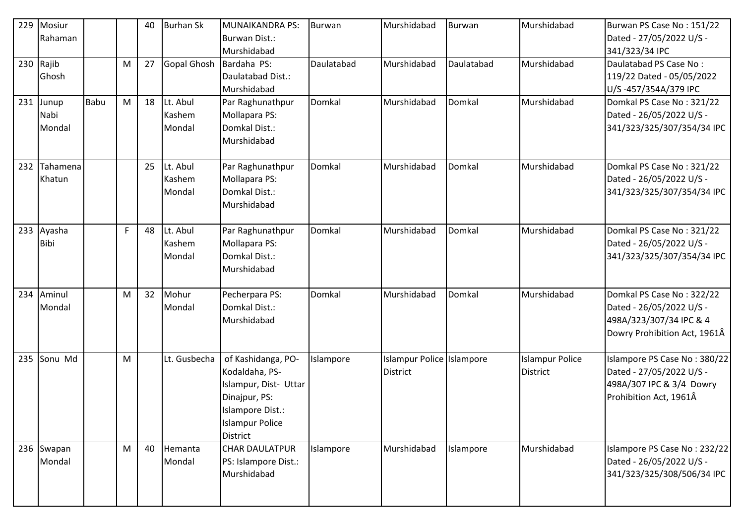| 229 | Mosiur<br>Rahaman       |             |   | 40 | <b>Burhan Sk</b>             | MUNAIKANDRA PS:<br>Burwan Dist.:                                                                                                                | <b>Burwan</b> | Murshidabad                           | Burwan     | Murshidabad                               | Burwan PS Case No: 151/22<br>Dated - 27/05/2022 U/S -                                                            |
|-----|-------------------------|-------------|---|----|------------------------------|-------------------------------------------------------------------------------------------------------------------------------------------------|---------------|---------------------------------------|------------|-------------------------------------------|------------------------------------------------------------------------------------------------------------------|
|     | 230 Rajib<br>Ghosh      |             | M | 27 | Gopal Ghosh Bardaha PS:      | Murshidabad<br>Daulatabad Dist.:<br>Murshidabad                                                                                                 | Daulatabad    | Murshidabad                           | Daulatabad | Murshidabad                               | 341/323/34 IPC<br>Daulatabad PS Case No:<br>119/22 Dated - 05/05/2022<br>U/S-457/354A/379 IPC                    |
| 231 | Junup<br>Nabi<br>Mondal | <b>Babu</b> | M | 18 | Lt. Abul<br>Kashem<br>Mondal | Par Raghunathpur<br>Mollapara PS:<br>Domkal Dist.:<br>Murshidabad                                                                               | Domkal        | Murshidabad                           | Domkal     | Murshidabad                               | Domkal PS Case No: 321/22<br>Dated - 26/05/2022 U/S -<br>341/323/325/307/354/34 IPC                              |
| 232 | Tahamena<br>Khatun      |             |   | 25 | Lt. Abul<br>Kashem<br>Mondal | Par Raghunathpur<br>Mollapara PS:<br>Domkal Dist.:<br>Murshidabad                                                                               | Domkal        | Murshidabad                           | Domkal     | Murshidabad                               | Domkal PS Case No: 321/22<br>Dated - 26/05/2022 U/S -<br>341/323/325/307/354/34 IPC                              |
|     | 233 Ayasha<br>Bibi      |             | F | 48 | Lt. Abul<br>Kashem<br>Mondal | Par Raghunathpur<br>Mollapara PS:<br>Domkal Dist.:<br>Murshidabad                                                                               | Domkal        | Murshidabad                           | Domkal     | Murshidabad                               | Domkal PS Case No: 321/22<br>Dated - 26/05/2022 U/S -<br>341/323/325/307/354/34 IPC                              |
| 234 | Aminul<br>Mondal        |             | M | 32 | Mohur<br>Mondal              | Pecherpara PS:<br>Domkal Dist.:<br>Murshidabad                                                                                                  | Domkal        | Murshidabad                           | Domkal     | Murshidabad                               | Domkal PS Case No: 322/22<br>Dated - 26/05/2022 U/S -<br>498A/323/307/34 IPC & 4<br>Dowry Prohibition Act, 1961Â |
| 235 | Sonu Md                 |             | M |    | Lt. Gusbecha                 | of Kashidanga, PO-<br>Kodaldaha, PS-<br>Islampur, Dist- Uttar<br>Dinajpur, PS:<br>Islampore Dist.:<br><b>Islampur Police</b><br><b>District</b> | Islampore     | Islampur Police Islampore<br>District |            | <b>Islampur Police</b><br><b>District</b> | Islampore PS Case No: 380/22<br>Dated - 27/05/2022 U/S -<br>498A/307 IPC & 3/4 Dowry<br>Prohibition Act, 1961Â   |
|     | 236 Swapan<br>Mondal    |             | M | 40 | Hemanta<br>Mondal            | <b>CHAR DAULATPUR</b><br>PS: Islampore Dist.:<br>Murshidabad                                                                                    | Islampore     | Murshidabad                           | Islampore  | Murshidabad                               | Islampore PS Case No: 232/22<br>Dated - 26/05/2022 U/S -<br>341/323/325/308/506/34 IPC                           |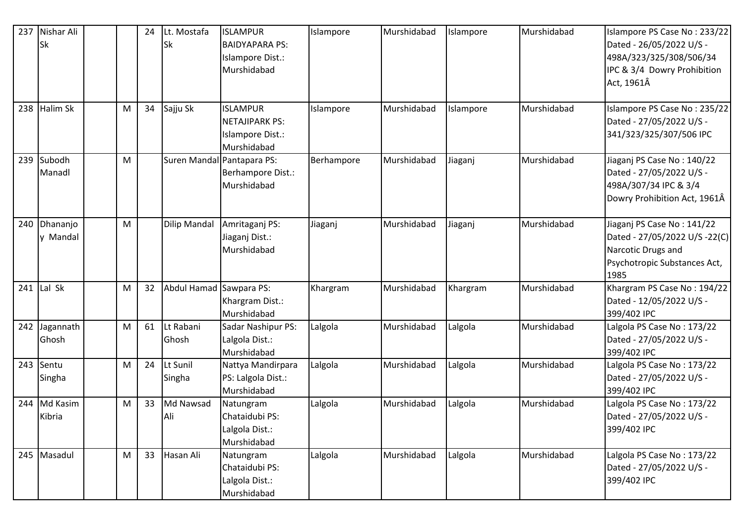| 237 | Nishar Ali<br>Sk     |   | 24 | Lt. Mostafa<br>Sk       | <b>ISLAMPUR</b><br><b>BAIDYAPARA PS:</b><br>Islampore Dist.:<br>Murshidabad | Islampore  | Murshidabad | Islampore | Murshidabad | Islampore PS Case No: 233/22<br>Dated - 26/05/2022 U/S -<br>498A/323/325/308/506/34<br>IPC & 3/4 Dowry Prohibition<br>Act, 1961Â |
|-----|----------------------|---|----|-------------------------|-----------------------------------------------------------------------------|------------|-------------|-----------|-------------|----------------------------------------------------------------------------------------------------------------------------------|
| 238 | <b>Halim Sk</b>      | M | 34 | Sajju Sk                | <b>ISLAMPUR</b><br><b>NETAJIPARK PS:</b><br>Islampore Dist.:<br>Murshidabad | Islampore  | Murshidabad | Islampore | Murshidabad | Islampore PS Case No: 235/22<br>Dated - 27/05/2022 U/S -<br>341/323/325/307/506 IPC                                              |
|     | 239 Subodh<br>Manadl | M |    |                         | Suren Mandal Pantapara PS:<br>Berhampore Dist.:<br>Murshidabad              | Berhampore | Murshidabad | Jiaganj   | Murshidabad | Jiaganj PS Case No: 140/22<br>Dated - 27/05/2022 U/S -<br>498A/307/34 IPC & 3/4<br>Dowry Prohibition Act, 1961Â                  |
| 240 | Dhananjo<br>y Mandal | M |    | Dilip Mandal            | Amritaganj PS:<br>Jiaganj Dist.:<br>Murshidabad                             | Jiaganj    | Murshidabad | Jiaganj   | Murshidabad | Jiaganj PS Case No: 141/22<br>Dated - 27/05/2022 U/S -22(C)<br>Narcotic Drugs and<br>Psychotropic Substances Act,<br>1985        |
| 241 | Lal Sk               | M | 32 | Abdul Hamad Sawpara PS: | Khargram Dist.:<br>Murshidabad                                              | Khargram   | Murshidabad | Khargram  | Murshidabad | Khargram PS Case No: 194/22<br>Dated - 12/05/2022 U/S -<br>399/402 IPC                                                           |
| 242 | Jagannath<br>Ghosh   | M | 61 | Lt Rabani<br>Ghosh      | Sadar Nashipur PS:<br>Lalgola Dist.:<br>Murshidabad                         | Lalgola    | Murshidabad | Lalgola   | Murshidabad | Lalgola PS Case No: 173/22<br>Dated - 27/05/2022 U/S -<br>399/402 IPC                                                            |
| 243 | Sentu<br>Singha      | M | 24 | Lt Sunil<br>Singha      | Nattya Mandirpara<br>PS: Lalgola Dist.:<br>Murshidabad                      | Lalgola    | Murshidabad | Lalgola   | Murshidabad | Lalgola PS Case No: 173/22<br>Dated - 27/05/2022 U/S -<br>399/402 IPC                                                            |
| 244 | Md Kasim<br>Kibria   | M | 33 | Md Nawsad<br>Ali        | Natungram<br>Chataidubi PS:<br>Lalgola Dist.:<br>Murshidabad                | Lalgola    | Murshidabad | Lalgola   | Murshidabad | Lalgola PS Case No: 173/22<br>Dated - 27/05/2022 U/S -<br>399/402 IPC                                                            |
|     | 245 Masadul          | M | 33 | Hasan Ali               | Natungram<br>Chataidubi PS:<br>Lalgola Dist.:<br>Murshidabad                | Lalgola    | Murshidabad | Lalgola   | Murshidabad | Lalgola PS Case No: 173/22<br>Dated - 27/05/2022 U/S -<br>399/402 IPC                                                            |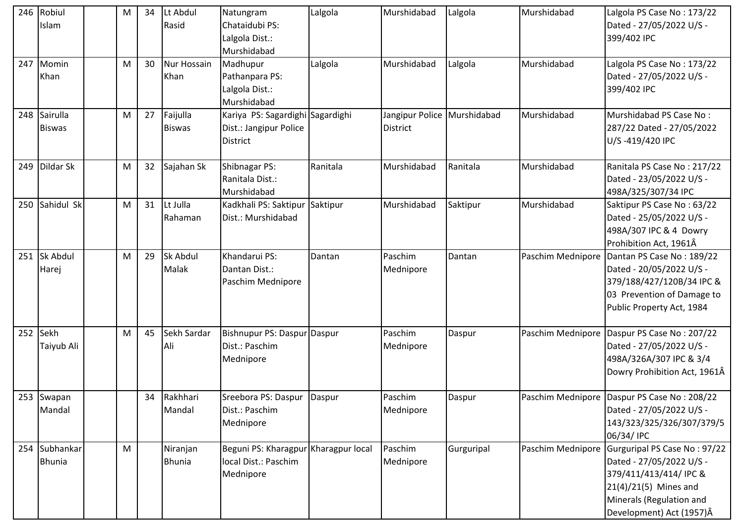| 246 | Robiul<br>Islam            | м | 34 | Lt Abdul<br>Rasid         | Natungram<br>Chataidubi PS:<br>Lalgola Dist.:<br>Murshidabad              | Lalgola  | Murshidabad                             | Lalgola    | Murshidabad       | Lalgola PS Case No: 173/22<br>Dated - 27/05/2022 U/S -<br>399/402 IPC                                                                                                 |
|-----|----------------------------|---|----|---------------------------|---------------------------------------------------------------------------|----------|-----------------------------------------|------------|-------------------|-----------------------------------------------------------------------------------------------------------------------------------------------------------------------|
| 247 | Momin<br>Khan              | M | 30 | Nur Hossain<br>Khan       | Madhupur<br>Pathanpara PS:<br>Lalgola Dist.:<br>Murshidabad               | Lalgola  | Murshidabad                             | Lalgola    | Murshidabad       | Lalgola PS Case No: 173/22<br>Dated - 27/05/2022 U/S -<br>399/402 IPC                                                                                                 |
| 248 | Sairulla<br><b>Biswas</b>  | M | 27 | Faijulla<br><b>Biswas</b> | Kariya PS: Sagardighi Sagardighi<br>Dist.: Jangipur Police<br>District    |          | Jangipur Police Murshidabad<br>District |            | Murshidabad       | Murshidabad PS Case No:<br>287/22 Dated - 27/05/2022<br>U/S-419/420 IPC                                                                                               |
| 249 | Dildar Sk                  | M | 32 | Sajahan Sk                | Shibnagar PS:<br>Ranitala Dist.:<br>Murshidabad                           | Ranitala | Murshidabad                             | Ranitala   | Murshidabad       | Ranitala PS Case No: 217/22<br>Dated - 23/05/2022 U/S -<br>498A/325/307/34 IPC                                                                                        |
| 250 | Sahidul Sk                 | M | 31 | Lt Julla<br>Rahaman       | Kadkhali PS: Saktipur<br>Dist.: Murshidabad                               | Saktipur | Murshidabad                             | Saktipur   | Murshidabad       | Saktipur PS Case No: 63/22<br>Dated - 25/05/2022 U/S -<br>498A/307 IPC & 4 Dowry<br>Prohibition Act, 1961Â                                                            |
| 251 | Sk Abdul<br>Harej          | M | 29 | Sk Abdul<br>Malak         | Khandarui PS:<br>Dantan Dist.:<br>Paschim Mednipore                       | Dantan   | Paschim<br>Mednipore                    | Dantan     | Paschim Mednipore | Dantan PS Case No: 189/22<br>Dated - 20/05/2022 U/S -<br>379/188/427/120B/34 IPC &<br>03 Prevention of Damage to<br>Public Property Act, 1984                         |
|     | 252 Sekh<br>Taiyub Ali     | M | 45 | Sekh Sardar<br>Ali        | Bishnupur PS: Daspur Daspur<br>Dist.: Paschim<br>Mednipore                |          | Paschim<br>Mednipore                    | Daspur     |                   | Paschim Mednipore Daspur PS Case No: 207/22<br>Dated - 27/05/2022 U/S -<br>498A/326A/307 IPC & 3/4<br>Dowry Prohibition Act, 1961Â                                    |
|     | 253 Swapan<br>Mandal       |   | 34 | Rakhhari<br>Mandal        | Sreebora PS: Daspur<br>Dist.: Paschim<br>Mednipore                        | Daspur   | Paschim<br>Mednipore                    | Daspur     |                   | Paschim Mednipore Daspur PS Case No: 208/22<br>Dated - 27/05/2022 U/S -<br>143/323/325/326/307/379/5<br>06/34/ IPC                                                    |
| 254 | Subhankar<br><b>Bhunia</b> | M |    | Niranjan<br><b>Bhunia</b> | Beguni PS: Kharagpur Kharagpur local<br>local Dist.: Paschim<br>Mednipore |          | Paschim<br>Mednipore                    | Gurguripal | Paschim Mednipore | Gurguripal PS Case No: 97/22<br>Dated - 27/05/2022 U/S -<br>379/411/413/414/ IPC &<br>$21(4)/21(5)$ Mines and<br>Minerals (Regulation and<br>Development) Act (1957)Â |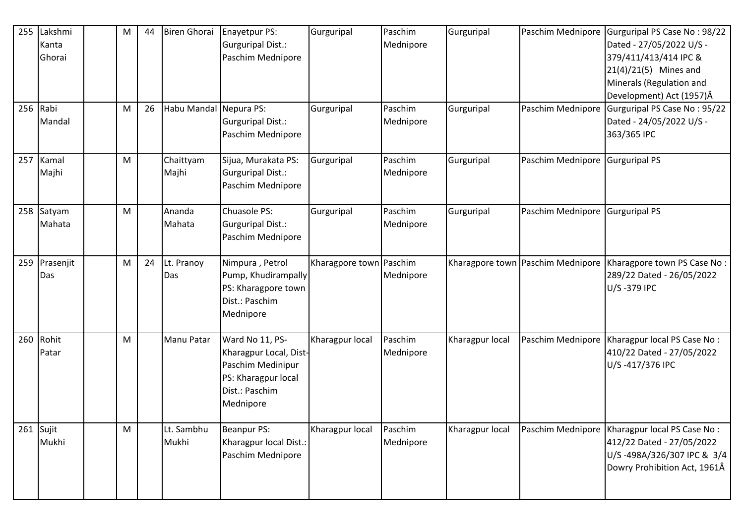| 255 | Lakshmi<br>Kanta<br>Ghorai<br>256 Rabi<br>Mandal | M<br>M | 44<br>26 | <b>Biren Ghorai</b><br>Habu Mandal Nepura PS: | Enayetpur PS:<br>Gurguripal Dist.:<br>Paschim Mednipore<br>Gurguripal Dist.:<br>Paschim Mednipore                    | Gurguripal<br>Gurguripal | Paschim<br>Mednipore<br>Paschim<br>Mednipore | Gurguripal<br>Gurguripal | Paschim Mednipore<br>Paschim Mednipore | Gurguripal PS Case No: 98/22<br>Dated - 27/05/2022 U/S -<br>379/411/413/414 IPC &<br>$21(4)/21(5)$ Mines and<br>Minerals (Regulation and<br>Development) Act (1957)Â<br>Gurguripal PS Case No: 95/22<br>Dated - 24/05/2022 U/S -<br>363/365 IPC |
|-----|--------------------------------------------------|--------|----------|-----------------------------------------------|----------------------------------------------------------------------------------------------------------------------|--------------------------|----------------------------------------------|--------------------------|----------------------------------------|-------------------------------------------------------------------------------------------------------------------------------------------------------------------------------------------------------------------------------------------------|
| 257 | Kamal<br>Majhi                                   | M      |          | Chaittyam<br>Majhi                            | Sijua, Murakata PS:<br>Gurguripal Dist.:<br>Paschim Mednipore                                                        | Gurguripal               | Paschim<br>Mednipore                         | Gurguripal               | Paschim Mednipore Gurguripal PS        |                                                                                                                                                                                                                                                 |
| 258 | Satyam<br>Mahata                                 | M      |          | Ananda<br>Mahata                              | Chuasole PS:<br>Gurguripal Dist.:<br>Paschim Mednipore                                                               | Gurguripal               | Paschim<br>Mednipore                         | Gurguripal               | Paschim Mednipore                      | Gurguripal PS                                                                                                                                                                                                                                   |
| 259 | Prasenjit<br>Das                                 | M      | 24       | Lt. Pranoy<br>Das                             | Nimpura, Petrol<br>Pump, Khudirampally<br>PS: Kharagpore town<br>Dist.: Paschim<br>Mednipore                         | Kharagpore town Paschim  | Mednipore                                    |                          | Kharagpore town   Paschim Mednipore    | Kharagpore town PS Case No:<br>289/22 Dated - 26/05/2022<br>U/S-379 IPC                                                                                                                                                                         |
| 260 | Rohit<br>Patar                                   | M      |          | Manu Patar                                    | Ward No 11, PS-<br>Kharagpur Local, Dist-<br>Paschim Medinipur<br>PS: Kharagpur local<br>Dist.: Paschim<br>Mednipore | Kharagpur local          | Paschim<br>Mednipore                         | Kharagpur local          | Paschim Mednipore                      | Kharagpur local PS Case No:<br>410/22 Dated - 27/05/2022<br>U/S-417/376 IPC                                                                                                                                                                     |
| 261 | Sujit<br>Mukhi                                   | M      |          | Lt. Sambhu<br>Mukhi                           | <b>Beanpur PS:</b><br>Kharagpur local Dist.:<br>Paschim Mednipore                                                    | Kharagpur local          | Paschim<br>Mednipore                         | Kharagpur local          | Paschim Mednipore                      | Kharagpur local PS Case No:<br>412/22 Dated - 27/05/2022<br>U/S-498A/326/307 IPC & 3/4<br>Dowry Prohibition Act, 1961Â                                                                                                                          |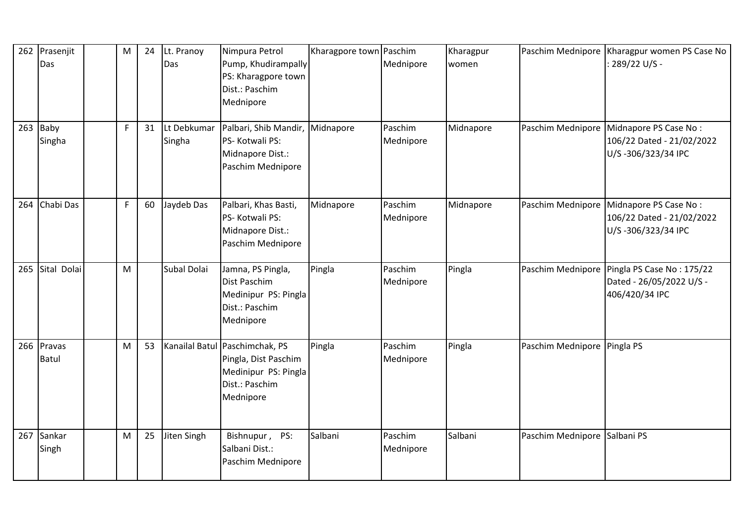| 262 | Prasenjit<br>Das       | M  | 24 | Lt. Pranoy<br>Das     | Nimpura Petrol<br>Pump, Khudirampally<br>PS: Kharagpore town<br>Dist.: Paschim<br>Mednipore                   | Kharagpore town Paschim | Mednipore            | Kharagpur<br>women | Paschim Mednipore           | Kharagpur women PS Case No<br>: 289/22 U/S -                             |
|-----|------------------------|----|----|-----------------------|---------------------------------------------------------------------------------------------------------------|-------------------------|----------------------|--------------------|-----------------------------|--------------------------------------------------------------------------|
| 263 | Baby<br>Singha         | F. | 31 | Lt Debkumar<br>Singha | Palbari, Shib Mandir, Midnapore<br>PS-Kotwali PS:<br>Midnapore Dist.:<br>Paschim Mednipore                    |                         | Paschim<br>Mednipore | Midnapore          | Paschim Mednipore           | Midnapore PS Case No:<br>106/22 Dated - 21/02/2022<br>U/S-306/323/34 IPC |
| 264 | Chabi Das              | F. | 60 | Jaydeb Das            | Palbari, Khas Basti,<br>PS-Kotwali PS:<br>Midnapore Dist.:<br>Paschim Mednipore                               | Midnapore               | Paschim<br>Mednipore | Midnapore          | Paschim Mednipore           | Midnapore PS Case No:<br>106/22 Dated - 21/02/2022<br>U/S-306/323/34 IPC |
| 265 | Sital Dolai            | M  |    | Subal Dolai           | Jamna, PS Pingla,<br>Dist Paschim<br>Medinipur PS: Pingla<br>Dist.: Paschim<br>Mednipore                      | Pingla                  | Paschim<br>Mednipore | Pingla             | Paschim Mednipore           | Pingla PS Case No: 175/22<br>Dated - 26/05/2022 U/S -<br>406/420/34 IPC  |
| 266 | Pravas<br><b>Batul</b> | M  | 53 |                       | Kanailal Batul Paschimchak, PS<br>Pingla, Dist Paschim<br>Medinipur PS: Pingla<br>Dist.: Paschim<br>Mednipore | Pingla                  | Paschim<br>Mednipore | Pingla             | Paschim Mednipore Pingla PS |                                                                          |
| 267 | Sankar<br>Singh        | M  | 25 | Jiten Singh           | Bishnupur, PS:<br>Salbani Dist.:<br>Paschim Mednipore                                                         | Salbani                 | Paschim<br>Mednipore | Salbani            | Paschim Mednipore           | Salbani PS                                                               |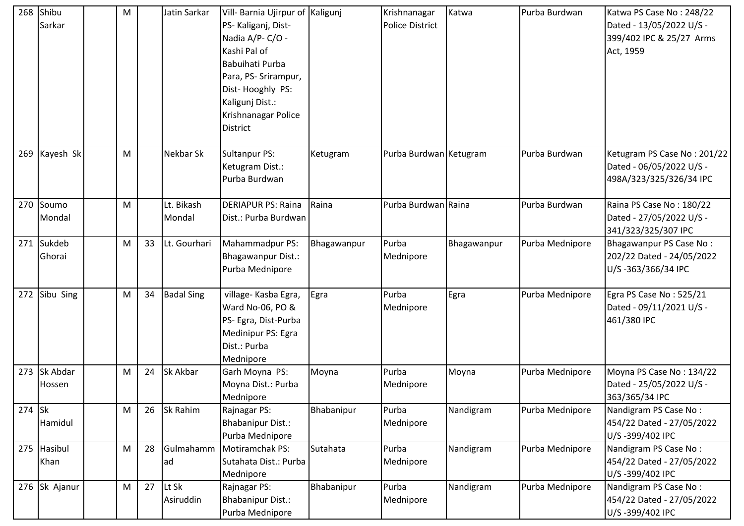| 268    | Shibu<br>Sarkar      | M |    | Jatin Sarkar         | Vill- Barnia Ujirpur of Kaligunj<br>PS-Kaliganj, Dist-<br>Nadia A/P-C/O -<br>Kashi Pal of<br>Babuihati Purba<br>Para, PS- Srirampur,<br>Dist-Hooghly PS:<br>Kaligunj Dist.:<br>Krishnanagar Police<br>District |             | Krishnanagar<br><b>Police District</b> | Katwa       | Purba Burdwan   | Katwa PS Case No: 248/22<br>Dated - 13/05/2022 U/S -<br>399/402 IPC & 25/27 Arms<br>Act, 1959 |
|--------|----------------------|---|----|----------------------|----------------------------------------------------------------------------------------------------------------------------------------------------------------------------------------------------------------|-------------|----------------------------------------|-------------|-----------------|-----------------------------------------------------------------------------------------------|
| 269    | Kayesh Sk            | M |    | Nekbar Sk            | <b>Sultanpur PS:</b><br>Ketugram Dist.:<br>Purba Burdwan                                                                                                                                                       | Ketugram    | Purba Burdwan Ketugram                 |             | Purba Burdwan   | Ketugram PS Case No: 201/22<br>Dated - 06/05/2022 U/S -<br>498A/323/325/326/34 IPC            |
| 270    | Soumo<br>Mondal      | M |    | Lt. Bikash<br>Mondal | <b>DERIAPUR PS: Raina</b><br>Dist.: Purba Burdwan                                                                                                                                                              | Raina       | Purba Burdwan Raina                    |             | Purba Burdwan   | Raina PS Case No: 180/22<br>Dated - 27/05/2022 U/S -<br>341/323/325/307 IPC                   |
|        | 271 Sukdeb<br>Ghorai | M | 33 | Lt. Gourhari         | Mahammadpur PS:<br><b>Bhagawanpur Dist.:</b><br>Purba Mednipore                                                                                                                                                | Bhagawanpur | Purba<br>Mednipore                     | Bhagawanpur | Purba Mednipore | Bhagawanpur PS Case No:<br>202/22 Dated - 24/05/2022<br>U/S-363/366/34 IPC                    |
| 272    | Sibu Sing            | M | 34 | <b>Badal Sing</b>    | village- Kasba Egra,<br>Ward No-06, PO &<br>PS- Egra, Dist-Purba<br>Medinipur PS: Egra<br>Dist.: Purba<br>Mednipore                                                                                            | Egra        | Purba<br>Mednipore                     | Egra        | Purba Mednipore | Egra PS Case No: 525/21<br>Dated - 09/11/2021 U/S -<br>461/380 IPC                            |
| 273    | Sk Abdar<br>Hossen   | M | 24 | Sk Akbar             | Garh Moyna PS:<br>Moyna Dist.: Purba<br>Mednipore                                                                                                                                                              | Moyna       | Purba<br>Mednipore                     | Moyna       | Purba Mednipore | Moyna PS Case No: 134/22<br>Dated - 25/05/2022 U/S -<br>363/365/34 IPC                        |
| 274 Sk | Hamidul              | M | 26 | Sk Rahim             | Rajnagar PS:<br><b>Bhabanipur Dist.:</b><br>Purba Mednipore                                                                                                                                                    | Bhabanipur  | Purba<br>Mednipore                     | Nandigram   | Purba Mednipore | Nandigram PS Case No:<br>454/22 Dated - 27/05/2022<br>U/S-399/402 IPC                         |
| 275    | Hasibul<br>Khan      | M | 28 | Gulmahamm<br>ad      | Motiramchak PS:<br>Sutahata Dist.: Purba<br>Mednipore                                                                                                                                                          | Sutahata    | Purba<br>Mednipore                     | Nandigram   | Purba Mednipore | Nandigram PS Case No:<br>454/22 Dated - 27/05/2022<br>U/S-399/402 IPC                         |
|        | 276 Sk Ajanur        | M | 27 | Lt Sk<br>Asiruddin   | Rajnagar PS:<br><b>Bhabanipur Dist.:</b><br>Purba Mednipore                                                                                                                                                    | Bhabanipur  | Purba<br>Mednipore                     | Nandigram   | Purba Mednipore | Nandigram PS Case No:<br>454/22 Dated - 27/05/2022<br>U/S-399/402 IPC                         |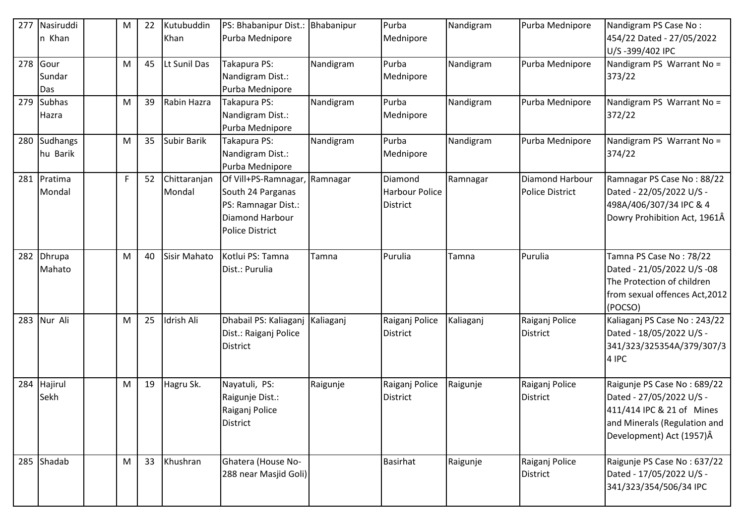| 277 | Nasiruddi<br>n Khan    | M  | 22 | Kutubuddin<br>Khan     | PS: Bhabanipur Dist.:<br>Purba Mednipore                                                                               | Bhabanipur | Purba<br>Mednipore                                  | Nandigram | Purba Mednipore                                  | Nandigram PS Case No:<br>454/22 Dated - 27/05/2022<br>U/S-399/402 IPC                                                                            |
|-----|------------------------|----|----|------------------------|------------------------------------------------------------------------------------------------------------------------|------------|-----------------------------------------------------|-----------|--------------------------------------------------|--------------------------------------------------------------------------------------------------------------------------------------------------|
| 278 | Gour<br>Sundar<br>Das  | M  | 45 | Lt Sunil Das           | Takapura PS:<br>Nandigram Dist.:<br>Purba Mednipore                                                                    | Nandigram  | Purba<br>Mednipore                                  | Nandigram | Purba Mednipore                                  | Nandigram PS Warrant No =<br>373/22                                                                                                              |
| 279 | <b>Subhas</b><br>Hazra | M  | 39 | Rabin Hazra            | Takapura PS:<br>Nandigram Dist.:<br>Purba Mednipore                                                                    | Nandigram  | Purba<br>Mednipore                                  | Nandigram | Purba Mednipore                                  | Nandigram PS Warrant No =<br>372/22                                                                                                              |
| 280 | Sudhangs<br>hu Barik   | M  | 35 | Subir Barik            | Takapura PS:<br>Nandigram Dist.:<br>Purba Mednipore                                                                    | Nandigram  | Purba<br>Mednipore                                  | Nandigram | Purba Mednipore                                  | Nandigram PS Warrant No =<br>374/22                                                                                                              |
| 281 | Pratima<br>Mondal      | F. | 52 | Chittaranjan<br>Mondal | Of Vill+PS-Ramnagar, Ramnagar<br>South 24 Parganas<br>PS: Ramnagar Dist.:<br>Diamond Harbour<br><b>Police District</b> |            | Diamond<br><b>Harbour Police</b><br><b>District</b> | Ramnagar  | <b>Diamond Harbour</b><br><b>Police District</b> | Ramnagar PS Case No: 88/22<br>Dated - 22/05/2022 U/S -<br>498A/406/307/34 IPC & 4<br>Dowry Prohibition Act, 1961Â                                |
| 282 | Dhrupa<br>Mahato       | M  | 40 | <b>Sisir Mahato</b>    | Kotlui PS: Tamna<br>Dist.: Purulia                                                                                     | Tamna      | Purulia                                             | Tamna     | Purulia                                          | Tamna PS Case No: 78/22<br>Dated - 21/05/2022 U/S -08<br>The Protection of children<br>from sexual offences Act, 2012<br>(POCSO)                 |
| 283 | Nur Ali                | M  | 25 | Idrish Ali             | Dhabail PS: Kaliaganj<br>Dist.: Raiganj Police<br>District                                                             | Kaliaganj  | Raiganj Police<br><b>District</b>                   | Kaliaganj | Raiganj Police<br><b>District</b>                | Kaliaganj PS Case No: 243/22<br>Dated - 18/05/2022 U/S -<br>341/323/325354A/379/307/3<br>4 IPC                                                   |
| 284 | Hajirul<br>Sekh        | M  | 19 | Hagru Sk.              | Nayatuli, PS:<br>Raigunje Dist.:<br>Raiganj Police<br><b>District</b>                                                  | Raigunje   | Raiganj Police<br><b>District</b>                   | Raigunje  | Raiganj Police<br><b>District</b>                | Raigunje PS Case No: 689/22<br>Dated - 27/05/2022 U/S -<br>411/414 IPC & 21 of Mines<br>and Minerals (Regulation and<br>Development) Act (1957)Â |
|     | 285 Shadab             | M  | 33 | Khushran               | Ghatera (House No-<br>288 near Masjid Goli)                                                                            |            | <b>Basirhat</b>                                     | Raigunje  | Raiganj Police<br><b>District</b>                | Raigunje PS Case No: 637/22<br>Dated - 17/05/2022 U/S -<br>341/323/354/506/34 IPC                                                                |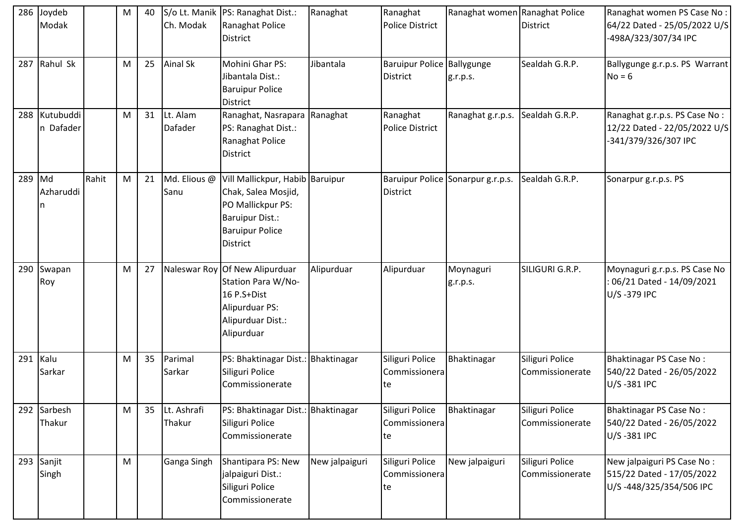|     | 286 Joydeb<br>Modak        |       | M | 40 | Ch. Modak             | S/o Lt. Manik   PS: Ranaghat Dist.:<br>Ranaghat Police<br><b>District</b>                                                                   | Ranaghat       | Ranaghat<br><b>Police District</b>            | Ranaghat women Ranaghat Police    | <b>District</b>                    | Ranaghat women PS Case No:<br>64/22 Dated - 25/05/2022 U/S<br>-498A/323/307/34 IPC    |
|-----|----------------------------|-------|---|----|-----------------------|---------------------------------------------------------------------------------------------------------------------------------------------|----------------|-----------------------------------------------|-----------------------------------|------------------------------------|---------------------------------------------------------------------------------------|
|     | 287 Rahul Sk               |       | M | 25 | <b>Ainal Sk</b>       | Mohini Ghar PS:<br>Jibantala Dist.:<br><b>Baruipur Police</b><br>District                                                                   | Jibantala      | Baruipur Police Ballygunge<br><b>District</b> | g.r.p.s.                          | Sealdah G.R.P.                     | Ballygunge g.r.p.s. PS Warrant<br>$No = 6$                                            |
|     | 288 Kutubuddi<br>n Dafader |       | M | 31 | Lt. Alam<br>Dafader   | Ranaghat, Nasrapara<br>PS: Ranaghat Dist.:<br>Ranaghat Police<br><b>District</b>                                                            | Ranaghat       | Ranaghat<br><b>Police District</b>            | Ranaghat g.r.p.s.                 | Sealdah G.R.P.                     | Ranaghat g.r.p.s. PS Case No:<br>12/22 Dated - 22/05/2022 U/S<br>-341/379/326/307 IPC |
| 289 | Md<br>Azharuddi            | Rahit | M | 21 | Md. Elious @<br>Sanu  | Vill Mallickpur, Habib Baruipur<br>Chak, Salea Mosjid,<br>PO Mallickpur PS:<br><b>Baruipur Dist.:</b><br><b>Baruipur Police</b><br>District |                | District                                      | Baruipur Police Sonarpur g.r.p.s. | Sealdah G.R.P.                     | Sonarpur g.r.p.s. PS                                                                  |
|     | 290 Swapan<br>Roy          |       | M | 27 |                       | Naleswar Roy Of New Alipurduar<br>Station Para W/No-<br>16 P.S+Dist<br>Alipurduar PS:<br>Alipurduar Dist.:<br>Alipurduar                    | Alipurduar     | Alipurduar                                    | Moynaguri<br>g.r.p.s.             | SILIGURI G.R.P.                    | Moynaguri g.r.p.s. PS Case No<br>06/21 Dated - 14/09/2021<br>U/S-379 IPC              |
| 291 | Kalu<br>Sarkar             |       | M | 35 | Parimal<br>Sarkar     | PS: Bhaktinagar Dist.: Bhaktinagar<br>Siliguri Police<br>Commissionerate                                                                    |                | Siliguri Police<br>Commissionera<br>te        | Bhaktinagar                       | Siliguri Police<br>Commissionerate | <b>Bhaktinagar PS Case No:</b><br>540/22 Dated - 26/05/2022<br>U/S-381 IPC            |
| 292 | Sarbesh<br>Thakur          |       | M | 35 | Lt. Ashrafi<br>Thakur | PS: Bhaktinagar Dist.: Bhaktinagar<br>Siliguri Police<br>Commissionerate                                                                    |                | Siliguri Police<br>Commissionera<br>te        | Bhaktinagar                       | Siliguri Police<br>Commissionerate | Bhaktinagar PS Case No:<br>540/22 Dated - 26/05/2022<br>U/S-381 IPC                   |
|     | 293 Sanjit<br>Singh        |       | M |    | Ganga Singh           | Shantipara PS: New<br>jalpaiguri Dist.:<br>Siliguri Police<br>Commissionerate                                                               | New jalpaiguri | Siliguri Police<br>Commissionera<br>te        | New jalpaiguri                    | Siliguri Police<br>Commissionerate | New jalpaiguri PS Case No:<br>515/22 Dated - 17/05/2022<br>U/S-448/325/354/506 IPC    |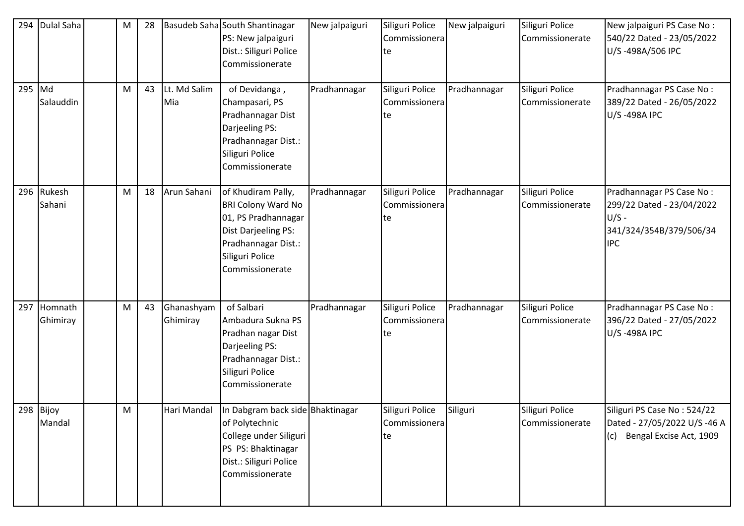| 294 | Dulal Saha           | M | 28 |                        | Basudeb Saha South Shantinagar<br>PS: New jalpaiguri<br>Dist.: Siliguri Police<br>Commissionerate                                                          | New jalpaiguri | Siliguri Police<br>Commissionera<br>te | New jalpaiguri | Siliguri Police<br>Commissionerate | New jalpaiguri PS Case No:<br>540/22 Dated - 23/05/2022<br>U/S-498A/506 IPC                               |
|-----|----------------------|---|----|------------------------|------------------------------------------------------------------------------------------------------------------------------------------------------------|----------------|----------------------------------------|----------------|------------------------------------|-----------------------------------------------------------------------------------------------------------|
| 295 | Md<br>Salauddin      | M | 43 | Lt. Md Salim<br>Mia    | of Devidanga,<br>Champasari, PS<br>Pradhannagar Dist<br>Darjeeling PS:<br>Pradhannagar Dist.:<br>Siliguri Police<br>Commissionerate                        | Pradhannagar   | Siliguri Police<br>Commissionera<br>te | Pradhannagar   | Siliguri Police<br>Commissionerate | Pradhannagar PS Case No:<br>389/22 Dated - 26/05/2022<br>U/S-498A IPC                                     |
|     | 296 Rukesh<br>Sahani | M | 18 | Arun Sahani            | of Khudiram Pally,<br><b>BRI Colony Ward No</b><br>01, PS Pradhannagar<br>Dist Darjeeling PS:<br>Pradhannagar Dist.:<br>Siliguri Police<br>Commissionerate | Pradhannagar   | Siliguri Police<br>Commissionera<br>te | Pradhannagar   | Siliguri Police<br>Commissionerate | Pradhannagar PS Case No:<br>299/22 Dated - 23/04/2022<br>$U/S -$<br>341/324/354B/379/506/34<br><b>IPC</b> |
| 297 | Homnath<br>Ghimiray  | M | 43 | Ghanashyam<br>Ghimiray | of Salbari<br>Ambadura Sukna PS<br>Pradhan nagar Dist<br>Darjeeling PS:<br>Pradhannagar Dist.:<br>Siliguri Police<br>Commissionerate                       | Pradhannagar   | Siliguri Police<br>Commissionera<br>te | Pradhannagar   | Siliguri Police<br>Commissionerate | Pradhannagar PS Case No:<br>396/22 Dated - 27/05/2022<br>U/S-498A IPC                                     |
|     | 298 Bijoy<br>Mandal  | M |    | Hari Mandal            | In Dabgram back side Bhaktinagar<br>of Polytechnic<br>College under Siliguri<br>PS PS: Bhaktinagar<br>Dist.: Siliguri Police<br>Commissionerate            |                | Siliguri Police<br>Commissionera<br>te | Siliguri       | Siliguri Police<br>Commissionerate | Siliguri PS Case No: 524/22<br>Dated - 27/05/2022 U/S -46 A<br>Bengal Excise Act, 1909<br>(c)             |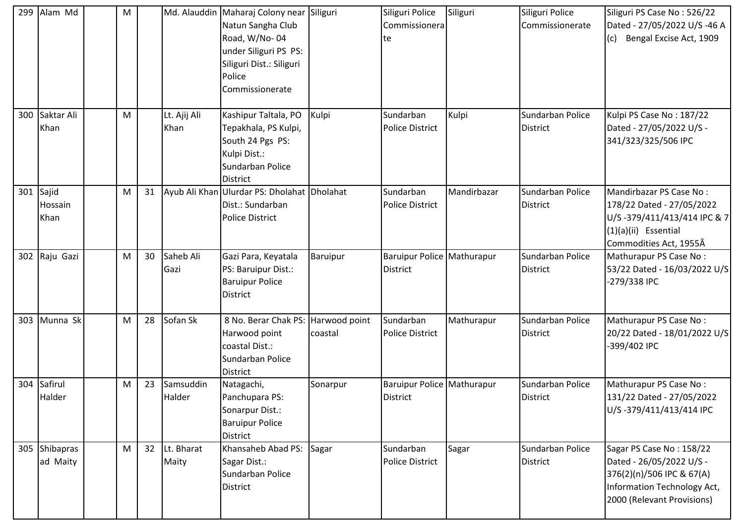| 299 | Alam Md                  | M |    |                      | Md. Alauddin   Maharaj Colony near   Siliguri<br>Natun Sangha Club<br>Road, W/No-04<br>under Siliguri PS PS:<br>Siliguri Dist.: Siliguri<br>Police<br>Commissionerate |                          | Siliguri Police<br>Commissionera<br>te        | Siliguri    | Siliguri Police<br>Commissionerate  | Siliguri PS Case No: 526/22<br>Dated - 27/05/2022 U/S -46 A<br>Bengal Excise Act, 1909<br>(c)                                                  |
|-----|--------------------------|---|----|----------------------|-----------------------------------------------------------------------------------------------------------------------------------------------------------------------|--------------------------|-----------------------------------------------|-------------|-------------------------------------|------------------------------------------------------------------------------------------------------------------------------------------------|
| 300 | Saktar Ali<br>Khan       | M |    | Lt. Ajij Ali<br>Khan | Kashipur Taltala, PO<br>Tepakhala, PS Kulpi,<br>South 24 Pgs PS:<br>Kulpi Dist.:<br>Sundarban Police<br><b>District</b>                                               | Kulpi                    | Sundarban<br><b>Police District</b>           | Kulpi       | Sundarban Police<br>District        | Kulpi PS Case No: 187/22<br>Dated - 27/05/2022 U/S -<br>341/323/325/506 IPC                                                                    |
| 301 | Sajid<br>Hossain<br>Khan | M | 31 |                      | Ayub Ali Khan Ulurdar PS: Dholahat Dholahat<br>Dist.: Sundarban<br><b>Police District</b>                                                                             |                          | Sundarban<br><b>Police District</b>           | Mandirbazar | Sundarban Police<br>District        | Mandirbazar PS Case No:<br>178/22 Dated - 27/05/2022<br>U/S-379/411/413/414 IPC & 7<br>$(1)(a)(ii)$ Essential<br>Commodities Act, 1955Â        |
|     | 302 Raju Gazi            | M | 30 | Saheb Ali<br>Gazi    | Gazi Para, Keyatala<br>PS: Baruipur Dist.:<br><b>Baruipur Police</b><br><b>District</b>                                                                               | Baruipur                 | Baruipur Police Mathurapur<br><b>District</b> |             | Sundarban Police<br>District        | Mathurapur PS Case No:<br>53/22 Dated - 16/03/2022 U/S<br>-279/338 IPC                                                                         |
| 303 | Munna Sk                 | M | 28 | Sofan Sk             | 8 No. Berar Chak PS:<br>Harwood point<br>coastal Dist.:<br>Sundarban Police<br><b>District</b>                                                                        | Harwood point<br>coastal | Sundarban<br><b>Police District</b>           | Mathurapur  | Sundarban Police<br>District        | Mathurapur PS Case No:<br>20/22 Dated - 18/01/2022 U/S<br>-399/402 IPC                                                                         |
| 304 | Safirul<br>Halder        | M | 23 | Samsuddin<br>Halder  | Natagachi,<br>Panchupara PS:<br>Sonarpur Dist.:<br><b>Baruipur Police</b><br>District                                                                                 | Sonarpur                 | Baruipur Police Mathurapur<br><b>District</b> |             | Sundarban Police<br><b>District</b> | Mathurapur PS Case No:<br>131/22 Dated - 27/05/2022<br>U/S-379/411/413/414 IPC                                                                 |
| 305 | Shibapras<br>ad Maity    | M | 32 | Lt. Bharat<br>Maity  | Khansaheb Abad PS:<br>Sagar Dist.:<br>Sundarban Police<br>District                                                                                                    | Sagar                    | Sundarban<br><b>Police District</b>           | Sagar       | Sundarban Police<br>District        | Sagar PS Case No: 158/22<br>Dated - 26/05/2022 U/S -<br>376(2)(n)/506 IPC & 67(A)<br>Information Technology Act,<br>2000 (Relevant Provisions) |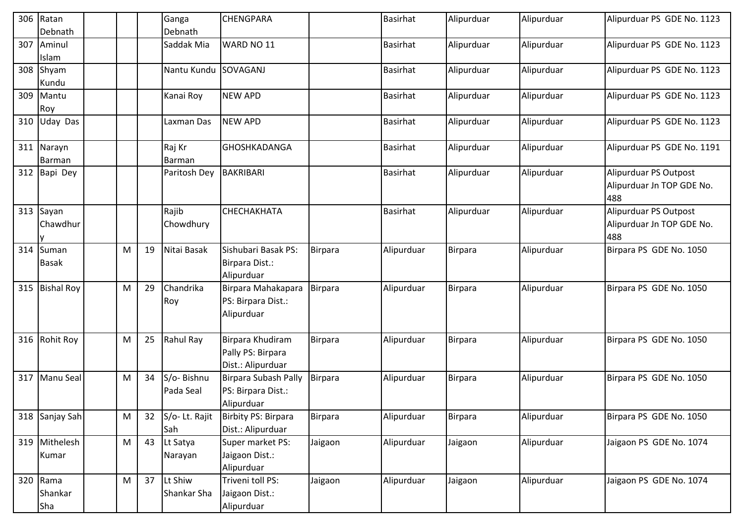|     | 306 Ratan<br>Debnath         |   |    | Ganga<br>Debnath        | <b>CHENGPARA</b>                                           |                | <b>Basirhat</b> | Alipurduar     | Alipurduar | Alipurduar PS GDE No. 1123                                |
|-----|------------------------------|---|----|-------------------------|------------------------------------------------------------|----------------|-----------------|----------------|------------|-----------------------------------------------------------|
|     | 307 Aminul<br>Islam          |   |    | Saddak Mia              | WARD NO 11                                                 |                | Basirhat        | Alipurduar     | Alipurduar | Alipurduar PS GDE No. 1123                                |
|     | 308 Shyam<br>Kundu           |   |    | Nantu Kundu SOVAGANJ    |                                                            |                | <b>Basirhat</b> | Alipurduar     | Alipurduar | Alipurduar PS GDE No. 1123                                |
|     | 309 Mantu<br>Roy             |   |    | Kanai Roy               | <b>NEW APD</b>                                             |                | Basirhat        | Alipurduar     | Alipurduar | Alipurduar PS GDE No. 1123                                |
| 310 | <b>Uday Das</b>              |   |    | Laxman Das              | <b>NEW APD</b>                                             |                | Basirhat        | Alipurduar     | Alipurduar | Alipurduar PS GDE No. 1123                                |
|     | 311 Narayn<br>Barman         |   |    | Raj Kr<br><b>Barman</b> | GHOSHKADANGA                                               |                | Basirhat        | Alipurduar     | Alipurduar | Alipurduar PS GDE No. 1191                                |
|     | 312 Bapi Dey                 |   |    | Paritosh Dey            | BAKRIBARI                                                  |                | <b>Basirhat</b> | Alipurduar     | Alipurduar | Alipurduar PS Outpost<br>Alipurduar Jn TOP GDE No.<br>488 |
|     | 313 Sayan<br>Chawdhur<br>IV. |   |    | Rajib<br>Chowdhury      | СНЕСНАКНАТА                                                |                | Basirhat        | Alipurduar     | Alipurduar | Alipurduar PS Outpost<br>Alipurduar Jn TOP GDE No.<br>488 |
| 314 | Suman<br><b>Basak</b>        | M | 19 | Nitai Basak             | Sishubari Basak PS:<br>Birpara Dist.:<br>Alipurduar        | <b>Birpara</b> | Alipurduar      | <b>Birpara</b> | Alipurduar | Birpara PS GDE No. 1050                                   |
|     | 315 Bishal Roy               | M | 29 | Chandrika<br>Roy        | Birpara Mahakapara<br>PS: Birpara Dist.:<br>Alipurduar     | <b>Birpara</b> | Alipurduar      | <b>Birpara</b> | Alipurduar | Birpara PS GDE No. 1050                                   |
|     | 316 Rohit Roy                | M | 25 | Rahul Ray               | Birpara Khudiram<br>Pally PS: Birpara<br>Dist.: Alipurduar | <b>Birpara</b> | Alipurduar      | Birpara        | Alipurduar | Birpara PS GDE No. 1050                                   |
| 317 | Manu Seal                    | M | 34 | S/o-Bishnu<br>Pada Seal | Birpara Subash Pally<br>PS: Birpara Dist.:<br>Alipurduar   | Birpara        | Alipurduar      | Birpara        | Alipurduar | Birpara PS GDE No. 1050                                   |
|     | 318 Sanjay Sah               | M | 32 | S/o-Lt. Rajit<br>Sah    | Birbity PS: Birpara<br>Dist.: Alipurduar                   | <b>Birpara</b> | Alipurduar      | Birpara        | Alipurduar | Birpara PS GDE No. 1050                                   |
|     | 319 Mithelesh<br>Kumar       | M | 43 | Lt Satya<br>Narayan     | Super market PS:<br>Jaigaon Dist.:<br>Alipurduar           | Jaigaon        | Alipurduar      | Jaigaon        | Alipurduar | Jaigaon PS GDE No. 1074                                   |
|     | 320 Rama<br>Shankar<br>Sha   | M | 37 | Lt Shiw<br>Shankar Sha  | Triveni toll PS:<br>Jaigaon Dist.:<br>Alipurduar           | Jaigaon        | Alipurduar      | Jaigaon        | Alipurduar | Jaigaon PS GDE No. 1074                                   |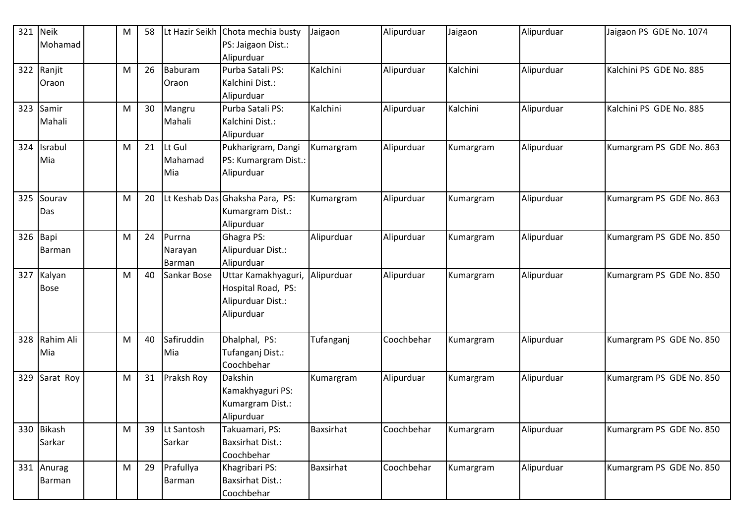| 321 | <b>Neik</b> | M | 58 |             | Lt Hazir Seikh Chota mechia busty | Jaigaon          | Alipurduar | Jaigaon   | Alipurduar | Jaigaon PS GDE No. 1074  |
|-----|-------------|---|----|-------------|-----------------------------------|------------------|------------|-----------|------------|--------------------------|
|     | Mohamad     |   |    |             | PS: Jaigaon Dist.:                |                  |            |           |            |                          |
|     |             |   |    |             | Alipurduar                        |                  |            |           |            |                          |
| 322 | Ranjit      | M | 26 | Baburam     | Purba Satali PS:                  | Kalchini         | Alipurduar | Kalchini  | Alipurduar | Kalchini PS GDE No. 885  |
|     | Oraon       |   |    | Oraon       | Kalchini Dist.:                   |                  |            |           |            |                          |
|     |             |   |    |             | Alipurduar                        |                  |            |           |            |                          |
| 323 | Samir       | M | 30 | Mangru      | Purba Satali PS:                  | Kalchini         | Alipurduar | Kalchini  | Alipurduar | Kalchini PS GDE No. 885  |
|     | Mahali      |   |    | Mahali      | Kalchini Dist.:                   |                  |            |           |            |                          |
|     |             |   |    |             | Alipurduar                        |                  |            |           |            |                          |
| 324 | Israbul     | M | 21 | Lt Gul      | Pukharigram, Dangi                | Kumargram        | Alipurduar | Kumargram | Alipurduar | Kumargram PS GDE No. 863 |
|     | Mia         |   |    | Mahamad     | PS: Kumargram Dist.:              |                  |            |           |            |                          |
|     |             |   |    | Mia         | Alipurduar                        |                  |            |           |            |                          |
|     |             |   |    |             |                                   |                  |            |           |            |                          |
| 325 | Sourav      | M | 20 |             | Lt Keshab Das Ghaksha Para, PS:   | Kumargram        | Alipurduar | Kumargram | Alipurduar | Kumargram PS GDE No. 863 |
|     | Das         |   |    |             | Kumargram Dist.:                  |                  |            |           |            |                          |
|     |             |   |    |             | Alipurduar                        |                  |            |           |            |                          |
|     | 326 Bapi    | M | 24 | Purrna      | Ghagra PS:                        | Alipurduar       | Alipurduar | Kumargram | Alipurduar | Kumargram PS GDE No. 850 |
|     | Barman      |   |    | Narayan     | Alipurduar Dist.:                 |                  |            |           |            |                          |
|     |             |   |    | Barman      | Alipurduar                        |                  |            |           |            |                          |
| 327 | Kalyan      | M | 40 | Sankar Bose | Uttar Kamakhyaguri,               | Alipurduar       | Alipurduar | Kumargram | Alipurduar | Kumargram PS GDE No. 850 |
|     | <b>Bose</b> |   |    |             | Hospital Road, PS:                |                  |            |           |            |                          |
|     |             |   |    |             | Alipurduar Dist.:                 |                  |            |           |            |                          |
|     |             |   |    |             | Alipurduar                        |                  |            |           |            |                          |
|     |             |   |    |             |                                   |                  |            |           |            |                          |
| 328 | Rahim Ali   | М | 40 | Safiruddin  | Dhalphal, PS:                     | Tufanganj        | Coochbehar | Kumargram | Alipurduar | Kumargram PS GDE No. 850 |
|     | Mia         |   |    | Mia         | Tufanganj Dist.:                  |                  |            |           |            |                          |
|     |             |   |    |             | Coochbehar                        |                  |            |           |            |                          |
| 329 | Sarat Roy   | M | 31 | Praksh Roy  | Dakshin                           | Kumargram        | Alipurduar | Kumargram | Alipurduar | Kumargram PS GDE No. 850 |
|     |             |   |    |             | Kamakhyaguri PS:                  |                  |            |           |            |                          |
|     |             |   |    |             | Kumargram Dist.:                  |                  |            |           |            |                          |
|     |             |   |    |             | Alipurduar                        |                  |            |           |            |                          |
|     | 330 Bikash  | M | 39 | Lt Santosh  | Takuamari, PS:                    | <b>Baxsirhat</b> | Coochbehar | Kumargram | Alipurduar | Kumargram PS GDE No. 850 |
|     | Sarkar      |   |    | Sarkar      | Baxsirhat Dist.:                  |                  |            |           |            |                          |
|     |             |   |    |             | Coochbehar                        |                  |            |           |            |                          |
|     | 331 Anurag  | M | 29 | Prafullya   | Khagribari PS:                    | <b>Baxsirhat</b> | Coochbehar | Kumargram | Alipurduar | Kumargram PS GDE No. 850 |
|     | Barman      |   |    | Barman      | Baxsirhat Dist.:                  |                  |            |           |            |                          |
|     |             |   |    |             | Coochbehar                        |                  |            |           |            |                          |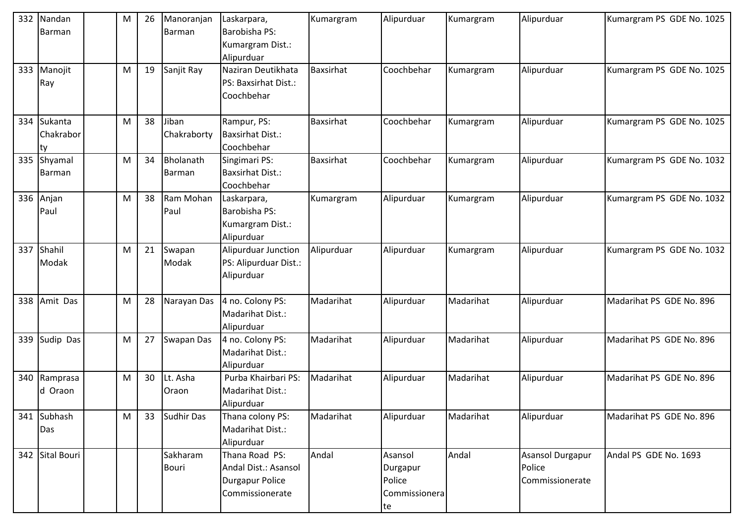| 332 | Nandan          | M | 26 | Manoranjan        | Laskarpara,             | Kumargram        | Alipurduar    | Kumargram | Alipurduar       | Kumargram PS GDE No. 1025 |
|-----|-----------------|---|----|-------------------|-------------------------|------------------|---------------|-----------|------------------|---------------------------|
|     | Barman          |   |    | Barman            | Barobisha PS:           |                  |               |           |                  |                           |
|     |                 |   |    |                   | Kumargram Dist.:        |                  |               |           |                  |                           |
|     |                 |   |    |                   | Alipurduar              |                  |               |           |                  |                           |
| 333 | Manojit         | M | 19 | Sanjit Ray        | Naziran Deutikhata      | <b>Baxsirhat</b> | Coochbehar    | Kumargram | Alipurduar       | Kumargram PS GDE No. 1025 |
|     | Ray             |   |    |                   | PS: Baxsirhat Dist.:    |                  |               |           |                  |                           |
|     |                 |   |    |                   | Coochbehar              |                  |               |           |                  |                           |
|     |                 |   |    |                   |                         |                  |               |           |                  |                           |
| 334 | Sukanta         | M | 38 | Jiban             | Rampur, PS:             | <b>Baxsirhat</b> | Coochbehar    | Kumargram | Alipurduar       | Kumargram PS GDE No. 1025 |
|     | Chakrabor       |   |    | Chakraborty       | <b>Baxsirhat Dist.:</b> |                  |               |           |                  |                           |
|     | ty              |   |    |                   | Coochbehar              |                  |               |           |                  |                           |
|     | 335 Shyamal     | M | 34 | Bholanath         | Singimari PS:           | <b>Baxsirhat</b> | Coochbehar    | Kumargram | Alipurduar       | Kumargram PS GDE No. 1032 |
|     | Barman          |   |    | <b>Barman</b>     | <b>Baxsirhat Dist.:</b> |                  |               |           |                  |                           |
|     |                 |   |    |                   | Coochbehar              |                  |               |           |                  |                           |
|     | 336 Anjan       | M | 38 | Ram Mohan         | Laskarpara,             | Kumargram        | Alipurduar    | Kumargram | Alipurduar       | Kumargram PS GDE No. 1032 |
|     | Paul            |   |    | Paul              | Barobisha PS:           |                  |               |           |                  |                           |
|     |                 |   |    |                   | Kumargram Dist.:        |                  |               |           |                  |                           |
|     |                 |   |    |                   | Alipurduar              |                  |               |           |                  |                           |
| 337 | Shahil          | M | 21 | Swapan            | Alipurduar Junction     | Alipurduar       | Alipurduar    | Kumargram | Alipurduar       | Kumargram PS GDE No. 1032 |
|     | Modak           |   |    | Modak             | PS: Alipurduar Dist.:   |                  |               |           |                  |                           |
|     |                 |   |    |                   | Alipurduar              |                  |               |           |                  |                           |
|     |                 |   |    |                   |                         |                  |               |           |                  |                           |
| 338 | Amit Das        | M | 28 | Narayan Das       | 4 no. Colony PS:        | Madarihat        | Alipurduar    | Madarihat | Alipurduar       | Madarihat PS GDE No. 896  |
|     |                 |   |    |                   | Madarihat Dist.:        |                  |               |           |                  |                           |
|     |                 |   |    |                   | Alipurduar              |                  |               |           |                  |                           |
| 339 | Sudip Das       | M | 27 | Swapan Das        | 4 no. Colony PS:        | Madarihat        | Alipurduar    | Madarihat | Alipurduar       | Madarihat PS GDE No. 896  |
|     |                 |   |    |                   | Madarihat Dist.:        |                  |               |           |                  |                           |
|     |                 |   |    |                   | Alipurduar              |                  |               |           |                  |                           |
|     | 340 Ramprasa    | M | 30 | Lt. Asha          | Purba Khairbari PS:     | Madarihat        | Alipurduar    | Madarihat | Alipurduar       | Madarihat PS GDE No. 896  |
|     | d Oraon         |   |    | Oraon             | Madarihat Dist.:        |                  |               |           |                  |                           |
|     |                 |   |    |                   | Alipurduar              |                  |               |           |                  |                           |
|     | 341 Subhash     | M | 33 | <b>Sudhir Das</b> | Thana colony PS:        | Madarihat        | Alipurduar    | Madarihat | Alipurduar       | Madarihat PS GDE No. 896  |
|     | Das             |   |    |                   | Madarihat Dist.:        |                  |               |           |                  |                           |
|     |                 |   |    |                   | Alipurduar              |                  |               |           |                  |                           |
|     | 342 Sital Bouri |   |    | Sakharam          | Thana Road PS:          | Andal            | Asansol       | Andal     | Asansol Durgapur | Andal PS GDE No. 1693     |
|     |                 |   |    | <b>Bouri</b>      | Andal Dist.: Asansol    |                  | Durgapur      |           | Police           |                           |
|     |                 |   |    |                   | <b>Durgapur Police</b>  |                  | Police        |           | Commissionerate  |                           |
|     |                 |   |    |                   | Commissionerate         |                  | Commissionera |           |                  |                           |
|     |                 |   |    |                   |                         |                  | te            |           |                  |                           |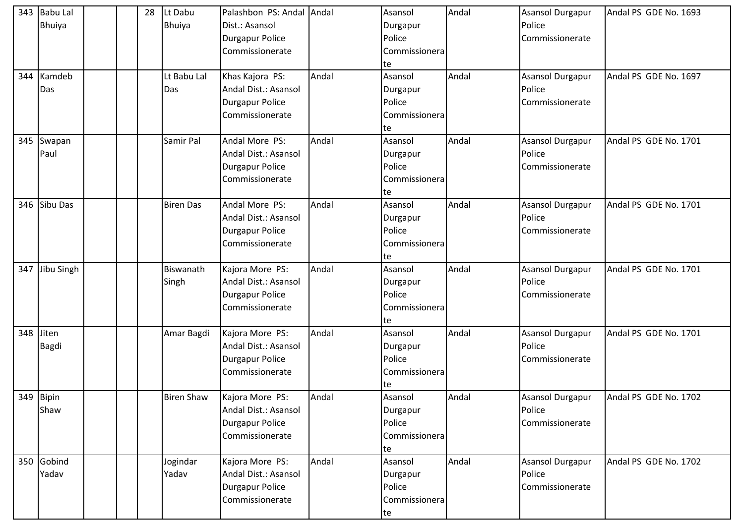| 343 | <b>Babu Lal</b> |  | 28 | Lt Dabu           | Palashbon PS: Andal Andal |       | Asansol       | Andal | <b>Asansol Durgapur</b> | Andal PS GDE No. 1693 |
|-----|-----------------|--|----|-------------------|---------------------------|-------|---------------|-------|-------------------------|-----------------------|
|     | Bhuiya          |  |    | <b>Bhuiya</b>     | Dist.: Asansol            |       | Durgapur      |       | Police                  |                       |
|     |                 |  |    |                   | Durgapur Police           |       | Police        |       | Commissionerate         |                       |
|     |                 |  |    |                   | Commissionerate           |       | Commissionera |       |                         |                       |
|     |                 |  |    |                   |                           |       | te            |       |                         |                       |
| 344 | Kamdeb          |  |    | Lt Babu Lal       | Khas Kajora PS:           | Andal | Asansol       | Andal | Asansol Durgapur        | Andal PS GDE No. 1697 |
|     | Das             |  |    | Das               | Andal Dist.: Asansol      |       | Durgapur      |       | Police                  |                       |
|     |                 |  |    |                   | Durgapur Police           |       | Police        |       | Commissionerate         |                       |
|     |                 |  |    |                   | Commissionerate           |       | Commissionera |       |                         |                       |
|     |                 |  |    |                   |                           |       | te            |       |                         |                       |
| 345 | Swapan          |  |    | Samir Pal         | Andal More PS:            | Andal | Asansol       | Andal | Asansol Durgapur        | Andal PS GDE No. 1701 |
|     | Paul            |  |    |                   | Andal Dist.: Asansol      |       | Durgapur      |       | Police                  |                       |
|     |                 |  |    |                   | Durgapur Police           |       | Police        |       | Commissionerate         |                       |
|     |                 |  |    |                   | Commissionerate           |       | Commissionera |       |                         |                       |
|     |                 |  |    |                   |                           |       | te            |       |                         |                       |
|     | 346 Sibu Das    |  |    | <b>Biren Das</b>  | Andal More PS:            | Andal | Asansol       | Andal | <b>Asansol Durgapur</b> | Andal PS GDE No. 1701 |
|     |                 |  |    |                   | Andal Dist.: Asansol      |       | Durgapur      |       | Police                  |                       |
|     |                 |  |    |                   | <b>Durgapur Police</b>    |       | Police        |       | Commissionerate         |                       |
|     |                 |  |    |                   | Commissionerate           |       | Commissionera |       |                         |                       |
|     |                 |  |    |                   |                           |       | te            |       |                         |                       |
| 347 | Jibu Singh      |  |    | Biswanath         | Kajora More PS:           | Andal | Asansol       | Andal | Asansol Durgapur        | Andal PS GDE No. 1701 |
|     |                 |  |    | Singh             | Andal Dist.: Asansol      |       | Durgapur      |       | Police                  |                       |
|     |                 |  |    |                   | <b>Durgapur Police</b>    |       | Police        |       | Commissionerate         |                       |
|     |                 |  |    |                   | Commissionerate           |       | Commissionera |       |                         |                       |
|     |                 |  |    |                   |                           |       | te            |       |                         |                       |
| 348 | Jiten           |  |    | Amar Bagdi        | Kajora More PS:           | Andal | Asansol       | Andal | Asansol Durgapur        | Andal PS GDE No. 1701 |
|     | <b>Bagdi</b>    |  |    |                   | Andal Dist.: Asansol      |       | Durgapur      |       | Police                  |                       |
|     |                 |  |    |                   | Durgapur Police           |       | Police        |       | Commissionerate         |                       |
|     |                 |  |    |                   | Commissionerate           |       | Commissionera |       |                         |                       |
|     |                 |  |    |                   |                           |       | te            |       |                         |                       |
|     | 349 Bipin       |  |    | <b>Biren Shaw</b> | Kajora More PS:           | Andal | Asansol       | Andal | Asansol Durgapur        | Andal PS GDE No. 1702 |
|     | Shaw            |  |    |                   | Andal Dist.: Asansol      |       | Durgapur      |       | Police                  |                       |
|     |                 |  |    |                   | <b>Durgapur Police</b>    |       | Police        |       | Commissionerate         |                       |
|     |                 |  |    |                   | Commissionerate           |       | Commissionera |       |                         |                       |
|     |                 |  |    |                   |                           |       | te            |       |                         |                       |
|     | 350 Gobind      |  |    | Jogindar          | Kajora More PS:           | Andal | Asansol       | Andal | <b>Asansol Durgapur</b> | Andal PS GDE No. 1702 |
|     | Yadav           |  |    | Yadav             | Andal Dist.: Asansol      |       | Durgapur      |       | Police                  |                       |
|     |                 |  |    |                   | <b>Durgapur Police</b>    |       | Police        |       | Commissionerate         |                       |
|     |                 |  |    |                   | Commissionerate           |       | Commissionera |       |                         |                       |
|     |                 |  |    |                   |                           |       | te            |       |                         |                       |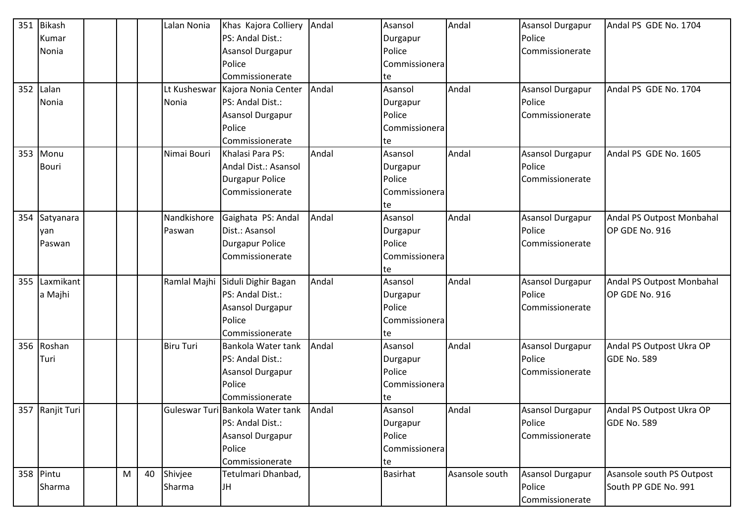| 351 | <b>Bikash</b>   |   |    | Lalan Nonia      | Khas Kajora Colliery             | Andal | Asansol         | Andal          | Asansol Durgapur        | Andal PS GDE No. 1704     |
|-----|-----------------|---|----|------------------|----------------------------------|-------|-----------------|----------------|-------------------------|---------------------------|
|     | Kumar           |   |    |                  | PS: Andal Dist.:                 |       | Durgapur        |                | Police                  |                           |
|     | Nonia           |   |    |                  | Asansol Durgapur                 |       | Police          |                | Commissionerate         |                           |
|     |                 |   |    |                  | Police                           |       | Commissionera   |                |                         |                           |
|     |                 |   |    |                  | Commissionerate                  |       | te              |                |                         |                           |
| 352 | Lalan           |   |    | Lt Kusheswar     | Kajora Nonia Center              | Andal | Asansol         | Andal          | Asansol Durgapur        | Andal PS GDE No. 1704     |
|     | Nonia           |   |    | Nonia            | PS: Andal Dist.:                 |       | Durgapur        |                | Police                  |                           |
|     |                 |   |    |                  | <b>Asansol Durgapur</b>          |       | Police          |                | Commissionerate         |                           |
|     |                 |   |    |                  | Police                           |       | Commissionera   |                |                         |                           |
|     |                 |   |    |                  | Commissionerate                  |       | te              |                |                         |                           |
| 353 | Monu            |   |    | Nimai Bouri      | Khalasi Para PS:                 | Andal | Asansol         | Andal          | Asansol Durgapur        | Andal PS GDE No. 1605     |
|     | <b>Bouri</b>    |   |    |                  | Andal Dist.: Asansol             |       | Durgapur        |                | Police                  |                           |
|     |                 |   |    |                  | <b>Durgapur Police</b>           |       | Police          |                | Commissionerate         |                           |
|     |                 |   |    |                  | Commissionerate                  |       | Commissionera   |                |                         |                           |
|     |                 |   |    |                  |                                  |       | te              |                |                         |                           |
|     | 354 Satyanara   |   |    | Nandkishore      | Gaighata PS: Andal               | Andal | Asansol         | Andal          | Asansol Durgapur        | Andal PS Outpost Monbahal |
|     | yan             |   |    | Paswan           | Dist.: Asansol                   |       | Durgapur        |                | Police                  | OP GDE No. 916            |
|     | Paswan          |   |    |                  | <b>Durgapur Police</b>           |       | Police          |                | Commissionerate         |                           |
|     |                 |   |    |                  | Commissionerate                  |       | Commissionera   |                |                         |                           |
|     |                 |   |    |                  |                                  |       | te              |                |                         |                           |
| 355 | Laxmikant       |   |    |                  | Ramlal Majhi Siduli Dighir Bagan | Andal | Asansol         | Andal          | Asansol Durgapur        | Andal PS Outpost Monbahal |
|     | a Majhi         |   |    |                  | PS: Andal Dist.:                 |       | Durgapur        |                | Police                  | OP GDE No. 916            |
|     |                 |   |    |                  | <b>Asansol Durgapur</b>          |       | Police          |                | Commissionerate         |                           |
|     |                 |   |    |                  | Police                           |       | Commissionera   |                |                         |                           |
|     |                 |   |    |                  | Commissionerate                  |       | te              |                |                         |                           |
|     | 356 Roshan      |   |    | <b>Biru Turi</b> | Bankola Water tank               | Andal | Asansol         | Andal          | Asansol Durgapur        | Andal PS Outpost Ukra OP  |
|     | Turi            |   |    |                  | PS: Andal Dist.:                 |       | Durgapur        |                | Police                  | <b>GDE No. 589</b>        |
|     |                 |   |    |                  | <b>Asansol Durgapur</b>          |       | Police          |                | Commissionerate         |                           |
|     |                 |   |    |                  | Police                           |       | Commissionera   |                |                         |                           |
|     |                 |   |    |                  | Commissionerate                  |       | te              |                |                         |                           |
|     | 357 Ranjit Turi |   |    |                  | Guleswar Turi Bankola Water tank | Andal | Asansol         | Andal          | <b>Asansol Durgapur</b> | Andal PS Outpost Ukra OP  |
|     |                 |   |    |                  | PS: Andal Dist.:                 |       | Durgapur        |                | Police                  | <b>GDE No. 589</b>        |
|     |                 |   |    |                  | <b>Asansol Durgapur</b>          |       | Police          |                | Commissionerate         |                           |
|     |                 |   |    |                  | Police                           |       | Commissionera   |                |                         |                           |
|     |                 |   |    |                  | Commissionerate                  |       | te              |                |                         |                           |
|     | 358 Pintu       | M | 40 | Shivjee          | Tetulmari Dhanbad,               |       | <b>Basirhat</b> | Asansole south | Asansol Durgapur        | Asansole south PS Outpost |
|     | Sharma          |   |    | Sharma           | JH                               |       |                 |                | Police                  | South PP GDE No. 991      |
|     |                 |   |    |                  |                                  |       |                 |                | Commissionerate         |                           |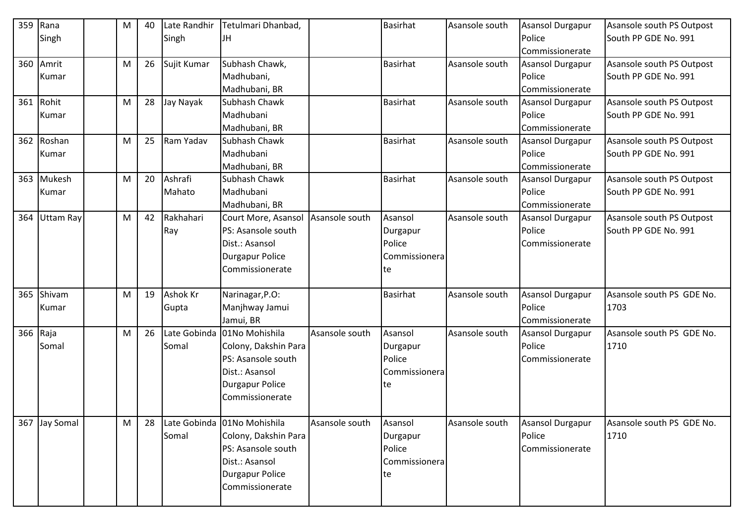| 359      | Rana             | M | 40 | Late Randhir | Tetulmari Dhanbad,          |                | <b>Basirhat</b> | Asansole south | Asansol Durgapur        | Asansole south PS Outpost |
|----------|------------------|---|----|--------------|-----------------------------|----------------|-----------------|----------------|-------------------------|---------------------------|
|          | Singh            |   |    | Singh        | JH                          |                |                 |                | Police                  | South PP GDE No. 991      |
|          |                  |   |    |              |                             |                |                 |                | Commissionerate         |                           |
| 360      | Amrit            | M | 26 | Sujit Kumar  | Subhash Chawk,              |                | <b>Basirhat</b> | Asansole south | Asansol Durgapur        | Asansole south PS Outpost |
|          | Kumar            |   |    |              | Madhubani,                  |                |                 |                | Police                  | South PP GDE No. 991      |
|          |                  |   |    |              | Madhubani, BR               |                |                 |                | Commissionerate         |                           |
|          | 361 Rohit        | M | 28 | Jay Nayak    | Subhash Chawk               |                | <b>Basirhat</b> | Asansole south | Asansol Durgapur        | Asansole south PS Outpost |
|          | Kumar            |   |    |              | Madhubani                   |                |                 |                | Police                  | South PP GDE No. 991      |
|          |                  |   |    |              | Madhubani, BR               |                |                 |                | Commissionerate         |                           |
|          | 362 Roshan       | M | 25 | Ram Yadav    | Subhash Chawk               |                | <b>Basirhat</b> | Asansole south | <b>Asansol Durgapur</b> | Asansole south PS Outpost |
|          | Kumar            |   |    |              | Madhubani                   |                |                 |                | Police                  | South PP GDE No. 991      |
|          |                  |   |    |              | Madhubani, BR               |                |                 |                | Commissionerate         |                           |
| 363      | Mukesh           | M | 20 | Ashrafi      | Subhash Chawk               |                | <b>Basirhat</b> | Asansole south | Asansol Durgapur        | Asansole south PS Outpost |
|          | Kumar            |   |    | Mahato       | Madhubani                   |                |                 |                | Police                  | South PP GDE No. 991      |
|          |                  |   |    |              | Madhubani, BR               |                |                 |                | Commissionerate         |                           |
| 364      | <b>Uttam Ray</b> | M | 42 | Rakhahari    | Court More, Asansol         | Asansole south | Asansol         | Asansole south | Asansol Durgapur        | Asansole south PS Outpost |
|          |                  |   |    | Ray          | PS: Asansole south          |                | Durgapur        |                | Police                  | South PP GDE No. 991      |
|          |                  |   |    |              | Dist.: Asansol              |                | Police          |                | Commissionerate         |                           |
|          |                  |   |    |              | <b>Durgapur Police</b>      |                | Commissionera   |                |                         |                           |
|          |                  |   |    |              | Commissionerate             |                | te              |                |                         |                           |
|          |                  |   |    |              |                             |                |                 |                |                         |                           |
| 365      | Shivam           | M | 19 | Ashok Kr     | Narinagar, P.O:             |                | <b>Basirhat</b> | Asansole south | Asansol Durgapur        | Asansole south PS GDE No. |
|          | Kumar            |   |    | Gupta        | Manjhway Jamui              |                |                 |                | Police                  | 1703                      |
|          |                  |   |    |              | Jamui, BR                   |                |                 |                | Commissionerate         |                           |
| 366 Raja |                  | M | 26 | Late Gobinda | 01No Mohishila              | Asansole south | Asansol         | Asansole south | Asansol Durgapur        | Asansole south PS GDE No. |
|          | Somal            |   |    | Somal        | Colony, Dakshin Para        |                | Durgapur        |                | Police                  | 1710                      |
|          |                  |   |    |              | PS: Asansole south          |                | Police          |                | Commissionerate         |                           |
|          |                  |   |    |              | Dist.: Asansol              |                | Commissionera   |                |                         |                           |
|          |                  |   |    |              | <b>Durgapur Police</b>      |                | te              |                |                         |                           |
|          |                  |   |    |              | Commissionerate             |                |                 |                |                         |                           |
|          |                  |   |    |              |                             |                |                 |                |                         |                           |
|          | 367 Jay Somal    | M | 28 |              | Late Gobinda 01No Mohishila | Asansole south | Asansol         | Asansole south | Asansol Durgapur        | Asansole south PS GDE No. |
|          |                  |   |    | Somal        | Colony, Dakshin Para        |                | Durgapur        |                | Police                  | 1710                      |
|          |                  |   |    |              | PS: Asansole south          |                | Police          |                | Commissionerate         |                           |
|          |                  |   |    |              | Dist.: Asansol              |                | Commissionera   |                |                         |                           |
|          |                  |   |    |              | <b>Durgapur Police</b>      |                | te              |                |                         |                           |
|          |                  |   |    |              | Commissionerate             |                |                 |                |                         |                           |
|          |                  |   |    |              |                             |                |                 |                |                         |                           |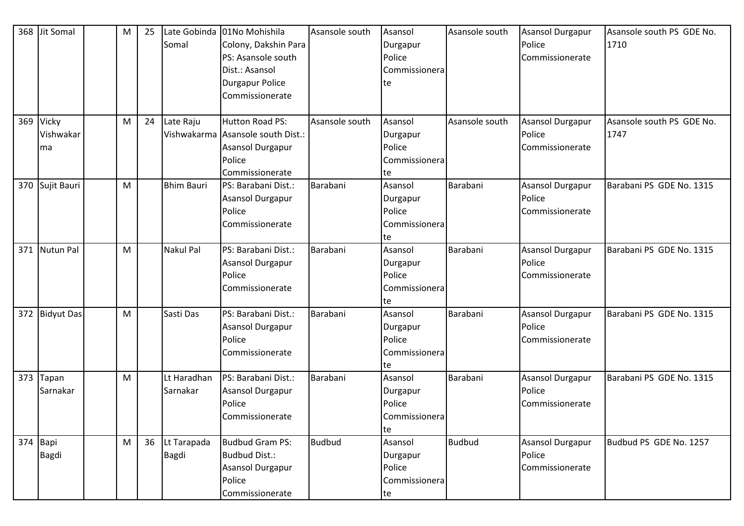| 369      | 368 Jit Somal<br>Vicky<br>Vishwakar<br>ma | M<br>M | 25<br>24 | Somal<br>Late Raju      | Late Gobinda 01No Mohishila<br>Colony, Dakshin Para<br>PS: Asansole south<br>Dist.: Asansol<br>Durgapur Police<br>Commissionerate<br><b>Hutton Road PS:</b><br>Vishwakarma Asansole south Dist.:<br><b>Asansol Durgapur</b> | Asansole south<br>Asansole south | Asansol<br>Durgapur<br>Police<br>Commissionera<br>te<br>Asansol<br>Durgapur<br>Police | Asansole south<br>Asansole south | <b>Asansol Durgapur</b><br>Police<br>Commissionerate<br>Asansol Durgapur<br>Police<br>Commissionerate | Asansole south PS GDE No.<br>1710<br>Asansole south PS GDE No.<br>1747 |
|----------|-------------------------------------------|--------|----------|-------------------------|-----------------------------------------------------------------------------------------------------------------------------------------------------------------------------------------------------------------------------|----------------------------------|---------------------------------------------------------------------------------------|----------------------------------|-------------------------------------------------------------------------------------------------------|------------------------------------------------------------------------|
|          |                                           |        |          |                         | Police<br>Commissionerate                                                                                                                                                                                                   |                                  | Commissionera<br>te                                                                   |                                  |                                                                                                       |                                                                        |
|          | 370 Sujit Bauri                           | M      |          | <b>Bhim Bauri</b>       | PS: Barabani Dist.:<br>Asansol Durgapur<br>Police<br>Commissionerate                                                                                                                                                        | Barabani                         | Asansol<br>Durgapur<br>Police<br>Commissionera<br>te                                  | Barabani                         | Asansol Durgapur<br>Police<br>Commissionerate                                                         | Barabani PS GDE No. 1315                                               |
| 371      | <b>Nutun Pal</b>                          | M      |          | Nakul Pal               | PS: Barabani Dist.:<br><b>Asansol Durgapur</b><br>Police<br>Commissionerate                                                                                                                                                 | Barabani                         | Asansol<br>Durgapur<br>Police<br>Commissionera<br>te                                  | Barabani                         | Asansol Durgapur<br>Police<br>Commissionerate                                                         | Barabani PS GDE No. 1315                                               |
| 372      | <b>Bidyut Das</b>                         | M      |          | Sasti Das               | PS: Barabani Dist.:<br><b>Asansol Durgapur</b><br>Police<br>Commissionerate                                                                                                                                                 | Barabani                         | Asansol<br>Durgapur<br>Police<br>Commissionera<br>te                                  | Barabani                         | Asansol Durgapur<br>Police<br>Commissionerate                                                         | Barabani PS GDE No. 1315                                               |
| 373      | Tapan<br>Sarnakar                         | M      |          | Lt Haradhan<br>Sarnakar | PS: Barabani Dist.:<br>Asansol Durgapur<br>Police<br>Commissionerate                                                                                                                                                        | Barabani                         | Asansol<br>Durgapur<br>Police<br>Commissionera<br>te                                  | Barabani                         | Asansol Durgapur<br>Police<br>Commissionerate                                                         | Barabani PS GDE No. 1315                                               |
| 374 Bapi | Bagdi                                     | M      | 36       | Lt Tarapada<br>Bagdi    | <b>Budbud Gram PS:</b><br><b>Budbud Dist.:</b><br>Asansol Durgapur<br>Police<br>Commissionerate                                                                                                                             | <b>Budbud</b>                    | Asansol<br>Durgapur<br>Police<br>Commissionera<br>te                                  | <b>Budbud</b>                    | Asansol Durgapur<br>Police<br>Commissionerate                                                         | Budbud PS GDE No. 1257                                                 |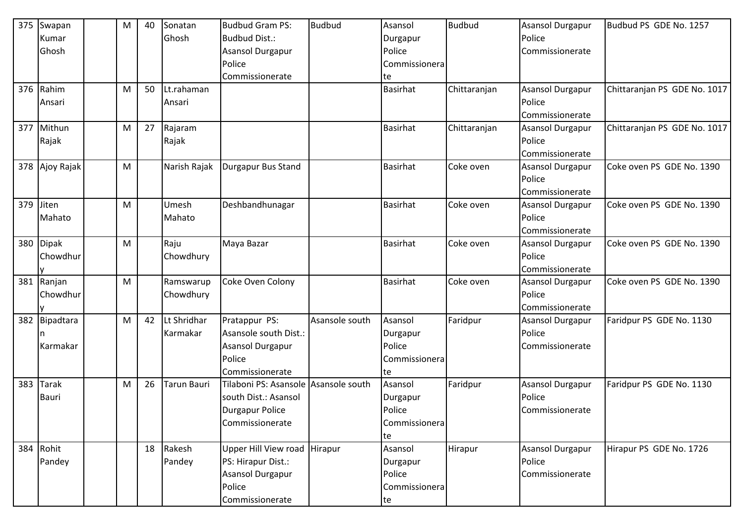|     | 375 Swapan     | м | 40 | Sonatan      | <b>Budbud Gram PS:</b>       | <b>Budbud</b>  | Asansol         | <b>Budbud</b> | Asansol Durgapur        | Budbud PS GDE No. 1257       |
|-----|----------------|---|----|--------------|------------------------------|----------------|-----------------|---------------|-------------------------|------------------------------|
|     | Kumar          |   |    | Ghosh        | <b>Budbud Dist.:</b>         |                | Durgapur        |               | Police                  |                              |
|     | Ghosh          |   |    |              | Asansol Durgapur             |                | Police          |               | Commissionerate         |                              |
|     |                |   |    |              | Police                       |                | Commissionera   |               |                         |                              |
|     |                |   |    |              | Commissionerate              |                | te              |               |                         |                              |
|     | 376 Rahim      | M | 50 | Lt.rahaman   |                              |                | <b>Basirhat</b> | Chittaranjan  | <b>Asansol Durgapur</b> | Chittaranjan PS GDE No. 1017 |
|     | Ansari         |   |    | Ansari       |                              |                |                 |               | Police                  |                              |
|     |                |   |    |              |                              |                |                 |               | Commissionerate         |                              |
| 377 | Mithun         | M | 27 | Rajaram      |                              |                | <b>Basirhat</b> | Chittaranjan  | Asansol Durgapur        | Chittaranjan PS GDE No. 1017 |
|     | Rajak          |   |    | Rajak        |                              |                |                 |               | Police                  |                              |
|     |                |   |    |              |                              |                |                 |               | Commissionerate         |                              |
|     | 378 Ajoy Rajak | M |    | Narish Rajak | Durgapur Bus Stand           |                | <b>Basirhat</b> | Coke oven     | Asansol Durgapur        | Coke oven PS GDE No. 1390    |
|     |                |   |    |              |                              |                |                 |               | Police                  |                              |
|     |                |   |    |              |                              |                |                 |               | Commissionerate         |                              |
| 379 | Jiten          | M |    | Umesh        | Deshbandhunagar              |                | <b>Basirhat</b> | Coke oven     | Asansol Durgapur        | Coke oven PS GDE No. 1390    |
|     | Mahato         |   |    | Mahato       |                              |                |                 |               | Police                  |                              |
|     |                |   |    |              |                              |                |                 |               | Commissionerate         |                              |
|     | 380 Dipak      | M |    | Raju         | Maya Bazar                   |                | <b>Basirhat</b> | Coke oven     | Asansol Durgapur        | Coke oven PS GDE No. 1390    |
|     | Chowdhur       |   |    | Chowdhury    |                              |                |                 |               | Police                  |                              |
|     |                |   |    |              |                              |                |                 |               | Commissionerate         |                              |
|     | 381 Ranjan     | M |    | Ramswarup    | Coke Oven Colony             |                | <b>Basirhat</b> | Coke oven     | Asansol Durgapur        | Coke oven PS GDE No. 1390    |
|     | Chowdhur       |   |    | Chowdhury    |                              |                |                 |               | Police                  |                              |
|     |                |   |    |              |                              |                |                 |               | Commissionerate         |                              |
|     | 382 Bipadtara  | M | 42 | Lt Shridhar  | Pratappur PS:                | Asansole south | Asansol         | Faridpur      | Asansol Durgapur        | Faridpur PS GDE No. 1130     |
|     |                |   |    | Karmakar     | Asansole south Dist.:        |                | Durgapur        |               | Police                  |                              |
|     | Karmakar       |   |    |              | Asansol Durgapur             |                | Police          |               | Commissionerate         |                              |
|     |                |   |    |              | Police                       |                | Commissionera   |               |                         |                              |
|     |                |   |    |              | Commissionerate              |                | te              |               |                         |                              |
| 383 | <b>Tarak</b>   | M | 26 | Tarun Bauri  | Tilaboni PS: Asansole        | Asansole south | Asansol         | Faridpur      | Asansol Durgapur        | Faridpur PS GDE No. 1130     |
|     | <b>Bauri</b>   |   |    |              | south Dist.: Asansol         |                | Durgapur        |               | Police                  |                              |
|     |                |   |    |              | Durgapur Police              |                | Police          |               | Commissionerate         |                              |
|     |                |   |    |              | Commissionerate              |                | Commissionera   |               |                         |                              |
|     |                |   |    |              |                              |                | te              |               |                         |                              |
|     | 384 Rohit      |   | 18 | Rakesh       | Upper Hill View road Hirapur |                | Asansol         | Hirapur       | Asansol Durgapur        | Hirapur PS GDE No. 1726      |
|     | Pandey         |   |    | Pandey       | PS: Hirapur Dist.:           |                | Durgapur        |               | Police                  |                              |
|     |                |   |    |              | Asansol Durgapur             |                | Police          |               | Commissionerate         |                              |
|     |                |   |    |              | Police                       |                | Commissionera   |               |                         |                              |
|     |                |   |    |              | Commissionerate              |                | te              |               |                         |                              |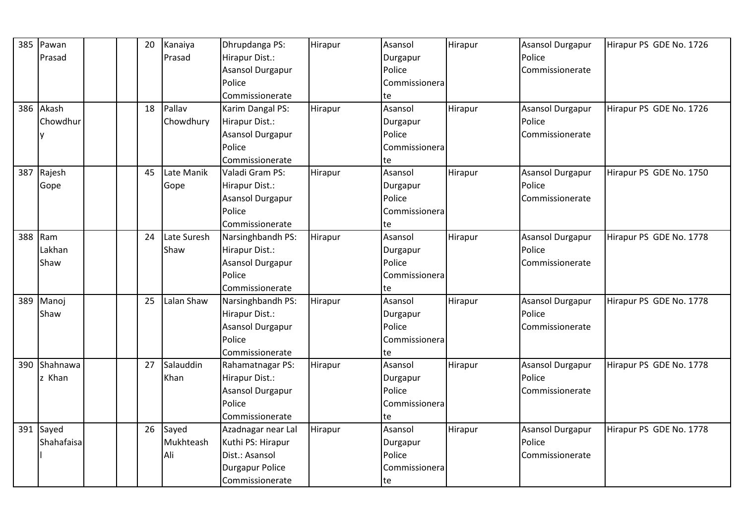| 385 | Pawan      |  | 20 | Kanaiya     | Dhrupdanga PS:          | Hirapur | Asansol       | Hirapur | <b>Asansol Durgapur</b> | Hirapur PS GDE No. 1726 |
|-----|------------|--|----|-------------|-------------------------|---------|---------------|---------|-------------------------|-------------------------|
|     | Prasad     |  |    | Prasad      | Hirapur Dist.:          |         | Durgapur      |         | Police                  |                         |
|     |            |  |    |             | <b>Asansol Durgapur</b> |         | Police        |         | Commissionerate         |                         |
|     |            |  |    |             | Police                  |         | Commissionera |         |                         |                         |
|     |            |  |    |             | Commissionerate         |         | te            |         |                         |                         |
| 386 | Akash      |  | 18 | Pallav      | Karim Dangal PS:        | Hirapur | Asansol       | Hirapur | Asansol Durgapur        | Hirapur PS GDE No. 1726 |
|     | Chowdhur   |  |    | Chowdhury   | Hirapur Dist.:          |         | Durgapur      |         | Police                  |                         |
|     | v          |  |    |             | Asansol Durgapur        |         | Police        |         | Commissionerate         |                         |
|     |            |  |    |             | Police                  |         | Commissionera |         |                         |                         |
|     |            |  |    |             | Commissionerate         |         | te            |         |                         |                         |
| 387 | Rajesh     |  | 45 | Late Manik  | Valadi Gram PS:         | Hirapur | Asansol       | Hirapur | Asansol Durgapur        | Hirapur PS GDE No. 1750 |
|     | Gope       |  |    | Gope        | Hirapur Dist.:          |         | Durgapur      |         | Police                  |                         |
|     |            |  |    |             | Asansol Durgapur        |         | Police        |         | Commissionerate         |                         |
|     |            |  |    |             | Police                  |         | Commissionera |         |                         |                         |
|     |            |  |    |             | Commissionerate         |         | te            |         |                         |                         |
| 388 | Ram        |  | 24 | Late Suresh | Narsinghbandh PS:       | Hirapur | Asansol       | Hirapur | <b>Asansol Durgapur</b> | Hirapur PS GDE No. 1778 |
|     | Lakhan     |  |    | Shaw        | Hirapur Dist.:          |         | Durgapur      |         | Police                  |                         |
|     | Shaw       |  |    |             | Asansol Durgapur        |         | Police        |         | Commissionerate         |                         |
|     |            |  |    |             | Police                  |         | Commissionera |         |                         |                         |
|     |            |  |    |             | Commissionerate         |         | te            |         |                         |                         |
| 389 | Manoj      |  | 25 | Lalan Shaw  | Narsinghbandh PS:       | Hirapur | Asansol       | Hirapur | <b>Asansol Durgapur</b> | Hirapur PS GDE No. 1778 |
|     | Shaw       |  |    |             | Hirapur Dist.:          |         | Durgapur      |         | Police                  |                         |
|     |            |  |    |             | Asansol Durgapur        |         | Police        |         | Commissionerate         |                         |
|     |            |  |    |             | Police                  |         | Commissionera |         |                         |                         |
|     |            |  |    |             | Commissionerate         |         | te            |         |                         |                         |
| 390 | Shahnawa   |  | 27 | Salauddin   | Rahamatnagar PS:        | Hirapur | Asansol       | Hirapur | <b>Asansol Durgapur</b> | Hirapur PS GDE No. 1778 |
|     | z Khan     |  |    | Khan        | Hirapur Dist.:          |         | Durgapur      |         | Police                  |                         |
|     |            |  |    |             | Asansol Durgapur        |         | Police        |         | Commissionerate         |                         |
|     |            |  |    |             | Police                  |         | Commissionera |         |                         |                         |
|     |            |  |    |             | Commissionerate         |         | te            |         |                         |                         |
|     | 391 Sayed  |  | 26 | Sayed       | Azadnagar near Lal      | Hirapur | Asansol       | Hirapur | <b>Asansol Durgapur</b> | Hirapur PS GDE No. 1778 |
|     | Shahafaisa |  |    | Mukhteash   | Kuthi PS: Hirapur       |         | Durgapur      |         | Police                  |                         |
|     |            |  |    | Ali         | Dist.: Asansol          |         | Police        |         | Commissionerate         |                         |
|     |            |  |    |             | <b>Durgapur Police</b>  |         | Commissionera |         |                         |                         |
|     |            |  |    |             | Commissionerate         |         | Ite           |         |                         |                         |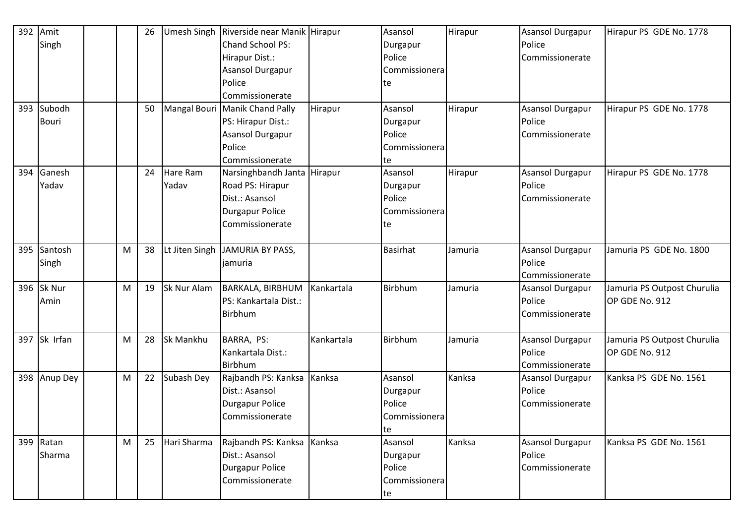| 392 | Amit         |   | 26 | <b>Umesh Singh</b> | Riverside near Manik Hirapur   |            | Asansol         | Hirapur | Asansol Durgapur | Hirapur PS GDE No. 1778     |
|-----|--------------|---|----|--------------------|--------------------------------|------------|-----------------|---------|------------------|-----------------------------|
|     | Singh        |   |    |                    | Chand School PS:               |            | Durgapur        |         | Police           |                             |
|     |              |   |    |                    | Hirapur Dist.:                 |            | Police          |         | Commissionerate  |                             |
|     |              |   |    |                    | Asansol Durgapur               |            | Commissionera   |         |                  |                             |
|     |              |   |    |                    | Police                         |            | te              |         |                  |                             |
|     |              |   |    |                    | Commissionerate                |            |                 |         |                  |                             |
|     | 393 Subodh   |   | 50 |                    | Mangal Bouri Manik Chand Pally | Hirapur    | Asansol         | Hirapur | Asansol Durgapur | Hirapur PS GDE No. 1778     |
|     | <b>Bouri</b> |   |    |                    | PS: Hirapur Dist.:             |            | Durgapur        |         | Police           |                             |
|     |              |   |    |                    | Asansol Durgapur               |            | Police          |         | Commissionerate  |                             |
|     |              |   |    |                    | Police                         |            | Commissionera   |         |                  |                             |
|     |              |   |    |                    | Commissionerate                |            | te              |         |                  |                             |
| 394 | Ganesh       |   | 24 | Hare Ram           | Narsinghbandh Janta Hirapur    |            | Asansol         | Hirapur | Asansol Durgapur | Hirapur PS GDE No. 1778     |
|     | Yadav        |   |    | Yadav              | Road PS: Hirapur               |            | Durgapur        |         | Police           |                             |
|     |              |   |    |                    | Dist.: Asansol                 |            | Police          |         | Commissionerate  |                             |
|     |              |   |    |                    | <b>Durgapur Police</b>         |            | Commissionera   |         |                  |                             |
|     |              |   |    |                    | Commissionerate                |            | te              |         |                  |                             |
|     |              |   |    |                    |                                |            |                 |         |                  |                             |
| 395 | Santosh      | M | 38 | Lt Jiten Singh     | JAMURIA BY PASS,               |            | <b>Basirhat</b> | Jamuria | Asansol Durgapur | Jamuria PS GDE No. 1800     |
|     | Singh        |   |    |                    | jamuria                        |            |                 |         | Police           |                             |
|     |              |   |    |                    |                                |            |                 |         | Commissionerate  |                             |
|     | 396 Sk Nur   | M | 19 | Sk Nur Alam        | <b>BARKALA, BIRBHUM</b>        | Kankartala | Birbhum         | Jamuria | Asansol Durgapur | Jamuria PS Outpost Churulia |
|     | Amin         |   |    |                    | PS: Kankartala Dist.:          |            |                 |         | Police           | OP GDE No. 912              |
|     |              |   |    |                    | Birbhum                        |            |                 |         | Commissionerate  |                             |
|     |              |   |    |                    |                                |            |                 |         |                  |                             |
|     | 397 Sk Irfan | M | 28 | Sk Mankhu          | BARRA, PS:                     | Kankartala | Birbhum         | Jamuria | Asansol Durgapur | Jamuria PS Outpost Churulia |
|     |              |   |    |                    | Kankartala Dist.:              |            |                 |         | Police           | OP GDE No. 912              |
|     |              |   |    |                    | Birbhum                        |            |                 |         | Commissionerate  |                             |
|     | 398 Anup Dey | M | 22 | Subash Dey         | Rajbandh PS: Kanksa            | Kanksa     | Asansol         | Kanksa  | Asansol Durgapur | Kanksa PS GDE No. 1561      |
|     |              |   |    |                    | Dist.: Asansol                 |            | Durgapur        |         | Police           |                             |
|     |              |   |    |                    | <b>Durgapur Police</b>         |            | Police          |         | Commissionerate  |                             |
|     |              |   |    |                    | Commissionerate                |            | Commissionera   |         |                  |                             |
|     |              |   |    |                    |                                |            | te              |         |                  |                             |
|     | 399 Ratan    | M | 25 | Hari Sharma        | Rajbandh PS: Kanksa Kanksa     |            | Asansol         | Kanksa  | Asansol Durgapur | Kanksa PS GDE No. 1561      |
|     | Sharma       |   |    |                    | Dist.: Asansol                 |            | Durgapur        |         | Police           |                             |
|     |              |   |    |                    | Durgapur Police                |            | Police          |         | Commissionerate  |                             |
|     |              |   |    |                    | Commissionerate                |            | Commissionera   |         |                  |                             |
|     |              |   |    |                    |                                |            | te              |         |                  |                             |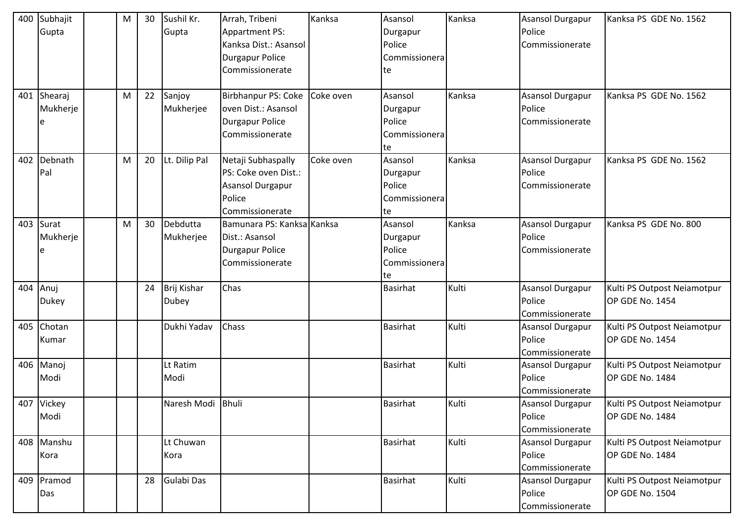| 400 | Subhajit<br>Gupta          | М | 30 | Sushil Kr.<br>Gupta         | Arrah, Tribeni<br><b>Appartment PS:</b><br>Kanksa Dist.: Asansol<br><b>Durgapur Police</b><br>Commissionerate | Kanksa    | Asansol<br>Durgapur<br>Police<br>Commissionera<br>te | Kanksa | <b>Asansol Durgapur</b><br>Police<br>Commissionerate | Kanksa PS GDE No. 1562                         |
|-----|----------------------------|---|----|-----------------------------|---------------------------------------------------------------------------------------------------------------|-----------|------------------------------------------------------|--------|------------------------------------------------------|------------------------------------------------|
| 401 | Shearaj<br>Mukherje<br>e   | M | 22 | Sanjoy<br>Mukherjee         | <b>Birbhanpur PS: Coke</b><br>oven Dist.: Asansol<br><b>Durgapur Police</b><br>Commissionerate                | Coke oven | Asansol<br>Durgapur<br>Police<br>Commissionera<br>te | Kanksa | Asansol Durgapur<br>Police<br>Commissionerate        | Kanksa PS GDE No. 1562                         |
| 402 | Debnath<br>Pal             | M | 20 | Lt. Dilip Pal               | Netaji Subhaspally<br>PS: Coke oven Dist.:<br>Asansol Durgapur<br>Police<br>Commissionerate                   | Coke oven | Asansol<br>Durgapur<br>Police<br>Commissionera<br>te | Kanksa | Asansol Durgapur<br>Police<br>Commissionerate        | Kanksa PS GDE No. 1562                         |
|     | 403 Surat<br>Mukherje<br>e | M | 30 | Debdutta<br>Mukherjee       | Bamunara PS: Kanksa Kanksa<br>Dist.: Asansol<br><b>Durgapur Police</b><br>Commissionerate                     |           | Asansol<br>Durgapur<br>Police<br>Commissionera<br>te | Kanksa | Asansol Durgapur<br>Police<br>Commissionerate        | Kanksa PS GDE No. 800                          |
|     | 404 Anuj<br>Dukey          |   | 24 | Brij Kishar<br><b>Dubey</b> | Chas                                                                                                          |           | <b>Basirhat</b>                                      | Kulti  | <b>Asansol Durgapur</b><br>Police<br>Commissionerate | Kulti PS Outpost Neiamotpur<br>OP GDE No. 1454 |
| 405 | Chotan<br>Kumar            |   |    | Dukhi Yadav                 | Chass                                                                                                         |           | <b>Basirhat</b>                                      | Kulti  | Asansol Durgapur<br>Police<br>Commissionerate        | Kulti PS Outpost Neiamotpur<br>OP GDE No. 1454 |
| 406 | Manoj<br>Modi              |   |    | Lt Ratim<br>Modi            |                                                                                                               |           | <b>Basirhat</b>                                      | Kulti  | Asansol Durgapur<br>Police<br>Commissionerate        | Kulti PS Outpost Neiamotpur<br>OP GDE No. 1484 |
|     | 407 Vickey<br>Modi         |   |    | Naresh Modi Bhuli           |                                                                                                               |           | <b>Basirhat</b>                                      | Kulti  | Asansol Durgapur<br>Police<br>Commissionerate        | Kulti PS Outpost Neiamotpur<br>OP GDE No. 1484 |
|     | 408 Manshu<br>Kora         |   |    | Lt Chuwan<br>Kora           |                                                                                                               |           | <b>Basirhat</b>                                      | Kulti  | <b>Asansol Durgapur</b><br>Police<br>Commissionerate | Kulti PS Outpost Neiamotpur<br>OP GDE No. 1484 |
| 409 | Pramod<br>Das              |   | 28 | Gulabi Das                  |                                                                                                               |           | Basirhat                                             | Kulti  | Asansol Durgapur<br>Police<br>Commissionerate        | Kulti PS Outpost Neiamotpur<br>OP GDE No. 1504 |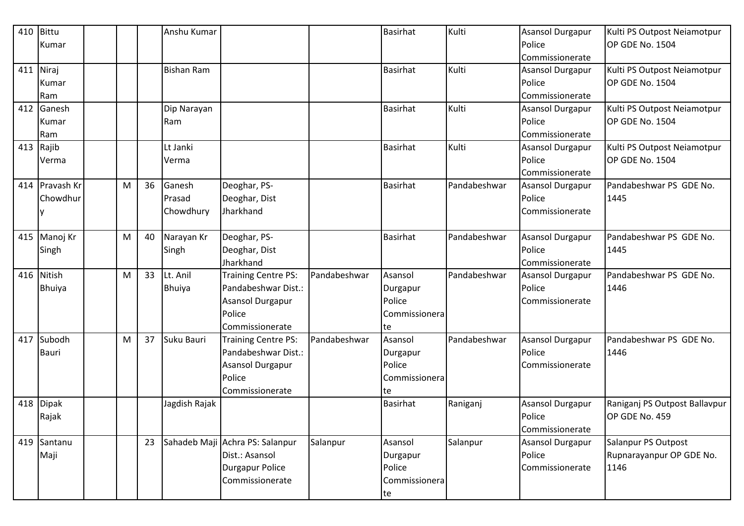| 410 | <b>Bittu</b>  |   |    | Anshu Kumar       |                                 |              | <b>Basirhat</b> | Kulti        | Asansol Durgapur | Kulti PS Outpost Neiamotpur   |
|-----|---------------|---|----|-------------------|---------------------------------|--------------|-----------------|--------------|------------------|-------------------------------|
|     | Kumar         |   |    |                   |                                 |              |                 |              | Police           | OP GDE No. 1504               |
|     |               |   |    |                   |                                 |              |                 |              | Commissionerate  |                               |
| 411 | Niraj         |   |    | <b>Bishan Ram</b> |                                 |              | <b>Basirhat</b> | Kulti        | Asansol Durgapur | Kulti PS Outpost Neiamotpur   |
|     | Kumar         |   |    |                   |                                 |              |                 |              | Police           | OP GDE No. 1504               |
|     | Ram           |   |    |                   |                                 |              |                 |              | Commissionerate  |                               |
| 412 | Ganesh        |   |    | Dip Narayan       |                                 |              | <b>Basirhat</b> | Kulti        | Asansol Durgapur | Kulti PS Outpost Neiamotpur   |
|     | Kumar         |   |    | Ram               |                                 |              |                 |              | Police           | OP GDE No. 1504               |
|     | Ram           |   |    |                   |                                 |              |                 |              | Commissionerate  |                               |
| 413 | Rajib         |   |    | Lt Janki          |                                 |              | <b>Basirhat</b> | Kulti        | Asansol Durgapur | Kulti PS Outpost Neiamotpur   |
|     | Verma         |   |    | Verma             |                                 |              |                 |              | Police           | OP GDE No. 1504               |
|     |               |   |    |                   |                                 |              |                 |              | Commissionerate  |                               |
| 414 | Pravash Kr    | M | 36 | Ganesh            | Deoghar, PS-                    |              | <b>Basirhat</b> | Pandabeshwar | Asansol Durgapur | Pandabeshwar PS GDE No.       |
|     | Chowdhur      |   |    | Prasad            | Deoghar, Dist                   |              |                 |              | Police           | 1445                          |
|     |               |   |    | Chowdhury         | Jharkhand                       |              |                 |              | Commissionerate  |                               |
|     |               |   |    |                   |                                 |              |                 |              |                  |                               |
| 415 | Manoj Kr      | M | 40 | Narayan Kr        | Deoghar, PS-                    |              | <b>Basirhat</b> | Pandabeshwar | Asansol Durgapur | Pandabeshwar PS GDE No.       |
|     | Singh         |   |    | Singh             | Deoghar, Dist                   |              |                 |              | Police           | 1445                          |
|     |               |   |    |                   | Jharkhand                       |              |                 |              | Commissionerate  |                               |
| 416 | Nitish        | М | 33 | Lt. Anil          | Training Centre PS:             | Pandabeshwar | Asansol         | Pandabeshwar | Asansol Durgapur | Pandabeshwar PS GDE No.       |
|     | <b>Bhuiya</b> |   |    | <b>Bhuiya</b>     | Pandabeshwar Dist.:             |              | Durgapur        |              | Police           | 1446                          |
|     |               |   |    |                   | Asansol Durgapur                |              | Police          |              | Commissionerate  |                               |
|     |               |   |    |                   | Police                          |              | Commissionera   |              |                  |                               |
|     |               |   |    |                   | Commissionerate                 |              | te              |              |                  |                               |
| 417 | Subodh        | M | 37 | Suku Bauri        | <b>Training Centre PS:</b>      | Pandabeshwar | Asansol         | Pandabeshwar | Asansol Durgapur | Pandabeshwar PS GDE No.       |
|     | <b>Bauri</b>  |   |    |                   | Pandabeshwar Dist.:             |              | Durgapur        |              | Police           | 1446                          |
|     |               |   |    |                   | Asansol Durgapur                |              | Police          |              | Commissionerate  |                               |
|     |               |   |    |                   | Police                          |              | Commissionera   |              |                  |                               |
|     |               |   |    |                   | Commissionerate                 |              | te              |              |                  |                               |
| 418 | <b>Dipak</b>  |   |    | Jagdish Rajak     |                                 |              | <b>Basirhat</b> | Raniganj     | Asansol Durgapur | Raniganj PS Outpost Ballavpur |
|     | Rajak         |   |    |                   |                                 |              |                 |              | Police           | OP GDE No. 459                |
|     |               |   |    |                   |                                 |              |                 |              | Commissionerate  |                               |
|     | 419 Santanu   |   | 23 |                   | Sahadeb Maji Achra PS: Salanpur | Salanpur     | Asansol         | Salanpur     | Asansol Durgapur | Salanpur PS Outpost           |
|     | Maji          |   |    |                   | Dist.: Asansol                  |              | Durgapur        |              | Police           | Rupnarayanpur OP GDE No.      |
|     |               |   |    |                   | <b>Durgapur Police</b>          |              | Police          |              | Commissionerate  | 1146                          |
|     |               |   |    |                   | Commissionerate                 |              | Commissionera   |              |                  |                               |
|     |               |   |    |                   |                                 |              | te              |              |                  |                               |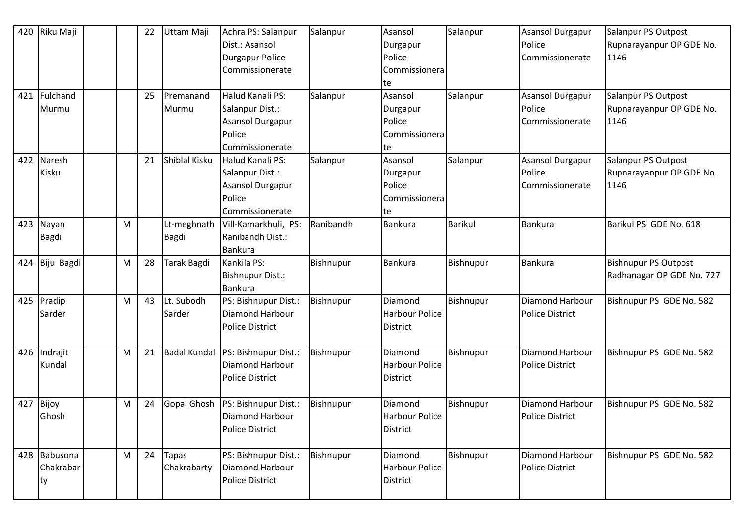| 420<br>421 | Riku Maji<br>Fulchand<br>Murmu |   | 22<br>25 | Uttam Maji<br>Premanand<br>Murmu | Achra PS: Salanpur<br>Dist.: Asansol<br><b>Durgapur Police</b><br>Commissionerate<br>Halud Kanali PS:<br>Salanpur Dist.:<br><b>Asansol Durgapur</b><br>Police | Salanpur<br>Salanpur | Asansol<br>Durgapur<br>Police<br>Commissionera<br>te<br>Asansol<br>Durgapur<br>Police<br>Commissionera | Salanpur<br>Salanpur | <b>Asansol Durgapur</b><br>Police<br>Commissionerate<br>Asansol Durgapur<br>Police<br>Commissionerate | Salanpur PS Outpost<br>Rupnarayanpur OP GDE No.<br>1146<br>Salanpur PS Outpost<br>Rupnarayanpur OP GDE No.<br>1146 |
|------------|--------------------------------|---|----------|----------------------------------|---------------------------------------------------------------------------------------------------------------------------------------------------------------|----------------------|--------------------------------------------------------------------------------------------------------|----------------------|-------------------------------------------------------------------------------------------------------|--------------------------------------------------------------------------------------------------------------------|
| 422        | Naresh<br>Kisku                |   | 21       | Shiblal Kisku                    | Commissionerate<br>Halud Kanali PS:<br>Salanpur Dist.:<br>Asansol Durgapur<br>Police<br>Commissionerate                                                       | Salanpur             | te<br>Asansol<br>Durgapur<br>Police<br>Commissionera<br>te                                             | Salanpur             | Asansol Durgapur<br>Police<br>Commissionerate                                                         | Salanpur PS Outpost<br>Rupnarayanpur OP GDE No.<br>1146                                                            |
|            | 423 Nayan<br><b>Bagdi</b>      | M |          | Lt-meghnath<br>Bagdi             | Vill-Kamarkhuli, PS:<br>Ranibandh Dist.:<br><b>Bankura</b>                                                                                                    | Ranibandh            | Bankura                                                                                                | <b>Barikul</b>       | Bankura                                                                                               | Barikul PS GDE No. 618                                                                                             |
| 424        | Biju Bagdi                     | M | 28       | Tarak Bagdi                      | Kankila PS:<br><b>Bishnupur Dist.:</b><br><b>Bankura</b>                                                                                                      | Bishnupur            | Bankura                                                                                                | Bishnupur            | Bankura                                                                                               | <b>Bishnupur PS Outpost</b><br>Radhanagar OP GDE No. 727                                                           |
| 425        | Pradip<br>Sarder               | M | 43       | Lt. Subodh<br>Sarder             | PS: Bishnupur Dist.:<br>Diamond Harbour<br><b>Police District</b>                                                                                             | Bishnupur            | Diamond<br><b>Harbour Police</b><br>District                                                           | Bishnupur            | Diamond Harbour<br><b>Police District</b>                                                             | Bishnupur PS GDE No. 582                                                                                           |
|            | 426 Indrajit<br>Kundal         | M | 21       | <b>Badal Kundal</b>              | PS: Bishnupur Dist.:<br>Diamond Harbour<br><b>Police District</b>                                                                                             | Bishnupur            | Diamond<br><b>Harbour Police</b><br><b>District</b>                                                    | Bishnupur            | Diamond Harbour<br><b>Police District</b>                                                             | Bishnupur PS GDE No. 582                                                                                           |
| 427        | Bijoy<br>Ghosh                 | M | 24       | <b>Gopal Ghosh</b>               | PS: Bishnupur Dist.:<br><b>Diamond Harbour</b><br><b>Police District</b>                                                                                      | <b>Bishnupur</b>     | Diamond<br>Harbour Police<br>District                                                                  | Bishnupur            | Diamond Harbour<br><b>Police District</b>                                                             | Bishnupur PS GDE No. 582                                                                                           |
| 428        | Babusona<br>Chakrabar<br>ty    | M | 24       | Tapas<br>Chakrabarty             | PS: Bishnupur Dist.:<br>Diamond Harbour<br><b>Police District</b>                                                                                             | Bishnupur            | Diamond<br><b>Harbour Police</b><br>District                                                           | Bishnupur            | Diamond Harbour<br>Police District                                                                    | Bishnupur PS GDE No. 582                                                                                           |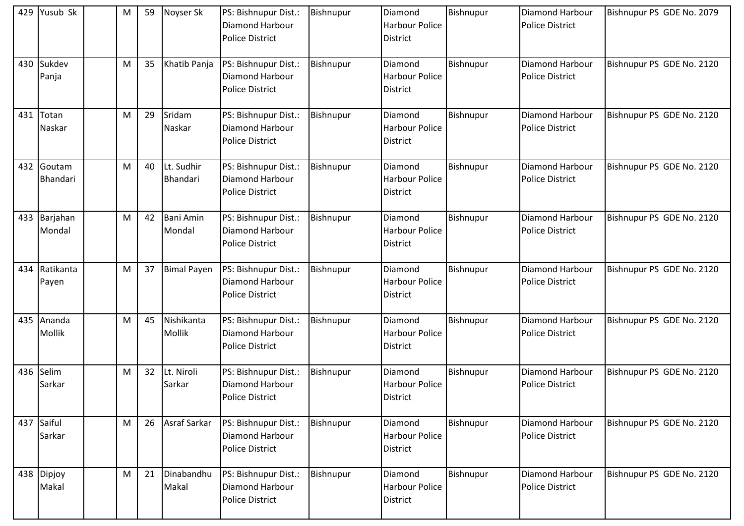|     | 429 Yusub Sk           | М | 59 | Noyser Sk                  | PS: Bishnupur Dist.:<br>Diamond Harbour<br><b>Police District</b>        | <b>Bishnupur</b> | Diamond<br><b>Harbour Police</b><br><b>District</b> | Bishnupur | Diamond Harbour<br><b>Police District</b> | Bishnupur PS GDE No. 2079 |
|-----|------------------------|---|----|----------------------------|--------------------------------------------------------------------------|------------------|-----------------------------------------------------|-----------|-------------------------------------------|---------------------------|
| 430 | Sukdev<br>Panja        | M | 35 | Khatib Panja               | PS: Bishnupur Dist.:<br>Diamond Harbour<br><b>Police District</b>        | <b>Bishnupur</b> | Diamond<br><b>Harbour Police</b><br>District        | Bishnupur | Diamond Harbour<br><b>Police District</b> | Bishnupur PS GDE No. 2120 |
| 431 | Totan<br>Naskar        | M | 29 | Sridam<br>Naskar           | PS: Bishnupur Dist.:<br>Diamond Harbour<br><b>Police District</b>        | Bishnupur        | Diamond<br><b>Harbour Police</b><br>District        | Bishnupur | Diamond Harbour<br><b>Police District</b> | Bishnupur PS GDE No. 2120 |
| 432 | Goutam<br>Bhandari     | M | 40 | Lt. Sudhir<br>Bhandari     | PS: Bishnupur Dist.:<br>Diamond Harbour<br><b>Police District</b>        | <b>Bishnupur</b> | Diamond<br><b>Harbour Police</b><br>District        | Bishnupur | Diamond Harbour<br><b>Police District</b> | Bishnupur PS GDE No. 2120 |
|     | 433 Barjahan<br>Mondal | M | 42 | <b>Bani Amin</b><br>Mondal | PS: Bishnupur Dist.:<br><b>Diamond Harbour</b><br><b>Police District</b> | Bishnupur        | Diamond<br><b>Harbour Police</b><br><b>District</b> | Bishnupur | Diamond Harbour<br><b>Police District</b> | Bishnupur PS GDE No. 2120 |
| 434 | Ratikanta<br>Payen     | M | 37 | <b>Bimal Payen</b>         | PS: Bishnupur Dist.:<br>Diamond Harbour<br><b>Police District</b>        | Bishnupur        | Diamond<br><b>Harbour Police</b><br>District        | Bishnupur | Diamond Harbour<br><b>Police District</b> | Bishnupur PS GDE No. 2120 |
| 435 | Ananda<br>Mollik       | M | 45 | Nishikanta<br>Mollik       | PS: Bishnupur Dist.:<br>Diamond Harbour<br><b>Police District</b>        | <b>Bishnupur</b> | Diamond<br><b>Harbour Police</b><br>District        | Bishnupur | Diamond Harbour<br><b>Police District</b> | Bishnupur PS GDE No. 2120 |
| 436 | Selim<br>Sarkar        | M | 32 | Lt. Niroli<br>Sarkar       | PS: Bishnupur Dist.:<br>Diamond Harbour<br><b>Police District</b>        | <b>Bishnupur</b> | Diamond<br><b>Harbour Police</b><br>District        | Bishnupur | Diamond Harbour<br><b>Police District</b> | Bishnupur PS GDE No. 2120 |
| 437 | Saiful<br>Sarkar       | M | 26 | Asraf Sarkar               | PS: Bishnupur Dist.:<br><b>Diamond Harbour</b><br><b>Police District</b> | Bishnupur        | Diamond<br>Harbour Police<br>District               | Bishnupur | Diamond Harbour<br><b>Police District</b> | Bishnupur PS GDE No. 2120 |
|     | 438 Dipjoy<br>Makal    | M | 21 | Dinabandhu<br>Makal        | PS: Bishnupur Dist.:<br>Diamond Harbour<br><b>Police District</b>        | Bishnupur        | Diamond<br>Harbour Police<br>District               | Bishnupur | Diamond Harbour<br><b>Police District</b> | Bishnupur PS GDE No. 2120 |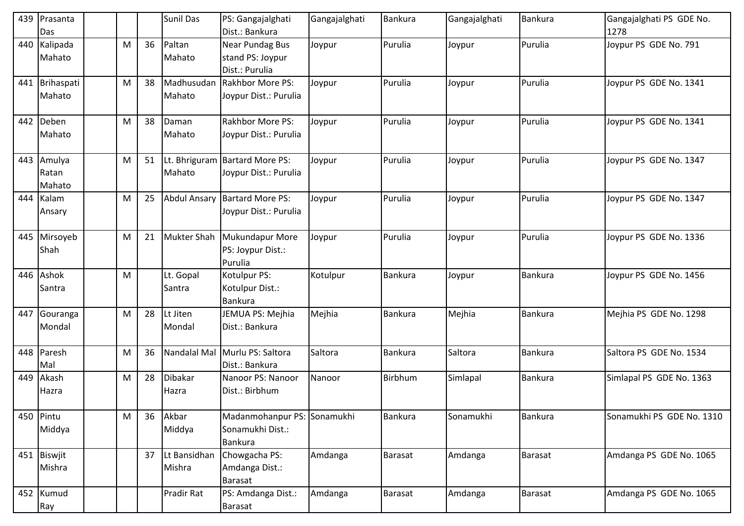| 439 | Prasanta<br>Das           |   |    | <b>Sunil Das</b>       | PS: Gangajalghati<br>Dist.: Bankura                               | Gangajalghati | Bankura        | Gangajalghati | Bankura        | Gangajalghati PS GDE No.<br>1278 |
|-----|---------------------------|---|----|------------------------|-------------------------------------------------------------------|---------------|----------------|---------------|----------------|----------------------------------|
| 440 | Kalipada<br>Mahato        | M | 36 | Paltan<br>Mahato       | Near Pundag Bus<br>stand PS: Joypur<br>Dist.: Purulia             | Joypur        | Purulia        | Joypur        | Purulia        | Joypur PS GDE No. 791            |
| 441 | Brihaspati<br>Mahato      | M | 38 | Madhusudan<br>Mahato   | <b>Rakhbor More PS:</b><br>Joypur Dist.: Purulia                  | Joypur        | Purulia        | Joypur        | Purulia        | Joypur PS GDE No. 1341           |
| 442 | Deben<br>Mahato           | M | 38 | Daman<br>Mahato        | <b>Rakhbor More PS:</b><br>Joypur Dist.: Purulia                  | Joypur        | Purulia        | Joypur        | Purulia        | Joypur PS GDE No. 1341           |
| 443 | Amulya<br>Ratan<br>Mahato | M | 51 | Mahato                 | Lt. Bhriguram Bartard More PS:<br>Joypur Dist.: Purulia           | Joypur        | Purulia        | Joypur        | Purulia        | Joypur PS GDE No. 1347           |
| 444 | Kalam<br>Ansary           | M | 25 |                        | Abdul Ansary Bartard More PS:<br>Joypur Dist.: Purulia            | Joypur        | Purulia        | Joypur        | Purulia        | Joypur PS GDE No. 1347           |
| 445 | Mirsoyeb<br>Shah          | M | 21 | Mukter Shah            | <b>Mukundapur More</b><br>PS: Joypur Dist.:<br>Purulia            | Joypur        | Purulia        | Joypur        | Purulia        | Joypur PS GDE No. 1336           |
| 446 | Ashok<br>Santra           | M |    | Lt. Gopal<br>Santra    | Kotulpur PS:<br>Kotulpur Dist.:<br><b>Bankura</b>                 | Kotulpur      | <b>Bankura</b> | Joypur        | <b>Bankura</b> | Joypur PS GDE No. 1456           |
| 447 | Gouranga<br>Mondal        | M | 28 | Lt Jiten<br>Mondal     | JEMUA PS: Mejhia<br>Dist.: Bankura                                | Mejhia        | Bankura        | Mejhia        | Bankura        | Mejhia PS GDE No. 1298           |
| 448 | Paresh<br>Mal             | M | 36 | Nandalal Mal           | Murlu PS: Saltora<br>Dist.: Bankura                               | Saltora       | Bankura        | Saltora       | Bankura        | Saltora PS GDE No. 1534          |
| 449 | Akash<br>Hazra            | M | 28 | Dibakar<br>Hazra       | Nanoor PS: Nanoor<br>Dist.: Birbhum                               | Nanoor        | Birbhum        | Simlapal      | Bankura        | Simlapal PS GDE No. 1363         |
| 450 | Pintu<br>Middya           | M | 36 | Akbar<br>Middya        | Madanmohanpur PS: Sonamukhi<br>Sonamukhi Dist.:<br><b>Bankura</b> |               | Bankura        | Sonamukhi     | Bankura        | Sonamukhi PS GDE No. 1310        |
| 451 | Biswjit<br>Mishra         |   | 37 | Lt Bansidhan<br>Mishra | Chowgacha PS:<br>Amdanga Dist.:<br><b>Barasat</b>                 | Amdanga       | Barasat        | Amdanga       | <b>Barasat</b> | Amdanga PS GDE No. 1065          |
|     | 452 Kumud<br>Ray          |   |    | Pradir Rat             | PS: Amdanga Dist.:<br><b>Barasat</b>                              | Amdanga       | Barasat        | Amdanga       | Barasat        | Amdanga PS GDE No. 1065          |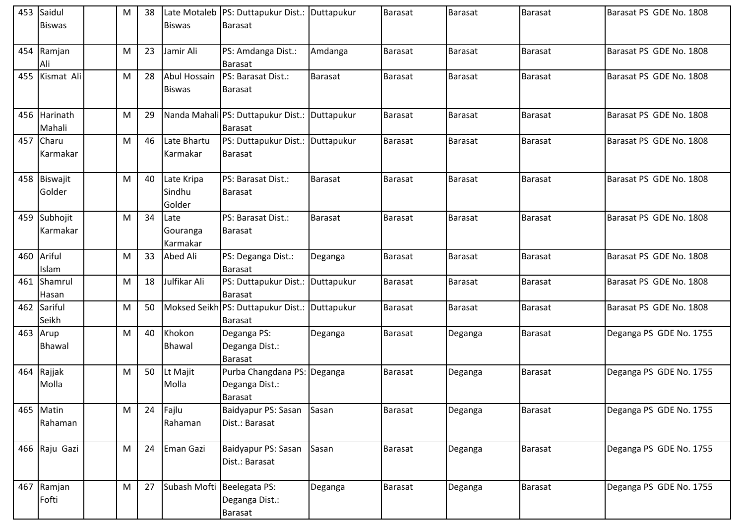|     | 453 Saidul<br><b>Biswas</b> | M | 38 | <b>Biswas</b>                  | Late Motaleb   PS: Duttapukur Dist.: Duttapukur<br><b>Barasat</b> |            | Barasat        | <b>Barasat</b> | <b>Barasat</b> | Barasat PS GDE No. 1808 |
|-----|-----------------------------|---|----|--------------------------------|-------------------------------------------------------------------|------------|----------------|----------------|----------------|-------------------------|
|     | 454 Ramjan<br>Ali           | M | 23 | Jamir Ali                      | PS: Amdanga Dist.:<br><b>Barasat</b>                              | Amdanga    | Barasat        | Barasat        | <b>Barasat</b> | Barasat PS GDE No. 1808 |
| 455 | Kismat Ali                  | M | 28 | Abul Hossain<br><b>Biswas</b>  | PS: Barasat Dist.:<br><b>Barasat</b>                              | Barasat    | <b>Barasat</b> | <b>Barasat</b> | <b>Barasat</b> | Barasat PS GDE No. 1808 |
| 456 | Harinath<br>Mahali          | M | 29 |                                | Nanda Mahali PS: Duttapukur Dist.:<br><b>Barasat</b>              | Duttapukur | <b>Barasat</b> | <b>Barasat</b> | <b>Barasat</b> | Barasat PS GDE No. 1808 |
| 457 | Charu<br>Karmakar           | M | 46 | Late Bhartu<br>Karmakar        | PS: Duttapukur Dist.:<br><b>Barasat</b>                           | Duttapukur | Barasat        | Barasat        | Barasat        | Barasat PS GDE No. 1808 |
|     | 458 Biswajit<br>Golder      | M | 40 | Late Kripa<br>Sindhu<br>Golder | PS: Barasat Dist.:<br><b>Barasat</b>                              | Barasat    | Barasat        | <b>Barasat</b> | <b>Barasat</b> | Barasat PS GDE No. 1808 |
|     | 459 Subhojit<br>Karmakar    | M | 34 | Late<br>Gouranga<br>Karmakar   | PS: Barasat Dist.:<br><b>Barasat</b>                              | Barasat    | Barasat        | Barasat        | <b>Barasat</b> | Barasat PS GDE No. 1808 |
|     | 460 Ariful<br>Islam         | M | 33 | Abed Ali                       | PS: Deganga Dist.:<br>Barasat                                     | Deganga    | Barasat        | <b>Barasat</b> | <b>Barasat</b> | Barasat PS GDE No. 1808 |
| 461 | Shamrul<br>Hasan            | M | 18 | Julfikar Ali                   | PS: Duttapukur Dist.:<br><b>Barasat</b>                           | Duttapukur | Barasat        | <b>Barasat</b> | <b>Barasat</b> | Barasat PS GDE No. 1808 |
| 462 | Sariful<br>Seikh            | M | 50 |                                | Moksed Seikh PS: Duttapukur Dist.:<br><b>Barasat</b>              | Duttapukur | Barasat        | <b>Barasat</b> | <b>Barasat</b> | Barasat PS GDE No. 1808 |
| 463 | Arup<br>Bhawal              | M | 40 | Khokon<br><b>Bhawal</b>        | Deganga PS:<br>Deganga Dist.:<br><b>Barasat</b>                   | Deganga    | Barasat        | Deganga        | <b>Barasat</b> | Deganga PS GDE No. 1755 |
|     | 464 Rajjak<br>Molla         | M | 50 | Lt Majit<br>Molla              | Purba Changdana PS: Deganga<br>Deganga Dist.:<br>Barasat          |            | Barasat        | Deganga        | <b>Barasat</b> | Deganga PS GDE No. 1755 |
|     | 465 Matin<br>Rahaman        | M | 24 | Fajlu<br>Rahaman               | Baidyapur PS: Sasan<br>Dist.: Barasat                             | Sasan      | Barasat        | Deganga        | <b>Barasat</b> | Deganga PS GDE No. 1755 |
|     | 466 Raju Gazi               | M | 24 | Eman Gazi                      | Baidyapur PS: Sasan<br>Dist.: Barasat                             | Sasan      | Barasat        | Deganga        | <b>Barasat</b> | Deganga PS GDE No. 1755 |
|     | 467 Ramjan<br>Fofti         | M | 27 | Subash Mofti Beelegata PS:     | Deganga Dist.:<br><b>Barasat</b>                                  | Deganga    | Barasat        | Deganga        | Barasat        | Deganga PS GDE No. 1755 |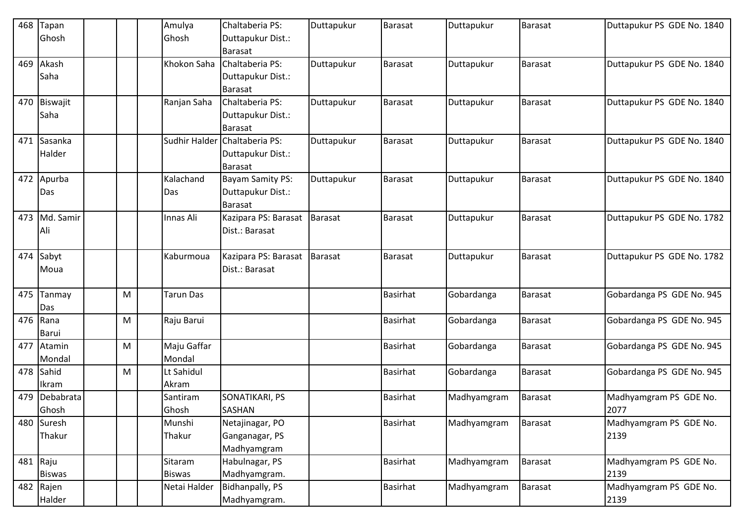| 468 | Tapan            |   | Amulya        | Chaltaberia PS:                        | Duttapukur | Barasat         | Duttapukur  | <b>Barasat</b> | Duttapukur PS GDE No. 1840 |
|-----|------------------|---|---------------|----------------------------------------|------------|-----------------|-------------|----------------|----------------------------|
|     | Ghosh            |   | Ghosh         | Duttapukur Dist.:                      |            |                 |             |                |                            |
|     |                  |   |               | <b>Barasat</b>                         |            |                 |             |                |                            |
| 469 | Akash            |   | Khokon Saha   | Chaltaberia PS:                        | Duttapukur | Barasat         | Duttapukur  | <b>Barasat</b> | Duttapukur PS GDE No. 1840 |
|     | Saha             |   |               | Duttapukur Dist.:                      |            |                 |             |                |                            |
|     |                  |   |               | <b>Barasat</b>                         |            |                 |             |                |                            |
| 470 | Biswajit         |   | Ranjan Saha   | Chaltaberia PS:                        | Duttapukur | Barasat         | Duttapukur  | Barasat        | Duttapukur PS GDE No. 1840 |
|     | Saha             |   |               | Duttapukur Dist.:                      |            |                 |             |                |                            |
|     |                  |   |               | <b>Barasat</b>                         |            |                 |             |                |                            |
| 471 | Sasanka          |   | Sudhir Halder | Chaltaberia PS:                        | Duttapukur | Barasat         | Duttapukur  | <b>Barasat</b> | Duttapukur PS GDE No. 1840 |
|     | Halder           |   |               | Duttapukur Dist.:                      |            |                 |             |                |                            |
|     |                  |   |               | Barasat                                |            |                 |             |                |                            |
| 472 | Apurba           |   | Kalachand     | <b>Bayam Samity PS:</b>                | Duttapukur | Barasat         | Duttapukur  | Barasat        | Duttapukur PS GDE No. 1840 |
|     | Das              |   | Das           | Duttapukur Dist.:                      |            |                 |             |                |                            |
|     |                  |   |               | <b>Barasat</b>                         |            |                 |             |                |                            |
| 473 | Md. Samir        |   | Innas Ali     | Kazipara PS: Barasat                   | Barasat    | Barasat         | Duttapukur  | <b>Barasat</b> | Duttapukur PS GDE No. 1782 |
|     | Ali              |   |               | Dist.: Barasat                         |            |                 |             |                |                            |
| 474 |                  |   | Kaburmoua     |                                        | Barasat    | Barasat         |             | Barasat        |                            |
|     | Sabyt            |   |               | Kazipara PS: Barasat<br>Dist.: Barasat |            |                 | Duttapukur  |                | Duttapukur PS GDE No. 1782 |
|     | Moua             |   |               |                                        |            |                 |             |                |                            |
| 475 | Tanmay           | M | Tarun Das     |                                        |            | <b>Basirhat</b> | Gobardanga  | Barasat        | Gobardanga PS GDE No. 945  |
|     | Das              |   |               |                                        |            |                 |             |                |                            |
| 476 | Rana             | M | Raju Barui    |                                        |            | Basirhat        | Gobardanga  | Barasat        | Gobardanga PS GDE No. 945  |
|     | Barui            |   |               |                                        |            |                 |             |                |                            |
| 477 | Atamin           | M | Maju Gaffar   |                                        |            | <b>Basirhat</b> | Gobardanga  | <b>Barasat</b> | Gobardanga PS GDE No. 945  |
|     | Mondal           |   | Mondal        |                                        |            |                 |             |                |                            |
| 478 | Sahid            | M | Lt Sahidul    |                                        |            | Basirhat        | Gobardanga  | Barasat        | Gobardanga PS GDE No. 945  |
|     | Ikram            |   | Akram         |                                        |            |                 |             |                |                            |
| 479 | Debabrata        |   | Santiram      | SONATIKARI, PS                         |            | <b>Basirhat</b> | Madhyamgram | <b>Barasat</b> | Madhyamgram PS GDE No.     |
|     | Ghosh            |   | Ghosh         | <b>SASHAN</b>                          |            |                 |             |                | 2077                       |
| 480 | Suresh           |   | Munshi        | Netajinagar, PO                        |            | Basirhat        | Madhyamgram | <b>Barasat</b> | Madhyamgram PS GDE No.     |
|     | Thakur           |   | Thakur        | Ganganagar, PS                         |            |                 |             |                | 2139                       |
|     |                  |   |               | Madhyamgram                            |            |                 |             |                |                            |
|     | 481 $\vert$ Raju |   | Sitaram       | Habulnagar, PS                         |            | Basirhat        | Madhyamgram | Barasat        | Madhyamgram PS GDE No.     |
|     | <b>Biswas</b>    |   | <b>Biswas</b> | Madhyamgram.                           |            |                 |             |                | 2139                       |
| 482 | Rajen            |   | Netai Halder  | <b>Bidhanpally, PS</b>                 |            | <b>Basirhat</b> | Madhyamgram | <b>Barasat</b> | Madhyamgram PS GDE No.     |
|     | Halder           |   |               | Madhyamgram.                           |            |                 |             |                | 2139                       |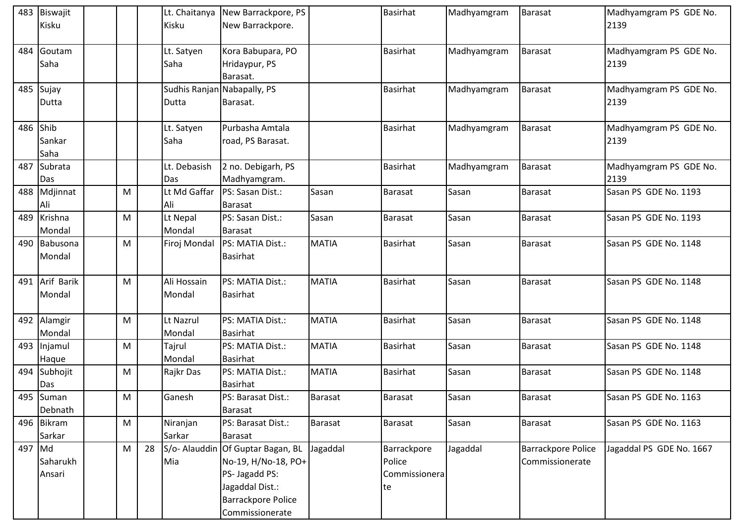|        | 483 Biswajit   |   |    | Lt. Chaitanya | New Barrackpore, PS               |                | Basirhat        | Madhyamgram | <b>Barasat</b>            | Madhyamgram PS GDE No.   |
|--------|----------------|---|----|---------------|-----------------------------------|----------------|-----------------|-------------|---------------------------|--------------------------|
|        | Kisku          |   |    | Kisku         | New Barrackpore.                  |                |                 |             |                           | 2139                     |
|        |                |   |    |               |                                   |                |                 |             |                           |                          |
| 484    | Goutam         |   |    | Lt. Satyen    | Kora Babupara, PO                 |                | <b>Basirhat</b> | Madhyamgram | <b>Barasat</b>            | Madhyamgram PS GDE No.   |
|        | Saha           |   |    | Saha          | Hridaypur, PS                     |                |                 |             |                           | 2139                     |
|        |                |   |    |               | Barasat.                          |                |                 |             |                           |                          |
|        | 485 Sujay      |   |    |               | Sudhis Ranjan Nabapally, PS       |                | <b>Basirhat</b> | Madhyamgram | <b>Barasat</b>            | Madhyamgram PS GDE No.   |
|        | Dutta          |   |    | Dutta         | Barasat.                          |                |                 |             |                           | 2139                     |
|        |                |   |    |               |                                   |                |                 |             |                           |                          |
|        | 486 Shib       |   |    | Lt. Satyen    | Purbasha Amtala                   |                | <b>Basirhat</b> | Madhyamgram | <b>Barasat</b>            | Madhyamgram PS GDE No.   |
|        | Sankar         |   |    | Saha          | road, PS Barasat.                 |                |                 |             |                           | 2139                     |
|        | Saha           |   |    |               |                                   |                |                 |             |                           |                          |
| 487    | Subrata        |   |    | Lt. Debasish  | 2 no. Debigarh, PS                |                | <b>Basirhat</b> | Madhyamgram | Barasat                   | Madhyamgram PS GDE No.   |
|        | Das            |   |    | Das           | Madhyamgram.                      |                |                 |             |                           | 2139                     |
|        | 488 Mdjinnat   | M |    | Lt Md Gaffar  | PS: Sasan Dist.:                  | Sasan          | Barasat         | Sasan       | <b>Barasat</b>            | Sasan PS GDE No. 1193    |
|        | Ali            |   |    | Ali           | <b>Barasat</b>                    |                |                 |             |                           |                          |
|        | 489 Krishna    | M |    | Lt Nepal      | PS: Sasan Dist.:                  | Sasan          | Barasat         | Sasan       | <b>Barasat</b>            | Sasan PS GDE No. 1193    |
|        | Mondal         |   |    | Mondal        | <b>Barasat</b>                    |                |                 |             |                           |                          |
|        | 490 Babusona   | M |    | Firoj Mondal  | PS: MATIA Dist.:                  | <b>MATIA</b>   | Basirhat        | Sasan       | Barasat                   | Sasan PS GDE No. 1148    |
|        | Mondal         |   |    |               | <b>Basirhat</b>                   |                |                 |             |                           |                          |
|        |                |   |    |               |                                   |                |                 |             |                           |                          |
|        | 491 Arif Barik | M |    | Ali Hossain   | PS: MATIA Dist.:                  | <b>MATIA</b>   | <b>Basirhat</b> | Sasan       | <b>Barasat</b>            | Sasan PS GDE No. 1148    |
|        | Mondal         |   |    | Mondal        | <b>Basirhat</b>                   |                |                 |             |                           |                          |
|        |                |   |    |               |                                   |                |                 |             |                           |                          |
|        | 492 Alamgir    | M |    | Lt Nazrul     | PS: MATIA Dist.:                  | <b>MATIA</b>   | <b>Basirhat</b> | Sasan       | <b>Barasat</b>            | Sasan PS GDE No. 1148    |
|        | Mondal         |   |    | Mondal        | <b>Basirhat</b>                   |                |                 |             |                           |                          |
|        | 493 Injamul    | M |    | Tajrul        | PS: MATIA Dist.:                  | <b>MATIA</b>   | <b>Basirhat</b> | Sasan       | Barasat                   | Sasan PS GDE No. 1148    |
|        | Haque          |   |    | Mondal        | <b>Basirhat</b>                   |                |                 |             |                           |                          |
|        | 494 Subhojit   | M |    | Rajkr Das     | PS: MATIA Dist.:                  | <b>MATIA</b>   | <b>Basirhat</b> | Sasan       | <b>Barasat</b>            | Sasan PS GDE No. 1148    |
|        | Das            |   |    |               | Basirhat                          |                |                 |             |                           |                          |
|        | 495 Suman      | M |    | Ganesh        | PS: Barasat Dist.:                | <b>Barasat</b> | Barasat         | Sasan       | Barasat                   | Sasan PS GDE No. 1163    |
|        | Debnath        |   |    |               | <b>Barasat</b>                    |                |                 |             |                           |                          |
|        | 496 Bikram     | M |    | Niranjan      | PS: Barasat Dist.:                | <b>Barasat</b> | Barasat         | Sasan       | <b>Barasat</b>            | Sasan PS GDE No. 1163    |
|        | Sarkar         |   |    | Sarkar        | <b>Barasat</b>                    |                |                 |             |                           |                          |
| 497 Md |                | M | 28 |               | S/o- Alauddin Of Guptar Bagan, BL | Jagaddal       | Barrackpore     | Jagaddal    | <b>Barrackpore Police</b> | Jagaddal PS GDE No. 1667 |
|        | Saharukh       |   |    | Mia           | No-19, H/No-18, PO+               |                | Police          |             | Commissionerate           |                          |
|        | Ansari         |   |    |               | PS- Jagadd PS:                    |                | Commissionera   |             |                           |                          |
|        |                |   |    |               | Jagaddal Dist.:                   |                | te              |             |                           |                          |
|        |                |   |    |               | <b>Barrackpore Police</b>         |                |                 |             |                           |                          |
|        |                |   |    |               | Commissionerate                   |                |                 |             |                           |                          |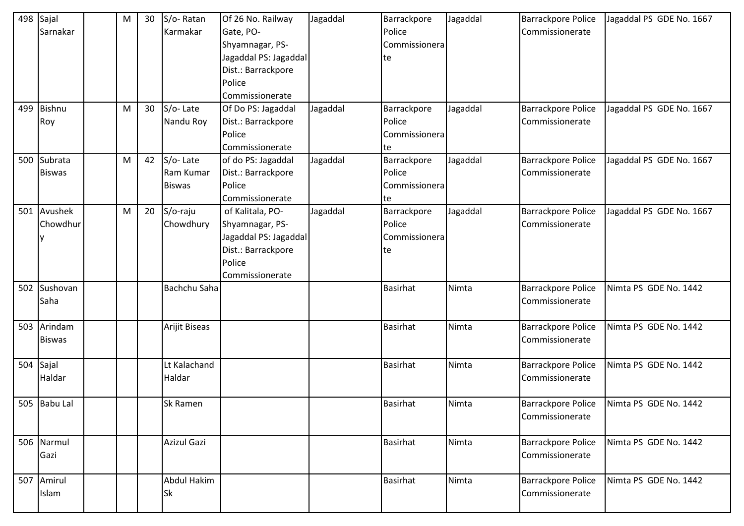| 498 | Sajal<br>Sarnakar        | М | 30 | S/o-Ratan<br>Karmakar                  | Of 26 No. Railway<br>Gate, PO-<br>Shyamnagar, PS-<br>Jagaddal PS: Jagaddal<br>Dist.: Barrackpore<br>Police<br>Commissionerate | Jagaddal | Barrackpore<br>Police<br>Commissionera<br>te | Jagaddal | <b>Barrackpore Police</b><br>Commissionerate | Jagaddal PS GDE No. 1667 |
|-----|--------------------------|---|----|----------------------------------------|-------------------------------------------------------------------------------------------------------------------------------|----------|----------------------------------------------|----------|----------------------------------------------|--------------------------|
| 499 | Bishnu<br>Roy            | M | 30 | S/o-Late<br>Nandu Roy                  | Of Do PS: Jagaddal<br>Dist.: Barrackpore<br>Police<br>Commissionerate                                                         | Jagaddal | Barrackpore<br>Police<br>Commissionera<br>te | Jagaddal | <b>Barrackpore Police</b><br>Commissionerate | Jagaddal PS GDE No. 1667 |
| 500 | Subrata<br><b>Biswas</b> | M | 42 | S/o-Late<br>Ram Kumar<br><b>Biswas</b> | of do PS: Jagaddal<br>Dist.: Barrackpore<br>Police<br>Commissionerate                                                         | Jagaddal | Barrackpore<br>Police<br>Commissionera<br>te | Jagaddal | <b>Barrackpore Police</b><br>Commissionerate | Jagaddal PS GDE No. 1667 |
| 501 | Avushek<br>Chowdhur      | M | 20 | S/o-raju<br>Chowdhury                  | of Kalitala, PO-<br>Shyamnagar, PS-<br>Jagaddal PS: Jagaddal<br>Dist.: Barrackpore<br>Police<br>Commissionerate               | Jagaddal | Barrackpore<br>Police<br>Commissionera<br>te | Jagaddal | <b>Barrackpore Police</b><br>Commissionerate | Jagaddal PS GDE No. 1667 |
| 502 | Sushovan<br>Saha         |   |    | Bachchu Saha                           |                                                                                                                               |          | <b>Basirhat</b>                              | Nimta    | <b>Barrackpore Police</b><br>Commissionerate | Nimta PS GDE No. 1442    |
| 503 | Arindam<br><b>Biswas</b> |   |    | Arijit Biseas                          |                                                                                                                               |          | <b>Basirhat</b>                              | Nimta    | Barrackpore Police<br>Commissionerate        | Nimta PS GDE No. 1442    |
| 504 | Sajal<br>Haldar          |   |    | Lt Kalachand<br>Haldar                 |                                                                                                                               |          | <b>Basirhat</b>                              | Nimta    | <b>Barrackpore Police</b><br>Commissionerate | Nimta PS GDE No. 1442    |
|     | 505 Babu Lal             |   |    | <b>Sk Ramen</b>                        |                                                                                                                               |          | <b>Basirhat</b>                              | Nimta    | <b>Barrackpore Police</b><br>Commissionerate | Nimta PS GDE No. 1442    |
|     | 506 Narmul<br>Gazi       |   |    | Azizul Gazi                            |                                                                                                                               |          | Basirhat                                     | Nimta    | <b>Barrackpore Police</b><br>Commissionerate | Nimta PS GDE No. 1442    |
| 507 | Amirul<br>Islam          |   |    | <b>Abdul Hakim</b><br><b>Sk</b>        |                                                                                                                               |          | <b>Basirhat</b>                              | Nimta    | Barrackpore Police<br>Commissionerate        | Nimta PS GDE No. 1442    |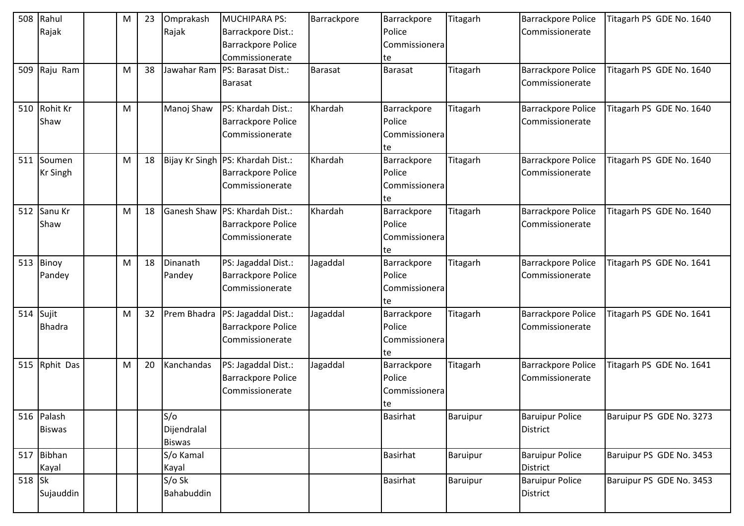| 508      | Rahul           | M | 23 | Omprakash          | MUCHIPARA PS:                       | Barrackpore    | Barrackpore     | Titagarh | Barrackpore Police        | Titagarh PS GDE No. 1640 |
|----------|-----------------|---|----|--------------------|-------------------------------------|----------------|-----------------|----------|---------------------------|--------------------------|
|          | Rajak           |   |    | Rajak              | Barrackpore Dist.:                  |                | Police          |          | Commissionerate           |                          |
|          |                 |   |    |                    | Barrackpore Police                  |                | Commissionera   |          |                           |                          |
|          |                 |   |    |                    | Commissionerate                     |                | te              |          |                           |                          |
|          | 509 Raju Ram    | М | 38 | Jawahar Ram        | PS: Barasat Dist.:                  | <b>Barasat</b> | <b>Barasat</b>  | Titagarh | <b>Barrackpore Police</b> | Titagarh PS GDE No. 1640 |
|          |                 |   |    |                    | <b>Barasat</b>                      |                |                 |          | Commissionerate           |                          |
|          |                 |   |    |                    |                                     |                |                 |          |                           |                          |
|          | 510 Rohit Kr    | M |    | Manoj Shaw         | PS: Khardah Dist.:                  | Khardah        | Barrackpore     | Titagarh | Barrackpore Police        | Titagarh PS GDE No. 1640 |
|          | Shaw            |   |    |                    | <b>Barrackpore Police</b>           |                | Police          |          | Commissionerate           |                          |
|          |                 |   |    |                    | Commissionerate                     |                | Commissionera   |          |                           |                          |
|          |                 |   |    |                    |                                     |                | te              |          |                           |                          |
|          | 511 Soumen      | M | 18 |                    | Bijay Kr Singh   PS: Khardah Dist.: | Khardah        | Barrackpore     | Titagarh | <b>Barrackpore Police</b> | Titagarh PS GDE No. 1640 |
|          | <b>Kr Singh</b> |   |    |                    | <b>Barrackpore Police</b>           |                | Police          |          | Commissionerate           |                          |
|          |                 |   |    |                    | Commissionerate                     |                | Commissionera   |          |                           |                          |
|          |                 |   |    |                    |                                     |                | te              |          |                           |                          |
|          | 512 Sanu Kr     | M | 18 | <b>Ganesh Shaw</b> | PS: Khardah Dist.:                  | Khardah        | Barrackpore     | Titagarh | <b>Barrackpore Police</b> | Titagarh PS GDE No. 1640 |
|          | Shaw            |   |    |                    | <b>Barrackpore Police</b>           |                | Police          |          | Commissionerate           |                          |
|          |                 |   |    |                    | Commissionerate                     |                | Commissionera   |          |                           |                          |
|          |                 |   |    |                    |                                     |                | te              |          |                           |                          |
|          | 513 Binoy       | М | 18 | Dinanath           | PS: Jagaddal Dist.:                 | Jagaddal       | Barrackpore     | Titagarh | <b>Barrackpore Police</b> | Titagarh PS GDE No. 1641 |
|          | Pandey          |   |    | Pandey             | Barrackpore Police                  |                | Police          |          | Commissionerate           |                          |
|          |                 |   |    |                    | Commissionerate                     |                | Commissionera   |          |                           |                          |
|          |                 |   |    |                    |                                     |                | te              |          |                           |                          |
|          | 514 Sujit       | M | 32 | Prem Bhadra        | PS: Jagaddal Dist.:                 | Jagaddal       | Barrackpore     | Titagarh | <b>Barrackpore Police</b> | Titagarh PS GDE No. 1641 |
|          | <b>Bhadra</b>   |   |    |                    | <b>Barrackpore Police</b>           |                | Police          |          | Commissionerate           |                          |
|          |                 |   |    |                    | Commissionerate                     |                | Commissionera   |          |                           |                          |
|          |                 |   |    |                    |                                     |                | te              |          |                           |                          |
|          | 515 Rphit Das   | M | 20 | Kanchandas         | PS: Jagaddal Dist.:                 | Jagaddal       | Barrackpore     | Titagarh | <b>Barrackpore Police</b> | Titagarh PS GDE No. 1641 |
|          |                 |   |    |                    | <b>Barrackpore Police</b>           |                | Police          |          | Commissionerate           |                          |
|          |                 |   |    |                    | Commissionerate                     |                | Commissionera   |          |                           |                          |
|          |                 |   |    |                    |                                     |                | te              |          |                           |                          |
|          | 516 Palash      |   |    | S/O                |                                     |                | Basirhat        | Baruipur | <b>Baruipur Police</b>    | Baruipur PS GDE No. 3273 |
|          | <b>Biswas</b>   |   |    | Dijendralal        |                                     |                |                 |          | <b>District</b>           |                          |
|          |                 |   |    | <b>Biswas</b>      |                                     |                |                 |          |                           |                          |
|          | 517 Bibhan      |   |    | S/o Kamal          |                                     |                | <b>Basirhat</b> | Baruipur | <b>Baruipur Police</b>    | Baruipur PS GDE No. 3453 |
|          | Kayal           |   |    | Kayal              |                                     |                |                 |          | District                  |                          |
| $518$ Sk |                 |   |    | $S/O$ Sk           |                                     |                | <b>Basirhat</b> | Baruipur | <b>Baruipur Police</b>    | Baruipur PS GDE No. 3453 |
|          | Sujauddin       |   |    | Bahabuddin         |                                     |                |                 |          | District                  |                          |
|          |                 |   |    |                    |                                     |                |                 |          |                           |                          |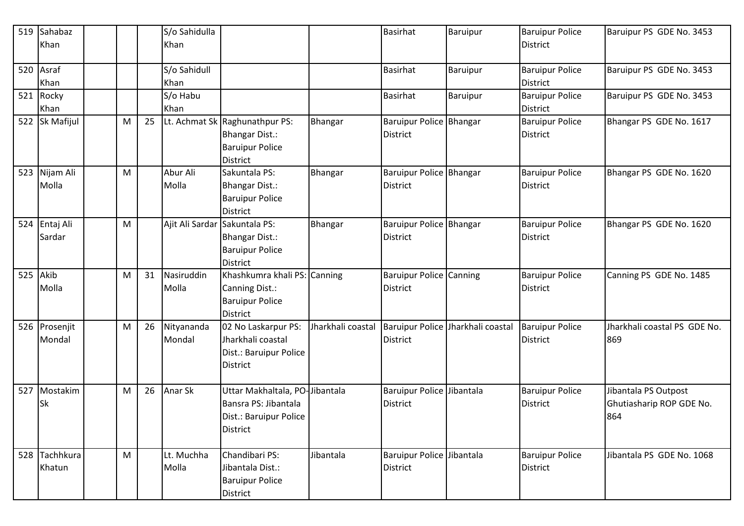|     | 519 Sahabaz<br>Khan     |   |    | S/o Sahidulla<br>Khan         |                                                                                                     |                   | <b>Basirhat</b>                                   | <b>Baruipur</b>                   | <b>Baruipur Police</b><br><b>District</b> | Baruipur PS GDE No. 3453                                |
|-----|-------------------------|---|----|-------------------------------|-----------------------------------------------------------------------------------------------------|-------------------|---------------------------------------------------|-----------------------------------|-------------------------------------------|---------------------------------------------------------|
|     | 520 Asraf<br>Khan       |   |    | S/o Sahidull<br>Khan          |                                                                                                     |                   | <b>Basirhat</b>                                   | <b>Baruipur</b>                   | <b>Baruipur Police</b><br>District        | Baruipur PS GDE No. 3453                                |
| 521 | Rocky<br>Khan           |   |    | S/o Habu<br>Khan              |                                                                                                     |                   | <b>Basirhat</b>                                   | <b>Baruipur</b>                   | <b>Baruipur Police</b><br>District        | Baruipur PS GDE No. 3453                                |
|     | 522 Sk Mafijul          | M | 25 |                               | Lt. Achmat Sk Raghunathpur PS:<br><b>Bhangar Dist.:</b><br><b>Baruipur Police</b><br>District       | Bhangar           | Baruipur Police Bhangar<br><b>District</b>        |                                   | <b>Baruipur Police</b><br><b>District</b> | Bhangar PS GDE No. 1617                                 |
|     | 523 Nijam Ali<br>Molla  | M |    | Abur Ali<br>Molla             | Sakuntala PS:<br><b>Bhangar Dist.:</b><br><b>Baruipur Police</b><br><b>District</b>                 | <b>Bhangar</b>    | Baruipur Police Bhangar<br><b>District</b>        |                                   | <b>Baruipur Police</b><br><b>District</b> | Bhangar PS GDE No. 1620                                 |
|     | 524 Entaj Ali<br>Sardar | M |    | Ajit Ali Sardar Sakuntala PS: | <b>Bhangar Dist.:</b><br><b>Baruipur Police</b><br>District                                         | Bhangar           | Baruipur Police Bhangar<br><b>District</b>        |                                   | <b>Baruipur Police</b><br>District        | Bhangar PS GDE No. 1620                                 |
| 525 | Akib<br>Molla           | М | 31 | Nasiruddin<br>Molla           | Khashkumra khali PS:<br>Canning Dist.:<br><b>Baruipur Police</b><br><b>District</b>                 | Canning           | <b>Baruipur Police Canning</b><br><b>District</b> |                                   | <b>Baruipur Police</b><br>District        | Canning PS GDE No. 1485                                 |
|     | 526 Prosenjit<br>Mondal | M | 26 | Nityananda<br>Mondal          | 02 No Laskarpur PS:<br>Jharkhali coastal<br>Dist.: Baruipur Police<br>District                      | Jharkhali coastal | <b>District</b>                                   | Baruipur Police Jharkhali coastal | <b>Baruipur Police</b><br><b>District</b> | Jharkhali coastal PS GDE No.<br>869                     |
| 527 | Mostakim<br><b>Sk</b>   | M | 26 | Anar Sk                       | Uttar Makhaltala, PO-Jibantala<br>Bansra PS: Jibantala<br>Dist.: Baruipur Police<br><b>District</b> |                   | Baruipur Police Jibantala<br><b>District</b>      |                                   | <b>Baruipur Police</b><br><b>District</b> | Jibantala PS Outpost<br>Ghutiasharip ROP GDE No.<br>864 |
|     | 528 Tachhkura<br>Khatun | M |    | Lt. Muchha<br>Molla           | Chandibari PS:<br>Jibantala Dist.:<br><b>Baruipur Police</b><br>District                            | Jibantala         | Baruipur Police Jibantala<br><b>District</b>      |                                   | <b>Baruipur Police</b><br><b>District</b> | Jibantala PS GDE No. 1068                               |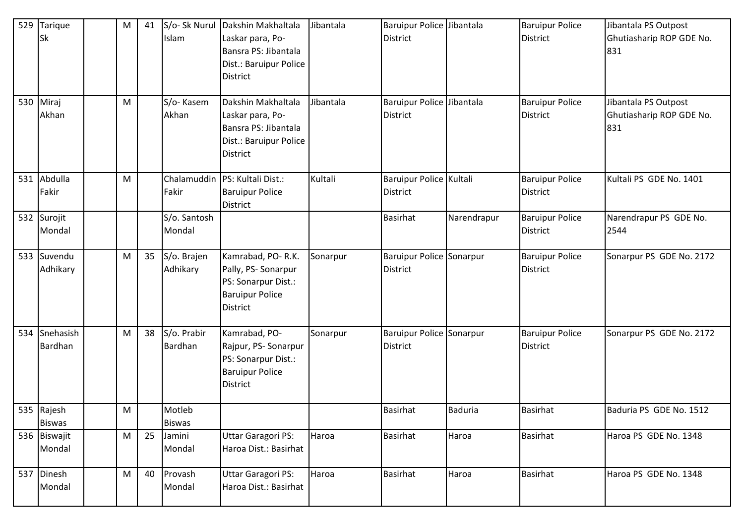| 529 | Tarique<br>Sk               | M | 41 | S/o- Sk Nurul<br>Islam  | Dakshin Makhaltala<br>Laskar para, Po-<br>Bansra PS: Jibantala<br>Dist.: Baruipur Police<br><b>District</b>  | Jibantala | Baruipur Police Jibantala<br><b>District</b> |             | <b>Baruipur Police</b><br><b>District</b> | Jibantala PS Outpost<br>Ghutiasharip ROP GDE No.<br>831 |
|-----|-----------------------------|---|----|-------------------------|--------------------------------------------------------------------------------------------------------------|-----------|----------------------------------------------|-------------|-------------------------------------------|---------------------------------------------------------|
| 530 | Miraj<br>Akhan              | M |    | S/o-Kasem<br>Akhan      | Dakshin Makhaltala<br>Laskar para, Po-<br>Bansra PS: Jibantala<br>Dist.: Baruipur Police<br><b>District</b>  | Jibantala | Baruipur Police Jibantala<br><b>District</b> |             | <b>Baruipur Police</b><br><b>District</b> | Jibantala PS Outpost<br>Ghutiasharip ROP GDE No.<br>831 |
| 531 | Abdulla<br>Fakir            | M |    | Chalamuddin<br>Fakir    | PS: Kultali Dist.:<br><b>Baruipur Police</b><br><b>District</b>                                              | Kultali   | Baruipur Police Kultali<br><b>District</b>   |             | <b>Baruipur Police</b><br><b>District</b> | Kultali PS GDE No. 1401                                 |
|     | 532 Surojit<br>Mondal       |   |    | S/o. Santosh<br>Mondal  |                                                                                                              |           | <b>Basirhat</b>                              | Narendrapur | <b>Baruipur Police</b><br><b>District</b> | Narendrapur PS GDE No.<br>2544                          |
|     | 533 Suvendu<br>Adhikary     | M | 35 | S/o. Brajen<br>Adhikary | Kamrabad, PO-R.K.<br>Pally, PS- Sonarpur<br>PS: Sonarpur Dist.:<br><b>Baruipur Police</b><br><b>District</b> | Sonarpur  | Baruipur Police Sonarpur<br><b>District</b>  |             | <b>Baruipur Police</b><br>District        | Sonarpur PS GDE No. 2172                                |
|     | 534 Snehasish<br>Bardhan    | M | 38 | S/o. Prabir<br>Bardhan  | Kamrabad, PO-<br>Rajpur, PS-Sonarpur<br>PS: Sonarpur Dist.:<br><b>Baruipur Police</b><br><b>District</b>     | Sonarpur  | Baruipur Police Sonarpur<br><b>District</b>  |             | <b>Baruipur Police</b><br><b>District</b> | Sonarpur PS GDE No. 2172                                |
|     | 535 Rajesh<br><b>Biswas</b> | M |    | Motleb<br><b>Biswas</b> |                                                                                                              |           | <b>Basirhat</b>                              | Baduria     | Basirhat                                  | Baduria PS GDE No. 1512                                 |
|     | 536 Biswajit<br>Mondal      | M | 25 | Jamini<br>Mondal        | <b>Uttar Garagori PS:</b><br>Haroa Dist.: Basirhat                                                           | Haroa     | Basirhat                                     | Haroa       | <b>Basirhat</b>                           | Haroa PS GDE No. 1348                                   |
| 537 | Dinesh<br>Mondal            | M | 40 | Provash<br>Mondal       | <b>Uttar Garagori PS:</b><br>Haroa Dist.: Basirhat                                                           | Haroa     | <b>Basirhat</b>                              | Haroa       | Basirhat                                  | Haroa PS GDE No. 1348                                   |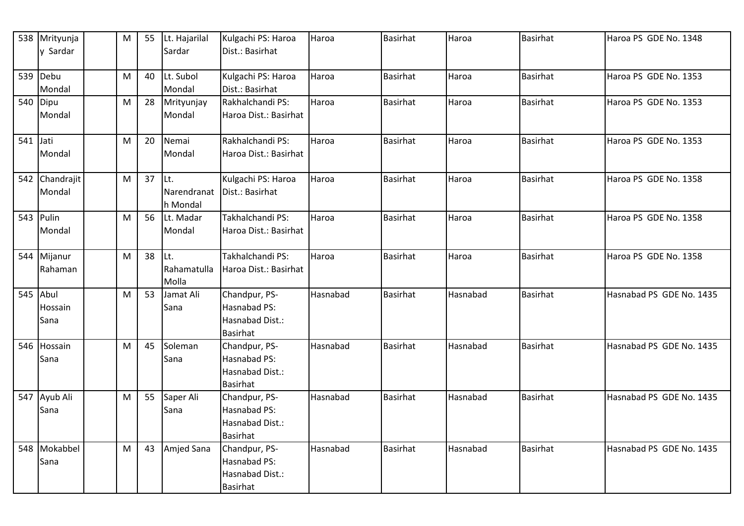|            | 538 Mrityunja       | M         | 55 | Lt. Hajarilal       | Kulgachi PS: Haroa               | Haroa    | <b>Basirhat</b> | Haroa    | <b>Basirhat</b> | Haroa PS GDE No. 1348    |
|------------|---------------------|-----------|----|---------------------|----------------------------------|----------|-----------------|----------|-----------------|--------------------------|
|            | y Sardar            |           |    | Sardar              | Dist.: Basirhat                  |          |                 |          |                 |                          |
| 539        | Debu                | M         | 40 | Lt. Subol           | Kulgachi PS: Haroa               | Haroa    | <b>Basirhat</b> | Haroa    | <b>Basirhat</b> | Haroa PS GDE No. 1353    |
|            | Mondal              |           |    | Mondal              | Dist.: Basirhat                  |          |                 |          |                 |                          |
|            | 540 Dipu            | M         | 28 | Mrityunjay          | Rakhalchandi PS:                 | Haroa    | <b>Basirhat</b> | Haroa    | <b>Basirhat</b> | Haroa PS GDE No. 1353    |
|            | Mondal              |           |    | Mondal              | Haroa Dist.: Basirhat            |          |                 |          |                 |                          |
| $541$ Jati |                     | M         | 20 | Nemai               | Rakhalchandi PS:                 | Haroa    | <b>Basirhat</b> | Haroa    | <b>Basirhat</b> | Haroa PS GDE No. 1353    |
|            | Mondal              |           |    | Mondal              | Haroa Dist.: Basirhat            |          |                 |          |                 |                          |
|            | 542 Chandrajit      | M         | 37 | Lt.                 | Kulgachi PS: Haroa               | Haroa    | <b>Basirhat</b> | Haroa    | <b>Basirhat</b> | Haroa PS GDE No. 1358    |
|            | Mondal              |           |    | Narendranat         | Dist.: Basirhat                  |          |                 |          |                 |                          |
|            |                     |           | 56 | h Mondal            | Takhalchandi PS:                 | Haroa    | <b>Basirhat</b> |          | <b>Basirhat</b> | Haroa PS GDE No. 1358    |
|            | 543 Pulin<br>Mondal | M         |    | Lt. Madar<br>Mondal | Haroa Dist.: Basirhat            |          |                 | Haroa    |                 |                          |
|            |                     |           |    |                     |                                  |          |                 |          |                 |                          |
| 544        | Mijanur             | ${\sf M}$ | 38 | Lt.                 | Takhalchandi PS:                 | Haroa    | <b>Basirhat</b> | Haroa    | <b>Basirhat</b> | Haroa PS GDE No. 1358    |
|            | Rahaman             |           |    | Rahamatulla         | Haroa Dist.: Basirhat            |          |                 |          |                 |                          |
|            |                     |           |    | Molla               |                                  |          |                 |          |                 |                          |
| $545$ Abul |                     | M         | 53 | Jamat Ali           | Chandpur, PS-<br>Hasnabad PS:    | Hasnabad | <b>Basirhat</b> | Hasnabad | <b>Basirhat</b> | Hasnabad PS GDE No. 1435 |
|            | Hossain<br>Sana     |           |    | Sana                | Hasnabad Dist.:                  |          |                 |          |                 |                          |
|            |                     |           |    |                     | <b>Basirhat</b>                  |          |                 |          |                 |                          |
| 546        | Hossain             | M         | 45 | Soleman             | Chandpur, PS-                    | Hasnabad | <b>Basirhat</b> | Hasnabad | <b>Basirhat</b> | Hasnabad PS GDE No. 1435 |
|            | Sana                |           |    | Sana                | Hasnabad PS:                     |          |                 |          |                 |                          |
|            |                     |           |    |                     | Hasnabad Dist.:                  |          |                 |          |                 |                          |
|            |                     |           |    |                     | <b>Basirhat</b>                  |          |                 |          |                 |                          |
| 547        | Ayub Ali            | M         | 55 | Saper Ali           | Chandpur, PS-                    | Hasnabad | <b>Basirhat</b> | Hasnabad | <b>Basirhat</b> | Hasnabad PS GDE No. 1435 |
|            | Sana                |           |    | Sana                | Hasnabad PS:                     |          |                 |          |                 |                          |
|            |                     |           |    |                     | Hasnabad Dist.:                  |          |                 |          |                 |                          |
| 548        | Mokabbel            | M         | 43 | Amjed Sana          | <b>Basirhat</b><br>Chandpur, PS- | Hasnabad | <b>Basirhat</b> | Hasnabad | <b>Basirhat</b> | Hasnabad PS GDE No. 1435 |
|            | Sana                |           |    |                     | Hasnabad PS:                     |          |                 |          |                 |                          |
|            |                     |           |    |                     | Hasnabad Dist.:                  |          |                 |          |                 |                          |
|            |                     |           |    |                     | <b>Basirhat</b>                  |          |                 |          |                 |                          |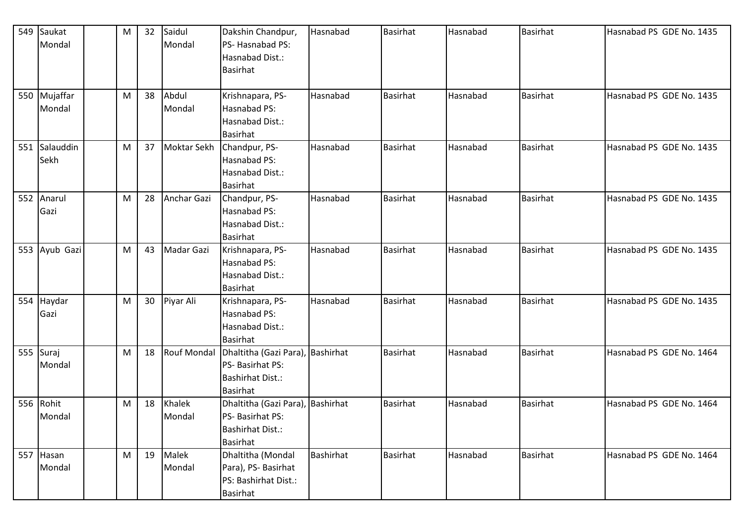| 549 | Saukat        | M | 32 | Saidul             | Dakshin Chandpur,                | Hasnabad         | <b>Basirhat</b> | Hasnabad | <b>Basirhat</b> | Hasnabad PS GDE No. 1435 |
|-----|---------------|---|----|--------------------|----------------------------------|------------------|-----------------|----------|-----------------|--------------------------|
|     | Mondal        |   |    | Mondal             | PS-Hasnabad PS:                  |                  |                 |          |                 |                          |
|     |               |   |    |                    | Hasnabad Dist.:                  |                  |                 |          |                 |                          |
|     |               |   |    |                    | <b>Basirhat</b>                  |                  |                 |          |                 |                          |
|     |               |   |    |                    |                                  |                  |                 |          |                 |                          |
|     | 550 Mujaffar  | M | 38 | Abdul              | Krishnapara, PS-                 | Hasnabad         | <b>Basirhat</b> | Hasnabad | <b>Basirhat</b> | Hasnabad PS GDE No. 1435 |
|     | Mondal        |   |    | Mondal             | Hasnabad PS:                     |                  |                 |          |                 |                          |
|     |               |   |    |                    | Hasnabad Dist.:                  |                  |                 |          |                 |                          |
|     |               |   |    |                    | <b>Basirhat</b>                  |                  |                 |          |                 |                          |
|     | 551 Salauddin | M | 37 | Moktar Sekh        | Chandpur, PS-                    | Hasnabad         | Basirhat        | Hasnabad | <b>Basirhat</b> | Hasnabad PS GDE No. 1435 |
|     | Sekh          |   |    |                    | Hasnabad PS:                     |                  |                 |          |                 |                          |
|     |               |   |    |                    | Hasnabad Dist.:                  |                  |                 |          |                 |                          |
|     |               |   |    |                    | <b>Basirhat</b>                  |                  |                 |          |                 |                          |
| 552 | Anarul        | M | 28 | Anchar Gazi        | Chandpur, PS-                    | Hasnabad         | <b>Basirhat</b> | Hasnabad | <b>Basirhat</b> | Hasnabad PS GDE No. 1435 |
|     | Gazi          |   |    |                    | Hasnabad PS:                     |                  |                 |          |                 |                          |
|     |               |   |    |                    | Hasnabad Dist.:                  |                  |                 |          |                 |                          |
|     |               |   |    |                    | <b>Basirhat</b>                  |                  |                 |          |                 |                          |
|     | 553 Ayub Gazi | M | 43 | Madar Gazi         | Krishnapara, PS-                 | Hasnabad         | Basirhat        | Hasnabad | <b>Basirhat</b> | Hasnabad PS GDE No. 1435 |
|     |               |   |    |                    | Hasnabad PS:                     |                  |                 |          |                 |                          |
|     |               |   |    |                    | Hasnabad Dist.:                  |                  |                 |          |                 |                          |
|     |               |   |    |                    | <b>Basirhat</b>                  |                  |                 |          |                 |                          |
| 554 | Haydar        | M | 30 | Piyar Ali          | Krishnapara, PS-                 | Hasnabad         | <b>Basirhat</b> | Hasnabad | <b>Basirhat</b> | Hasnabad PS GDE No. 1435 |
|     | Gazi          |   |    |                    | Hasnabad PS:                     |                  |                 |          |                 |                          |
|     |               |   |    |                    | Hasnabad Dist.:                  |                  |                 |          |                 |                          |
|     |               |   |    |                    | <b>Basirhat</b>                  |                  |                 |          |                 |                          |
|     | 555 Suraj     | M | 18 | <b>Rouf Mondal</b> | Dhaltitha (Gazi Para),           | Bashirhat        | <b>Basirhat</b> | Hasnabad | <b>Basirhat</b> | Hasnabad PS GDE No. 1464 |
|     | Mondal        |   |    |                    | PS- Basirhat PS:                 |                  |                 |          |                 |                          |
|     |               |   |    |                    | <b>Bashirhat Dist.:</b>          |                  |                 |          |                 |                          |
|     |               |   |    |                    | <b>Basirhat</b>                  |                  |                 |          |                 |                          |
|     | 556 Rohit     | M | 18 | Khalek             | Dhaltitha (Gazi Para), Bashirhat |                  | Basirhat        | Hasnabad | <b>Basirhat</b> | Hasnabad PS GDE No. 1464 |
|     | Mondal        |   |    | Mondal             | PS- Basirhat PS:                 |                  |                 |          |                 |                          |
|     |               |   |    |                    | <b>Bashirhat Dist.:</b>          |                  |                 |          |                 |                          |
|     |               |   |    |                    | <b>Basirhat</b>                  |                  |                 |          |                 |                          |
| 557 | Hasan         | M | 19 | Malek              | Dhaltitha (Mondal                | <b>Bashirhat</b> | <b>Basirhat</b> | Hasnabad | <b>Basirhat</b> | Hasnabad PS GDE No. 1464 |
|     | Mondal        |   |    | Mondal             | Para), PS- Basirhat              |                  |                 |          |                 |                          |
|     |               |   |    |                    | PS: Bashirhat Dist.:             |                  |                 |          |                 |                          |
|     |               |   |    |                    | <b>Basirhat</b>                  |                  |                 |          |                 |                          |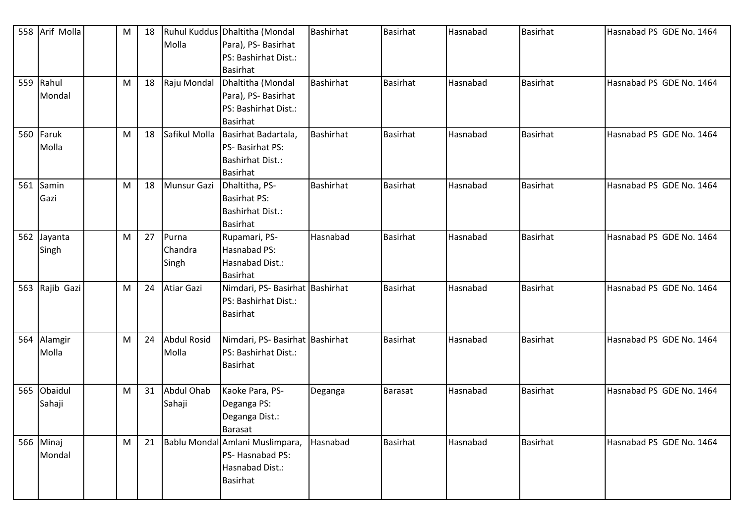|     | 558 Arif Molla       | M | 18 | Molla                       | Ruhul Kuddus Dhaltitha (Mondal<br>Para), PS- Basirhat<br>PS: Bashirhat Dist.:<br><b>Basirhat</b> | <b>Bashirhat</b> | <b>Basirhat</b> | Hasnabad | <b>Basirhat</b> | Hasnabad PS GDE No. 1464 |
|-----|----------------------|---|----|-----------------------------|--------------------------------------------------------------------------------------------------|------------------|-----------------|----------|-----------------|--------------------------|
|     | 559 Rahul<br>Mondal  | M | 18 | Raju Mondal                 | Dhaltitha (Mondal<br>Para), PS- Basirhat<br>PS: Bashirhat Dist.:<br><b>Basirhat</b>              | <b>Bashirhat</b> | <b>Basirhat</b> | Hasnabad | <b>Basirhat</b> | Hasnabad PS GDE No. 1464 |
| 560 | Faruk<br>Molla       | M | 18 | Safikul Molla               | Basirhat Badartala,<br>PS- Basirhat PS:<br><b>Bashirhat Dist.:</b><br><b>Basirhat</b>            | <b>Bashirhat</b> | <b>Basirhat</b> | Hasnabad | <b>Basirhat</b> | Hasnabad PS GDE No. 1464 |
| 561 | Samin<br>Gazi        | M | 18 | <b>Munsur Gazi</b>          | Dhaltitha, PS-<br><b>Basirhat PS:</b><br><b>Bashirhat Dist.:</b><br><b>Basirhat</b>              | <b>Bashirhat</b> | Basirhat        | Hasnabad | <b>Basirhat</b> | Hasnabad PS GDE No. 1464 |
|     | 562 Jayanta<br>Singh | M | 27 | Purna<br>Chandra<br>Singh   | Rupamari, PS-<br>Hasnabad PS:<br>Hasnabad Dist.:<br><b>Basirhat</b>                              | Hasnabad         | <b>Basirhat</b> | Hasnabad | <b>Basirhat</b> | Hasnabad PS GDE No. 1464 |
|     | 563 Rajib Gazi       | M | 24 | <b>Atiar Gazi</b>           | Nimdari, PS- Basirhat Bashirhat<br>PS: Bashirhat Dist.:<br><b>Basirhat</b>                       |                  | <b>Basirhat</b> | Hasnabad | Basirhat        | Hasnabad PS GDE No. 1464 |
|     | 564 Alamgir<br>Molla | M | 24 | <b>Abdul Rosid</b><br>Molla | Nimdari, PS- Basirhat Bashirhat<br>PS: Bashirhat Dist.:<br><b>Basirhat</b>                       |                  | Basirhat        | Hasnabad | <b>Basirhat</b> | Hasnabad PS GDE No. 1464 |
| 565 | Obaidul<br>Sahaji    | M | 31 | Abdul Ohab<br>Sahaji        | Kaoke Para, PS-<br>Deganga PS:<br>Deganga Dist.:<br>Barasat                                      | Deganga          | Barasat         | Hasnabad | Basirhat        | Hasnabad PS GDE No. 1464 |
|     | 566 Minaj<br>Mondal  | M | 21 |                             | Bablu Mondal Amlani Muslimpara,<br>PS-Hasnabad PS:<br>Hasnabad Dist.:<br><b>Basirhat</b>         | Hasnabad         | <b>Basirhat</b> | Hasnabad | <b>Basirhat</b> | Hasnabad PS GDE No. 1464 |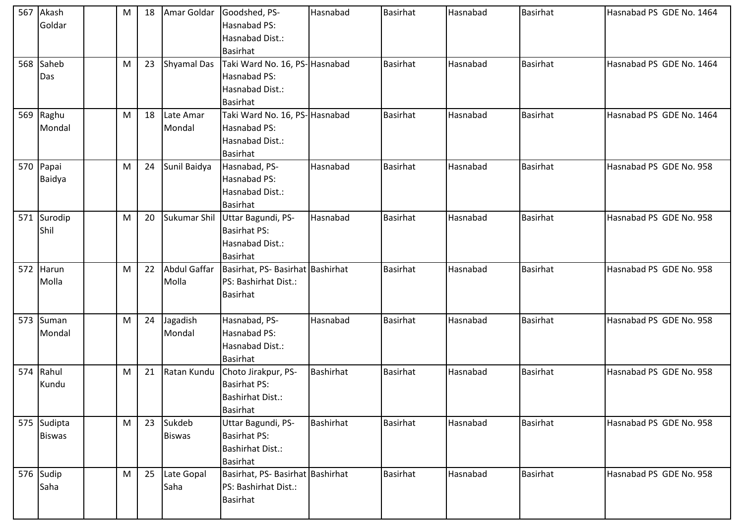| 567 Akash<br>Goldar          | M | 18 |                         | Amar Goldar Goodshed, PS-<br>Hasnabad PS:<br>Hasnabad Dist.:                                    | Hasnabad         | <b>Basirhat</b> | Hasnabad | <b>Basirhat</b> | Hasnabad PS GDE No. 1464 |
|------------------------------|---|----|-------------------------|-------------------------------------------------------------------------------------------------|------------------|-----------------|----------|-----------------|--------------------------|
| 568 Saheb<br>Das             | M | 23 | <b>Shyamal Das</b>      | Basirhat<br>Taki Ward No. 16, PS-Hasnabad<br>Hasnabad PS:<br>Hasnabad Dist.:<br><b>Basirhat</b> |                  | <b>Basirhat</b> | Hasnabad | <b>Basirhat</b> | Hasnabad PS GDE No. 1464 |
| 569 Raghu<br>Mondal          | M | 18 | Late Amar<br>Mondal     | Taki Ward No. 16, PS-Hasnabad<br>Hasnabad PS:<br>Hasnabad Dist.:<br><b>Basirhat</b>             |                  | <b>Basirhat</b> | Hasnabad | <b>Basirhat</b> | Hasnabad PS GDE No. 1464 |
| 570 Papai<br><b>Baidya</b>   | M | 24 | Sunil Baidya            | Hasnabad, PS-<br>Hasnabad PS:<br>Hasnabad Dist.:<br><b>Basirhat</b>                             | Hasnabad         | <b>Basirhat</b> | Hasnabad | <b>Basirhat</b> | Hasnabad PS GDE No. 958  |
| 571 Surodip<br>Shil          | M | 20 | Sukumar Shil            | Uttar Bagundi, PS-<br><b>Basirhat PS:</b><br>Hasnabad Dist.:<br><b>Basirhat</b>                 | Hasnabad         | <b>Basirhat</b> | Hasnabad | <b>Basirhat</b> | Hasnabad PS GDE No. 958  |
| 572 Harun<br>Molla           | M | 22 | Abdul Gaffar<br>Molla   | Basirhat, PS- Basirhat Bashirhat<br>PS: Bashirhat Dist.:<br><b>Basirhat</b>                     |                  | <b>Basirhat</b> | Hasnabad | <b>Basirhat</b> | Hasnabad PS GDE No. 958  |
| 573 Suman<br>Mondal          | M | 24 | Jagadish<br>Mondal      | Hasnabad, PS-<br>Hasnabad PS:<br>Hasnabad Dist.:<br><b>Basirhat</b>                             | Hasnabad         | <b>Basirhat</b> | Hasnabad | Basirhat        | Hasnabad PS GDE No. 958  |
| 574 Rahul<br>Kundu           | M | 21 | Ratan Kundu             | Choto Jirakpur, PS-<br><b>Basirhat PS:</b><br><b>Bashirhat Dist.:</b><br><b>Basirhat</b>        | <b>Bashirhat</b> | <b>Basirhat</b> | Hasnabad | <b>Basirhat</b> | Hasnabad PS GDE No. 958  |
| 575 Sudipta<br><b>Biswas</b> | M | 23 | Sukdeb<br><b>Biswas</b> | Uttar Bagundi, PS-<br><b>Basirhat PS:</b><br><b>Bashirhat Dist.:</b><br><b>Basirhat</b>         | <b>Bashirhat</b> | <b>Basirhat</b> | Hasnabad | <b>Basirhat</b> | Hasnabad PS GDE No. 958  |
| 576 Sudip<br>Saha            | M | 25 | Late Gopal<br>Saha      | Basirhat, PS- Basirhat Bashirhat<br>PS: Bashirhat Dist.:<br><b>Basirhat</b>                     |                  | <b>Basirhat</b> | Hasnabad | <b>Basirhat</b> | Hasnabad PS GDE No. 958  |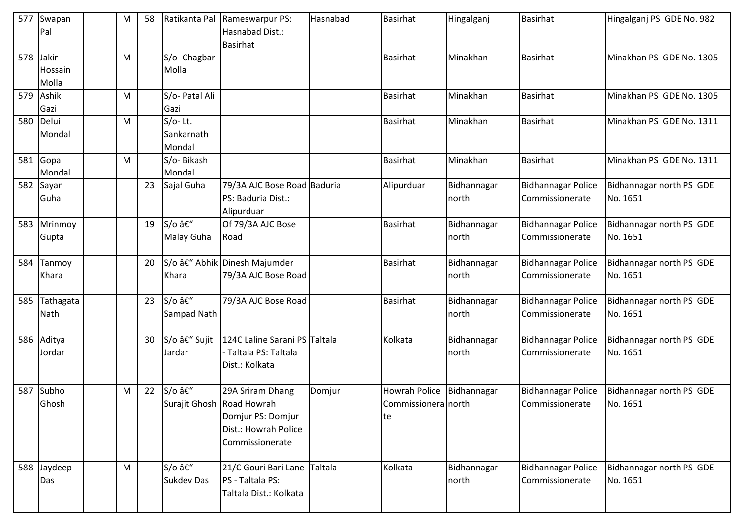| 577 | Swapan<br>Pal             | М | 58 |                                            | Ratikanta Pal Rameswarpur PS:<br>Hasnabad Dist.:<br><b>Basirhat</b>              | Hasnabad | Basirhat                                   | Hingalganj           | <b>Basirhat</b>                              | Hingalganj PS GDE No. 982            |
|-----|---------------------------|---|----|--------------------------------------------|----------------------------------------------------------------------------------|----------|--------------------------------------------|----------------------|----------------------------------------------|--------------------------------------|
| 578 | Jakir<br>Hossain<br>Molla | M |    | S/o- Chagbar<br>Molla                      |                                                                                  |          | <b>Basirhat</b>                            | Minakhan             | <b>Basirhat</b>                              | Minakhan PS GDE No. 1305             |
| 579 | Ashik<br>Gazi             | М |    | S/o- Patal Ali<br>Gazi                     |                                                                                  |          | <b>Basirhat</b>                            | Minakhan             | <b>Basirhat</b>                              | Minakhan PS GDE No. 1305             |
| 580 | Delui<br>Mondal           | M |    | $S/O-$ Lt.<br>Sankarnath<br>Mondal         |                                                                                  |          | <b>Basirhat</b>                            | Minakhan             | <b>Basirhat</b>                              | Minakhan PS GDE No. 1311             |
|     | 581 Gopal<br>Mondal       | M |    | S/o-Bikash<br>Mondal                       |                                                                                  |          | <b>Basirhat</b>                            | Minakhan             | <b>Basirhat</b>                              | Minakhan PS GDE No. 1311             |
|     | 582 Sayan<br>Guha         |   | 23 | Sajal Guha                                 | 79/3A AJC Bose Road Baduria<br>PS: Baduria Dist.:<br>Alipurduar                  |          | Alipurduar                                 | Bidhannagar<br>north | <b>Bidhannagar Police</b><br>Commissionerate | Bidhannagar north PS GDE<br>No. 1651 |
| 583 | Mrinmoy<br>Gupta          |   | 19 | $S/O \hat{a} \hat{\epsilon}$<br>Malay Guha | Of 79/3A AJC Bose<br>Road                                                        |          | <b>Basirhat</b>                            | Bidhannagar<br>north | <b>Bidhannagar Police</b><br>Commissionerate | Bidhannagar north PS GDE<br>No. 1651 |
| 584 | Tanmoy<br>Khara           |   | 20 | Khara                                      | S/o – Abhik Dinesh Majumder<br>79/3A AJC Bose Road                               |          | Basirhat                                   | Bidhannagar<br>north | <b>Bidhannagar Police</b><br>Commissionerate | Bidhannagar north PS GDE<br>No. 1651 |
| 585 | Tathagata<br><b>Nath</b>  |   | 23 | S/o –<br>Sampad Nath                       | 79/3A AJC Bose Road                                                              |          | <b>Basirhat</b>                            | Bidhannagar<br>north | <b>Bidhannagar Police</b><br>Commissionerate | Bidhannagar north PS GDE<br>No. 1651 |
|     | 586 Aditya<br>Jordar      |   | 30 | S/o – Sujit<br>Jardar                      | 124C Laline Sarani PS Taltala<br>- Taltala PS: Taltala<br>Dist.: Kolkata         |          | Kolkata                                    | Bidhannagar<br>north | <b>Bidhannagar Police</b><br>Commissionerate | Bidhannagar north PS GDE<br>No. 1651 |
| 587 | Subho<br>Ghosh            | M | 22 | S/o –<br>Surajit Ghosh Road Howrah         | 29A Sriram Dhang<br>Domjur PS: Domjur<br>Dist.: Howrah Police<br>Commissionerate | Domjur   | Howrah Police<br>Commissionera north<br>te | Bidhannagar          | <b>Bidhannagar Police</b><br>Commissionerate | Bidhannagar north PS GDE<br>No. 1651 |
|     | 588 Jaydeep<br>Das        | M |    | S/o –<br><b>Sukdev Das</b>                 | 21/C Gouri Bari Lane Taltala<br>PS - Taltala PS:<br>Taltala Dist.: Kolkata       |          | Kolkata                                    | Bidhannagar<br>north | <b>Bidhannagar Police</b><br>Commissionerate | Bidhannagar north PS GDE<br>No. 1651 |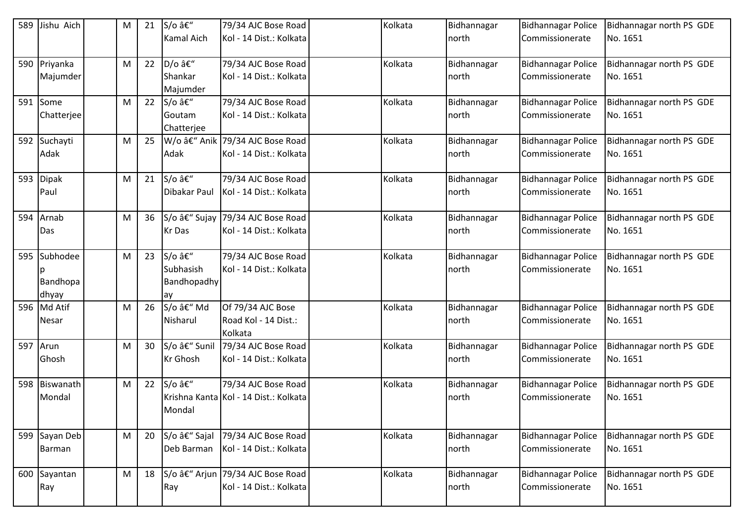|     | 589 Jishu Aich | M | 21 | S/o –             | 79/34 AJC Bose Road                       | Kolkata | Bidhannagar          | <b>Bidhannagar Police</b>                    | Bidhannagar north PS GDE             |
|-----|----------------|---|----|-------------------|-------------------------------------------|---------|----------------------|----------------------------------------------|--------------------------------------|
|     |                |   |    | <b>Kamal Aich</b> | Kol - 14 Dist.: Kolkata                   |         | north                | Commissionerate                              | No. 1651                             |
|     | 590 Priyanka   | M | 22 | D/o –             | 79/34 AJC Bose Road                       | Kolkata | Bidhannagar          | <b>Bidhannagar Police</b>                    | Bidhannagar north PS GDE             |
|     | Majumder       |   |    | Shankar           | Kol - 14 Dist.: Kolkata                   |         | north                | Commissionerate                              | No. 1651                             |
|     |                |   |    | Majumder          |                                           |         |                      |                                              |                                      |
|     | 591 Some       | M | 22 | S/o –             | 79/34 AJC Bose Road                       | Kolkata | Bidhannagar          | <b>Bidhannagar Police</b>                    | Bidhannagar north PS GDE             |
|     | Chatterjee     |   |    | Goutam            | Kol - 14 Dist.: Kolkata                   |         | north                | Commissionerate                              | No. 1651                             |
|     |                |   |    | Chatterjee        |                                           |         |                      |                                              |                                      |
|     | 592 Suchayti   | M | 25 |                   | W/o – Anik 79/34 AJC Bose Road            | Kolkata | Bidhannagar          | <b>Bidhannagar Police</b>                    | Bidhannagar north PS GDE             |
|     | Adak           |   |    | Adak              | Kol - 14 Dist.: Kolkata                   |         | north                | Commissionerate                              | No. 1651                             |
|     | 593 Dipak      | M | 21 | S/o –             | 79/34 AJC Bose Road                       | Kolkata | Bidhannagar          | <b>Bidhannagar Police</b>                    | Bidhannagar north PS GDE             |
|     | Paul           |   |    | Dibakar Paul      | Kol - 14 Dist.: Kolkata                   |         | north                | Commissionerate                              | No. 1651                             |
| 594 | Arnab          | M | 36 | S/o – Sujay       | 79/34 AJC Bose Road                       | Kolkata | Bidhannagar          | <b>Bidhannagar Police</b>                    | Bidhannagar north PS GDE             |
|     | Das            |   |    | Kr Das            | Kol - 14 Dist.: Kolkata                   |         | north                | Commissionerate                              | No. 1651                             |
|     |                |   |    |                   |                                           |         |                      |                                              |                                      |
|     | 595 Subhodee   | M | 23 | S/o –             | 79/34 AJC Bose Road                       | Kolkata | Bidhannagar          | <b>Bidhannagar Police</b>                    | Bidhannagar north PS GDE             |
|     |                |   |    | Subhasish         | Kol - 14 Dist.: Kolkata                   |         | north                | Commissionerate                              | No. 1651                             |
|     | Bandhopa       |   |    | Bandhopadhy       |                                           |         |                      |                                              |                                      |
|     | dhyay          |   |    | ay<br>S/o – Md    |                                           |         |                      |                                              |                                      |
|     | 596 Md Atif    | M | 26 | Nisharul          | Of 79/34 AJC Bose<br>Road Kol - 14 Dist.: | Kolkata | Bidhannagar<br>north | <b>Bidhannagar Police</b><br>Commissionerate | Bidhannagar north PS GDE<br>No. 1651 |
|     | Nesar          |   |    |                   | Kolkata                                   |         |                      |                                              |                                      |
|     | 597 Arun       | M | 30 | S/o â€" Sunil     | 79/34 AJC Bose Road                       | Kolkata | Bidhannagar          | <b>Bidhannagar Police</b>                    | Bidhannagar north PS GDE             |
|     | Ghosh          |   |    | <b>Kr</b> Ghosh   | Kol - 14 Dist.: Kolkata                   |         | north                | Commissionerate                              | No. 1651                             |
|     |                |   |    |                   |                                           |         |                      |                                              |                                      |
|     | 598 Biswanath  | M | 22 | S/o –             | 79/34 AJC Bose Road                       | Kolkata | Bidhannagar          | <b>Bidhannagar Police</b>                    | Bidhannagar north PS GDE             |
|     | Mondal         |   |    |                   | Krishna Kanta Kol - 14 Dist.: Kolkata     |         | north                | Commissionerate                              | No. 1651                             |
|     |                |   |    | Mondal            |                                           |         |                      |                                              |                                      |
|     |                |   |    |                   |                                           |         |                      |                                              |                                      |
|     | 599 Sayan Deb  | M | 20 | S/o – Sajal       | 79/34 AJC Bose Road                       | Kolkata | Bidhannagar          | <b>Bidhannagar Police</b>                    | Bidhannagar north PS GDE             |
|     | Barman         |   |    | Deb Barman        | Kol - 14 Dist.: Kolkata                   |         | north                | Commissionerate                              | No. 1651                             |
|     | 600 Sayantan   | M | 18 |                   | S/o â€" Arjun 79/34 AJC Bose Road         | Kolkata | Bidhannagar          | <b>Bidhannagar Police</b>                    | Bidhannagar north PS GDE             |
|     | Ray            |   |    | Ray               | Kol - 14 Dist.: Kolkata                   |         | north                | Commissionerate                              | No. 1651                             |
|     |                |   |    |                   |                                           |         |                      |                                              |                                      |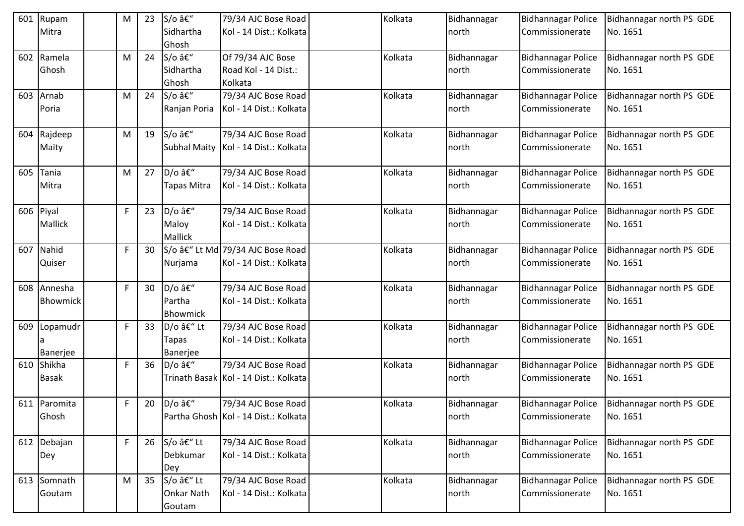|     | 601 Rupam       | M | 23 | S/o –               | 79/34 AJC Bose Road                     | Kolkata | Bidhannagar | Bidhannagar Police        | Bidhannagar north PS GDE |
|-----|-----------------|---|----|---------------------|-----------------------------------------|---------|-------------|---------------------------|--------------------------|
|     | Mitra           |   |    | Sidhartha           | Kol - 14 Dist.: Kolkata                 |         | north       | Commissionerate           | No. 1651                 |
|     |                 |   |    | Ghosh               |                                         |         |             |                           |                          |
|     | 602 Ramela      | M | 24 | S/o –               | Of 79/34 AJC Bose                       | Kolkata | Bidhannagar | <b>Bidhannagar Police</b> | Bidhannagar north PS GDE |
|     | Ghosh           |   |    | Sidhartha           | Road Kol - 14 Dist.:                    |         | north       | Commissionerate           | No. 1651                 |
|     |                 |   |    | Ghosh               | Kolkata                                 |         |             |                           |                          |
|     | 603 Arnab       | M | 24 | S/o –               | 79/34 AJC Bose Road                     | Kolkata | Bidhannagar | <b>Bidhannagar Police</b> | Bidhannagar north PS GDE |
|     | Poria           |   |    | Ranjan Poria        | Kol - 14 Dist.: Kolkata                 |         | north       | Commissionerate           | No. 1651                 |
|     |                 |   |    |                     |                                         |         |             |                           |                          |
|     | 604 Rajdeep     | M | 19 | S/o –               | 79/34 AJC Bose Road                     | Kolkata | Bidhannagar | <b>Bidhannagar Police</b> | Bidhannagar north PS GDE |
|     | Maity           |   |    | <b>Subhal Maity</b> | Kol - 14 Dist.: Kolkata                 |         | north       | Commissionerate           | No. 1651                 |
|     |                 |   |    |                     |                                         |         |             |                           |                          |
| 605 | Tania           | M | 27 | D/o –               | 79/34 AJC Bose Road                     | Kolkata | Bidhannagar | <b>Bidhannagar Police</b> | Bidhannagar north PS GDE |
|     | Mitra           |   |    | <b>Tapas Mitra</b>  | Kol - 14 Dist.: Kolkata                 |         | north       | Commissionerate           | No. 1651                 |
|     |                 |   |    |                     |                                         |         |             |                           |                          |
|     | 606 Piyal       | F | 23 | D/o –               | 79/34 AJC Bose Road                     | Kolkata | Bidhannagar | Bidhannagar Police        | Bidhannagar north PS GDE |
|     | <b>Mallick</b>  |   |    | Maloy               | Kol - 14 Dist.: Kolkata                 |         | north       | Commissionerate           | No. 1651                 |
|     |                 |   |    | Mallick             |                                         |         |             |                           |                          |
|     | 607 Nahid       | F | 30 |                     | S/o – Lt Md 79/34 AJC Bose Road         | Kolkata | Bidhannagar | <b>Bidhannagar Police</b> | Bidhannagar north PS GDE |
|     | Quiser          |   |    | Nurjama             | Kol - 14 Dist.: Kolkata                 |         | north       | Commissionerate           | No. 1651                 |
|     |                 |   |    |                     |                                         |         |             |                           |                          |
|     | 608 Annesha     | F | 30 | D/o –               | 79/34 AJC Bose Road                     | Kolkata | Bidhannagar | <b>Bidhannagar Police</b> | Bidhannagar north PS GDE |
|     | <b>Bhowmick</b> |   |    | Partha              | Kol - 14 Dist.: Kolkata                 |         | north       | Commissionerate           | No. 1651                 |
|     |                 |   |    | Bhowmick            |                                         |         |             |                           |                          |
|     | 609 Lopamudr    | F | 33 | D/o – Lt            | 79/34 AJC Bose Road                     | Kolkata | Bidhannagar | <b>Bidhannagar Police</b> | Bidhannagar north PS GDE |
|     |                 |   |    | Tapas               | Kol - 14 Dist.: Kolkata                 |         | north       | Commissionerate           | No. 1651                 |
|     | Banerjee        |   |    | Banerjee            |                                         |         |             |                           |                          |
|     | 610 Shikha      | F | 36 | D/o –               | 79/34 AJC Bose Road                     | Kolkata | Bidhannagar | Bidhannagar Police        | Bidhannagar north PS GDE |
|     | <b>Basak</b>    |   |    |                     | Trinath Basak   Kol - 14 Dist.: Kolkata |         | north       | Commissionerate           | No. 1651                 |
|     |                 |   |    |                     |                                         |         |             |                           |                          |
|     | 611 Paromita    | F | 20 | D/o –               | 79/34 AJC Bose Road                     | Kolkata | Bidhannagar | Bidhannagar Police        | Bidhannagar north PS GDE |
|     | Ghosh           |   |    |                     | Partha Ghosh Kol - 14 Dist.: Kolkata    |         | north       | Commissionerate           | No. 1651                 |
|     |                 |   |    |                     |                                         |         |             |                           |                          |
|     | 612 Debajan     | F | 26 | S/o – Lt            | 79/34 AJC Bose Road                     | Kolkata | Bidhannagar | <b>Bidhannagar Police</b> | Bidhannagar north PS GDE |
|     | Dey             |   |    | Debkumar            | Kol - 14 Dist.: Kolkata                 |         | north       | Commissionerate           | No. 1651                 |
|     |                 |   |    | Dey                 |                                         |         |             |                           |                          |
|     | 613 Somnath     | M | 35 | S/o – Lt            | 79/34 AJC Bose Road                     | Kolkata | Bidhannagar | <b>Bidhannagar Police</b> | Bidhannagar north PS GDE |
|     | Goutam          |   |    | <b>Onkar Nath</b>   | Kol - 14 Dist.: Kolkata                 |         | north       | Commissionerate           | No. 1651                 |
|     |                 |   |    | Goutam              |                                         |         |             |                           |                          |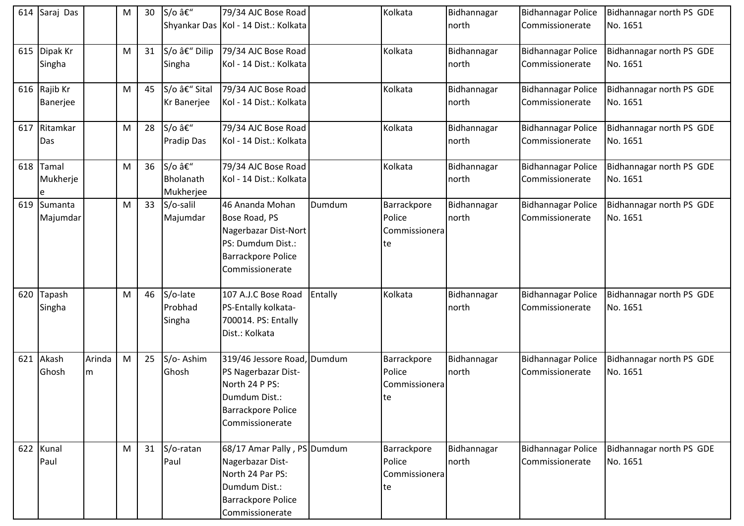| 614 | Saraj Das                |             | м | 30 | S/o –                           | 79/34 AJC Bose Road                                                                                                                  |         | Kolkata                                       | Bidhannagar          | <b>Bidhannagar Police</b>                    | Bidhannagar north PS GDE             |
|-----|--------------------------|-------------|---|----|---------------------------------|--------------------------------------------------------------------------------------------------------------------------------------|---------|-----------------------------------------------|----------------------|----------------------------------------------|--------------------------------------|
|     |                          |             |   |    |                                 | Shyankar Das Kol - 14 Dist.: Kolkata                                                                                                 |         |                                               | north                | Commissionerate                              | No. 1651                             |
| 615 | Dipak Kr<br>Singha       |             | M | 31 | S/o â€" Dilip<br>Singha         | 79/34 AJC Bose Road<br>Kol - 14 Dist.: Kolkata                                                                                       |         | Kolkata                                       | Bidhannagar<br>north | <b>Bidhannagar Police</b><br>Commissionerate | Bidhannagar north PS GDE<br>No. 1651 |
|     | 616 Rajib Kr<br>Banerjee |             | M | 45 | S/o – Sital<br>Kr Banerjee      | 79/34 AJC Bose Road<br>Kol - 14 Dist.: Kolkata                                                                                       |         | Kolkata                                       | Bidhannagar<br>north | <b>Bidhannagar Police</b><br>Commissionerate | Bidhannagar north PS GDE<br>No. 1651 |
|     | 617 Ritamkar<br>Das      |             | M | 28 | S/o –<br><b>Pradip Das</b>      | 79/34 AJC Bose Road<br>Kol - 14 Dist.: Kolkata                                                                                       |         | Kolkata                                       | Bidhannagar<br>north | <b>Bidhannagar Police</b><br>Commissionerate | Bidhannagar north PS GDE<br>No. 1651 |
| 618 | Tamal<br>Mukherje        |             | M | 36 | S/o –<br>Bholanath<br>Mukherjee | 79/34 AJC Bose Road<br>Kol - 14 Dist.: Kolkata                                                                                       |         | Kolkata                                       | Bidhannagar<br>north | <b>Bidhannagar Police</b><br>Commissionerate | Bidhannagar north PS GDE<br>No. 1651 |
| 619 | Sumanta<br>Majumdar      |             | M | 33 | S/o-salil<br>Majumdar           | 46 Ananda Mohan<br>Bose Road, PS<br>Nagerbazar Dist-Nort<br>PS: Dumdum Dist.:<br><b>Barrackpore Police</b><br>Commissionerate        | Dumdum  | Barrackpore<br>Police<br>Commissionera<br>te  | Bidhannagar<br>north | <b>Bidhannagar Police</b><br>Commissionerate | Bidhannagar north PS GDE<br>No. 1651 |
| 620 | Tapash<br>Singha         |             | M | 46 | S/o-late<br>Probhad<br>Singha   | 107 A.J.C Bose Road<br>PS-Entally kolkata-<br>700014. PS: Entally<br>Dist.: Kolkata                                                  | Entally | Kolkata                                       | Bidhannagar<br>north | <b>Bidhannagar Police</b><br>Commissionerate | Bidhannagar north PS GDE<br>No. 1651 |
| 621 | Akash<br>Ghosh           | Arinda<br>m | M | 25 | S/o-Ashim<br>Ghosh              | 319/46 Jessore Road, Dumdum<br>PS Nagerbazar Dist-<br>North 24 P PS:<br>Dumdum Dist.:<br>Barrackpore Police<br>Commissionerate       |         | Barrackpore<br>Police<br>Commissionera<br> te | Bidhannagar<br>north | <b>Bidhannagar Police</b><br>Commissionerate | Bidhannagar north PS GDE<br>No. 1651 |
|     | 622 Kunal<br>Paul        |             | M | 31 | S/o-ratan<br>Paul               | 68/17 Amar Pally, PS Dumdum<br>Nagerbazar Dist-<br>North 24 Par PS:<br>Dumdum Dist.:<br><b>Barrackpore Police</b><br>Commissionerate |         | Barrackpore<br>Police<br>Commissionera<br>te  | Bidhannagar<br>north | <b>Bidhannagar Police</b><br>Commissionerate | Bidhannagar north PS GDE<br>No. 1651 |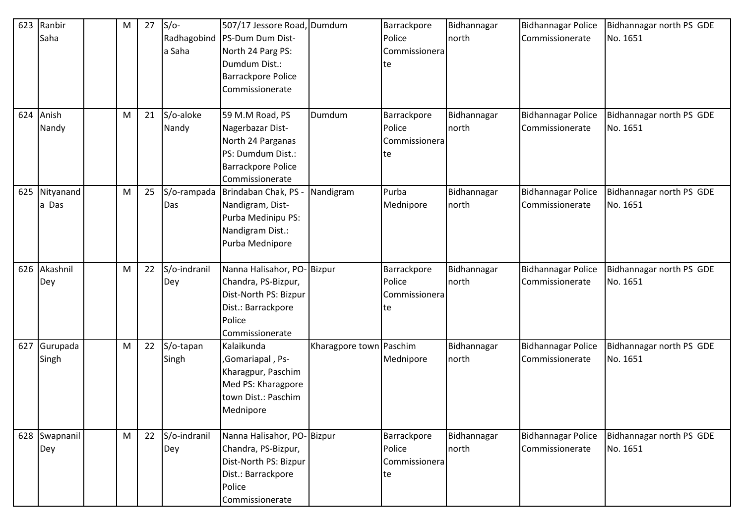| 623 | Ranbir        | M | 27 | $S/O-$       | 507/17 Jessore Road, Dumdum      |                         | Barrackpore   | Bidhannagar | <b>Bidhannagar Police</b> | Bidhannagar north PS GDE |
|-----|---------------|---|----|--------------|----------------------------------|-------------------------|---------------|-------------|---------------------------|--------------------------|
|     | Saha          |   |    |              | Radhagobind   PS-Dum Dum Dist-   |                         | Police        | north       | Commissionerate           | No. 1651                 |
|     |               |   |    | a Saha       | North 24 Parg PS:                |                         | Commissionera |             |                           |                          |
|     |               |   |    |              | Dumdum Dist.:                    |                         | te            |             |                           |                          |
|     |               |   |    |              | <b>Barrackpore Police</b>        |                         |               |             |                           |                          |
|     |               |   |    |              | Commissionerate                  |                         |               |             |                           |                          |
|     |               |   |    |              |                                  |                         |               |             |                           |                          |
| 624 | Anish         | M | 21 | S/o-aloke    | 59 M.M Road, PS                  | Dumdum                  | Barrackpore   | Bidhannagar | <b>Bidhannagar Police</b> | Bidhannagar north PS GDE |
|     | Nandy         |   |    | Nandy        | Nagerbazar Dist-                 |                         | Police        | north       | Commissionerate           | No. 1651                 |
|     |               |   |    |              | North 24 Parganas                |                         | Commissionera |             |                           |                          |
|     |               |   |    |              | PS: Dumdum Dist.:                |                         | te            |             |                           |                          |
|     |               |   |    |              | <b>Barrackpore Police</b>        |                         |               |             |                           |                          |
|     |               |   |    |              | Commissionerate                  |                         |               |             |                           |                          |
|     | 625 Nityanand | M | 25 |              | S/o-rampada Brindaban Chak, PS - | Nandigram               | Purba         | Bidhannagar | <b>Bidhannagar Police</b> | Bidhannagar north PS GDE |
|     | a Das         |   |    | Das          | Nandigram, Dist-                 |                         | Mednipore     | north       | Commissionerate           | No. 1651                 |
|     |               |   |    |              | Purba Medinipu PS:               |                         |               |             |                           |                          |
|     |               |   |    |              | Nandigram Dist.:                 |                         |               |             |                           |                          |
|     |               |   |    |              | Purba Mednipore                  |                         |               |             |                           |                          |
|     |               |   |    |              |                                  |                         |               |             |                           |                          |
| 626 | Akashnil      | M | 22 | S/o-indranil | Nanna Halisahor, PO-Bizpur       |                         | Barrackpore   | Bidhannagar | <b>Bidhannagar Police</b> | Bidhannagar north PS GDE |
|     | Dey           |   |    | Dey          | Chandra, PS-Bizpur,              |                         | Police        | north       | Commissionerate           | No. 1651                 |
|     |               |   |    |              | Dist-North PS: Bizpur            |                         | Commissionera |             |                           |                          |
|     |               |   |    |              | Dist.: Barrackpore               |                         | te            |             |                           |                          |
|     |               |   |    |              | Police                           |                         |               |             |                           |                          |
|     |               |   |    |              | Commissionerate                  |                         |               |             |                           |                          |
| 627 | Gurupada      | M | 22 | S/o-tapan    | Kalaikunda                       | Kharagpore town Paschim |               | Bidhannagar | <b>Bidhannagar Police</b> | Bidhannagar north PS GDE |
|     | Singh         |   |    | Singh        | ,Gomariapal, Ps-                 |                         | Mednipore     | north       | Commissionerate           | No. 1651                 |
|     |               |   |    |              | Kharagpur, Paschim               |                         |               |             |                           |                          |
|     |               |   |    |              | Med PS: Kharagpore               |                         |               |             |                           |                          |
|     |               |   |    |              | town Dist.: Paschim              |                         |               |             |                           |                          |
|     |               |   |    |              | Mednipore                        |                         |               |             |                           |                          |
|     |               |   |    |              |                                  |                         |               |             |                           |                          |
|     | 628 Swapnanil | M | 22 | S/o-indranil | Nanna Halisahor, PO-Bizpur       |                         | Barrackpore   | Bidhannagar | <b>Bidhannagar Police</b> | Bidhannagar north PS GDE |
|     | Dey           |   |    | Dey          | Chandra, PS-Bizpur,              |                         | Police        | north       | Commissionerate           | No. 1651                 |
|     |               |   |    |              | Dist-North PS: Bizpur            |                         | Commissionera |             |                           |                          |
|     |               |   |    |              | Dist.: Barrackpore               |                         | te            |             |                           |                          |
|     |               |   |    |              | Police                           |                         |               |             |                           |                          |
|     |               |   |    |              | Commissionerate                  |                         |               |             |                           |                          |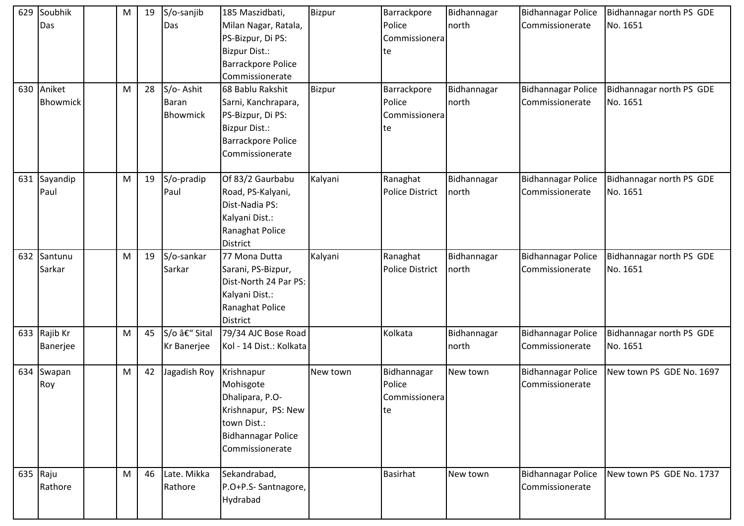| 629 | Soubhik<br>Das           | M | 19 | S/o-sanjib<br>Das                            | 185 Maszidbati,<br>Milan Nagar, Ratala,<br>PS-Bizpur, Di PS:<br><b>Bizpur Dist.:</b><br>Barrackpore Police<br>Commissionerate        | <b>Bizpur</b> | Barrackpore<br>Police<br>Commissionera<br>te | Bidhannagar<br>north | <b>Bidhannagar Police</b><br>Commissionerate | Bidhannagar north PS GDE<br>No. 1651 |
|-----|--------------------------|---|----|----------------------------------------------|--------------------------------------------------------------------------------------------------------------------------------------|---------------|----------------------------------------------|----------------------|----------------------------------------------|--------------------------------------|
| 630 | Aniket<br>Bhowmick       | M | 28 | S/o-Ashit<br><b>Baran</b><br><b>Bhowmick</b> | 68 Bablu Rakshit<br>Sarni, Kanchrapara,<br>PS-Bizpur, Di PS:<br><b>Bizpur Dist.:</b><br><b>Barrackpore Police</b><br>Commissionerate | <b>Bizpur</b> | Barrackpore<br>Police<br>Commissionera<br>te | Bidhannagar<br>north | <b>Bidhannagar Police</b><br>Commissionerate | Bidhannagar north PS GDE<br>No. 1651 |
|     | 631 Sayandip<br>Paul     | M | 19 | S/o-pradip<br>Paul                           | Of 83/2 Gaurbabu<br>Road, PS-Kalyani,<br>Dist-Nadia PS:<br>Kalyani Dist.:<br>Ranaghat Police<br><b>District</b>                      | Kalyani       | Ranaghat<br><b>Police District</b>           | Bidhannagar<br>north | <b>Bidhannagar Police</b><br>Commissionerate | Bidhannagar north PS GDE<br>No. 1651 |
| 632 | Santunu<br>Sarkar        | M | 19 | S/o-sankar<br>Sarkar                         | 77 Mona Dutta<br>Sarani, PS-Bizpur,<br>Dist-North 24 Par PS:<br>Kalyani Dist.:<br>Ranaghat Police<br>District                        | Kalyani       | Ranaghat<br><b>Police District</b>           | Bidhannagar<br>north | <b>Bidhannagar Police</b><br>Commissionerate | Bidhannagar north PS GDE<br>No. 1651 |
|     | 633 Rajib Kr<br>Banerjee | M | 45 | S/o – Sital<br>Kr Banerjee                   | 79/34 AJC Bose Road<br>Kol - 14 Dist.: Kolkata                                                                                       |               | Kolkata                                      | Bidhannagar<br>north | <b>Bidhannagar Police</b><br>Commissionerate | Bidhannagar north PS GDE<br>No. 1651 |
|     | 634 Swapan<br>Roy        | M | 42 | Jagadish Roy                                 | Krishnapur<br>Mohisgote<br>Dhalipara, P.O-<br>Krishnapur, PS: New<br>town Dist.:<br><b>Bidhannagar Police</b><br>Commissionerate     | New town      | Bidhannagar<br>Police<br>Commissionera<br>te | New town             | <b>Bidhannagar Police</b><br>Commissionerate | New town PS GDE No. 1697             |
|     | 635 $Raju$<br>Rathore    | M | 46 | Late. Mikka<br>Rathore                       | Sekandrabad,<br>P.O+P.S- Santnagore,<br>Hydrabad                                                                                     |               | <b>Basirhat</b>                              | New town             | <b>Bidhannagar Police</b><br>Commissionerate | New town PS GDE No. 1737             |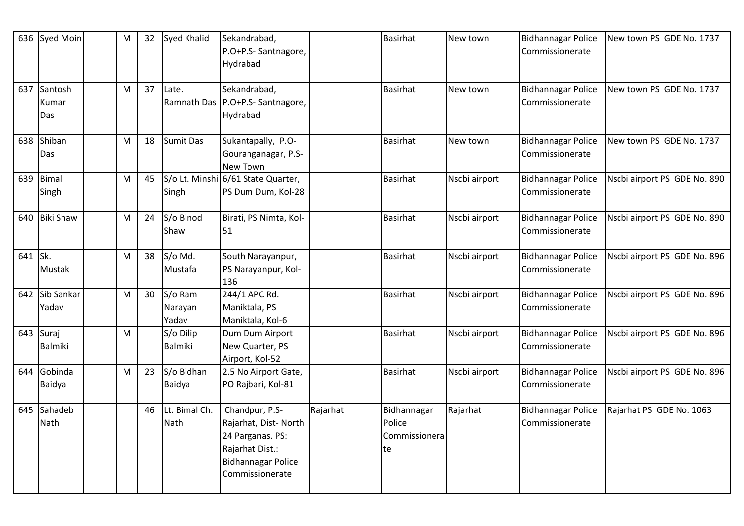|         | 636 Syed Moin           | M         | 32 | Syed Khalid                 | Sekandrabad,<br>P.O+P.S- Santnagore,<br>Hydrabad                                                                              |          | Basirhat                                     | New town      | <b>Bidhannagar Police</b><br>Commissionerate | New town PS GDE No. 1737     |
|---------|-------------------------|-----------|----|-----------------------------|-------------------------------------------------------------------------------------------------------------------------------|----------|----------------------------------------------|---------------|----------------------------------------------|------------------------------|
| 637     | Santosh<br>Kumar<br>Das | M         | 37 | Late.                       | Sekandrabad,<br>Ramnath Das P.O+P.S- Santnagore,<br>Hydrabad                                                                  |          | <b>Basirhat</b>                              | New town      | <b>Bidhannagar Police</b><br>Commissionerate | New town PS GDE No. 1737     |
|         | 638 Shiban<br>Das       | M         | 18 | Sumit Das                   | Sukantapally, P.O-<br>Gouranganagar, P.S-<br>New Town                                                                         |          | <b>Basirhat</b>                              | New town      | <b>Bidhannagar Police</b><br>Commissionerate | New town PS GDE No. 1737     |
|         | 639 Bimal<br>Singh      | M         | 45 | Singh                       | S/o Lt. Minshi 6/61 State Quarter,<br>PS Dum Dum, Kol-28                                                                      |          | <b>Basirhat</b>                              | Nscbi airport | <b>Bidhannagar Police</b><br>Commissionerate | Nscbi airport PS GDE No. 890 |
|         | 640 Biki Shaw           | M         | 24 | S/o Binod<br>Shaw           | Birati, PS Nimta, Kol-<br>51                                                                                                  |          | <b>Basirhat</b>                              | Nscbi airport | <b>Bidhannagar Police</b><br>Commissionerate | Nscbi airport PS GDE No. 890 |
| 641 Sk. | <b>Mustak</b>           | M         | 38 | S/o Md.<br>Mustafa          | South Narayanpur,<br>PS Narayanpur, Kol-<br>136                                                                               |          | <b>Basirhat</b>                              | Nscbi airport | <b>Bidhannagar Police</b><br>Commissionerate | Nscbi airport PS GDE No. 896 |
|         | 642 Sib Sankar<br>Yadav | ${\sf M}$ | 30 | S/o Ram<br>Narayan<br>Yadav | 244/1 APC Rd.<br>Maniktala, PS<br>Maniktala, Kol-6                                                                            |          | <b>Basirhat</b>                              | Nscbi airport | <b>Bidhannagar Police</b><br>Commissionerate | Nscbi airport PS GDE No. 896 |
|         | 643 Suraj<br>Balmiki    | M         |    | S/o Dilip<br>Balmiki        | Dum Dum Airport<br>New Quarter, PS<br>Airport, Kol-52                                                                         |          | <b>Basirhat</b>                              | Nscbi airport | <b>Bidhannagar Police</b><br>Commissionerate | Nscbi airport PS GDE No. 896 |
|         | 644 Gobinda<br>Baidya   | M         | 23 | S/o Bidhan<br><b>Baidya</b> | 2.5 No Airport Gate,<br>PO Rajbari, Kol-81                                                                                    |          | <b>Basirhat</b>                              | Nscbi airport | <b>Bidhannagar Police</b><br>Commissionerate | Nscbi airport PS GDE No. 896 |
|         | 645 Sahadeb<br>Nath     |           | 46 | Lt. Bimal Ch.<br>Nath       | Chandpur, P.S-<br>Rajarhat, Dist-North<br>24 Parganas. PS:<br>Rajarhat Dist.:<br><b>Bidhannagar Police</b><br>Commissionerate | Rajarhat | Bidhannagar<br>Police<br>Commissionera<br>te | Rajarhat      | <b>Bidhannagar Police</b><br>Commissionerate | Rajarhat PS GDE No. 1063     |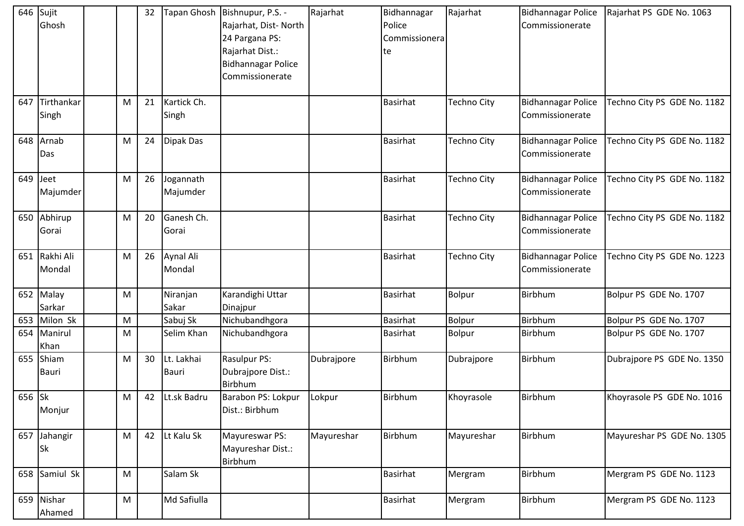|            | 646 Sujit<br>Ghosh        |   | 32 |                            | Tapan Ghosh   Bishnupur, P.S. -<br>Rajarhat, Dist-North<br>24 Pargana PS:<br>Rajarhat Dist.:<br><b>Bidhannagar Police</b><br>Commissionerate | Rajarhat   | Bidhannagar<br>Police<br>Commissionera<br>te | Rajarhat           | <b>Bidhannagar Police</b><br>Commissionerate | Rajarhat PS GDE No. 1063    |
|------------|---------------------------|---|----|----------------------------|----------------------------------------------------------------------------------------------------------------------------------------------|------------|----------------------------------------------|--------------------|----------------------------------------------|-----------------------------|
| 647        | Tirthankar<br>Singh       | M | 21 | Kartick Ch.<br>Singh       |                                                                                                                                              |            | <b>Basirhat</b>                              | <b>Techno City</b> | <b>Bidhannagar Police</b><br>Commissionerate | Techno City PS GDE No. 1182 |
|            | 648 Arnab<br>Das          | M | 24 | Dipak Das                  |                                                                                                                                              |            | <b>Basirhat</b>                              | Techno City        | <b>Bidhannagar Police</b><br>Commissionerate | Techno City PS GDE No. 1182 |
| $649$ Jeet | Majumder                  | M | 26 | Jogannath<br>Majumder      |                                                                                                                                              |            | <b>Basirhat</b>                              | <b>Techno City</b> | <b>Bidhannagar Police</b><br>Commissionerate | Techno City PS GDE No. 1182 |
|            | 650 Abhirup<br>Gorai      | M | 20 | Ganesh Ch.<br>Gorai        |                                                                                                                                              |            | <b>Basirhat</b>                              | Techno City        | <b>Bidhannagar Police</b><br>Commissionerate | Techno City PS GDE No. 1182 |
|            | 651 Rakhi Ali<br>Mondal   | M | 26 | Aynal Ali<br>Mondal        |                                                                                                                                              |            | <b>Basirhat</b>                              | <b>Techno City</b> | <b>Bidhannagar Police</b><br>Commissionerate | Techno City PS GDE No. 1223 |
|            | 652 Malay<br>Sarkar       | M |    | Niranjan<br>Sakar          | Karandighi Uttar<br>Dinajpur                                                                                                                 |            | <b>Basirhat</b>                              | <b>Bolpur</b>      | Birbhum                                      | Bolpur PS GDE No. 1707      |
| 653        | Milon Sk                  | M |    | Sabuj Sk                   | Nichubandhgora                                                                                                                               |            | <b>Basirhat</b>                              | Bolpur             | Birbhum                                      | Bolpur PS GDE No. 1707      |
| 654        | Manirul<br>Khan           | M |    | Selim Khan                 | Nichubandhgora                                                                                                                               |            | Basirhat                                     | <b>Bolpur</b>      | Birbhum                                      | Bolpur PS GDE No. 1707      |
|            | 655 Shiam<br><b>Bauri</b> | Μ | 30 | Lt. Lakhai<br><b>Bauri</b> | Rasulpur PS:<br>Dubrajpore Dist.:<br>Birbhum                                                                                                 | Dubrajpore | Birbhum                                      | Dubrajpore         | Birbhum                                      | Dubrajpore PS GDE No. 1350  |
| 656 Sk     | Monjur                    | M | 42 | Lt.sk Badru                | Barabon PS: Lokpur<br>Dist.: Birbhum                                                                                                         | Lokpur     | Birbhum                                      | Khoyrasole         | Birbhum                                      | Khoyrasole PS GDE No. 1016  |
|            | 657 Jahangir<br><b>Sk</b> | M | 42 | Lt Kalu Sk                 | Mayureswar PS:<br>Mayureshar Dist.:<br>Birbhum                                                                                               | Mayureshar | Birbhum                                      | Mayureshar         | Birbhum                                      | Mayureshar PS GDE No. 1305  |
|            | 658 Samiul Sk             | M |    | Salam Sk                   |                                                                                                                                              |            | <b>Basirhat</b>                              | Mergram            | Birbhum                                      | Mergram PS GDE No. 1123     |
|            | 659 Nishar<br>Ahamed      | M |    | Md Safiulla                |                                                                                                                                              |            | <b>Basirhat</b>                              | Mergram            | Birbhum                                      | Mergram PS GDE No. 1123     |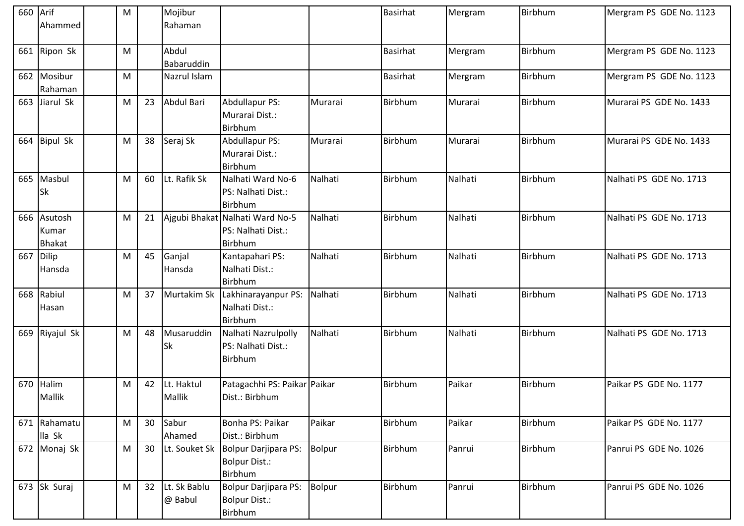| 660 Arif |                | M |    | Mojibur           |                                 |               | <b>Basirhat</b> | Mergram | Birbhum | Mergram PS GDE No. 1123 |
|----------|----------------|---|----|-------------------|---------------------------------|---------------|-----------------|---------|---------|-------------------------|
|          | Ahammed        |   |    | Rahaman           |                                 |               |                 |         |         |                         |
|          |                |   |    |                   |                                 |               |                 |         |         |                         |
|          | 661 Ripon Sk   | M |    | Abdul             |                                 |               | <b>Basirhat</b> | Mergram | Birbhum | Mergram PS GDE No. 1123 |
|          |                |   |    | Babaruddin        |                                 |               |                 |         |         |                         |
|          | 662 Mosibur    | M |    | Nazrul Islam      |                                 |               | <b>Basirhat</b> | Mergram | Birbhum | Mergram PS GDE No. 1123 |
|          | Rahaman        |   |    |                   |                                 |               |                 |         |         |                         |
| 663      | Jiarul Sk      | M | 23 | <b>Abdul Bari</b> | Abdullapur PS:                  | Murarai       | Birbhum         | Murarai | Birbhum | Murarai PS GDE No. 1433 |
|          |                |   |    |                   | Murarai Dist.:                  |               |                 |         |         |                         |
|          |                |   |    |                   | Birbhum                         |               |                 |         |         |                         |
|          | 664 Bipul Sk   | M | 38 | Seraj Sk          | Abdullapur PS:                  | Murarai       | Birbhum         | Murarai | Birbhum | Murarai PS GDE No. 1433 |
|          |                |   |    |                   | Murarai Dist.:                  |               |                 |         |         |                         |
|          |                |   |    |                   | Birbhum                         |               |                 |         |         |                         |
| 665      | Masbul         | M | 60 | Lt. Rafik Sk      | Nalhati Ward No-6               | Nalhati       | Birbhum         | Nalhati | Birbhum | Nalhati PS GDE No. 1713 |
|          | <b>Sk</b>      |   |    |                   | PS: Nalhati Dist.:              |               |                 |         |         |                         |
|          |                |   |    |                   | Birbhum                         |               |                 |         |         |                         |
|          | 666 Asutosh    | M | 21 |                   | Ajgubi Bhakat Nalhati Ward No-5 | Nalhati       | Birbhum         | Nalhati | Birbhum | Nalhati PS GDE No. 1713 |
|          | Kumar          |   |    |                   | PS: Nalhati Dist.:              |               |                 |         |         |                         |
|          | <b>Bhakat</b>  |   |    |                   | Birbhum                         |               |                 |         |         |                         |
| 667      | Dilip          | M | 45 | Ganjal            | Kantapahari PS:                 | Nalhati       | Birbhum         | Nalhati | Birbhum | Nalhati PS GDE No. 1713 |
|          | Hansda         |   |    | Hansda            | Nalhati Dist.:                  |               |                 |         |         |                         |
|          |                |   |    |                   | Birbhum                         |               |                 |         |         |                         |
|          | 668 Rabiul     | M | 37 | Murtakim Sk       | Lakhinarayanpur PS:             | Nalhati       | Birbhum         | Nalhati | Birbhum | Nalhati PS GDE No. 1713 |
|          | Hasan          |   |    |                   | Nalhati Dist.:                  |               |                 |         |         |                         |
|          |                |   |    |                   | <b>Birbhum</b>                  |               |                 |         |         |                         |
|          | 669 Riyajul Sk | M | 48 | Musaruddin        | Nalhati Nazrulpolly             | Nalhati       | Birbhum         | Nalhati | Birbhum | Nalhati PS GDE No. 1713 |
|          |                |   |    | <b>Sk</b>         | PS: Nalhati Dist.:              |               |                 |         |         |                         |
|          |                |   |    |                   | Birbhum                         |               |                 |         |         |                         |
| 670      | Halim          | M | 42 | Lt. Haktul        | Patagachhi PS: Paikar Paikar    |               | Birbhum         | Paikar  | Birbhum | Paikar PS GDE No. 1177  |
|          | Mallik         |   |    | Mallik            | Dist.: Birbhum                  |               |                 |         |         |                         |
|          |                |   |    |                   |                                 |               |                 |         |         |                         |
|          | 671 Rahamatu   | M | 30 | Sabur             | Bonha PS: Paikar                | Paikar        | Birbhum         | Paikar  | Birbhum | Paikar PS GDE No. 1177  |
|          | lla Sk         |   |    | Ahamed            | Dist.: Birbhum                  |               |                 |         |         |                         |
|          | 672 Monaj Sk   | M | 30 | Lt. Souket Sk     | Bolpur Darjipara PS:            | <b>Bolpur</b> | Birbhum         | Panrui  | Birbhum | Panrui PS GDE No. 1026  |
|          |                |   |    |                   | <b>Bolpur Dist.:</b>            |               |                 |         |         |                         |
|          |                |   |    |                   | Birbhum                         |               |                 |         |         |                         |
|          | 673 Sk Suraj   | M | 32 | Lt. Sk Bablu      | Bolpur Darjipara PS:            | <b>Bolpur</b> | Birbhum         | Panrui  | Birbhum | Panrui PS GDE No. 1026  |
|          |                |   |    | @ Babul           | Bolpur Dist.:                   |               |                 |         |         |                         |
|          |                |   |    |                   | Birbhum                         |               |                 |         |         |                         |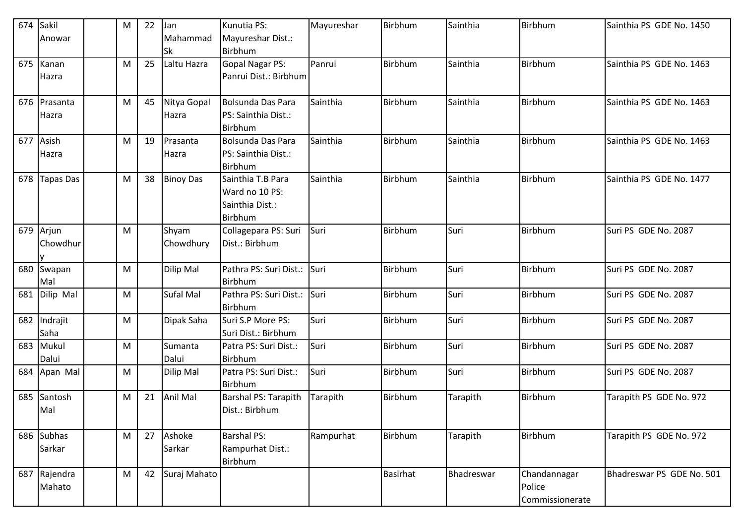| 674 | Sakil<br>Anowar      | M | 22 | Jan<br>Mahammad<br><b>Sk</b> | Kunutia PS:<br>Mayureshar Dist.:<br>Birbhum                       | Mayureshar | Birbhum         | Sainthia   | Birbhum                                   | Sainthia PS GDE No. 1450  |
|-----|----------------------|---|----|------------------------------|-------------------------------------------------------------------|------------|-----------------|------------|-------------------------------------------|---------------------------|
| 675 | Kanan<br>Hazra       | M | 25 | Laltu Hazra                  | <b>Gopal Nagar PS:</b><br>Panrui Dist.: Birbhum                   | Panrui     | Birbhum         | Sainthia   | Birbhum                                   | Sainthia PS GDE No. 1463  |
| 676 | Prasanta<br>Hazra    | M | 45 | Nitya Gopal<br>Hazra         | Bolsunda Das Para<br>PS: Sainthia Dist.:<br>Birbhum               | Sainthia   | Birbhum         | Sainthia   | Birbhum                                   | Sainthia PS GDE No. 1463  |
| 677 | Asish<br>Hazra       | M | 19 | Prasanta<br>Hazra            | <b>Bolsunda Das Para</b><br>PS: Sainthia Dist.:<br>Birbhum        | Sainthia   | Birbhum         | Sainthia   | Birbhum                                   | Sainthia PS GDE No. 1463  |
| 678 | <b>Tapas Das</b>     | M | 38 | <b>Binoy Das</b>             | Sainthia T.B Para<br>Ward no 10 PS:<br>Sainthia Dist.:<br>Birbhum | Sainthia   | Birbhum         | Sainthia   | Birbhum                                   | Sainthia PS GDE No. 1477  |
| 679 | Arjun<br>Chowdhur    | M |    | Shyam<br>Chowdhury           | Collagepara PS: Suri<br>Dist.: Birbhum                            | Suri       | Birbhum         | Suri       | Birbhum                                   | Suri PS GDE No. 2087      |
| 680 | Swapan<br>Mal        | M |    | Dilip Mal                    | Pathra PS: Suri Dist.:<br>Birbhum                                 | Suri       | Birbhum         | Suri       | <b>Birbhum</b>                            | Suri PS GDE No. 2087      |
| 681 | Dilip Mal            | M |    | Sufal Mal                    | Pathra PS: Suri Dist.:<br>Birbhum                                 | Suri       | Birbhum         | Suri       | Birbhum                                   | Suri PS GDE No. 2087      |
| 682 | Indrajit<br>Saha     | M |    | Dipak Saha                   | Suri S.P More PS:<br>Suri Dist.: Birbhum                          | Suri       | Birbhum         | Suri       | <b>Birbhum</b>                            | Suri PS GDE No. 2087      |
| 683 | Mukul<br>Dalui       | M |    | Sumanta<br>Dalui             | Patra PS: Suri Dist.:<br>Birbhum                                  | Suri       | Birbhum         | Suri       | Birbhum                                   | Suri PS GDE No. 2087      |
| 684 | Apan Mal             | M |    | Dilip Mal                    | Patra PS: Suri Dist.:<br>Birbhum                                  | Suri       | Birbhum         | Suri       | Birbhum                                   | Suri PS GDE No. 2087      |
| 685 | Santosh<br>Mal       | M | 21 | Anil Mal                     | <b>Barshal PS: Tarapith</b><br>Dist.: Birbhum                     | Tarapith   | Birbhum         | Tarapith   | Birbhum                                   | Tarapith PS GDE No. 972   |
|     | 686 Subhas<br>Sarkar | M | 27 | Ashoke<br>Sarkar             | <b>Barshal PS:</b><br>Rampurhat Dist.:<br>Birbhum                 | Rampurhat  | Birbhum         | Tarapith   | <b>Birbhum</b>                            | Tarapith PS GDE No. 972   |
| 687 | Rajendra<br>Mahato   | M | 42 | Suraj Mahato                 |                                                                   |            | <b>Basirhat</b> | Bhadreswar | Chandannagar<br>Police<br>Commissionerate | Bhadreswar PS GDE No. 501 |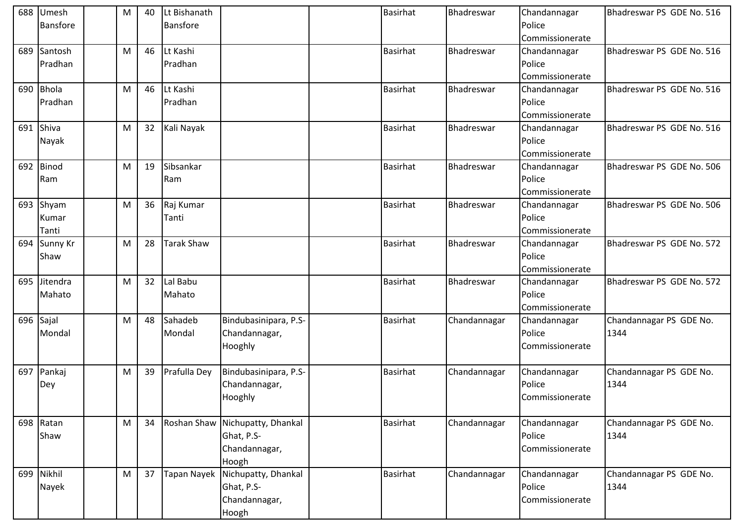|     | 688 Umesh<br><b>Bansfore</b> | M | 40 | Lt Bishanath<br>Bansfore |                                                                         | <b>Basirhat</b> | Bhadreswar   | Chandannagar<br>Police<br>Commissionerate | Bhadreswar PS GDE No. 516       |
|-----|------------------------------|---|----|--------------------------|-------------------------------------------------------------------------|-----------------|--------------|-------------------------------------------|---------------------------------|
|     | 689 Santosh<br>Pradhan       | М | 46 | Lt Kashi<br>Pradhan      |                                                                         | <b>Basirhat</b> | Bhadreswar   | Chandannagar<br>Police<br>Commissionerate | Bhadreswar PS GDE No. 516       |
|     | 690 Bhola<br>Pradhan         | M | 46 | Lt Kashi<br>Pradhan      |                                                                         | <b>Basirhat</b> | Bhadreswar   | Chandannagar<br>Police<br>Commissionerate | Bhadreswar PS GDE No. 516       |
|     | 691 Shiva<br>Nayak           | M | 32 | Kali Nayak               |                                                                         | <b>Basirhat</b> | Bhadreswar   | Chandannagar<br>Police<br>Commissionerate | Bhadreswar PS GDE No. 516       |
|     | 692 Binod<br>Ram             | M | 19 | Sibsankar<br>Ram         |                                                                         | <b>Basirhat</b> | Bhadreswar   | Chandannagar<br>Police<br>Commissionerate | Bhadreswar PS GDE No. 506       |
|     | 693 Shyam<br>Kumar<br>Tanti  | M | 36 | Raj Kumar<br>Tanti       |                                                                         | <b>Basirhat</b> | Bhadreswar   | Chandannagar<br>Police<br>Commissionerate | Bhadreswar PS GDE No. 506       |
| 694 | Sunny Kr<br>Shaw             | М | 28 | <b>Tarak Shaw</b>        |                                                                         | <b>Basirhat</b> | Bhadreswar   | Chandannagar<br>Police<br>Commissionerate | Bhadreswar PS GDE No. 572       |
| 695 | Jitendra<br>Mahato           | М | 32 | Lal Babu<br>Mahato       |                                                                         | <b>Basirhat</b> | Bhadreswar   | Chandannagar<br>Police<br>Commissionerate | Bhadreswar PS GDE No. 572       |
|     | 696 Sajal<br>Mondal          | M | 48 | Sahadeb<br>Mondal        | Bindubasinipara, P.S-<br>Chandannagar,<br>Hooghly                       | <b>Basirhat</b> | Chandannagar | Chandannagar<br>Police<br>Commissionerate | Chandannagar PS GDE No.<br>1344 |
|     | 697 Pankaj<br>Dey            | M | 39 | Prafulla Dey             | Bindubasinipara, P.S-<br>Chandannagar,<br>Hooghly                       | <b>Basirhat</b> | Chandannagar | Chandannagar<br>Police<br>Commissionerate | Chandannagar PS GDE No.<br>1344 |
|     | 698 Ratan<br>Shaw            | M | 34 |                          | Roshan Shaw Nichupatty, Dhankal<br>Ghat, P.S-<br>Chandannagar,<br>Hoogh | Basirhat        | Chandannagar | Chandannagar<br>Police<br>Commissionerate | Chandannagar PS GDE No.<br>1344 |
|     | 699 Nikhil<br>Nayek          | M | 37 | Tapan Nayek              | Nichupatty, Dhankal<br>Ghat, P.S-<br>Chandannagar,<br>Hoogh             | <b>Basirhat</b> | Chandannagar | Chandannagar<br>Police<br>Commissionerate | Chandannagar PS GDE No.<br>1344 |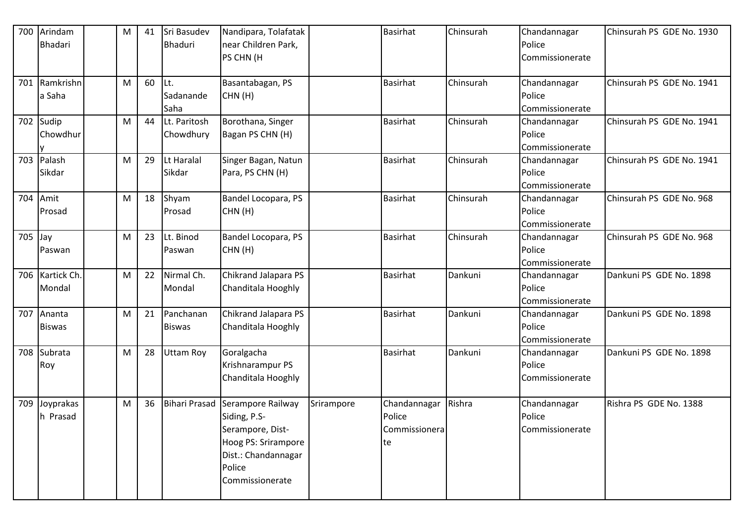| 700 | Arindam       | М | 41 | Sri Basudev          | Nandipara, Tolafatak |            | Basirhat        | Chinsurah | Chandannagar    | Chinsurah PS GDE No. 1930 |
|-----|---------------|---|----|----------------------|----------------------|------------|-----------------|-----------|-----------------|---------------------------|
|     | Bhadari       |   |    | <b>Bhaduri</b>       | near Children Park,  |            |                 |           | Police          |                           |
|     |               |   |    |                      | PS CHN (H            |            |                 |           | Commissionerate |                           |
|     |               |   |    |                      |                      |            |                 |           |                 |                           |
| 701 | Ramkrishn     | M | 60 | ILt.                 | Basantabagan, PS     |            | <b>Basirhat</b> | Chinsurah | Chandannagar    | Chinsurah PS GDE No. 1941 |
|     | a Saha        |   |    | Sadanande            | CHN(H)               |            |                 |           | Police          |                           |
|     |               |   |    | Saha                 |                      |            |                 |           | Commissionerate |                           |
| 702 | Sudip         | M | 44 | Lt. Paritosh         | Borothana, Singer    |            | <b>Basirhat</b> | Chinsurah | Chandannagar    | Chinsurah PS GDE No. 1941 |
|     | Chowdhur      |   |    | Chowdhury            | Bagan PS CHN (H)     |            |                 |           | Police          |                           |
|     |               |   |    |                      |                      |            |                 |           | Commissionerate |                           |
| 703 | Palash        | M | 29 | Lt Haralal           | Singer Bagan, Natun  |            | Basirhat        | Chinsurah | Chandannagar    | Chinsurah PS GDE No. 1941 |
|     | Sikdar        |   |    | Sikdar               | Para, PS CHN (H)     |            |                 |           | Police          |                           |
|     |               |   |    |                      |                      |            |                 |           | Commissionerate |                           |
| 704 | Amit          | M | 18 | Shyam                | Bandel Locopara, PS  |            | <b>Basirhat</b> | Chinsurah | Chandannagar    | Chinsurah PS GDE No. 968  |
|     | Prosad        |   |    | Prosad               | CHN(H)               |            |                 |           | Police          |                           |
|     |               |   |    |                      |                      |            |                 |           | Commissionerate |                           |
| 705 | Jay           | M | 23 | Lt. Binod            | Bandel Locopara, PS  |            | <b>Basirhat</b> | Chinsurah | Chandannagar    | Chinsurah PS GDE No. 968  |
|     | Paswan        |   |    | Paswan               | CHN(H)               |            |                 |           | Police          |                           |
|     |               |   |    |                      |                      |            |                 |           | Commissionerate |                           |
| 706 | Kartick Ch.   | M | 22 | Nirmal Ch.           | Chikrand Jalapara PS |            | <b>Basirhat</b> | Dankuni   | Chandannagar    | Dankuni PS GDE No. 1898   |
|     | Mondal        |   |    | Mondal               | Chanditala Hooghly   |            |                 |           | Police          |                           |
|     |               |   |    |                      |                      |            |                 |           | Commissionerate |                           |
| 707 | Ananta        | М | 21 | Panchanan            | Chikrand Jalapara PS |            | <b>Basirhat</b> | Dankuni   | Chandannagar    | Dankuni PS GDE No. 1898   |
|     | <b>Biswas</b> |   |    | <b>Biswas</b>        | Chanditala Hooghly   |            |                 |           | Police          |                           |
|     |               |   |    |                      |                      |            |                 |           | Commissionerate |                           |
| 708 | Subrata       | M | 28 | <b>Uttam Roy</b>     | Goralgacha           |            | <b>Basirhat</b> | Dankuni   | Chandannagar    | Dankuni PS GDE No. 1898   |
|     | Roy           |   |    |                      | Krishnarampur PS     |            |                 |           | Police          |                           |
|     |               |   |    |                      | Chanditala Hooghly   |            |                 |           | Commissionerate |                           |
|     |               |   |    |                      |                      |            |                 |           |                 |                           |
| 709 | Joyprakas     | M | 36 | <b>Bihari Prasad</b> | Serampore Railway    | Srirampore | Chandannagar    | Rishra    | Chandannagar    | Rishra PS GDE No. 1388    |
|     | h Prasad      |   |    |                      | Siding, P.S-         |            | Police          |           | Police          |                           |
|     |               |   |    |                      | Serampore, Dist-     |            | Commissionera   |           | Commissionerate |                           |
|     |               |   |    |                      | Hoog PS: Srirampore  |            | te              |           |                 |                           |
|     |               |   |    |                      | Dist.: Chandannagar  |            |                 |           |                 |                           |
|     |               |   |    |                      | Police               |            |                 |           |                 |                           |
|     |               |   |    |                      | Commissionerate      |            |                 |           |                 |                           |
|     |               |   |    |                      |                      |            |                 |           |                 |                           |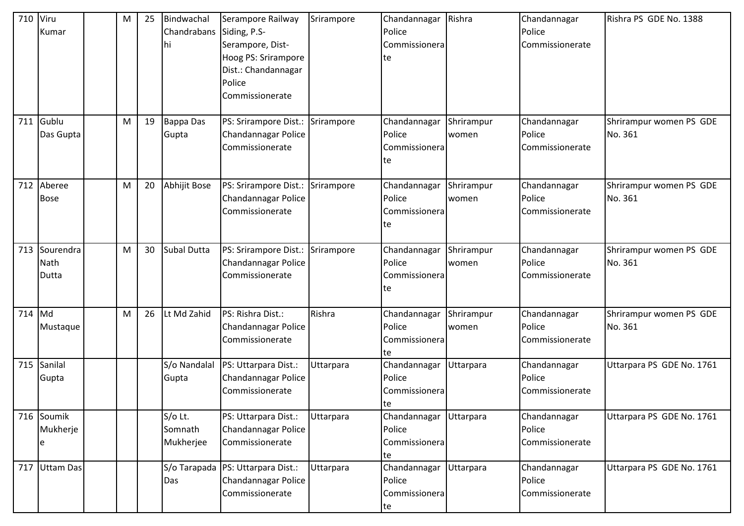| 710    | Viru<br>Kumar              | M | 25 | Bindwachal<br>Chandrabans Siding, P.S-<br>hi | Serampore Railway<br>Serampore, Dist-<br>Hoog PS: Srirampore<br>Dist.: Chandannagar<br>Police<br>Commissionerate | Srirampore | Chandannagar<br>Police<br>Commissionera<br>te  | Rishra              | Chandannagar<br>Police<br>Commissionerate | Rishra PS GDE No. 1388             |
|--------|----------------------------|---|----|----------------------------------------------|------------------------------------------------------------------------------------------------------------------|------------|------------------------------------------------|---------------------|-------------------------------------------|------------------------------------|
| 711    | Gublu<br>Das Gupta         | M | 19 | <b>Bappa Das</b><br>Gupta                    | PS: Srirampore Dist.:<br>Chandannagar Police<br>Commissionerate                                                  | Srirampore | Chandannagar<br>Police<br>Commissionera<br>lte | Shrirampur<br>women | Chandannagar<br>Police<br>Commissionerate | Shrirampur women PS GDE<br>No. 361 |
| 712    | Aberee<br><b>Bose</b>      | M | 20 | Abhijit Bose                                 | PS: Srirampore Dist.:<br>Chandannagar Police<br>Commissionerate                                                  | Srirampore | Chandannagar<br>Police<br>Commissionera<br>te  | Shrirampur<br>women | Chandannagar<br>Police<br>Commissionerate | Shrirampur women PS GDE<br>No. 361 |
| 713    | Sourendra<br>Nath<br>Dutta | M | 30 | Subal Dutta                                  | PS: Srirampore Dist.:<br>Chandannagar Police<br>Commissionerate                                                  | Srirampore | Chandannagar<br>Police<br>Commissionera<br>te  | Shrirampur<br>women | Chandannagar<br>Police<br>Commissionerate | Shrirampur women PS GDE<br>No. 361 |
| 714 Md | Mustaque                   | M | 26 | Lt Md Zahid                                  | PS: Rishra Dist.:<br>Chandannagar Police<br>Commissionerate                                                      | Rishra     | Chandannagar<br>Police<br>Commissionera<br>te  | Shrirampur<br>women | Chandannagar<br>Police<br>Commissionerate | Shrirampur women PS GDE<br>No. 361 |
| 715    | Sanilal<br>Gupta           |   |    | S/o Nandalal<br>Gupta                        | PS: Uttarpara Dist.:<br>Chandannagar Police<br>Commissionerate                                                   | Uttarpara  | Chandannagar<br>Police<br>Commissionera<br>Ite | Uttarpara           | Chandannagar<br>Police<br>Commissionerate | Uttarpara PS GDE No. 1761          |
| 716    | Soumik<br>Mukherje<br>е    |   |    | S/o Lt.<br>Somnath<br>Mukherjee              | PS: Uttarpara Dist.:<br>Chandannagar Police<br>Commissionerate                                                   | Uttarpara  | Chandannagar<br>Police<br>Commissionera<br>te  | Uttarpara           | Chandannagar<br>Police<br>Commissionerate | Uttarpara PS GDE No. 1761          |
| 717    | Uttam Das                  |   |    | Das                                          | S/o Tarapada   PS: Uttarpara Dist.:<br>Chandannagar Police<br>Commissionerate                                    | Uttarpara  | Chandannagar<br>Police<br>Commissionera<br>te  | Uttarpara           | Chandannagar<br>Police<br>Commissionerate | Uttarpara PS GDE No. 1761          |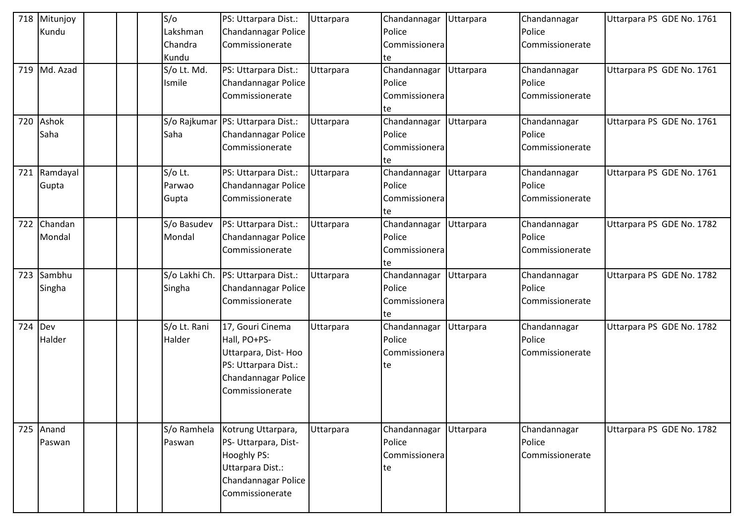| 718 | Mitunjoy  |  | S/O           | PS: Uttarpara Dist.:                | Uttarpara | Chandannagar  | Uttarpara | Chandannagar    | Uttarpara PS GDE No. 1761 |
|-----|-----------|--|---------------|-------------------------------------|-----------|---------------|-----------|-----------------|---------------------------|
|     | Kundu     |  | Lakshman      | Chandannagar Police                 |           | Police        |           | Police          |                           |
|     |           |  | Chandra       | Commissionerate                     |           | Commissionera |           | Commissionerate |                           |
|     |           |  | Kundu         |                                     |           | te            |           |                 |                           |
| 719 | Md. Azad  |  | S/o Lt. Md.   | PS: Uttarpara Dist.:                | Uttarpara | Chandannagar  | Uttarpara | Chandannagar    | Uttarpara PS GDE No. 1761 |
|     |           |  | Ismile        | Chandannagar Police                 |           | Police        |           | Police          |                           |
|     |           |  |               | Commissionerate                     |           | Commissionera |           | Commissionerate |                           |
|     |           |  |               |                                     |           | te            |           |                 |                           |
| 720 | Ashok     |  |               | S/o Rajkumar   PS: Uttarpara Dist.: | Uttarpara | Chandannagar  | Uttarpara | Chandannagar    | Uttarpara PS GDE No. 1761 |
|     | Saha      |  | Saha          | Chandannagar Police                 |           | Police        |           | Police          |                           |
|     |           |  |               | Commissionerate                     |           | Commissionera |           | Commissionerate |                           |
|     |           |  |               |                                     |           | te            |           |                 |                           |
| 721 | Ramdayal  |  | S/o Lt.       | PS: Uttarpara Dist.:                | Uttarpara | Chandannagar  | Uttarpara | Chandannagar    | Uttarpara PS GDE No. 1761 |
|     | Gupta     |  | Parwao        | Chandannagar Police                 |           | Police        |           | Police          |                           |
|     |           |  | Gupta         | Commissionerate                     |           | Commissionera |           | Commissionerate |                           |
|     |           |  |               |                                     |           | te            |           |                 |                           |
| 722 | Chandan   |  | S/o Basudev   | PS: Uttarpara Dist.:                | Uttarpara | Chandannagar  | Uttarpara | Chandannagar    | Uttarpara PS GDE No. 1782 |
|     | Mondal    |  | Mondal        | Chandannagar Police                 |           | Police        |           | Police          |                           |
|     |           |  |               | Commissionerate                     |           | Commissionera |           | Commissionerate |                           |
|     |           |  |               |                                     |           | te            |           |                 |                           |
| 723 | Sambhu    |  | S/o Lakhi Ch. | PS: Uttarpara Dist.:                | Uttarpara | Chandannagar  | Uttarpara | Chandannagar    | Uttarpara PS GDE No. 1782 |
|     | Singha    |  | Singha        | Chandannagar Police                 |           | Police        |           | Police          |                           |
|     |           |  |               | Commissionerate                     |           | Commissionera |           | Commissionerate |                           |
|     |           |  |               |                                     |           | te            |           |                 |                           |
| 724 | Dev       |  | S/o Lt. Rani  | 17, Gouri Cinema                    | Uttarpara | Chandannagar  | Uttarpara | Chandannagar    | Uttarpara PS GDE No. 1782 |
|     | Halder    |  | Halder        | Hall, PO+PS-                        |           | Police        |           | Police          |                           |
|     |           |  |               | Uttarpara, Dist-Hoo                 |           | Commissionera |           | Commissionerate |                           |
|     |           |  |               | PS: Uttarpara Dist.:                |           | te            |           |                 |                           |
|     |           |  |               | Chandannagar Police                 |           |               |           |                 |                           |
|     |           |  |               | Commissionerate                     |           |               |           |                 |                           |
|     |           |  |               |                                     |           |               |           |                 |                           |
|     |           |  |               |                                     |           |               |           |                 |                           |
|     | 725 Anand |  | S/o Ramhela   | Kotrung Uttarpara,                  | Uttarpara | Chandannagar  | Uttarpara | Chandannagar    | Uttarpara PS GDE No. 1782 |
|     | Paswan    |  | Paswan        | PS- Uttarpara, Dist-                |           | Police        |           | Police          |                           |
|     |           |  |               | Hooghly PS:                         |           | Commissionera |           | Commissionerate |                           |
|     |           |  |               | Uttarpara Dist.:                    |           | te            |           |                 |                           |
|     |           |  |               | Chandannagar Police                 |           |               |           |                 |                           |
|     |           |  |               | Commissionerate                     |           |               |           |                 |                           |
|     |           |  |               |                                     |           |               |           |                 |                           |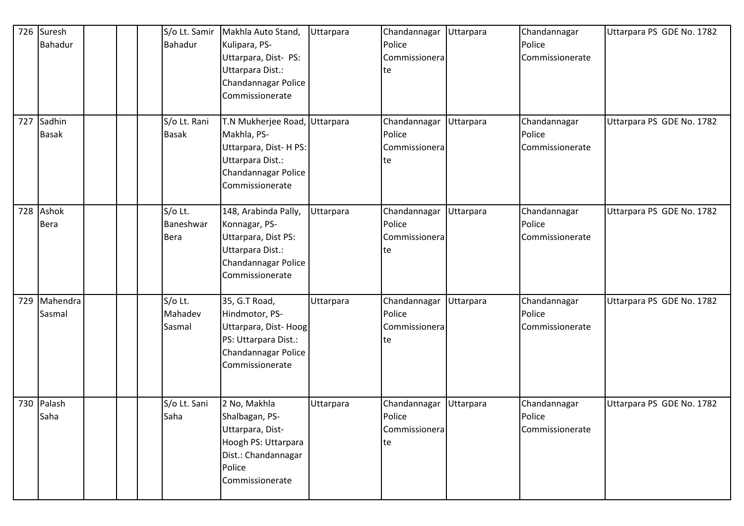| 726 | Suresh<br>Bahadur      | S/o Lt. Samir<br>Bahadur            | Makhla Auto Stand,<br>Kulipara, PS-<br>Uttarpara, Dist- PS:<br>Uttarpara Dist.:<br>Chandannagar Police<br>Commissionerate          | Uttarpara | Chandannagar<br>Police<br>Commissionera<br>te | Uttarpara | Chandannagar<br>Police<br>Commissionerate | Uttarpara PS GDE No. 1782 |
|-----|------------------------|-------------------------------------|------------------------------------------------------------------------------------------------------------------------------------|-----------|-----------------------------------------------|-----------|-------------------------------------------|---------------------------|
| 727 | Sadhin<br><b>Basak</b> | S/o Lt. Rani<br><b>Basak</b>        | T.N Mukherjee Road, Uttarpara<br>Makhla, PS-<br>Uttarpara, Dist-HPS:<br>Uttarpara Dist.:<br>Chandannagar Police<br>Commissionerate |           | Chandannagar<br>Police<br>Commissionera<br>te | Uttarpara | Chandannagar<br>Police<br>Commissionerate | Uttarpara PS GDE No. 1782 |
| 728 | Ashok<br><b>Bera</b>   | S/o Lt.<br>Baneshwar<br><b>Bera</b> | 148, Arabinda Pally,<br>Konnagar, PS-<br>Uttarpara, Dist PS:<br>Uttarpara Dist.:<br>Chandannagar Police<br>Commissionerate         | Uttarpara | Chandannagar<br>Police<br>Commissionera<br>te | Uttarpara | Chandannagar<br>Police<br>Commissionerate | Uttarpara PS GDE No. 1782 |
| 729 | Mahendra<br>Sasmal     | S/o Lt.<br>Mahadev<br>Sasmal        | 35, G.T Road,<br>Hindmotor, PS-<br>Uttarpara, Dist-Hoog<br>PS: Uttarpara Dist.:<br>Chandannagar Police<br>Commissionerate          | Uttarpara | Chandannagar<br>Police<br>Commissionera<br>te | Uttarpara | Chandannagar<br>Police<br>Commissionerate | Uttarpara PS GDE No. 1782 |
| 730 | Palash<br>Saha         | S/o Lt. Sani<br>Saha                | 2 No, Makhla<br>Shalbagan, PS-<br>Uttarpara, Dist-<br>Hoogh PS: Uttarpara<br>Dist.: Chandannagar<br>Police<br>Commissionerate      | Uttarpara | Chandannagar<br>Police<br>Commissionera<br>te | Uttarpara | Chandannagar<br>Police<br>Commissionerate | Uttarpara PS GDE No. 1782 |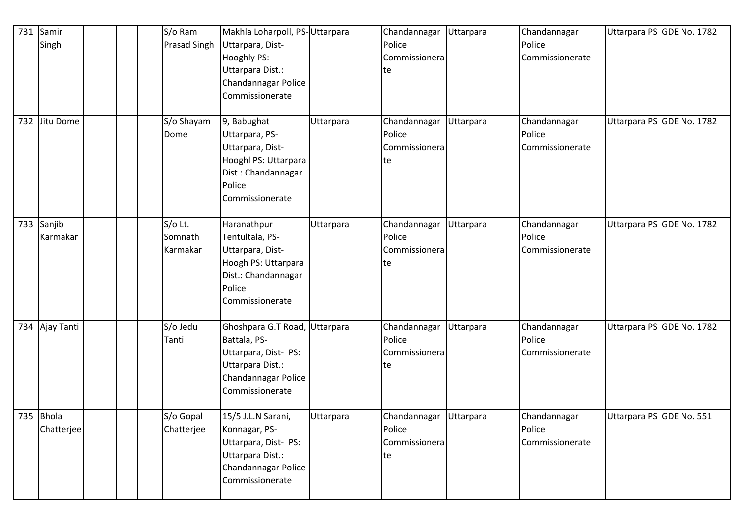| 731 | Samir<br>Singh          | S/o Ram<br><b>Prasad Singh</b> | Makhla Loharpoll, PS-Uttarpara<br>Uttarpara, Dist-<br>Hooghly PS:<br>Uttarpara Dist.:<br>Chandannagar Police<br>Commissionerate     |           | Chandannagar<br>Police<br>Commissionera<br>te           | Uttarpara | Chandannagar<br>Police<br>Commissionerate | Uttarpara PS GDE No. 1782 |
|-----|-------------------------|--------------------------------|-------------------------------------------------------------------------------------------------------------------------------------|-----------|---------------------------------------------------------|-----------|-------------------------------------------|---------------------------|
|     | 732 Jitu Dome           | S/o Shayam<br>Dome             | 9, Babughat<br>Uttarpara, PS-<br>Uttarpara, Dist-<br>Hooghl PS: Uttarpara<br>Dist.: Chandannagar<br>Police<br>Commissionerate       | Uttarpara | Chandannagar<br>Police<br>Commissionera<br>te           | Uttarpara | Chandannagar<br>Police<br>Commissionerate | Uttarpara PS GDE No. 1782 |
|     | 733 Sanjib<br>Karmakar  | S/o Lt.<br>Somnath<br>Karmakar | Haranathpur<br>Tentultala, PS-<br>Uttarpara, Dist-<br>Hoogh PS: Uttarpara<br>Dist.: Chandannagar<br>Police<br>Commissionerate       | Uttarpara | Chandannagar<br>Police<br>Commissionera<br>te           | Uttarpara | Chandannagar<br>Police<br>Commissionerate | Uttarpara PS GDE No. 1782 |
|     | 734 Ajay Tanti          | S/o Jedu<br>Tanti              | Ghoshpara G.T Road, Uttarpara<br>Battala, PS-<br>Uttarpara, Dist- PS:<br>Uttarpara Dist.:<br>Chandannagar Police<br>Commissionerate |           | Chandannagar<br>Police<br>Commissionera<br>te           | Uttarpara | Chandannagar<br>Police<br>Commissionerate | Uttarpara PS GDE No. 1782 |
|     | 735 Bhola<br>Chatterjee | S/o Gopal<br>Chatterjee        | 15/5 J.L.N Sarani,<br>Konnagar, PS-<br>Uttarpara, Dist- PS:<br>Uttarpara Dist.:<br>Chandannagar Police<br>Commissionerate           | Uttarpara | Chandannagar Uttarpara<br>Police<br>Commissionera<br>te |           | Chandannagar<br>Police<br>Commissionerate | Uttarpara PS GDE No. 551  |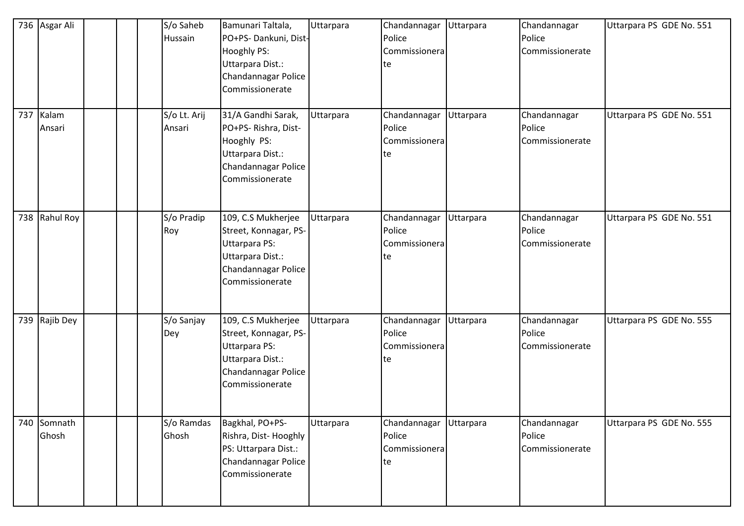|     | 736 Asgar Ali    |  | S/o Saheb<br>Hussain   | Bamunari Taltala,<br>PO+PS-Dankuni, Dist-<br>Hooghly PS:<br>Uttarpara Dist.:<br>Chandannagar Police<br>Commissionerate            | Uttarpara | Chandannagar<br>Police<br>Commissionera<br>te | Uttarpara | Chandannagar<br>Police<br>Commissionerate | Uttarpara PS GDE No. 551 |
|-----|------------------|--|------------------------|-----------------------------------------------------------------------------------------------------------------------------------|-----------|-----------------------------------------------|-----------|-------------------------------------------|--------------------------|
| 737 | Kalam<br>Ansari  |  | S/o Lt. Arij<br>Ansari | 31/A Gandhi Sarak,<br>PO+PS-Rishra, Dist-<br>Hooghly PS:<br>Uttarpara Dist.:<br>Chandannagar Police<br>Commissionerate            | Uttarpara | Chandannagar<br>Police<br>Commissionera<br>te | Uttarpara | Chandannagar<br>Police<br>Commissionerate | Uttarpara PS GDE No. 551 |
|     | 738 Rahul Roy    |  | S/o Pradip<br>Roy      | 109, C.S Mukherjee<br>Street, Konnagar, PS-<br><b>Uttarpara PS:</b><br>Uttarpara Dist.:<br>Chandannagar Police<br>Commissionerate | Uttarpara | Chandannagar<br>Police<br>Commissionera<br>te | Uttarpara | Chandannagar<br>Police<br>Commissionerate | Uttarpara PS GDE No. 551 |
|     | 739 Rajib Dey    |  | S/o Sanjay<br>Dey      | 109, C.S Mukherjee<br>Street, Konnagar, PS-<br><b>Uttarpara PS:</b><br>Uttarpara Dist.:<br>Chandannagar Police<br>Commissionerate | Uttarpara | Chandannagar<br>Police<br>Commissionera<br>te | Uttarpara | Chandannagar<br>Police<br>Commissionerate | Uttarpara PS GDE No. 555 |
| 740 | Somnath<br>Ghosh |  | S/o Ramdas<br>Ghosh    | Bagkhal, PO+PS-<br>Rishra, Dist-Hooghly<br>PS: Uttarpara Dist.:<br>Chandannagar Police<br>Commissionerate                         | Uttarpara | Chandannagar<br>Police<br>Commissionera<br>te | Uttarpara | Chandannagar<br>Police<br>Commissionerate | Uttarpara PS GDE No. 555 |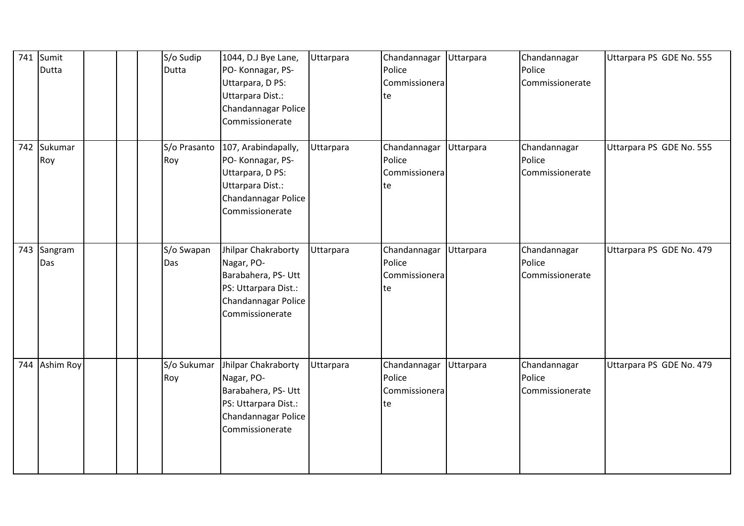| 741 | Sumit<br><b>Dutta</b> |  | S/o Sudip<br>Dutta  | 1044, D.J Bye Lane,<br>PO-Konnagar, PS-<br>Uttarpara, D PS:<br>Uttarpara Dist.:<br>Chandannagar Police<br>Commissionerate  | Uttarpara | Chandannagar<br>Police<br>Commissionera<br>te | Uttarpara | Chandannagar<br>Police<br>Commissionerate | Uttarpara PS GDE No. 555 |
|-----|-----------------------|--|---------------------|----------------------------------------------------------------------------------------------------------------------------|-----------|-----------------------------------------------|-----------|-------------------------------------------|--------------------------|
|     | 742 Sukumar<br>Roy    |  | S/o Prasanto<br>Roy | 107, Arabindapally,<br>PO-Konnagar, PS-<br>Uttarpara, D PS:<br>Uttarpara Dist.:<br>Chandannagar Police<br>Commissionerate  | Uttarpara | Chandannagar<br>Police<br>Commissionera<br>te | Uttarpara | Chandannagar<br>Police<br>Commissionerate | Uttarpara PS GDE No. 555 |
| 743 | Sangram<br>Das        |  | S/o Swapan<br>Das   | Jhilpar Chakraborty<br>Nagar, PO-<br>Barabahera, PS- Utt<br>PS: Uttarpara Dist.:<br>Chandannagar Police<br>Commissionerate | Uttarpara | Chandannagar<br>Police<br>Commissionera<br>te | Uttarpara | Chandannagar<br>Police<br>Commissionerate | Uttarpara PS GDE No. 479 |
| 744 | Ashim Roy             |  | S/o Sukumar<br>Roy  | Jhilpar Chakraborty<br>Nagar, PO-<br>Barabahera, PS- Utt<br>PS: Uttarpara Dist.:<br>Chandannagar Police<br>Commissionerate | Uttarpara | Chandannagar<br>Police<br>Commissionera<br>te | Uttarpara | Chandannagar<br>Police<br>Commissionerate | Uttarpara PS GDE No. 479 |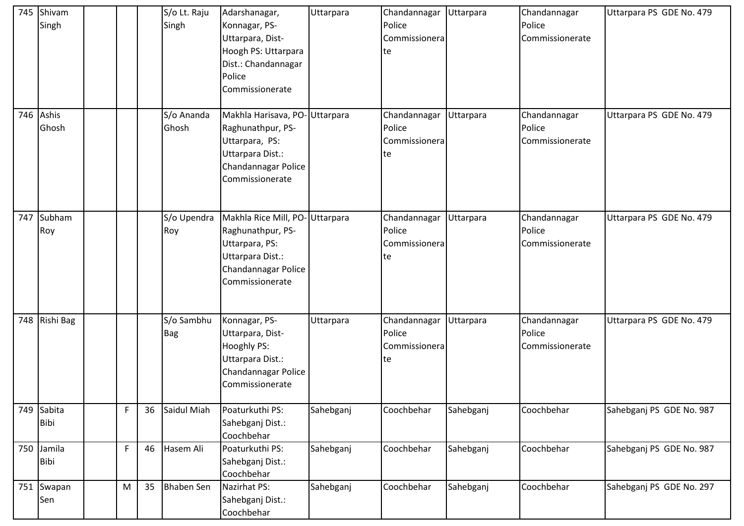| 745 | Shivam<br>Singh       |    |    | S/o Lt. Raju<br>Singh    | Adarshanagar,<br>Konnagar, PS-<br>Uttarpara, Dist-<br>Hoogh PS: Uttarpara<br>Dist.: Chandannagar<br>Police<br>Commissionerate       | Uttarpara | Chandannagar Uttarpara<br>Police<br>Commissionera<br>te |           | Chandannagar<br>Police<br>Commissionerate | Uttarpara PS GDE No. 479 |
|-----|-----------------------|----|----|--------------------------|-------------------------------------------------------------------------------------------------------------------------------------|-----------|---------------------------------------------------------|-----------|-------------------------------------------|--------------------------|
| 746 | Ashis<br>Ghosh        |    |    | S/o Ananda<br>Ghosh      | Makhla Harisava, PO-Uttarpara<br>Raghunathpur, PS-<br>Uttarpara, PS:<br>Uttarpara Dist.:<br>Chandannagar Police<br>Commissionerate  |           | Chandannagar<br>Police<br>Commissionera<br>te           | Uttarpara | Chandannagar<br>Police<br>Commissionerate | Uttarpara PS GDE No. 479 |
| 747 | Subham<br>Roy         |    |    | S/o Upendra<br>Roy       | Makhla Rice Mill, PO-Uttarpara<br>Raghunathpur, PS-<br>Uttarpara, PS:<br>Uttarpara Dist.:<br>Chandannagar Police<br>Commissionerate |           | Chandannagar<br>Police<br>Commissionera<br>te           | Uttarpara | Chandannagar<br>Police<br>Commissionerate | Uttarpara PS GDE No. 479 |
|     | 748 Rishi Bag         |    |    | S/o Sambhu<br><b>Bag</b> | Konnagar, PS-<br>Uttarpara, Dist-<br>Hooghly PS:<br>Uttarpara Dist.:<br>Chandannagar Police<br>Commissionerate                      | Uttarpara | Chandannagar<br>Police<br>Commissionera<br>te           | Uttarpara | Chandannagar<br>Police<br>Commissionerate | Uttarpara PS GDE No. 479 |
| 749 | Sabita<br><b>Bibi</b> | F  | 36 | Saidul Miah              | Poaturkuthi PS:<br>Sahebganj Dist.:<br>Coochbehar                                                                                   | Sahebganj | Coochbehar                                              | Sahebganj | Coochbehar                                | Sahebganj PS GDE No. 987 |
| 750 | Jamila<br><b>Bibi</b> | F. | 46 | Hasem Ali                | Poaturkuthi PS:<br>Sahebganj Dist.:<br>Coochbehar                                                                                   | Sahebganj | Coochbehar                                              | Sahebganj | Coochbehar                                | Sahebganj PS GDE No. 987 |
|     | 751 Swapan<br>Sen     | M  | 35 | <b>Bhaben Sen</b>        | Nazirhat PS:<br>Sahebganj Dist.:<br>Coochbehar                                                                                      | Sahebganj | Coochbehar                                              | Sahebganj | Coochbehar                                | Sahebganj PS GDE No. 297 |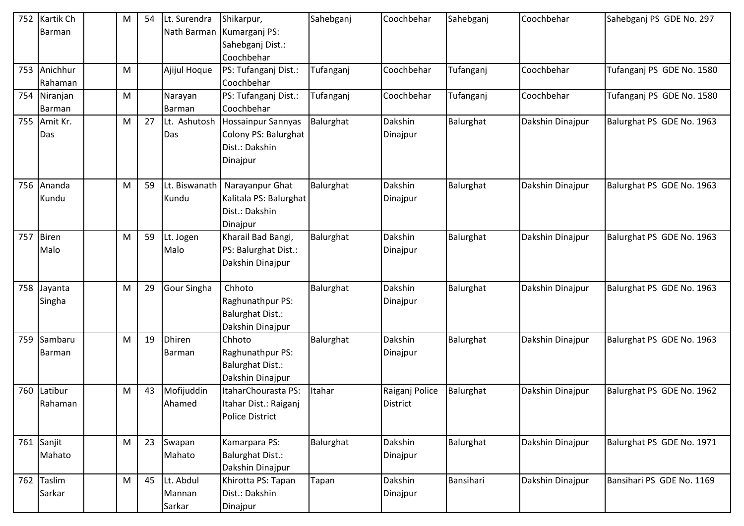| 752 | Kartik Ch    | M | 54 | Lt. Surendra  | Shikarpur,                  | Sahebganj | Coochbehar     | Sahebganj | Coochbehar       | Sahebganj PS GDE No. 297  |
|-----|--------------|---|----|---------------|-----------------------------|-----------|----------------|-----------|------------------|---------------------------|
|     | Barman       |   |    |               | Nath Barman   Kumarganj PS: |           |                |           |                  |                           |
|     |              |   |    |               | Sahebganj Dist.:            |           |                |           |                  |                           |
|     |              |   |    |               | Coochbehar                  |           |                |           |                  |                           |
| 753 | Anichhur     | M |    | Ajijul Hoque  | PS: Tufanganj Dist.:        | Tufanganj | Coochbehar     | Tufanganj | Coochbehar       | Tufanganj PS GDE No. 1580 |
|     | Rahaman      |   |    |               | Coochbehar                  |           |                |           |                  |                           |
|     | 754 Niranjan | M |    | Narayan       | PS: Tufanganj Dist.:        | Tufanganj | Coochbehar     | Tufanganj | Coochbehar       | Tufanganj PS GDE No. 1580 |
|     | Barman       |   |    | Barman        | Coochbehar                  |           |                |           |                  |                           |
| 755 | Amit Kr.     | M | 27 | Lt. Ashutosh  | <b>Hossainpur Sannyas</b>   | Balurghat | Dakshin        | Balurghat | Dakshin Dinajpur | Balurghat PS GDE No. 1963 |
|     | Das          |   |    | Das           | Colony PS: Balurghat        |           | Dinajpur       |           |                  |                           |
|     |              |   |    |               | Dist.: Dakshin              |           |                |           |                  |                           |
|     |              |   |    |               | Dinajpur                    |           |                |           |                  |                           |
|     |              |   |    |               |                             |           |                |           |                  |                           |
| 756 | Ananda       | M | 59 | Lt. Biswanath | Narayanpur Ghat             | Balurghat | Dakshin        | Balurghat | Dakshin Dinajpur | Balurghat PS GDE No. 1963 |
|     | Kundu        |   |    | Kundu         | Kalitala PS: Balurghat      |           | Dinajpur       |           |                  |                           |
|     |              |   |    |               | Dist.: Dakshin              |           |                |           |                  |                           |
|     |              |   |    |               | Dinajpur                    |           |                |           |                  |                           |
| 757 | <b>Biren</b> | M | 59 | Lt. Jogen     | Kharail Bad Bangi,          | Balurghat | Dakshin        | Balurghat | Dakshin Dinajpur | Balurghat PS GDE No. 1963 |
|     | Malo         |   |    | Malo          | PS: Balurghat Dist.:        |           | Dinajpur       |           |                  |                           |
|     |              |   |    |               | Dakshin Dinajpur            |           |                |           |                  |                           |
|     |              |   |    |               |                             |           |                |           |                  |                           |
| 758 | Jayanta      | M | 29 | Gour Singha   | Chhoto                      | Balurghat | Dakshin        | Balurghat | Dakshin Dinajpur | Balurghat PS GDE No. 1963 |
|     | Singha       |   |    |               | Raghunathpur PS:            |           | Dinajpur       |           |                  |                           |
|     |              |   |    |               | <b>Balurghat Dist.:</b>     |           |                |           |                  |                           |
|     |              |   |    |               | Dakshin Dinajpur            |           |                |           |                  |                           |
| 759 | Sambaru      | M | 19 | Dhiren        | Chhoto                      | Balurghat | Dakshin        | Balurghat | Dakshin Dinajpur | Balurghat PS GDE No. 1963 |
|     | Barman       |   |    | Barman        | Raghunathpur PS:            |           | Dinajpur       |           |                  |                           |
|     |              |   |    |               | <b>Balurghat Dist.:</b>     |           |                |           |                  |                           |
|     |              |   |    |               | Dakshin Dinajpur            |           |                |           |                  |                           |
| 760 | Latibur      | M | 43 | Mofijuddin    | ItaharChourasta PS:         | Itahar    | Raiganj Police | Balurghat | Dakshin Dinajpur | Balurghat PS GDE No. 1962 |
|     | Rahaman      |   |    | Ahamed        | Itahar Dist.: Raiganj       |           | District       |           |                  |                           |
|     |              |   |    |               | Police District             |           |                |           |                  |                           |
|     |              |   |    |               |                             |           |                |           |                  |                           |
|     | 761 Sanjit   | M | 23 | Swapan        | Kamarpara PS:               | Balurghat | Dakshin        | Balurghat | Dakshin Dinajpur | Balurghat PS GDE No. 1971 |
|     | Mahato       |   |    | Mahato        | <b>Balurghat Dist.:</b>     |           | Dinajpur       |           |                  |                           |
|     |              |   |    |               | Dakshin Dinajpur            |           |                |           |                  |                           |
| 762 | Taslim       | M | 45 | Lt. Abdul     | Khirotta PS: Tapan          | Tapan     | Dakshin        | Bansihari | Dakshin Dinajpur | Bansihari PS GDE No. 1169 |
|     | Sarkar       |   |    | Mannan        | Dist.: Dakshin              |           | Dinajpur       |           |                  |                           |
|     |              |   |    | Sarkar        | Dinajpur                    |           |                |           |                  |                           |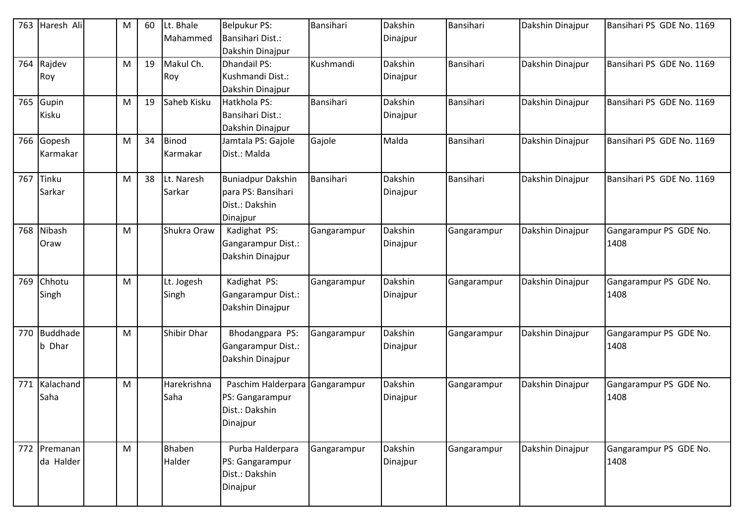| 763 | Haresh Ali                | M | 60 | Lt. Bhale<br>Mahammed    | <b>Belpukur PS:</b><br>Bansihari Dist.:<br>Dakshin Dinajpur                  | Bansihari   | Dakshin<br>Dinajpur | Bansihari   | Dakshin Dinajpur | Bansihari PS GDE No. 1169      |
|-----|---------------------------|---|----|--------------------------|------------------------------------------------------------------------------|-------------|---------------------|-------------|------------------|--------------------------------|
| 764 | Rajdev<br>Roy             | M | 19 | Makul Ch.<br>Roy         | <b>Dhandail PS:</b><br>Kushmandi Dist.:<br>Dakshin Dinajpur                  | Kushmandi   | Dakshin<br>Dinajpur | Bansihari   | Dakshin Dinajpur | Bansihari PS GDE No. 1169      |
| 765 | Gupin<br>Kisku            | M | 19 | Saheb Kisku              | Hatkhola PS:<br>Bansihari Dist.:<br>Dakshin Dinajpur                         | Bansihari   | Dakshin<br>Dinajpur | Bansihari   | Dakshin Dinajpur | Bansihari PS GDE No. 1169      |
|     | 766 Gopesh<br>Karmakar    | M | 34 | <b>Binod</b><br>Karmakar | Jamtala PS: Gajole<br>Dist.: Malda                                           | Gajole      | Malda               | Bansihari   | Dakshin Dinajpur | Bansihari PS GDE No. 1169      |
| 767 | Tinku<br>Sarkar           | M | 38 | Lt. Naresh<br>Sarkar     | <b>Buniadpur Dakshin</b><br>para PS: Bansihari<br>Dist.: Dakshin<br>Dinajpur | Bansihari   | Dakshin<br>Dinajpur | Bansihari   | Dakshin Dinajpur | Bansihari PS GDE No. 1169      |
| 768 | Nibash<br>Oraw            | M |    | Shukra Oraw              | Kadighat PS:<br>Gangarampur Dist.:<br>Dakshin Dinajpur                       | Gangarampur | Dakshin<br>Dinajpur | Gangarampur | Dakshin Dinajpur | Gangarampur PS GDE No.<br>1408 |
| 769 | Chhotu<br>Singh           | M |    | Lt. Jogesh<br>Singh      | Kadighat PS:<br>Gangarampur Dist.:<br>Dakshin Dinajpur                       | Gangarampur | Dakshin<br>Dinajpur | Gangarampur | Dakshin Dinajpur | Gangarampur PS GDE No.<br>1408 |
|     | 770 Buddhade<br>b Dhar    | M |    | Shibir Dhar              | Bhodangpara PS:<br>Gangarampur Dist.:<br>Dakshin Dinajpur                    | Gangarampur | Dakshin<br>Dinajpur | Gangarampur | Dakshin Dinajpur | Gangarampur PS GDE No.<br>1408 |
|     | 771 Kalachand<br>Saha     | M |    | Harekrishna<br>Saha      | Paschim Halderpara<br>PS: Gangarampur<br>Dist.: Dakshin<br>Dinajpur          | Gangarampur | Dakshin<br>Dinajpur | Gangarampur | Dakshin Dinajpur | Gangarampur PS GDE No.<br>1408 |
|     | 772 Premanan<br>da Halder | M |    | Bhaben<br>Halder         | Purba Halderpara<br>PS: Gangarampur<br>Dist.: Dakshin<br>Dinajpur            | Gangarampur | Dakshin<br>Dinajpur | Gangarampur | Dakshin Dinajpur | Gangarampur PS GDE No.<br>1408 |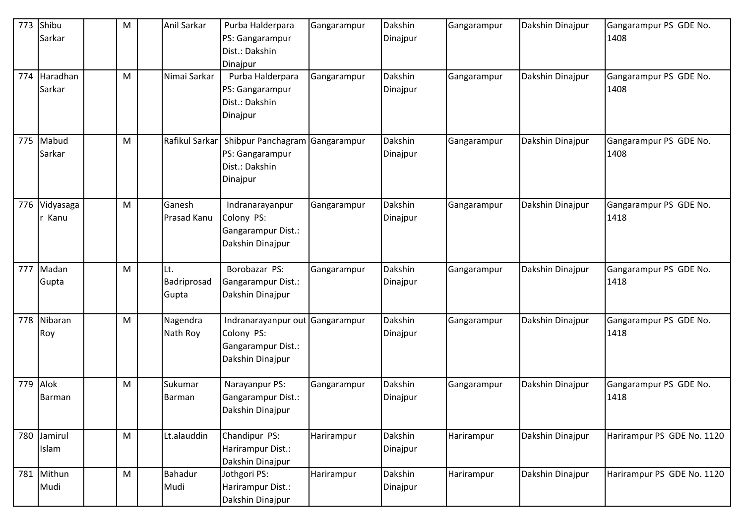| 773 | Shibu<br>Sarkar       | M                                                                                                          | Anil Sarkar                 | Purba Halderpara<br>PS: Gangarampur<br>Dist.: Dakshin<br>Dinajpur           | Gangarampur | Dakshin<br>Dinajpur | Gangarampur | Dakshin Dinajpur | Gangarampur PS GDE No.<br>1408 |
|-----|-----------------------|------------------------------------------------------------------------------------------------------------|-----------------------------|-----------------------------------------------------------------------------|-------------|---------------------|-------------|------------------|--------------------------------|
| 774 | Haradhan<br>Sarkar    | M                                                                                                          | Nimai Sarkar                | Purba Halderpara<br>PS: Gangarampur<br>Dist.: Dakshin<br>Dinajpur           | Gangarampur | Dakshin<br>Dinajpur | Gangarampur | Dakshin Dinajpur | Gangarampur PS GDE No.<br>1408 |
| 775 | Mabud<br>Sarkar       | M                                                                                                          | Rafikul Sarkar              | Shibpur Panchagram<br>PS: Gangarampur<br>Dist.: Dakshin<br>Dinajpur         | Gangarampur | Dakshin<br>Dinajpur | Gangarampur | Dakshin Dinajpur | Gangarampur PS GDE No.<br>1408 |
| 776 | Vidyasaga<br>Kanu     | M                                                                                                          | Ganesh<br>Prasad Kanu       | Indranarayanpur<br>Colony PS:<br>Gangarampur Dist.:<br>Dakshin Dinajpur     | Gangarampur | Dakshin<br>Dinajpur | Gangarampur | Dakshin Dinajpur | Gangarampur PS GDE No.<br>1418 |
| 777 | Madan<br>Gupta        | M                                                                                                          | Lt.<br>Badriprosad<br>Gupta | Borobazar PS:<br>Gangarampur Dist.:<br>Dakshin Dinajpur                     | Gangarampur | Dakshin<br>Dinajpur | Gangarampur | Dakshin Dinajpur | Gangarampur PS GDE No.<br>1418 |
| 778 | Nibaran<br>Roy        | M                                                                                                          | Nagendra<br>Nath Roy        | Indranarayanpur out<br>Colony PS:<br>Gangarampur Dist.:<br>Dakshin Dinajpur | Gangarampur | Dakshin<br>Dinajpur | Gangarampur | Dakshin Dinajpur | Gangarampur PS GDE No.<br>1418 |
| 779 | Alok<br><b>Barman</b> | M                                                                                                          | Sukumar<br><b>Barman</b>    | Narayanpur PS:<br>Gangarampur Dist.:<br>Dakshin Dinajpur                    | Gangarampur | Dakshin<br>Dinajpur | Gangarampur | Dakshin Dinajpur | Gangarampur PS GDE No.<br>1418 |
| 780 | Jamirul<br>Islam      | M                                                                                                          | Lt.alauddin                 | Chandipur PS:<br>Harirampur Dist.:<br>Dakshin Dinajpur                      | Harirampur  | Dakshin<br>Dinajpur | Harirampur  | Dakshin Dinajpur | Harirampur PS GDE No. 1120     |
| 781 | Mithun<br>Mudi        | $\mathsf{M}% _{T}=\mathsf{M}_{T}\!\left( a,b\right) ,\ \mathsf{M}_{T}=\mathsf{M}_{T}\!\left( a,b\right) ,$ | Bahadur<br>Mudi             | Jothgori PS:<br>Harirampur Dist.:<br>Dakshin Dinajpur                       | Harirampur  | Dakshin<br>Dinajpur | Harirampur  | Dakshin Dinajpur | Harirampur PS GDE No. 1120     |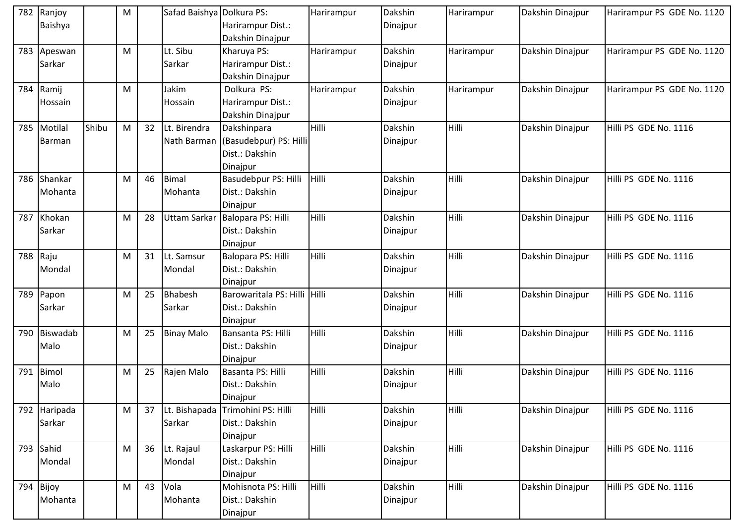| 782 | Ranjoy       |       | M |    | Safad Baishya Dolkura PS: |                              | Harirampur   | Dakshin  | Harirampur | Dakshin Dinajpur | Harirampur PS GDE No. 1120 |
|-----|--------------|-------|---|----|---------------------------|------------------------------|--------------|----------|------------|------------------|----------------------------|
|     | Baishya      |       |   |    |                           | Harirampur Dist.:            |              | Dinajpur |            |                  |                            |
|     |              |       |   |    |                           | Dakshin Dinajpur             |              |          |            |                  |                            |
| 783 | Apeswan      |       | M |    | Lt. Sibu                  | Kharuya PS:                  | Harirampur   | Dakshin  | Harirampur | Dakshin Dinajpur | Harirampur PS GDE No. 1120 |
|     | Sarkar       |       |   |    | Sarkar                    | Harirampur Dist.:            |              | Dinajpur |            |                  |                            |
|     |              |       |   |    |                           | Dakshin Dinajpur             |              |          |            |                  |                            |
| 784 | Ramij        |       | M |    | Jakim                     | Dolkura PS:                  | Harirampur   | Dakshin  | Harirampur | Dakshin Dinajpur | Harirampur PS GDE No. 1120 |
|     | Hossain      |       |   |    | Hossain                   | Harirampur Dist.:            |              | Dinajpur |            |                  |                            |
|     |              |       |   |    |                           | Dakshin Dinajpur             |              |          |            |                  |                            |
| 785 | Motilal      | Shibu | M | 32 | Lt. Birendra              | Dakshinpara                  | Hilli        | Dakshin  | Hilli      | Dakshin Dinajpur | Hilli PS GDE No. 1116      |
|     | Barman       |       |   |    | Nath Barman               | (Basudebpur) PS: Hilli       |              | Dinajpur |            |                  |                            |
|     |              |       |   |    |                           | Dist.: Dakshin               |              |          |            |                  |                            |
|     |              |       |   |    |                           | Dinajpur                     |              |          |            |                  |                            |
| 786 | Shankar      |       | M | 46 | <b>Bimal</b>              | Basudebpur PS: Hilli         | <b>Hilli</b> | Dakshin  | Hilli      | Dakshin Dinajpur | Hilli PS GDE No. 1116      |
|     | Mohanta      |       |   |    | Mohanta                   | Dist.: Dakshin               |              | Dinajpur |            |                  |                            |
|     |              |       |   |    |                           | Dinajpur                     |              |          |            |                  |                            |
| 787 | Khokan       |       | M | 28 | Uttam Sarkar              | Balopara PS: Hilli           | Hilli        | Dakshin  | Hilli      | Dakshin Dinajpur | Hilli PS GDE No. 1116      |
|     | Sarkar       |       |   |    |                           | Dist.: Dakshin               |              | Dinajpur |            |                  |                            |
|     |              |       |   |    |                           | Dinajpur                     |              |          |            |                  |                            |
| 788 | Raju         |       | M | 31 | Lt. Samsur                | Balopara PS: Hilli           | Hilli        | Dakshin  | Hilli      | Dakshin Dinajpur | Hilli PS GDE No. 1116      |
|     | Mondal       |       |   |    | Mondal                    | Dist.: Dakshin               |              | Dinajpur |            |                  |                            |
|     |              |       |   |    |                           | Dinajpur                     |              |          |            |                  |                            |
| 789 | Papon        |       | M | 25 | Bhabesh                   | Barowaritala PS: Hilli Hilli |              | Dakshin  | Hilli      | Dakshin Dinajpur | Hilli PS GDE No. 1116      |
|     | Sarkar       |       |   |    | Sarkar                    | Dist.: Dakshin               |              | Dinajpur |            |                  |                            |
|     |              |       |   |    |                           | Dinajpur                     |              |          |            |                  |                            |
| 790 | Biswadab     |       | M | 25 | <b>Binay Malo</b>         | Bansanta PS: Hilli           | Hilli        | Dakshin  | Hilli      | Dakshin Dinajpur | Hilli PS GDE No. 1116      |
|     | Malo         |       |   |    |                           | Dist.: Dakshin               |              | Dinajpur |            |                  |                            |
|     |              |       |   |    |                           | Dinajpur                     |              |          |            |                  |                            |
| 791 | Bimol        |       | M | 25 | Rajen Malo                | Basanta PS: Hilli            | <b>Hilli</b> | Dakshin  | Hilli      | Dakshin Dinajpur | Hilli PS GDE No. 1116      |
|     | Malo         |       |   |    |                           | Dist.: Dakshin               |              | Dinajpur |            |                  |                            |
|     |              |       |   |    |                           | Dinajpur                     |              |          |            |                  |                            |
|     | 792 Haripada |       | M | 37 | Lt. Bishapada             | Trimohini PS: Hilli          | Hilli        | Dakshin  | Hilli      | Dakshin Dinajpur | Hilli PS GDE No. 1116      |
|     | Sarkar       |       |   |    | Sarkar                    | Dist.: Dakshin               |              | Dinajpur |            |                  |                            |
|     |              |       |   |    |                           | Dinajpur                     |              |          |            |                  |                            |
|     | 793 Sahid    |       | M | 36 | Lt. Rajaul                | Laskarpur PS: Hilli          | Hilli        | Dakshin  | Hilli      | Dakshin Dinajpur | Hilli PS GDE No. 1116      |
|     | Mondal       |       |   |    | Mondal                    | Dist.: Dakshin               |              | Dinajpur |            |                  |                            |
|     |              |       |   |    |                           | Dinajpur                     |              |          |            |                  |                            |
|     | 794 Bijoy    |       | M | 43 | Vola                      | Mohisnota PS: Hilli          | Hilli        | Dakshin  | Hilli      | Dakshin Dinajpur | Hilli PS GDE No. 1116      |
|     | Mohanta      |       |   |    | Mohanta                   | Dist.: Dakshin               |              | Dinajpur |            |                  |                            |
|     |              |       |   |    |                           | Dinajpur                     |              |          |            |                  |                            |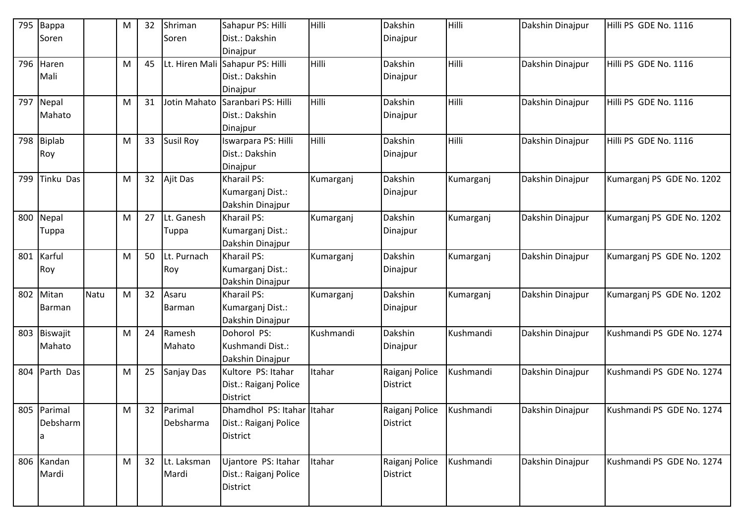| 795 | Bappa            |      | М         | 32 | Shriman          | Sahapur PS: Hilli          | Hilli     | Dakshin         | Hilli     | Dakshin Dinajpur | Hilli PS GDE No. 1116     |
|-----|------------------|------|-----------|----|------------------|----------------------------|-----------|-----------------|-----------|------------------|---------------------------|
|     | Soren            |      |           |    | Soren            | Dist.: Dakshin             |           | Dinajpur        |           |                  |                           |
|     |                  |      |           |    |                  | Dinajpur                   |           |                 |           |                  |                           |
| 796 | Haren            |      | М         | 45 | Lt. Hiren Mali   | Sahapur PS: Hilli          | Hilli     | Dakshin         | Hilli     | Dakshin Dinajpur | Hilli PS GDE No. 1116     |
|     | Mali             |      |           |    |                  | Dist.: Dakshin             |           | Dinajpur        |           |                  |                           |
|     |                  |      |           |    |                  | Dinajpur                   |           |                 |           |                  |                           |
| 797 | Nepal            |      | M         | 31 | Jotin Mahato     | Saranbari PS: Hilli        | Hilli     | Dakshin         | Hilli     | Dakshin Dinajpur | Hilli PS GDE No. 1116     |
|     | Mahato           |      |           |    |                  | Dist.: Dakshin             |           | Dinajpur        |           |                  |                           |
|     |                  |      |           |    |                  | Dinajpur                   |           |                 |           |                  |                           |
| 798 | <b>Biplab</b>    |      | M         | 33 | <b>Susil Roy</b> | Iswarpara PS: Hilli        | Hilli     | Dakshin         | Hilli     | Dakshin Dinajpur | Hilli PS GDE No. 1116     |
|     | Roy              |      |           |    |                  | Dist.: Dakshin             |           | Dinajpur        |           |                  |                           |
|     |                  |      |           |    |                  | Dinajpur                   |           |                 |           |                  |                           |
| 799 | <b>Tinku Das</b> |      | М         | 32 | Ajit Das         | Kharail PS:                | Kumarganj | Dakshin         | Kumarganj | Dakshin Dinajpur | Kumarganj PS GDE No. 1202 |
|     |                  |      |           |    |                  | Kumarganj Dist.:           |           | Dinajpur        |           |                  |                           |
|     |                  |      |           |    |                  | Dakshin Dinajpur           |           |                 |           |                  |                           |
| 800 | Nepal            |      | M         | 27 | Lt. Ganesh       | Kharail PS:                | Kumarganj | Dakshin         | Kumarganj | Dakshin Dinajpur | Kumarganj PS GDE No. 1202 |
|     | Tuppa            |      |           |    | Tuppa            | Kumarganj Dist.:           |           | Dinajpur        |           |                  |                           |
|     |                  |      |           |    |                  | Dakshin Dinajpur           |           |                 |           |                  |                           |
| 801 | Karful           |      | M         | 50 | Lt. Purnach      | Kharail PS:                | Kumarganj | Dakshin         | Kumarganj | Dakshin Dinajpur | Kumarganj PS GDE No. 1202 |
|     | Roy              |      |           |    | Roy              | Kumarganj Dist.:           |           | Dinajpur        |           |                  |                           |
|     |                  |      |           |    |                  | Dakshin Dinajpur           |           |                 |           |                  |                           |
| 802 | Mitan            | Natu | ${\sf M}$ | 32 | Asaru            | Kharail PS:                | Kumarganj | Dakshin         | Kumarganj | Dakshin Dinajpur | Kumarganj PS GDE No. 1202 |
|     | Barman           |      |           |    | <b>Barman</b>    | Kumarganj Dist.:           |           | Dinajpur        |           |                  |                           |
|     |                  |      |           |    |                  | Dakshin Dinajpur           |           |                 |           |                  |                           |
| 803 | Biswajit         |      | M         | 24 | Ramesh           | Dohorol PS:                | Kushmandi | Dakshin         | Kushmandi | Dakshin Dinajpur | Kushmandi PS GDE No. 1274 |
|     | Mahato           |      |           |    | Mahato           | Kushmandi Dist.:           |           | Dinajpur        |           |                  |                           |
|     |                  |      |           |    |                  | Dakshin Dinajpur           |           |                 |           |                  |                           |
| 804 | Parth Das        |      | М         | 25 | Sanjay Das       | Kultore PS: Itahar         | Itahar    | Raiganj Police  | Kushmandi | Dakshin Dinajpur | Kushmandi PS GDE No. 1274 |
|     |                  |      |           |    |                  | Dist.: Raiganj Police      |           | <b>District</b> |           |                  |                           |
|     |                  |      |           |    |                  | District                   |           |                 |           |                  |                           |
|     | 805 Parimal      |      | M         | 32 | Parimal          | Dhamdhol PS: Itahar Itahar |           | Raiganj Police  | Kushmandi | Dakshin Dinajpur | Kushmandi PS GDE No. 1274 |
|     | Debsharm         |      |           |    | Debsharma        | Dist.: Raiganj Police      |           | District        |           |                  |                           |
|     | a                |      |           |    |                  | District                   |           |                 |           |                  |                           |
|     |                  |      |           |    |                  |                            |           |                 |           |                  |                           |
| 806 | Kandan           |      | M         | 32 | Lt. Laksman      | Ujantore PS: Itahar        | Itahar    | Raiganj Police  | Kushmandi | Dakshin Dinajpur | Kushmandi PS GDE No. 1274 |
|     | Mardi            |      |           |    | Mardi            | Dist.: Raiganj Police      |           | District        |           |                  |                           |
|     |                  |      |           |    |                  | District                   |           |                 |           |                  |                           |
|     |                  |      |           |    |                  |                            |           |                 |           |                  |                           |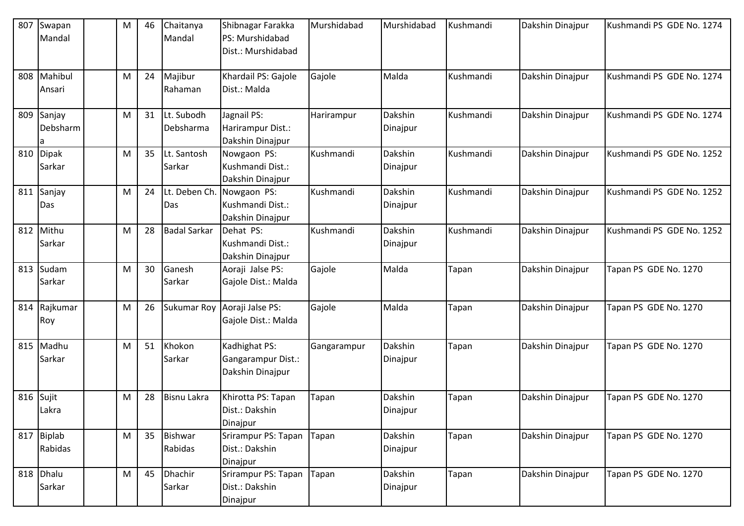| 807 | Swapan<br>Mandal         | M | 46 | Chaitanya<br>Mandal       | Shibnagar Farakka<br>PS: Murshidabad<br>Dist.: Murshidabad | Murshidabad | Murshidabad         | Kushmandi | Dakshin Dinajpur | Kushmandi PS GDE No. 1274 |
|-----|--------------------------|---|----|---------------------------|------------------------------------------------------------|-------------|---------------------|-----------|------------------|---------------------------|
| 808 | Mahibul<br>Ansari        | м | 24 | Majibur<br>Rahaman        | Khardail PS: Gajole<br>Dist.: Malda                        | Gajole      | Malda               | Kushmandi | Dakshin Dinajpur | Kushmandi PS GDE No. 1274 |
| 809 | Sanjay<br>Debsharm       | M | 31 | Lt. Subodh<br>Debsharma   | Jagnail PS:<br>Harirampur Dist.:<br>Dakshin Dinajpur       | Harirampur  | Dakshin<br>Dinajpur | Kushmandi | Dakshin Dinajpur | Kushmandi PS GDE No. 1274 |
| 810 | <b>Dipak</b><br>Sarkar   | м | 35 | Lt. Santosh<br>Sarkar     | Nowgaon PS:<br>Kushmandi Dist.:<br>Dakshin Dinajpur        | Kushmandi   | Dakshin<br>Dinajpur | Kushmandi | Dakshin Dinajpur | Kushmandi PS GDE No. 1252 |
| 811 | Sanjay<br>Das            | м | 24 | Lt. Deben Ch.<br>Das      | Nowgaon PS:<br>Kushmandi Dist.:<br>Dakshin Dinajpur        | Kushmandi   | Dakshin<br>Dinajpur | Kushmandi | Dakshin Dinajpur | Kushmandi PS GDE No. 1252 |
| 812 | Mithu<br>Sarkar          | м | 28 | <b>Badal Sarkar</b>       | Dehat PS:<br>Kushmandi Dist.:<br>Dakshin Dinajpur          | Kushmandi   | Dakshin<br>Dinajpur | Kushmandi | Dakshin Dinajpur | Kushmandi PS GDE No. 1252 |
| 813 | Sudam<br>Sarkar          | M | 30 | Ganesh<br>Sarkar          | Aoraji Jalse PS:<br>Gajole Dist.: Malda                    | Gajole      | Malda               | Tapan     | Dakshin Dinajpur | Tapan PS GDE No. 1270     |
| 814 | Rajkumar<br>Roy          | M | 26 | Sukumar Roy               | Aoraji Jalse PS:<br>Gajole Dist.: Malda                    | Gajole      | Malda               | Tapan     | Dakshin Dinajpur | Tapan PS GDE No. 1270     |
| 815 | Madhu<br>Sarkar          | м | 51 | Khokon<br>Sarkar          | Kadhighat PS:<br>Gangarampur Dist.:<br>Dakshin Dinajpur    | Gangarampur | Dakshin<br>Dinajpur | Tapan     | Dakshin Dinajpur | Tapan PS GDE No. 1270     |
| 816 | Sujit<br>Lakra           | M | 28 | <b>Bisnu Lakra</b>        | Khirotta PS: Tapan<br>Dist.: Dakshin<br>Dinajpur           | Tapan       | Dakshin<br>Dinajpur | Tapan     | Dakshin Dinajpur | Tapan PS GDE No. 1270     |
| 817 | <b>Biplab</b><br>Rabidas | M | 35 | <b>Bishwar</b><br>Rabidas | Srirampur PS: Tapan<br>Dist.: Dakshin<br>Dinajpur          | Tapan       | Dakshin<br>Dinajpur | Tapan     | Dakshin Dinajpur | Tapan PS GDE No. 1270     |
| 818 | Dhalu<br>Sarkar          | M | 45 | <b>Dhachir</b><br>Sarkar  | Srirampur PS: Tapan<br>Dist.: Dakshin<br>Dinajpur          | Tapan       | Dakshin<br>Dinajpur | Tapan     | Dakshin Dinajpur | Tapan PS GDE No. 1270     |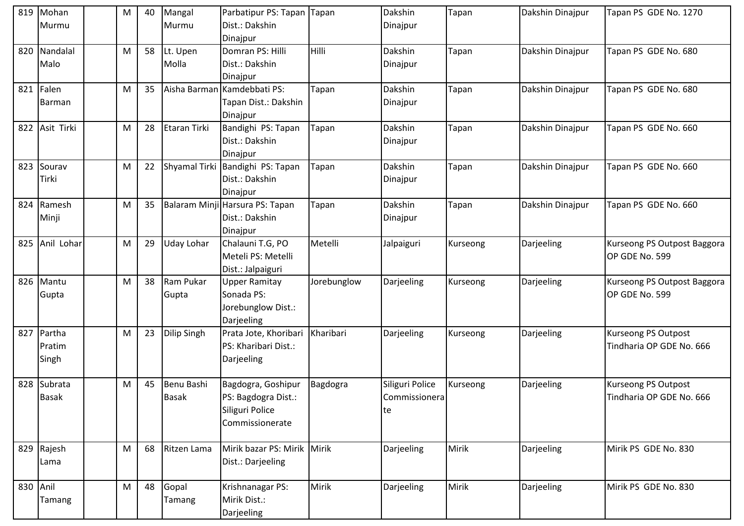|     | 819 Mohan<br>Murmu | M | 40 | Mangal<br>Murmu | Parbatipur PS: Tapan Tapan<br>Dist.: Dakshin |              | Dakshin<br>Dinajpur | Tapan    | Dakshin Dinajpur | Tapan PS GDE No. 1270       |
|-----|--------------------|---|----|-----------------|----------------------------------------------|--------------|---------------------|----------|------------------|-----------------------------|
|     |                    |   |    |                 | Dinajpur                                     |              |                     |          |                  |                             |
| 820 | Nandalal           | M | 58 | Lt. Upen        | Domran PS: Hilli                             | Hilli        | Dakshin             | Tapan    | Dakshin Dinajpur | Tapan PS GDE No. 680        |
|     | Malo               |   |    | Molla           | Dist.: Dakshin                               |              | Dinajpur            |          |                  |                             |
|     |                    |   |    |                 | Dinajpur                                     |              |                     |          |                  |                             |
| 821 | Falen              | M | 35 |                 | Aisha Barman Kamdebbati PS:                  | Tapan        | Dakshin             | Tapan    | Dakshin Dinajpur | Tapan PS GDE No. 680        |
|     | Barman             |   |    |                 | Tapan Dist.: Dakshin                         |              | Dinajpur            |          |                  |                             |
|     |                    |   |    |                 | Dinajpur                                     |              |                     |          |                  |                             |
|     | 822 Asit Tirki     | M | 28 | Etaran Tirki    | Bandighi PS: Tapan                           | Tapan        | Dakshin             | Tapan    | Dakshin Dinajpur | Tapan PS GDE No. 660        |
|     |                    |   |    |                 | Dist.: Dakshin                               |              | Dinajpur            |          |                  |                             |
|     |                    |   |    |                 | Dinajpur                                     |              |                     |          |                  |                             |
| 823 | Sourav             | M | 22 | Shyamal Tirki   | Bandighi PS: Tapan                           | Tapan        | Dakshin             | Tapan    | Dakshin Dinajpur | Tapan PS GDE No. 660        |
|     | Tirki              |   |    |                 | Dist.: Dakshin                               |              | Dinajpur            |          |                  |                             |
|     |                    |   |    |                 | Dinajpur                                     |              |                     |          |                  |                             |
| 824 | Ramesh             | Μ | 35 |                 | Balaram Minji Harsura PS: Tapan              | Tapan        | Dakshin             | Tapan    | Dakshin Dinajpur | Tapan PS GDE No. 660        |
|     | Minji              |   |    |                 | Dist.: Dakshin                               |              | Dinajpur            |          |                  |                             |
|     |                    |   |    |                 | Dinajpur                                     |              |                     |          |                  |                             |
| 825 | Anil Lohar         | M | 29 | Uday Lohar      | Chalauni T.G, PO                             | Metelli      | Jalpaiguri          | Kurseong | Darjeeling       | Kurseong PS Outpost Baggora |
|     |                    |   |    |                 | Meteli PS: Metelli                           |              |                     |          |                  | OP GDE No. 599              |
|     |                    |   |    |                 | Dist.: Jalpaiguri                            |              |                     |          |                  |                             |
| 826 | Mantu              | M | 38 | Ram Pukar       | <b>Upper Ramitay</b>                         | Jorebunglow  | Darjeeling          | Kurseong | Darjeeling       | Kurseong PS Outpost Baggora |
|     | Gupta              |   |    | Gupta           | Sonada PS:                                   |              |                     |          |                  | OP GDE No. 599              |
|     |                    |   |    |                 | Jorebunglow Dist.:                           |              |                     |          |                  |                             |
|     |                    |   |    |                 | Darjeeling                                   |              |                     |          |                  |                             |
| 827 | Partha             | M | 23 | Dilip Singh     | Prata Jote, Khoribari                        | Kharibari    | Darjeeling          | Kurseong | Darjeeling       | <b>Kurseong PS Outpost</b>  |
|     | Pratim             |   |    |                 | PS: Kharibari Dist.:                         |              |                     |          |                  | Tindharia OP GDE No. 666    |
|     | Singh              |   |    |                 | Darjeeling                                   |              |                     |          |                  |                             |
|     |                    |   |    |                 |                                              |              |                     |          |                  |                             |
| 828 | Subrata            | М | 45 | Benu Bashi      | Bagdogra, Goshipur                           | Bagdogra     | Siliguri Police     | Kurseong | Darjeeling       | Kurseong PS Outpost         |
|     | <b>Basak</b>       |   |    | <b>Basak</b>    | PS: Bagdogra Dist.:                          |              | Commissionera       |          |                  | Tindharia OP GDE No. 666    |
|     |                    |   |    |                 | Siliguri Police                              |              | te                  |          |                  |                             |
|     |                    |   |    |                 | Commissionerate                              |              |                     |          |                  |                             |
|     |                    |   |    |                 |                                              |              |                     |          |                  |                             |
| 829 | Rajesh             | M | 68 | Ritzen Lama     | Mirik bazar PS: Mirik Mirik                  |              | Darjeeling          | Mirik    | Darjeeling       | Mirik PS GDE No. 830        |
|     | Lama               |   |    |                 | Dist.: Darjeeling                            |              |                     |          |                  |                             |
|     |                    |   |    |                 |                                              |              |                     |          |                  |                             |
| 830 | Anil               | M | 48 | Gopal           | Krishnanagar PS:                             | <b>Mirik</b> | Darjeeling          | Mirik    | Darjeeling       | Mirik PS GDE No. 830        |
|     | Tamang             |   |    | Tamang          | Mirik Dist.:                                 |              |                     |          |                  |                             |
|     |                    |   |    |                 | Darjeeling                                   |              |                     |          |                  |                             |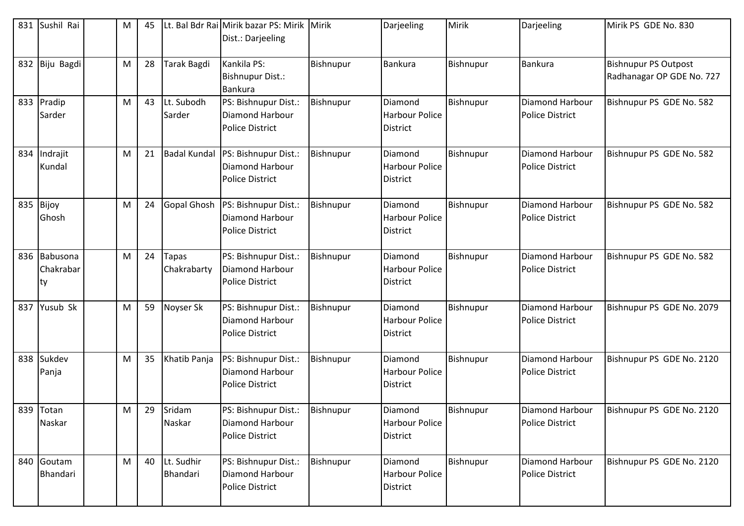| 831 | Sushil Rai                      | M | 45 |                             | Lt. Bal Bdr Rai Mirik bazar PS: Mirik<br>Dist.: Darjeeling               | Mirik            | Darjeeling                                          | Mirik     | Darjeeling                                       | Mirik PS GDE No. 830                                     |
|-----|---------------------------------|---|----|-----------------------------|--------------------------------------------------------------------------|------------------|-----------------------------------------------------|-----------|--------------------------------------------------|----------------------------------------------------------|
| 832 | Biju Bagdi                      | M | 28 | Tarak Bagdi                 | Kankila PS:<br>Bishnupur Dist.:<br><b>Bankura</b>                        | <b>Bishnupur</b> | <b>Bankura</b>                                      | Bishnupur | Bankura                                          | <b>Bishnupur PS Outpost</b><br>Radhanagar OP GDE No. 727 |
|     | 833 Pradip<br>Sarder            | M | 43 | Lt. Subodh<br>Sarder        | PS: Bishnupur Dist.:<br>Diamond Harbour<br><b>Police District</b>        | Bishnupur        | Diamond<br><b>Harbour Police</b><br><b>District</b> | Bishnupur | Diamond Harbour<br><b>Police District</b>        | Bishnupur PS GDE No. 582                                 |
| 834 | Indrajit<br>Kundal              | M | 21 | <b>Badal Kundal</b>         | PS: Bishnupur Dist.:<br><b>Diamond Harbour</b><br><b>Police District</b> | Bishnupur        | Diamond<br><b>Harbour Police</b><br><b>District</b> | Bishnupur | Diamond Harbour<br><b>Police District</b>        | Bishnupur PS GDE No. 582                                 |
| 835 | Bijoy<br>Ghosh                  | М | 24 | Gopal Ghosh                 | PS: Bishnupur Dist.:<br><b>Diamond Harbour</b><br><b>Police District</b> | <b>Bishnupur</b> | Diamond<br><b>Harbour Police</b><br>District        | Bishnupur | Diamond Harbour<br><b>Police District</b>        | Bishnupur PS GDE No. 582                                 |
|     | 836 Babusona<br>Chakrabar<br>ty | M | 24 | <b>Tapas</b><br>Chakrabarty | PS: Bishnupur Dist.:<br><b>Diamond Harbour</b><br><b>Police District</b> | Bishnupur        | Diamond<br><b>Harbour Police</b><br>District        | Bishnupur | Diamond Harbour<br><b>Police District</b>        | Bishnupur PS GDE No. 582                                 |
| 837 | Yusub Sk                        | M | 59 | Noyser Sk                   | PS: Bishnupur Dist.:<br>Diamond Harbour<br><b>Police District</b>        | <b>Bishnupur</b> | Diamond<br><b>Harbour Police</b><br>District        | Bishnupur | Diamond Harbour<br><b>Police District</b>        | Bishnupur PS GDE No. 2079                                |
| 838 | Sukdev<br>Panja                 | М | 35 | Khatib Panja                | PS: Bishnupur Dist.:<br><b>Diamond Harbour</b><br><b>Police District</b> | <b>Bishnupur</b> | Diamond<br><b>Harbour Police</b><br>District        | Bishnupur | Diamond Harbour<br><b>Police District</b>        | Bishnupur PS GDE No. 2120                                |
|     | 839 Totan<br>Naskar             | M | 29 | Sridam<br>Naskar            | PS: Bishnupur Dist.:<br>Diamond Harbour<br><b>Police District</b>        | <b>Bishnupur</b> | Diamond<br><b>Harbour Police</b><br><b>District</b> | Bishnupur | <b>Diamond Harbour</b><br><b>Police District</b> | Bishnupur PS GDE No. 2120                                |
| 840 | Goutam<br>Bhandari              | M | 40 | Lt. Sudhir<br>Bhandari      | PS: Bishnupur Dist.:<br><b>Diamond Harbour</b><br><b>Police District</b> | Bishnupur        | Diamond<br><b>Harbour Police</b><br>District        | Bishnupur | Diamond Harbour<br><b>Police District</b>        | Bishnupur PS GDE No. 2120                                |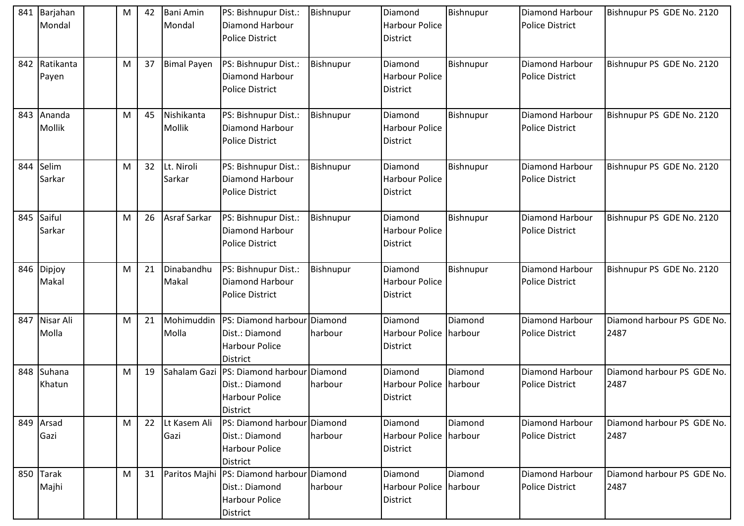| 841 | Barjahan<br>Mondal    | M | 42 | <b>Bani Amin</b><br>Mondal | PS: Bishnupur Dist.:<br><b>Diamond Harbour</b><br><b>Police District</b>                                    | Bishnupur        | Diamond<br><b>Harbour Police</b><br><b>District</b>  | Bishnupur | <b>Diamond Harbour</b><br><b>Police District</b> | Bishnupur PS GDE No. 2120          |
|-----|-----------------------|---|----|----------------------------|-------------------------------------------------------------------------------------------------------------|------------------|------------------------------------------------------|-----------|--------------------------------------------------|------------------------------------|
| 842 | Ratikanta<br>Payen    | M | 37 | <b>Bimal Payen</b>         | PS: Bishnupur Dist.:<br>Diamond Harbour<br><b>Police District</b>                                           | Bishnupur        | Diamond<br><b>Harbour Police</b><br><b>District</b>  | Bishnupur | Diamond Harbour<br><b>Police District</b>        | Bishnupur PS GDE No. 2120          |
| 843 | Ananda<br>Mollik      | M | 45 | Nishikanta<br>Mollik       | PS: Bishnupur Dist.:<br>Diamond Harbour<br><b>Police District</b>                                           | <b>Bishnupur</b> | Diamond<br><b>Harbour Police</b><br>District         | Bishnupur | Diamond Harbour<br><b>Police District</b>        | Bishnupur PS GDE No. 2120          |
| 844 | Selim<br>Sarkar       | M | 32 | Lt. Niroli<br>Sarkar       | PS: Bishnupur Dist.:<br>Diamond Harbour<br><b>Police District</b>                                           | Bishnupur        | Diamond<br><b>Harbour Police</b><br>District         | Bishnupur | Diamond Harbour<br><b>Police District</b>        | Bishnupur PS GDE No. 2120          |
| 845 | Saiful<br>Sarkar      | M | 26 | Asraf Sarkar               | PS: Bishnupur Dist.:<br><b>Diamond Harbour</b><br><b>Police District</b>                                    | Bishnupur        | Diamond<br><b>Harbour Police</b><br>District         | Bishnupur | <b>Diamond Harbour</b><br><b>Police District</b> | Bishnupur PS GDE No. 2120          |
| 846 | Dipjoy<br>Makal       | M | 21 | Dinabandhu<br>Makal        | PS: Bishnupur Dist.:<br><b>Diamond Harbour</b><br><b>Police District</b>                                    | Bishnupur        | Diamond<br><b>Harbour Police</b><br><b>District</b>  | Bishnupur | Diamond Harbour<br><b>Police District</b>        | Bishnupur PS GDE No. 2120          |
| 847 | Nisar Ali<br>Molla    | M | 21 | Mohimuddin<br>Molla        | PS: Diamond harbour Diamond<br>Dist.: Diamond<br><b>Harbour Police</b><br><b>District</b>                   | harbour          | Diamond<br>Harbour Police harbour<br>District        | Diamond   | Diamond Harbour<br><b>Police District</b>        | Diamond harbour PS GDE No.<br>2487 |
| 848 | Suhana<br>Khatun      | M | 19 | Sahalam Gazi               | PS: Diamond harbour Diamond<br>Dist.: Diamond<br><b>Harbour Police</b><br>District                          | harbour          | Diamond<br>Harbour Police harbour<br><b>District</b> | Diamond   | Diamond Harbour<br><b>Police District</b>        | Diamond harbour PS GDE No.<br>2487 |
|     | 849 Arsad<br>Gazi     | M | 22 | Lt Kasem Ali<br>Gazi       | PS: Diamond harbour Diamond<br>Dist.: Diamond<br><b>Harbour Police</b><br><b>District</b>                   | harbour          | Diamond<br>Harbour Police harbour<br><b>District</b> | Diamond   | Diamond Harbour<br><b>Police District</b>        | Diamond harbour PS GDE No.<br>2487 |
| 850 | <b>Tarak</b><br>Majhi | M | 31 |                            | Paritos Majhi   PS: Diamond harbour   Diamond<br>Dist.: Diamond<br><b>Harbour Police</b><br><b>District</b> | harbour          | Diamond<br>Harbour Police harbour<br><b>District</b> | Diamond   | Diamond Harbour<br><b>Police District</b>        | Diamond harbour PS GDE No.<br>2487 |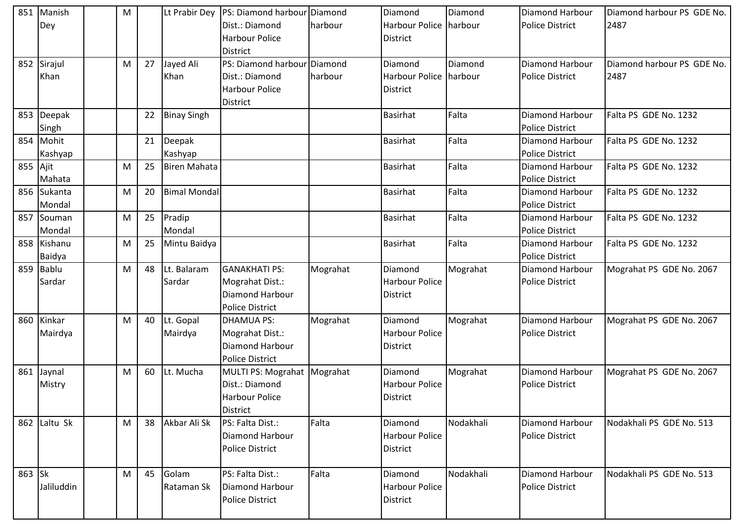| 851      | Manish<br>Dey | M |    |                     | Lt Prabir Dey PS: Diamond harbour Diamond<br>Dist.: Diamond | harbour  | Diamond<br>Harbour Police harbour | Diamond   | <b>Diamond Harbour</b><br><b>Police District</b> | Diamond harbour PS GDE No.<br>2487 |
|----------|---------------|---|----|---------------------|-------------------------------------------------------------|----------|-----------------------------------|-----------|--------------------------------------------------|------------------------------------|
|          |               |   |    |                     | <b>Harbour Police</b>                                       |          | District                          |           |                                                  |                                    |
|          |               |   |    |                     | <b>District</b>                                             |          |                                   |           |                                                  |                                    |
|          | 852 Sirajul   | M | 27 | Jayed Ali           | PS: Diamond harbour Diamond                                 |          | Diamond                           | Diamond   | <b>Diamond Harbour</b>                           | Diamond harbour PS GDE No.         |
|          | Khan          |   |    | Khan                | Dist.: Diamond                                              | harbour  | Harbour Police harbour            |           | <b>Police District</b>                           | 2487                               |
|          |               |   |    |                     | <b>Harbour Police</b>                                       |          | <b>District</b>                   |           |                                                  |                                    |
|          |               |   |    |                     | <b>District</b>                                             |          |                                   |           |                                                  |                                    |
| 853      | Deepak        |   | 22 | <b>Binay Singh</b>  |                                                             |          | <b>Basirhat</b>                   | Falta     | <b>Diamond Harbour</b>                           | Falta PS GDE No. 1232              |
|          | Singh         |   |    |                     |                                                             |          |                                   |           | <b>Police District</b>                           |                                    |
| 854      | Mohit         |   | 21 | Deepak              |                                                             |          | <b>Basirhat</b>                   | Falta     | Diamond Harbour                                  | Falta PS GDE No. 1232              |
|          | Kashyap       |   |    | Kashyap             |                                                             |          |                                   |           | <b>Police District</b>                           |                                    |
| 855 Ajit |               | M | 25 | <b>Biren Mahata</b> |                                                             |          | <b>Basirhat</b>                   | Falta     | Diamond Harbour                                  | Falta PS GDE No. 1232              |
|          | Mahata        |   |    |                     |                                                             |          |                                   |           | <b>Police District</b>                           |                                    |
| 856      | Sukanta       | M | 20 | <b>Bimal Mondal</b> |                                                             |          | <b>Basirhat</b>                   | Falta     | Diamond Harbour                                  | Falta PS GDE No. 1232              |
|          | Mondal        |   |    |                     |                                                             |          |                                   |           | <b>Police District</b>                           |                                    |
| 857      | Souman        | M | 25 | Pradip              |                                                             |          | <b>Basirhat</b>                   | Falta     | Diamond Harbour                                  | Falta PS GDE No. 1232              |
|          | Mondal        |   |    | Mondal              |                                                             |          |                                   |           | <b>Police District</b>                           |                                    |
| 858      | Kishanu       | M | 25 | Mintu Baidya        |                                                             |          | <b>Basirhat</b>                   | Falta     | Diamond Harbour                                  | Falta PS GDE No. 1232              |
|          | Baidya        |   |    |                     |                                                             |          |                                   |           | <b>Police District</b>                           |                                    |
| 859      | Bablu         | M | 48 | Lt. Balaram         | <b>GANAKHATI PS:</b>                                        | Mograhat | Diamond                           | Mograhat  | Diamond Harbour                                  | Mograhat PS GDE No. 2067           |
|          | Sardar        |   |    | Sardar              | Mograhat Dist.:                                             |          | <b>Harbour Police</b>             |           | <b>Police District</b>                           |                                    |
|          |               |   |    |                     | <b>Diamond Harbour</b>                                      |          | <b>District</b>                   |           |                                                  |                                    |
|          |               |   |    |                     | <b>Police District</b>                                      |          |                                   |           |                                                  |                                    |
| 860      | Kinkar        | M | 40 | Lt. Gopal           | <b>DHAMUA PS:</b>                                           | Mograhat | Diamond                           | Mograhat  | Diamond Harbour                                  | Mograhat PS GDE No. 2067           |
|          | Mairdya       |   |    | Mairdya             | Mograhat Dist.:                                             |          | <b>Harbour Police</b>             |           | <b>Police District</b>                           |                                    |
|          |               |   |    |                     | Diamond Harbour                                             |          | District                          |           |                                                  |                                    |
|          |               |   |    | Lt. Mucha           | <b>Police District</b>                                      |          |                                   |           | Diamond Harbour                                  |                                    |
| 861      | Jaynal        | M | 60 |                     | MULTI PS: Mograhat Mograhat<br>Dist.: Diamond               |          | Diamond                           | Mograhat  |                                                  | Mograhat PS GDE No. 2067           |
|          | Mistry        |   |    |                     | <b>Harbour Police</b>                                       |          | <b>Harbour Police</b>             |           | <b>Police District</b>                           |                                    |
|          |               |   |    |                     | <b>District</b>                                             |          | District                          |           |                                                  |                                    |
|          | 862 Laltu Sk  | M | 38 | Akbar Ali Sk        | PS: Falta Dist.:                                            | Falta    | Diamond                           | Nodakhali | <b>Diamond Harbour</b>                           | Nodakhali PS GDE No. 513           |
|          |               |   |    |                     | <b>Diamond Harbour</b>                                      |          | <b>Harbour Police</b>             |           | <b>Police District</b>                           |                                    |
|          |               |   |    |                     | <b>Police District</b>                                      |          | <b>District</b>                   |           |                                                  |                                    |
|          |               |   |    |                     |                                                             |          |                                   |           |                                                  |                                    |
| 863 Sk   |               | M | 45 | Golam               | PS: Falta Dist.:                                            | Falta    | Diamond                           | Nodakhali | Diamond Harbour                                  | Nodakhali PS GDE No. 513           |
|          | Jaliluddin    |   |    | Rataman Sk          | Diamond Harbour                                             |          | <b>Harbour Police</b>             |           | <b>Police District</b>                           |                                    |
|          |               |   |    |                     | <b>Police District</b>                                      |          | District                          |           |                                                  |                                    |
|          |               |   |    |                     |                                                             |          |                                   |           |                                                  |                                    |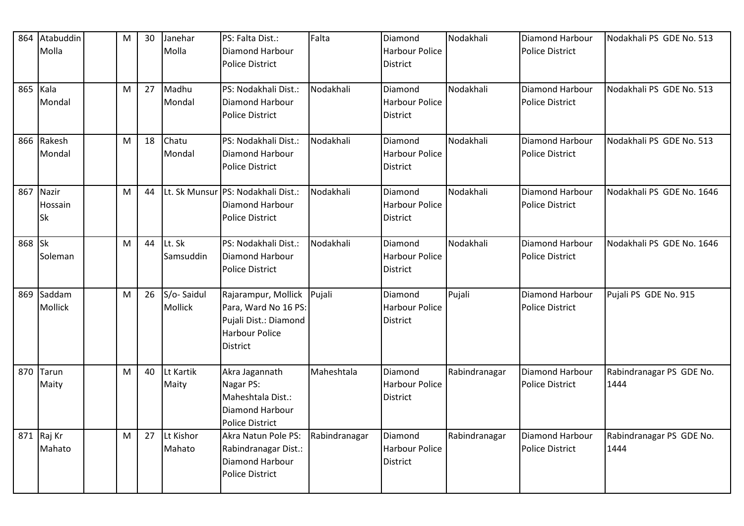| 864    | Atabuddin<br>Molla            | M | 30 | Janehar<br>Molla      | PS: Falta Dist.:<br>Diamond Harbour<br><b>Police District</b>                                             | Falta         | Diamond<br><b>Harbour Police</b><br>District        | Nodakhali     | Diamond Harbour<br><b>Police District</b>        | Nodakhali PS GDE No. 513         |
|--------|-------------------------------|---|----|-----------------------|-----------------------------------------------------------------------------------------------------------|---------------|-----------------------------------------------------|---------------|--------------------------------------------------|----------------------------------|
| 865    | Kala<br>Mondal                | M | 27 | Madhu<br>Mondal       | PS: Nodakhali Dist.:<br>Diamond Harbour<br><b>Police District</b>                                         | Nodakhali     | Diamond<br><b>Harbour Police</b><br><b>District</b> | Nodakhali     | Diamond Harbour<br><b>Police District</b>        | Nodakhali PS GDE No. 513         |
|        | 866 Rakesh<br>Mondal          | M | 18 | Chatu<br>Mondal       | PS: Nodakhali Dist.:<br>Diamond Harbour<br><b>Police District</b>                                         | Nodakhali     | Diamond<br><b>Harbour Police</b><br><b>District</b> | Nodakhali     | Diamond Harbour<br><b>Police District</b>        | Nodakhali PS GDE No. 513         |
| 867    | Nazir<br>Hossain<br><b>Sk</b> | M | 44 | Lt. Sk Munsur         | PS: Nodakhali Dist.:<br><b>Diamond Harbour</b><br><b>Police District</b>                                  | Nodakhali     | Diamond<br><b>Harbour Police</b><br><b>District</b> | Nodakhali     | Diamond Harbour<br><b>Police District</b>        | Nodakhali PS GDE No. 1646        |
| 868 Sk | Soleman                       | M | 44 | Lt. Sk<br>Samsuddin   | PS: Nodakhali Dist.:<br>Diamond Harbour<br>Police District                                                | Nodakhali     | Diamond<br><b>Harbour Police</b><br><b>District</b> | Nodakhali     | Diamond Harbour<br><b>Police District</b>        | Nodakhali PS GDE No. 1646        |
| 869    | Saddam<br><b>Mollick</b>      | M | 26 | S/o-Saidul<br>Mollick | Rajarampur, Mollick<br>Para, Ward No 16 PS:<br>Pujali Dist.: Diamond<br><b>Harbour Police</b><br>District | Pujali        | Diamond<br><b>Harbour Police</b><br><b>District</b> | Pujali        | <b>Diamond Harbour</b><br><b>Police District</b> | Pujali PS GDE No. 915            |
| 870    | Tarun<br>Maity                | M | 40 | Lt Kartik<br>Maity    | Akra Jagannath<br>Nagar PS:<br>Maheshtala Dist.:<br>Diamond Harbour<br>Police District                    | Maheshtala    | Diamond<br><b>Harbour Police</b><br>District        | Rabindranagar | Diamond Harbour<br><b>Police District</b>        | Rabindranagar PS GDE No.<br>1444 |
|        | 871 Raj Kr<br>Mahato          | M | 27 | Lt Kishor<br>Mahato   | Akra Natun Pole PS:<br>Rabindranagar Dist.:<br>Diamond Harbour<br><b>Police District</b>                  | Rabindranagar | Diamond<br><b>Harbour Police</b><br>District        | Rabindranagar | Diamond Harbour<br><b>Police District</b>        | Rabindranagar PS GDE No.<br>1444 |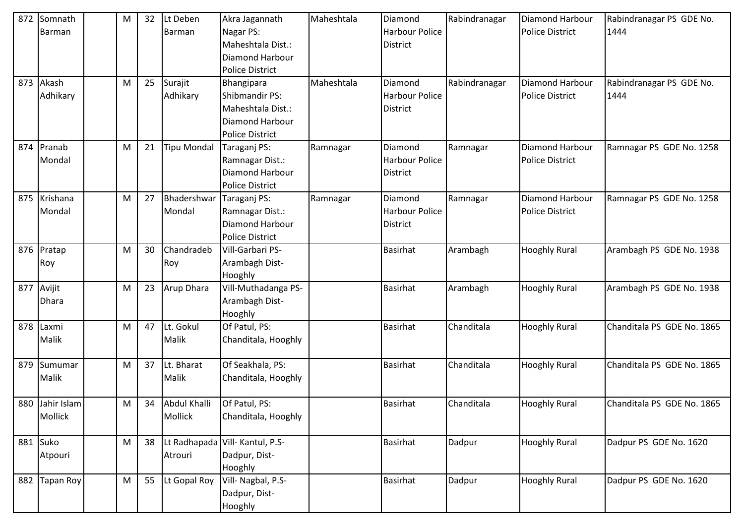| 872 | Somnath          | M | 32 | Lt Deben           | Akra Jagannath                  | Maheshtala | Diamond               | Rabindranagar | Diamond Harbour        | Rabindranagar PS GDE No.   |
|-----|------------------|---|----|--------------------|---------------------------------|------------|-----------------------|---------------|------------------------|----------------------------|
|     | Barman           |   |    | Barman             | Nagar PS:                       |            | <b>Harbour Police</b> |               | <b>Police District</b> | 1444                       |
|     |                  |   |    |                    | Maheshtala Dist.:               |            | <b>District</b>       |               |                        |                            |
|     |                  |   |    |                    | <b>Diamond Harbour</b>          |            |                       |               |                        |                            |
|     |                  |   |    |                    | <b>Police District</b>          |            |                       |               |                        |                            |
| 873 | Akash            | M | 25 | Surajit            | Bhangipara                      | Maheshtala | Diamond               | Rabindranagar | Diamond Harbour        | Rabindranagar PS GDE No.   |
|     | Adhikary         |   |    | Adhikary           | Shibmandir PS:                  |            | <b>Harbour Police</b> |               | <b>Police District</b> | 1444                       |
|     |                  |   |    |                    | Maheshtala Dist.:               |            | District              |               |                        |                            |
|     |                  |   |    |                    | <b>Diamond Harbour</b>          |            |                       |               |                        |                            |
|     |                  |   |    |                    | <b>Police District</b>          |            |                       |               |                        |                            |
| 874 | Pranab           | M | 21 | <b>Tipu Mondal</b> | Taraganj PS:                    | Ramnagar   | Diamond               | Ramnagar      | Diamond Harbour        | Ramnagar PS GDE No. 1258   |
|     | Mondal           |   |    |                    | Ramnagar Dist.:                 |            | <b>Harbour Police</b> |               | <b>Police District</b> |                            |
|     |                  |   |    |                    | <b>Diamond Harbour</b>          |            | <b>District</b>       |               |                        |                            |
|     |                  |   |    |                    | <b>Police District</b>          |            |                       |               |                        |                            |
| 875 | Krishana         | M | 27 | Bhadershwar        | Taraganj PS:                    | Ramnagar   | Diamond               | Ramnagar      | Diamond Harbour        | Ramnagar PS GDE No. 1258   |
|     | Mondal           |   |    | Mondal             | Ramnagar Dist.:                 |            | <b>Harbour Police</b> |               | <b>Police District</b> |                            |
|     |                  |   |    |                    | <b>Diamond Harbour</b>          |            | District              |               |                        |                            |
|     |                  |   |    |                    | <b>Police District</b>          |            |                       |               |                        |                            |
|     | 876 Pratap       | М | 30 | Chandradeb         | Vill-Garbari PS-                |            | <b>Basirhat</b>       | Arambagh      | <b>Hooghly Rural</b>   | Arambagh PS GDE No. 1938   |
|     | Roy              |   |    | Roy                | Arambagh Dist-                  |            |                       |               |                        |                            |
|     |                  |   |    |                    | Hooghly                         |            |                       |               |                        |                            |
|     | 877 Avijit       | M | 23 | Arup Dhara         | Vill-Muthadanga PS-             |            | <b>Basirhat</b>       | Arambagh      | <b>Hooghly Rural</b>   | Arambagh PS GDE No. 1938   |
|     | Dhara            |   |    |                    | Arambagh Dist-                  |            |                       |               |                        |                            |
|     |                  |   |    |                    | Hooghly                         |            |                       |               |                        |                            |
| 878 | Laxmi            | М | 47 | Lt. Gokul          | Of Patul, PS:                   |            | <b>Basirhat</b>       | Chanditala    | <b>Hooghly Rural</b>   | Chanditala PS GDE No. 1865 |
|     | Malik            |   |    | Malik              | Chanditala, Hooghly             |            |                       |               |                        |                            |
| 879 | Sumumar          | M | 37 | Lt. Bharat         | Of Seakhala, PS:                |            | <b>Basirhat</b>       | Chanditala    | <b>Hooghly Rural</b>   | Chanditala PS GDE No. 1865 |
|     | Malik            |   |    | Malik              | Chanditala, Hooghly             |            |                       |               |                        |                            |
|     |                  |   |    |                    |                                 |            |                       |               |                        |                            |
|     | 880 Jahir Islam  | M | 34 | Abdul Khalli       | Of Patul, PS:                   |            | Basirhat              | Chanditala    | <b>Hooghly Rural</b>   | Chanditala PS GDE No. 1865 |
|     | Mollick          |   |    | Mollick            | Chanditala, Hooghly             |            |                       |               |                        |                            |
|     |                  |   |    |                    |                                 |            |                       |               |                        |                            |
|     | 881 Suko         | M | 38 |                    | Lt Radhapada Vill- Kantul, P.S- |            | <b>Basirhat</b>       | Dadpur        | <b>Hooghly Rural</b>   | Dadpur PS GDE No. 1620     |
|     | Atpouri          |   |    | Atrouri            | Dadpur, Dist-                   |            |                       |               |                        |                            |
|     |                  |   |    |                    | Hooghly                         |            |                       |               |                        |                            |
| 882 | <b>Tapan Roy</b> | M | 55 | Lt Gopal Roy       | Vill- Nagbal, P.S-              |            | <b>Basirhat</b>       | Dadpur        | <b>Hooghly Rural</b>   | Dadpur PS GDE No. 1620     |
|     |                  |   |    |                    | Dadpur, Dist-                   |            |                       |               |                        |                            |
|     |                  |   |    |                    | Hooghly                         |            |                       |               |                        |                            |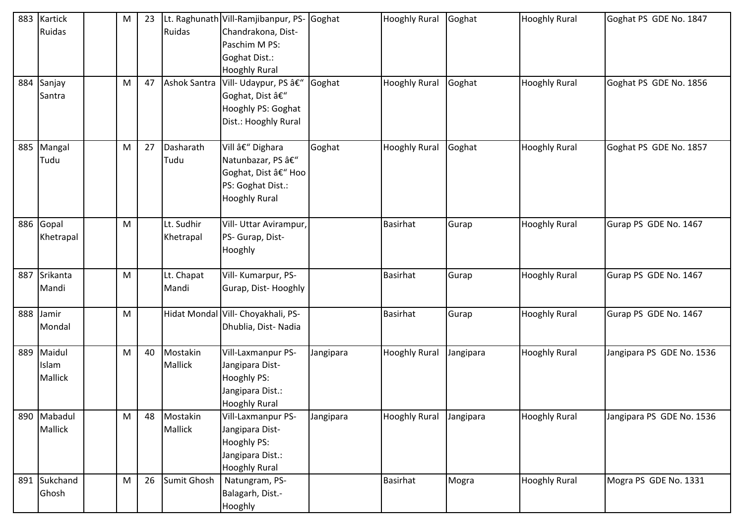| 883 | Kartick      | M | 23 |                     | Lt. Raghunath Vill-Ramjibanpur, PS- | Goghat    | <b>Hooghly Rural</b> | Goghat    | <b>Hooghly Rural</b> | Goghat PS GDE No. 1847    |
|-----|--------------|---|----|---------------------|-------------------------------------|-----------|----------------------|-----------|----------------------|---------------------------|
|     | Ruidas       |   |    | Ruidas              | Chandrakona, Dist-                  |           |                      |           |                      |                           |
|     |              |   |    |                     | Paschim M PS:                       |           |                      |           |                      |                           |
|     |              |   |    |                     | Goghat Dist.:                       |           |                      |           |                      |                           |
|     |              |   |    |                     | <b>Hooghly Rural</b>                |           |                      |           |                      |                           |
| 884 | Sanjay       | M | 47 | <b>Ashok Santra</b> | Vill- Udaypur, PS –                 | Goghat    | <b>Hooghly Rural</b> | Goghat    | <b>Hooghly Rural</b> | Goghat PS GDE No. 1856    |
|     | Santra       |   |    |                     | Goghat, Dist –                      |           |                      |           |                      |                           |
|     |              |   |    |                     | Hooghly PS: Goghat                  |           |                      |           |                      |                           |
|     |              |   |    |                     | Dist.: Hooghly Rural                |           |                      |           |                      |                           |
|     |              |   |    |                     |                                     |           |                      |           |                      |                           |
| 885 | Mangal       | M | 27 | Dasharath           | Vill – Dighara                      | Goghat    | <b>Hooghly Rural</b> | Goghat    | <b>Hooghly Rural</b> | Goghat PS GDE No. 1857    |
|     | Tudu         |   |    | Tudu                | Natunbazar, PS –                    |           |                      |           |                      |                           |
|     |              |   |    |                     | Goghat, Dist – Hoo                  |           |                      |           |                      |                           |
|     |              |   |    |                     | PS: Goghat Dist.:                   |           |                      |           |                      |                           |
|     |              |   |    |                     | <b>Hooghly Rural</b>                |           |                      |           |                      |                           |
|     |              |   |    |                     |                                     |           |                      |           |                      |                           |
|     | 886 Gopal    | M |    | Lt. Sudhir          | Vill- Uttar Avirampur,              |           | <b>Basirhat</b>      | Gurap     | <b>Hooghly Rural</b> | Gurap PS GDE No. 1467     |
|     | Khetrapal    |   |    | Khetrapal           | PS- Gurap, Dist-                    |           |                      |           |                      |                           |
|     |              |   |    |                     | Hooghly                             |           |                      |           |                      |                           |
|     |              |   |    |                     |                                     |           |                      |           |                      |                           |
| 887 | Srikanta     | M |    | Lt. Chapat          | Vill- Kumarpur, PS-                 |           | <b>Basirhat</b>      | Gurap     | <b>Hooghly Rural</b> | Gurap PS GDE No. 1467     |
|     | Mandi        |   |    | Mandi               | Gurap, Dist-Hooghly                 |           |                      |           |                      |                           |
|     |              |   |    |                     |                                     |           |                      |           |                      |                           |
| 888 | Jamir        | M |    |                     | Hidat Mondal Vill- Choyakhali, PS-  |           | <b>Basirhat</b>      | Gurap     | <b>Hooghly Rural</b> | Gurap PS GDE No. 1467     |
|     | Mondal       |   |    |                     | Dhublia, Dist-Nadia                 |           |                      |           |                      |                           |
|     |              |   |    |                     |                                     |           |                      |           |                      |                           |
| 889 | Maidul       | M | 40 | Mostakin            | Vill-Laxmanpur PS-                  | Jangipara | <b>Hooghly Rural</b> | Jangipara | <b>Hooghly Rural</b> | Jangipara PS GDE No. 1536 |
|     | Islam        |   |    | Mallick             | Jangipara Dist-                     |           |                      |           |                      |                           |
|     | Mallick      |   |    |                     | Hooghly PS:                         |           |                      |           |                      |                           |
|     |              |   |    |                     | Jangipara Dist.:                    |           |                      |           |                      |                           |
|     |              |   |    |                     | <b>Hooghly Rural</b>                |           |                      |           |                      |                           |
|     | 890 Mabadul  | M | 48 | Mostakin            | Vill-Laxmanpur PS-                  | Jangipara | <b>Hooghly Rural</b> | Jangipara | <b>Hooghly Rural</b> | Jangipara PS GDE No. 1536 |
|     | Mallick      |   |    | Mallick             | Jangipara Dist-                     |           |                      |           |                      |                           |
|     |              |   |    |                     | Hooghly PS:                         |           |                      |           |                      |                           |
|     |              |   |    |                     | Jangipara Dist.:                    |           |                      |           |                      |                           |
|     |              |   |    |                     | <b>Hooghly Rural</b>                |           |                      |           |                      |                           |
|     | 891 Sukchand | M | 26 | Sumit Ghosh         | Natungram, PS-                      |           | <b>Basirhat</b>      | Mogra     | <b>Hooghly Rural</b> | Mogra PS GDE No. 1331     |
|     | Ghosh        |   |    |                     | Balagarh, Dist.-                    |           |                      |           |                      |                           |
|     |              |   |    |                     | Hooghly                             |           |                      |           |                      |                           |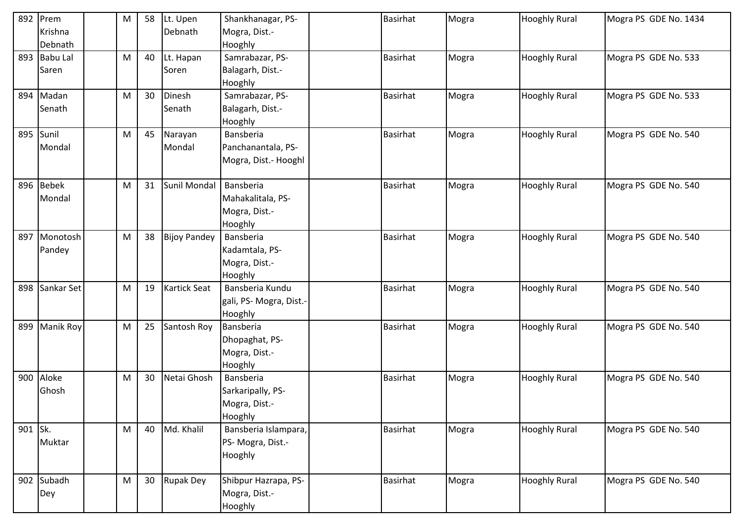|         | 892 Prem       | M | 58 | Lt. Upen            | Shankhanagar, PS-      | Basirhat        | Mogra | <b>Hooghly Rural</b> | Mogra PS GDE No. 1434 |
|---------|----------------|---|----|---------------------|------------------------|-----------------|-------|----------------------|-----------------------|
|         | Krishna        |   |    | Debnath             | Mogra, Dist.-          |                 |       |                      |                       |
|         | Debnath        |   |    |                     | Hooghly                |                 |       |                      |                       |
|         | 893 Babu Lal   | M | 40 | Lt. Hapan           | Samrabazar, PS-        | <b>Basirhat</b> | Mogra | <b>Hooghly Rural</b> | Mogra PS GDE No. 533  |
|         | Saren          |   |    | Soren               | Balagarh, Dist.-       |                 |       |                      |                       |
|         |                |   |    |                     | Hooghly                |                 |       |                      |                       |
| 894     | Madan          | M | 30 | Dinesh              | Samrabazar, PS-        | <b>Basirhat</b> | Mogra | <b>Hooghly Rural</b> | Mogra PS GDE No. 533  |
|         | Senath         |   |    | Senath              | Balagarh, Dist.-       |                 |       |                      |                       |
|         |                |   |    |                     | Hooghly                |                 |       |                      |                       |
|         | 895 Sunil      | M | 45 | Narayan             | Bansberia              | <b>Basirhat</b> | Mogra | <b>Hooghly Rural</b> | Mogra PS GDE No. 540  |
|         | Mondal         |   |    | Mondal              | Panchanantala, PS-     |                 |       |                      |                       |
|         |                |   |    |                     | Mogra, Dist.- Hooghl   |                 |       |                      |                       |
|         |                |   |    |                     |                        |                 |       |                      |                       |
| 896     | <b>Bebek</b>   | M | 31 | Sunil Mondal        | Bansberia              | <b>Basirhat</b> | Mogra | <b>Hooghly Rural</b> | Mogra PS GDE No. 540  |
|         | Mondal         |   |    |                     | Mahakalitala, PS-      |                 |       |                      |                       |
|         |                |   |    |                     | Mogra, Dist.-          |                 |       |                      |                       |
|         |                |   |    |                     | Hooghly                |                 |       |                      |                       |
| 897     | Monotosh       | M | 38 | <b>Bijoy Pandey</b> | Bansberia              | <b>Basirhat</b> | Mogra | <b>Hooghly Rural</b> | Mogra PS GDE No. 540  |
|         | Pandey         |   |    |                     | Kadamtala, PS-         |                 |       |                      |                       |
|         |                |   |    |                     | Mogra, Dist.-          |                 |       |                      |                       |
|         |                |   |    |                     | Hooghly                |                 |       |                      |                       |
|         | 898 Sankar Set | M | 19 | <b>Kartick Seat</b> | Bansberia Kundu        | <b>Basirhat</b> | Mogra | <b>Hooghly Rural</b> | Mogra PS GDE No. 540  |
|         |                |   |    |                     | gali, PS-Mogra, Dist.- |                 |       |                      |                       |
|         |                |   |    |                     | Hooghly                |                 |       |                      |                       |
| 899     | Manik Roy      | M | 25 | Santosh Roy         | Bansberia              | <b>Basirhat</b> | Mogra | <b>Hooghly Rural</b> | Mogra PS GDE No. 540  |
|         |                |   |    |                     | Dhopaghat, PS-         |                 |       |                      |                       |
|         |                |   |    |                     | Mogra, Dist.-          |                 |       |                      |                       |
|         |                |   |    |                     | Hooghly                |                 |       |                      |                       |
| 900     | Aloke          | M | 30 | Netai Ghosh         | Bansberia              | <b>Basirhat</b> | Mogra | <b>Hooghly Rural</b> | Mogra PS GDE No. 540  |
|         | Ghosh          |   |    |                     | Sarkaripally, PS-      |                 |       |                      |                       |
|         |                |   |    |                     | Mogra, Dist.-          |                 |       |                      |                       |
|         |                |   |    |                     | Hooghly                |                 |       |                      |                       |
| 901 Sk. |                | M | 40 | Md. Khalil          | Bansberia Islampara,   | <b>Basirhat</b> | Mogra | <b>Hooghly Rural</b> | Mogra PS GDE No. 540  |
|         | Muktar         |   |    |                     | PS- Mogra, Dist.-      |                 |       |                      |                       |
|         |                |   |    |                     | Hooghly                |                 |       |                      |                       |
|         |                |   |    |                     |                        |                 |       |                      |                       |
|         | 902 Subadh     | M | 30 | <b>Rupak Dey</b>    | Shibpur Hazrapa, PS-   | <b>Basirhat</b> | Mogra | <b>Hooghly Rural</b> | Mogra PS GDE No. 540  |
|         | Dey            |   |    |                     | Mogra, Dist.-          |                 |       |                      |                       |
|         |                |   |    |                     | Hooghly                |                 |       |                      |                       |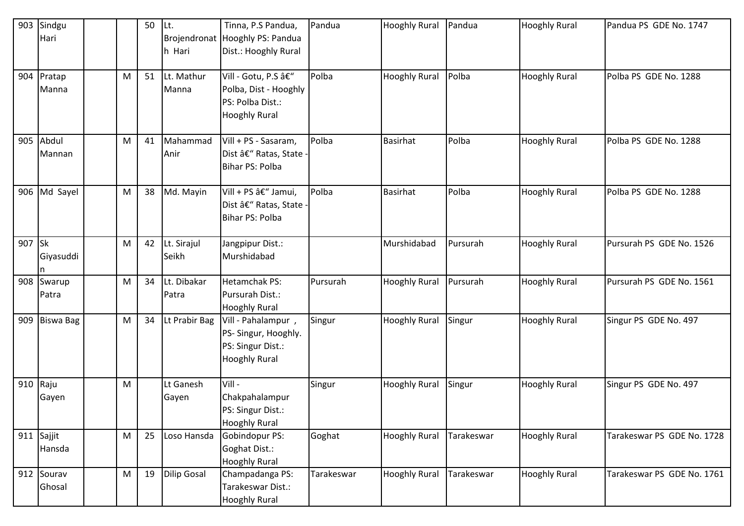| 903 | Sindgu<br>Hari         |   | 50 | Lt.<br>h Hari        | Tinna, P.S Pandua,<br>Brojendronat Hooghly PS: Pandua<br>Dist.: Hooghly Rural             | Pandua     | <b>Hooghly Rural</b> | Pandua     | <b>Hooghly Rural</b> | Pandua PS GDE No. 1747     |
|-----|------------------------|---|----|----------------------|-------------------------------------------------------------------------------------------|------------|----------------------|------------|----------------------|----------------------------|
|     | 904 Pratap<br>Manna    | M | 51 | Lt. Mathur<br>Manna  | Vill - Gotu, P.S â€"<br>Polba, Dist - Hooghly<br>PS: Polba Dist.:<br><b>Hooghly Rural</b> | Polba      | <b>Hooghly Rural</b> | Polba      | <b>Hooghly Rural</b> | Polba PS GDE No. 1288      |
| 905 | Abdul<br>Mannan        | M | 41 | Mahammad<br>Anir     | Vill + PS - Sasaram,<br>Dist – Ratas, State -<br>Bihar PS: Polba                          | Polba      | Basirhat             | Polba      | <b>Hooghly Rural</b> | Polba PS GDE No. 1288      |
| 906 | Md Sayel               | M | 38 | Md. Mayin            | Vill + PS â€" Jamui,<br>Dist – Ratas, State ·<br>Bihar PS: Polba                          | Polba      | <b>Basirhat</b>      | Polba      | <b>Hooghly Rural</b> | Polba PS GDE No. 1288      |
| 907 | <b>Sk</b><br>Giyasuddi | M | 42 | Lt. Sirajul<br>Seikh | Jangpipur Dist.:<br>Murshidabad                                                           |            | Murshidabad          | Pursurah   | <b>Hooghly Rural</b> | Pursurah PS GDE No. 1526   |
|     | 908 Swarup<br>Patra    | M | 34 | Lt. Dibakar<br>Patra | <b>Hetamchak PS:</b><br>Pursurah Dist.:<br><b>Hooghly Rural</b>                           | Pursurah   | <b>Hooghly Rural</b> | Pursurah   | <b>Hooghly Rural</b> | Pursurah PS GDE No. 1561   |
| 909 | <b>Biswa Bag</b>       | M | 34 | Lt Prabir Bag        | Vill - Pahalampur,<br>PS- Singur, Hooghly.<br>PS: Singur Dist.:<br><b>Hooghly Rural</b>   | Singur     | <b>Hooghly Rural</b> | Singur     | <b>Hooghly Rural</b> | Singur PS GDE No. 497      |
| 910 | Raju<br>Gayen          | M |    | Lt Ganesh<br>Gayen   | Vill-<br>Chakpahalampur<br>PS: Singur Dist.:<br><b>Hooghly Rural</b>                      | Singur     | <b>Hooghly Rural</b> | Singur     | <b>Hooghly Rural</b> | Singur PS GDE No. 497      |
|     | 911 Sajjit<br>Hansda   | M | 25 | Loso Hansda          | Gobindopur PS:<br>Goghat Dist.:<br><b>Hooghly Rural</b>                                   | Goghat     | <b>Hooghly Rural</b> | Tarakeswar | <b>Hooghly Rural</b> | Tarakeswar PS GDE No. 1728 |
|     | 912 Sourav<br>Ghosal   | M | 19 | <b>Dilip Gosal</b>   | Champadanga PS:<br>Tarakeswar Dist.:<br><b>Hooghly Rural</b>                              | Tarakeswar | <b>Hooghly Rural</b> | Tarakeswar | <b>Hooghly Rural</b> | Tarakeswar PS GDE No. 1761 |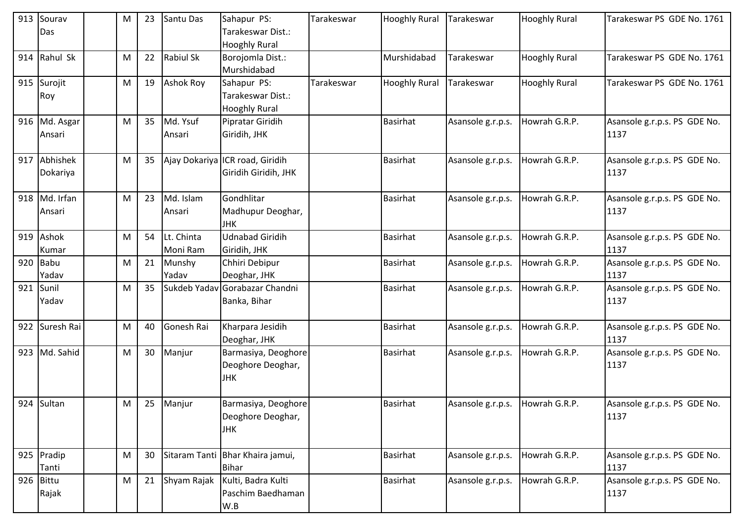|     | 913 Sourav     | M | 23 | Santu Das        | Sahapur PS:                      | Tarakeswar | <b>Hooghly Rural</b> | Tarakeswar        | <b>Hooghly Rural</b> | Tarakeswar PS GDE No. 1761           |
|-----|----------------|---|----|------------------|----------------------------------|------------|----------------------|-------------------|----------------------|--------------------------------------|
|     | Das            |   |    |                  | Tarakeswar Dist.:                |            |                      |                   |                      |                                      |
|     |                |   |    |                  | <b>Hooghly Rural</b>             |            |                      |                   |                      |                                      |
|     | 914 Rahul Sk   | М | 22 | <b>Rabiul Sk</b> | Borojomla Dist.:                 |            | Murshidabad          | Tarakeswar        | <b>Hooghly Rural</b> | Tarakeswar PS GDE No. 1761           |
|     |                |   |    |                  | Murshidabad                      |            |                      |                   |                      |                                      |
|     | 915 Surojit    | М | 19 | <b>Ashok Roy</b> | Sahapur PS:                      | Tarakeswar | <b>Hooghly Rural</b> | Tarakeswar        | <b>Hooghly Rural</b> | Tarakeswar PS GDE No. 1761           |
|     | Roy            |   |    |                  | Tarakeswar Dist.:                |            |                      |                   |                      |                                      |
|     |                |   |    |                  | <b>Hooghly Rural</b>             |            |                      |                   |                      |                                      |
|     | 916 Md. Asgar  | M | 35 | Md. Ysuf         | Pipratar Giridih                 |            | <b>Basirhat</b>      | Asansole g.r.p.s. | Howrah G.R.P.        | Asansole g.r.p.s. PS GDE No.         |
|     | Ansari         |   |    | Ansari           | Giridih, JHK                     |            |                      |                   |                      | 1137                                 |
|     |                |   |    |                  |                                  |            |                      |                   |                      |                                      |
|     | 917 Abhishek   | M | 35 |                  | Ajay Dokariya ICR road, Giridih  |            | <b>Basirhat</b>      | Asansole g.r.p.s. | Howrah G.R.P.        | Asansole g.r.p.s. PS GDE No.         |
|     | Dokariya       |   |    |                  | Giridih Giridih, JHK             |            |                      |                   |                      | 1137                                 |
|     |                |   |    |                  |                                  |            |                      |                   |                      |                                      |
|     | 918 Md. Irfan  | M | 23 | Md. Islam        | Gondhlitar                       |            | <b>Basirhat</b>      | Asansole g.r.p.s. | Howrah G.R.P.        | Asansole g.r.p.s. PS GDE No.         |
|     | Ansari         |   |    | Ansari           | Madhupur Deoghar,                |            |                      |                   |                      | 1137                                 |
|     |                |   |    |                  | <b>JHK</b>                       |            |                      |                   |                      |                                      |
|     | 919 Ashok      | М | 54 | Lt. Chinta       | <b>Udnabad Giridih</b>           |            | <b>Basirhat</b>      | Asansole g.r.p.s. | Howrah G.R.P.        | Asansole g.r.p.s. PS GDE No.         |
|     | Kumar          |   |    | Moni Ram         | Giridih, JHK                     |            |                      |                   |                      | 1137                                 |
|     | 920 Babu       | Μ | 21 | Munshy           | Chhiri Debipur                   |            | <b>Basirhat</b>      | Asansole g.r.p.s. | Howrah G.R.P.        | Asansole g.r.p.s. PS GDE No.         |
|     | Yadav          |   |    | Yadav            | Deoghar, JHK                     |            |                      |                   |                      | 1137                                 |
|     | 921 Sunil      | M | 35 |                  | Sukdeb Yadav Gorabazar Chandni   |            | <b>Basirhat</b>      | Asansole g.r.p.s. | Howrah G.R.P.        | Asansole g.r.p.s. PS GDE No.         |
|     | Yadav          |   |    |                  | Banka, Bihar                     |            |                      |                   |                      | 1137                                 |
|     |                |   |    |                  |                                  |            |                      |                   |                      |                                      |
|     | 922 Suresh Rai | М | 40 | Gonesh Rai       | Kharpara Jesidih                 |            | <b>Basirhat</b>      | Asansole g.r.p.s. | Howrah G.R.P.        | Asansole g.r.p.s. PS GDE No.         |
|     |                |   |    |                  | Deoghar, JHK                     |            |                      |                   |                      | 1137                                 |
|     | 923 Md. Sahid  | M | 30 | Manjur           | Barmasiya, Deoghore              |            | <b>Basirhat</b>      | Asansole g.r.p.s. | Howrah G.R.P.        | Asansole g.r.p.s. PS GDE No.         |
|     |                |   |    |                  | Deoghore Deoghar,                |            |                      |                   |                      | 1137                                 |
|     |                |   |    |                  | <b>JHK</b>                       |            |                      |                   |                      |                                      |
|     |                |   |    |                  |                                  |            |                      |                   |                      |                                      |
|     | 924 Sultan     | M | 25 | Manjur           | Barmasiya, Deoghore              |            | <b>Basirhat</b>      | Asansole g.r.p.s. | Howrah G.R.P.        | Asansole g.r.p.s. PS GDE No.         |
|     |                |   |    |                  | Deoghore Deoghar,                |            |                      |                   |                      | 1137                                 |
|     |                |   |    |                  | <b>JHK</b>                       |            |                      |                   |                      |                                      |
|     |                |   |    |                  | Sitaram Tanti Bhar Khaira jamui, |            | <b>Basirhat</b>      |                   |                      |                                      |
|     | 925 Pradip     | M | 30 |                  | <b>Bihar</b>                     |            |                      | Asansole g.r.p.s. | Howrah G.R.P.        | Asansole g.r.p.s. PS GDE No.<br>1137 |
| 926 | Tanti<br>Bittu | M | 21 | Shyam Rajak      | Kulti, Badra Kulti               |            | <b>Basirhat</b>      | Asansole g.r.p.s. | Howrah G.R.P.        | Asansole g.r.p.s. PS GDE No.         |
|     |                |   |    |                  | Paschim Baedhaman                |            |                      |                   |                      | 1137                                 |
|     | Rajak          |   |    |                  | W.B                              |            |                      |                   |                      |                                      |
|     |                |   |    |                  |                                  |            |                      |                   |                      |                                      |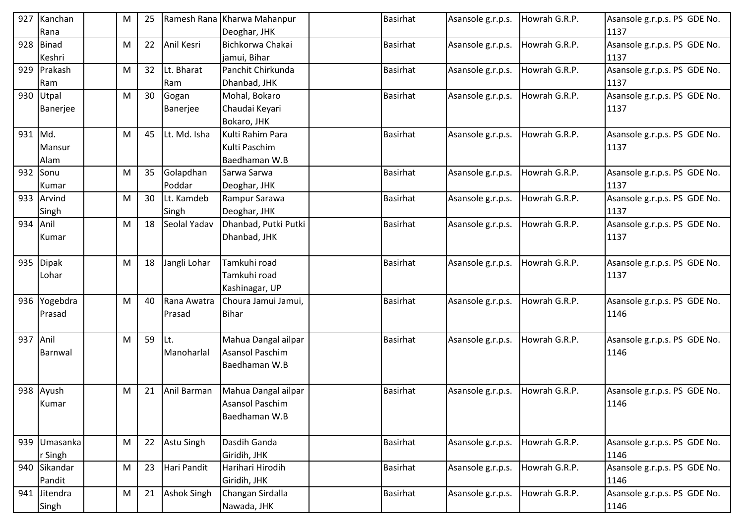| 927      | Kanchan         | М | 25 |                    | Ramesh Rana Kharwa Mahanpur      | Basirhat        | Asansole g.r.p.s. | Howrah G.R.P. | Asansole g.r.p.s. PS GDE No.         |
|----------|-----------------|---|----|--------------------|----------------------------------|-----------------|-------------------|---------------|--------------------------------------|
|          | Rana            |   |    |                    | Deoghar, JHK                     |                 |                   |               | 1137                                 |
| 928      | Binad<br>Keshri | M | 22 | Anil Kesri         | Bichkorwa Chakai<br>jamui, Bihar | <b>Basirhat</b> | Asansole g.r.p.s. | Howrah G.R.P. | Asansole g.r.p.s. PS GDE No.<br>1137 |
|          | 929 Prakash     | M | 32 | Lt. Bharat         | Panchit Chirkunda                | Basirhat        | Asansole g.r.p.s. | Howrah G.R.P. | Asansole g.r.p.s. PS GDE No.         |
|          | Ram             |   |    | Ram                | Dhanbad, JHK                     |                 |                   |               | 1137                                 |
|          | 930 Utpal       | M | 30 | Gogan              | Mohal, Bokaro                    | <b>Basirhat</b> | Asansole g.r.p.s. | Howrah G.R.P. | Asansole g.r.p.s. PS GDE No.         |
|          | Banerjee        |   |    | Banerjee           | Chaudai Keyari                   |                 |                   |               | 1137                                 |
|          |                 |   |    |                    | Bokaro, JHK                      |                 |                   |               |                                      |
| 931 Md.  |                 | M | 45 | Lt. Md. Isha       | Kulti Rahim Para                 | Basirhat        | Asansole g.r.p.s. | Howrah G.R.P. | Asansole g.r.p.s. PS GDE No.         |
|          | Mansur          |   |    |                    | Kulti Paschim                    |                 |                   |               | 1137                                 |
|          | Alam            |   |    |                    | Baedhaman W.B                    |                 |                   |               |                                      |
|          | 932 Sonu        | м | 35 | Golapdhan          | Sarwa Sarwa                      | <b>Basirhat</b> | Asansole g.r.p.s. | Howrah G.R.P. | Asansole g.r.p.s. PS GDE No.         |
|          | Kumar           |   |    | Poddar             | Deoghar, JHK                     |                 |                   |               | 1137                                 |
| 933      | Arvind          | M | 30 | Lt. Kamdeb         | Rampur Sarawa                    | <b>Basirhat</b> | Asansole g.r.p.s. | Howrah G.R.P. | Asansole g.r.p.s. PS GDE No.         |
|          | Singh           |   |    | Singh              | Deoghar, JHK                     |                 |                   |               | 1137                                 |
| 934 Anil |                 | M | 18 | Seolal Yadav       | Dhanbad, Putki Putki             | <b>Basirhat</b> | Asansole g.r.p.s. | Howrah G.R.P. | Asansole g.r.p.s. PS GDE No.         |
|          | Kumar           |   |    |                    | Dhanbad, JHK                     |                 |                   |               | 1137                                 |
|          |                 |   |    |                    |                                  |                 |                   |               |                                      |
|          | 935 Dipak       | м | 18 | Jangli Lohar       | Tamkuhi road                     | <b>Basirhat</b> | Asansole g.r.p.s. | Howrah G.R.P. | Asansole g.r.p.s. PS GDE No.         |
|          | Lohar           |   |    |                    | Tamkuhi road                     |                 |                   |               | 1137                                 |
|          |                 |   |    |                    | Kashinagar, UP                   |                 |                   |               |                                      |
|          | 936 Yogebdra    | M | 40 | Rana Awatra        | Choura Jamui Jamui,              | Basirhat        | Asansole g.r.p.s. | Howrah G.R.P. | Asansole g.r.p.s. PS GDE No.         |
|          | Prasad          |   |    | Prasad             | <b>Bihar</b>                     |                 |                   |               | 1146                                 |
|          |                 |   |    |                    |                                  |                 |                   |               |                                      |
| 937 Anil |                 | м | 59 | Lt.                | Mahua Dangal ailpar              | Basirhat        | Asansole g.r.p.s. | Howrah G.R.P. | Asansole g.r.p.s. PS GDE No.         |
|          | Barnwal         |   |    | Manoharlal         | <b>Asansol Paschim</b>           |                 |                   |               | 1146                                 |
|          |                 |   |    |                    | Baedhaman W.B                    |                 |                   |               |                                      |
|          |                 |   |    |                    |                                  |                 |                   |               |                                      |
|          | 938 Ayush       | м | 21 | Anil Barman        | Mahua Dangal ailpar              | Basirhat        | Asansole g.r.p.s. | Howrah G.R.P. | Asansole g.r.p.s. PS GDE No.         |
|          | Kumar           |   |    |                    | <b>Asansol Paschim</b>           |                 |                   |               | 1146                                 |
|          |                 |   |    |                    | Baedhaman W.B                    |                 |                   |               |                                      |
|          | 939 Umasanka    | M | 22 | Astu Singh         | Dasdih Ganda                     | <b>Basirhat</b> | Asansole g.r.p.s. | Howrah G.R.P. | Asansole g.r.p.s. PS GDE No.         |
|          | r Singh         |   |    |                    | Giridih, JHK                     |                 |                   |               | 1146                                 |
|          | 940 Sikandar    | M | 23 | Hari Pandit        | Harihari Hirodih                 | <b>Basirhat</b> | Asansole g.r.p.s. | Howrah G.R.P. | Asansole g.r.p.s. PS GDE No.         |
|          | Pandit          |   |    |                    | Giridih, JHK                     |                 |                   |               | 1146                                 |
|          | 941 Jitendra    | M | 21 | <b>Ashok Singh</b> | Changan Sirdalla                 | <b>Basirhat</b> | Asansole g.r.p.s. | Howrah G.R.P. | Asansole g.r.p.s. PS GDE No.         |
|          | Singh           |   |    |                    | Nawada, JHK                      |                 |                   |               | 1146                                 |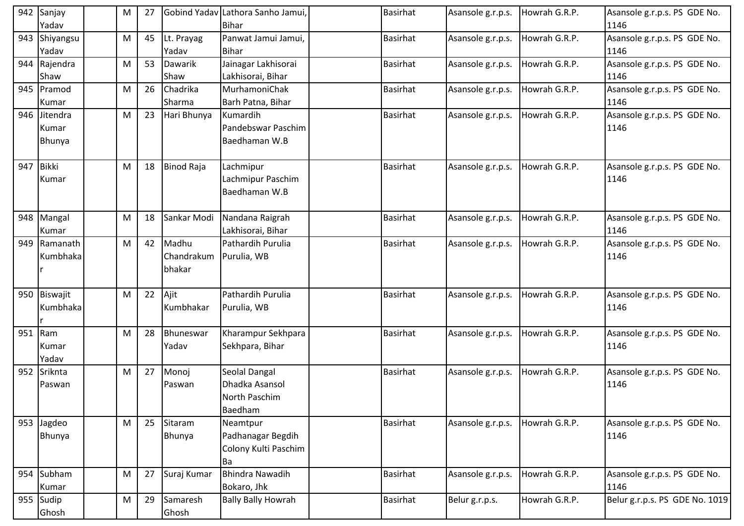| 942 | Sanjay                 | M | 27 |                     | Gobind Yadav Lathora Sanho Jamui, | Basirhat        | Asansole g.r.p.s. | Howrah G.R.P. | Asansole g.r.p.s. PS GDE No.         |
|-----|------------------------|---|----|---------------------|-----------------------------------|-----------------|-------------------|---------------|--------------------------------------|
|     | Yadav                  |   |    |                     | Bihar                             |                 |                   |               | 1146                                 |
|     | 943 Shiyangsu<br>Yadav | M | 45 | Lt. Prayag<br>Yadav | Panwat Jamui Jamui,<br>Bihar      | Basirhat        | Asansole g.r.p.s. | Howrah G.R.P. | Asansole g.r.p.s. PS GDE No.<br>1146 |
|     | 944 Rajendra           | M | 53 | Dawarik             | Jainagar Lakhisorai               | Basirhat        | Asansole g.r.p.s. | Howrah G.R.P. | Asansole g.r.p.s. PS GDE No.         |
|     | Shaw                   |   |    | Shaw                | Lakhisorai, Bihar                 |                 |                   |               | 1146                                 |
| 945 | Pramod                 | M | 26 | Chadrika            | MurhamoniChak                     | <b>Basirhat</b> | Asansole g.r.p.s. | Howrah G.R.P. | Asansole g.r.p.s. PS GDE No.         |
|     | Kumar                  |   |    | Sharma              | Barh Patna, Bihar                 |                 |                   |               | 1146                                 |
| 946 | Jitendra               | M | 23 | Hari Bhunya         | Kumardih                          | <b>Basirhat</b> | Asansole g.r.p.s. | Howrah G.R.P. | Asansole g.r.p.s. PS GDE No.         |
|     | Kumar                  |   |    |                     | Pandebswar Paschim                |                 |                   |               | 1146                                 |
|     | Bhunya                 |   |    |                     | Baedhaman W.B                     |                 |                   |               |                                      |
|     |                        |   |    |                     |                                   |                 |                   |               |                                      |
| 947 | Bikki                  | M | 18 | <b>Binod Raja</b>   | Lachmipur                         | <b>Basirhat</b> | Asansole g.r.p.s. | Howrah G.R.P. | Asansole g.r.p.s. PS GDE No.         |
|     | Kumar                  |   |    |                     | Lachmipur Paschim                 |                 |                   |               | 1146                                 |
|     |                        |   |    |                     | Baedhaman W.B                     |                 |                   |               |                                      |
|     |                        |   |    |                     |                                   |                 |                   |               |                                      |
|     | 948 Mangal             | M | 18 | Sankar Modi         | Nandana Raigrah                   | <b>Basirhat</b> | Asansole g.r.p.s. | Howrah G.R.P. | Asansole g.r.p.s. PS GDE No.         |
|     | Kumar                  |   |    |                     | Lakhisorai, Bihar                 |                 |                   |               | 1146                                 |
| 949 | Ramanath               | M | 42 | Madhu               | Pathardih Purulia                 | <b>Basirhat</b> | Asansole g.r.p.s. | Howrah G.R.P. | Asansole g.r.p.s. PS GDE No.         |
|     | Kumbhaka               |   |    | Chandrakum          | Purulia, WB                       |                 |                   |               | 1146                                 |
|     |                        |   |    | bhakar              |                                   |                 |                   |               |                                      |
|     |                        |   |    |                     |                                   |                 |                   |               |                                      |
| 950 | Biswajit               | M | 22 | Ajit                | Pathardih Purulia                 | <b>Basirhat</b> | Asansole g.r.p.s. | Howrah G.R.P. | Asansole g.r.p.s. PS GDE No.         |
|     | Kumbhaka               |   |    | Kumbhakar           | Purulia, WB                       |                 |                   |               | 1146                                 |
|     |                        |   |    |                     |                                   |                 |                   |               |                                      |
|     | 951 Ram                | M | 28 | Bhuneswar           | Kharampur Sekhpara                | <b>Basirhat</b> | Asansole g.r.p.s. | Howrah G.R.P. | Asansole g.r.p.s. PS GDE No.         |
|     | Kumar                  |   |    | Yadav               | Sekhpara, Bihar                   |                 |                   |               | 1146                                 |
|     | Yadav                  |   |    |                     |                                   |                 |                   |               |                                      |
| 952 | Sriknta                | M | 27 | Monoj               | Seolal Dangal                     | <b>Basirhat</b> | Asansole g.r.p.s. | Howrah G.R.P. | Asansole g.r.p.s. PS GDE No.         |
|     | Paswan                 |   |    | Paswan              | Dhadka Asansol                    |                 |                   |               | 1146                                 |
|     |                        |   |    |                     | North Paschim                     |                 |                   |               |                                      |
|     |                        |   |    |                     | Baedham                           |                 |                   |               |                                      |
|     | 953 Jagdeo             | M | 25 | Sitaram             | Neamtpur                          | Basirhat        | Asansole g.r.p.s. | Howrah G.R.P. | Asansole g.r.p.s. PS GDE No.         |
|     | Bhunya                 |   |    | Bhunya              | Padhanagar Begdih                 |                 |                   |               | 1146                                 |
|     |                        |   |    |                     | Colony Kulti Paschim              |                 |                   |               |                                      |
|     |                        |   |    |                     | Ba                                |                 |                   |               |                                      |
|     | 954 Subham             | M | 27 | Suraj Kumar         | <b>Bhindra Nawadih</b>            | <b>Basirhat</b> | Asansole g.r.p.s. | Howrah G.R.P. | Asansole g.r.p.s. PS GDE No.         |
|     | Kumar                  |   |    |                     | Bokaro, Jhk                       |                 |                   |               | 1146                                 |
|     | 955 Sudip              | M | 29 | Samaresh            | <b>Bally Bally Howrah</b>         | Basirhat        | Belur g.r.p.s.    | Howrah G.R.P. | Belur g.r.p.s. PS GDE No. 1019       |
|     | Ghosh                  |   |    | Ghosh               |                                   |                 |                   |               |                                      |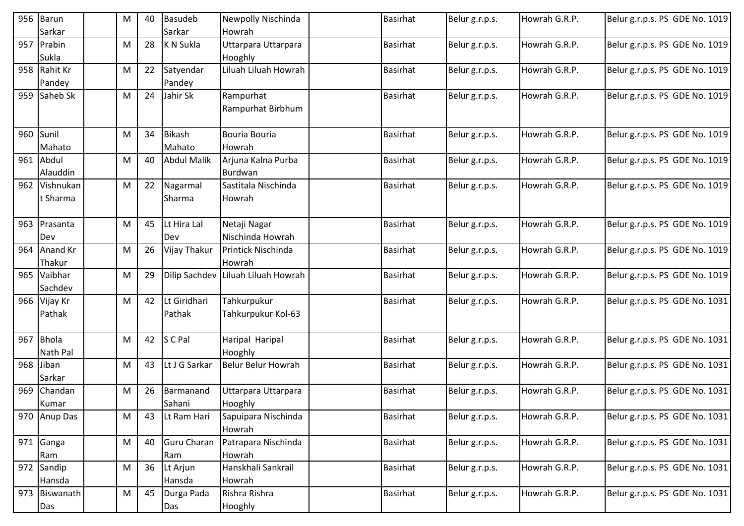|     | 956 Barun     | М | 40 | <b>Basudeb</b>     | Newpolly Nischinda        | <b>Basirhat</b> | Belur g.r.p.s. | Howrah G.R.P. | Belur g.r.p.s. PS GDE No. 1019 |
|-----|---------------|---|----|--------------------|---------------------------|-----------------|----------------|---------------|--------------------------------|
|     | Sarkar        |   |    | Sarkar             | Howrah                    |                 |                |               |                                |
|     | 957 Prabin    | M | 28 | K N Sukla          | Uttarpara Uttarpara       | <b>Basirhat</b> | Belur g.r.p.s. | Howrah G.R.P. | Belur g.r.p.s. PS GDE No. 1019 |
|     | Sukla         |   |    |                    | Hooghly                   |                 |                |               |                                |
|     | 958 Rahit Kr  | M | 22 | Satyendar          | Liluah Liluah Howrah      | <b>Basirhat</b> | Belur g.r.p.s. | Howrah G.R.P. | Belur g.r.p.s. PS GDE No. 1019 |
|     | Pandey        |   |    | Pandey             |                           |                 |                |               |                                |
| 959 | Saheb Sk      | м | 24 | Jahir Sk           | Rampurhat                 | <b>Basirhat</b> | Belur g.r.p.s. | Howrah G.R.P. | Belur g.r.p.s. PS GDE No. 1019 |
|     |               |   |    |                    | Rampurhat Birbhum         |                 |                |               |                                |
|     |               |   |    |                    |                           |                 |                |               |                                |
|     | 960 Sunil     | M | 34 | <b>Bikash</b>      | Bouria Bouria             | <b>Basirhat</b> | Belur g.r.p.s. | Howrah G.R.P. | Belur g.r.p.s. PS GDE No. 1019 |
|     | Mahato        |   |    | Mahato             | Howrah                    |                 |                |               |                                |
|     | 961 Abdul     | M | 40 | <b>Abdul Malik</b> | Arjuna Kalna Purba        | <b>Basirhat</b> | Belur g.r.p.s. | Howrah G.R.P. | Belur g.r.p.s. PS GDE No. 1019 |
|     | Alauddin      |   |    |                    | Burdwan                   |                 |                |               |                                |
|     | 962 Vishnukan | M | 22 | Nagarmal           | Sastitala Nischinda       | <b>Basirhat</b> | Belur g.r.p.s. | Howrah G.R.P. | Belur g.r.p.s. PS GDE No. 1019 |
|     | t Sharma      |   |    | Sharma             | Howrah                    |                 |                |               |                                |
|     |               |   |    |                    |                           |                 |                |               |                                |
|     | 963 Prasanta  | M | 45 | Lt Hira Lal        | Netaji Nagar              | <b>Basirhat</b> | Belur g.r.p.s. | Howrah G.R.P. | Belur g.r.p.s. PS GDE No. 1019 |
|     | Dev           |   |    | Dev                | Nischinda Howrah          |                 |                |               |                                |
|     | 964 Anand Kr  | M | 26 | Vijay Thakur       | Printick Nischinda        | Basirhat        | Belur g.r.p.s. | Howrah G.R.P. | Belur g.r.p.s. PS GDE No. 1019 |
|     | Thakur        |   |    |                    | Howrah                    |                 |                |               |                                |
| 965 | Vaibhar       | M | 29 | Dilip Sachdev      | Liluah Liluah Howrah      | <b>Basirhat</b> | Belur g.r.p.s. | Howrah G.R.P. | Belur g.r.p.s. PS GDE No. 1019 |
|     | Sachdev       |   |    |                    |                           |                 |                |               |                                |
|     | 966 Vijay Kr  | M | 42 | Lt Giridhari       | Tahkurpukur               | <b>Basirhat</b> | Belur g.r.p.s. | Howrah G.R.P. | Belur g.r.p.s. PS GDE No. 1031 |
|     | Pathak        |   |    | Pathak             | Tahkurpukur Kol-63        |                 |                |               |                                |
|     |               |   |    |                    |                           |                 |                |               |                                |
| 967 | Bhola         | M | 42 | S C Pal            | Haripal Haripal           | <b>Basirhat</b> | Belur g.r.p.s. | Howrah G.R.P. | Belur g.r.p.s. PS GDE No. 1031 |
|     | Nath Pal      |   |    |                    | Hooghly                   |                 |                |               |                                |
| 968 | Jiban         | M | 43 | Lt J G Sarkar      | <b>Belur Belur Howrah</b> | Basirhat        | Belur g.r.p.s. | Howrah G.R.P. | Belur g.r.p.s. PS GDE No. 1031 |
|     | Sarkar        |   |    |                    |                           |                 |                |               |                                |
| 969 | Chandan       | M | 26 | Barmanand          | Uttarpara Uttarpara       | Basirhat        | Belur g.r.p.s. | Howrah G.R.P. | Belur g.r.p.s. PS GDE No. 1031 |
|     | Kumar         |   |    | Sahani             | Hooghly                   |                 |                |               |                                |
|     | 970 Anup Das  | M | 43 | Lt Ram Hari        | Sapuipara Nischinda       | <b>Basirhat</b> | Belur g.r.p.s. | Howrah G.R.P. | Belur g.r.p.s. PS GDE No. 1031 |
|     |               |   |    |                    | Howrah                    |                 |                |               |                                |
|     | 971 Ganga     | M | 40 | Guru Charan        | Patrapara Nischinda       | <b>Basirhat</b> | Belur g.r.p.s. | Howrah G.R.P. | Belur g.r.p.s. PS GDE No. 1031 |
|     | Ram           |   |    | Ram                | Howrah                    |                 |                |               |                                |
|     | 972 Sandip    | M | 36 | Lt Arjun           | Hanskhali Sankrail        | <b>Basirhat</b> | Belur g.r.p.s. | Howrah G.R.P. | Belur g.r.p.s. PS GDE No. 1031 |
|     | Hansda        |   | 45 | Hansda             | Howrah                    |                 |                |               |                                |
|     | 973 Biswanath | M |    | Durga Pada         | Rishra Rishra             | <b>Basirhat</b> | Belur g.r.p.s. | Howrah G.R.P. | Belur g.r.p.s. PS GDE No. 1031 |
|     | Das           |   |    | Das                | Hooghly                   |                 |                |               |                                |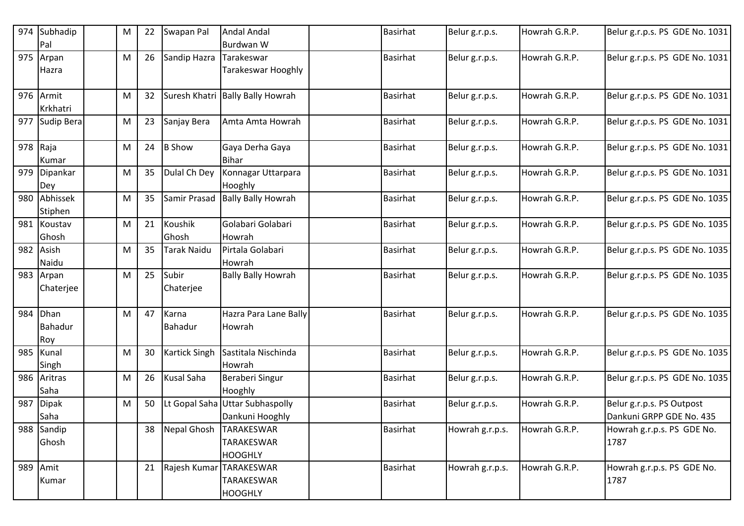| 974 | Subhadip       | M | 22 | Swapan Pal           | <b>Andal Andal</b>               | <b>Basirhat</b> | Belur g.r.p.s.  | Howrah G.R.P. | Belur g.r.p.s. PS GDE No. 1031 |
|-----|----------------|---|----|----------------------|----------------------------------|-----------------|-----------------|---------------|--------------------------------|
|     | Pal            |   |    |                      | Burdwan W                        |                 |                 |               |                                |
| 975 | Arpan          | м | 26 | Sandip Hazra         | Tarakeswar                       | <b>Basirhat</b> | Belur g.r.p.s.  | Howrah G.R.P. | Belur g.r.p.s. PS GDE No. 1031 |
|     | Hazra          |   |    |                      | <b>Tarakeswar Hooghly</b>        |                 |                 |               |                                |
| 976 | Armit          | M | 32 |                      | Suresh Khatri Bally Bally Howrah | Basirhat        | Belur g.r.p.s.  | Howrah G.R.P. | Belur g.r.p.s. PS GDE No. 1031 |
|     | Krkhatri       |   |    |                      |                                  |                 |                 |               |                                |
| 977 | Sudip Bera     | M | 23 | Sanjay Bera          | Amta Amta Howrah                 | Basirhat        | Belur g.r.p.s.  | Howrah G.R.P. | Belur g.r.p.s. PS GDE No. 1031 |
|     | 978 $ Raja$    | M | 24 | <b>B</b> Show        | Gaya Derha Gaya                  | Basirhat        | Belur g.r.p.s.  | Howrah G.R.P. | Belur g.r.p.s. PS GDE No. 1031 |
|     | Kumar          |   |    |                      | <b>Bihar</b>                     |                 |                 |               |                                |
| 979 | Dipankar       | м | 35 | Dulal Ch Dey         | Konnagar Uttarpara               | <b>Basirhat</b> | Belur g.r.p.s.  | Howrah G.R.P. | Belur g.r.p.s. PS GDE No. 1031 |
|     | Dey            |   |    |                      | Hooghly                          |                 |                 |               |                                |
| 980 | Abhissek       | м | 35 | Samir Prasad         | <b>Bally Bally Howrah</b>        | <b>Basirhat</b> | Belur g.r.p.s.  | Howrah G.R.P. | Belur g.r.p.s. PS GDE No. 1035 |
|     | Stiphen        |   |    |                      |                                  |                 |                 |               |                                |
| 981 | Koustav        | м | 21 | Koushik              | Golabari Golabari                | <b>Basirhat</b> | Belur g.r.p.s.  | Howrah G.R.P. | Belur g.r.p.s. PS GDE No. 1035 |
|     | Ghosh          |   |    | Ghosh                | Howrah                           |                 |                 |               |                                |
| 982 | Asish          | M | 35 | Tarak Naidu          | Pirtala Golabari                 | Basirhat        | Belur g.r.p.s.  | Howrah G.R.P. | Belur g.r.p.s. PS GDE No. 1035 |
|     | Naidu          |   |    |                      | Howrah                           |                 |                 |               |                                |
| 983 | Arpan          | M | 25 | Subir                | <b>Bally Bally Howrah</b>        | <b>Basirhat</b> | Belur g.r.p.s.  | Howrah G.R.P. | Belur g.r.p.s. PS GDE No. 1035 |
|     | Chaterjee      |   |    | Chaterjee            |                                  |                 |                 |               |                                |
|     |                |   |    |                      |                                  |                 |                 |               |                                |
| 984 | Dhan           | М | 47 | Karna                | Hazra Para Lane Bally            | Basirhat        | Belur g.r.p.s.  | Howrah G.R.P. | Belur g.r.p.s. PS GDE No. 1035 |
|     | <b>Bahadur</b> |   |    | Bahadur              | Howrah                           |                 |                 |               |                                |
|     | Roy            |   |    |                      |                                  |                 |                 |               |                                |
| 985 | Kunal          | м | 30 | <b>Kartick Singh</b> | Sastitala Nischinda              | <b>Basirhat</b> | Belur g.r.p.s.  | Howrah G.R.P. | Belur g.r.p.s. PS GDE No. 1035 |
|     | Singh          |   |    |                      | Howrah                           |                 |                 |               |                                |
| 986 | Aritras        | M | 26 | <b>Kusal Saha</b>    | <b>Beraberi Singur</b>           | Basirhat        | Belur g.r.p.s.  | Howrah G.R.P. | Belur g.r.p.s. PS GDE No. 1035 |
|     | Saha           |   |    |                      | Hooghly                          |                 |                 |               |                                |
| 987 | <b>Dipak</b>   | м | 50 | Lt Gopal Saha        | <b>Uttar Subhaspolly</b>         | <b>Basirhat</b> | Belur g.r.p.s.  | Howrah G.R.P. | Belur g.r.p.s. PS Outpost      |
|     | Saha           |   |    |                      | Dankuni Hooghly                  |                 |                 |               | Dankuni GRPP GDE No. 435       |
| 988 | Sandip         |   | 38 | <b>Nepal Ghosh</b>   | <b>TARAKESWAR</b>                | <b>Basirhat</b> | Howrah g.r.p.s. | Howrah G.R.P. | Howrah g.r.p.s. PS GDE No.     |
|     | Ghosh          |   |    |                      | <b>TARAKESWAR</b>                |                 |                 |               | 1787                           |
|     |                |   |    |                      | <b>HOOGHLY</b>                   |                 |                 |               |                                |
| 989 | Amit           |   | 21 |                      | Rajesh Kumar TARAKESWAR          | <b>Basirhat</b> | Howrah g.r.p.s. | Howrah G.R.P. | Howrah g.r.p.s. PS GDE No.     |
|     | Kumar          |   |    |                      | TARAKESWAR                       |                 |                 |               | 1787                           |
|     |                |   |    |                      | <b>HOOGHLY</b>                   |                 |                 |               |                                |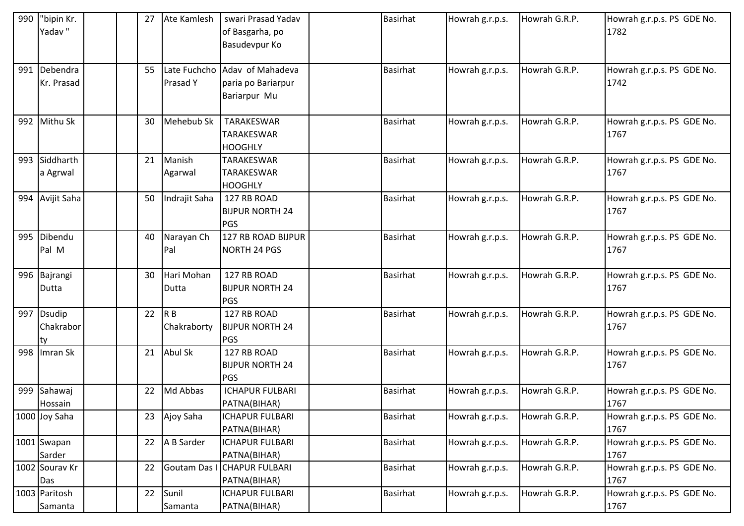| 990 | "bipin Kr.<br>Yadav" | 27 | Ate Kamlesh    | swari Prasad Yadav<br>of Basgarha, po | <b>Basirhat</b> | Howrah g.r.p.s. | Howrah G.R.P. | Howrah g.r.p.s. PS GDE No.<br>1782 |
|-----|----------------------|----|----------------|---------------------------------------|-----------------|-----------------|---------------|------------------------------------|
|     |                      |    |                | Basudevpur Ko                         |                 |                 |               |                                    |
|     | 991 Debendra         | 55 |                | Late Fuchcho Adav of Mahadeva         | <b>Basirhat</b> | Howrah g.r.p.s. | Howrah G.R.P. | Howrah g.r.p.s. PS GDE No.         |
|     | Kr. Prasad           |    | Prasad Y       | paria po Bariarpur                    |                 |                 |               | 1742                               |
|     |                      |    |                | Bariarpur Mu                          |                 |                 |               |                                    |
|     | 992 Mithu Sk         | 30 | Mehebub Sk     | TARAKESWAR                            | <b>Basirhat</b> | Howrah g.r.p.s. | Howrah G.R.P. | Howrah g.r.p.s. PS GDE No.         |
|     |                      |    |                | TARAKESWAR                            |                 |                 |               | 1767                               |
|     |                      |    |                | <b>HOOGHLY</b>                        |                 |                 |               |                                    |
|     | 993 Siddharth        | 21 | Manish         | <b>TARAKESWAR</b>                     | <b>Basirhat</b> | Howrah g.r.p.s. | Howrah G.R.P. | Howrah g.r.p.s. PS GDE No.         |
|     | a Agrwal             |    | Agarwal        | TARAKESWAR                            |                 |                 |               | 1767                               |
|     |                      |    |                | <b>HOOGHLY</b>                        |                 |                 |               |                                    |
|     | 994 Avijit Saha      | 50 | Indrajit Saha  | 127 RB ROAD                           | <b>Basirhat</b> | Howrah g.r.p.s. | Howrah G.R.P. | Howrah g.r.p.s. PS GDE No.         |
|     |                      |    |                | <b>BIJPUR NORTH 24</b><br><b>PGS</b>  |                 |                 |               | 1767                               |
|     | 995 Dibendu          | 40 | Narayan Ch     | 127 RB ROAD BIJPUR                    | <b>Basirhat</b> | Howrah g.r.p.s. | Howrah G.R.P. | Howrah g.r.p.s. PS GDE No.         |
|     | Pal M                |    | Pal            | NORTH 24 PGS                          |                 |                 |               | 1767                               |
|     | 996 Bajrangi         | 30 | Hari Mohan     | 127 RB ROAD                           | <b>Basirhat</b> | Howrah g.r.p.s. | Howrah G.R.P. | Howrah g.r.p.s. PS GDE No.         |
|     | Dutta                |    | Dutta          | <b>BIJPUR NORTH 24</b>                |                 |                 |               | 1767                               |
|     |                      |    |                | PGS                                   |                 |                 |               |                                    |
|     | 997 Dsudip           | 22 | R <sub>B</sub> | 127 RB ROAD                           | <b>Basirhat</b> | Howrah g.r.p.s. | Howrah G.R.P. | Howrah g.r.p.s. PS GDE No.         |
|     | Chakrabor            |    | Chakraborty    | <b>BIJPUR NORTH 24</b>                |                 |                 |               | 1767                               |
|     | lty.                 |    |                | PGS                                   |                 |                 |               |                                    |
|     | 998   Imran Sk       | 21 | Abul Sk        | 127 RB ROAD                           | <b>Basirhat</b> | Howrah g.r.p.s. | Howrah G.R.P. | Howrah g.r.p.s. PS GDE No.         |
|     |                      |    |                | <b>BIJPUR NORTH 24</b>                |                 |                 |               | 1767                               |
|     |                      |    |                | PGS                                   |                 |                 |               |                                    |
|     | 999 Sahawaj          | 22 | Md Abbas       | <b>ICHAPUR FULBARI</b>                | Basirhat        | Howrah g.r.p.s. | Howrah G.R.P. | Howrah g.r.p.s. PS GDE No.         |
|     | Hossain              |    |                | PATNA(BIHAR)                          |                 |                 |               | 1767                               |
|     | 1000 Joy Saha        | 23 | Ajoy Saha      | <b>ICHAPUR FULBARI</b>                | <b>Basirhat</b> | Howrah g.r.p.s. | Howrah G.R.P. | Howrah g.r.p.s. PS GDE No.         |
|     |                      |    |                | PATNA(BIHAR)                          |                 |                 |               | 1767                               |
|     | 1001 Swapan          | 22 | A B Sarder     | <b>ICHAPUR FULBARI</b>                | <b>Basirhat</b> | Howrah g.r.p.s. | Howrah G.R.P. | Howrah g.r.p.s. PS GDE No.         |
|     | Sarder               |    |                | PATNA(BIHAR)                          |                 |                 |               | 1767                               |
|     | 1002 Sourav Kr       | 22 |                | Goutam Das I CHAPUR FULBARI           | <b>Basirhat</b> | Howrah g.r.p.s. | Howrah G.R.P. | Howrah g.r.p.s. PS GDE No.         |
|     | Das                  |    |                | PATNA(BIHAR)                          |                 |                 |               | 1767                               |
|     | 1003 Paritosh        | 22 | Sunil          | <b>ICHAPUR FULBARI</b>                | Basirhat        | Howrah g.r.p.s. | Howrah G.R.P. | Howrah g.r.p.s. PS GDE No.         |
|     | Samanta              |    | Samanta        | PATNA(BIHAR)                          |                 |                 |               | 1767                               |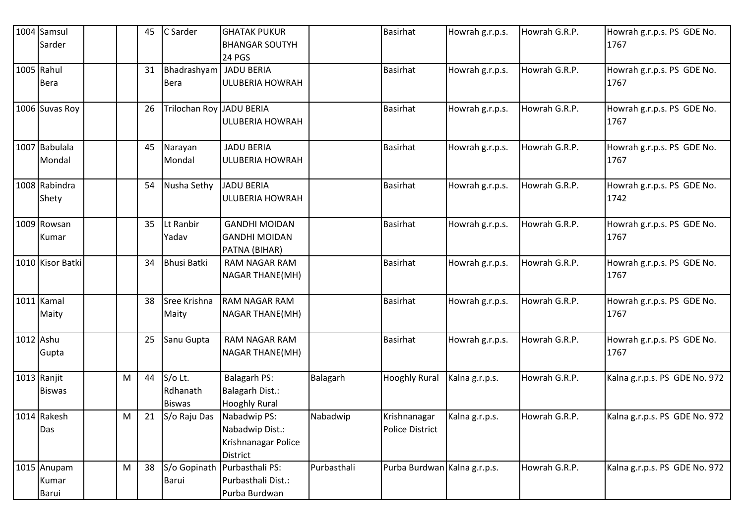|           | 1004 Samsul<br>Sarder         |   | 45 | C Sarder                                | <b>GHATAK PUKUR</b><br><b>BHANGAR SOUTYH</b>                              |             | <b>Basirhat</b>                        | Howrah g.r.p.s. | Howrah G.R.P. | Howrah g.r.p.s. PS GDE No.<br>1767 |
|-----------|-------------------------------|---|----|-----------------------------------------|---------------------------------------------------------------------------|-------------|----------------------------------------|-----------------|---------------|------------------------------------|
|           | 1005 Rahul<br>Bera            |   | 31 | Bhadrashyam   JADU BERIA<br><b>Bera</b> | <b>24 PGS</b><br><b>ULUBERIA HOWRAH</b>                                   |             | <b>Basirhat</b>                        | Howrah g.r.p.s. | Howrah G.R.P. | Howrah g.r.p.s. PS GDE No.<br>1767 |
|           | 1006 Suvas Roy                |   | 26 | Trilochan Roy JADU BERIA                | <b>ULUBERIA HOWRAH</b>                                                    |             | <b>Basirhat</b>                        | Howrah g.r.p.s. | Howrah G.R.P. | Howrah g.r.p.s. PS GDE No.<br>1767 |
|           | 1007 Babulala<br>Mondal       |   | 45 | Narayan<br>Mondal                       | <b>JADU BERIA</b><br><b>ULUBERIA HOWRAH</b>                               |             | <b>Basirhat</b>                        | Howrah g.r.p.s. | Howrah G.R.P. | Howrah g.r.p.s. PS GDE No.<br>1767 |
|           | 1008 Rabindra<br>Shety        |   | 54 | Nusha Sethy                             | JADU BERIA<br><b>ULUBERIA HOWRAH</b>                                      |             | <b>Basirhat</b>                        | Howrah g.r.p.s. | Howrah G.R.P. | Howrah g.r.p.s. PS GDE No.<br>1742 |
|           | 1009 Rowsan<br>Kumar          |   | 35 | Lt Ranbir<br>Yadav                      | <b>GANDHI MOIDAN</b><br><b>GANDHI MOIDAN</b><br>PATNA (BIHAR)             |             | <b>Basirhat</b>                        | Howrah g.r.p.s. | Howrah G.R.P. | Howrah g.r.p.s. PS GDE No.<br>1767 |
|           | 1010 Kisor Batki              |   | 34 | <b>Bhusi Batki</b>                      | RAM NAGAR RAM<br>NAGAR THANE(MH)                                          |             | <b>Basirhat</b>                        | Howrah g.r.p.s. | Howrah G.R.P. | Howrah g.r.p.s. PS GDE No.<br>1767 |
|           | 1011 Kamal<br>Maity           |   | 38 | Sree Krishna<br>Maity                   | <b>RAM NAGAR RAM</b><br>NAGAR THANE(MH)                                   |             | <b>Basirhat</b>                        | Howrah g.r.p.s. | Howrah G.R.P. | Howrah g.r.p.s. PS GDE No.<br>1767 |
| 1012 Ashu | Gupta                         |   | 25 | Sanu Gupta                              | <b>RAM NAGAR RAM</b><br>NAGAR THANE(MH)                                   |             | <b>Basirhat</b>                        | Howrah g.r.p.s. | Howrah G.R.P. | Howrah g.r.p.s. PS GDE No.<br>1767 |
|           | 1013 Ranjit<br><b>Biswas</b>  | M | 44 | S/o Lt.<br>Rdhanath<br><b>Biswas</b>    | Balagarh PS:<br>Balagarh Dist.:<br><b>Hooghly Rural</b>                   | Balagarh    | <b>Hooghly Rural</b>                   | Kalna g.r.p.s.  | Howrah G.R.P. | Kalna g.r.p.s. PS GDE No. 972      |
|           | 1014 Rakesh<br>Das            | M | 21 | S/o Raju Das                            | Nabadwip PS:<br>Nabadwip Dist.:<br>Krishnanagar Police<br><b>District</b> | Nabadwip    | Krishnanagar<br><b>Police District</b> | Kalna g.r.p.s.  | Howrah G.R.P. | Kalna g.r.p.s. PS GDE No. 972      |
|           | 1015 Anupam<br>Kumar<br>Barui | M | 38 | <b>Barui</b>                            | S/o Gopinath Purbasthali PS:<br>Purbasthali Dist.:<br>Purba Burdwan       | Purbasthali | Purba Burdwan Kalna g.r.p.s.           |                 | Howrah G.R.P. | Kalna g.r.p.s. PS GDE No. 972      |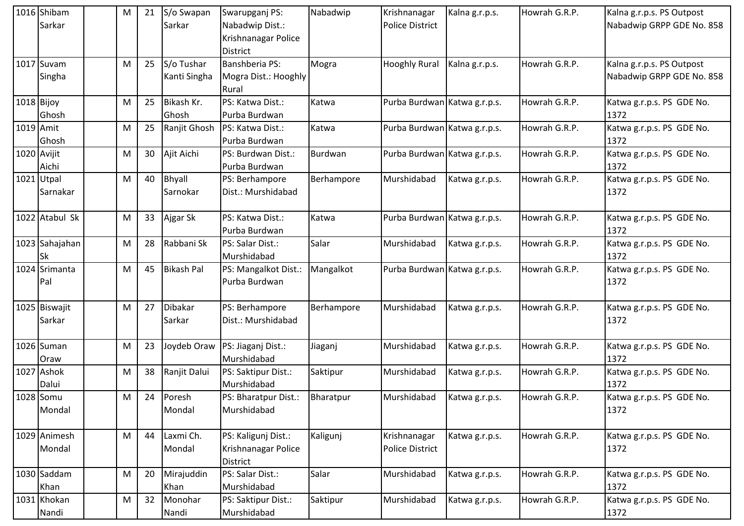|             | 1016 Shibam<br>Sarkar   | M | 21 | S/o Swapan<br>Sarkar       | Swarupganj PS:<br>Nabadwip Dist.:<br>Krishnanagar Police<br><b>District</b> | Nabadwip   | Krishnanagar<br><b>Police District</b> | Kalna g.r.p.s. | Howrah G.R.P. | Kalna g.r.p.s. PS Outpost<br>Nabadwip GRPP GDE No. 858 |
|-------------|-------------------------|---|----|----------------------------|-----------------------------------------------------------------------------|------------|----------------------------------------|----------------|---------------|--------------------------------------------------------|
|             | 1017 Suvam<br>Singha    | M | 25 | S/o Tushar<br>Kanti Singha | Banshberia PS:<br>Mogra Dist.: Hooghly<br>Rural                             | Mogra      | <b>Hooghly Rural</b>                   | Kalna g.r.p.s. | Howrah G.R.P. | Kalna g.r.p.s. PS Outpost<br>Nabadwip GRPP GDE No. 858 |
| 1018 Bijoy  | Ghosh                   | M | 25 | Bikash Kr.<br>Ghosh        | PS: Katwa Dist.:<br>Purba Burdwan                                           | Katwa      | Purba Burdwan Katwa g.r.p.s.           |                | Howrah G.R.P. | Katwa g.r.p.s. PS GDE No.<br>1372                      |
| 1019 Amit   | Ghosh                   | M | 25 | Ranjit Ghosh               | PS: Katwa Dist.:<br>Purba Burdwan                                           | Katwa      | Purba Burdwan Katwa g.r.p.s.           |                | Howrah G.R.P. | Katwa g.r.p.s. PS GDE No.<br>1372                      |
| 1020 Avijit | Aichi                   | M | 30 | Ajit Aichi                 | PS: Burdwan Dist.:<br>Purba Burdwan                                         | Burdwan    | Purba Burdwan Katwa g.r.p.s.           |                | Howrah G.R.P. | Katwa g.r.p.s. PS GDE No.<br>1372                      |
|             | 1021 Utpal<br>Sarnakar  | M | 40 | Bhyall<br>Sarnokar         | PS: Berhampore<br>Dist.: Murshidabad                                        | Berhampore | Murshidabad                            | Katwa g.r.p.s. | Howrah G.R.P. | Katwa g.r.p.s. PS GDE No.<br>1372                      |
|             | 1022 Atabul Sk          | M | 33 | Ajgar Sk                   | PS: Katwa Dist.:<br>Purba Burdwan                                           | Katwa      | Purba Burdwan Katwa g.r.p.s.           |                | Howrah G.R.P. | Katwa g.r.p.s. PS GDE No.<br>1372                      |
|             | 1023 Sahajahan<br>Sk    | M | 28 | Rabbani Sk                 | PS: Salar Dist.:<br>Murshidabad                                             | Salar      | Murshidabad                            | Katwa g.r.p.s. | Howrah G.R.P. | Katwa g.r.p.s. PS GDE No.<br>1372                      |
|             | 1024 Srimanta<br>Pal    | M | 45 | <b>Bikash Pal</b>          | PS: Mangalkot Dist.:<br>Purba Burdwan                                       | Mangalkot  | Purba Burdwan Katwa g.r.p.s.           |                | Howrah G.R.P. | Katwa g.r.p.s. PS GDE No.<br>1372                      |
|             | 1025 Biswajit<br>Sarkar | M | 27 | Dibakar<br>Sarkar          | PS: Berhampore<br>Dist.: Murshidabad                                        | Berhampore | Murshidabad                            | Katwa g.r.p.s. | Howrah G.R.P. | Katwa g.r.p.s. PS GDE No.<br>1372                      |
|             | 1026 Suman<br>Oraw      | M | 23 | Joydeb Oraw                | PS: Jiaganj Dist.:<br>Murshidabad                                           | Jiaganj    | Murshidabad                            | Katwa g.r.p.s. | Howrah G.R.P. | Katwa g.r.p.s. PS GDE No.<br>1372                      |
|             | 1027 Ashok<br>Dalui     | M | 38 | Ranjit Dalui               | PS: Saktipur Dist.:<br>Murshidabad                                          | Saktipur   | Murshidabad                            | Katwa g.r.p.s. | Howrah G.R.P. | Katwa g.r.p.s. PS GDE No.<br>1372                      |
|             | 1028 Somu<br>Mondal     | M | 24 | Poresh<br>Mondal           | PS: Bharatpur Dist.:<br>Murshidabad                                         | Bharatpur  | Murshidabad                            | Katwa g.r.p.s. | Howrah G.R.P. | Katwa g.r.p.s. PS GDE No.<br>1372                      |
|             | 1029 Animesh<br>Mondal  | M | 44 | Laxmi Ch.<br>Mondal        | PS: Kaligunj Dist.:<br>Krishnanagar Police<br><b>District</b>               | Kaligunj   | Krishnanagar<br><b>Police District</b> | Katwa g.r.p.s. | Howrah G.R.P. | Katwa g.r.p.s. PS GDE No.<br>1372                      |
|             | 1030 Saddam<br>Khan     | M | 20 | Mirajuddin<br>Khan         | PS: Salar Dist.:<br>Murshidabad                                             | Salar      | Murshidabad                            | Katwa g.r.p.s. | Howrah G.R.P. | Katwa g.r.p.s. PS GDE No.<br>1372                      |
|             | 1031 Khokan<br>Nandi    | M | 32 | Monohar<br>Nandi           | PS: Saktipur Dist.:<br>Murshidabad                                          | Saktipur   | Murshidabad                            | Katwa g.r.p.s. | Howrah G.R.P. | Katwa g.r.p.s. PS GDE No.<br>1372                      |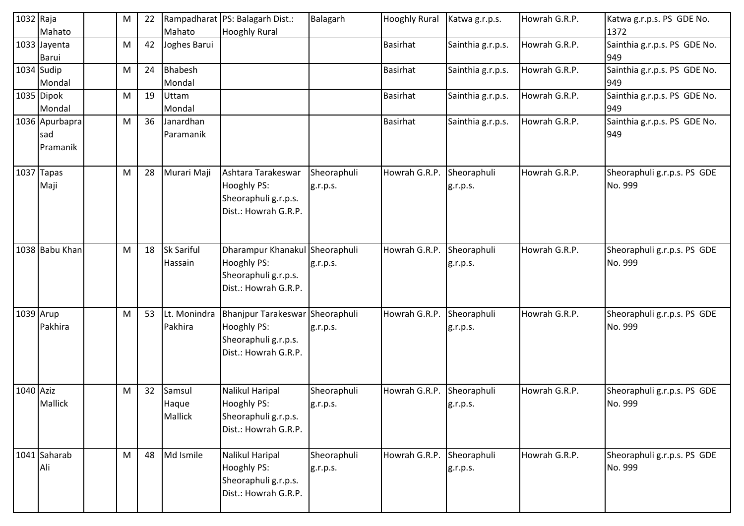| 1032 Raja | Mahato                            | M | 22 | Mahato                       | Rampadharat PS: Balagarh Dist.:<br><b>Hooghly Rural</b>                                        | Balagarh                | <b>Hooghly Rural</b> | Katwa g.r.p.s.          | Howrah G.R.P. | Katwa g.r.p.s. PS GDE No.<br>1372      |
|-----------|-----------------------------------|---|----|------------------------------|------------------------------------------------------------------------------------------------|-------------------------|----------------------|-------------------------|---------------|----------------------------------------|
|           | 1033 Jayenta<br>Barui             | M | 42 | Joghes Barui                 |                                                                                                |                         | <b>Basirhat</b>      | Sainthia g.r.p.s.       | Howrah G.R.P. | Sainthia g.r.p.s. PS GDE No.<br>949    |
|           | 1034 Sudip<br>Mondal              | M | 24 | <b>Bhabesh</b><br>Mondal     |                                                                                                |                         | <b>Basirhat</b>      | Sainthia g.r.p.s.       | Howrah G.R.P. | Sainthia g.r.p.s. PS GDE No.<br>949    |
|           | 1035 Dipok<br>Mondal              | M | 19 | Uttam<br>Mondal              |                                                                                                |                         | <b>Basirhat</b>      | Sainthia g.r.p.s.       | Howrah G.R.P. | Sainthia g.r.p.s. PS GDE No.<br>949    |
|           | 1036 Apurbapra<br>sad<br>Pramanik | M | 36 | Janardhan<br>Paramanik       |                                                                                                |                         | <b>Basirhat</b>      | Sainthia g.r.p.s.       | Howrah G.R.P. | Sainthia g.r.p.s. PS GDE No.<br>949    |
|           | 1037 Tapas<br>Maji                | M | 28 | Murari Maji                  | Ashtara Tarakeswar<br>Hooghly PS:<br>Sheoraphuli g.r.p.s.<br>Dist.: Howrah G.R.P.              | Sheoraphuli<br>g.r.p.s. | Howrah G.R.P.        | Sheoraphuli<br>g.r.p.s. | Howrah G.R.P. | Sheoraphuli g.r.p.s. PS GDE<br>No. 999 |
|           | 1038 Babu Khan                    | M | 18 | <b>Sk Sariful</b><br>Hassain | Dharampur Khanakul Sheoraphuli<br>Hooghly PS:<br>Sheoraphuli g.r.p.s.<br>Dist.: Howrah G.R.P.  | g.r.p.s.                | Howrah G.R.P.        | Sheoraphuli<br>g.r.p.s. | Howrah G.R.P. | Sheoraphuli g.r.p.s. PS GDE<br>No. 999 |
| 1039 Arup | Pakhira                           | M | 53 | Lt. Monindra<br>Pakhira      | Bhanjpur Tarakeswar Sheoraphuli<br>Hooghly PS:<br>Sheoraphuli g.r.p.s.<br>Dist.: Howrah G.R.P. | g.r.p.s.                | Howrah G.R.P.        | Sheoraphuli<br>g.r.p.s. | Howrah G.R.P. | Sheoraphuli g.r.p.s. PS GDE<br>No. 999 |
| 1040 Aziz | <b>Mallick</b>                    | M | 32 | Samsul<br>Haque<br>Mallick   | Nalikul Haripal<br>Hooghly PS:<br>Sheoraphuli g.r.p.s.<br>Dist.: Howrah G.R.P.                 | Sheoraphuli<br>g.r.p.s. | Howrah G.R.P.        | Sheoraphuli<br>g.r.p.s. | Howrah G.R.P. | Sheoraphuli g.r.p.s. PS GDE<br>No. 999 |
|           | 1041 Saharab<br>Ali               | M | 48 | Md Ismile                    | Nalikul Haripal<br>Hooghly PS:<br>Sheoraphuli g.r.p.s.<br>Dist.: Howrah G.R.P.                 | Sheoraphuli<br>g.r.p.s. | Howrah G.R.P.        | Sheoraphuli<br>g.r.p.s. | Howrah G.R.P. | Sheoraphuli g.r.p.s. PS GDE<br>No. 999 |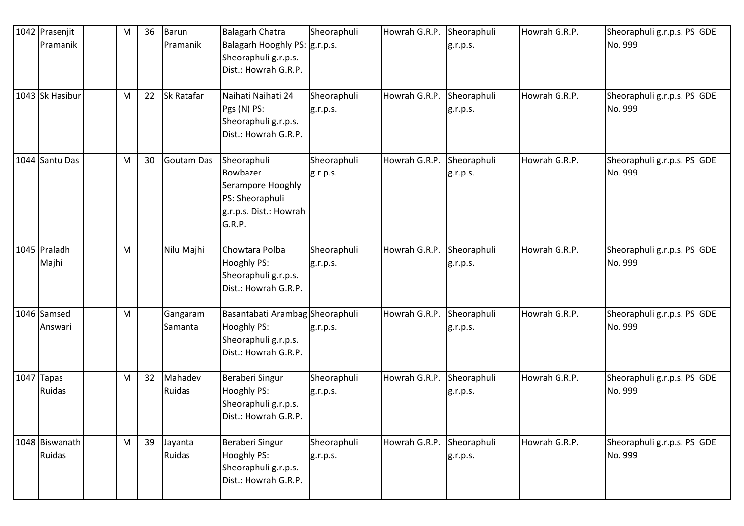| 1042 Prasenjit<br>Pramanik<br>1043 Sk Hasibur | M<br>M | 36<br>22 | <b>Barun</b><br>Pramanik<br><b>Sk Ratafar</b> | <b>Balagarh Chatra</b><br>Balagarh Hooghly PS: g.r.p.s.<br>Sheoraphuli g.r.p.s.<br>Dist.: Howrah G.R.P.<br>Naihati Naihati 24<br>Pgs (N) PS:<br>Sheoraphuli g.r.p.s.<br>Dist.: Howrah G.R.P. | Sheoraphuli<br>Sheoraphuli<br>g.r.p.s. | Howrah G.R.P.<br>Howrah G.R.P. | Sheoraphuli<br>g.r.p.s.<br>Sheoraphuli<br>g.r.p.s. | Howrah G.R.P.<br>Howrah G.R.P. | Sheoraphuli g.r.p.s. PS GDE<br>No. 999<br>Sheoraphuli g.r.p.s. PS GDE<br>No. 999 |
|-----------------------------------------------|--------|----------|-----------------------------------------------|----------------------------------------------------------------------------------------------------------------------------------------------------------------------------------------------|----------------------------------------|--------------------------------|----------------------------------------------------|--------------------------------|----------------------------------------------------------------------------------|
| 1044 Santu Das                                | M      | 30       | Goutam Das                                    | Sheoraphuli<br>Bowbazer<br>Serampore Hooghly<br>PS: Sheoraphuli<br>g.r.p.s. Dist.: Howrah<br>G.R.P.                                                                                          | Sheoraphuli<br>g.r.p.s.                | Howrah G.R.P.                  | Sheoraphuli<br>g.r.p.s.                            | Howrah G.R.P.                  | Sheoraphuli g.r.p.s. PS GDE<br>No. 999                                           |
| 1045 Praladh<br>Majhi                         | M      |          | Nilu Majhi                                    | Chowtara Polba<br>Hooghly PS:<br>Sheoraphuli g.r.p.s.<br>Dist.: Howrah G.R.P.                                                                                                                | Sheoraphuli<br>g.r.p.s.                | Howrah G.R.P.                  | Sheoraphuli<br>g.r.p.s.                            | Howrah G.R.P.                  | Sheoraphuli g.r.p.s. PS GDE<br>No. 999                                           |
| 1046 Samsed<br>Answari                        | M      |          | Gangaram<br>Samanta                           | Basantabati Arambag Sheoraphuli<br>Hooghly PS:<br>Sheoraphuli g.r.p.s.<br>Dist.: Howrah G.R.P.                                                                                               | g.r.p.s.                               | Howrah G.R.P.                  | Sheoraphuli<br>g.r.p.s.                            | Howrah G.R.P.                  | Sheoraphuli g.r.p.s. PS GDE<br>No. 999                                           |
| 1047 Tapas<br>Ruidas                          | M      | 32       | Mahadev<br>Ruidas                             | Beraberi Singur<br>Hooghly PS:<br>Sheoraphuli g.r.p.s.<br>Dist.: Howrah G.R.P.                                                                                                               | Sheoraphuli<br>g.r.p.s.                | Howrah G.R.P.                  | Sheoraphuli<br>g.r.p.s.                            | Howrah G.R.P.                  | Sheoraphuli g.r.p.s. PS GDE<br>No. 999                                           |
| 1048 Biswanath<br>Ruidas                      | M      | 39       | Jayanta<br>Ruidas                             | Beraberi Singur<br>Hooghly PS:<br>Sheoraphuli g.r.p.s.<br>Dist.: Howrah G.R.P.                                                                                                               | Sheoraphuli<br>g.r.p.s.                | Howrah G.R.P.                  | Sheoraphuli<br>g.r.p.s.                            | Howrah G.R.P.                  | Sheoraphuli g.r.p.s. PS GDE<br>No. 999                                           |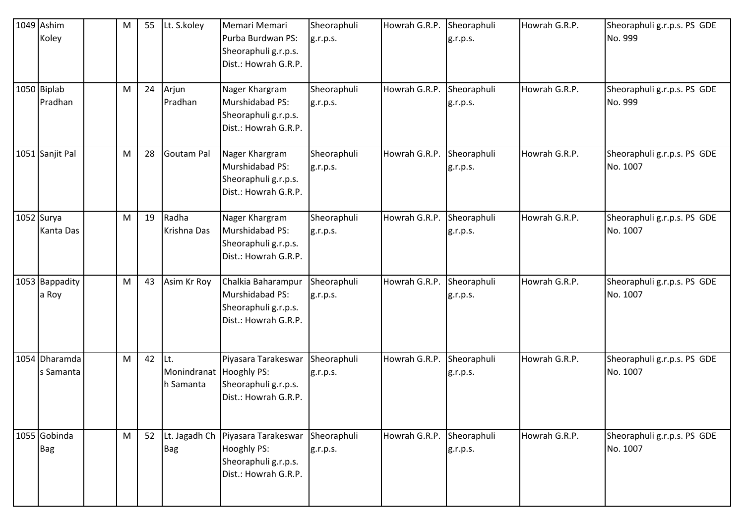| 1049 Ashim<br>Koley        | M         | 55 | Lt. S.koley                                 | Memari Memari<br>Purba Burdwan PS:<br>Sheoraphuli g.r.p.s.<br>Dist.: Howrah G.R.P.    | Sheoraphuli<br>g.r.p.s. | Howrah G.R.P. | Sheoraphuli<br>g.r.p.s. | Howrah G.R.P. | Sheoraphuli g.r.p.s. PS GDE<br>No. 999  |
|----------------------------|-----------|----|---------------------------------------------|---------------------------------------------------------------------------------------|-------------------------|---------------|-------------------------|---------------|-----------------------------------------|
| 1050 Biplab<br>Pradhan     | M         | 24 | Arjun<br>Pradhan                            | Nager Khargram<br>Murshidabad PS:<br>Sheoraphuli g.r.p.s.<br>Dist.: Howrah G.R.P.     | Sheoraphuli<br>g.r.p.s. | Howrah G.R.P. | Sheoraphuli<br>g.r.p.s. | Howrah G.R.P. | Sheoraphuli g.r.p.s. PS GDE<br>No. 999  |
| 1051 Sanjit Pal            | M         | 28 | Goutam Pal                                  | Nager Khargram<br>Murshidabad PS:<br>Sheoraphuli g.r.p.s.<br>Dist.: Howrah G.R.P.     | Sheoraphuli<br>g.r.p.s. | Howrah G.R.P. | Sheoraphuli<br>g.r.p.s. | Howrah G.R.P. | Sheoraphuli g.r.p.s. PS GDE<br>No. 1007 |
| $1052$ Surya<br>Kanta Das  | M         | 19 | Radha<br>Krishna Das                        | Nager Khargram<br>Murshidabad PS:<br>Sheoraphuli g.r.p.s.<br>Dist.: Howrah G.R.P.     | Sheoraphuli<br>g.r.p.s. | Howrah G.R.P. | Sheoraphuli<br>g.r.p.s. | Howrah G.R.P. | Sheoraphuli g.r.p.s. PS GDE<br>No. 1007 |
| 1053 Bappadity<br>a Roy    | M         | 43 | Asim Kr Roy                                 | Chalkia Baharampur<br>Murshidabad PS:<br>Sheoraphuli g.r.p.s.<br>Dist.: Howrah G.R.P. | Sheoraphuli<br>g.r.p.s. | Howrah G.R.P. | Sheoraphuli<br>g.r.p.s. | Howrah G.R.P. | Sheoraphuli g.r.p.s. PS GDE<br>No. 1007 |
| 1054 Dharamda<br>s Samanta | ${\sf M}$ | 42 | Lt.<br>Monindranat Hooghly PS:<br>h Samanta | Piyasara Tarakeswar<br>Sheoraphuli g.r.p.s.<br>Dist.: Howrah G.R.P.                   | Sheoraphuli<br>g.r.p.s. | Howrah G.R.P. | Sheoraphuli<br>g.r.p.s. | Howrah G.R.P. | Sheoraphuli g.r.p.s. PS GDE<br>No. 1007 |
| 1055 Gobinda<br><b>Bag</b> | M         | 52 | Lt. Jagadh Ch<br><b>Bag</b>                 | Piyasara Tarakeswar<br>Hooghly PS:<br>Sheoraphuli g.r.p.s.<br>Dist.: Howrah G.R.P.    | Sheoraphuli<br>g.r.p.s. | Howrah G.R.P. | Sheoraphuli<br>g.r.p.s. | Howrah G.R.P. | Sheoraphuli g.r.p.s. PS GDE<br>No. 1007 |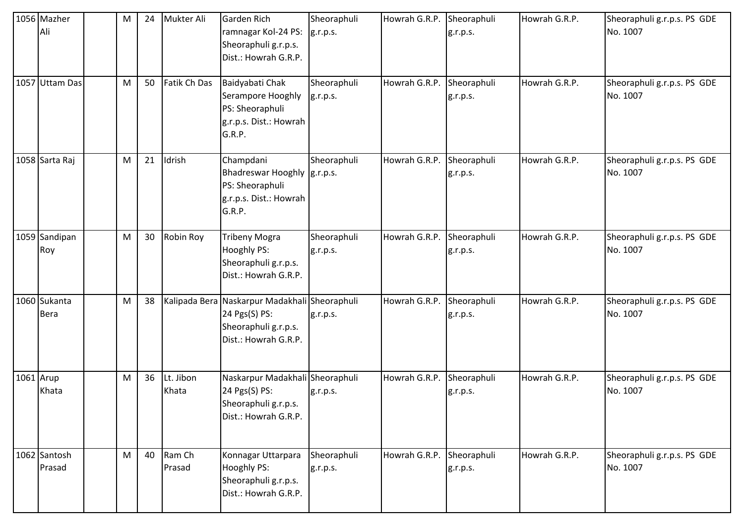| 1056 Mazher<br>Ali          | м | 24 | Mukter Ali         | <b>Garden Rich</b><br>ramnagar Kol-24 PS:<br>Sheoraphuli g.r.p.s.<br>Dist.: Howrah G.R.P.                      | Sheoraphuli<br>g.r.p.s. | Howrah G.R.P. Sheoraphuli | g.r.p.s.                | Howrah G.R.P. | Sheoraphuli g.r.p.s. PS GDE<br>No. 1007 |
|-----------------------------|---|----|--------------------|----------------------------------------------------------------------------------------------------------------|-------------------------|---------------------------|-------------------------|---------------|-----------------------------------------|
| 1057 Uttam Das              | M | 50 | Fatik Ch Das       | Baidyabati Chak<br>Serampore Hooghly<br>PS: Sheoraphuli<br>g.r.p.s. Dist.: Howrah<br>G.R.P.                    | Sheoraphuli<br>g.r.p.s. | Howrah G.R.P.             | Sheoraphuli<br>g.r.p.s. | Howrah G.R.P. | Sheoraphuli g.r.p.s. PS GDE<br>No. 1007 |
| 1058 Sarta Raj              | M | 21 | Idrish             | Champdani<br>Bhadreswar Hooghly  g.r.p.s.<br>PS: Sheoraphuli<br>g.r.p.s. Dist.: Howrah<br>G.R.P.               | Sheoraphuli             | Howrah G.R.P.             | Sheoraphuli<br>g.r.p.s. | Howrah G.R.P. | Sheoraphuli g.r.p.s. PS GDE<br>No. 1007 |
| 1059 Sandipan<br>Roy        | M | 30 | Robin Roy          | <b>Tribeny Mogra</b><br>Hooghly PS:<br>Sheoraphuli g.r.p.s.<br>Dist.: Howrah G.R.P.                            | Sheoraphuli<br>g.r.p.s. | Howrah G.R.P.             | Sheoraphuli<br>g.r.p.s. | Howrah G.R.P. | Sheoraphuli g.r.p.s. PS GDE<br>No. 1007 |
| 1060 Sukanta<br><b>Bera</b> | M | 38 |                    | Kalipada Bera Naskarpur Madakhali Sheoraphuli<br>24 Pgs(S) PS:<br>Sheoraphuli g.r.p.s.<br>Dist.: Howrah G.R.P. | g.r.p.s.                | Howrah G.R.P.             | Sheoraphuli<br>g.r.p.s. | Howrah G.R.P. | Sheoraphuli g.r.p.s. PS GDE<br>No. 1007 |
| 1061 Arup<br>Khata          | M | 36 | Lt. Jibon<br>Khata | Naskarpur Madakhali Sheoraphuli<br>24 Pgs(S) PS:<br>Sheoraphuli g.r.p.s.<br>Dist.: Howrah G.R.P.               | g.r.p.s.                | Howrah G.R.P. Sheoraphuli | g.r.p.s.                | Howrah G.R.P. | Sheoraphuli g.r.p.s. PS GDE<br>No. 1007 |
| 1062 Santosh<br>Prasad      | M | 40 | Ram Ch<br>Prasad   | Konnagar Uttarpara<br>Hooghly PS:<br>Sheoraphuli g.r.p.s.<br>Dist.: Howrah G.R.P.                              | Sheoraphuli<br>g.r.p.s. | Howrah G.R.P.             | Sheoraphuli<br>g.r.p.s. | Howrah G.R.P. | Sheoraphuli g.r.p.s. PS GDE<br>No. 1007 |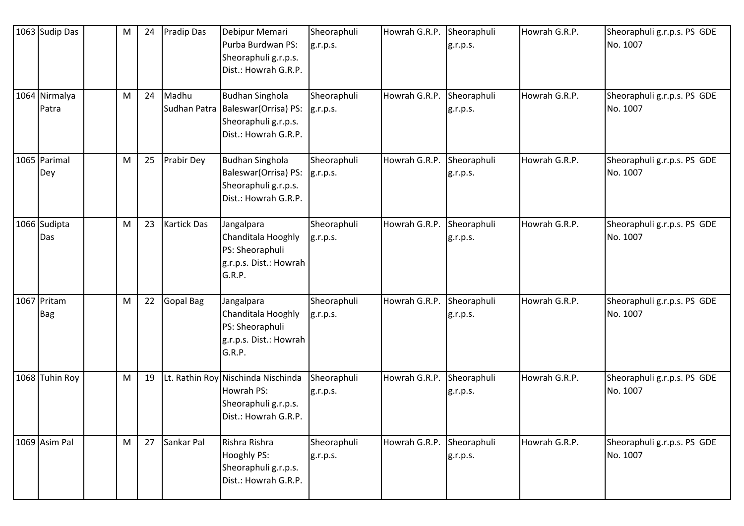| 1063 Sudip Das            | M | 24 | <b>Pradip Das</b>     | Debipur Memari<br>Purba Burdwan PS:<br>Sheoraphuli g.r.p.s.<br>Dist.: Howrah G.R.P.              | Sheoraphuli<br>g.r.p.s. | Howrah G.R.P. Sheoraphuli | g.r.p.s.                | Howrah G.R.P. | Sheoraphuli g.r.p.s. PS GDE<br>No. 1007 |
|---------------------------|---|----|-----------------------|--------------------------------------------------------------------------------------------------|-------------------------|---------------------------|-------------------------|---------------|-----------------------------------------|
| 1064 Nirmalya<br>Patra    | M | 24 | Madhu<br>Sudhan Patra | <b>Budhan Singhola</b><br>Baleswar (Orrisa) PS:<br>Sheoraphuli g.r.p.s.<br>Dist.: Howrah G.R.P.  | Sheoraphuli<br>g.r.p.s. | Howrah G.R.P.             | Sheoraphuli<br>g.r.p.s. | Howrah G.R.P. | Sheoraphuli g.r.p.s. PS GDE<br>No. 1007 |
| 1065 Parimal<br>Dey       | M | 25 | <b>Prabir Dey</b>     | <b>Budhan Singhola</b><br>Baleswar (Orrisa) PS:<br>Sheoraphuli g.r.p.s.<br>Dist.: Howrah G.R.P.  | Sheoraphuli<br>g.r.p.s. | Howrah G.R.P.             | Sheoraphuli<br>g.r.p.s. | Howrah G.R.P. | Sheoraphuli g.r.p.s. PS GDE<br>No. 1007 |
| 1066 Sudipta<br>Das       | M | 23 | <b>Kartick Das</b>    | Jangalpara<br>Chanditala Hooghly<br>PS: Sheoraphuli<br>g.r.p.s. Dist.: Howrah<br>G.R.P.          | Sheoraphuli<br>g.r.p.s. | Howrah G.R.P.             | Sheoraphuli<br>g.r.p.s. | Howrah G.R.P. | Sheoraphuli g.r.p.s. PS GDE<br>No. 1007 |
| 1067 Pritam<br><b>Bag</b> | M | 22 | Gopal Bag             | Jangalpara<br>Chanditala Hooghly<br>PS: Sheoraphuli<br>g.r.p.s. Dist.: Howrah<br>G.R.P.          | Sheoraphuli<br>g.r.p.s. | Howrah G.R.P.             | Sheoraphuli<br>g.r.p.s. | Howrah G.R.P. | Sheoraphuli g.r.p.s. PS GDE<br>No. 1007 |
| 1068 Tuhin Roy            | M | 19 |                       | Lt. Rathin Roy Nischinda Nischinda<br>Howrah PS:<br>Sheoraphuli g.r.p.s.<br>Dist.: Howrah G.R.P. | Sheoraphuli<br>g.r.p.s. | Howrah G.R.P.             | Sheoraphuli<br>g.r.p.s. | Howrah G.R.P. | Sheoraphuli g.r.p.s. PS GDE<br>No. 1007 |
| 1069 Asim Pal             | M | 27 | Sankar Pal            | Rishra Rishra<br><b>Hooghly PS:</b><br>Sheoraphuli g.r.p.s.<br>Dist.: Howrah G.R.P.              | Sheoraphuli<br>g.r.p.s. | Howrah G.R.P.             | Sheoraphuli<br>g.r.p.s. | Howrah G.R.P. | Sheoraphuli g.r.p.s. PS GDE<br>No. 1007 |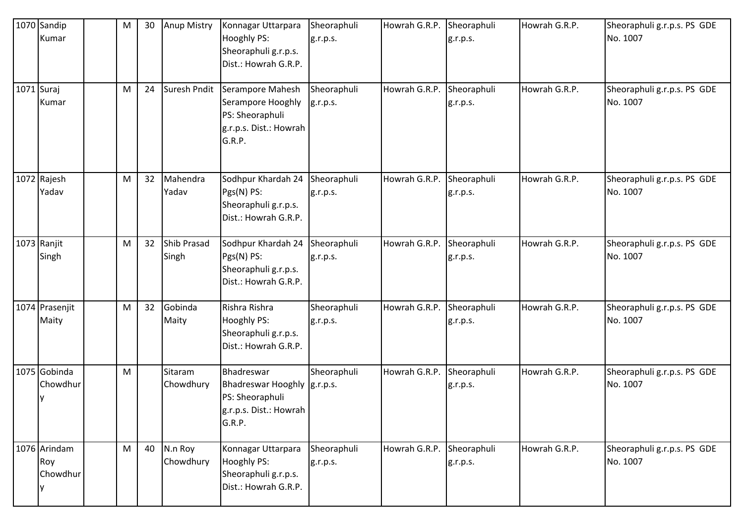| 1070 Sandip<br>Kumar            | M | 30 | <b>Anup Mistry</b>   | Konnagar Uttarpara<br>Hooghly PS:<br>Sheoraphuli g.r.p.s.<br>Dist.: Howrah G.R.P.                 | Sheoraphuli<br>g.r.p.s. | Howrah G.R.P.             | Sheoraphuli<br>g.r.p.s. | Howrah G.R.P. | Sheoraphuli g.r.p.s. PS GDE<br>No. 1007 |
|---------------------------------|---|----|----------------------|---------------------------------------------------------------------------------------------------|-------------------------|---------------------------|-------------------------|---------------|-----------------------------------------|
| 1071 Suraj<br>Kumar             | M | 24 | Suresh Pndit         | Serampore Mahesh<br>Serampore Hooghly<br>PS: Sheoraphuli<br>g.r.p.s. Dist.: Howrah<br>G.R.P.      | Sheoraphuli<br>g.r.p.s. | Howrah G.R.P.             | Sheoraphuli<br>g.r.p.s. | Howrah G.R.P. | Sheoraphuli g.r.p.s. PS GDE<br>No. 1007 |
| 1072 Rajesh<br>Yadav            | M | 32 | Mahendra<br>Yadav    | Sodhpur Khardah 24<br>Pgs(N) PS:<br>Sheoraphuli g.r.p.s.<br>Dist.: Howrah G.R.P.                  | Sheoraphuli<br>g.r.p.s. | Howrah G.R.P.             | Sheoraphuli<br>g.r.p.s. | Howrah G.R.P. | Sheoraphuli g.r.p.s. PS GDE<br>No. 1007 |
| 1073 Ranjit<br>Singh            | M | 32 | Shib Prasad<br>Singh | Sodhpur Khardah 24<br>Pgs(N) PS:<br>Sheoraphuli g.r.p.s.<br>Dist.: Howrah G.R.P.                  | Sheoraphuli<br>g.r.p.s. | Howrah G.R.P.             | Sheoraphuli<br>g.r.p.s. | Howrah G.R.P. | Sheoraphuli g.r.p.s. PS GDE<br>No. 1007 |
| 1074 Prasenjit<br>Maity         | M | 32 | Gobinda<br>Maity     | Rishra Rishra<br>Hooghly PS:<br>Sheoraphuli g.r.p.s.<br>Dist.: Howrah G.R.P.                      | Sheoraphuli<br>g.r.p.s. | Howrah G.R.P.             | Sheoraphuli<br>g.r.p.s. | Howrah G.R.P. | Sheoraphuli g.r.p.s. PS GDE<br>No. 1007 |
| 1075 Gobinda<br>Chowdhur        | M |    | Sitaram<br>Chowdhury | Bhadreswar<br>Bhadreswar Hooghly  g.r.p.s.<br>PS: Sheoraphuli<br>g.r.p.s. Dist.: Howrah<br>G.R.P. | Sheoraphuli             | Howrah G.R.P. Sheoraphuli | g.r.p.s.                | Howrah G.R.P. | Sheoraphuli g.r.p.s. PS GDE<br>No. 1007 |
| 1076 Arindam<br>Roy<br>Chowdhur | M | 40 | N.n Roy<br>Chowdhury | Konnagar Uttarpara<br>Hooghly PS:<br>Sheoraphuli g.r.p.s.<br>Dist.: Howrah G.R.P.                 | Sheoraphuli<br>g.r.p.s. | Howrah G.R.P.             | Sheoraphuli<br>g.r.p.s. | Howrah G.R.P. | Sheoraphuli g.r.p.s. PS GDE<br>No. 1007 |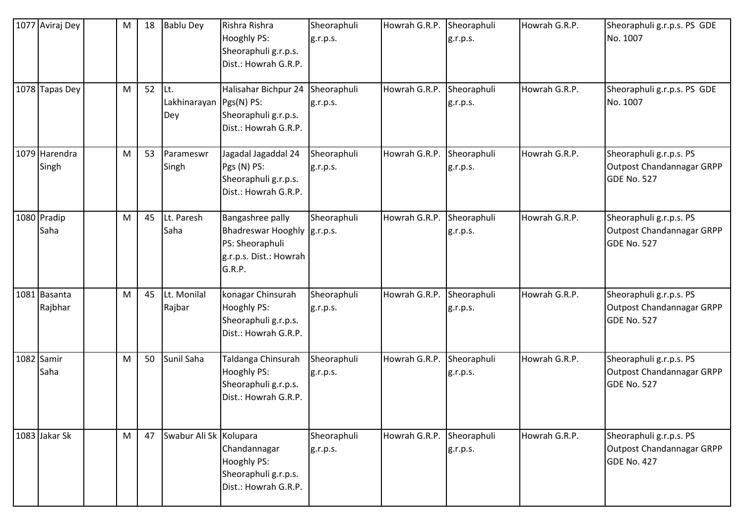| 1077 Aviraj Dey         | M | 18 | <b>Bablu Dey</b>                      | Rishra Rishra<br>Hooghly PS:<br>Sheoraphuli g.r.p.s.<br>Dist.: Howrah G.R.P.                           | Sheoraphuli<br>g.r.p.s. | Howrah G.R.P.             | Sheoraphuli<br>g.r.p.s. | Howrah G.R.P. | Sheoraphuli g.r.p.s. PS GDE<br>No. 1007                                    |
|-------------------------|---|----|---------------------------------------|--------------------------------------------------------------------------------------------------------|-------------------------|---------------------------|-------------------------|---------------|----------------------------------------------------------------------------|
| 1078 Tapas Dey          | M | 52 | Lt.<br>Lakhinarayan Pgs(N) PS:<br>Dey | Halisahar Bichpur 24<br>Sheoraphuli g.r.p.s.<br>Dist.: Howrah G.R.P.                                   | Sheoraphuli<br>g.r.p.s. | Howrah G.R.P.             | Sheoraphuli<br>g.r.p.s. | Howrah G.R.P. | Sheoraphuli g.r.p.s. PS GDE<br>No. 1007                                    |
| 1079 Harendra<br>Singh  | M | 53 | Parameswr<br>Singh                    | Jagadal Jagaddal 24<br>Pgs (N) PS:<br>Sheoraphuli g.r.p.s.<br>Dist.: Howrah G.R.P.                     | Sheoraphuli<br>g.r.p.s. | Howrah G.R.P. Sheoraphuli | g.r.p.s.                | Howrah G.R.P. | Sheoraphuli g.r.p.s. PS<br>Outpost Chandannagar GRPP<br><b>GDE No. 527</b> |
| 1080 Pradip<br>Saha     | M | 45 | Lt. Paresh<br>Saha                    | Bangashree pally<br>Bhadreswar Hooghly g.r.p.s.<br>PS: Sheoraphuli<br>g.r.p.s. Dist.: Howrah<br>G.R.P. | Sheoraphuli             | Howrah G.R.P.             | Sheoraphuli<br>g.r.p.s. | Howrah G.R.P. | Sheoraphuli g.r.p.s. PS<br>Outpost Chandannagar GRPP<br><b>GDE No. 527</b> |
| 1081 Basanta<br>Rajbhar | M | 45 | Lt. Monilal<br>Rajbar                 | konagar Chinsurah<br>Hooghly PS:<br>Sheoraphuli g.r.p.s.<br>Dist.: Howrah G.R.P.                       | Sheoraphuli<br>g.r.p.s. | Howrah G.R.P.             | Sheoraphuli<br>g.r.p.s. | Howrah G.R.P. | Sheoraphuli g.r.p.s. PS<br>Outpost Chandannagar GRPP<br><b>GDE No. 527</b> |
| 1082 Samir<br>Saha      | M | 50 | Sunil Saha                            | Taldanga Chinsurah<br>Hooghly PS:<br>Sheoraphuli g.r.p.s.<br>Dist.: Howrah G.R.P.                      | Sheoraphuli<br>g.r.p.s. | Howrah G.R.P.             | Sheoraphuli<br>g.r.p.s. | Howrah G.R.P. | Sheoraphuli g.r.p.s. PS<br>Outpost Chandannagar GRPP<br><b>GDE No. 527</b> |
| 1083 Jakar Sk           | M | 47 | Swabur Ali Sk Kolupara                | Chandannagar<br>Hooghly PS:<br>Sheoraphuli g.r.p.s.<br>Dist.: Howrah G.R.P.                            | Sheoraphuli<br>g.r.p.s. | Howrah G.R.P.             | Sheoraphuli<br>g.r.p.s. | Howrah G.R.P. | Sheoraphuli g.r.p.s. PS<br>Outpost Chandannagar GRPP<br>GDE No. 427        |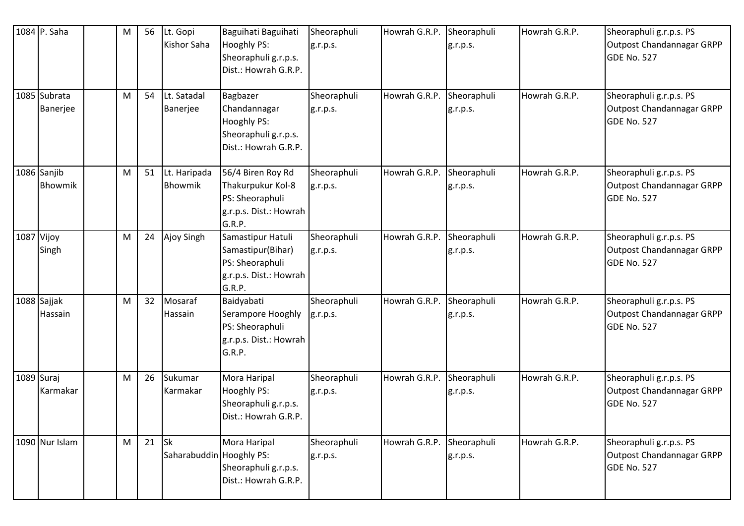| 1084 P. Saha             | M | 56 | Lt. Gopi<br>Kishor Saha               | Baguihati Baguihati<br>Hooghly PS:<br>Sheoraphuli g.r.p.s.<br>Dist.: Howrah G.R.P.            | Sheoraphuli<br>g.r.p.s. | Howrah G.R.P. | Sheoraphuli<br>g.r.p.s. | Howrah G.R.P. | Sheoraphuli g.r.p.s. PS<br>Outpost Chandannagar GRPP<br><b>GDE No. 527</b>        |
|--------------------------|---|----|---------------------------------------|-----------------------------------------------------------------------------------------------|-------------------------|---------------|-------------------------|---------------|-----------------------------------------------------------------------------------|
| 1085 Subrata<br>Banerjee | M | 54 | Lt. Satadal<br>Banerjee               | Bagbazer<br>Chandannagar<br>Hooghly PS:<br>Sheoraphuli g.r.p.s.<br>Dist.: Howrah G.R.P.       | Sheoraphuli<br>g.r.p.s. | Howrah G.R.P. | Sheoraphuli<br>g.r.p.s. | Howrah G.R.P. | Sheoraphuli g.r.p.s. PS<br>Outpost Chandannagar GRPP<br><b>GDE No. 527</b>        |
| 1086 Sanjib<br>Bhowmik   | M | 51 | Lt. Haripada<br>Bhowmik               | 56/4 Biren Roy Rd<br>Thakurpukur Kol-8<br>PS: Sheoraphuli<br>g.r.p.s. Dist.: Howrah<br>G.R.P. | Sheoraphuli<br>g.r.p.s. | Howrah G.R.P. | Sheoraphuli<br>g.r.p.s. | Howrah G.R.P. | Sheoraphuli g.r.p.s. PS<br>Outpost Chandannagar GRPP<br><b>GDE No. 527</b>        |
| 1087 Vijoy<br>Singh      | M | 24 | Ajoy Singh                            | Samastipur Hatuli<br>Samastipur(Bihar)<br>PS: Sheoraphuli<br>g.r.p.s. Dist.: Howrah<br>G.R.P. | Sheoraphuli<br>g.r.p.s. | Howrah G.R.P. | Sheoraphuli<br>g.r.p.s. | Howrah G.R.P. | Sheoraphuli g.r.p.s. PS<br>Outpost Chandannagar GRPP<br><b>GDE No. 527</b>        |
| 1088 Sajjak<br>Hassain   | M | 32 | Mosaraf<br>Hassain                    | Baidyabati<br>Serampore Hooghly<br>PS: Sheoraphuli<br>g.r.p.s. Dist.: Howrah<br>G.R.P.        | Sheoraphuli<br>g.r.p.s. | Howrah G.R.P. | Sheoraphuli<br>g.r.p.s. | Howrah G.R.P. | Sheoraphuli g.r.p.s. PS<br><b>Outpost Chandannagar GRPP</b><br><b>GDE No. 527</b> |
| 1089 Suraj<br>Karmakar   | M | 26 | Sukumar<br>Karmakar                   | Mora Haripal<br>Hooghly PS:<br>Sheoraphuli g.r.p.s.<br>Dist.: Howrah G.R.P.                   | Sheoraphuli<br>g.r.p.s. | Howrah G.R.P. | Sheoraphuli<br>g.r.p.s. | Howrah G.R.P. | Sheoraphuli g.r.p.s. PS<br>Outpost Chandannagar GRPP<br><b>GDE No. 527</b>        |
| 1090 Nur Islam           | M | 21 | <b>Sk</b><br>Saharabuddin Hooghly PS: | Mora Haripal<br>Sheoraphuli g.r.p.s.<br>Dist.: Howrah G.R.P.                                  | Sheoraphuli<br>g.r.p.s. | Howrah G.R.P. | Sheoraphuli<br>g.r.p.s. | Howrah G.R.P. | Sheoraphuli g.r.p.s. PS<br>Outpost Chandannagar GRPP<br><b>GDE No. 527</b>        |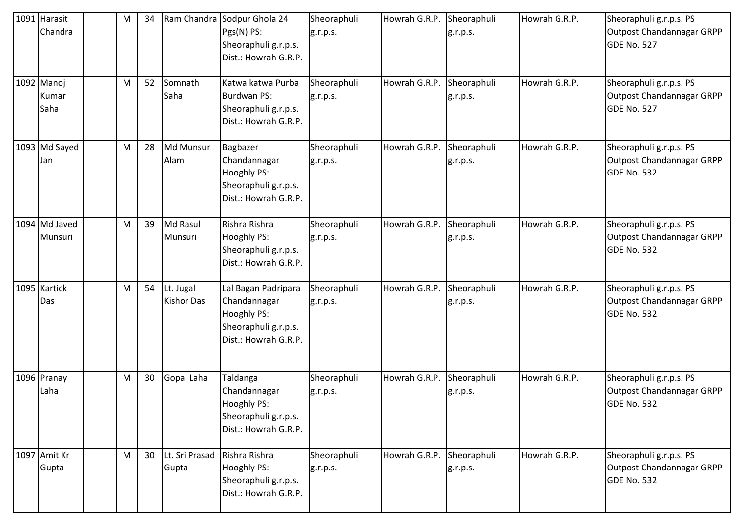| 1091 Harasit<br>Chandra     | M | 34 |                                | Ram Chandra Sodpur Ghola 24<br>Pgs(N) PS:<br>Sheoraphuli g.r.p.s.<br>Dist.: Howrah G.R.P.          | Sheoraphuli<br>g.r.p.s. | Howrah G.R.P. Sheoraphuli | g.r.p.s.                | Howrah G.R.P. | Sheoraphuli g.r.p.s. PS<br>Outpost Chandannagar GRPP<br><b>GDE No. 527</b> |
|-----------------------------|---|----|--------------------------------|----------------------------------------------------------------------------------------------------|-------------------------|---------------------------|-------------------------|---------------|----------------------------------------------------------------------------|
| 1092 Manoj<br>Kumar<br>Saha | M | 52 | Somnath<br>Saha                | Katwa katwa Purba<br><b>Burdwan PS:</b><br>Sheoraphuli g.r.p.s.<br>Dist.: Howrah G.R.P.            | Sheoraphuli<br>g.r.p.s. | Howrah G.R.P. Sheoraphuli | g.r.p.s.                | Howrah G.R.P. | Sheoraphuli g.r.p.s. PS<br>Outpost Chandannagar GRPP<br><b>GDE No. 527</b> |
| 1093 Md Sayed<br>Jan        | M | 28 | Md Munsur<br>Alam              | Bagbazer<br>Chandannagar<br>Hooghly PS:<br>Sheoraphuli g.r.p.s.<br>Dist.: Howrah G.R.P.            | Sheoraphuli<br>g.r.p.s. | Howrah G.R.P.             | Sheoraphuli<br>g.r.p.s. | Howrah G.R.P. | Sheoraphuli g.r.p.s. PS<br>Outpost Chandannagar GRPP<br><b>GDE No. 532</b> |
| 1094 Md Javed<br>Munsuri    | M | 39 | Md Rasul<br>Munsuri            | Rishra Rishra<br>Hooghly PS:<br>Sheoraphuli g.r.p.s.<br>Dist.: Howrah G.R.P.                       | Sheoraphuli<br>g.r.p.s. | Howrah G.R.P.             | Sheoraphuli<br>g.r.p.s. | Howrah G.R.P. | Sheoraphuli g.r.p.s. PS<br>Outpost Chandannagar GRPP<br>GDE No. 532        |
| 1095 Kartick<br>Das         | M | 54 | Lt. Jugal<br><b>Kishor Das</b> | Lal Bagan Padripara<br>Chandannagar<br>Hooghly PS:<br>Sheoraphuli g.r.p.s.<br>Dist.: Howrah G.R.P. | Sheoraphuli<br>g.r.p.s. | Howrah G.R.P.             | Sheoraphuli<br>g.r.p.s. | Howrah G.R.P. | Sheoraphuli g.r.p.s. PS<br>Outpost Chandannagar GRPP<br>GDE No. 532        |
| 1096 Pranay<br>Laha         | M | 30 | Gopal Laha                     | Taldanga<br>Chandannagar<br>Hooghly PS:<br>Sheoraphuli g.r.p.s.<br>Dist.: Howrah G.R.P.            | Sheoraphuli<br>g.r.p.s. | Howrah G.R.P. Sheoraphuli | g.r.p.s.                | Howrah G.R.P. | Sheoraphuli g.r.p.s. PS<br>Outpost Chandannagar GRPP<br>GDE No. 532        |
| 1097 Amit Kr<br>Gupta       | M | 30 | Lt. Sri Prasad<br>Gupta        | Rishra Rishra<br><b>Hooghly PS:</b><br>Sheoraphuli g.r.p.s.<br>Dist.: Howrah G.R.P.                | Sheoraphuli<br>g.r.p.s. | Howrah G.R.P.             | Sheoraphuli<br>g.r.p.s. | Howrah G.R.P. | Sheoraphuli g.r.p.s. PS<br>Outpost Chandannagar GRPP<br>GDE No. 532        |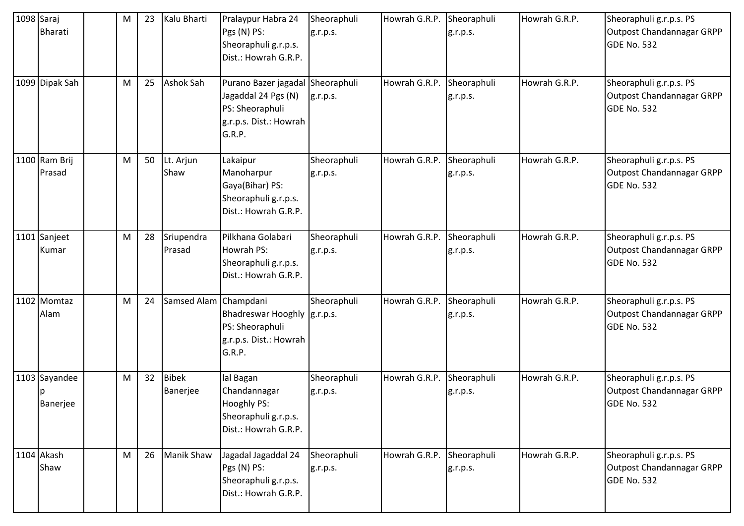| 1098 Saraj | <b>Bharati</b>            | M | 23 | Kalu Bharti              | Pralaypur Habra 24<br>Pgs (N) PS:<br>Sheoraphuli g.r.p.s.<br>Dist.: Howrah G.R.P.                              | Sheoraphuli<br>g.r.p.s. | Howrah G.R.P. Sheoraphuli | g.r.p.s.                | Howrah G.R.P. | Sheoraphuli g.r.p.s. PS<br><b>Outpost Chandannagar GRPP</b><br><b>GDE No. 532</b> |
|------------|---------------------------|---|----|--------------------------|----------------------------------------------------------------------------------------------------------------|-------------------------|---------------------------|-------------------------|---------------|-----------------------------------------------------------------------------------|
|            | 1099 Dipak Sah            | M | 25 | Ashok Sah                | Purano Bazer jagadal Sheoraphuli<br>Jagaddal 24 Pgs (N)<br>PS: Sheoraphuli<br>g.r.p.s. Dist.: Howrah<br>G.R.P. | g.r.p.s.                | Howrah G.R.P.             | Sheoraphuli<br>g.r.p.s. | Howrah G.R.P. | Sheoraphuli g.r.p.s. PS<br><b>Outpost Chandannagar GRPP</b><br><b>GDE No. 532</b> |
|            | 1100 Ram Brij<br>Prasad   | M | 50 | Lt. Arjun<br>Shaw        | Lakaipur<br>Manoharpur<br>Gaya(Bihar) PS:<br>Sheoraphuli g.r.p.s.<br>Dist.: Howrah G.R.P.                      | Sheoraphuli<br>g.r.p.s. | Howrah G.R.P.             | Sheoraphuli<br>g.r.p.s. | Howrah G.R.P. | Sheoraphuli g.r.p.s. PS<br>Outpost Chandannagar GRPP<br><b>GDE No. 532</b>        |
|            | 1101 Sanjeet<br>Kumar     | M | 28 | Sriupendra<br>Prasad     | Pilkhana Golabari<br>Howrah PS:<br>Sheoraphuli g.r.p.s.<br>Dist.: Howrah G.R.P.                                | Sheoraphuli<br>g.r.p.s. | Howrah G.R.P.             | Sheoraphuli<br>g.r.p.s. | Howrah G.R.P. | Sheoraphuli g.r.p.s. PS<br><b>Outpost Chandannagar GRPP</b><br><b>GDE No. 532</b> |
|            | 1102 Momtaz<br>Alam       | M | 24 | Samsed Alam              | Champdani<br>Bhadreswar Hooghly   g.r.p.s.<br>PS: Sheoraphuli<br>g.r.p.s. Dist.: Howrah<br>G.R.P.              | Sheoraphuli             | Howrah G.R.P.             | Sheoraphuli<br>g.r.p.s. | Howrah G.R.P. | Sheoraphuli g.r.p.s. PS<br>Outpost Chandannagar GRPP<br><b>GDE No. 532</b>        |
|            | 1103 Sayandee<br>Banerjee | M | 32 | <b>Bibek</b><br>Banerjee | lal Bagan<br>Chandannagar<br>Hooghly PS:<br>Sheoraphuli g.r.p.s.<br>Dist.: Howrah G.R.P.                       | Sheoraphuli<br>g.r.p.s. | Howrah G.R.P. Sheoraphuli | g.r.p.s.                | Howrah G.R.P. | Sheoraphuli g.r.p.s. PS<br><b>Outpost Chandannagar GRPP</b><br><b>GDE No. 532</b> |
|            | 1104 Akash<br>Shaw        | M | 26 | <b>Manik Shaw</b>        | Jagadal Jagaddal 24<br>Pgs (N) PS:<br>Sheoraphuli g.r.p.s.<br>Dist.: Howrah G.R.P.                             | Sheoraphuli<br>g.r.p.s. | Howrah G.R.P.             | Sheoraphuli<br>g.r.p.s. | Howrah G.R.P. | Sheoraphuli g.r.p.s. PS<br><b>Outpost Chandannagar GRPP</b><br><b>GDE No. 532</b> |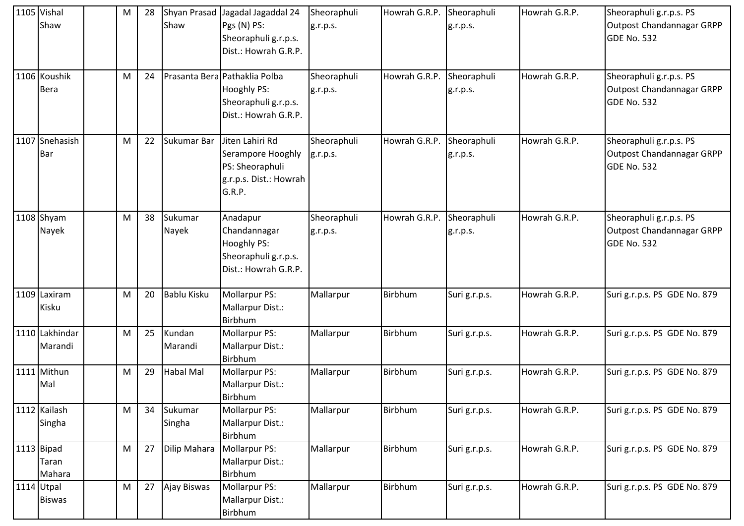| 1105 Vishal<br>Shaw           | M | 28 | Shaw               | Shyan Prasad Jagadal Jagaddal 24<br>Pgs (N) PS:<br>Sheoraphuli g.r.p.s.<br>Dist.: Howrah G.R.P.     | Sheoraphuli<br>g.r.p.s. | Howrah G.R.P. Sheoraphuli | g.r.p.s.                | Howrah G.R.P. | Sheoraphuli g.r.p.s. PS<br>Outpost Chandannagar GRPP<br>GDE No. 532 |
|-------------------------------|---|----|--------------------|-----------------------------------------------------------------------------------------------------|-------------------------|---------------------------|-------------------------|---------------|---------------------------------------------------------------------|
| 1106 Koushik<br><b>Bera</b>   | м | 24 |                    | Prasanta Bera Pathaklia Polba<br><b>Hooghly PS:</b><br>Sheoraphuli g.r.p.s.<br>Dist.: Howrah G.R.P. | Sheoraphuli<br>g.r.p.s. | Howrah G.R.P.             | Sheoraphuli<br>g.r.p.s. | Howrah G.R.P. | Sheoraphuli g.r.p.s. PS<br>Outpost Chandannagar GRPP<br>GDE No. 532 |
| 1107 Snehasish<br><b>Bar</b>  | М | 22 | Sukumar Bar        | Jiten Lahiri Rd<br>Serampore Hooghly<br>PS: Sheoraphuli<br>g.r.p.s. Dist.: Howrah<br>G.R.P.         | Sheoraphuli<br>g.r.p.s. | Howrah G.R.P.             | Sheoraphuli<br>g.r.p.s. | Howrah G.R.P. | Sheoraphuli g.r.p.s. PS<br>Outpost Chandannagar GRPP<br>GDE No. 532 |
| 1108 Shyam<br>Nayek           | M | 38 | Sukumar<br>Nayek   | Anadapur<br>Chandannagar<br>Hooghly PS:<br>Sheoraphuli g.r.p.s.<br>Dist.: Howrah G.R.P.             | Sheoraphuli<br>g.r.p.s. | Howrah G.R.P.             | Sheoraphuli<br>g.r.p.s. | Howrah G.R.P. | Sheoraphuli g.r.p.s. PS<br>Outpost Chandannagar GRPP<br>GDE No. 532 |
| 1109 Laxiram<br>Kisku         | M | 20 | <b>Bablu Kisku</b> | <b>Mollarpur PS:</b><br>Mallarpur Dist.:<br>Birbhum                                                 | Mallarpur               | Birbhum                   | Suri g.r.p.s.           | Howrah G.R.P. | Suri g.r.p.s. PS GDE No. 879                                        |
| 1110 Lakhindar<br>Marandi     | M | 25 | Kundan<br>Marandi  | <b>Mollarpur PS:</b><br>Mallarpur Dist.:<br>Birbhum                                                 | Mallarpur               | Birbhum                   | Suri g.r.p.s.           | Howrah G.R.P. | Suri g.r.p.s. PS GDE No. 879                                        |
| 1111 Mithun<br>Mal            | M | 29 | <b>Habal Mal</b>   | Mollarpur PS:<br>Mallarpur Dist.:<br>Birbhum                                                        | Mallarpur               | Birbhum                   | Suri g.r.p.s.           | Howrah G.R.P. | Suri g.r.p.s. PS GDE No. 879                                        |
| 1112 Kailash<br>Singha        | M | 34 | Sukumar<br>Singha  | <b>Mollarpur PS:</b><br>Mallarpur Dist.:<br>Birbhum                                                 | Mallarpur               | Birbhum                   | Suri g.r.p.s.           | Howrah G.R.P. | Suri g.r.p.s. PS GDE No. 879                                        |
| 1113 Bipad<br>Taran<br>Mahara | M | 27 | Dilip Mahara       | Mollarpur PS:<br>Mallarpur Dist.:<br>Birbhum                                                        | Mallarpur               | Birbhum                   | Suri g.r.p.s.           | Howrah G.R.P. | Suri g.r.p.s. PS GDE No. 879                                        |
| 1114 Utpal<br><b>Biswas</b>   | M | 27 | Ajay Biswas        | Mollarpur PS:<br>Mallarpur Dist.:<br>Birbhum                                                        | Mallarpur               | Birbhum                   | Suri g.r.p.s.           | Howrah G.R.P. | Suri g.r.p.s. PS GDE No. 879                                        |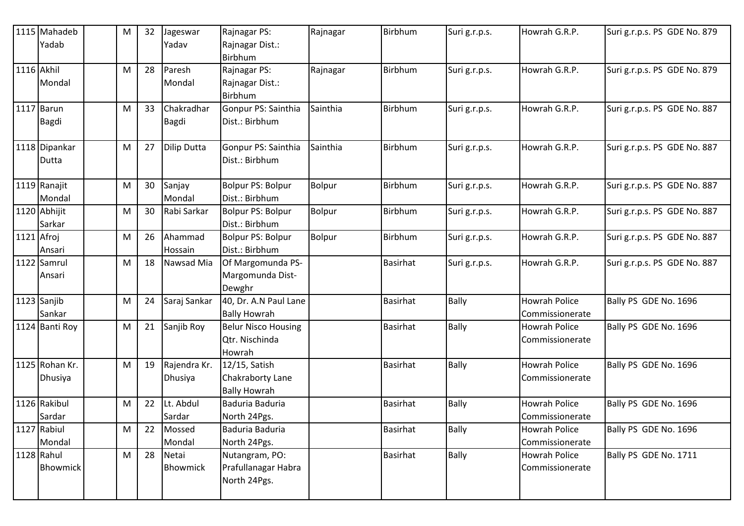|            | 1115 Mahadeb   | М | 32 | Jageswar           | Rajnagar PS:               | Rajnagar      | Birbhum         | Suri g.r.p.s. | Howrah G.R.P.        | Suri g.r.p.s. PS GDE No. 879 |
|------------|----------------|---|----|--------------------|----------------------------|---------------|-----------------|---------------|----------------------|------------------------------|
|            | Yadab          |   |    | Yadav              | Rajnagar Dist.:            |               |                 |               |                      |                              |
|            |                |   |    |                    | Birbhum                    |               |                 |               |                      |                              |
| 1116 Akhil |                | м | 28 | Paresh             | Rajnagar PS:               | Rajnagar      | Birbhum         | Suri g.r.p.s. | Howrah G.R.P.        | Suri g.r.p.s. PS GDE No. 879 |
|            | Mondal         |   |    | Mondal             | Rajnagar Dist.:            |               |                 |               |                      |                              |
|            |                |   |    |                    | Birbhum                    |               |                 |               |                      |                              |
|            | 1117 Barun     | м | 33 | Chakradhar         | Gonpur PS: Sainthia        | Sainthia      | Birbhum         | Suri g.r.p.s. | Howrah G.R.P.        | Suri g.r.p.s. PS GDE No. 887 |
|            | <b>Bagdi</b>   |   |    | <b>Bagdi</b>       | Dist.: Birbhum             |               |                 |               |                      |                              |
|            |                |   |    |                    |                            |               |                 |               |                      |                              |
|            | 1118 Dipankar  | м | 27 | <b>Dilip Dutta</b> | Gonpur PS: Sainthia        | Sainthia      | Birbhum         | Suri g.r.p.s. | Howrah G.R.P.        | Suri g.r.p.s. PS GDE No. 887 |
|            | Dutta          |   |    |                    | Dist.: Birbhum             |               |                 |               |                      |                              |
|            |                |   |    |                    |                            |               |                 |               |                      |                              |
|            | 1119 Ranajit   | м | 30 | Sanjay             | Bolpur PS: Bolpur          | Bolpur        | Birbhum         | Suri g.r.p.s. | Howrah G.R.P.        | Suri g.r.p.s. PS GDE No. 887 |
|            | Mondal         |   |    | Mondal             | Dist.: Birbhum             |               |                 |               |                      |                              |
|            | 1120 Abhijit   | M | 30 | Rabi Sarkar        | Bolpur PS: Bolpur          | Bolpur        | Birbhum         | Suri g.r.p.s. | Howrah G.R.P.        | Suri g.r.p.s. PS GDE No. 887 |
|            | Sarkar         |   |    |                    | Dist.: Birbhum             |               |                 |               |                      |                              |
| 1121 Afroj |                | м | 26 | Ahammad            | <b>Bolpur PS: Bolpur</b>   | <b>Bolpur</b> | Birbhum         | Suri g.r.p.s. | Howrah G.R.P.        | Suri g.r.p.s. PS GDE No. 887 |
|            | Ansari         |   |    | Hossain            | Dist.: Birbhum             |               |                 |               |                      |                              |
|            | 1122 Samrul    | м | 18 | Nawsad Mia         | Of Margomunda PS-          |               | <b>Basirhat</b> | Suri g.r.p.s. | Howrah G.R.P.        | Suri g.r.p.s. PS GDE No. 887 |
|            | Ansari         |   |    |                    | Margomunda Dist-           |               |                 |               |                      |                              |
|            |                |   |    |                    | Dewghr                     |               |                 |               |                      |                              |
|            | 1123 Sanjib    | м | 24 | Saraj Sankar       | 40, Dr. A.N Paul Lane      |               | <b>Basirhat</b> | <b>Bally</b>  | <b>Howrah Police</b> | Bally PS GDE No. 1696        |
|            | Sankar         |   |    |                    | <b>Bally Howrah</b>        |               |                 |               | Commissionerate      |                              |
|            | 1124 Banti Roy | м | 21 | Sanjib Roy         | <b>Belur Nisco Housing</b> |               | <b>Basirhat</b> | Bally         | <b>Howrah Police</b> | Bally PS GDE No. 1696        |
|            |                |   |    |                    | Qtr. Nischinda             |               |                 |               | Commissionerate      |                              |
|            |                |   |    |                    | Howrah                     |               |                 |               |                      |                              |
|            | 1125 Rohan Kr. | M | 19 | Rajendra Kr.       | 12/15, Satish              |               | Basirhat        | <b>Bally</b>  | <b>Howrah Police</b> | Bally PS GDE No. 1696        |
|            | Dhusiya        |   |    | Dhusiya            | Chakraborty Lane           |               |                 |               | Commissionerate      |                              |
|            |                |   |    |                    | <b>Bally Howrah</b>        |               |                 |               |                      |                              |
|            | 1126 Rakibul   | M | 22 | Lt. Abdul          | Baduria Baduria            |               | <b>Basirhat</b> | <b>Bally</b>  | <b>Howrah Police</b> | Bally PS GDE No. 1696        |
|            | Sardar         |   |    | Sardar             | North 24Pgs.               |               |                 |               | Commissionerate      |                              |
|            | 1127 Rabiul    | M | 22 | Mossed             | Baduria Baduria            |               | <b>Basirhat</b> | Bally         | <b>Howrah Police</b> | Bally PS GDE No. 1696        |
|            | Mondal         |   |    | Mondal             | North 24Pgs.               |               |                 |               | Commissionerate      |                              |
|            | 1128 Rahul     | M | 28 | Netai              | Nutangram, PO:             |               | Basirhat        | <b>Bally</b>  | <b>Howrah Police</b> | Bally PS GDE No. 1711        |
|            | Bhowmick       |   |    | <b>Bhowmick</b>    | Prafullanagar Habra        |               |                 |               | Commissionerate      |                              |
|            |                |   |    |                    | North 24Pgs.               |               |                 |               |                      |                              |
|            |                |   |    |                    |                            |               |                 |               |                      |                              |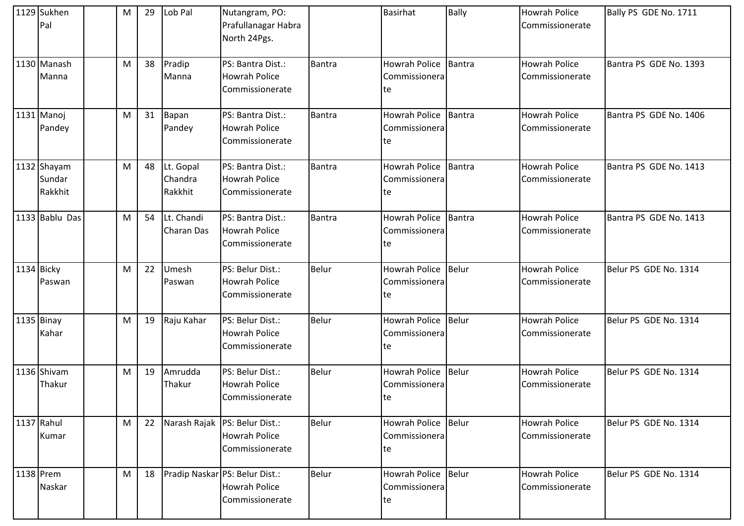|            | 1129 Sukhen<br>Pal               | M | 29 | Lob Pal                         | Nutangram, PO:<br>Prafullanagar Habra<br>North 24Pgs.                      |               | <b>Basirhat</b>                             | Bally         | Howrah Police<br>Commissionerate        | Bally PS GDE No. 1711  |
|------------|----------------------------------|---|----|---------------------------------|----------------------------------------------------------------------------|---------------|---------------------------------------------|---------------|-----------------------------------------|------------------------|
|            | 1130 Manash<br>Manna             | M | 38 | Pradip<br>Manna                 | PS: Bantra Dist.:<br><b>Howrah Police</b><br>Commissionerate               | Bantra        | <b>Howrah Police</b><br>Commissionera<br>te | <b>Bantra</b> | <b>Howrah Police</b><br>Commissionerate | Bantra PS GDE No. 1393 |
|            | 1131 Manoj<br>Pandey             | M | 31 | Bapan<br>Pandey                 | PS: Bantra Dist.:<br><b>Howrah Police</b><br>Commissionerate               | Bantra        | <b>Howrah Police</b><br>Commissionera<br>te | <b>Bantra</b> | <b>Howrah Police</b><br>Commissionerate | Bantra PS GDE No. 1406 |
|            | 1132 Shayam<br>Sundar<br>Rakkhit | M | 48 | Lt. Gopal<br>Chandra<br>Rakkhit | PS: Bantra Dist.:<br><b>Howrah Police</b><br>Commissionerate               | <b>Bantra</b> | <b>Howrah Police</b><br>Commissionera<br>te | Bantra        | <b>Howrah Police</b><br>Commissionerate | Bantra PS GDE No. 1413 |
|            | 1133 Bablu Das                   | M | 54 | Lt. Chandi<br>Charan Das        | PS: Bantra Dist.:<br><b>Howrah Police</b><br>Commissionerate               | Bantra        | <b>Howrah Police</b><br>Commissionera<br>te | <b>Bantra</b> | <b>Howrah Police</b><br>Commissionerate | Bantra PS GDE No. 1413 |
| 1134 Bicky | Paswan                           | M | 22 | Umesh<br>Paswan                 | PS: Belur Dist.:<br><b>Howrah Police</b><br>Commissionerate                | Belur         | Howrah Police<br>Commissionera<br>te        | Belur         | <b>Howrah Police</b><br>Commissionerate | Belur PS GDE No. 1314  |
|            | 1135 Binay<br>Kahar              | M | 19 | Raju Kahar                      | PS: Belur Dist.:<br><b>Howrah Police</b><br>Commissionerate                | <b>Belur</b>  | Howrah Police<br>Commissionera<br>te        | <b>Belur</b>  | <b>Howrah Police</b><br>Commissionerate | Belur PS GDE No. 1314  |
|            | 1136 Shivam<br>Thakur            | M | 19 | Amrudda<br>Thakur               | PS: Belur Dist.:<br><b>Howrah Police</b><br>Commissionerate                | <b>Belur</b>  | Howrah Police<br>Commissionera<br>te        | <b>Belur</b>  | <b>Howrah Police</b><br>Commissionerate | Belur PS GDE No. 1314  |
|            | 1137 Rahul<br>Kumar              | M | 22 |                                 | Narash Rajak   PS: Belur Dist.:<br><b>Howrah Police</b><br>Commissionerate | <b>Belur</b>  | <b>Howrah Police</b><br>Commissionera<br>te | <b>Belur</b>  | Howrah Police<br>Commissionerate        | Belur PS GDE No. 1314  |
|            | 1138 Prem<br>Naskar              | M | 18 |                                 | Pradip Naskar PS: Belur Dist.:<br><b>Howrah Police</b><br>Commissionerate  | <b>Belur</b>  | Howrah Police<br>Commissionera<br>te        | Belur         | Howrah Police<br>Commissionerate        | Belur PS GDE No. 1314  |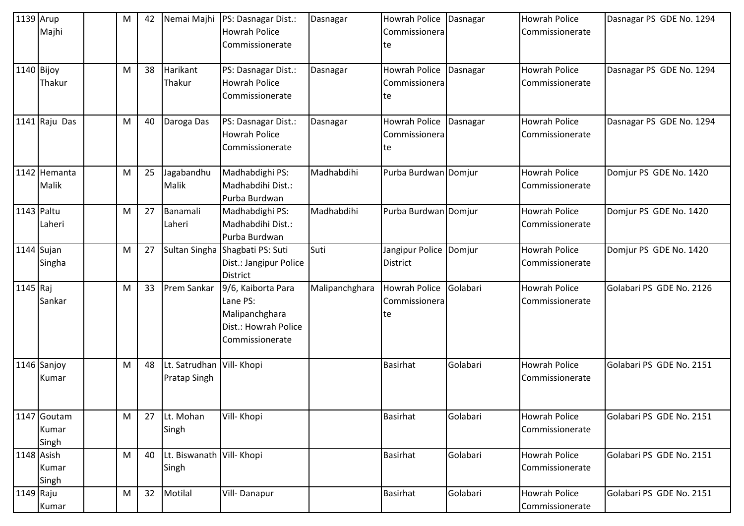| 1139 Arup  | Majhi                         | M | 42 | Nemai Majhi                                      | PS: Dasnagar Dist.:<br><b>Howrah Police</b><br>Commissionerate                              | Dasnagar       | Howrah Police<br>Commissionera<br>te        | Dasnagar | <b>Howrah Police</b><br>Commissionerate | Dasnagar PS GDE No. 1294 |
|------------|-------------------------------|---|----|--------------------------------------------------|---------------------------------------------------------------------------------------------|----------------|---------------------------------------------|----------|-----------------------------------------|--------------------------|
| 1140 Bijoy | Thakur                        | M | 38 | Harikant<br>Thakur                               | PS: Dasnagar Dist.:<br><b>Howrah Police</b><br>Commissionerate                              | Dasnagar       | Howrah Police<br>Commissionera<br>te        | Dasnagar | <b>Howrah Police</b><br>Commissionerate | Dasnagar PS GDE No. 1294 |
|            | 1141 Raju Das                 | M | 40 | Daroga Das                                       | PS: Dasnagar Dist.:<br><b>Howrah Police</b><br>Commissionerate                              | Dasnagar       | Howrah Police<br>Commissionera<br>te        | Dasnagar | <b>Howrah Police</b><br>Commissionerate | Dasnagar PS GDE No. 1294 |
|            | 1142 Hemanta<br>Malik         | M | 25 | Jagabandhu<br>Malik                              | Madhabdighi PS:<br>Madhabdihi Dist.:<br>Purba Burdwan                                       | Madhabdihi     | Purba Burdwan Domjur                        |          | <b>Howrah Police</b><br>Commissionerate | Domjur PS GDE No. 1420   |
| 1143 Paltu | Laheri                        | M | 27 | Banamali<br>Laheri                               | Madhabdighi PS:<br>Madhabdihi Dist.:<br>Purba Burdwan                                       | Madhabdihi     | Purba Burdwan Domjur                        |          | <b>Howrah Police</b><br>Commissionerate | Domjur PS GDE No. 1420   |
|            | $1144$ Sujan<br>Singha        | M | 27 |                                                  | Sultan Singha Shagbati PS: Suti<br>Dist.: Jangipur Police<br><b>District</b>                | Suti           | Jangipur Police Domjur<br>District          |          | <b>Howrah Police</b><br>Commissionerate | Domjur PS GDE No. 1420   |
| 1145 Raj   | Sankar                        | M | 33 | Prem Sankar                                      | 9/6, Kaiborta Para<br>Lane PS:<br>Malipanchghara<br>Dist.: Howrah Police<br>Commissionerate | Malipanchghara | <b>Howrah Police</b><br>Commissionera<br>te | Golabari | <b>Howrah Police</b><br>Commissionerate | Golabari PS GDE No. 2126 |
|            | 1146 Sanjoy<br>Kumar          | M | 48 | Lt. Satrudhan Vill- Khopi<br><b>Pratap Singh</b> |                                                                                             |                | <b>Basirhat</b>                             | Golabari | <b>Howrah Police</b><br>Commissionerate | Golabari PS GDE No. 2151 |
|            | 1147 Goutam<br>Kumar<br>Singh | M | 27 | Lt. Mohan<br>Singh                               | Vill- Khopi                                                                                 |                | Basirhat                                    | Golabari | <b>Howrah Police</b><br>Commissionerate | Golabari PS GDE No. 2151 |
| 1148 Asish | Kumar<br>Singh                | M | 40 | Lt. Biswanath Vill- Khopi<br>Singh               |                                                                                             |                | <b>Basirhat</b>                             | Golabari | <b>Howrah Police</b><br>Commissionerate | Golabari PS GDE No. 2151 |
| 1149 Raju  | Kumar                         | M | 32 | Motilal                                          | Vill-Danapur                                                                                |                | <b>Basirhat</b>                             | Golabari | <b>Howrah Police</b><br>Commissionerate | Golabari PS GDE No. 2151 |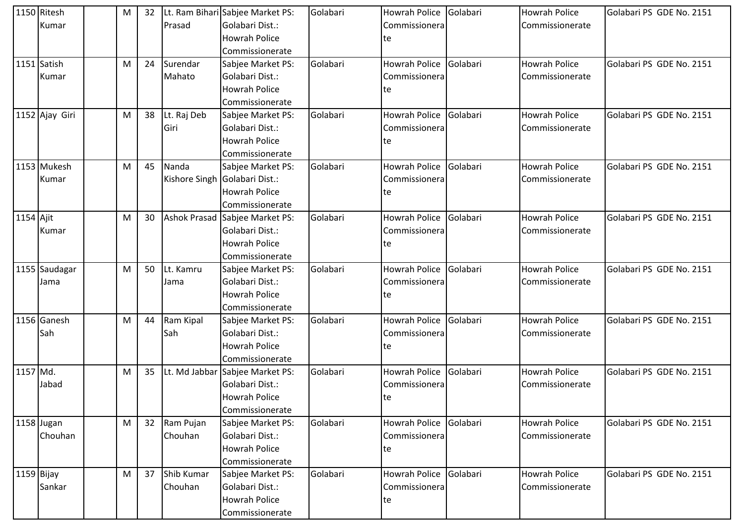|              | 1150 Ritesh    | M | 32 |             | Lt. Ram Bihari Sabjee Market PS: | Golabari | <b>Howrah Police</b> | Golabari | <b>Howrah Police</b> | Golabari PS GDE No. 2151 |
|--------------|----------------|---|----|-------------|----------------------------------|----------|----------------------|----------|----------------------|--------------------------|
|              | Kumar          |   |    | Prasad      | Golabari Dist.:                  |          | Commissionera        |          | Commissionerate      |                          |
|              |                |   |    |             | <b>Howrah Police</b>             |          | te                   |          |                      |                          |
|              |                |   |    |             | Commissionerate                  |          |                      |          |                      |                          |
|              | 1151 Satish    | M | 24 | Surendar    | Sabjee Market PS:                | Golabari | <b>Howrah Police</b> | Golabari | <b>Howrah Police</b> | Golabari PS GDE No. 2151 |
|              | Kumar          |   |    | Mahato      | Golabari Dist.:                  |          | Commissionera        |          | Commissionerate      |                          |
|              |                |   |    |             | <b>Howrah Police</b>             |          | te                   |          |                      |                          |
|              |                |   |    |             | Commissionerate                  |          |                      |          |                      |                          |
|              | 1152 Ajay Giri | M | 38 | Lt. Raj Deb | Sabjee Market PS:                | Golabari | <b>Howrah Police</b> | Golabari | <b>Howrah Police</b> | Golabari PS GDE No. 2151 |
|              |                |   |    | Giri        | Golabari Dist.:                  |          | Commissionera        |          | Commissionerate      |                          |
|              |                |   |    |             | <b>Howrah Police</b>             |          | te                   |          |                      |                          |
|              |                |   |    |             | Commissionerate                  |          |                      |          |                      |                          |
|              | 1153 Mukesh    | M | 45 | Nanda       | Sabjee Market PS:                | Golabari | <b>Howrah Police</b> | Golabari | <b>Howrah Police</b> | Golabari PS GDE No. 2151 |
|              | Kumar          |   |    |             | Kishore Singh Golabari Dist.:    |          | Commissionera        |          | Commissionerate      |                          |
|              |                |   |    |             | <b>Howrah Police</b>             |          | te                   |          |                      |                          |
|              |                |   |    |             | Commissionerate                  |          |                      |          |                      |                          |
| 1154 Ajit    |                | M | 30 |             | Ashok Prasad Sabjee Market PS:   | Golabari | <b>Howrah Police</b> | Golabari | <b>Howrah Police</b> | Golabari PS GDE No. 2151 |
|              | Kumar          |   |    |             | Golabari Dist.:                  |          | Commissionera        |          | Commissionerate      |                          |
|              |                |   |    |             | <b>Howrah Police</b>             |          | te                   |          |                      |                          |
|              |                |   |    |             | Commissionerate                  |          |                      |          |                      |                          |
|              | 1155 Saudagar  | M | 50 | Lt. Kamru   | Sabjee Market PS:                | Golabari | <b>Howrah Police</b> | Golabari | <b>Howrah Police</b> | Golabari PS GDE No. 2151 |
|              | Jama           |   |    | Jama        | Golabari Dist.:                  |          | Commissionera        |          | Commissionerate      |                          |
|              |                |   |    |             | <b>Howrah Police</b>             |          | te                   |          |                      |                          |
|              |                |   |    |             | Commissionerate                  |          |                      |          |                      |                          |
|              | 1156 Ganesh    | M | 44 | Ram Kipal   | Sabjee Market PS:                | Golabari | <b>Howrah Police</b> | Golabari | Howrah Police        | Golabari PS GDE No. 2151 |
|              | Sah            |   |    | Sah         | Golabari Dist.:                  |          | Commissionera        |          | Commissionerate      |                          |
|              |                |   |    |             | <b>Howrah Police</b>             |          | te                   |          |                      |                          |
|              |                |   |    |             | Commissionerate                  |          |                      |          |                      |                          |
| 1157 Md.     |                | M | 35 |             | Lt. Md Jabbar Sabjee Market PS:  | Golabari | Howrah Police        | Golabari | Howrah Police        | Golabari PS GDE No. 2151 |
|              | Jabad          |   |    |             | Golabari Dist.:                  |          | Commissionera        |          | Commissionerate      |                          |
|              |                |   |    |             | <b>Howrah Police</b>             |          | te                   |          |                      |                          |
|              |                |   |    |             | Commissionerate                  |          |                      |          |                      |                          |
|              | 1158 Jugan     | M | 32 | Ram Pujan   | Sabjee Market PS:                | Golabari | <b>Howrah Police</b> | Golabari | <b>Howrah Police</b> | Golabari PS GDE No. 2151 |
|              | Chouhan        |   |    | Chouhan     | Golabari Dist.:                  |          | Commissionera        |          | Commissionerate      |                          |
|              |                |   |    |             | <b>Howrah Police</b>             |          | te                   |          |                      |                          |
|              |                |   |    |             | Commissionerate                  |          |                      |          |                      |                          |
| $1159$ Bijay |                | M | 37 | Shib Kumar  | Sabjee Market PS:                | Golabari | Howrah Police        | Golabari | <b>Howrah Police</b> | Golabari PS GDE No. 2151 |
|              | Sankar         |   |    | Chouhan     | Golabari Dist.:                  |          | Commissionera        |          | Commissionerate      |                          |
|              |                |   |    |             | <b>Howrah Police</b>             |          | te                   |          |                      |                          |
|              |                |   |    |             | Commissionerate                  |          |                      |          |                      |                          |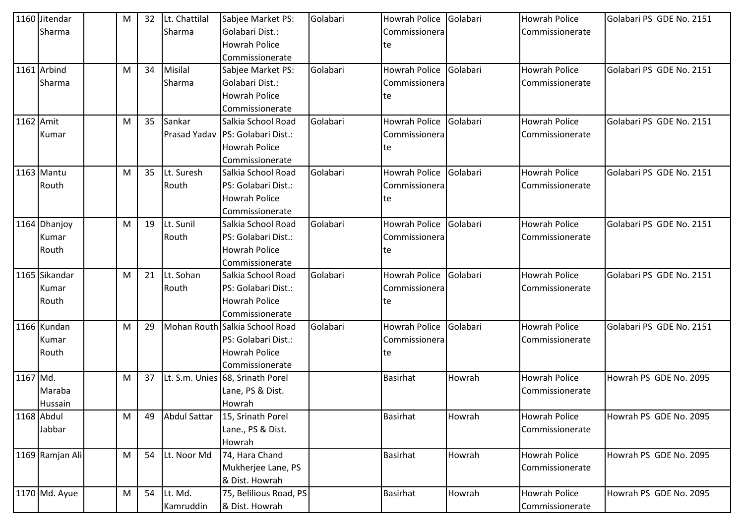|           | 1160 Jitendar   | M | 32 | Lt. Chattilal       | Sabjee Market PS:                | Golabari | Howrah Police        | Golabari | <b>Howrah Police</b> | Golabari PS GDE No. 2151 |
|-----------|-----------------|---|----|---------------------|----------------------------------|----------|----------------------|----------|----------------------|--------------------------|
|           | Sharma          |   |    | Sharma              | Golabari Dist.:                  |          | Commissionera        |          | Commissionerate      |                          |
|           |                 |   |    |                     | <b>Howrah Police</b>             |          | te                   |          |                      |                          |
|           |                 |   |    |                     | Commissionerate                  |          |                      |          |                      |                          |
|           | 1161 Arbind     | M | 34 | Misilal             | Sabjee Market PS:                | Golabari | Howrah Police        | Golabari | <b>Howrah Police</b> | Golabari PS GDE No. 2151 |
|           | Sharma          |   |    | Sharma              | Golabari Dist.:                  |          | Commissionera        |          | Commissionerate      |                          |
|           |                 |   |    |                     | <b>Howrah Police</b>             |          | te                   |          |                      |                          |
|           |                 |   |    |                     | Commissionerate                  |          |                      |          |                      |                          |
| 1162 Amit |                 | M | 35 | Sankar              | Salkia School Road               | Golabari | <b>Howrah Police</b> | Golabari | <b>Howrah Police</b> | Golabari PS GDE No. 2151 |
|           | Kumar           |   |    |                     | Prasad Yadav PS: Golabari Dist.: |          | Commissionera        |          | Commissionerate      |                          |
|           |                 |   |    |                     | Howrah Police                    |          | te                   |          |                      |                          |
|           |                 |   |    |                     | Commissionerate                  |          |                      |          |                      |                          |
|           | 1163 Mantu      | M | 35 | Lt. Suresh          | Salkia School Road               | Golabari | <b>Howrah Police</b> | Golabari | <b>Howrah Police</b> | Golabari PS GDE No. 2151 |
|           | Routh           |   |    | Routh               | PS: Golabari Dist.:              |          | Commissionera        |          | Commissionerate      |                          |
|           |                 |   |    |                     | <b>Howrah Police</b>             |          | te                   |          |                      |                          |
|           |                 |   |    |                     | Commissionerate                  |          |                      |          |                      |                          |
|           | 1164 Dhanjoy    | M | 19 | Lt. Sunil           | Salkia School Road               | Golabari | <b>Howrah Police</b> | Golabari | <b>Howrah Police</b> | Golabari PS GDE No. 2151 |
|           | Kumar           |   |    | Routh               | PS: Golabari Dist.:              |          | Commissionera        |          | Commissionerate      |                          |
|           | Routh           |   |    |                     | <b>Howrah Police</b>             |          | te                   |          |                      |                          |
|           |                 |   |    |                     | Commissionerate                  |          |                      |          |                      |                          |
|           | 1165 Sikandar   | M | 21 | Lt. Sohan           | Salkia School Road               | Golabari | <b>Howrah Police</b> | Golabari | <b>Howrah Police</b> | Golabari PS GDE No. 2151 |
|           | Kumar           |   |    | Routh               | PS: Golabari Dist.:              |          | Commissionera        |          | Commissionerate      |                          |
|           | Routh           |   |    |                     | <b>Howrah Police</b>             |          | te                   |          |                      |                          |
|           |                 |   |    |                     | Commissionerate                  |          |                      |          |                      |                          |
|           | 1166 Kundan     | М | 29 | Mohan Routh         | Salkia School Road               | Golabari | <b>Howrah Police</b> | Golabari | <b>Howrah Police</b> | Golabari PS GDE No. 2151 |
|           | Kumar           |   |    |                     | PS: Golabari Dist.:              |          | Commissionera        |          | Commissionerate      |                          |
|           | Routh           |   |    |                     | <b>Howrah Police</b>             |          | te                   |          |                      |                          |
|           |                 |   |    |                     | Commissionerate                  |          |                      |          |                      |                          |
| 1167 Md.  |                 | M | 37 |                     | Lt. S.m. Unies 68, Srinath Porel |          | <b>Basirhat</b>      | Howrah   | <b>Howrah Police</b> | Howrah PS GDE No. 2095   |
|           | Maraba          |   |    |                     | Lane, PS & Dist.                 |          |                      |          | Commissionerate      |                          |
|           | Hussain         |   |    |                     | Howrah                           |          |                      |          |                      |                          |
|           | 1168 Abdul      | M | 49 | <b>Abdul Sattar</b> | 15, Srinath Porel                |          | Basirhat             | Howrah   | <b>Howrah Police</b> | Howrah PS GDE No. 2095   |
|           | Jabbar          |   |    |                     | Lane., PS & Dist.                |          |                      |          | Commissionerate      |                          |
|           |                 |   |    |                     | Howrah                           |          |                      |          |                      |                          |
|           | 1169 Ramjan Ali | M | 54 | Lt. Noor Md         | 74, Hara Chand                   |          | Basirhat             | Howrah   | <b>Howrah Police</b> | Howrah PS GDE No. 2095   |
|           |                 |   |    |                     | Mukherjee Lane, PS               |          |                      |          | Commissionerate      |                          |
|           |                 |   |    |                     | & Dist. Howrah                   |          |                      |          |                      |                          |
|           | 1170 Md. Ayue   | M | 54 | Lt. Md.             | 75, Belilious Road, PS           |          | <b>Basirhat</b>      | Howrah   | <b>Howrah Police</b> | Howrah PS GDE No. 2095   |
|           |                 |   |    | Kamruddin           | & Dist. Howrah                   |          |                      |          | Commissionerate      |                          |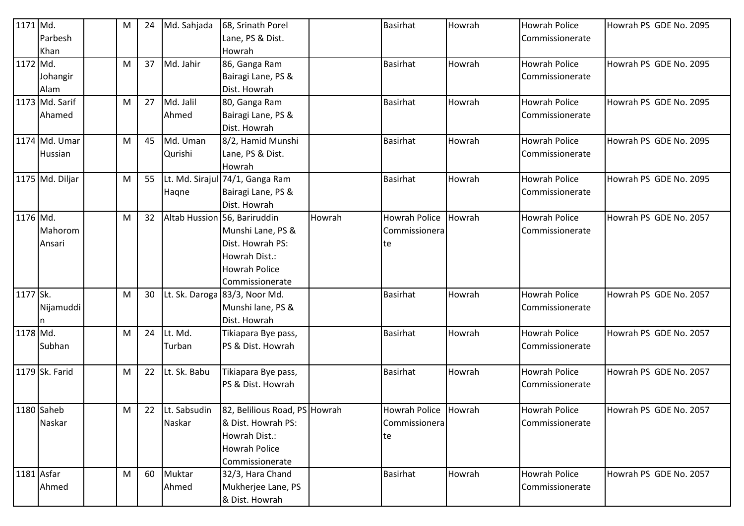| 1171 Md.   |                 | M | 24 | Md. Sahjada     | 68, Srinath Porel               |        | <b>Basirhat</b>      | Howrah | <b>Howrah Police</b> | Howrah PS GDE No. 2095 |
|------------|-----------------|---|----|-----------------|---------------------------------|--------|----------------------|--------|----------------------|------------------------|
|            | Parbesh         |   |    |                 | Lane, PS & Dist.                |        |                      |        | Commissionerate      |                        |
|            | Khan            |   |    |                 | Howrah                          |        |                      |        |                      |                        |
| 1172 Md.   |                 | М | 37 | Md. Jahir       | 86, Ganga Ram                   |        | <b>Basirhat</b>      | Howrah | <b>Howrah Police</b> | Howrah PS GDE No. 2095 |
|            | Johangir        |   |    |                 | Bairagi Lane, PS &              |        |                      |        | Commissionerate      |                        |
|            | Alam            |   |    |                 | Dist. Howrah                    |        |                      |        |                      |                        |
|            | 1173 Md. Sarif  | M | 27 | Md. Jalil       | 80, Ganga Ram                   |        | <b>Basirhat</b>      | Howrah | <b>Howrah Police</b> | Howrah PS GDE No. 2095 |
|            | Ahamed          |   |    | Ahmed           | Bairagi Lane, PS &              |        |                      |        | Commissionerate      |                        |
|            |                 |   |    |                 | Dist. Howrah                    |        |                      |        |                      |                        |
|            | 1174 Md. Umar   | M | 45 | Md. Uman        | 8/2, Hamid Munshi               |        | <b>Basirhat</b>      | Howrah | <b>Howrah Police</b> | Howrah PS GDE No. 2095 |
|            | Hussian         |   |    | Qurishi         | Lane, PS & Dist.                |        |                      |        | Commissionerate      |                        |
|            |                 |   |    |                 | Howrah                          |        |                      |        |                      |                        |
|            | 1175 Md. Diljar | M | 55 |                 | Lt. Md. Sirajul 74/1, Ganga Ram |        | Basirhat             | Howrah | <b>Howrah Police</b> | Howrah PS GDE No. 2095 |
|            |                 |   |    | Haqne           | Bairagi Lane, PS &              |        |                      |        | Commissionerate      |                        |
|            |                 |   |    |                 | Dist. Howrah                    |        |                      |        |                      |                        |
| 1176 Md.   |                 | M | 32 |                 | Altab Hussion 56, Bariruddin    | Howrah | <b>Howrah Police</b> | Howrah | <b>Howrah Police</b> | Howrah PS GDE No. 2057 |
|            | Mahorom         |   |    |                 | Munshi Lane, PS &               |        | Commissionera        |        | Commissionerate      |                        |
|            | Ansari          |   |    |                 | Dist. Howrah PS:                |        | te                   |        |                      |                        |
|            |                 |   |    |                 | Howrah Dist.:                   |        |                      |        |                      |                        |
|            |                 |   |    |                 | <b>Howrah Police</b>            |        |                      |        |                      |                        |
|            |                 |   |    |                 | Commissionerate                 |        |                      |        |                      |                        |
| 1177 Sk.   |                 | M | 30 |                 | Lt. Sk. Daroga 83/3, Noor Md.   |        | <b>Basirhat</b>      | Howrah | <b>Howrah Police</b> | Howrah PS GDE No. 2057 |
|            | Nijamuddi       |   |    |                 | Munshi lane, PS &               |        |                      |        | Commissionerate      |                        |
|            |                 |   |    |                 | Dist. Howrah                    |        |                      |        |                      |                        |
| 1178 Md.   |                 | M | 24 | Lt. Md.         | Tikiapara Bye pass,             |        | Basirhat             | Howrah | <b>Howrah Police</b> | Howrah PS GDE No. 2057 |
|            | Subhan          |   |    | Turban          | PS & Dist. Howrah               |        |                      |        | Commissionerate      |                        |
|            |                 |   |    |                 |                                 |        |                      |        |                      |                        |
|            | 1179 Sk. Farid  | М | 22 | Lt. Sk. Babu    | Tikiapara Bye pass,             |        | Basirhat             | Howrah | <b>Howrah Police</b> | Howrah PS GDE No. 2057 |
|            |                 |   |    |                 | PS & Dist. Howrah               |        |                      |        | Commissionerate      |                        |
|            |                 |   |    |                 |                                 |        |                      |        |                      |                        |
|            | 1180 Saheb      | M |    | 22 Lt. Sabsudin | 82, Belilious Road, PS Howrah   |        | Howrah Police Howrah |        | <b>Howrah Police</b> | Howrah PS GDE No. 2057 |
|            | Naskar          |   |    | Naskar          | & Dist. Howrah PS:              |        | Commissionera        |        | Commissionerate      |                        |
|            |                 |   |    |                 | Howrah Dist.:                   |        | te                   |        |                      |                        |
|            |                 |   |    |                 | Howrah Police                   |        |                      |        |                      |                        |
|            |                 |   |    |                 | Commissionerate                 |        |                      |        |                      |                        |
| 1181 Asfar |                 | M | 60 | Muktar          | 32/3, Hara Chand                |        | <b>Basirhat</b>      | Howrah | <b>Howrah Police</b> | Howrah PS GDE No. 2057 |
|            | Ahmed           |   |    | Ahmed           | Mukherjee Lane, PS              |        |                      |        | Commissionerate      |                        |
|            |                 |   |    |                 | & Dist. Howrah                  |        |                      |        |                      |                        |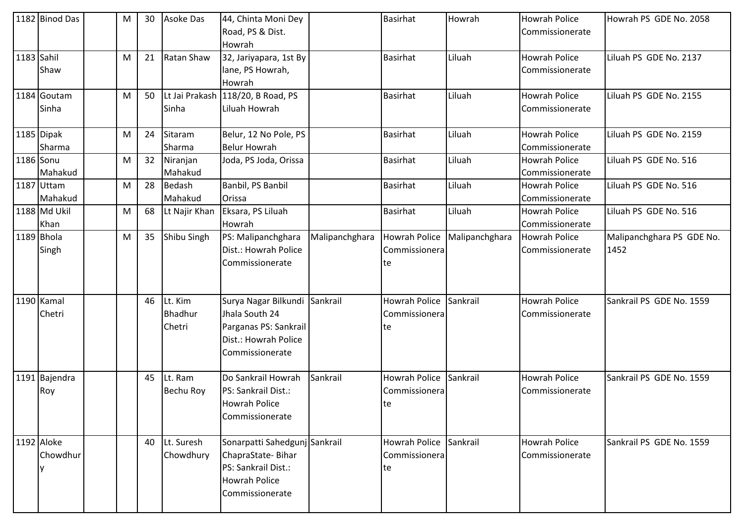|            | 1182 Binod Das        | M | 30 | <b>Asoke Das</b>             | 44, Chinta Moni Dey<br>Road, PS & Dist.                                                                              |                | <b>Basirhat</b>                             | Howrah         | <b>Howrah Police</b><br>Commissionerate | Howrah PS GDE No. 2058            |
|------------|-----------------------|---|----|------------------------------|----------------------------------------------------------------------------------------------------------------------|----------------|---------------------------------------------|----------------|-----------------------------------------|-----------------------------------|
| 1183 Sahil | Shaw                  | М | 21 | Ratan Shaw                   | Howrah<br>32, Jariyapara, 1st By<br>lane, PS Howrah,<br>Howrah                                                       |                | <b>Basirhat</b>                             | Liluah         | <b>Howrah Police</b><br>Commissionerate | Liluah PS GDE No. 2137            |
|            | 1184 Goutam<br>Sinha  | M | 50 | Sinha                        | Lt Jai Prakash 118/20, B Road, PS<br>Liluah Howrah                                                                   |                | <b>Basirhat</b>                             | Liluah         | <b>Howrah Police</b><br>Commissionerate | Liluah PS GDE No. 2155            |
|            | 1185 Dipak<br>Sharma  | M | 24 | Sitaram<br>Sharma            | Belur, 12 No Pole, PS<br><b>Belur Howrah</b>                                                                         |                | <b>Basirhat</b>                             | Liluah         | <b>Howrah Police</b><br>Commissionerate | Liluah PS GDE No. 2159            |
| 1186 Sonu  | Mahakud               | M | 32 | Niranjan<br>Mahakud          | Joda, PS Joda, Orissa                                                                                                |                | <b>Basirhat</b>                             | Liluah         | <b>Howrah Police</b><br>Commissionerate | Liluah PS GDE No. 516             |
|            | 1187 Uttam<br>Mahakud | M | 28 | Bedash<br>Mahakud            | Banbil, PS Banbil<br>Orissa                                                                                          |                | <b>Basirhat</b>                             | Liluah         | <b>Howrah Police</b><br>Commissionerate | Liluah PS GDE No. 516             |
|            | 1188 Md Ukil<br>Khan  | M | 68 | Lt Najir Khan                | Eksara, PS Liluah<br>Howrah                                                                                          |                | <b>Basirhat</b>                             | Liluah         | <b>Howrah Police</b><br>Commissionerate | Liluah PS GDE No. 516             |
| 1189 Bhola | Singh                 | M | 35 | Shibu Singh                  | PS: Malipanchghara<br>Dist.: Howrah Police<br>Commissionerate                                                        | Malipanchghara | <b>Howrah Police</b><br>Commissionera<br>te | Malipanchghara | <b>Howrah Police</b><br>Commissionerate | Malipanchghara PS GDE No.<br>1452 |
|            | 1190 Kamal<br>Chetri  |   | 46 | Lt. Kim<br>Bhadhur<br>Chetri | Surya Nagar Bilkundi Sankrail<br>Jhala South 24<br>Parganas PS: Sankrail<br>Dist.: Howrah Police<br>Commissionerate  |                | Howrah Police<br>Commissionera<br>te        | Sankrail       | <b>Howrah Police</b><br>Commissionerate | Sankrail PS GDE No. 1559          |
|            | 1191 Bajendra<br>Roy  |   | 45 | Lt. Ram<br>Bechu Roy         | Do Sankrail Howrah<br>PS: Sankrail Dist.:<br><b>Howrah Police</b><br>Commissionerate                                 | Sankrail       | Howrah Police<br>Commissionera<br>te        | Sankrail       | <b>Howrah Police</b><br>Commissionerate | Sankrail PS GDE No. 1559          |
| 1192 Aloke | Chowdhur              |   | 40 | Lt. Suresh<br>Chowdhury      | Sonarpatti Sahedgunj Sankrail<br>ChapraState-Bihar<br>PS: Sankrail Dist.:<br><b>Howrah Police</b><br>Commissionerate |                | Howrah Police<br>Commissionera<br>lte       | Sankrail       | <b>Howrah Police</b><br>Commissionerate | Sankrail PS GDE No. 1559          |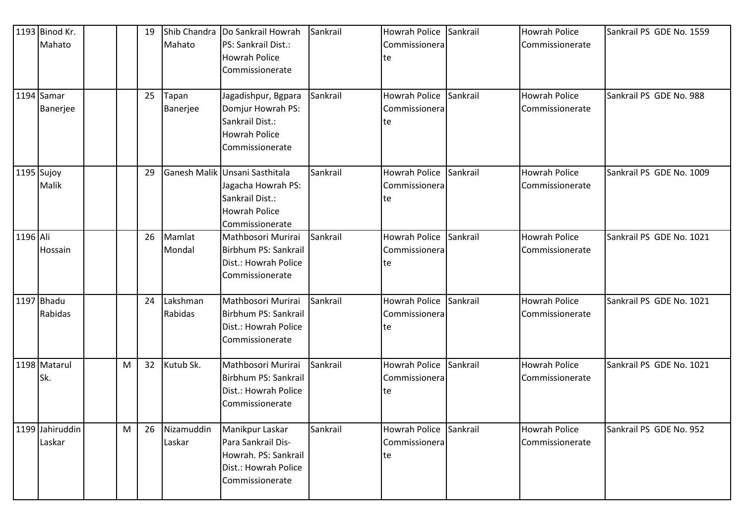|          | 1193 Binod Kr.            |   | 19 | Shib Chandra         | Do Sankrail Howrah                                                                                                 | Sankrail | <b>Howrah Police</b>                          | Sankrail | <b>Howrah Police</b>                    | Sankrail PS GDE No. 1559 |
|----------|---------------------------|---|----|----------------------|--------------------------------------------------------------------------------------------------------------------|----------|-----------------------------------------------|----------|-----------------------------------------|--------------------------|
|          | Mahato                    |   |    | Mahato               | PS: Sankrail Dist.:<br><b>Howrah Police</b><br>Commissionerate                                                     |          | Commissionera<br>te                           |          | Commissionerate                         |                          |
|          | 1194 Samar<br>Banerjee    |   | 25 | Tapan<br>Banerjee    | Jagadishpur, Bgpara<br>Domjur Howrah PS:<br>Sankrail Dist.:<br><b>Howrah Police</b><br>Commissionerate             | Sankrail | Howrah Police<br>Commissionera<br>te          | Sankrail | <b>Howrah Police</b><br>Commissionerate | Sankrail PS GDE No. 988  |
|          | 1195 Sujoy<br>Malik       |   | 29 |                      | Ganesh Malik Unsani Sasthitala<br>Jagacha Howrah PS:<br>Sankrail Dist.:<br><b>Howrah Police</b><br>Commissionerate | Sankrail | <b>Howrah Police</b><br>Commissionera<br>te   | Sankrail | <b>Howrah Police</b><br>Commissionerate | Sankrail PS GDE No. 1009 |
| 1196 Ali | Hossain                   |   | 26 | Mamlat<br>Mondal     | Mathbosori Murirai<br>Birbhum PS: Sankrail<br>Dist.: Howrah Police<br>Commissionerate                              | Sankrail | Howrah Police<br>Commissionera<br>te          | Sankrail | <b>Howrah Police</b><br>Commissionerate | Sankrail PS GDE No. 1021 |
|          | 1197 Bhadu<br>Rabidas     |   | 24 | Lakshman<br>Rabidas  | Mathbosori Murirai<br>Birbhum PS: Sankrail<br>Dist.: Howrah Police<br>Commissionerate                              | Sankrail | Howrah Police<br>Commissionera<br>te          | Sankrail | <b>Howrah Police</b><br>Commissionerate | Sankrail PS GDE No. 1021 |
|          | 1198 Matarul<br>Sk.       | M | 32 | Kutub Sk.            | Mathbosori Murirai<br>Birbhum PS: Sankrail<br>Dist.: Howrah Police<br>Commissionerate                              | Sankrail | Howrah Police<br>Commissionera<br>te          | Sankrail | <b>Howrah Police</b><br>Commissionerate | Sankrail PS GDE No. 1021 |
|          | 1199 Jahiruddin<br>Laskar | M | 26 | Nizamuddin<br>Laskar | Manikpur Laskar<br>Para Sankrail Dis-<br>Howrah. PS: Sankrail<br>Dist.: Howrah Police<br>Commissionerate           | Sankrail | Howrah Police Sankrail<br>Commissionera<br>te |          | <b>Howrah Police</b><br>Commissionerate | Sankrail PS GDE No. 952  |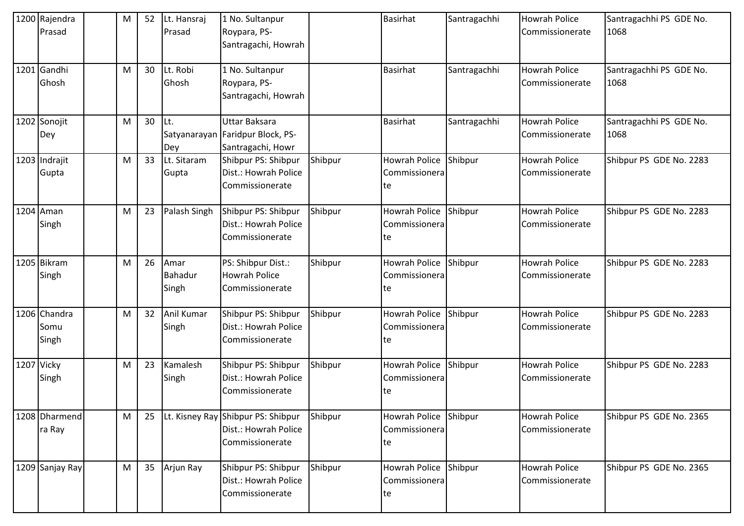| 1200 Rajendra   | M | 52 | Lt. Hansraj    | 1 No. Sultanpur                    |         | <b>Basirhat</b>      | Santragachhi | <b>Howrah Police</b> | Santragachhi PS GDE No. |
|-----------------|---|----|----------------|------------------------------------|---------|----------------------|--------------|----------------------|-------------------------|
| Prasad          |   |    | Prasad         | Roypara, PS-                       |         |                      |              | Commissionerate      | 1068                    |
|                 |   |    |                | Santragachi, Howrah                |         |                      |              |                      |                         |
| 1201 Gandhi     | M | 30 | Lt. Robi       | 1 No. Sultanpur                    |         | <b>Basirhat</b>      | Santragachhi | <b>Howrah Police</b> | Santragachhi PS GDE No. |
| Ghosh           |   |    | Ghosh          | Roypara, PS-                       |         |                      |              | Commissionerate      | 1068                    |
|                 |   |    |                | Santragachi, Howrah                |         |                      |              |                      |                         |
| 1202 Sonojit    | M | 30 | Lt.            | <b>Uttar Baksara</b>               |         | <b>Basirhat</b>      | Santragachhi | <b>Howrah Police</b> | Santragachhi PS GDE No. |
| Dey             |   |    |                | Satyanarayan Faridpur Block, PS-   |         |                      |              | Commissionerate      | 1068                    |
|                 |   |    | Dey            | Santragachi, Howr                  |         |                      |              |                      |                         |
| 1203 Indrajit   | M | 33 | Lt. Sitaram    | Shibpur PS: Shibpur                | Shibpur | <b>Howrah Police</b> | Shibpur      | <b>Howrah Police</b> | Shibpur PS GDE No. 2283 |
| Gupta           |   |    | Gupta          | Dist.: Howrah Police               |         | Commissionera        |              | Commissionerate      |                         |
|                 |   |    |                | Commissionerate                    |         | te                   |              |                      |                         |
| 1204 Aman       | M | 23 | Palash Singh   | Shibpur PS: Shibpur                | Shibpur | Howrah Police        | Shibpur      | <b>Howrah Police</b> | Shibpur PS GDE No. 2283 |
| Singh           |   |    |                | Dist.: Howrah Police               |         | Commissionera        |              | Commissionerate      |                         |
|                 |   |    |                | Commissionerate                    |         | te                   |              |                      |                         |
| 1205 Bikram     | M | 26 | Amar           | PS: Shibpur Dist.:                 | Shibpur | Howrah Police        | Shibpur      | <b>Howrah Police</b> | Shibpur PS GDE No. 2283 |
| Singh           |   |    | <b>Bahadur</b> | <b>Howrah Police</b>               |         | Commissionera        |              | Commissionerate      |                         |
|                 |   |    | Singh          | Commissionerate                    |         | te                   |              |                      |                         |
| 1206 Chandra    | M | 32 | Anil Kumar     | Shibpur PS: Shibpur                | Shibpur | Howrah Police        | Shibpur      | <b>Howrah Police</b> | Shibpur PS GDE No. 2283 |
| Somu            |   |    | Singh          | Dist.: Howrah Police               |         | Commissionera        |              | Commissionerate      |                         |
| Singh           |   |    |                | Commissionerate                    |         | te                   |              |                      |                         |
| 1207 Vicky      | M | 23 | Kamalesh       | Shibpur PS: Shibpur                | Shibpur | Howrah Police        | Shibpur      | <b>Howrah Police</b> | Shibpur PS GDE No. 2283 |
| Singh           |   |    | Singh          | Dist.: Howrah Police               |         | Commissionera        |              | Commissionerate      |                         |
|                 |   |    |                | Commissionerate                    |         | te                   |              |                      |                         |
| 1208 Dharmend   | M | 25 |                | Lt. Kisney Ray Shibpur PS: Shibpur | Shibpur | Howrah Police        | Shibpur      | <b>Howrah Police</b> | Shibpur PS GDE No. 2365 |
| ra Ray          |   |    |                | Dist.: Howrah Police               |         | Commissionera        |              | Commissionerate      |                         |
|                 |   |    |                | Commissionerate                    |         | te                   |              |                      |                         |
| 1209 Sanjay Ray | M | 35 | Arjun Ray      | Shibpur PS: Shibpur                | Shibpur | Howrah Police        | Shibpur      | <b>Howrah Police</b> | Shibpur PS GDE No. 2365 |
|                 |   |    |                | Dist.: Howrah Police               |         | Commissionera        |              | Commissionerate      |                         |
|                 |   |    |                | Commissionerate                    |         | te                   |              |                      |                         |
|                 |   |    |                |                                    |         |                      |              |                      |                         |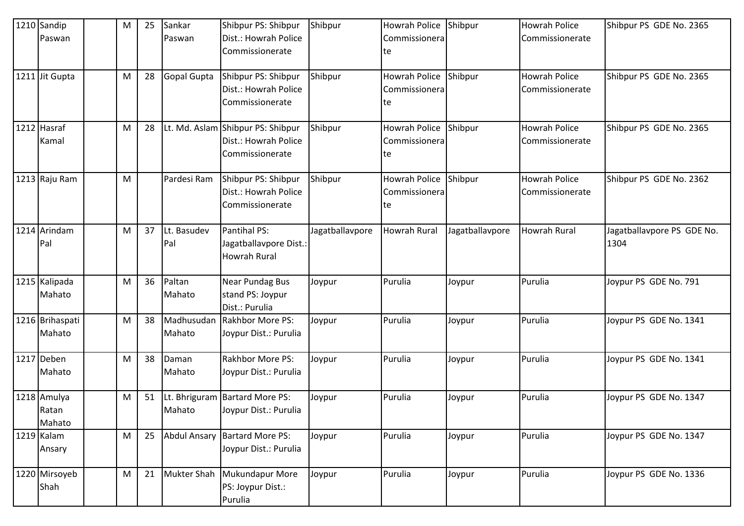| 1210 Sandip     | M | 25 | Sankar      | Shibpur PS: Shibpur               | Shibpur         | Howrah Police        | Shibpur         | <b>Howrah Police</b> | Shibpur PS GDE No. 2365    |
|-----------------|---|----|-------------|-----------------------------------|-----------------|----------------------|-----------------|----------------------|----------------------------|
| Paswan          |   |    | Paswan      | Dist.: Howrah Police              |                 | Commissionera        |                 | Commissionerate      |                            |
|                 |   |    |             | Commissionerate                   |                 | te                   |                 |                      |                            |
|                 |   |    |             |                                   |                 |                      |                 |                      |                            |
| 1211 Jit Gupta  | M | 28 | Gopal Gupta | Shibpur PS: Shibpur               | Shibpur         | <b>Howrah Police</b> | Shibpur         | <b>Howrah Police</b> | Shibpur PS GDE No. 2365    |
|                 |   |    |             | Dist.: Howrah Police              |                 | Commissionera        |                 | Commissionerate      |                            |
|                 |   |    |             | Commissionerate                   |                 | te                   |                 |                      |                            |
|                 |   |    |             |                                   |                 |                      |                 |                      |                            |
| 1212 Hasraf     | M | 28 |             | Lt. Md. Aslam Shibpur PS: Shibpur | Shibpur         | <b>Howrah Police</b> | Shibpur         | <b>Howrah Police</b> | Shibpur PS GDE No. 2365    |
| Kamal           |   |    |             | Dist.: Howrah Police              |                 | Commissionera        |                 | Commissionerate      |                            |
|                 |   |    |             | Commissionerate                   |                 | te                   |                 |                      |                            |
|                 |   |    |             |                                   |                 |                      |                 |                      |                            |
| 1213 Raju Ram   | M |    | Pardesi Ram | Shibpur PS: Shibpur               | Shibpur         | Howrah Police        | Shibpur         | <b>Howrah Police</b> | Shibpur PS GDE No. 2362    |
|                 |   |    |             | Dist.: Howrah Police              |                 | Commissionera        |                 | Commissionerate      |                            |
|                 |   |    |             | Commissionerate                   |                 | te                   |                 |                      |                            |
|                 |   |    |             |                                   |                 |                      |                 |                      |                            |
| 1214 Arindam    | M | 37 | Lt. Basudev | Pantihal PS:                      | Jagatballavpore | <b>Howrah Rural</b>  | Jagatballavpore | <b>Howrah Rural</b>  | Jagatballavpore PS GDE No. |
| Pal             |   |    | Pal         | Jagatballavpore Dist.:            |                 |                      |                 |                      | 1304                       |
|                 |   |    |             | <b>Howrah Rural</b>               |                 |                      |                 |                      |                            |
|                 |   |    |             |                                   |                 |                      |                 |                      |                            |
| 1215 Kalipada   | M | 36 | Paltan      | <b>Near Pundag Bus</b>            | Joypur          | Purulia              | Joypur          | Purulia              | Joypur PS GDE No. 791      |
| Mahato          |   |    | Mahato      | stand PS: Joypur                  |                 |                      |                 |                      |                            |
|                 |   |    |             | Dist.: Purulia                    |                 |                      |                 |                      |                            |
| 1216 Brihaspati | M | 38 | Madhusudan  | Rakhbor More PS:                  | Joypur          | Purulia              | Joypur          | Purulia              | Joypur PS GDE No. 1341     |
| Mahato          |   |    | Mahato      | Joypur Dist.: Purulia             |                 |                      |                 |                      |                            |
|                 |   |    |             |                                   |                 |                      |                 |                      |                            |
| 1217 Deben      | M | 38 | Daman       | Rakhbor More PS:                  | Joypur          | Purulia              | Joypur          | Purulia              | Joypur PS GDE No. 1341     |
| Mahato          |   |    | Mahato      | Joypur Dist.: Purulia             |                 |                      |                 |                      |                            |
|                 |   |    |             |                                   |                 |                      |                 |                      |                            |
| 1218 Amulya     | M | 51 |             | Lt. Bhriguram   Bartard More PS:  | Joypur          | Purulia              | Joypur          | Purulia              | Joypur PS GDE No. 1347     |
| Ratan           |   |    | Mahato      | Joypur Dist.: Purulia             |                 |                      |                 |                      |                            |
| Mahato          |   |    |             |                                   |                 |                      |                 |                      |                            |
| 1219 Kalam      | M | 25 |             | Abdul Ansary Bartard More PS:     | Joypur          | Purulia              | Joypur          | Purulia              | Joypur PS GDE No. 1347     |
| Ansary          |   |    |             | Joypur Dist.: Purulia             |                 |                      |                 |                      |                            |
|                 |   |    |             |                                   |                 |                      |                 |                      |                            |
| 1220 Mirsoyeb   | M | 21 | Mukter Shah | Mukundapur More                   | Joypur          | Purulia              | Joypur          | Purulia              | Joypur PS GDE No. 1336     |
| Shah            |   |    |             | PS: Joypur Dist.:                 |                 |                      |                 |                      |                            |
|                 |   |    |             | Purulia                           |                 |                      |                 |                      |                            |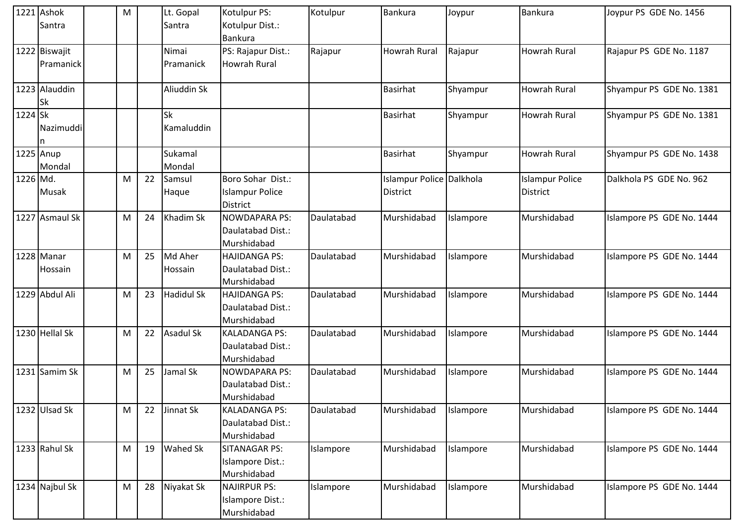|           | 1221 Ashok     | M |    | Lt. Gopal         | Kotulpur PS:           | Kotulpur   | <b>Bankura</b>          | Joypur    | Bankura                | Joypur PS GDE No. 1456    |
|-----------|----------------|---|----|-------------------|------------------------|------------|-------------------------|-----------|------------------------|---------------------------|
|           | Santra         |   |    | Santra            | Kotulpur Dist.:        |            |                         |           |                        |                           |
|           |                |   |    |                   | <b>Bankura</b>         |            |                         |           |                        |                           |
|           | 1222 Biswajit  |   |    | Nimai             | PS: Rajapur Dist.:     | Rajapur    | <b>Howrah Rural</b>     | Rajapur   | <b>Howrah Rural</b>    | Rajapur PS GDE No. 1187   |
|           | Pramanick      |   |    | Pramanick         | <b>Howrah Rural</b>    |            |                         |           |                        |                           |
|           |                |   |    |                   |                        |            |                         |           |                        |                           |
|           | 1223 Alauddin  |   |    | Aliuddin Sk       |                        |            | Basirhat                | Shyampur  | <b>Howrah Rural</b>    | Shyampur PS GDE No. 1381  |
|           | Sk             |   |    |                   |                        |            |                         |           |                        |                           |
| 1224 Sk   |                |   |    | Sk                |                        |            | <b>Basirhat</b>         | Shyampur  | <b>Howrah Rural</b>    | Shyampur PS GDE No. 1381  |
|           | Nazimuddi      |   |    | Kamaluddin        |                        |            |                         |           |                        |                           |
|           |                |   |    |                   |                        |            |                         |           |                        |                           |
| 1225 Anup |                |   |    | Sukamal           |                        |            | <b>Basirhat</b>         | Shyampur  | <b>Howrah Rural</b>    | Shyampur PS GDE No. 1438  |
|           | Mondal         |   |    | Mondal            |                        |            |                         |           |                        |                           |
| 1226 Md.  |                | M | 22 | Samsul            | Boro Sohar Dist.:      |            | slampur Police Dalkhola |           | <b>Islampur Police</b> | Dalkhola PS GDE No. 962   |
|           | <b>Musak</b>   |   |    | Haque             | <b>Islampur Police</b> |            | <b>District</b>         |           | District               |                           |
|           |                |   |    |                   | <b>District</b>        |            |                         |           |                        |                           |
|           | 1227 Asmaul Sk | M | 24 | Khadim Sk         | <b>NOWDAPARA PS:</b>   | Daulatabad | Murshidabad             | Islampore | Murshidabad            | Islampore PS GDE No. 1444 |
|           |                |   |    |                   | Daulatabad Dist.:      |            |                         |           |                        |                           |
|           |                |   |    |                   | Murshidabad            |            |                         |           |                        |                           |
|           | 1228 Manar     | M | 25 | Md Aher           | <b>HAJIDANGA PS:</b>   | Daulatabad | Murshidabad             | Islampore | Murshidabad            | Islampore PS GDE No. 1444 |
|           | Hossain        |   |    | Hossain           | Daulatabad Dist.:      |            |                         |           |                        |                           |
|           |                |   |    |                   | Murshidabad            |            |                         |           |                        |                           |
|           | 1229 Abdul Ali | M | 23 | <b>Hadidul Sk</b> | <b>HAJIDANGA PS:</b>   | Daulatabad | Murshidabad             | Islampore | Murshidabad            | Islampore PS GDE No. 1444 |
|           |                |   |    |                   | Daulatabad Dist.:      |            |                         |           |                        |                           |
|           |                |   |    |                   | Murshidabad            |            |                         |           |                        |                           |
|           | 1230 Hellal Sk | M | 22 | <b>Asadul Sk</b>  | <b>KALADANGA PS:</b>   | Daulatabad | Murshidabad             | Islampore | Murshidabad            | Islampore PS GDE No. 1444 |
|           |                |   |    |                   | Daulatabad Dist.:      |            |                         |           |                        |                           |
|           |                |   |    |                   | Murshidabad            |            |                         |           |                        |                           |
|           | 1231 Samim Sk  | M | 25 | Jamal Sk          | <b>NOWDAPARA PS:</b>   | Daulatabad | Murshidabad             | Islampore | Murshidabad            | Islampore PS GDE No. 1444 |
|           |                |   |    |                   | Daulatabad Dist.:      |            |                         |           |                        |                           |
|           |                |   |    |                   | Murshidabad            |            |                         |           |                        |                           |
|           | 1232 Ulsad Sk  | M | 22 | Jinnat Sk         | <b>KALADANGA PS:</b>   | Daulatabad | Murshidabad             | Islampore | Murshidabad            | Islampore PS GDE No. 1444 |
|           |                |   |    |                   | Daulatabad Dist.:      |            |                         |           |                        |                           |
|           |                |   |    |                   | Murshidabad            |            |                         |           |                        |                           |
|           | 1233 Rahul Sk  | M | 19 | <b>Wahed Sk</b>   | <b>SITANAGAR PS:</b>   | Islampore  | Murshidabad             | Islampore | Murshidabad            | Islampore PS GDE No. 1444 |
|           |                |   |    |                   | Islampore Dist.:       |            |                         |           |                        |                           |
|           |                |   |    |                   | Murshidabad            |            |                         |           |                        |                           |
|           | 1234 Najbul Sk | M | 28 | Niyakat Sk        | <b>NAJIRPUR PS:</b>    | Islampore  | Murshidabad             | Islampore | Murshidabad            | Islampore PS GDE No. 1444 |
|           |                |   |    |                   | Islampore Dist.:       |            |                         |           |                        |                           |
|           |                |   |    |                   | Murshidabad            |            |                         |           |                        |                           |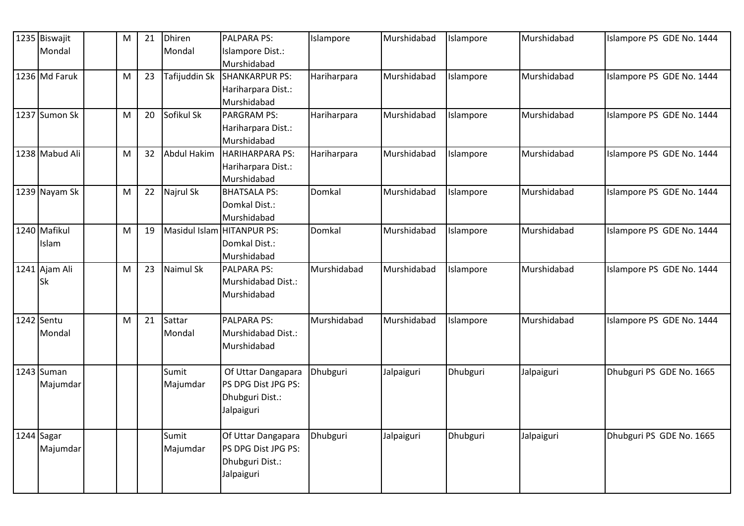|            | 1235 Biswajit  | M         | 21 | <b>Dhiren</b><br>Mondal | <b>PALPARA PS:</b>              | Islampore   | Murshidabad | Islampore | Murshidabad | Islampore PS GDE No. 1444 |
|------------|----------------|-----------|----|-------------------------|---------------------------------|-------------|-------------|-----------|-------------|---------------------------|
|            | Mondal         |           |    |                         | Islampore Dist.:<br>Murshidabad |             |             |           |             |                           |
|            | 1236 Md Faruk  | ${\sf M}$ | 23 | Tafijuddin Sk           | <b>SHANKARPUR PS:</b>           | Hariharpara | Murshidabad | Islampore | Murshidabad | Islampore PS GDE No. 1444 |
|            |                |           |    |                         | Hariharpara Dist.:              |             |             |           |             |                           |
|            |                |           |    |                         | Murshidabad                     |             |             |           |             |                           |
|            | 1237 Sumon Sk  | M         | 20 | Sofikul Sk              | <b>PARGRAM PS:</b>              | Hariharpara | Murshidabad | Islampore | Murshidabad | Islampore PS GDE No. 1444 |
|            |                |           |    |                         | Hariharpara Dist.:              |             |             |           |             |                           |
|            |                |           |    |                         | Murshidabad                     |             |             |           |             |                           |
|            | 1238 Mabud Ali | M         | 32 | <b>Abdul Hakim</b>      | <b>HARIHARPARA PS:</b>          | Hariharpara | Murshidabad | Islampore | Murshidabad | Islampore PS GDE No. 1444 |
|            |                |           |    |                         | Hariharpara Dist.:              |             |             |           |             |                           |
|            |                |           |    |                         | Murshidabad                     |             |             |           |             |                           |
|            | 1239 Nayam Sk  | M         | 22 | Najrul Sk               | <b>BHATSALA PS:</b>             | Domkal      | Murshidabad | Islampore | Murshidabad | Islampore PS GDE No. 1444 |
|            |                |           |    |                         | Domkal Dist.:                   |             |             |           |             |                           |
|            |                |           |    |                         | Murshidabad                     |             |             |           |             |                           |
|            | 1240 Mafikul   | M         | 19 |                         | Masidul Islam HITANPUR PS:      | Domkal      | Murshidabad | Islampore | Murshidabad | Islampore PS GDE No. 1444 |
|            | Islam          |           |    |                         | Domkal Dist.:                   |             |             |           |             |                           |
|            |                |           |    |                         | Murshidabad                     |             |             |           |             |                           |
|            | 1241 Ajam Ali  | M         | 23 | <b>Naimul Sk</b>        | <b>PALPARA PS:</b>              | Murshidabad | Murshidabad | Islampore | Murshidabad | Islampore PS GDE No. 1444 |
|            | <b>Sk</b>      |           |    |                         | Murshidabad Dist.:              |             |             |           |             |                           |
|            |                |           |    |                         | Murshidabad                     |             |             |           |             |                           |
|            | 1242 Sentu     | M         | 21 | Sattar                  | <b>PALPARA PS:</b>              | Murshidabad | Murshidabad | Islampore | Murshidabad | Islampore PS GDE No. 1444 |
|            | Mondal         |           |    | Mondal                  | Murshidabad Dist.:              |             |             |           |             |                           |
|            |                |           |    |                         | Murshidabad                     |             |             |           |             |                           |
|            |                |           |    |                         |                                 |             |             |           |             |                           |
|            | 1243 Suman     |           |    | Sumit                   | Of Uttar Dangapara              | Dhubguri    | Jalpaiguri  | Dhubguri  | Jalpaiguri  | Dhubguri PS GDE No. 1665  |
|            | Majumdar       |           |    | Majumdar                | PS DPG Dist JPG PS:             |             |             |           |             |                           |
|            |                |           |    |                         | Dhubguri Dist.:                 |             |             |           |             |                           |
|            |                |           |    |                         | Jalpaiguri                      |             |             |           |             |                           |
| 1244 Sagar |                |           |    | Sumit                   | Of Uttar Dangapara              | Dhubguri    | Jalpaiguri  | Dhubguri  | Jalpaiguri  | Dhubguri PS GDE No. 1665  |
|            | Majumdar       |           |    | Majumdar                | PS DPG Dist JPG PS:             |             |             |           |             |                           |
|            |                |           |    |                         | Dhubguri Dist.:                 |             |             |           |             |                           |
|            |                |           |    |                         | Jalpaiguri                      |             |             |           |             |                           |
|            |                |           |    |                         |                                 |             |             |           |             |                           |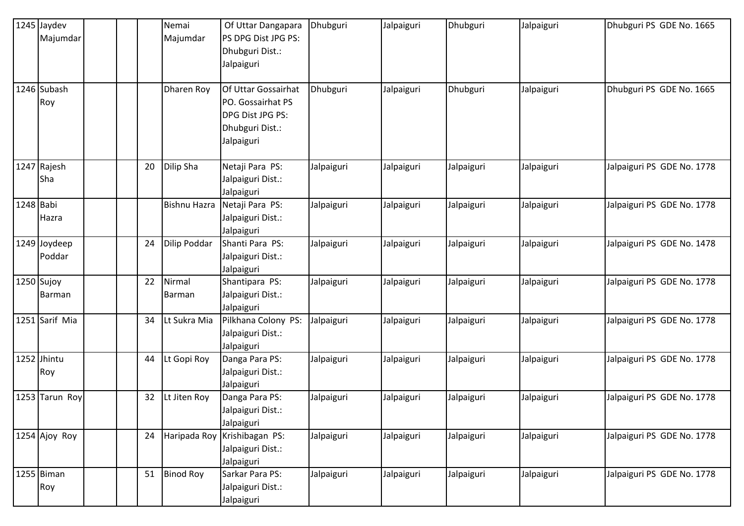|            | 1245 Jaydev    |    | Nemai               | Of Uttar Dangapara              | Dhubguri   | Jalpaiguri | Dhubguri   | Jalpaiguri | Dhubguri PS GDE No. 1665   |
|------------|----------------|----|---------------------|---------------------------------|------------|------------|------------|------------|----------------------------|
|            | Majumdar       |    | Majumdar            | PS DPG Dist JPG PS:             |            |            |            |            |                            |
|            |                |    |                     | Dhubguri Dist.:                 |            |            |            |            |                            |
|            |                |    |                     | Jalpaiguri                      |            |            |            |            |                            |
|            | 1246 Subash    |    | Dharen Roy          | Of Uttar Gossairhat             | Dhubguri   | Jalpaiguri | Dhubguri   | Jalpaiguri | Dhubguri PS GDE No. 1665   |
|            | Roy            |    |                     | PO. Gossairhat PS               |            |            |            |            |                            |
|            |                |    |                     | DPG Dist JPG PS:                |            |            |            |            |                            |
|            |                |    |                     | Dhubguri Dist.:                 |            |            |            |            |                            |
|            |                |    |                     | Jalpaiguri                      |            |            |            |            |                            |
|            |                |    |                     |                                 |            |            |            |            |                            |
|            | 1247 Rajesh    | 20 | Dilip Sha           | Netaji Para PS:                 | Jalpaiguri | Jalpaiguri | Jalpaiguri | Jalpaiguri | Jalpaiguri PS GDE No. 1778 |
|            | Sha            |    |                     | Jalpaiguri Dist.:               |            |            |            |            |                            |
|            |                |    |                     | Jalpaiguri                      |            |            |            |            |                            |
| 1248 Babi  |                |    | <b>Bishnu Hazra</b> | Netaji Para PS:                 | Jalpaiguri | Jalpaiguri | Jalpaiguri | Jalpaiguri | Jalpaiguri PS GDE No. 1778 |
|            | Hazra          |    |                     | Jalpaiguri Dist.:               |            |            |            |            |                            |
|            |                |    |                     | Jalpaiguri                      |            |            |            |            |                            |
|            | 1249 Joydeep   | 24 | Dilip Poddar        | Shanti Para PS:                 | Jalpaiguri | Jalpaiguri | Jalpaiguri | Jalpaiguri | Jalpaiguri PS GDE No. 1478 |
|            | Poddar         |    |                     | Jalpaiguri Dist.:               |            |            |            |            |                            |
|            |                | 22 | Nirmal              | Jalpaiguri                      |            |            |            |            |                            |
| 1250 Sujoy | Barman         |    |                     | Shantipara PS:                  | Jalpaiguri | Jalpaiguri | Jalpaiguri | Jalpaiguri | Jalpaiguri PS GDE No. 1778 |
|            |                |    | Barman              | Jalpaiguri Dist.:<br>Jalpaiguri |            |            |            |            |                            |
|            | 1251 Sarif Mia | 34 | Lt Sukra Mia        | Pilkhana Colony PS:             | Jalpaiguri | Jalpaiguri | Jalpaiguri | Jalpaiguri | Jalpaiguri PS GDE No. 1778 |
|            |                |    |                     | Jalpaiguri Dist.:               |            |            |            |            |                            |
|            |                |    |                     | Jalpaiguri                      |            |            |            |            |                            |
|            | 1252 Jhintu    | 44 | Lt Gopi Roy         | Danga Para PS:                  | Jalpaiguri | Jalpaiguri | Jalpaiguri | Jalpaiguri | Jalpaiguri PS GDE No. 1778 |
|            | Roy            |    |                     | Jalpaiguri Dist.:               |            |            |            |            |                            |
|            |                |    |                     | Jalpaiguri                      |            |            |            |            |                            |
|            | 1253 Tarun Roy | 32 | Lt Jiten Roy        | Danga Para PS:                  | Jalpaiguri | Jalpaiguri | Jalpaiguri | Jalpaiguri | Jalpaiguri PS GDE No. 1778 |
|            |                |    |                     | Jalpaiguri Dist.:               |            |            |            |            |                            |
|            |                |    |                     | Jalpaiguri                      |            |            |            |            |                            |
|            | 1254 Ajoy Roy  | 24 |                     | Haripada Roy Krishibagan PS:    | Jalpaiguri | Jalpaiguri | Jalpaiguri | Jalpaiguri | Jalpaiguri PS GDE No. 1778 |
|            |                |    |                     | Jalpaiguri Dist.:               |            |            |            |            |                            |
|            |                |    |                     | Jalpaiguri                      |            |            |            |            |                            |
|            | 1255 Biman     | 51 | <b>Binod Roy</b>    | Sarkar Para PS:                 | Jalpaiguri | Jalpaiguri | Jalpaiguri | Jalpaiguri | Jalpaiguri PS GDE No. 1778 |
|            | Roy            |    |                     | Jalpaiguri Dist.:               |            |            |            |            |                            |
|            |                |    |                     | Jalpaiguri                      |            |            |            |            |                            |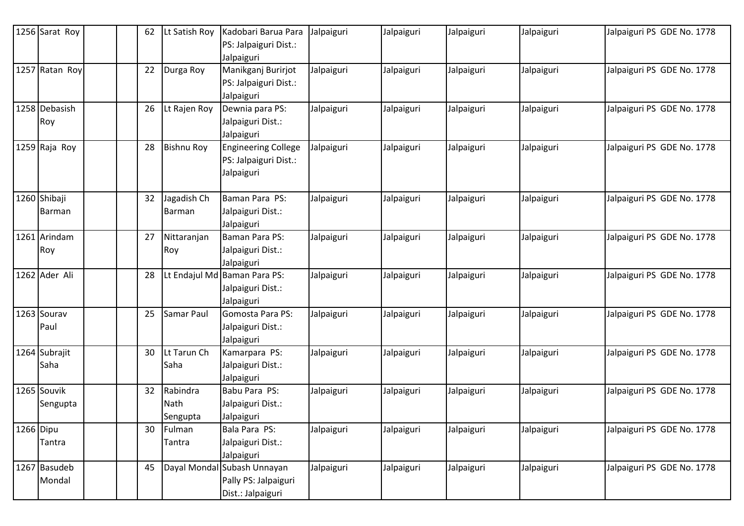|           | 1256 Sarat Roy | 62 | Lt Satish Roy     | Kadobari Barua Para                       | Jalpaiguri | Jalpaiguri | Jalpaiguri | Jalpaiguri | Jalpaiguri PS GDE No. 1778 |
|-----------|----------------|----|-------------------|-------------------------------------------|------------|------------|------------|------------|----------------------------|
|           |                |    |                   | PS: Jalpaiguri Dist.:                     |            |            |            |            |                            |
|           |                |    |                   | Jalpaiguri                                |            |            |            |            |                            |
|           | 1257 Ratan Roy | 22 | Durga Roy         | Manikganj Burirjot                        | Jalpaiguri | Jalpaiguri | Jalpaiguri | Jalpaiguri | Jalpaiguri PS GDE No. 1778 |
|           |                |    |                   | PS: Jalpaiguri Dist.:                     |            |            |            |            |                            |
|           |                |    |                   | Jalpaiguri                                |            |            |            |            |                            |
|           | 1258 Debasish  | 26 | Lt Rajen Roy      | Dewnia para PS:                           | Jalpaiguri | Jalpaiguri | Jalpaiguri | Jalpaiguri | Jalpaiguri PS GDE No. 1778 |
|           | Roy            |    |                   | Jalpaiguri Dist.:                         |            |            |            |            |                            |
|           |                |    |                   | Jalpaiguri                                |            |            |            |            |                            |
|           | 1259 Raja Roy  | 28 | <b>Bishnu Roy</b> | <b>Engineering College</b>                | Jalpaiguri | Jalpaiguri | Jalpaiguri | Jalpaiguri | Jalpaiguri PS GDE No. 1778 |
|           |                |    |                   | PS: Jalpaiguri Dist.:                     |            |            |            |            |                            |
|           |                |    |                   | Jalpaiguri                                |            |            |            |            |                            |
|           |                |    |                   |                                           |            |            |            |            |                            |
|           | 1260 Shibaji   | 32 | Jagadish Ch       | Baman Para PS:                            | Jalpaiguri | Jalpaiguri | Jalpaiguri | Jalpaiguri | Jalpaiguri PS GDE No. 1778 |
|           | Barman         |    | Barman            | Jalpaiguri Dist.:                         |            |            |            |            |                            |
|           |                |    |                   | Jalpaiguri                                |            |            |            |            |                            |
|           | 1261 Arindam   | 27 | Nittaranjan       | Baman Para PS:                            | Jalpaiguri | Jalpaiguri | Jalpaiguri | Jalpaiguri | Jalpaiguri PS GDE No. 1778 |
|           | Roy            |    | Roy               | Jalpaiguri Dist.:                         |            |            |            |            |                            |
|           |                |    |                   | Jalpaiguri                                |            |            |            |            |                            |
|           | 1262 Ader Ali  | 28 |                   | Lt Endajul Md Baman Para PS:              | Jalpaiguri | Jalpaiguri | Jalpaiguri | Jalpaiguri | Jalpaiguri PS GDE No. 1778 |
|           |                |    |                   | Jalpaiguri Dist.:                         |            |            |            |            |                            |
|           |                |    |                   | Jalpaiguri                                |            |            |            |            |                            |
|           | 1263 Sourav    | 25 | Samar Paul        | Gomosta Para PS:                          | Jalpaiguri | Jalpaiguri | Jalpaiguri | Jalpaiguri | Jalpaiguri PS GDE No. 1778 |
|           | Paul           |    |                   | Jalpaiguri Dist.:                         |            |            |            |            |                            |
|           |                |    |                   | Jalpaiguri                                |            |            |            |            |                            |
|           | 1264 Subrajit  | 30 | Lt Tarun Ch       | Kamarpara PS:                             | Jalpaiguri | Jalpaiguri | Jalpaiguri | Jalpaiguri | Jalpaiguri PS GDE No. 1778 |
|           | Saha           |    | Saha              | Jalpaiguri Dist.:                         |            |            |            |            |                            |
|           |                |    |                   | Jalpaiguri                                |            |            |            |            |                            |
|           | 1265 Souvik    | 32 | Rabindra          | Babu Para PS:                             | Jalpaiguri | Jalpaiguri | Jalpaiguri | Jalpaiguri | Jalpaiguri PS GDE No. 1778 |
|           | Sengupta       |    | Nath              | Jalpaiguri Dist.:                         |            |            |            |            |                            |
|           |                |    | Sengupta          | Jalpaiguri                                |            |            |            |            |                            |
| 1266 Dipu |                | 30 | Fulman            | Bala Para PS:                             | Jalpaiguri | Jalpaiguri | Jalpaiguri | Jalpaiguri | Jalpaiguri PS GDE No. 1778 |
|           | Tantra         |    | Tantra            | Jalpaiguri Dist.:                         |            |            |            |            |                            |
|           |                | 45 |                   | Jalpaiguri<br>Dayal Mondal Subash Unnayan |            |            |            |            |                            |
|           | 1267 Basudeb   |    |                   |                                           | Jalpaiguri | Jalpaiguri | Jalpaiguri | Jalpaiguri | Jalpaiguri PS GDE No. 1778 |
|           | Mondal         |    |                   | Pally PS: Jalpaiguri                      |            |            |            |            |                            |
|           |                |    |                   | Dist.: Jalpaiguri                         |            |            |            |            |                            |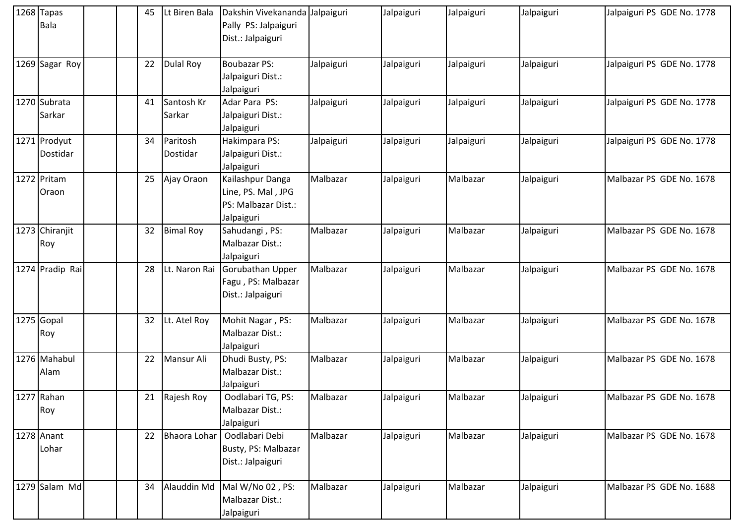| $1268$ Tapas<br>Bala     | 45 | Lt Biren Bala        | Dakshin Vivekananda Jalpaiguri<br>Pally PS: Jalpaiguri<br>Dist.: Jalpaiguri |            | Jalpaiguri | Jalpaiguri | Jalpaiguri | Jalpaiguri PS GDE No. 1778 |
|--------------------------|----|----------------------|-----------------------------------------------------------------------------|------------|------------|------------|------------|----------------------------|
| 1269 Sagar Roy           | 22 | Dulal Roy            | <b>Boubazar PS:</b><br>Jalpaiguri Dist.:<br>Jalpaiguri                      | Jalpaiguri | Jalpaiguri | Jalpaiguri | Jalpaiguri | Jalpaiguri PS GDE No. 1778 |
| 1270 Subrata<br>Sarkar   | 41 | Santosh Kr<br>Sarkar | Adar Para PS:<br>Jalpaiguri Dist.:<br>Jalpaiguri                            | Jalpaiguri | Jalpaiguri | Jalpaiguri | Jalpaiguri | Jalpaiguri PS GDE No. 1778 |
| 1271 Prodyut<br>Dostidar | 34 | Paritosh<br>Dostidar | Hakimpara PS:<br>Jalpaiguri Dist.:<br>Jalpaiguri                            | Jalpaiguri | Jalpaiguri | Jalpaiguri | Jalpaiguri | Jalpaiguri PS GDE No. 1778 |
| 1272 Pritam<br>Oraon     | 25 | Ajay Oraon           | Kailashpur Danga<br>Line, PS. Mal, JPG<br>PS: Malbazar Dist.:<br>Jalpaiguri | Malbazar   | Jalpaiguri | Malbazar   | Jalpaiguri | Malbazar PS GDE No. 1678   |
| 1273 Chiranjit<br>Roy    | 32 | <b>Bimal Roy</b>     | Sahudangi, PS:<br>Malbazar Dist.:<br>Jalpaiguri                             | Malbazar   | Jalpaiguri | Malbazar   | Jalpaiguri | Malbazar PS GDE No. 1678   |
| 1274 Pradip Rai          | 28 | Lt. Naron Rai        | Gorubathan Upper<br>Fagu, PS: Malbazar<br>Dist.: Jalpaiguri                 | Malbazar   | Jalpaiguri | Malbazar   | Jalpaiguri | Malbazar PS GDE No. 1678   |
| 1275 Gopal<br>Roy        | 32 | Lt. Atel Roy         | Mohit Nagar, PS:<br>Malbazar Dist.:<br>Jalpaiguri                           | Malbazar   | Jalpaiguri | Malbazar   | Jalpaiguri | Malbazar PS GDE No. 1678   |
| 1276 Mahabul<br>Alam     | 22 | Mansur Ali           | Dhudi Busty, PS:<br>Malbazar Dist.:<br>Jalpaiguri                           | Malbazar   | Jalpaiguri | Malbazar   | Jalpaiguri | Malbazar PS GDE No. 1678   |
| $1277$ Rahan<br>Roy      | 21 | Rajesh Roy           | Oodlabari TG, PS:<br>Malbazar Dist.:<br>Jalpaiguri                          | Malbazar   | Jalpaiguri | Malbazar   | Jalpaiguri | Malbazar PS GDE No. 1678   |
| 1278 Anant<br>Lohar      | 22 | Bhaora Lohar         | Oodlabari Debi<br>Busty, PS: Malbazar<br>Dist.: Jalpaiguri                  | Malbazar   | Jalpaiguri | Malbazar   | Jalpaiguri | Malbazar PS GDE No. 1678   |
| 1279 Salam Md            | 34 | Alauddin Md          | Mal W/No 02, PS:<br>Malbazar Dist.:<br>Jalpaiguri                           | Malbazar   | Jalpaiguri | Malbazar   | Jalpaiguri | Malbazar PS GDE No. 1688   |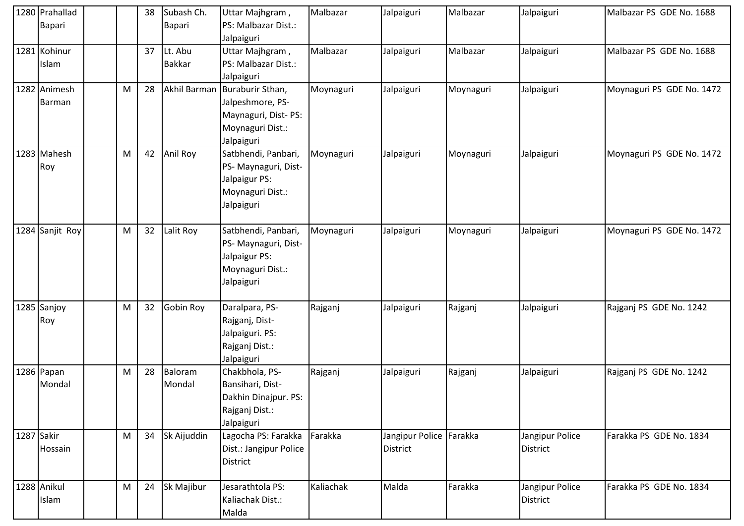| 1280 Prahallad<br>Bapari |   | 38 | Subash Ch.<br>Bapari     | Uttar Majhgram,<br>PS: Malbazar Dist.:<br>Jalpaiguri                                          | Malbazar  | Jalpaiguri                                 | Malbazar  | Jalpaiguri                  | Malbazar PS GDE No. 1688  |
|--------------------------|---|----|--------------------------|-----------------------------------------------------------------------------------------------|-----------|--------------------------------------------|-----------|-----------------------------|---------------------------|
| 1281 Kohinur<br>Islam    |   | 37 | Lt. Abu<br><b>Bakkar</b> | Uttar Majhgram,<br>PS: Malbazar Dist.:<br>Jalpaiguri                                          | Malbazar  | Jalpaiguri                                 | Malbazar  | Jalpaiguri                  | Malbazar PS GDE No. 1688  |
| 1282 Animesh<br>Barman   | M | 28 | Akhil Barman             | Buraburir Sthan,<br>Jalpeshmore, PS-<br>Maynaguri, Dist-PS:<br>Moynaguri Dist.:<br>Jalpaiguri | Moynaguri | Jalpaiguri                                 | Moynaguri | Jalpaiguri                  | Moynaguri PS GDE No. 1472 |
| 1283 Mahesh<br>Roy       | M | 42 | Anil Roy                 | Satbhendi, Panbari,<br>PS-Maynaguri, Dist-<br>Jalpaigur PS:<br>Moynaguri Dist.:<br>Jalpaiguri | Moynaguri | Jalpaiguri                                 | Moynaguri | Jalpaiguri                  | Moynaguri PS GDE No. 1472 |
| 1284 Sanjit Roy          | M | 32 | Lalit Roy                | Satbhendi, Panbari,<br>PS-Maynaguri, Dist-<br>Jalpaigur PS:<br>Moynaguri Dist.:<br>Jalpaiguri | Moynaguri | Jalpaiguri                                 | Moynaguri | Jalpaiguri                  | Moynaguri PS GDE No. 1472 |
| 1285 Sanjoy<br>Roy       | M | 32 | Gobin Roy                | Daralpara, PS-<br>Rajganj, Dist-<br>Jalpaiguri. PS:<br>Rajganj Dist.:<br>Jalpaiguri           | Rajganj   | Jalpaiguri                                 | Rajganj   | Jalpaiguri                  | Rajganj PS GDE No. 1242   |
| 1286 Papan<br>Mondal     | M | 28 | Baloram<br>Mondal        | Chakbhola, PS-<br>Bansihari, Dist-<br>Dakhin Dinajpur. PS:<br>Rajganj Dist.:<br>Jalpaiguri    | Rajganj   | Jalpaiguri                                 | Rajganj   | Jalpaiguri                  | Rajganj PS GDE No. 1242   |
| 1287 Sakir<br>Hossain    | M | 34 | Sk Aijuddin              | Lagocha PS: Farakka<br>Dist.: Jangipur Police<br>District                                     | Farakka   | Jangipur Police Farakka<br><b>District</b> |           | Jangipur Police<br>District | Farakka PS GDE No. 1834   |
| 1288 Anikul<br>Islam     | M | 24 | Sk Majibur               | Jesarathtola PS:<br>Kaliachak Dist.:<br>Malda                                                 | Kaliachak | Malda                                      | Farakka   | Jangipur Police<br>District | Farakka PS GDE No. 1834   |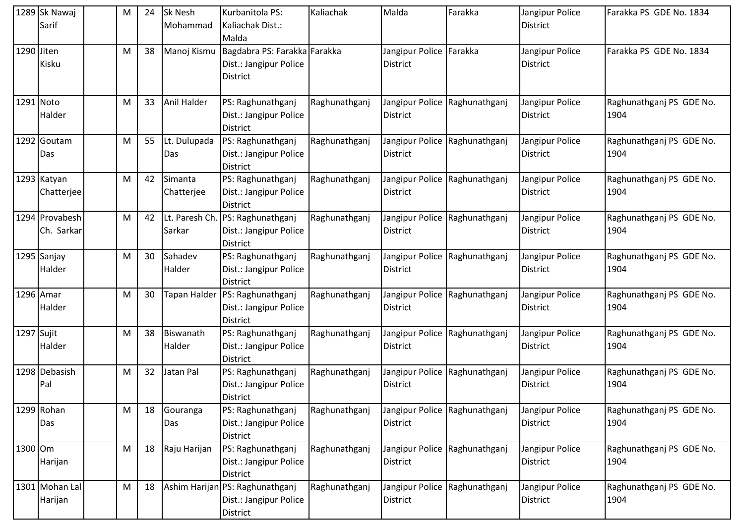|         | 1289 Sk Nawaj             | M | 24 | <b>Sk Nesh</b> | Kurbanitola PS:                                           | Kaliachak     | Malda                         | Farakka                       | Jangipur Police                    | Farakka PS GDE No. 1834          |
|---------|---------------------------|---|----|----------------|-----------------------------------------------------------|---------------|-------------------------------|-------------------------------|------------------------------------|----------------------------------|
|         | Sarif                     |   |    | Mohammad       | Kaliachak Dist.:                                          |               |                               |                               | <b>District</b>                    |                                  |
|         | 1290 Jiten                | M | 38 | Manoj Kismu    | Malda<br>Bagdabra PS: Farakka Farakka                     |               | Jangipur Police Farakka       |                               | Jangipur Police                    | Farakka PS GDE No. 1834          |
|         | Kisku                     |   |    |                | Dist.: Jangipur Police                                    |               | <b>District</b>               |                               | District                           |                                  |
|         |                           |   |    |                | <b>District</b>                                           |               |                               |                               |                                    |                                  |
|         | 1291 Noto                 | M | 33 | Anil Halder    | PS: Raghunathganj                                         | Raghunathganj |                               | Jangipur Police Raghunathganj | Jangipur Police                    | Raghunathganj PS GDE No.         |
|         | Halder                    |   |    |                | Dist.: Jangipur Police<br><b>District</b>                 |               | <b>District</b>               |                               | <b>District</b>                    | 1904                             |
|         | 1292 Goutam               | M | 55 | Lt. Dulupada   | PS: Raghunathganj                                         | Raghunathganj |                               | Jangipur Police Raghunathganj | Jangipur Police                    | Raghunathganj PS GDE No.         |
|         | Das                       |   |    | Das            | Dist.: Jangipur Police                                    |               | <b>District</b>               |                               | <b>District</b>                    | 1904                             |
|         | 1293 Katyan               | M | 42 | Simanta        | District<br>PS: Raghunathganj                             | Raghunathganj |                               | Jangipur Police Raghunathganj | Jangipur Police                    | Raghunathganj PS GDE No.         |
|         | Chatterjee                |   |    | Chatterjee     | Dist.: Jangipur Police                                    |               | <b>District</b>               |                               | District                           | 1904                             |
|         |                           |   |    |                | <b>District</b>                                           |               |                               |                               |                                    |                                  |
|         | 1294 Provabesh            | M | 42 |                | Lt. Paresh Ch. PS: Raghunathganj                          | Raghunathganj |                               | Jangipur Police Raghunathganj | Jangipur Police                    | Raghunathganj PS GDE No.         |
|         | Ch. Sarkar                |   |    | Sarkar         | Dist.: Jangipur Police                                    |               | <b>District</b>               |                               | <b>District</b>                    | 1904                             |
|         |                           |   |    |                | <b>District</b>                                           |               |                               |                               |                                    |                                  |
|         | 1295 Sanjay               | M | 30 | Sahadev        | PS: Raghunathganj                                         | Raghunathganj |                               | Jangipur Police Raghunathganj | Jangipur Police                    | Raghunathganj PS GDE No.         |
|         | Halder                    |   |    | Halder         | Dist.: Jangipur Police<br><b>District</b>                 |               | <b>District</b>               |                               | <b>District</b>                    | 1904                             |
|         | 1296 Amar                 | M | 30 | Tapan Halder   | PS: Raghunathganj                                         | Raghunathganj |                               | Jangipur Police Raghunathganj | Jangipur Police                    | Raghunathganj PS GDE No.         |
|         | Halder                    |   |    |                | Dist.: Jangipur Police                                    |               | <b>District</b>               |                               | <b>District</b>                    | 1904                             |
|         |                           |   |    |                | <b>District</b>                                           |               |                               |                               |                                    |                                  |
|         | 1297 Sujit                | M | 38 | Biswanath      | PS: Raghunathganj                                         | Raghunathganj |                               | Jangipur Police Raghunathganj | Jangipur Police                    | Raghunathganj PS GDE No.         |
|         | Halder                    |   |    | Halder         | Dist.: Jangipur Police                                    |               | <b>District</b>               |                               | <b>District</b>                    | 1904                             |
|         | 1298 Debasish             |   |    |                | <b>District</b>                                           |               |                               |                               |                                    |                                  |
|         | Pal                       | M | 32 | Jatan Pal      | PS: Raghunathganj<br>Dist.: Jangipur Police               | Raghunathganj | <b>District</b>               | Jangipur Police Raghunathganj | Jangipur Police<br><b>District</b> | Raghunathganj PS GDE No.<br>1904 |
|         |                           |   |    |                | <b>District</b>                                           |               |                               |                               |                                    |                                  |
|         | 1299 Rohan                | M | 18 | Gouranga       | PS: Raghunathganj                                         | Raghunathganj | Jangipur Police Raghunathganj |                               | Jangipur Police                    | Raghunathganj PS GDE No.         |
|         | Das                       |   |    | Das            | Dist.: Jangipur Police                                    |               | <b>District</b>               |                               | District                           | 1904                             |
|         |                           |   |    |                | <b>District</b>                                           |               |                               |                               |                                    |                                  |
| 1300 Om |                           | M | 18 | Raju Harijan   | PS: Raghunathganj                                         | Raghunathganj |                               | Jangipur Police Raghunathganj | Jangipur Police                    | Raghunathganj PS GDE No.         |
|         | Harijan                   |   |    |                | Dist.: Jangipur Police                                    |               | <b>District</b>               |                               | <b>District</b>                    | 1904                             |
|         |                           |   |    |                | <b>District</b>                                           |               |                               |                               |                                    |                                  |
|         | 1301 Mohan Lal<br>Harijan | M | 18 |                | Ashim Harijan PS: Raghunathganj<br>Dist.: Jangipur Police | Raghunathganj | <b>District</b>               | Jangipur Police Raghunathganj | Jangipur Police<br><b>District</b> | Raghunathganj PS GDE No.<br>1904 |
|         |                           |   |    |                | <b>District</b>                                           |               |                               |                               |                                    |                                  |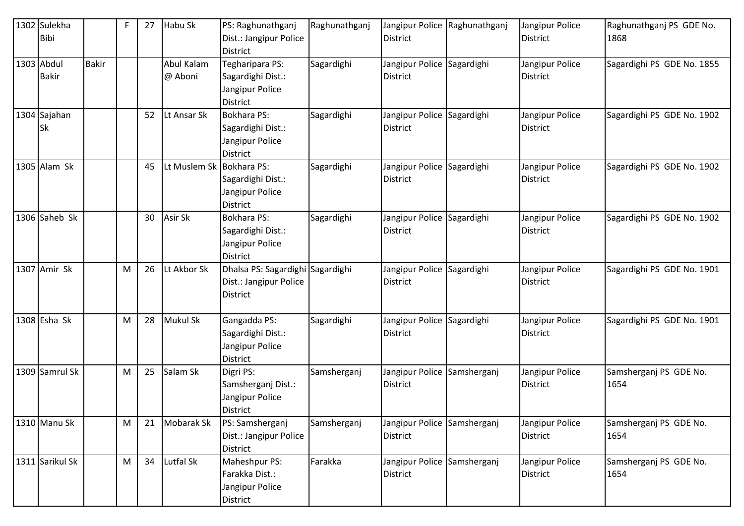| 1302 Sulekha<br><b>Bibi</b> |              | F | 27 | Habu Sk                  | PS: Raghunathganj<br>Dist.: Jangipur Police<br><b>District</b>                | Raghunathganj | District                                      | Jangipur Police Raghunathganj | Jangipur Police<br>District        | Raghunathganj PS GDE No.<br>1868 |
|-----------------------------|--------------|---|----|--------------------------|-------------------------------------------------------------------------------|---------------|-----------------------------------------------|-------------------------------|------------------------------------|----------------------------------|
| 1303 Abdul<br><b>Bakir</b>  | <b>Bakir</b> |   |    | Abul Kalam<br>@ Aboni    | Tegharipara PS:<br>Sagardighi Dist.:<br>Jangipur Police<br><b>District</b>    | Sagardighi    | Jangipur Police Sagardighi<br>District        |                               | Jangipur Police<br>District        | Sagardighi PS GDE No. 1855       |
| 1304 Sajahan<br><b>Sk</b>   |              |   | 52 | Lt Ansar Sk              | <b>Bokhara PS:</b><br>Sagardighi Dist.:<br>Jangipur Police<br><b>District</b> | Sagardighi    | Jangipur Police Sagardighi<br>District        |                               | Jangipur Police<br>District        | Sagardighi PS GDE No. 1902       |
| 1305 Alam Sk                |              |   | 45 | Lt Muslem Sk Bokhara PS: | Sagardighi Dist.:<br>Jangipur Police<br>District                              | Sagardighi    | Jangipur Police Sagardighi<br><b>District</b> |                               | Jangipur Police<br>District        | Sagardighi PS GDE No. 1902       |
| 1306 Saheb Sk               |              |   | 30 | Asir Sk                  | <b>Bokhara PS:</b><br>Sagardighi Dist.:<br>Jangipur Police<br><b>District</b> | Sagardighi    | Jangipur Police Sagardighi<br><b>District</b> |                               | Jangipur Police<br><b>District</b> | Sagardighi PS GDE No. 1902       |
| 1307 Amir Sk                |              | M | 26 | Lt Akbor Sk              | Dhalsa PS: Sagardighi Sagardighi<br>Dist.: Jangipur Police<br><b>District</b> |               | Jangipur Police Sagardighi<br>District        |                               | Jangipur Police<br>District        | Sagardighi PS GDE No. 1901       |
| 1308 Esha Sk                |              | M | 28 | <b>Mukul Sk</b>          | Gangadda PS:<br>Sagardighi Dist.:<br>Jangipur Police<br><b>District</b>       | Sagardighi    | Jangipur Police Sagardighi<br>District        |                               | Jangipur Police<br>District        | Sagardighi PS GDE No. 1901       |
| 1309 Samrul Sk              |              | M | 25 | Salam Sk                 | Digri PS:<br>Samsherganj Dist.:<br>Jangipur Police<br><b>District</b>         | Samsherganj   | Jangipur Police Samsherganj<br>District       |                               | Jangipur Police<br>District        | Samsherganj PS GDE No.<br>1654   |
| 1310 Manu Sk                |              | M | 21 | Mobarak Sk               | PS: Samsherganj<br>Dist.: Jangipur Police<br><b>District</b>                  | Samsherganj   | Jangipur Police Samsherganj<br>District       |                               | Jangipur Police<br>District        | Samsherganj PS GDE No.<br>1654   |
| 1311 Sarikul Sk             |              | M | 34 | Lutfal Sk                | Maheshpur PS:<br>Farakka Dist.:<br>Jangipur Police<br>District                | Farakka       | Jangipur Police Samsherganj<br>District       |                               | Jangipur Police<br>District        | Samsherganj PS GDE No.<br>1654   |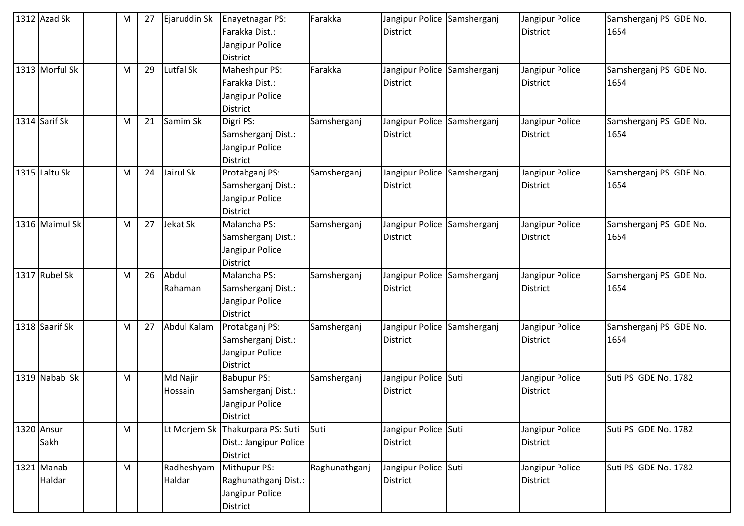| $1312$ Azad Sk       | M | 27 | Ejaruddin Sk         | Enayetnagar PS:<br>Farakka Dist.:<br>Jangipur Police<br><b>District</b>       | Farakka       | Jangipur Police Samsherganj<br><b>District</b> | Jangipur Police<br>District        | Samsherganj PS GDE No.<br>1654 |
|----------------------|---|----|----------------------|-------------------------------------------------------------------------------|---------------|------------------------------------------------|------------------------------------|--------------------------------|
| 1313 Morful Sk       | M | 29 | Lutfal Sk            | Maheshpur PS:<br>Farakka Dist.:<br>Jangipur Police<br><b>District</b>         | Farakka       | Jangipur Police Samsherganj<br>District        | Jangipur Police<br>District        | Samsherganj PS GDE No.<br>1654 |
| 1314 Sarif Sk        | M | 21 | Samim Sk             | Digri PS:<br>Samsherganj Dist.:<br>Jangipur Police<br><b>District</b>         | Samsherganj   | Jangipur Police Samsherganj<br><b>District</b> | Jangipur Police<br>District        | Samsherganj PS GDE No.<br>1654 |
| $1315$ Laltu Sk      | M | 24 | Jairul Sk            | Protabganj PS:<br>Samsherganj Dist.:<br>Jangipur Police<br><b>District</b>    | Samsherganj   | Jangipur Police Samsherganj<br><b>District</b> | Jangipur Police<br><b>District</b> | Samsherganj PS GDE No.<br>1654 |
| 1316 Maimul Sk       | M | 27 | Jekat Sk             | Malancha PS:<br>Samsherganj Dist.:<br>Jangipur Police<br><b>District</b>      | Samsherganj   | Jangipur Police Samsherganj<br><b>District</b> | Jangipur Police<br>District        | Samsherganj PS GDE No.<br>1654 |
| 1317 Rubel Sk        | M | 26 | Abdul<br>Rahaman     | Malancha PS:<br>Samsherganj Dist.:<br>Jangipur Police<br><b>District</b>      | Samsherganj   | Jangipur Police Samsherganj<br>District        | Jangipur Police<br>District        | Samsherganj PS GDE No.<br>1654 |
| 1318 Saarif Sk       | M | 27 | Abdul Kalam          | Protabganj PS:<br>Samsherganj Dist.:<br>Jangipur Police<br><b>District</b>    | Samsherganj   | Jangipur Police Samsherganj<br><b>District</b> | Jangipur Police<br>District        | Samsherganj PS GDE No.<br>1654 |
| 1319 Nabab Sk        | M |    | Md Najir<br>Hossain  | <b>Babupur PS:</b><br>Samsherganj Dist.:<br>Jangipur Police<br>District       | Samsherganj   | Jangipur Police Suti<br>District               | Jangipur Police<br>District        | Suti PS GDE No. 1782           |
| 1320 Ansur<br>Sakh   | M |    |                      | Lt Morjem Sk Thakurpara PS: Suti<br>Dist.: Jangipur Police<br><b>District</b> | Suti          | Jangipur Police Suti<br>District               | Jangipur Police<br>District        | Suti PS GDE No. 1782           |
| 1321 Manab<br>Haldar | M |    | Radheshyam<br>Haldar | Mithupur PS:<br>Raghunathganj Dist.:<br>Jangipur Police<br>District           | Raghunathganj | Jangipur Police Suti<br><b>District</b>        | Jangipur Police<br><b>District</b> | Suti PS GDE No. 1782           |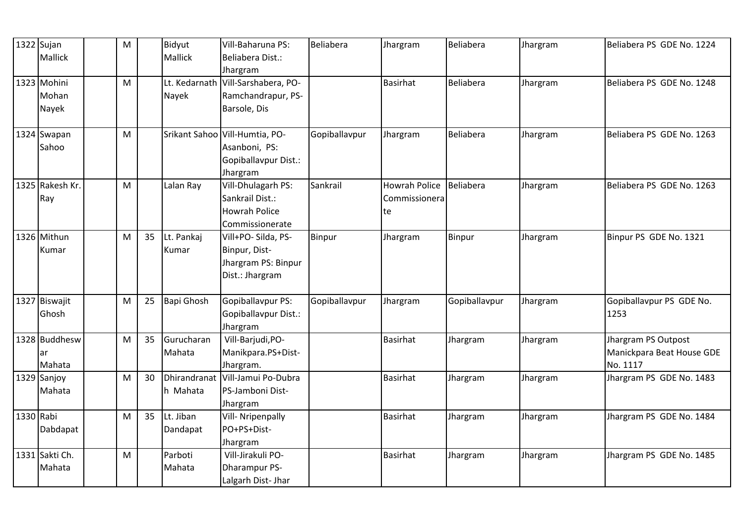|           | 1322 Sujan<br><b>Mallick</b>  | M |    | Bidyut<br>Mallick     | Vill-Baharuna PS:<br>Beliabera Dist.:                                                | Beliabera     | Jhargram                                    | Beliabera     | Jhargram | Beliabera PS GDE No. 1224                                    |
|-----------|-------------------------------|---|----|-----------------------|--------------------------------------------------------------------------------------|---------------|---------------------------------------------|---------------|----------|--------------------------------------------------------------|
|           | 1323 Mohini<br>Mohan<br>Nayek | M |    | Nayek                 | Jhargram<br>Lt. Kedarnath Vill-Sarshabera, PO-<br>Ramchandrapur, PS-<br>Barsole, Dis |               | <b>Basirhat</b>                             | Beliabera     | Jhargram | Beliabera PS GDE No. 1248                                    |
|           | 1324 Swapan<br>Sahoo          | M |    |                       | Srikant Sahoo Vill-Humtia, PO-<br>Asanboni, PS:<br>Gopiballavpur Dist.:<br>Jhargram  | Gopiballavpur | Jhargram                                    | Beliabera     | Jhargram | Beliabera PS GDE No. 1263                                    |
|           | 1325 Rakesh Kr.<br>Ray        | M |    | Lalan Ray             | Vill-Dhulagarh PS:<br>Sankrail Dist.:<br><b>Howrah Police</b><br>Commissionerate     | Sankrail      | <b>Howrah Police</b><br>Commissionera<br>te | Beliabera     | Jhargram | Beliabera PS GDE No. 1263                                    |
|           | 1326 Mithun<br>Kumar          | M | 35 | Lt. Pankaj<br>Kumar   | Vill+PO- Silda, PS-<br>Binpur, Dist-<br>Jhargram PS: Binpur<br>Dist.: Jhargram       | <b>Binpur</b> | Jhargram                                    | Binpur        | Jhargram | Binpur PS GDE No. 1321                                       |
|           | 1327 Biswajit<br>Ghosh        | M | 25 | <b>Bapi Ghosh</b>     | Gopiballavpur PS:<br>Gopiballavpur Dist.:<br>Jhargram                                | Gopiballavpur | Jhargram                                    | Gopiballavpur | Jhargram | Gopiballavpur PS GDE No.<br>1253                             |
|           | 1328 Buddhesw<br>ar<br>Mahata | M | 35 | Gurucharan<br>Mahata  | Vill-Barjudi, PO-<br>Manikpara.PS+Dist-<br>Jhargram.                                 |               | Basirhat                                    | Jhargram      | Jhargram | Jhargram PS Outpost<br>Manickpara Beat House GDE<br>No. 1117 |
|           | 1329 Sanjoy<br>Mahata         | M | 30 | h Mahata              | Dhirandranat Vill-Jamui Po-Dubra<br>PS-Jamboni Dist-<br>Jhargram                     |               | <b>Basirhat</b>                             | Jhargram      | Jhargram | Jhargram PS GDE No. 1483                                     |
| 1330 Rabi | Dabdapat                      | M | 35 | Lt. Jiban<br>Dandapat | <b>Vill- Nripenpally</b><br>PO+PS+Dist-<br>Jhargram                                  |               | <b>Basirhat</b>                             | Jhargram      | Jhargram | Jhargram PS GDE No. 1484                                     |
|           | 1331 Sakti Ch.<br>Mahata      | M |    | Parboti<br>Mahata     | Vill-Jirakuli PO-<br><b>Dharampur PS-</b><br>Lalgarh Dist- Jhar                      |               | <b>Basirhat</b>                             | Jhargram      | Jhargram | Jhargram PS GDE No. 1485                                     |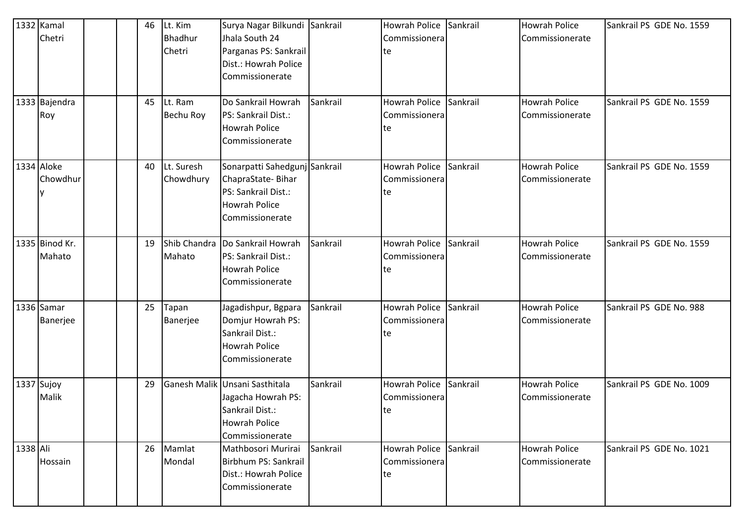|          | 1332 Kamal<br>Chetri     |  | 46 | Lt. Kim<br><b>Bhadhur</b><br>Chetri | Surya Nagar Bilkundi Sankrail<br>Jhala South 24<br>Parganas PS: Sankrail                                             |          | Howrah Police Sankrail<br>Commissionera<br>te |          | <b>Howrah Police</b><br>Commissionerate | Sankrail PS GDE No. 1559 |
|----------|--------------------------|--|----|-------------------------------------|----------------------------------------------------------------------------------------------------------------------|----------|-----------------------------------------------|----------|-----------------------------------------|--------------------------|
|          |                          |  |    |                                     | Dist.: Howrah Police<br>Commissionerate                                                                              |          |                                               |          |                                         |                          |
|          | 1333 Bajendra<br>Roy     |  | 45 | Lt. Ram<br>Bechu Roy                | Do Sankrail Howrah<br>PS: Sankrail Dist.:<br><b>Howrah Police</b><br>Commissionerate                                 | Sankrail | Howrah Police<br>Commissionera<br>te          | Sankrail | <b>Howrah Police</b><br>Commissionerate | Sankrail PS GDE No. 1559 |
|          | 1334 Aloke<br>Chowdhur   |  | 40 | Lt. Suresh<br>Chowdhury             | Sonarpatti Sahedgunj Sankrail<br>ChapraState-Bihar<br>PS: Sankrail Dist.:<br><b>Howrah Police</b><br>Commissionerate |          | <b>Howrah Police</b><br>Commissionera<br>te   | Sankrail | <b>Howrah Police</b><br>Commissionerate | Sankrail PS GDE No. 1559 |
|          | 1335 Binod Kr.<br>Mahato |  | 19 | Mahato                              | Shib Chandra Do Sankrail Howrah<br>PS: Sankrail Dist.:<br><b>Howrah Police</b><br>Commissionerate                    | Sankrail | <b>Howrah Police</b><br>Commissionera<br>te   | Sankrail | <b>Howrah Police</b><br>Commissionerate | Sankrail PS GDE No. 1559 |
|          | 1336 Samar<br>Banerjee   |  | 25 | Tapan<br>Banerjee                   | Jagadishpur, Bgpara<br>Domjur Howrah PS:<br>Sankrail Dist.:<br><b>Howrah Police</b><br>Commissionerate               | Sankrail | <b>Howrah Police</b><br>Commissionera<br>te   | Sankrail | <b>Howrah Police</b><br>Commissionerate | Sankrail PS GDE No. 988  |
|          | 1337 Sujoy<br>Malik      |  | 29 |                                     | Ganesh Malik Unsani Sasthitala<br>Jagacha Howrah PS:<br>Sankrail Dist.:<br>Howrah Police<br>Commissionerate          | Sankrail | <b>Howrah Police</b><br>Commissionera<br>te   | Sankrail | <b>Howrah Police</b><br>Commissionerate | Sankrail PS GDE No. 1009 |
| 1338 Ali | Hossain                  |  | 26 | Mamlat<br>Mondal                    | Mathbosori Murirai<br>Birbhum PS: Sankrail<br>Dist.: Howrah Police<br>Commissionerate                                | Sankrail | <b>Howrah Police</b><br>Commissionera<br>te   | Sankrail | <b>Howrah Police</b><br>Commissionerate | Sankrail PS GDE No. 1021 |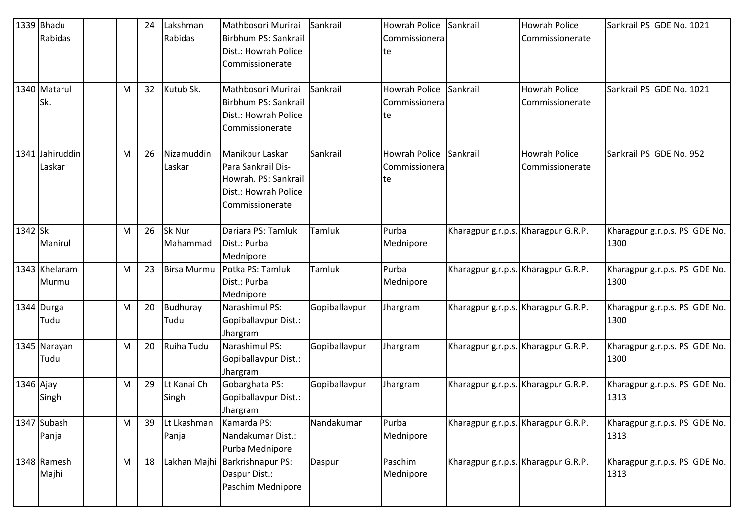|            | 1339 Bhadu<br>Rabidas<br>1340 Matarul<br>Sk. | M | 24<br>32 | Lakshman<br>Rabidas<br>Kutub Sk. | Mathbosori Murirai<br>Birbhum PS: Sankrail<br>Dist.: Howrah Police<br>Commissionerate<br>Mathbosori Murirai<br>Birbhum PS: Sankrail | Sankrail<br>Sankrail | Howrah Police<br>Commissionera<br>te<br><b>Howrah Police</b><br>Commissionera | Sankrail<br>Sankrail                | <b>Howrah Police</b><br>Commissionerate<br><b>Howrah Police</b><br>Commissionerate | Sankrail PS GDE No. 1021<br>Sankrail PS GDE No. 1021 |
|------------|----------------------------------------------|---|----------|----------------------------------|-------------------------------------------------------------------------------------------------------------------------------------|----------------------|-------------------------------------------------------------------------------|-------------------------------------|------------------------------------------------------------------------------------|------------------------------------------------------|
|            |                                              |   |          |                                  | Dist.: Howrah Police<br>Commissionerate                                                                                             |                      | te                                                                            |                                     |                                                                                    |                                                      |
|            | 1341 Jahiruddin<br>Laskar                    | M | 26       | Nizamuddin<br>Laskar             | Manikpur Laskar<br>Para Sankrail Dis-<br>Howrah. PS: Sankrail<br>Dist.: Howrah Police<br>Commissionerate                            | Sankrail             | <b>Howrah Police</b><br>Commissionera<br>te                                   | Sankrail                            | <b>Howrah Police</b><br>Commissionerate                                            | Sankrail PS GDE No. 952                              |
| 1342 Sk    | Manirul                                      | M | 26       | Sk Nur<br>Mahammad               | Dariara PS: Tamluk<br>Dist.: Purba<br>Mednipore                                                                                     | Tamluk               | Purba<br>Mednipore                                                            | Kharagpur g.r.p.s. Kharagpur G.R.P. |                                                                                    | Kharagpur g.r.p.s. PS GDE No.<br>1300                |
|            | 1343 Khelaram<br>Murmu                       | M | 23       | <b>Birsa Murmu</b>               | Potka PS: Tamluk<br>Dist.: Purba<br>Mednipore                                                                                       | Tamluk               | Purba<br>Mednipore                                                            | Kharagpur g.r.p.s. Kharagpur G.R.P. |                                                                                    | Kharagpur g.r.p.s. PS GDE No.<br>1300                |
| 1344 Durga | Tudu                                         | M | 20       | Budhuray<br>Tudu                 | Narashimul PS:<br>Gopiballavpur Dist.:<br>Jhargram                                                                                  | Gopiballavpur        | Jhargram                                                                      | Kharagpur g.r.p.s. Kharagpur G.R.P. |                                                                                    | Kharagpur g.r.p.s. PS GDE No.<br>1300                |
|            | 1345 Narayan<br>Tudu                         | M | 20       | Ruiha Tudu                       | Narashimul PS:<br>Gopiballavpur Dist.:<br>Jhargram                                                                                  | Gopiballavpur        | Jhargram                                                                      | Kharagpur g.r.p.s. Kharagpur G.R.P. |                                                                                    | Kharagpur g.r.p.s. PS GDE No.<br>1300                |
| 1346 Ajay  | Singh                                        | M | 29       | Lt Kanai Ch<br>Singh             | Gobarghata PS:<br>Gopiballavpur Dist.:<br>Jhargram                                                                                  | Gopiballavpur        | Jhargram                                                                      | Kharagpur g.r.p.s. Kharagpur G.R.P. |                                                                                    | Kharagpur g.r.p.s. PS GDE No.<br>1313                |
|            | 1347 Subash<br>Panja                         | M | 39       | Lt Lkashman<br>Panja             | Kamarda PS:<br>Nandakumar Dist.:<br>Purba Mednipore                                                                                 | Nandakumar           | Purba<br>Mednipore                                                            | Kharagpur g.r.p.s. Kharagpur G.R.P. |                                                                                    | Kharagpur g.r.p.s. PS GDE No.<br>1313                |
|            | 1348 Ramesh<br>Majhi                         | M | 18       |                                  | Lakhan Majhi Barkrishnapur PS:<br>Daspur Dist.:<br>Paschim Mednipore                                                                | Daspur               | Paschim<br>Mednipore                                                          | Kharagpur g.r.p.s. Kharagpur G.R.P. |                                                                                    | Kharagpur g.r.p.s. PS GDE No.<br>1313                |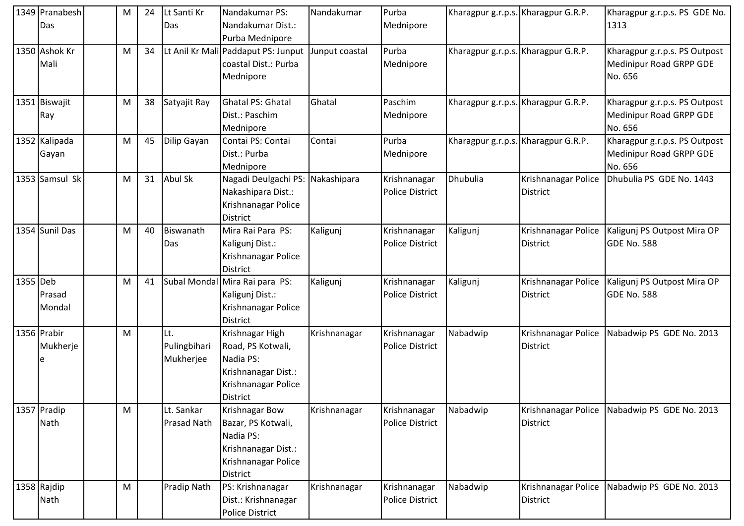|          | 1349 Pranabesh<br>Das   | М | 24 | Lt Santi Kr<br>Das               | Nandakumar PS:<br>Nandakumar Dist.:<br>Purba Mednipore                                                             | Nandakumar     | Purba<br>Mednipore                     | Kharagpur g.r.p.s. Kharagpur G.R.P. |                                        | Kharagpur g.r.p.s. PS GDE No.<br>1313                               |
|----------|-------------------------|---|----|----------------------------------|--------------------------------------------------------------------------------------------------------------------|----------------|----------------------------------------|-------------------------------------|----------------------------------------|---------------------------------------------------------------------|
|          | 1350 Ashok Kr<br>Mali   | М | 34 |                                  | Lt Anil Kr Mali Paddaput PS: Junput<br>coastal Dist.: Purba<br>Mednipore                                           | Junput coastal | Purba<br>Mednipore                     | Kharagpur g.r.p.s. Kharagpur G.R.P. |                                        | Kharagpur g.r.p.s. PS Outpost<br>Medinipur Road GRPP GDE<br>No. 656 |
|          | 1351 Biswajit<br>Ray    | М | 38 | Satyajit Ray                     | <b>Ghatal PS: Ghatal</b><br>Dist.: Paschim<br>Mednipore                                                            | Ghatal         | Paschim<br>Mednipore                   | Kharagpur g.r.p.s. Kharagpur G.R.P. |                                        | Kharagpur g.r.p.s. PS Outpost<br>Medinipur Road GRPP GDE<br>No. 656 |
|          | 1352 Kalipada<br>Gayan  | M | 45 | Dilip Gayan                      | Contai PS: Contai<br>Dist.: Purba<br>Mednipore                                                                     | Contai         | Purba<br>Mednipore                     | Kharagpur g.r.p.s. Kharagpur G.R.P. |                                        | Kharagpur g.r.p.s. PS Outpost<br>Medinipur Road GRPP GDE<br>No. 656 |
|          | 1353 Samsul Sk          | M | 31 | <b>Abul Sk</b>                   | Nagadi Deulgachi PS: Nakashipara<br>Nakashipara Dist.:<br>Krishnanagar Police<br>District                          |                | Krishnanagar<br><b>Police District</b> | <b>Dhubulia</b>                     | Krishnanagar Police<br>District        | Dhubulia PS GDE No. 1443                                            |
|          | 1354 Sunil Das          | M | 40 | Biswanath<br>Das                 | Mira Rai Para PS:<br>Kaligunj Dist.:<br>Krishnanagar Police<br><b>District</b>                                     | Kaligunj       | Krishnanagar<br><b>Police District</b> | Kaligunj                            | Krishnanagar Police<br><b>District</b> | Kaligunj PS Outpost Mira OP<br>GDE No. 588                          |
| 1355 Deb | Prasad<br>Mondal        | M | 41 |                                  | Subal Mondal Mira Rai para PS:<br>Kaligunj Dist.:<br>Krishnanagar Police<br><b>District</b>                        | Kaligunj       | Krishnanagar<br><b>Police District</b> | Kaligunj                            | Krishnanagar Police<br><b>District</b> | Kaligunj PS Outpost Mira OP<br>GDE No. 588                          |
|          | 1356 Prabir<br>Mukherje | M |    | Lt.<br>Pulingbihari<br>Mukherjee | Krishnagar High<br>Road, PS Kotwali,<br>Nadia PS:<br>Krishnanagar Dist.:<br>Krishnanagar Police<br><b>District</b> | Krishnanagar   | Krishnanagar<br><b>Police District</b> | Nabadwip                            | Krishnanagar Police<br>District        | Nabadwip PS GDE No. 2013                                            |
|          | 1357 Pradip<br>Nath     | M |    | Lt. Sankar<br>Prasad Nath        | Krishnagar Bow<br>Bazar, PS Kotwali,<br>Nadia PS:<br>Krishnanagar Dist.:<br>Krishnanagar Police<br>District        | Krishnanagar   | Krishnanagar<br>Police District        | Nabadwip                            | Krishnanagar Police<br>District        | Nabadwip PS GDE No. 2013                                            |
|          | 1358 Rajdip<br>Nath     | M |    | <b>Pradip Nath</b>               | PS: Krishnanagar<br>Dist.: Krishnanagar<br><b>Police District</b>                                                  | Krishnanagar   | Krishnanagar<br><b>Police District</b> | Nabadwip                            | Krishnanagar Police<br><b>District</b> | Nabadwip PS GDE No. 2013                                            |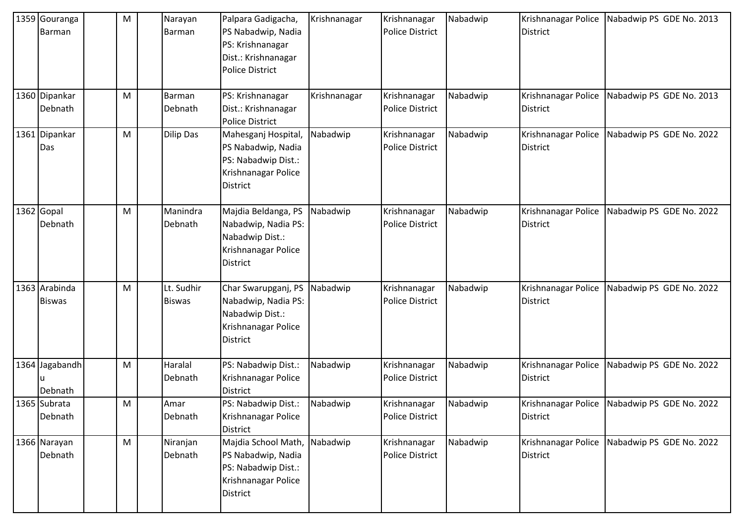| 1359 Gouranga<br>Barman        | M | Narayan<br>Barman           | Palpara Gadigacha,<br>PS Nabadwip, Nadia<br>PS: Krishnanagar<br>Dist.: Krishnanagar<br><b>Police District</b> | Krishnanagar | Krishnanagar<br>Police District        | Nabadwip | Krishnanagar Police<br>District        | Nabadwip PS GDE No. 2013                     |
|--------------------------------|---|-----------------------------|---------------------------------------------------------------------------------------------------------------|--------------|----------------------------------------|----------|----------------------------------------|----------------------------------------------|
| 1360 Dipankar<br>Debnath       | M | Barman<br>Debnath           | PS: Krishnanagar<br>Dist.: Krishnanagar<br><b>Police District</b>                                             | Krishnanagar | Krishnanagar<br><b>Police District</b> | Nabadwip | Krishnanagar Police<br>District        | Nabadwip PS GDE No. 2013                     |
| 1361 Dipankar<br>Das           | M | <b>Dilip Das</b>            | Mahesganj Hospital,<br>PS Nabadwip, Nadia<br>PS: Nabadwip Dist.:<br>Krishnanagar Police<br><b>District</b>    | Nabadwip     | Krishnanagar<br><b>Police District</b> | Nabadwip | Krishnanagar Police<br><b>District</b> | Nabadwip PS GDE No. 2022                     |
| $1362$ Gopal<br>Debnath        | M | Manindra<br>Debnath         | Majdia Beldanga, PS<br>Nabadwip, Nadia PS:<br>Nabadwip Dist.:<br>Krishnanagar Police<br><b>District</b>       | Nabadwip     | Krishnanagar<br><b>Police District</b> | Nabadwip | Krishnanagar Police<br>District        | Nabadwip PS GDE No. 2022                     |
| 1363 Arabinda<br><b>Biswas</b> | M | Lt. Sudhir<br><b>Biswas</b> | Char Swarupganj, PS<br>Nabadwip, Nadia PS:<br>Nabadwip Dist.:<br>Krishnanagar Police<br><b>District</b>       | Nabadwip     | Krishnanagar<br><b>Police District</b> | Nabadwip | Krishnanagar Police<br>District        | Nabadwip PS GDE No. 2022                     |
| 1364 Jagabandh<br>Debnath      | M | Haralal<br>Debnath          | PS: Nabadwip Dist.:<br>Krishnanagar Police<br><b>District</b>                                                 | Nabadwip     | Krishnanagar<br><b>Police District</b> | Nabadwip | Krishnanagar Police<br>District        | Nabadwip PS GDE No. 2022                     |
| 1365 Subrata<br>Debnath        | M | Amar<br>Debnath             | PS: Nabadwip Dist.:<br>Krishnanagar Police<br><b>District</b>                                                 | Nabadwip     | Krishnanagar<br>Police District        | Nabadwip | District                               | Krishnanagar Police Nabadwip PS GDE No. 2022 |
| 1366 Narayan<br>Debnath        | M | Niranjan<br>Debnath         | Majdia School Math,<br>PS Nabadwip, Nadia<br>PS: Nabadwip Dist.:<br>Krishnanagar Police<br><b>District</b>    | Nabadwip     | Krishnanagar<br>Police District        | Nabadwip | Krishnanagar Police<br>District        | Nabadwip PS GDE No. 2022                     |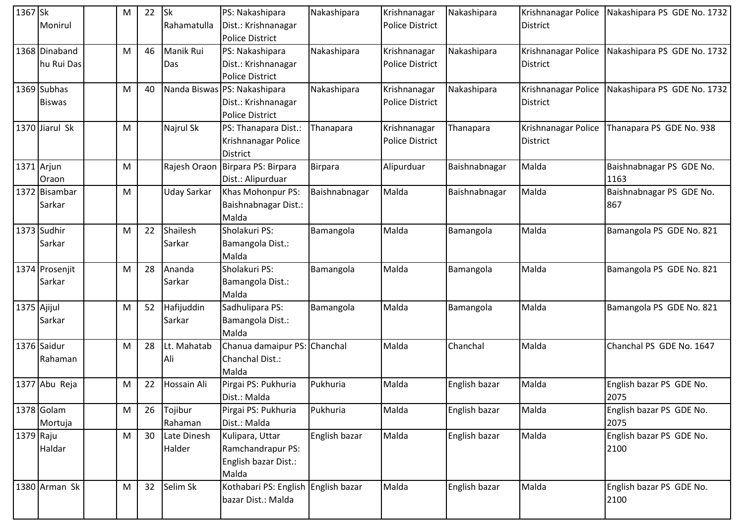| 1367 Sk     |                | М         | 22 | <b>Sk</b>          | PS: Nakashipara                     | Nakashipara   | Krishnanagar           | Nakashipara   | Krishnanagar Police | Nakashipara PS GDE No. 1732 |
|-------------|----------------|-----------|----|--------------------|-------------------------------------|---------------|------------------------|---------------|---------------------|-----------------------------|
|             | Monirul        |           |    | Rahamatulla        | Dist.: Krishnanagar                 |               | <b>Police District</b> |               | District            |                             |
|             |                |           |    |                    | <b>Police District</b>              |               |                        |               |                     |                             |
|             | 1368 Dinaband  | М         | 46 | Manik Rui          | PS: Nakashipara                     | Nakashipara   | Krishnanagar           | Nakashipara   | Krishnanagar Police | Nakashipara PS GDE No. 1732 |
|             | hu Rui Das     |           |    | Das                | Dist.: Krishnanagar                 |               | <b>Police District</b> |               | District            |                             |
|             |                |           |    |                    | <b>Police District</b>              |               |                        |               |                     |                             |
|             | 1369 Subhas    | М         | 40 |                    | Nanda Biswas PS: Nakashipara        | Nakashipara   | Krishnanagar           | Nakashipara   | Krishnanagar Police | Nakashipara PS GDE No. 1732 |
|             | <b>Biswas</b>  |           |    |                    | Dist.: Krishnanagar                 |               | <b>Police District</b> |               | District            |                             |
|             |                |           |    |                    | <b>Police District</b>              |               |                        |               |                     |                             |
|             | 1370 Jiarul Sk | M         |    | Najrul Sk          | PS: Thanapara Dist.:                | Thanapara     | Krishnanagar           | Thanapara     | Krishnanagar Police | Thanapara PS GDE No. 938    |
|             |                |           |    |                    | Krishnanagar Police                 |               | Police District        |               | <b>District</b>     |                             |
|             |                |           |    |                    | <b>District</b>                     |               |                        |               |                     |                             |
| 1371 Arjun  |                | M         |    | Rajesh Oraon       | Birpara PS: Birpara                 | Birpara       | Alipurduar             | Baishnabnagar | Malda               | Baishnabnagar PS GDE No.    |
|             | Oraon          |           |    |                    | Dist.: Alipurduar                   |               |                        |               |                     | 1163                        |
|             | 1372 Bisambar  | ${\sf M}$ |    | Uday Sarkar        | Khas Mohonpur PS:                   | Baishnabnagar | Malda                  | Baishnabnagar | Malda               | Baishnabnagar PS GDE No.    |
|             | Sarkar         |           |    |                    | <b>Baishnabnagar Dist.:</b>         |               |                        |               |                     | 867                         |
|             |                |           |    |                    | Malda                               |               |                        |               |                     |                             |
|             | 1373 Sudhir    | M         | 22 | Shailesh           | Sholakuri PS:                       | Bamangola     | Malda                  | Bamangola     | Malda               | Bamangola PS GDE No. 821    |
|             | Sarkar         |           |    | Sarkar             | Bamangola Dist.:                    |               |                        |               |                     |                             |
|             |                |           |    |                    | Malda                               |               |                        |               |                     |                             |
|             | 1374 Prosenjit | М         | 28 | Ananda             | Sholakuri PS:                       | Bamangola     | Malda                  | Bamangola     | Malda               | Bamangola PS GDE No. 821    |
|             | Sarkar         |           |    | Sarkar             | Bamangola Dist.:                    |               |                        |               |                     |                             |
|             |                |           |    |                    | Malda                               |               |                        |               |                     |                             |
| 1375 Ajijul |                | M         | 52 | Hafijuddin         | Sadhulipara PS:                     | Bamangola     | Malda                  | Bamangola     | Malda               | Bamangola PS GDE No. 821    |
|             | Sarkar         |           |    | Sarkar             | Bamangola Dist.:                    |               |                        |               |                     |                             |
|             |                |           |    |                    | Malda                               |               |                        |               |                     |                             |
|             | 1376 Saidur    | M         | 28 | Lt. Mahatab        | Chanua damaipur PS:                 | Chanchal      | Malda                  | Chanchal      | Malda               | Chanchal PS GDE No. 1647    |
|             | Rahaman        |           |    | Ali                | Chanchal Dist.:                     |               |                        |               |                     |                             |
|             |                |           |    |                    | Malda                               |               |                        |               |                     |                             |
|             | 1377 Abu Reja  | M         | 22 | <b>Hossain Ali</b> | Pirgai PS: Pukhuria                 | Pukhuria      | Malda                  | English bazar | Malda               | English bazar PS GDE No.    |
|             |                |           |    |                    | Dist.: Malda                        |               |                        |               |                     | 2075                        |
|             | 1378 Golam     | M         | 26 | Tojibur            | Pirgai PS: Pukhuria                 | Pukhuria      | Malda                  | English bazar | Malda               | English bazar PS GDE No.    |
|             | Mortuja        |           |    | Rahaman            | Dist.: Malda                        |               |                        |               |                     | 2075                        |
| 1379 Raju   |                | M         | 30 | Late Dinesh        | Kulipara, Uttar                     | English bazar | Malda                  | English bazar | Malda               | English bazar PS GDE No.    |
|             | Haldar         |           |    | Halder             | Ramchandrapur PS:                   |               |                        |               |                     | 2100                        |
|             |                |           |    |                    | English bazar Dist.:                |               |                        |               |                     |                             |
|             |                |           |    |                    | Malda                               |               |                        |               |                     |                             |
|             | 1380 Arman Sk  | M         | 32 | Selim Sk           | Kothabari PS: English English bazar |               | Malda                  | English bazar | Malda               | English bazar PS GDE No.    |
|             |                |           |    |                    | bazar Dist.: Malda                  |               |                        |               |                     | 2100                        |
|             |                |           |    |                    |                                     |               |                        |               |                     |                             |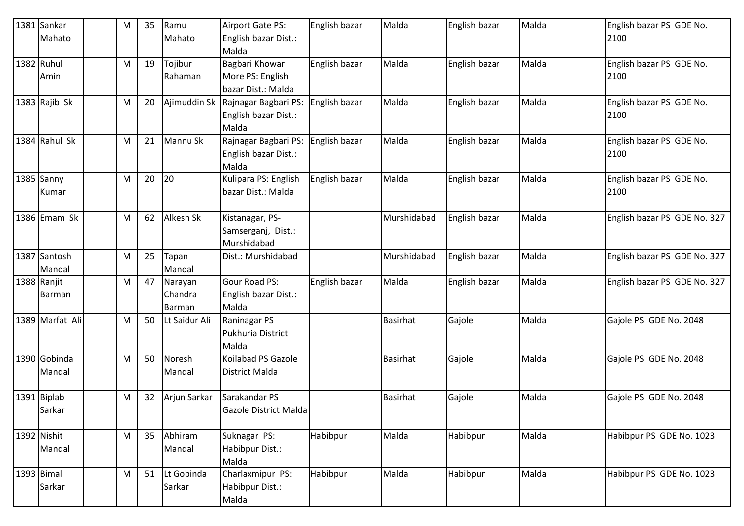|            | 1381 Sankar<br>Mahato  | M | 35 | Ramu<br>Mahato               | Airport Gate PS:<br>English bazar Dist.:                           | English bazar | Malda           | English bazar | Malda | English bazar PS GDE No.<br>2100 |
|------------|------------------------|---|----|------------------------------|--------------------------------------------------------------------|---------------|-----------------|---------------|-------|----------------------------------|
|            |                        |   |    |                              | Malda                                                              |               |                 |               |       |                                  |
| 1382 Ruhul | Amin                   | M | 19 | Tojibur<br>Rahaman           | Bagbari Khowar<br>More PS: English<br>bazar Dist.: Malda           | English bazar | Malda           | English bazar | Malda | English bazar PS GDE No.<br>2100 |
|            | 1383 Rajib Sk          | M | 20 |                              | Ajimuddin Sk Rajnagar Bagbari PS:<br>English bazar Dist.:<br>Malda | English bazar | Malda           | English bazar | Malda | English bazar PS GDE No.<br>2100 |
|            | 1384 Rahul Sk          | M | 21 | Mannu Sk                     | Rajnagar Bagbari PS:<br>English bazar Dist.:<br>Malda              | English bazar | Malda           | English bazar | Malda | English bazar PS GDE No.<br>2100 |
|            | 1385 Sanny<br>Kumar    | M | 20 | 20                           | Kulipara PS: English<br>bazar Dist.: Malda                         | English bazar | Malda           | English bazar | Malda | English bazar PS GDE No.<br>2100 |
|            | 1386 Emam Sk           | M | 62 | Alkesh Sk                    | Kistanagar, PS-<br>Samserganj, Dist.:<br>Murshidabad               |               | Murshidabad     | English bazar | Malda | English bazar PS GDE No. 327     |
|            | 1387 Santosh<br>Mandal | M | 25 | Tapan<br>Mandal              | Dist.: Murshidabad                                                 |               | Murshidabad     | English bazar | Malda | English bazar PS GDE No. 327     |
|            | 1388 Ranjit<br>Barman  | M | 47 | Narayan<br>Chandra<br>Barman | <b>Gour Road PS:</b><br>English bazar Dist.:<br>Malda              | English bazar | Malda           | English bazar | Malda | English bazar PS GDE No. 327     |
|            | 1389 Marfat Ali        | М | 50 | Lt Saidur Ali                | Raninagar PS<br>Pukhuria District<br>Malda                         |               | <b>Basirhat</b> | Gajole        | Malda | Gajole PS GDE No. 2048           |
|            | 1390 Gobinda<br>Mandal | M | 50 | Noresh<br>Mandal             | Koilabad PS Gazole<br>District Malda                               |               | <b>Basirhat</b> | Gajole        | Malda | Gajole PS GDE No. 2048           |
|            | 1391 Biplab<br>Sarkar  | M | 32 | Arjun Sarkar                 | Sarakandar PS<br>Gazole District Malda                             |               | <b>Basirhat</b> | Gajole        | Malda | Gajole PS GDE No. 2048           |
|            | 1392 Nishit<br>Mandal  | M | 35 | Abhiram<br>Mandal            | Suknagar PS:<br>Habibpur Dist.:<br>Malda                           | Habibpur      | Malda           | Habibpur      | Malda | Habibpur PS GDE No. 1023         |
| 1393 Bimal | Sarkar                 | M | 51 | Lt Gobinda<br>Sarkar         | Charlaxmipur PS:<br>Habibpur Dist.:<br>Malda                       | Habibpur      | Malda           | Habibpur      | Malda | Habibpur PS GDE No. 1023         |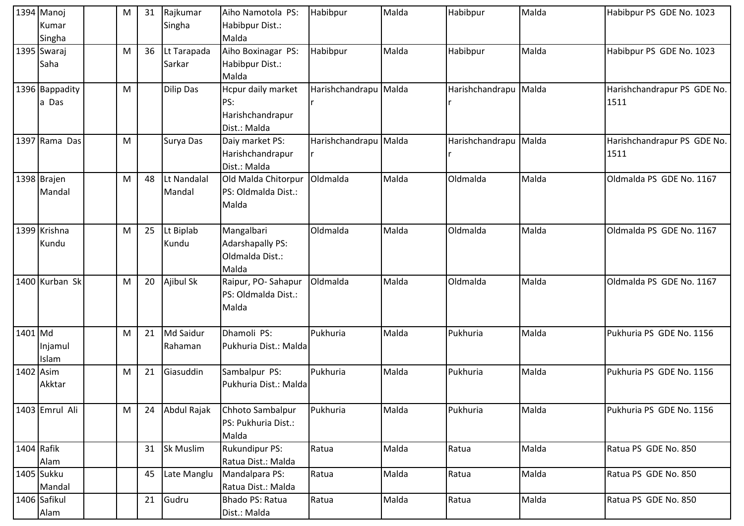|            | 1394 Manoj<br>Kumar<br>Singha | M | 31 | Rajkumar<br>Singha    | Aiho Namotola PS:<br>Habibpur Dist.:<br>Malda                     | Habibpur              | Malda | Habibpur        | Malda | Habibpur PS GDE No. 1023            |
|------------|-------------------------------|---|----|-----------------------|-------------------------------------------------------------------|-----------------------|-------|-----------------|-------|-------------------------------------|
|            | 1395 Swaraj<br>Saha           | M | 36 | Lt Tarapada<br>Sarkar | Aiho Boxinagar PS:<br>Habibpur Dist.:<br>Malda                    | Habibpur              | Malda | Habibpur        | Malda | Habibpur PS GDE No. 1023            |
|            | 1396 Bappadity<br>a Das       | M |    | <b>Dilip Das</b>      | Hcpur daily market<br>PS:<br>Harishchandrapur<br>Dist.: Malda     | Harishchandrapu Malda |       | Harishchandrapu | Malda | Harishchandrapur PS GDE No.<br>1511 |
|            | 1397 Rama Das                 | M |    | Surya Das             | Daiy market PS:<br>Harishchandrapur<br>Dist.: Malda               | Harishchandrapu Malda |       | Harishchandrapu | Malda | Harishchandrapur PS GDE No.<br>1511 |
|            | 1398 Brajen<br>Mandal         | M | 48 | Lt Nandalal<br>Mandal | Old Malda Chitorpur<br>PS: Oldmalda Dist.:<br>Malda               | Oldmalda              | Malda | Oldmalda        | Malda | Oldmalda PS GDE No. 1167            |
|            | 1399 Krishna<br>Kundu         | M | 25 | Lt Biplab<br>Kundu    | Mangalbari<br><b>Adarshapally PS:</b><br>Oldmalda Dist.:<br>Malda | Oldmalda              | Malda | Oldmalda        | Malda | Oldmalda PS GDE No. 1167            |
|            | 1400 Kurban Sk                | M | 20 | Ajibul Sk             | Raipur, PO-Sahapur<br>PS: Oldmalda Dist.:<br>Malda                | Oldmalda              | Malda | Oldmalda        | Malda | Oldmalda PS GDE No. 1167            |
| 1401 Md    | Injamul<br>Islam              | M | 21 | Md Saidur<br>Rahaman  | Dhamoli PS:<br>Pukhuria Dist.: Malda                              | Pukhuria              | Malda | Pukhuria        | Malda | Pukhuria PS GDE No. 1156            |
| 1402 Asim  | Akktar                        | M | 21 | Giasuddin             | Sambalpur PS:<br>Pukhuria Dist.: Malda                            | Pukhuria              | Malda | Pukhuria        | Malda | Pukhuria PS GDE No. 1156            |
|            | 1403 Emrul Ali                | M | 24 | Abdul Rajak           | Chhoto Sambalpur<br>PS: Pukhuria Dist.:<br>Malda                  | Pukhuria              | Malda | Pukhuria        | Malda | Pukhuria PS GDE No. 1156            |
| 1404 Rafik | Alam                          |   | 31 | <b>Sk Muslim</b>      | <b>Rukundipur PS:</b><br>Ratua Dist.: Malda                       | Ratua                 | Malda | Ratua           | Malda | Ratua PS GDE No. 850                |
|            | 1405 Sukku<br>Mandal          |   | 45 | Late Manglu           | Mandalpara PS:<br>Ratua Dist.: Malda                              | Ratua                 | Malda | Ratua           | Malda | Ratua PS GDE No. 850                |
|            | 1406 Safikul<br>Alam          |   | 21 | Gudru                 | Bhado PS: Ratua<br>Dist.: Malda                                   | Ratua                 | Malda | Ratua           | Malda | Ratua PS GDE No. 850                |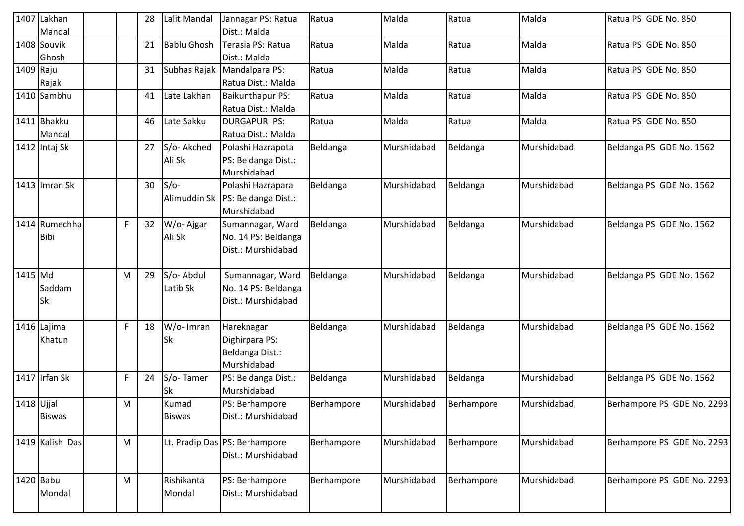|            | 1407 Lakhan<br>Mandal        |   | 28 | Lalit Mandal           | Jannagar PS: Ratua<br>Dist.: Malda                                     | Ratua      | Malda       | Ratua      | Malda       | Ratua PS GDE No. 850       |
|------------|------------------------------|---|----|------------------------|------------------------------------------------------------------------|------------|-------------|------------|-------------|----------------------------|
|            | 1408 Souvik<br>Ghosh         |   | 21 | <b>Bablu Ghosh</b>     | Terasia PS: Ratua<br>Dist.: Malda                                      | Ratua      | Malda       | Ratua      | Malda       | Ratua PS GDE No. 850       |
| 1409 Raju  | Rajak                        |   | 31 |                        | Subhas Rajak Mandalpara PS:<br>Ratua Dist.: Malda                      | Ratua      | Malda       | Ratua      | Malda       | Ratua PS GDE No. 850       |
|            | 1410 Sambhu                  |   | 41 | Late Lakhan            | Baikunthapur PS:<br>Ratua Dist.: Malda                                 | Ratua      | Malda       | Ratua      | Malda       | Ratua PS GDE No. 850       |
|            | 1411 Bhakku<br>Mandal        |   | 46 | Late Sakku             | <b>DURGAPUR PS:</b><br>Ratua Dist.: Malda                              | Ratua      | Malda       | Ratua      | Malda       | Ratua PS GDE No. 850       |
|            | 1412 Intaj Sk                |   | 27 | S/o- Akched<br>Ali Sk  | Polashi Hazrapota<br>PS: Beldanga Dist.:<br>Murshidabad                | Beldanga   | Murshidabad | Beldanga   | Murshidabad | Beldanga PS GDE No. 1562   |
|            | 1413 Imran Sk                |   | 30 | $S/O-$                 | Polashi Hazrapara<br>Alimuddin Sk   PS: Beldanga Dist.:<br>Murshidabad | Beldanga   | Murshidabad | Beldanga   | Murshidabad | Beldanga PS GDE No. 1562   |
|            | 1414 Rumechha<br><b>Bibi</b> | F | 32 | W/o-Ajgar<br>Ali Sk    | Sumannagar, Ward<br>No. 14 PS: Beldanga<br>Dist.: Murshidabad          | Beldanga   | Murshidabad | Beldanga   | Murshidabad | Beldanga PS GDE No. 1562   |
| 1415 Md    | Saddam<br>Sk                 | M | 29 | S/o-Abdul<br>Latib Sk  | Sumannagar, Ward<br>No. 14 PS: Beldanga<br>Dist.: Murshidabad          | Beldanga   | Murshidabad | Beldanga   | Murshidabad | Beldanga PS GDE No. 1562   |
|            | 1416 Lajima<br>Khatun        | F | 18 | W/o- Imran<br>Sk       | Hareknagar<br>Dighirpara PS:<br>Beldanga Dist.:<br>Murshidabad         | Beldanga   | Murshidabad | Beldanga   | Murshidabad | Beldanga PS GDE No. 1562   |
|            | 1417 Irfan Sk                | F | 24 | S/o-Tamer<br>Sk        | PS: Beldanga Dist.:<br>Murshidabad                                     | Beldanga   | Murshidabad | Beldanga   | Murshidabad | Beldanga PS GDE No. 1562   |
| 1418 Ujjal | <b>Biswas</b>                | M |    | Kumad<br><b>Biswas</b> | PS: Berhampore<br>Dist.: Murshidabad                                   | Berhampore | Murshidabad | Berhampore | Murshidabad | Berhampore PS GDE No. 2293 |
|            | 1419 Kalish Das              | M |    |                        | Lt. Pradip Das PS: Berhampore<br>Dist.: Murshidabad                    | Berhampore | Murshidabad | Berhampore | Murshidabad | Berhampore PS GDE No. 2293 |
| 1420 Babu  | Mondal                       | M |    | Rishikanta<br>Mondal   | PS: Berhampore<br>Dist.: Murshidabad                                   | Berhampore | Murshidabad | Berhampore | Murshidabad | Berhampore PS GDE No. 2293 |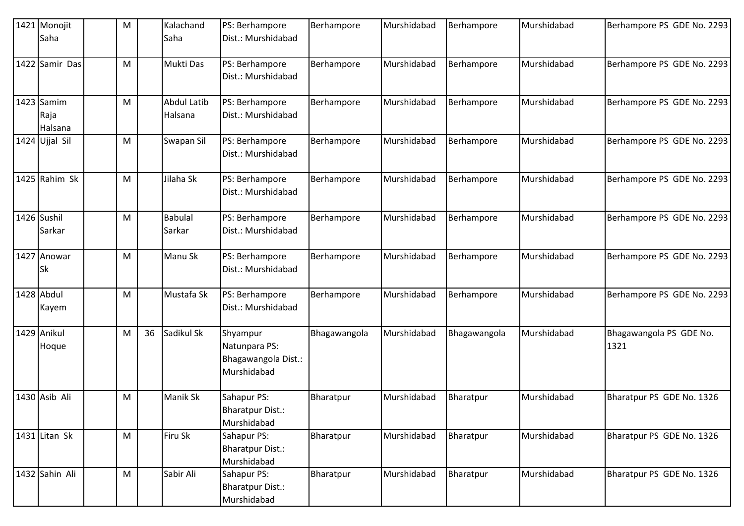| 1421 Monojit<br>Saha            | M |    | Kalachand<br>Saha             | PS: Berhampore<br>Dist.: Murshidabad                            | Berhampore   | Murshidabad | Berhampore   | Murshidabad | Berhampore PS GDE No. 2293      |
|---------------------------------|---|----|-------------------------------|-----------------------------------------------------------------|--------------|-------------|--------------|-------------|---------------------------------|
| 1422 Samir Das                  | M |    | Mukti Das                     | PS: Berhampore<br>Dist.: Murshidabad                            | Berhampore   | Murshidabad | Berhampore   | Murshidabad | Berhampore PS GDE No. 2293      |
| $1423$ Samim<br>Raja<br>Halsana | M |    | <b>Abdul Latib</b><br>Halsana | PS: Berhampore<br>Dist.: Murshidabad                            | Berhampore   | Murshidabad | Berhampore   | Murshidabad | Berhampore PS GDE No. 2293      |
| 1424 Ujjal Sil                  | M |    | Swapan Sil                    | PS: Berhampore<br>Dist.: Murshidabad                            | Berhampore   | Murshidabad | Berhampore   | Murshidabad | Berhampore PS GDE No. 2293      |
| 1425 Rahim Sk                   | M |    | Jilaha Sk                     | PS: Berhampore<br>Dist.: Murshidabad                            | Berhampore   | Murshidabad | Berhampore   | Murshidabad | Berhampore PS GDE No. 2293      |
| 1426 Sushil<br>Sarkar           | M |    | <b>Babulal</b><br>Sarkar      | PS: Berhampore<br>Dist.: Murshidabad                            | Berhampore   | Murshidabad | Berhampore   | Murshidabad | Berhampore PS GDE No. 2293      |
| 1427 Anowar<br>Sk               | M |    | Manu Sk                       | PS: Berhampore<br>Dist.: Murshidabad                            | Berhampore   | Murshidabad | Berhampore   | Murshidabad | Berhampore PS GDE No. 2293      |
| 1428 Abdul<br>Kayem             | M |    | Mustafa Sk                    | PS: Berhampore<br>Dist.: Murshidabad                            | Berhampore   | Murshidabad | Berhampore   | Murshidabad | Berhampore PS GDE No. 2293      |
| 1429 Anikul<br>Hoque            | M | 36 | Sadikul Sk                    | Shyampur<br>Natunpara PS:<br>Bhagawangola Dist.:<br>Murshidabad | Bhagawangola | Murshidabad | Bhagawangola | Murshidabad | Bhagawangola PS GDE No.<br>1321 |
| 1430 Asib Ali                   | M |    | <b>Manik Sk</b>               | Sahapur PS:<br><b>Bharatpur Dist.:</b><br>Murshidabad           | Bharatpur    | Murshidabad | Bharatpur    | Murshidabad | Bharatpur PS GDE No. 1326       |
| 1431 Litan Sk                   | M |    | Firu Sk                       | Sahapur PS:<br><b>Bharatpur Dist.:</b><br>Murshidabad           | Bharatpur    | Murshidabad | Bharatpur    | Murshidabad | Bharatpur PS GDE No. 1326       |
| 1432 Sahin Ali                  | M |    | Sabir Ali                     | Sahapur PS:<br><b>Bharatpur Dist.:</b><br>Murshidabad           | Bharatpur    | Murshidabad | Bharatpur    | Murshidabad | Bharatpur PS GDE No. 1326       |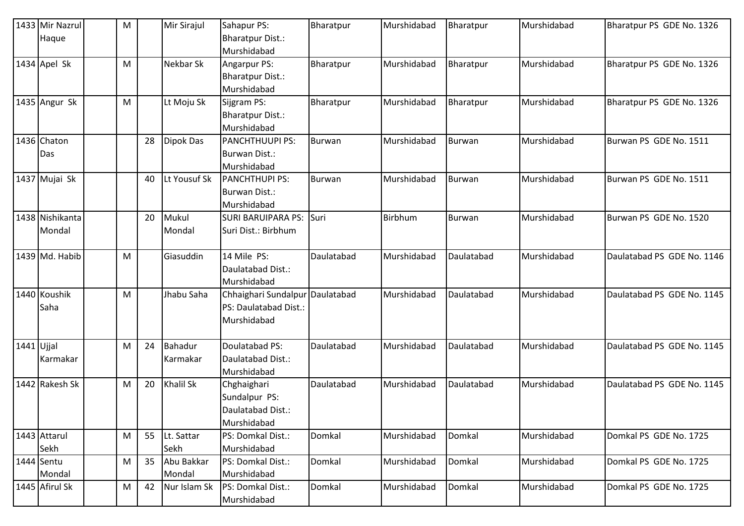|            | 1433 Mir Nazrul<br>Haque | M |    | Mir Sirajul      | Sahapur PS:<br><b>Bharatpur Dist.:</b> | Bharatpur     | Murshidabad | Bharatpur     | Murshidabad | Bharatpur PS GDE No. 1326  |
|------------|--------------------------|---|----|------------------|----------------------------------------|---------------|-------------|---------------|-------------|----------------------------|
|            |                          |   |    |                  | Murshidabad                            |               |             |               |             |                            |
|            | 1434 Apel Sk             | M |    | <b>Nekbar Sk</b> | Angarpur PS:                           | Bharatpur     | Murshidabad | Bharatpur     | Murshidabad | Bharatpur PS GDE No. 1326  |
|            |                          |   |    |                  | <b>Bharatpur Dist.:</b>                |               |             |               |             |                            |
|            |                          |   |    |                  | Murshidabad                            |               |             |               |             |                            |
|            | 1435 Angur Sk            | M |    | Lt Moju Sk       | Sijgram PS:                            | Bharatpur     | Murshidabad | Bharatpur     | Murshidabad | Bharatpur PS GDE No. 1326  |
|            |                          |   |    |                  | <b>Bharatpur Dist.:</b>                |               |             |               |             |                            |
|            |                          |   |    |                  | Murshidabad                            |               |             |               |             |                            |
|            | 1436 Chaton              |   | 28 | <b>Dipok Das</b> | <b>PANCHTHUUPI PS:</b>                 | <b>Burwan</b> | Murshidabad | Burwan        | Murshidabad | Burwan PS GDE No. 1511     |
|            | Das                      |   |    |                  | <b>Burwan Dist.:</b>                   |               |             |               |             |                            |
|            |                          |   |    |                  | Murshidabad                            |               |             |               |             |                            |
|            | 1437 Mujai Sk            |   | 40 | Lt Yousuf Sk     | <b>PANCHTHUPI PS:</b>                  | <b>Burwan</b> | Murshidabad | Burwan        | Murshidabad | Burwan PS GDE No. 1511     |
|            |                          |   |    |                  | Burwan Dist.:                          |               |             |               |             |                            |
|            |                          |   |    |                  | Murshidabad                            |               |             |               |             |                            |
|            | 1438 Nishikanta          |   | 20 | Mukul            | <b>SURI BARUIPARA PS:</b>              | Suri          | Birbhum     | <b>Burwan</b> | Murshidabad | Burwan PS GDE No. 1520     |
|            | Mondal                   |   |    | Mondal           | Suri Dist.: Birbhum                    |               |             |               |             |                            |
|            | 1439 Md. Habib           | M |    | Giasuddin        | 14 Mile PS:                            | Daulatabad    | Murshidabad | Daulatabad    | Murshidabad | Daulatabad PS GDE No. 1146 |
|            |                          |   |    |                  | Daulatabad Dist.:                      |               |             |               |             |                            |
|            |                          |   |    |                  | Murshidabad                            |               |             |               |             |                            |
|            | 1440 Koushik             | M |    | Jhabu Saha       | Chhaighari Sundalpur Daulatabad        |               | Murshidabad | Daulatabad    | Murshidabad | Daulatabad PS GDE No. 1145 |
|            | Saha                     |   |    |                  | PS: Daulatabad Dist.:                  |               |             |               |             |                            |
|            |                          |   |    |                  | Murshidabad                            |               |             |               |             |                            |
| 1441 Ujjal |                          | M | 24 | <b>Bahadur</b>   | Doulatabad PS:                         | Daulatabad    | Murshidabad | Daulatabad    | Murshidabad | Daulatabad PS GDE No. 1145 |
|            | Karmakar                 |   |    | Karmakar         | Daulatabad Dist.:                      |               |             |               |             |                            |
|            |                          |   |    |                  | Murshidabad                            |               |             |               |             |                            |
|            | 1442 Rakesh Sk           | M | 20 | <b>Khalil Sk</b> | Chghaighari                            | Daulatabad    | Murshidabad | Daulatabad    | Murshidabad | Daulatabad PS GDE No. 1145 |
|            |                          |   |    |                  | Sundalpur PS:                          |               |             |               |             |                            |
|            |                          |   |    |                  | Daulatabad Dist.:                      |               |             |               |             |                            |
|            |                          |   |    |                  | Murshidabad                            |               |             |               |             |                            |
|            | 1443 Attarul             | M | 55 | Lt. Sattar       | PS: Domkal Dist.:                      | Domkal        | Murshidabad | Domkal        | Murshidabad | Domkal PS GDE No. 1725     |
|            | Sekh                     |   |    | Sekh             | Murshidabad                            |               |             |               |             |                            |
|            | 1444 Sentu               | M | 35 | Abu Bakkar       | PS: Domkal Dist.:                      | Domkal        | Murshidabad | Domkal        | Murshidabad | Domkal PS GDE No. 1725     |
|            | Mondal                   |   |    | Mondal           | Murshidabad                            |               |             |               |             |                            |
|            | 1445 Afirul Sk           | M | 42 | Nur Islam Sk     | PS: Domkal Dist.:                      | Domkal        | Murshidabad | Domkal        | Murshidabad | Domkal PS GDE No. 1725     |
|            |                          |   |    |                  | Murshidabad                            |               |             |               |             |                            |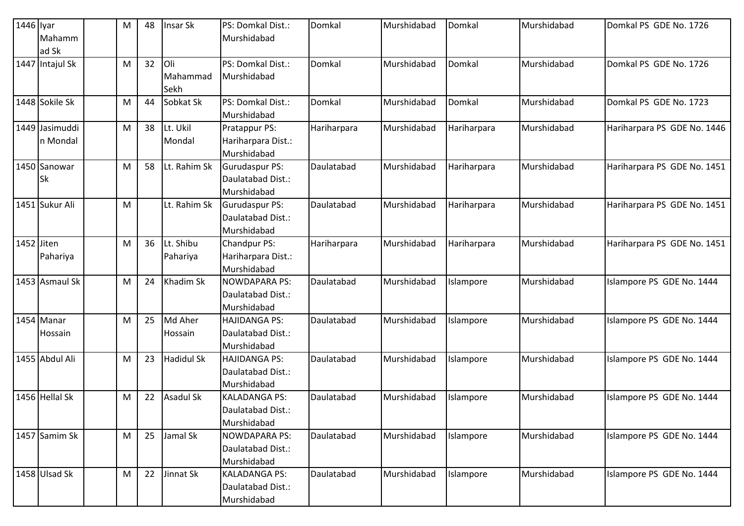| 1446 lyar  | Mahamm                     | M | 48 | Insar Sk                | PS: Domkal Dist.:<br>Murshidabad                          | Domkal      | Murshidabad | Domkal      | Murshidabad | Domkal PS GDE No. 1726      |
|------------|----------------------------|---|----|-------------------------|-----------------------------------------------------------|-------------|-------------|-------------|-------------|-----------------------------|
|            | ad Sk<br>1447 Intajul Sk   | M | 32 | Oli<br>Mahammad<br>Sekh | PS: Domkal Dist.:<br>Murshidabad                          | Domkal      | Murshidabad | Domkal      | Murshidabad | Domkal PS GDE No. 1726      |
|            | 1448 Sokile Sk             | M | 44 | Sobkat Sk               | PS: Domkal Dist.:<br>Murshidabad                          | Domkal      | Murshidabad | Domkal      | Murshidabad | Domkal PS GDE No. 1723      |
|            | 1449 Jasimuddi<br>n Mondal | M | 38 | Lt. Ukil<br>Mondal      | Pratappur PS:<br>Hariharpara Dist.:<br>Murshidabad        | Hariharpara | Murshidabad | Hariharpara | Murshidabad | Hariharpara PS GDE No. 1446 |
|            | 1450 Sanowar<br>Sk         | M | 58 | Lt. Rahim Sk            | <b>Gurudaspur PS:</b><br>Daulatabad Dist.:<br>Murshidabad | Daulatabad  | Murshidabad | Hariharpara | Murshidabad | Hariharpara PS GDE No. 1451 |
|            | 1451 Sukur Ali             | M |    | Lt. Rahim Sk            | <b>Gurudaspur PS:</b><br>Daulatabad Dist.:<br>Murshidabad | Daulatabad  | Murshidabad | Hariharpara | Murshidabad | Hariharpara PS GDE No. 1451 |
| 1452 Jiten | Pahariya                   | M | 36 | Lt. Shibu<br>Pahariya   | <b>Chandpur PS:</b><br>Hariharpara Dist.:<br>Murshidabad  | Hariharpara | Murshidabad | Hariharpara | Murshidabad | Hariharpara PS GDE No. 1451 |
|            | 1453 Asmaul Sk             | M | 24 | Khadim Sk               | <b>NOWDAPARA PS:</b><br>Daulatabad Dist.:<br>Murshidabad  | Daulatabad  | Murshidabad | Islampore   | Murshidabad | Islampore PS GDE No. 1444   |
|            | 1454 Manar<br>Hossain      | M | 25 | Md Aher<br>Hossain      | <b>HAJIDANGA PS:</b><br>Daulatabad Dist.:<br>Murshidabad  | Daulatabad  | Murshidabad | Islampore   | Murshidabad | Islampore PS GDE No. 1444   |
|            | 1455 Abdul Ali             | M | 23 | <b>Hadidul Sk</b>       | <b>HAJIDANGA PS:</b><br>Daulatabad Dist.:<br>Murshidabad  | Daulatabad  | Murshidabad | Islampore   | Murshidabad | Islampore PS GDE No. 1444   |
|            | 1456 Hellal Sk             | M | 22 | Asadul Sk               | <b>KALADANGA PS:</b><br>Daulatabad Dist.:<br>Murshidabad  | Daulatabad  | Murshidabad | Islampore   | Murshidabad | Islampore PS GDE No. 1444   |
|            | 1457 Samim Sk              | M | 25 | Jamal Sk                | <b>NOWDAPARA PS:</b><br>Daulatabad Dist.:<br>Murshidabad  | Daulatabad  | Murshidabad | Islampore   | Murshidabad | Islampore PS GDE No. 1444   |
|            | 1458 Ulsad Sk              | M | 22 | Jinnat Sk               | <b>KALADANGA PS:</b><br>Daulatabad Dist.:<br>Murshidabad  | Daulatabad  | Murshidabad | Islampore   | Murshidabad | Islampore PS GDE No. 1444   |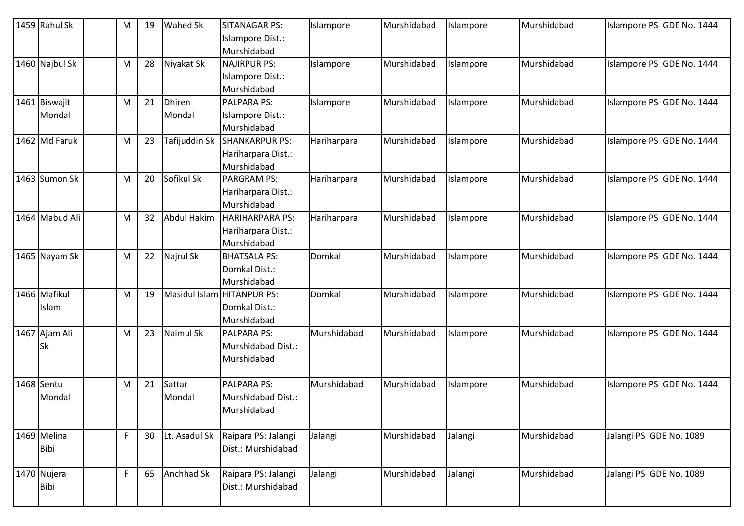|            | 1459 Rahul Sk              | м | 19 | Wahed Sk                | <b>SITANAGAR PS:</b><br>Islampore Dist.:<br>Murshidabad     | Islampore   | Murshidabad | Islampore | Murshidabad | Islampore PS GDE No. 1444 |
|------------|----------------------------|---|----|-------------------------|-------------------------------------------------------------|-------------|-------------|-----------|-------------|---------------------------|
|            | 1460 Najbul Sk             | M | 28 | Niyakat Sk              | <b>NAJIRPUR PS:</b><br>Islampore Dist.:<br>Murshidabad      | Islampore   | Murshidabad | Islampore | Murshidabad | Islampore PS GDE No. 1444 |
|            | 1461 Biswajit<br>Mondal    | M | 21 | <b>Dhiren</b><br>Mondal | <b>PALPARA PS:</b><br>Islampore Dist.:<br>Murshidabad       | Islampore   | Murshidabad | Islampore | Murshidabad | Islampore PS GDE No. 1444 |
|            | 1462 Md Faruk              | M | 23 | Tafijuddin Sk           | <b>SHANKARPUR PS:</b><br>Hariharpara Dist.:<br>Murshidabad  | Hariharpara | Murshidabad | Islampore | Murshidabad | Islampore PS GDE No. 1444 |
|            | 1463 Sumon Sk              | M | 20 | Sofikul Sk              | <b>PARGRAM PS:</b><br>Hariharpara Dist.:<br>Murshidabad     | Hariharpara | Murshidabad | Islampore | Murshidabad | Islampore PS GDE No. 1444 |
|            | 1464 Mabud Ali             | M | 32 | Abdul Hakim             | <b>HARIHARPARA PS:</b><br>Hariharpara Dist.:<br>Murshidabad | Hariharpara | Murshidabad | Islampore | Murshidabad | Islampore PS GDE No. 1444 |
|            | 1465 Nayam Sk              | M | 22 | Najrul Sk               | <b>BHATSALA PS:</b><br>Domkal Dist.:<br>Murshidabad         | Domkal      | Murshidabad | Islampore | Murshidabad | Islampore PS GDE No. 1444 |
|            | 1466 Mafikul<br>Islam      | м | 19 |                         | Masidul Islam HITANPUR PS:<br>Domkal Dist.:<br>Murshidabad  | Domkal      | Murshidabad | Islampore | Murshidabad | Islampore PS GDE No. 1444 |
|            | 1467 Ajam Ali<br><b>Sk</b> | M | 23 | Naimul Sk               | <b>PALPARA PS:</b><br>Murshidabad Dist.:<br>Murshidabad     | Murshidabad | Murshidabad | Islampore | Murshidabad | Islampore PS GDE No. 1444 |
| 1468 Sentu | Mondal                     | M | 21 | Sattar<br>Mondal        | <b>PALPARA PS:</b><br>Murshidabad Dist.:<br>Murshidabad     | Murshidabad | Murshidabad | Islampore | Murshidabad | Islampore PS GDE No. 1444 |
|            | 1469 Melina<br><b>Bibi</b> | F | 30 | Lt. Asadul Sk           | Raipara PS: Jalangi<br>Dist.: Murshidabad                   | Jalangi     | Murshidabad | Jalangi   | Murshidabad | Jalangi PS GDE No. 1089   |
|            | 1470 Nujera<br><b>Bibi</b> | F | 65 | Anchhad Sk              | Raipara PS: Jalangi<br>Dist.: Murshidabad                   | Jalangi     | Murshidabad | Jalangi   | Murshidabad | Jalangi PS GDE No. 1089   |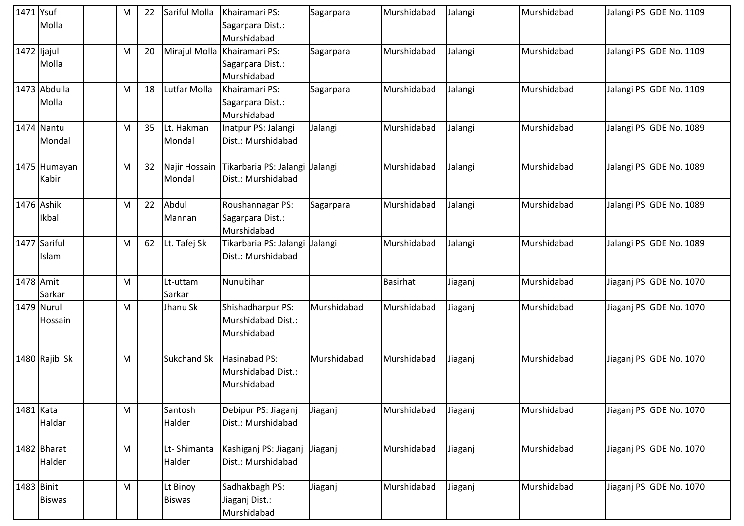| 1471 Ysuf   |               | M | 22 | Sariful Molla      | Khairamari PS:         | Sagarpara   | Murshidabad     | Jalangi | Murshidabad | Jalangi PS GDE No. 1109 |
|-------------|---------------|---|----|--------------------|------------------------|-------------|-----------------|---------|-------------|-------------------------|
|             | Molla         |   |    |                    | Sagarpara Dist.:       |             |                 |         |             |                         |
|             |               |   |    |                    | Murshidabad            |             |                 |         |             |                         |
| 1472 ljajul |               | M | 20 | Mirajul Molla      | Khairamari PS:         | Sagarpara   | Murshidabad     | Jalangi | Murshidabad | Jalangi PS GDE No. 1109 |
|             | Molla         |   |    |                    | Sagarpara Dist.:       |             |                 |         |             |                         |
|             |               |   |    |                    | Murshidabad            |             |                 |         |             |                         |
|             | 1473 Abdulla  | M | 18 | Lutfar Molla       | Khairamari PS:         | Sagarpara   | Murshidabad     | Jalangi | Murshidabad | Jalangi PS GDE No. 1109 |
|             | Molla         |   |    |                    | Sagarpara Dist.:       |             |                 |         |             |                         |
|             |               |   |    |                    | Murshidabad            |             |                 |         |             |                         |
|             | 1474 Nantu    | M | 35 | Lt. Hakman         | Inatpur PS: Jalangi    | Jalangi     | Murshidabad     | Jalangi | Murshidabad | Jalangi PS GDE No. 1089 |
|             | Mondal        |   |    | Mondal             | Dist.: Murshidabad     |             |                 |         |             |                         |
|             |               |   |    |                    |                        |             |                 |         |             |                         |
|             | 1475 Humayan  | M | 32 | Najir Hossain      | Tikarbaria PS: Jalangi | Jalangi     | Murshidabad     | Jalangi | Murshidabad | Jalangi PS GDE No. 1089 |
|             | Kabir         |   |    | Mondal             | Dist.: Murshidabad     |             |                 |         |             |                         |
|             |               |   |    |                    |                        |             |                 |         |             |                         |
|             | 1476 Ashik    | M | 22 | Abdul              | Roushannagar PS:       | Sagarpara   | Murshidabad     | Jalangi | Murshidabad | Jalangi PS GDE No. 1089 |
|             | Ikbal         |   |    | Mannan             | Sagarpara Dist.:       |             |                 |         |             |                         |
|             |               |   |    |                    | Murshidabad            |             |                 |         |             |                         |
|             | 1477 Sariful  | M | 62 | Lt. Tafej Sk       | Tikarbaria PS: Jalangi | Jalangi     | Murshidabad     | Jalangi | Murshidabad | Jalangi PS GDE No. 1089 |
|             | Islam         |   |    |                    | Dist.: Murshidabad     |             |                 |         |             |                         |
|             |               |   |    |                    |                        |             |                 |         |             |                         |
| 1478 Amit   |               | M |    | Lt-uttam           | Nunubihar              |             | <b>Basirhat</b> | Jiaganj | Murshidabad | Jiaganj PS GDE No. 1070 |
|             | Sarkar        |   |    | Sarkar             |                        |             |                 |         |             |                         |
|             | 1479 Nurul    | M |    | Jhanu Sk           | Shishadharpur PS:      | Murshidabad | Murshidabad     | Jiaganj | Murshidabad | Jiaganj PS GDE No. 1070 |
|             | Hossain       |   |    |                    | Murshidabad Dist.:     |             |                 |         |             |                         |
|             |               |   |    |                    | Murshidabad            |             |                 |         |             |                         |
|             |               |   |    |                    |                        |             |                 |         |             |                         |
|             | 1480 Rajib Sk | M |    | <b>Sukchand Sk</b> | Hasinabad PS:          | Murshidabad | Murshidabad     | Jiaganj | Murshidabad | Jiaganj PS GDE No. 1070 |
|             |               |   |    |                    | Murshidabad Dist.:     |             |                 |         |             |                         |
|             |               |   |    |                    | Murshidabad            |             |                 |         |             |                         |
|             |               |   |    |                    |                        |             |                 |         |             |                         |
| 1481 Kata   |               | M |    | Santosh            | Debipur PS: Jiaganj    | Jiaganj     | Murshidabad     | Jiaganj | Murshidabad | Jiaganj PS GDE No. 1070 |
|             | Haldar        |   |    | Halder             | Dist.: Murshidabad     |             |                 |         |             |                         |
|             |               |   |    |                    |                        |             |                 |         |             |                         |
|             | 1482 Bharat   | M |    | Lt-Shimanta        | Kashiganj PS: Jiaganj  | Jiaganj     | Murshidabad     | Jiaganj | Murshidabad | Jiaganj PS GDE No. 1070 |
|             | Halder        |   |    | Halder             | Dist.: Murshidabad     |             |                 |         |             |                         |
|             |               |   |    |                    |                        |             |                 |         |             |                         |
| 1483 Binit  |               | M |    | Lt Binoy           | Sadhakbagh PS:         | Jiaganj     | Murshidabad     | Jiaganj | Murshidabad | Jiaganj PS GDE No. 1070 |
|             | <b>Biswas</b> |   |    | <b>Biswas</b>      | Jiaganj Dist.:         |             |                 |         |             |                         |
|             |               |   |    |                    | Murshidabad            |             |                 |         |             |                         |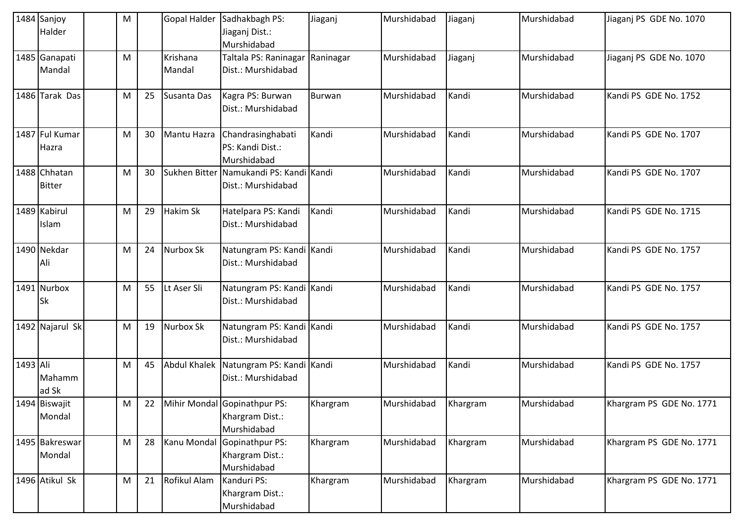|          | 1484 Sanjoy<br>Halder         | M |    | <b>Gopal Halder</b> | Sadhakbagh PS:<br>Jiaganj Dist.:<br>Murshidabad                | Jiaganj   | Murshidabad | Jiaganj  | Murshidabad | Jiaganj PS GDE No. 1070  |
|----------|-------------------------------|---|----|---------------------|----------------------------------------------------------------|-----------|-------------|----------|-------------|--------------------------|
|          | 1485 Ganapati<br>Mandal       | M |    | Krishana<br>Mandal  | Taltala PS: Raninagar<br>Dist.: Murshidabad                    | Raninagar | Murshidabad | Jiaganj  | Murshidabad | Jiaganj PS GDE No. 1070  |
|          | 1486 Tarak Das                | M | 25 | Susanta Das         | Kagra PS: Burwan<br>Dist.: Murshidabad                         | Burwan    | Murshidabad | Kandi    | Murshidabad | Kandi PS GDE No. 1752    |
|          | 1487 Ful Kumar<br>Hazra       | M | 30 | Mantu Hazra         | Chandrasinghabati<br>PS: Kandi Dist.:<br>Murshidabad           | Kandi     | Murshidabad | Kandi    | Murshidabad | Kandi PS GDE No. 1707    |
|          | 1488 Chhatan<br><b>Bitter</b> | M | 30 | Sukhen Bitter       | Namukandi PS: Kandi Kandi<br>Dist.: Murshidabad                |           | Murshidabad | Kandi    | Murshidabad | Kandi PS GDE No. 1707    |
|          | 1489 Kabirul<br>Islam         | M | 29 | Hakim Sk            | Hatelpara PS: Kandi<br>Dist.: Murshidabad                      | Kandi     | Murshidabad | Kandi    | Murshidabad | Kandi PS GDE No. 1715    |
|          | 1490 Nekdar<br>Ali            | M | 24 | Nurbox Sk           | Natungram PS: Kandi Kandi<br>Dist.: Murshidabad                |           | Murshidabad | Kandi    | Murshidabad | Kandi PS GDE No. 1757    |
|          | 1491 Nurbox<br><b>Sk</b>      | M | 55 | Lt Aser Sli         | Natungram PS: Kandi Kandi<br>Dist.: Murshidabad                |           | Murshidabad | Kandi    | Murshidabad | Kandi PS GDE No. 1757    |
|          | 1492 Najarul Sk               | м | 19 | Nurbox Sk           | Natungram PS: Kandi Kandi<br>Dist.: Murshidabad                |           | Murshidabad | Kandi    | Murshidabad | Kandi PS GDE No. 1757    |
| 1493 Ali | Mahamm<br>ad Sk               | M | 45 | <b>Abdul Khalek</b> | Natungram PS: Kandi Kandi<br>Dist.: Murshidabad                |           | Murshidabad | Kandi    | Murshidabad | Kandi PS GDE No. 1757    |
|          | 1494 Biswajit<br>Mondal       | M | 22 |                     | Mihir Mondal Gopinathpur PS:<br>Khargram Dist.:<br>Murshidabad | Khargram  | Murshidabad | Khargram | Murshidabad | Khargram PS GDE No. 1771 |
|          | 1495 Bakreswar<br>Mondal      | M | 28 | Kanu Mondal         | Gopinathpur PS:<br>Khargram Dist.:<br>Murshidabad              | Khargram  | Murshidabad | Khargram | Murshidabad | Khargram PS GDE No. 1771 |
|          | 1496 Atikul Sk                | M | 21 | Rofikul Alam        | Kanduri PS:<br>Khargram Dist.:<br>Murshidabad                  | Khargram  | Murshidabad | Khargram | Murshidabad | Khargram PS GDE No. 1771 |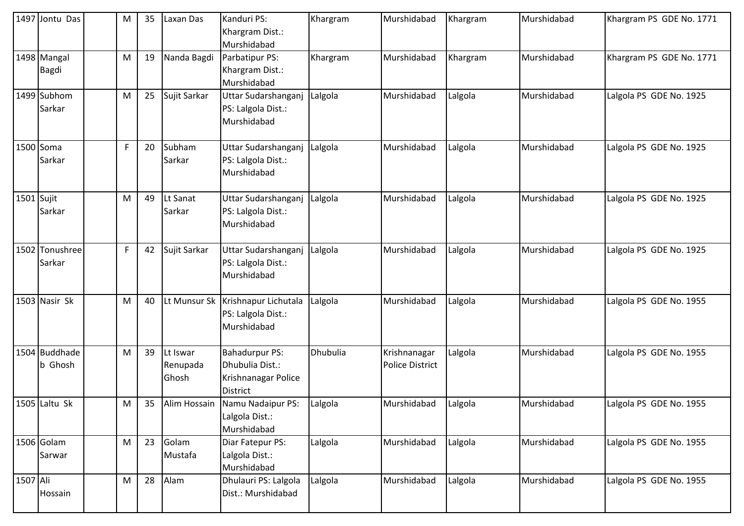|              | 1497 Jontu Das                  | M | 35 | Laxan Das                     | Kanduri PS:<br>Khargram Dist.:<br>Murshidabad                                      | Khargram | Murshidabad                            | Khargram | Murshidabad | Khargram PS GDE No. 1771 |
|--------------|---------------------------------|---|----|-------------------------------|------------------------------------------------------------------------------------|----------|----------------------------------------|----------|-------------|--------------------------|
|              | 1498 Mangal<br><b>Bagdi</b>     | M | 19 | Nanda Bagdi                   | Parbatipur PS:<br>Khargram Dist.:<br>Murshidabad                                   | Khargram | Murshidabad                            | Khargram | Murshidabad | Khargram PS GDE No. 1771 |
|              | 1499 Subhom<br>Sarkar           | M | 25 | Sujit Sarkar                  | Uttar Sudarshanganj<br>PS: Lalgola Dist.:<br>Murshidabad                           | Lalgola  | Murshidabad                            | Lalgola  | Murshidabad | Lalgola PS GDE No. 1925  |
|              | 1500 Soma<br>Sarkar             | F | 20 | Subham<br>Sarkar              | Uttar Sudarshanganj<br>PS: Lalgola Dist.:<br>Murshidabad                           | Lalgola  | Murshidabad                            | Lalgola  | Murshidabad | Lalgola PS GDE No. 1925  |
| $1501$ Sujit | Sarkar                          | M | 49 | Lt Sanat<br>Sarkar            | Uttar Sudarshanganj<br>PS: Lalgola Dist.:<br>Murshidabad                           | Lalgola  | Murshidabad                            | Lalgola  | Murshidabad | Lalgola PS GDE No. 1925  |
|              | 1502 Tonushree<br>Sarkar        | F | 42 | Sujit Sarkar                  | Uttar Sudarshanganj<br>PS: Lalgola Dist.:<br>Murshidabad                           | Lalgola  | Murshidabad                            | Lalgola  | Murshidabad | Lalgola PS GDE No. 1925  |
|              | 1503 Nasir Sk                   | M | 40 |                               | Lt Munsur Sk   Krishnapur Lichutala<br>PS: Lalgola Dist.:<br>Murshidabad           | Lalgola  | Murshidabad                            | Lalgola  | Murshidabad | Lalgola PS GDE No. 1955  |
|              | 1504 Buddhade<br><b>b</b> Ghosh | M | 39 | Lt Iswar<br>Renupada<br>Ghosh | <b>Bahadurpur PS:</b><br>Dhubulia Dist.:<br>Krishnanagar Police<br><b>District</b> | Dhubulia | Krishnanagar<br><b>Police District</b> | Lalgola  | Murshidabad | Lalgola PS GDE No. 1955  |
|              | 1505 Laltu Sk                   | M | 35 |                               | Alim Hossain Namu Nadaipur PS:<br>Lalgola Dist.:<br>Murshidabad                    | Lalgola  | Murshidabad                            | Lalgola  | Murshidabad | Lalgola PS GDE No. 1955  |
|              | 1506 Golam<br>Sarwar            | M | 23 | Golam<br>Mustafa              | Diar Fatepur PS:<br>Lalgola Dist.:<br>Murshidabad                                  | Lalgola  | Murshidabad                            | Lalgola  | Murshidabad | Lalgola PS GDE No. 1955  |
| 1507 Ali     | Hossain                         | M | 28 | Alam                          | Dhulauri PS: Lalgola<br>Dist.: Murshidabad                                         | Lalgola  | Murshidabad                            | Lalgola  | Murshidabad | Lalgola PS GDE No. 1955  |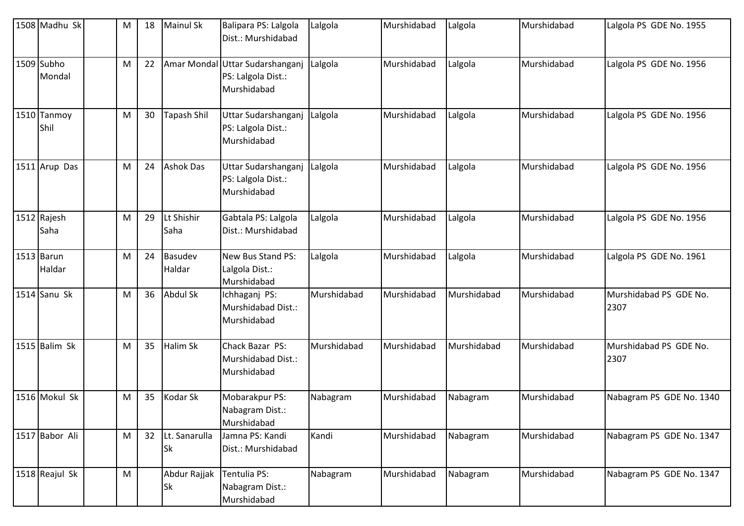| 1508 Madhu Sk          | M | 18 | <b>Mainul Sk</b>           | Balipara PS: Lalgola<br>Dist.: Murshidabad                           | Lalgola     | Murshidabad | Lalgola     | Murshidabad | Lalgola PS GDE No. 1955        |
|------------------------|---|----|----------------------------|----------------------------------------------------------------------|-------------|-------------|-------------|-------------|--------------------------------|
| 1509 Subho<br>Mondal   | M | 22 |                            | Amar Mondal Uttar Sudarshanganj<br>PS: Lalgola Dist.:<br>Murshidabad | Lalgola     | Murshidabad | Lalgola     | Murshidabad | Lalgola PS GDE No. 1956        |
| 1510 Tanmoy<br>Shil    | M | 30 | Tapash Shil                | Uttar Sudarshanganj<br>PS: Lalgola Dist.:<br>Murshidabad             | Lalgola     | Murshidabad | Lalgola     | Murshidabad | Lalgola PS GDE No. 1956        |
| 1511 Arup Das          | M | 24 | <b>Ashok Das</b>           | Uttar Sudarshanganj<br>PS: Lalgola Dist.:<br>Murshidabad             | Lalgola     | Murshidabad | Lalgola     | Murshidabad | Lalgola PS GDE No. 1956        |
| 1512 Rajesh<br>Saha    | M | 29 | Lt Shishir<br>Saha         | Gabtala PS: Lalgola<br>Dist.: Murshidabad                            | Lalgola     | Murshidabad | Lalgola     | Murshidabad | Lalgola PS GDE No. 1956        |
| $1513$ Barun<br>Haldar | M | 24 | <b>Basudev</b><br>Haldar   | New Bus Stand PS:<br>Lalgola Dist.:<br>Murshidabad                   | Lalgola     | Murshidabad | Lalgola     | Murshidabad | Lalgola PS GDE No. 1961        |
| 1514 Sanu Sk           | M | 36 | Abdul Sk                   | Ichhaganj PS:<br>Murshidabad Dist.:<br>Murshidabad                   | Murshidabad | Murshidabad | Murshidabad | Murshidabad | Murshidabad PS GDE No.<br>2307 |
| 1515 Balim Sk          | M | 35 | Halim Sk                   | Chack Bazar PS:<br>Murshidabad Dist.:<br>Murshidabad                 | Murshidabad | Murshidabad | Murshidabad | Murshidabad | Murshidabad PS GDE No.<br>2307 |
| 1516 Mokul Sk          | M | 35 | Kodar Sk                   | Mobarakpur PS:<br>Nabagram Dist.:<br>Murshidabad                     | Nabagram    | Murshidabad | Nabagram    | Murshidabad | Nabagram PS GDE No. 1340       |
| 1517 Babor Ali         | M | 32 | Lt. Sanarulla<br><b>Sk</b> | Jamna PS: Kandi<br>Dist.: Murshidabad                                | Kandi       | Murshidabad | Nabagram    | Murshidabad | Nabagram PS GDE No. 1347       |
| 1518 Reajul Sk         | M |    | Abdur Rajjak<br><b>Sk</b>  | Tentulia PS:<br>Nabagram Dist.:<br>Murshidabad                       | Nabagram    | Murshidabad | Nabagram    | Murshidabad | Nabagram PS GDE No. 1347       |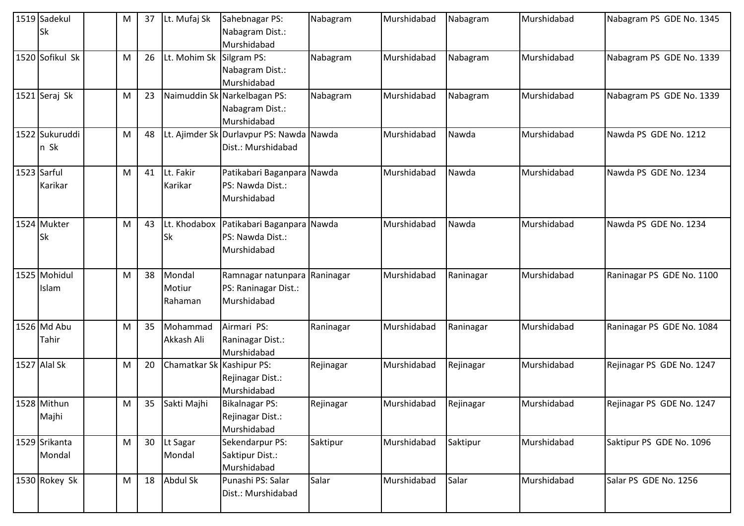|             | 1519 Sadekul<br>Sk      | М | 37 | Lt. Mufaj Sk                | Sahebnagar PS:<br>Nabagram Dist.:<br>Murshidabad                    | Nabagram  | Murshidabad | Nabagram  | Murshidabad | Nabagram PS GDE No. 1345  |
|-------------|-------------------------|---|----|-----------------------------|---------------------------------------------------------------------|-----------|-------------|-----------|-------------|---------------------------|
|             | 1520 Sofikul Sk         | M | 26 | Lt. Mohim Sk                | Silgram PS:<br>Nabagram Dist.:<br>Murshidabad                       | Nabagram  | Murshidabad | Nabagram  | Murshidabad | Nabagram PS GDE No. 1339  |
|             | 1521 Seraj Sk           | M | 23 |                             | Naimuddin Sk Narkelbagan PS:<br>Nabagram Dist.:<br>Murshidabad      | Nabagram  | Murshidabad | Nabagram  | Murshidabad | Nabagram PS GDE No. 1339  |
|             | 1522 Sukuruddi<br>n Sk  | M | 48 |                             | Lt. Ajimder Sk Durlavpur PS: Nawda Nawda<br>Dist.: Murshidabad      |           | Murshidabad | Nawda     | Murshidabad | Nawda PS GDE No. 1212     |
| 1523 Sarful | Karikar                 | М | 41 | Lt. Fakir<br>Karikar        | Patikabari Baganpara Nawda<br>PS: Nawda Dist.:<br>Murshidabad       |           | Murshidabad | Nawda     | Murshidabad | Nawda PS GDE No. 1234     |
|             | 1524 Mukter<br>Sk       | M | 43 | Lt. Khodabox<br>Sk          | Patikabari Baganpara Nawda<br>PS: Nawda Dist.:<br>Murshidabad       |           | Murshidabad | Nawda     | Murshidabad | Nawda PS GDE No. 1234     |
|             | 1525 Mohidul<br>Islam   | M | 38 | Mondal<br>Motiur<br>Rahaman | Ramnagar natunpara Raninagar<br>PS: Raninagar Dist.:<br>Murshidabad |           | Murshidabad | Raninagar | Murshidabad | Raninagar PS GDE No. 1100 |
|             | 1526 Md Abu<br>Tahir    | М | 35 | Mohammad<br>Akkash Ali      | Airmari PS:<br>Raninagar Dist.:<br>Murshidabad                      | Raninagar | Murshidabad | Raninagar | Murshidabad | Raninagar PS GDE No. 1084 |
|             | 1527 Alal Sk            | М | 20 | Chamatkar Sk Kashipur PS:   | Rejinagar Dist.:<br>Murshidabad                                     | Rejinagar | Murshidabad | Rejinagar | Murshidabad | Rejinagar PS GDE No. 1247 |
|             | 1528 Mithun<br>Majhi    | M | 35 | Sakti Majhi                 | Bikalnagar PS:<br>Rejinagar Dist.:<br>Murshidabad                   | Rejinagar | Murshidabad | Rejinagar | Murshidabad | Rejinagar PS GDE No. 1247 |
|             | 1529 Srikanta<br>Mondal | M | 30 | Lt Sagar<br>Mondal          | Sekendarpur PS:<br>Saktipur Dist.:<br>Murshidabad                   | Saktipur  | Murshidabad | Saktipur  | Murshidabad | Saktipur PS GDE No. 1096  |
|             | 1530 Rokey Sk           | M | 18 | Abdul Sk                    | Punashi PS: Salar<br>Dist.: Murshidabad                             | Salar     | Murshidabad | Salar     | Murshidabad | Salar PS GDE No. 1256     |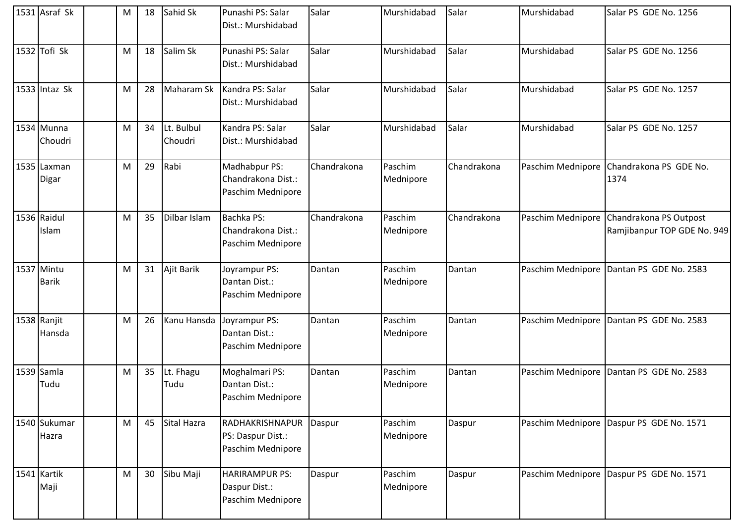| 1531 Asraf Sk              | М | 18 | Sahid Sk              | Punashi PS: Salar<br>Dist.: Murshidabad                     | Salar       | Murshidabad          | Salar       | Murshidabad       | Salar PS GDE No. 1256                                 |
|----------------------------|---|----|-----------------------|-------------------------------------------------------------|-------------|----------------------|-------------|-------------------|-------------------------------------------------------|
| $1532$ Tofi Sk             | M | 18 | Salim Sk              | Punashi PS: Salar<br>Dist.: Murshidabad                     | Salar       | Murshidabad          | Salar       | Murshidabad       | Salar PS GDE No. 1256                                 |
| $1533$ Intaz Sk            | M | 28 | Maharam Sk            | Kandra PS: Salar<br>Dist.: Murshidabad                      | Salar       | Murshidabad          | Salar       | Murshidabad       | Salar PS GDE No. 1257                                 |
| 1534 Munna<br>Choudri      | M | 34 | Lt. Bulbul<br>Choudri | Kandra PS: Salar<br>Dist.: Murshidabad                      | Salar       | Murshidabad          | Salar       | Murshidabad       | Salar PS GDE No. 1257                                 |
| 1535 Laxman<br>Digar       | M | 29 | Rabi                  | Madhabpur PS:<br>Chandrakona Dist.:<br>Paschim Mednipore    | Chandrakona | Paschim<br>Mednipore | Chandrakona | Paschim Mednipore | Chandrakona PS GDE No.<br>1374                        |
| 1536 Raidul<br>Islam       | M | 35 | Dilbar Islam          | Bachka PS:<br>Chandrakona Dist.:<br>Paschim Mednipore       | Chandrakona | Paschim<br>Mednipore | Chandrakona | Paschim Mednipore | Chandrakona PS Outpost<br>Ramjibanpur TOP GDE No. 949 |
| 1537 Mintu<br><b>Barik</b> | M | 31 | Ajit Barik            | Joyrampur PS:<br>Dantan Dist.:<br>Paschim Mednipore         | Dantan      | Paschim<br>Mednipore | Dantan      |                   | Paschim Mednipore   Dantan PS GDE No. 2583            |
| 1538 Ranjit<br>Hansda      | M | 26 | Kanu Hansda           | Joyrampur PS:<br>Dantan Dist.:<br>Paschim Mednipore         | Dantan      | Paschim<br>Mednipore | Dantan      | Paschim Mednipore | Dantan PS GDE No. 2583                                |
| 1539 Samla<br>Tudu         | M | 35 | Lt. Fhagu<br>Tudu     | Moghalmari PS:<br>Dantan Dist.:<br>Paschim Mednipore        | Dantan      | Paschim<br>Mednipore | Dantan      |                   | Paschim Mednipore Dantan PS GDE No. 2583              |
| 1540 Sukumar<br>Hazra      | M | 45 | Sital Hazra           | RADHAKRISHNAPUR<br>PS: Daspur Dist.:<br>Paschim Mednipore   | Daspur      | Paschim<br>Mednipore | Daspur      |                   | Paschim Mednipore Daspur PS GDE No. 1571              |
| 1541 Kartik<br>Maji        | M | 30 | Sibu Maji             | <b>HARIRAMPUR PS:</b><br>Daspur Dist.:<br>Paschim Mednipore | Daspur      | Paschim<br>Mednipore | Daspur      | Paschim Mednipore | Daspur PS GDE No. 1571                                |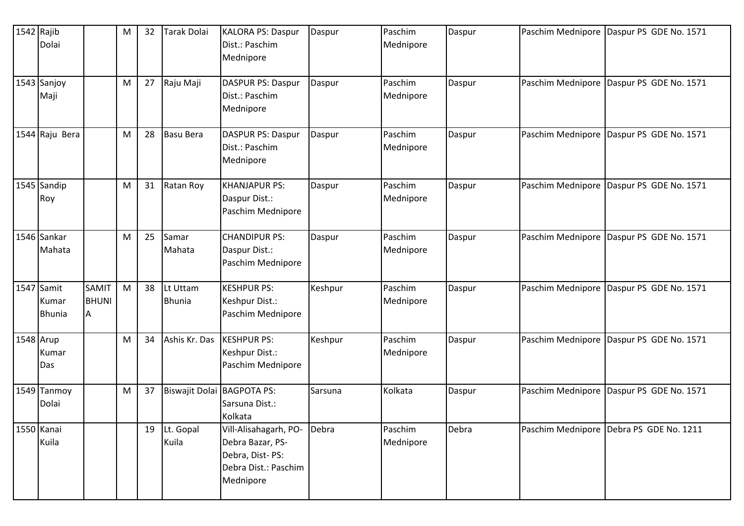| 1542 Rajib | Dolai                                |                            | M | 32 | Tarak Dolai                | <b>KALORA PS: Daspur</b><br>Dist.: Paschim<br>Mednipore                                           | Daspur  | Paschim<br>Mednipore | Daspur |                   | Paschim Mednipore Daspur PS GDE No. 1571   |
|------------|--------------------------------------|----------------------------|---|----|----------------------------|---------------------------------------------------------------------------------------------------|---------|----------------------|--------|-------------------|--------------------------------------------|
|            | 1543 Sanjoy<br>Maji                  |                            | M | 27 | Raju Maji                  | <b>DASPUR PS: Daspur</b><br>Dist.: Paschim<br>Mednipore                                           | Daspur  | Paschim<br>Mednipore | Daspur |                   | Paschim Mednipore Daspur PS GDE No. 1571   |
|            | 1544 Raju Bera                       |                            | M | 28 | <b>Basu Bera</b>           | <b>DASPUR PS: Daspur</b><br>Dist.: Paschim<br>Mednipore                                           | Daspur  | Paschim<br>Mednipore | Daspur |                   | Paschim Mednipore Daspur PS GDE No. 1571   |
|            | 1545 Sandip<br>Roy                   |                            | M | 31 | Ratan Roy                  | <b>KHANJAPUR PS:</b><br>Daspur Dist.:<br>Paschim Mednipore                                        | Daspur  | Paschim<br>Mednipore | Daspur | Paschim Mednipore | Daspur PS GDE No. 1571                     |
|            | 1546 Sankar<br>Mahata                |                            | M | 25 | Samar<br>Mahata            | <b>CHANDIPUR PS:</b><br>Daspur Dist.:<br>Paschim Mednipore                                        | Daspur  | Paschim<br>Mednipore | Daspur |                   | Paschim Mednipore   Daspur PS GDE No. 1571 |
|            | 1547 Samit<br>Kumar<br><b>Bhunia</b> | SAMIT<br><b>BHUNI</b><br>A | M | 38 | Lt Uttam<br><b>Bhunia</b>  | <b>KESHPUR PS:</b><br>Keshpur Dist.:<br>Paschim Mednipore                                         | Keshpur | Paschim<br>Mednipore | Daspur |                   | Paschim Mednipore   Daspur PS GDE No. 1571 |
| 1548 Arup  | Kumar<br>Das                         |                            | M | 34 | Ashis Kr. Das              | <b>KESHPUR PS:</b><br>Keshpur Dist.:<br>Paschim Mednipore                                         | Keshpur | Paschim<br>Mednipore | Daspur |                   | Paschim Mednipore   Daspur PS GDE No. 1571 |
|            | 1549 Tanmoy<br>Dolai                 |                            | M | 37 | Biswajit Dolai BAGPOTA PS: | Sarsuna Dist.:<br>Kolkata                                                                         | Sarsuna | Kolkata              | Daspur |                   | Paschim Mednipore   Daspur PS GDE No. 1571 |
|            | 1550 Kanai<br>Kuila                  |                            |   | 19 | Lt. Gopal<br>Kuila         | Vill-Alisahagarh, PO-<br>Debra Bazar, PS-<br>Debra, Dist-PS:<br>Debra Dist.: Paschim<br>Mednipore | Debra   | Paschim<br>Mednipore | Debra  |                   | Paschim Mednipore Debra PS GDE No. 1211    |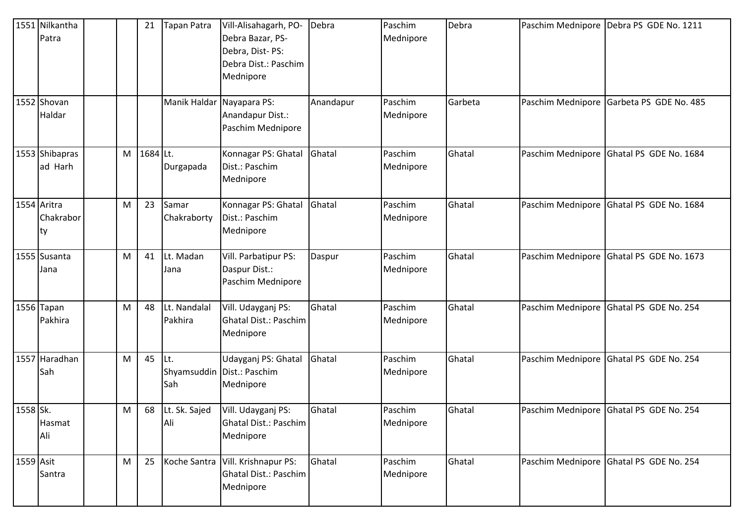|           | 1551 Nilkantha<br>Patra        |   | 21       | <b>Tapan Patra</b>        | Vill-Alisahagarh, PO-<br>Debra Bazar, PS-<br>Debra, Dist-PS:<br>Debra Dist.: Paschim<br>Mednipore | Debra     | Paschim<br>Mednipore | Debra   |                   | Paschim Mednipore Debra PS GDE No. 1211  |
|-----------|--------------------------------|---|----------|---------------------------|---------------------------------------------------------------------------------------------------|-----------|----------------------|---------|-------------------|------------------------------------------|
|           | 1552 Shovan<br>Haldar          |   |          | Manik Haldar Nayapara PS: | Anandapur Dist.:<br>Paschim Mednipore                                                             | Anandapur | Paschim<br>Mednipore | Garbeta | Paschim Mednipore | Garbeta PS GDE No. 485                   |
|           | 1553 Shibapras<br>ad Harh      | M | 1684 Lt. | Durgapada                 | Konnagar PS: Ghatal<br>Dist.: Paschim<br>Mednipore                                                | Ghatal    | Paschim<br>Mednipore | Ghatal  | Paschim Mednipore | Ghatal PS GDE No. 1684                   |
|           | 1554 Aritra<br>Chakrabor<br>ty | M | 23       | Samar<br>Chakraborty      | Konnagar PS: Ghatal<br>Dist.: Paschim<br>Mednipore                                                | Ghatal    | Paschim<br>Mednipore | Ghatal  |                   | Paschim Mednipore Ghatal PS GDE No. 1684 |
|           | 1555 Susanta<br>Jana           | M | 41       | Lt. Madan<br>Jana         | Vill. Parbatipur PS:<br>Daspur Dist.:<br>Paschim Mednipore                                        | Daspur    | Paschim<br>Mednipore | Ghatal  | Paschim Mednipore | Ghatal PS GDE No. 1673                   |
|           | 1556 Tapan<br>Pakhira          | M | 48       | Lt. Nandalal<br>Pakhira   | Vill. Udayganj PS:<br>Ghatal Dist.: Paschim<br>Mednipore                                          | Ghatal    | Paschim<br>Mednipore | Ghatal  |                   | Paschim Mednipore Ghatal PS GDE No. 254  |
|           | 1557 Haradhan<br>Sah           | M | 45       | Lt.<br>Sah                | Udayganj PS: Ghatal<br>Shyamsuddin   Dist.: Paschim<br>Mednipore                                  | Ghatal    | Paschim<br>Mednipore | Ghatal  | Paschim Mednipore | Ghatal PS GDE No. 254                    |
| 1558 Sk.  | Hasmat<br>Ali                  | M |          | 68 Lt. Sk. Sajed<br>Ali   | Vill. Udayganj PS:<br>Ghatal Dist.: Paschim<br>Mednipore                                          | Ghatal    | Paschim<br>Mednipore | Ghatal  |                   | Paschim Mednipore Ghatal PS GDE No. 254  |
| 1559 Asit | Santra                         | M | 25       |                           | Koche Santra   Vill. Krishnapur PS:<br><b>Ghatal Dist.: Paschim</b><br>Mednipore                  | Ghatal    | Paschim<br>Mednipore | Ghatal  |                   | Paschim Mednipore Ghatal PS GDE No. 254  |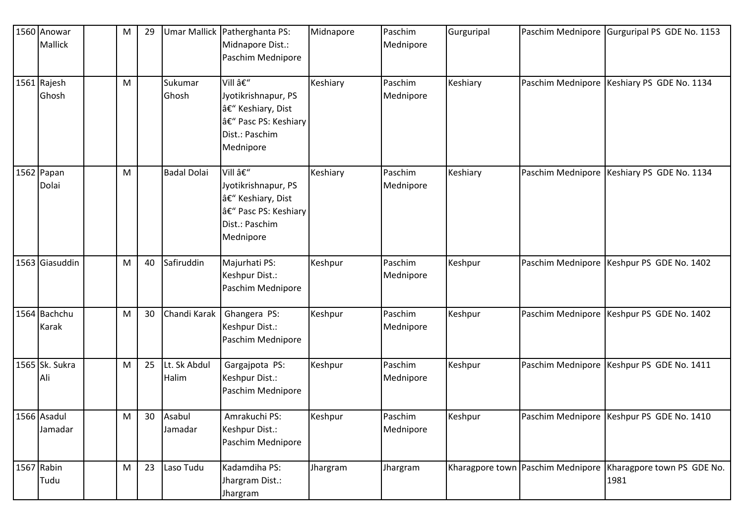| 1560 Anowar<br>Mallick | M | 29              |                       | Umar Mallick   Patherghanta PS:<br>Midnapore Dist.:<br>Paschim Mednipore                                | Midnapore | Paschim<br>Mednipore | Gurguripal | Paschim Mednipore Gurguripal PS GDE No. 1153                         |
|------------------------|---|-----------------|-----------------------|---------------------------------------------------------------------------------------------------------|-----------|----------------------|------------|----------------------------------------------------------------------|
| 1561 Rajesh<br>Ghosh   | M |                 | Sukumar<br>Ghosh      | Vill –<br>Jyotikrishnapur, PS<br>– Keshiary, Dist<br>– Pasc PS: Keshiary<br>Dist.: Paschim<br>Mednipore | Keshiary  | Paschim<br>Mednipore | Keshiary   | Paschim Mednipore Keshiary PS GDE No. 1134                           |
| 1562 Papan<br>Dolai    | M |                 | <b>Badal Dolai</b>    | Vill –<br>Jyotikrishnapur, PS<br>– Keshiary, Dist<br>– Pasc PS: Keshiary<br>Dist.: Paschim<br>Mednipore | Keshiary  | Paschim<br>Mednipore | Keshiary   | Paschim Mednipore   Keshiary PS GDE No. 1134                         |
| 1563 Giasuddin         | M | 40              | Safiruddin            | Majurhati PS:<br>Keshpur Dist.:<br>Paschim Mednipore                                                    | Keshpur   | Paschim<br>Mednipore | Keshpur    | Paschim Mednipore Keshpur PS GDE No. 1402                            |
| 1564 Bachchu<br>Karak  | M | 30              | Chandi Karak          | Ghangera PS:<br>Keshpur Dist.:<br>Paschim Mednipore                                                     | Keshpur   | Paschim<br>Mednipore | Keshpur    | Paschim Mednipore Keshpur PS GDE No. 1402                            |
| 1565 Sk. Sukra<br>Ali  | м | 25              | Lt. Sk Abdul<br>Halim | Gargajpota PS:<br>Keshpur Dist.:<br>Paschim Mednipore                                                   | Keshpur   | Paschim<br>Mednipore | Keshpur    | Paschim Mednipore   Keshpur PS GDE No. 1411                          |
| 1566 Asadul<br>Jamadar | M | 30 <sup>°</sup> | Asabul<br>Jamadar     | Amrakuchi PS:<br>Keshpur Dist.:<br>Paschim Mednipore                                                    | Keshpur   | Paschim<br>Mednipore | Keshpur    | Paschim Mednipore Keshpur PS GDE No. 1410                            |
| 1567 Rabin<br>Tudu     | M | 23              | Laso Tudu             | Kadamdiha PS:<br>Jhargram Dist.:<br>Jhargram                                                            | Jhargram  | Jhargram             |            | Kharagpore town Paschim Mednipore Kharagpore town PS GDE No.<br>1981 |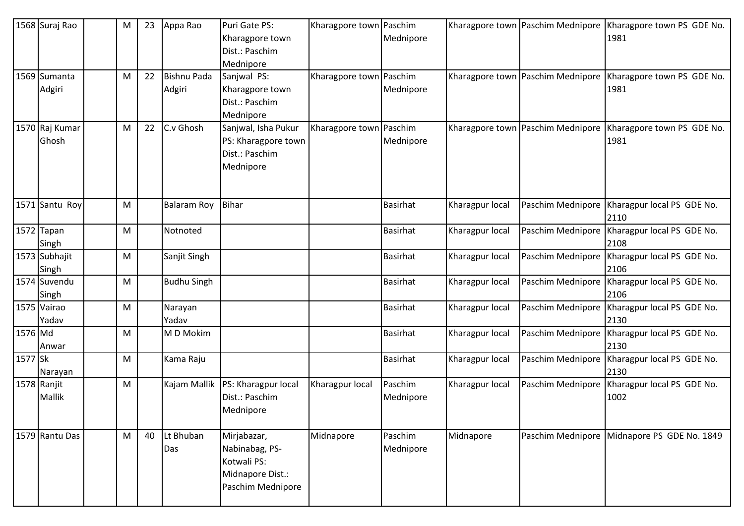|             | 1568 Suraj Rao          | M | 23 | Appa Rao                     | Puri Gate PS:<br>Kharagpore town<br>Dist.: Paschim<br>Mednipore                       | Kharagpore town Paschim | Mednipore            |                 | Kharagpore town Paschim Mednipore   | Kharagpore town PS GDE No.<br>1981          |
|-------------|-------------------------|---|----|------------------------------|---------------------------------------------------------------------------------------|-------------------------|----------------------|-----------------|-------------------------------------|---------------------------------------------|
|             | 1569 Sumanta<br>Adgiri  | M | 22 | <b>Bishnu Pada</b><br>Adgiri | Sanjwal PS:<br>Kharagpore town<br>Dist.: Paschim<br>Mednipore                         | Kharagpore town Paschim | Mednipore            |                 | Kharagpore town Paschim Mednipore   | Kharagpore town PS GDE No.<br>1981          |
|             | 1570 Raj Kumar<br>Ghosh | M | 22 | C.v Ghosh                    | Sanjwal, Isha Pukur<br>PS: Kharagpore town<br>Dist.: Paschim<br>Mednipore             | Kharagpore town Paschim | Mednipore            |                 | Kharagpore town   Paschim Mednipore | Kharagpore town PS GDE No.<br>1981          |
|             | 1571 Santu Roy          | M |    | <b>Balaram Roy</b>           | <b>Bihar</b>                                                                          |                         | <b>Basirhat</b>      | Kharagpur local | Paschim Mednipore                   | Kharagpur local PS GDE No.<br>2110          |
|             | 1572 Tapan<br>Singh     | M |    | Notnoted                     |                                                                                       |                         | <b>Basirhat</b>      | Kharagpur local | Paschim Mednipore                   | Kharagpur local PS GDE No.<br>2108          |
|             | 1573 Subhajit<br>Singh  | M |    | Sanjit Singh                 |                                                                                       |                         | <b>Basirhat</b>      | Kharagpur local | Paschim Mednipore                   | Kharagpur local PS GDE No.<br>2106          |
|             | 1574 Suvendu<br>Singh   | M |    | <b>Budhu Singh</b>           |                                                                                       |                         | <b>Basirhat</b>      | Kharagpur local | Paschim Mednipore                   | Kharagpur local PS GDE No.<br>2106          |
|             | 1575 Vairao<br>Yadav    | M |    | Narayan<br>Yadav             |                                                                                       |                         | Basirhat             | Kharagpur local | Paschim Mednipore                   | Kharagpur local PS GDE No.<br>2130          |
| 1576 Md     | Anwar                   | M |    | M D Mokim                    |                                                                                       |                         | Basirhat             | Kharagpur local | Paschim Mednipore                   | Kharagpur local PS GDE No.<br>2130          |
| 1577 Sk     | Narayan                 | M |    | Kama Raju                    |                                                                                       |                         | Basirhat             | Kharagpur local | Paschim Mednipore                   | Kharagpur local PS GDE No.<br>2130          |
| 1578 Ranjit | <b>Mallik</b>           | M |    | Kajam Mallik                 | PS: Kharagpur local<br>Dist.: Paschim<br>Mednipore                                    | Kharagpur local         | Paschim<br>Mednipore | Kharagpur local | Paschim Mednipore                   | Kharagpur local PS GDE No.<br>1002          |
|             | 1579 Rantu Das          | M | 40 | Lt Bhuban<br>Das             | Mirjabazar,<br>Nabinabag, PS-<br>Kotwali PS:<br>Midnapore Dist.:<br>Paschim Mednipore | Midnapore               | Paschim<br>Mednipore | Midnapore       |                                     | Paschim Mednipore Midnapore PS GDE No. 1849 |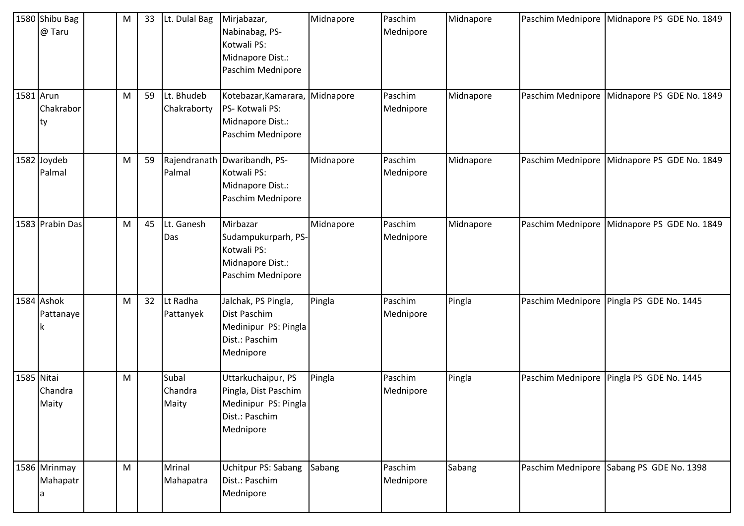|            | 1580 Shibu Bag<br>@ Taru | M | 33 | Lt. Dulal Bag             | Mirjabazar,<br>Nabinabag, PS-<br>Kotwali PS:<br>Midnapore Dist.:<br>Paschim Mednipore             | Midnapore | Paschim<br>Mednipore | Midnapore | Paschim Mednipore Midnapore PS GDE No. 1849 |
|------------|--------------------------|---|----|---------------------------|---------------------------------------------------------------------------------------------------|-----------|----------------------|-----------|---------------------------------------------|
| 1581 Arun  | Chakrabor<br>ty          | M | 59 | Lt. Bhudeb<br>Chakraborty | Kotebazar, Kamarara,<br>PS-Kotwali PS:<br>Midnapore Dist.:<br>Paschim Mednipore                   | Midnapore | Paschim<br>Mednipore | Midnapore | Paschim Mednipore Midnapore PS GDE No. 1849 |
|            | 1582 Joydeb<br>Palmal    | M | 59 | Palmal                    | Rajendranath Dwaribandh, PS-<br>Kotwali PS:<br>Midnapore Dist.:<br>Paschim Mednipore              | Midnapore | Paschim<br>Mednipore | Midnapore | Paschim Mednipore Midnapore PS GDE No. 1849 |
|            | 1583 Prabin Das          | M | 45 | Lt. Ganesh<br>Das         | Mirbazar<br>Sudampukurparh, PS-<br>Kotwali PS:<br>Midnapore Dist.:<br>Paschim Mednipore           | Midnapore | Paschim<br>Mednipore | Midnapore | Paschim Mednipore Midnapore PS GDE No. 1849 |
|            | 1584 Ashok<br>Pattanaye  | M | 32 | Lt Radha<br>Pattanyek     | Jalchak, PS Pingla,<br>Dist Paschim<br>Medinipur PS: Pingla<br>Dist.: Paschim<br>Mednipore        | Pingla    | Paschim<br>Mednipore | Pingla    | Paschim Mednipore   Pingla PS GDE No. 1445  |
| 1585 Nitai | Chandra<br>Maity         | M |    | Subal<br>Chandra<br>Maity | Uttarkuchaipur, PS<br>Pingla, Dist Paschim<br>Medinipur PS: Pingla<br>Dist.: Paschim<br>Mednipore | Pingla    | Paschim<br>Mednipore | Pingla    | Paschim Mednipore Pingla PS GDE No. 1445    |
|            | 1586 Mrinmay<br>Mahapatr | M |    | Mrinal<br>Mahapatra       | Uchitpur PS: Sabang<br>Dist.: Paschim<br>Mednipore                                                | Sabang    | Paschim<br>Mednipore | Sabang    | Paschim Mednipore Sabang PS GDE No. 1398    |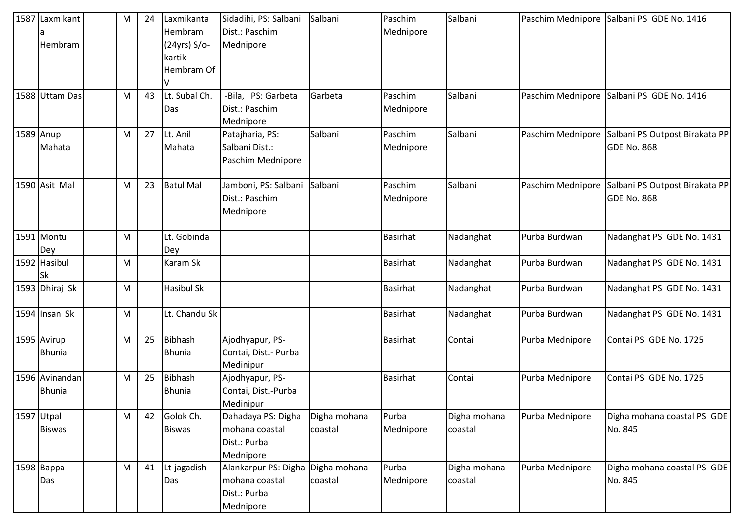| 1587 Laxmikant  | M | 24 | Laxmikanta        | Sidadihi, PS: Salbani             | Salbani      | Paschim         | Salbani      |                   | Paschim Mednipore Salbani PS GDE No. 1416        |
|-----------------|---|----|-------------------|-----------------------------------|--------------|-----------------|--------------|-------------------|--------------------------------------------------|
|                 |   |    | Hembram           | Dist.: Paschim                    |              | Mednipore       |              |                   |                                                  |
| Hembram         |   |    | $(24yrs) S$ /o-   | Mednipore                         |              |                 |              |                   |                                                  |
|                 |   |    | kartik            |                                   |              |                 |              |                   |                                                  |
|                 |   |    | Hembram Of        |                                   |              |                 |              |                   |                                                  |
|                 |   |    |                   |                                   |              |                 |              |                   |                                                  |
| 1588 Uttam Das  | M | 43 | Lt. Subal Ch.     | -Bila, PS: Garbeta                | Garbeta      | Paschim         | Salbani      |                   | Paschim Mednipore Salbani PS GDE No. 1416        |
|                 |   |    | Das               | Dist.: Paschim                    |              | Mednipore       |              |                   |                                                  |
|                 |   |    |                   | Mednipore                         |              |                 |              |                   |                                                  |
| 1589 Anup       | M | 27 | Lt. Anil          | Patajharia, PS:                   | Salbani      | Paschim         | Salbani      |                   | Paschim Mednipore Salbani PS Outpost Birakata PP |
| Mahata          |   |    | Mahata            | Salbani Dist.:                    |              | Mednipore       |              |                   | <b>GDE No. 868</b>                               |
|                 |   |    |                   | Paschim Mednipore                 |              |                 |              |                   |                                                  |
| 1590 Asit Mal   | M | 23 | <b>Batul Mal</b>  | Jamboni, PS: Salbani              | Salbani      | Paschim         | Salbani      | Paschim Mednipore | Salbani PS Outpost Birakata PP                   |
|                 |   |    |                   | Dist.: Paschim                    |              | Mednipore       |              |                   | <b>GDE No. 868</b>                               |
|                 |   |    |                   | Mednipore                         |              |                 |              |                   |                                                  |
| 1591 Montu      | M |    | Lt. Gobinda       |                                   |              | <b>Basirhat</b> | Nadanghat    | Purba Burdwan     | Nadanghat PS GDE No. 1431                        |
| Dey             |   |    | Dey               |                                   |              |                 |              |                   |                                                  |
| 1592 Hasibul    | M |    | Karam Sk          |                                   |              | <b>Basirhat</b> | Nadanghat    | Purba Burdwan     | Nadanghat PS GDE No. 1431                        |
| Sk              |   |    |                   |                                   |              |                 |              |                   |                                                  |
| 1593 Dhiraj Sk  | M |    | <b>Hasibul Sk</b> |                                   |              | <b>Basirhat</b> | Nadanghat    | Purba Burdwan     | Nadanghat PS GDE No. 1431                        |
| $1594$ Insan Sk | M |    | Lt. Chandu Sk     |                                   |              | Basirhat        | Nadanghat    | Purba Burdwan     | Nadanghat PS GDE No. 1431                        |
| 1595 Avirup     | M | 25 | <b>Bibhash</b>    | Ajodhyapur, PS-                   |              | Basirhat        | Contai       | Purba Mednipore   | Contai PS GDE No. 1725                           |
| <b>Bhunia</b>   |   |    | <b>Bhunia</b>     | Contai, Dist.- Purba              |              |                 |              |                   |                                                  |
|                 |   |    |                   | Medinipur                         |              |                 |              |                   |                                                  |
| 1596 Avinandan  | M | 25 | <b>Bibhash</b>    | Ajodhyapur, PS-                   |              | <b>Basirhat</b> | Contai       | Purba Mednipore   | Contai PS GDE No. 1725                           |
| <b>Bhunia</b>   |   |    | <b>Bhunia</b>     | Contai, Dist.-Purba               |              |                 |              |                   |                                                  |
|                 |   |    |                   | Medinipur                         |              |                 |              |                   |                                                  |
| 1597 Utpal      | M | 42 | Golok Ch.         | Dahadaya PS: Digha                | Digha mohana | Purba           | Digha mohana | Purba Mednipore   | Digha mohana coastal PS GDE                      |
| <b>Biswas</b>   |   |    | <b>Biswas</b>     | mohana coastal                    | coastal      | Mednipore       | coastal      |                   | No. 845                                          |
|                 |   |    |                   | Dist.: Purba                      |              |                 |              |                   |                                                  |
|                 |   |    |                   | Mednipore                         |              |                 |              |                   |                                                  |
| 1598 Bappa      | M | 41 | Lt-jagadish       | Alankarpur PS: Digha Digha mohana |              | Purba           | Digha mohana | Purba Mednipore   | Digha mohana coastal PS GDE                      |
| Das             |   |    | Das               | mohana coastal                    | coastal      | Mednipore       | coastal      |                   | No. 845                                          |
|                 |   |    |                   | Dist.: Purba                      |              |                 |              |                   |                                                  |
|                 |   |    |                   | Mednipore                         |              |                 |              |                   |                                                  |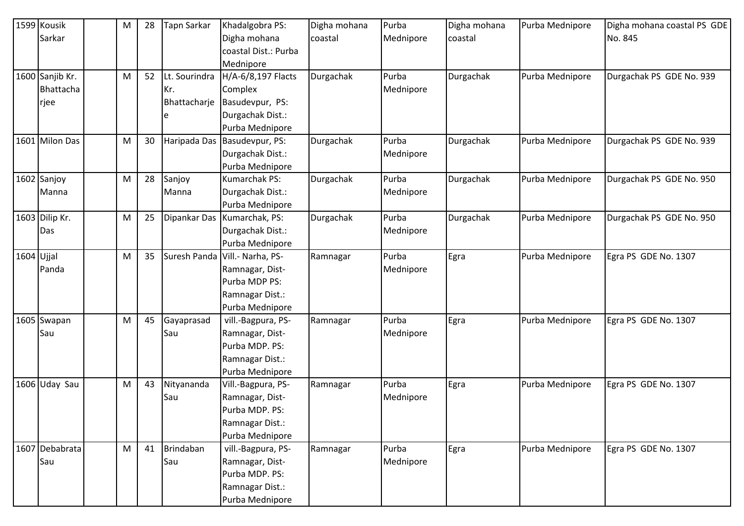|            | 1599 Kousik     | M         | 28 | Tapn Sarkar   | Khadalgobra PS:                   | Digha mohana | Purba     | Digha mohana | Purba Mednipore | Digha mohana coastal PS GDE |
|------------|-----------------|-----------|----|---------------|-----------------------------------|--------------|-----------|--------------|-----------------|-----------------------------|
|            | Sarkar          |           |    |               | Digha mohana                      | coastal      | Mednipore | coastal      |                 | No. 845                     |
|            |                 |           |    |               | coastal Dist.: Purba              |              |           |              |                 |                             |
|            |                 |           |    |               | Mednipore                         |              |           |              |                 |                             |
|            | 1600 Sanjib Kr. | M         | 52 | Lt. Sourindra | H/A-6/8,197 Flacts                | Durgachak    | Purba     | Durgachak    | Purba Mednipore | Durgachak PS GDE No. 939    |
|            | Bhattacha       |           |    | Kr.           | Complex                           |              | Mednipore |              |                 |                             |
|            | rjee            |           |    | Bhattacharje  | Basudevpur, PS:                   |              |           |              |                 |                             |
|            |                 |           |    | e             | Durgachak Dist.:                  |              |           |              |                 |                             |
|            |                 |           |    |               | Purba Mednipore                   |              |           |              |                 |                             |
|            | 1601 Milon Das  | М         | 30 | Haripada Das  | Basudevpur, PS:                   | Durgachak    | Purba     | Durgachak    | Purba Mednipore | Durgachak PS GDE No. 939    |
|            |                 |           |    |               | Durgachak Dist.:                  |              | Mednipore |              |                 |                             |
|            |                 |           |    |               | Purba Mednipore                   |              |           |              |                 |                             |
|            | 1602 Sanjoy     | ${\sf M}$ | 28 | Sanjoy        | Kumarchak PS:                     | Durgachak    | Purba     | Durgachak    | Purba Mednipore | Durgachak PS GDE No. 950    |
|            | Manna           |           |    | Manna         | Durgachak Dist.:                  |              | Mednipore |              |                 |                             |
|            |                 |           |    |               | Purba Mednipore                   |              |           |              |                 |                             |
|            | 1603 Dilip Kr.  | M         | 25 |               | Dipankar Das Kumarchak, PS:       | Durgachak    | Purba     | Durgachak    | Purba Mednipore | Durgachak PS GDE No. 950    |
|            | Das             |           |    |               | Durgachak Dist.:                  |              | Mednipore |              |                 |                             |
|            |                 |           |    |               | Purba Mednipore                   |              |           |              |                 |                             |
| 1604 Ujjal |                 | M         | 35 |               | Suresh Panda   Vill. - Narha, PS- | Ramnagar     | Purba     | Egra         | Purba Mednipore | Egra PS GDE No. 1307        |
|            | Panda           |           |    |               | Ramnagar, Dist-                   |              | Mednipore |              |                 |                             |
|            |                 |           |    |               | Purba MDP PS:                     |              |           |              |                 |                             |
|            |                 |           |    |               | Ramnagar Dist.:                   |              |           |              |                 |                             |
|            |                 |           |    |               | Purba Mednipore                   |              |           |              |                 |                             |
|            | 1605 Swapan     | M         | 45 | Gayaprasad    | vill.-Bagpura, PS-                | Ramnagar     | Purba     | Egra         | Purba Mednipore | Egra PS GDE No. 1307        |
|            | Sau             |           |    | Sau           | Ramnagar, Dist-                   |              | Mednipore |              |                 |                             |
|            |                 |           |    |               | Purba MDP. PS:                    |              |           |              |                 |                             |
|            |                 |           |    |               | Ramnagar Dist.:                   |              |           |              |                 |                             |
|            |                 |           |    |               | Purba Mednipore                   |              |           |              |                 |                             |
|            | 1606 Uday Sau   | М         | 43 | Nityananda    | Vill.-Bagpura, PS-                | Ramnagar     | Purba     | Egra         | Purba Mednipore | Egra PS GDE No. 1307        |
|            |                 |           |    | Sau           | Ramnagar, Dist-                   |              | Mednipore |              |                 |                             |
|            |                 |           |    |               | Purba MDP. PS:                    |              |           |              |                 |                             |
|            |                 |           |    |               | Ramnagar Dist.:                   |              |           |              |                 |                             |
|            |                 |           |    |               | Purba Mednipore                   |              |           |              |                 |                             |
|            | 1607 Debabrata  | M         | 41 | Brindaban     | vill.-Bagpura, PS-                | Ramnagar     | Purba     | Egra         | Purba Mednipore | Egra PS GDE No. 1307        |
|            | Sau             |           |    | Sau           | Ramnagar, Dist-                   |              | Mednipore |              |                 |                             |
|            |                 |           |    |               | Purba MDP. PS:                    |              |           |              |                 |                             |
|            |                 |           |    |               | Ramnagar Dist.:                   |              |           |              |                 |                             |
|            |                 |           |    |               | Purba Mednipore                   |              |           |              |                 |                             |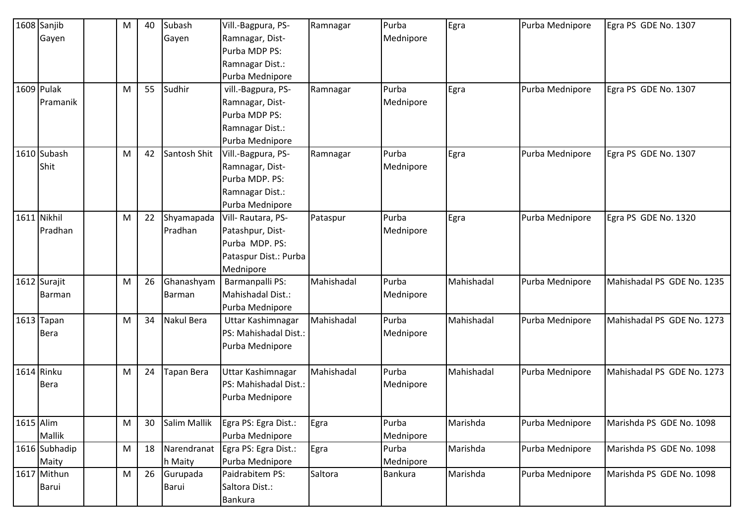|             | 1608 Sanjib   | M | 40 | Subash       | Vill.-Bagpura, PS-    | Ramnagar   | Purba          | Egra       | Purba Mednipore | Egra PS GDE No. 1307       |
|-------------|---------------|---|----|--------------|-----------------------|------------|----------------|------------|-----------------|----------------------------|
|             | Gayen         |   |    | Gayen        | Ramnagar, Dist-       |            | Mednipore      |            |                 |                            |
|             |               |   |    |              | Purba MDP PS:         |            |                |            |                 |                            |
|             |               |   |    |              | Ramnagar Dist.:       |            |                |            |                 |                            |
|             |               |   |    |              | Purba Mednipore       |            |                |            |                 |                            |
|             | 1609 Pulak    | M | 55 | Sudhir       | vill.-Bagpura, PS-    | Ramnagar   | Purba          | Egra       | Purba Mednipore | Egra PS GDE No. 1307       |
|             | Pramanik      |   |    |              | Ramnagar, Dist-       |            | Mednipore      |            |                 |                            |
|             |               |   |    |              | Purba MDP PS:         |            |                |            |                 |                            |
|             |               |   |    |              | Ramnagar Dist.:       |            |                |            |                 |                            |
|             |               |   |    |              | Purba Mednipore       |            |                |            |                 |                            |
|             | 1610 Subash   | M | 42 | Santosh Shit | Vill.-Bagpura, PS-    | Ramnagar   | Purba          | Egra       | Purba Mednipore | Egra PS GDE No. 1307       |
|             | Shit          |   |    |              | Ramnagar, Dist-       |            | Mednipore      |            |                 |                            |
|             |               |   |    |              | Purba MDP. PS:        |            |                |            |                 |                            |
|             |               |   |    |              | Ramnagar Dist.:       |            |                |            |                 |                            |
|             |               |   |    |              | Purba Mednipore       |            |                |            |                 |                            |
|             | 1611 Nikhil   | M | 22 | Shyamapada   | Vill-Rautara, PS-     | Pataspur   | Purba          | Egra       | Purba Mednipore | Egra PS GDE No. 1320       |
|             | Pradhan       |   |    | Pradhan      | Patashpur, Dist-      |            | Mednipore      |            |                 |                            |
|             |               |   |    |              | Purba MDP. PS:        |            |                |            |                 |                            |
|             |               |   |    |              | Pataspur Dist.: Purba |            |                |            |                 |                            |
|             |               |   |    |              | Mednipore             |            |                |            |                 |                            |
|             | 1612 Surajit  | M | 26 | Ghanashyam   | Barmanpalli PS:       | Mahishadal | Purba          | Mahishadal | Purba Mednipore | Mahishadal PS GDE No. 1235 |
|             | Barman        |   |    | Barman       | Mahishadal Dist.:     |            | Mednipore      |            |                 |                            |
|             |               |   |    |              | Purba Mednipore       |            |                |            |                 |                            |
|             | 1613 Tapan    | M | 34 | Nakul Bera   | Uttar Kashimnagar     | Mahishadal | Purba          | Mahishadal | Purba Mednipore | Mahishadal PS GDE No. 1273 |
|             | <b>Bera</b>   |   |    |              | PS: Mahishadal Dist.: |            | Mednipore      |            |                 |                            |
|             |               |   |    |              | Purba Mednipore       |            |                |            |                 |                            |
|             |               |   |    |              |                       |            |                |            |                 |                            |
|             | 1614 Rinku    | M | 24 | Tapan Bera   | Uttar Kashimnagar     | Mahishadal | Purba          | Mahishadal | Purba Mednipore | Mahishadal PS GDE No. 1273 |
|             | <b>Bera</b>   |   |    |              | PS: Mahishadal Dist.: |            | Mednipore      |            |                 |                            |
|             |               |   |    |              | Purba Mednipore       |            |                |            |                 |                            |
| $1615$ Alim |               | M | 30 | Salim Mallik | Egra PS: Egra Dist.:  | Egra       | Purba          | Marishda   | Purba Mednipore | Marishda PS GDE No. 1098   |
|             | Mallik        |   |    |              | Purba Mednipore       |            | Mednipore      |            |                 |                            |
|             | 1616 Subhadip | M | 18 | Narendranat  | Egra PS: Egra Dist.:  | Egra       | Purba          | Marishda   | Purba Mednipore | Marishda PS GDE No. 1098   |
|             | Maity         |   |    | h Maity      | Purba Mednipore       |            | Mednipore      |            |                 |                            |
|             | 1617 Mithun   | M | 26 | Gurupada     | Paidrabitem PS:       | Saltora    | <b>Bankura</b> | Marishda   | Purba Mednipore | Marishda PS GDE No. 1098   |
|             | Barui         |   |    | Barui        | Saltora Dist.:        |            |                |            |                 |                            |
|             |               |   |    |              | Bankura               |            |                |            |                 |                            |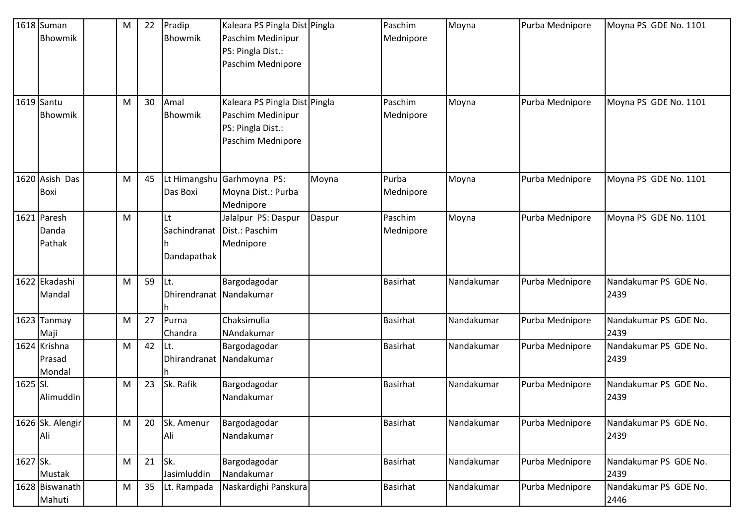|          | 1618 Suman<br>Bhowmik            | M | 22 | Pradip<br>Bhowmik              | Kaleara PS Pingla Dist Pingla<br>Paschim Medinipur<br>PS: Pingla Dist.:<br>Paschim Mednipore |        | Paschim<br>Mednipore | Moyna      | Purba Mednipore | Moyna PS GDE No. 1101         |
|----------|----------------------------------|---|----|--------------------------------|----------------------------------------------------------------------------------------------|--------|----------------------|------------|-----------------|-------------------------------|
|          | 1619 Santu<br>Bhowmik            | M | 30 | Amal<br>Bhowmik                | Kaleara PS Pingla Dist Pingla<br>Paschim Medinipur<br>PS: Pingla Dist.:<br>Paschim Mednipore |        | Paschim<br>Mednipore | Moyna      | Purba Mednipore | Moyna PS GDE No. 1101         |
|          | 1620 Asish Das<br>Boxi           | M | 45 | Lt Himangshu<br>Das Boxi       | Garhmoyna PS:<br>Moyna Dist.: Purba<br>Mednipore                                             | Moyna  | Purba<br>Mednipore   | Moyna      | Purba Mednipore | Moyna PS GDE No. 1101         |
|          | 1621 Paresh<br>Danda<br>Pathak   | M |    | Lt<br>Dandapathak              | Jalalpur PS: Daspur<br>Sachindranat   Dist.: Paschim<br>Mednipore                            | Daspur | Paschim<br>Mednipore | Moyna      | Purba Mednipore | Moyna PS GDE No. 1101         |
|          | 1622 Ekadashi<br>Mandal          | M | 59 | Lt.<br>Dhirendranat Nandakumar | Bargodagodar                                                                                 |        | <b>Basirhat</b>      | Nandakumar | Purba Mednipore | Nandakumar PS GDE No.<br>2439 |
|          | $1623$ Tanmay<br>Maji            | M | 27 | Purna<br>Chandra               | Chaksimulia<br>NAndakumar                                                                    |        | Basirhat             | Nandakumar | Purba Mednipore | Nandakumar PS GDE No.<br>2439 |
|          | 1624 Krishna<br>Prasad<br>Mondal | M | 42 | Lt.<br>Dhirandranat Nandakumar | Bargodagodar                                                                                 |        | <b>Basirhat</b>      | Nandakumar | Purba Mednipore | Nandakumar PS GDE No.<br>2439 |
| 1625 SI. | Alimuddin                        | M | 23 | Sk. Rafik                      | Bargodagodar<br>Nandakumar                                                                   |        | <b>Basirhat</b>      | Nandakumar | Purba Mednipore | Nandakumar PS GDE No.<br>2439 |
|          | 1626 Sk. Alengir<br>Ali          | M | 20 | Sk. Amenur<br>Ali              | Bargodagodar<br>Nandakumar                                                                   |        | <b>Basirhat</b>      | Nandakumar | Purba Mednipore | Nandakumar PS GDE No.<br>2439 |
| 1627 Sk. | Mustak                           | M | 21 | Sk.<br>Jasimluddin             | Bargodagodar<br>Nandakumar                                                                   |        | <b>Basirhat</b>      | Nandakumar | Purba Mednipore | Nandakumar PS GDE No.<br>2439 |
|          | 1628 Biswanath<br>Mahuti         | M | 35 | Lt. Rampada                    | Naskardighi Panskura                                                                         |        | <b>Basirhat</b>      | Nandakumar | Purba Mednipore | Nandakumar PS GDE No.<br>2446 |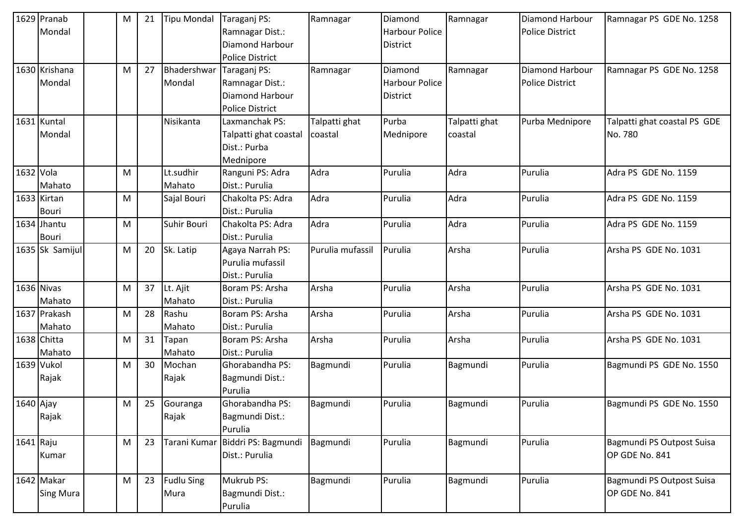|            | 1629 Pranab<br>Mondal          | M | 21 | <b>Tipu Mondal</b>        | Taraganj PS:<br>Ramnagar Dist.:<br>Diamond Harbour<br><b>Police District</b>        | Ramnagar                 | Diamond<br><b>Harbour Police</b><br>District        | Ramnagar                 | <b>Diamond Harbour</b><br><b>Police District</b> | Ramnagar PS GDE No. 1258                    |
|------------|--------------------------------|---|----|---------------------------|-------------------------------------------------------------------------------------|--------------------------|-----------------------------------------------------|--------------------------|--------------------------------------------------|---------------------------------------------|
|            | 1630 Krishana<br>Mondal        | M | 27 | Bhadershwar<br>Mondal     | Taraganj PS:<br>Ramnagar Dist.:<br><b>Diamond Harbour</b><br><b>Police District</b> | Ramnagar                 | Diamond<br><b>Harbour Police</b><br><b>District</b> | Ramnagar                 | Diamond Harbour<br><b>Police District</b>        | Ramnagar PS GDE No. 1258                    |
|            | 1631 Kuntal<br>Mondal          |   |    | Nisikanta                 | Laxmanchak PS:<br>Talpatti ghat coastal<br>Dist.: Purba<br>Mednipore                | Talpatti ghat<br>coastal | Purba<br>Mednipore                                  | Talpatti ghat<br>coastal | Purba Mednipore                                  | Talpatti ghat coastal PS GDE<br>No. 780     |
| 1632 Vola  | Mahato                         | M |    | Lt.sudhir<br>Mahato       | Ranguni PS: Adra<br>Dist.: Purulia                                                  | Adra                     | Purulia                                             | Adra                     | Purulia                                          | Adra PS GDE No. 1159                        |
|            | 1633 Kirtan<br>Bouri           | M |    | Sajal Bouri               | Chakolta PS: Adra<br>Dist.: Purulia                                                 | Adra                     | Purulia                                             | Adra                     | Purulia                                          | Adra PS GDE No. 1159                        |
|            | 1634 Jhantu<br><b>Bouri</b>    | M |    | Suhir Bouri               | Chakolta PS: Adra<br>Dist.: Purulia                                                 | Adra                     | Purulia                                             | Adra                     | Purulia                                          | Adra PS GDE No. 1159                        |
|            | 1635 Sk Samijul                | M | 20 | Sk. Latip                 | Agaya Narrah PS:<br>Purulia mufassil<br>Dist.: Purulia                              | Purulia mufassil         | Purulia                                             | Arsha                    | Purulia                                          | Arsha PS GDE No. 1031                       |
| 1636 Nivas | Mahato                         | M | 37 | Lt. Ajit<br>Mahato        | Boram PS: Arsha<br>Dist.: Purulia                                                   | Arsha                    | Purulia                                             | Arsha                    | Purulia                                          | Arsha PS GDE No. 1031                       |
|            | 1637 Prakash<br>Mahato         | M | 28 | Rashu<br>Mahato           | Boram PS: Arsha<br>Dist.: Purulia                                                   | Arsha                    | Purulia                                             | Arsha                    | Purulia                                          | Arsha PS GDE No. 1031                       |
|            | 1638 Chitta<br>Mahato          | M | 31 | Tapan<br>Mahato           | Boram PS: Arsha<br>Dist.: Purulia                                                   | Arsha                    | Purulia                                             | Arsha                    | Purulia                                          | Arsha PS GDE No. 1031                       |
| 1639 Vukol | Rajak                          | M | 30 | Mochan<br>Rajak           | Ghorabandha PS:<br>Bagmundi Dist.:<br>Purulia                                       | Bagmundi                 | Purulia                                             | Bagmundi                 | Purulia                                          | Bagmundi PS GDE No. 1550                    |
| 1640 Ajay  | Rajak                          | M | 25 | Gouranga<br>Rajak         | Ghorabandha PS:<br>Bagmundi Dist.:<br>Purulia                                       | Bagmundi                 | Purulia                                             | Bagmundi                 | Purulia                                          | Bagmundi PS GDE No. 1550                    |
| 1641 Raju  | Kumar                          | M | 23 | Tarani Kumar              | Biddri PS: Bagmundi<br>Dist.: Purulia                                               | Bagmundi                 | Purulia                                             | Bagmundi                 | Purulia                                          | Bagmundi PS Outpost Suisa<br>OP GDE No. 841 |
|            | 1642 Makar<br><b>Sing Mura</b> | M | 23 | <b>Fudlu Sing</b><br>Mura | Mukrub PS:<br>Bagmundi Dist.:<br>Purulia                                            | Bagmundi                 | Purulia                                             | Bagmundi                 | Purulia                                          | Bagmundi PS Outpost Suisa<br>OP GDE No. 841 |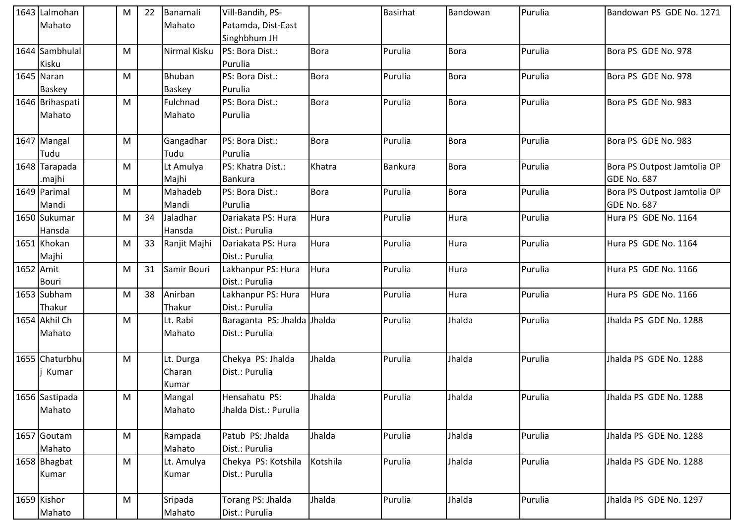|           | 1643 Lalmohan<br>Mahato     | M | 22 | Banamali<br>Mahato           | Vill-Bandih, PS-<br>Patamda, Dist-East<br>Singhbhum JH |             | <b>Basirhat</b> | Bandowan    | Purulia | Bandowan PS GDE No. 1271                          |
|-----------|-----------------------------|---|----|------------------------------|--------------------------------------------------------|-------------|-----------------|-------------|---------|---------------------------------------------------|
|           | 1644 Sambhulal<br>Kisku     | M |    | Nirmal Kisku                 | PS: Bora Dist.:<br>Purulia                             | <b>Bora</b> | Purulia         | <b>Bora</b> | Purulia | Bora PS GDE No. 978                               |
|           | 1645 Naran<br><b>Baskey</b> | M |    | <b>Bhuban</b><br>Baskey      | PS: Bora Dist.:<br>Purulia                             | <b>Bora</b> | Purulia         | <b>Bora</b> | Purulia | Bora PS GDE No. 978                               |
|           | 1646 Brihaspati<br>Mahato   | M |    | Fulchnad<br>Mahato           | PS: Bora Dist.:<br>Purulia                             | <b>Bora</b> | Purulia         | <b>Bora</b> | Purulia | Bora PS GDE No. 983                               |
|           | 1647 Mangal<br>Tudu         | M |    | Gangadhar<br>Tudu            | PS: Bora Dist.:<br>Purulia                             | <b>Bora</b> | Purulia         | <b>Bora</b> | Purulia | Bora PS GDE No. 983                               |
|           | 1648 Tarapada<br>.majhi     | M |    | Lt Amulya<br>Majhi           | PS: Khatra Dist.:<br><b>Bankura</b>                    | Khatra      | Bankura         | <b>Bora</b> | Purulia | Bora PS Outpost Jamtolia OP<br>GDE No. 687        |
|           | 1649 Parimal<br>Mandi       | M |    | Mahadeb<br>Mandi             | PS: Bora Dist.:<br>Purulia                             | <b>Bora</b> | Purulia         | <b>Bora</b> | Purulia | Bora PS Outpost Jamtolia OP<br><b>GDE No. 687</b> |
|           | 1650 Sukumar<br>Hansda      | M | 34 | Jaladhar<br>Hansda           | Dariakata PS: Hura<br>Dist.: Purulia                   | Hura        | Purulia         | Hura        | Purulia | Hura PS GDE No. 1164                              |
|           | 1651 Khokan<br>Majhi        | M | 33 | Ranjit Majhi                 | Dariakata PS: Hura<br>Dist.: Purulia                   | Hura        | Purulia         | Hura        | Purulia | Hura PS GDE No. 1164                              |
| 1652 Amit | <b>Bouri</b>                | M | 31 | Samir Bouri                  | Lakhanpur PS: Hura<br>Dist.: Purulia                   | Hura        | Purulia         | Hura        | Purulia | Hura PS GDE No. 1166                              |
|           | 1653 Subham<br>Thakur       | M | 38 | Anirban<br>Thakur            | Lakhanpur PS: Hura<br>Dist.: Purulia                   | Hura        | Purulia         | Hura        | Purulia | Hura PS GDE No. 1166                              |
|           | 1654 Akhil Ch<br>Mahato     | M |    | Lt. Rabi<br>Mahato           | Baraganta PS: Jhalda Jhalda<br>Dist.: Purulia          |             | Purulia         | Jhalda      | Purulia | Jhalda PS GDE No. 1288                            |
|           | 1655 Chaturbhu<br>Kumar     | M |    | Lt. Durga<br>Charan<br>Kumar | Chekya PS: Jhalda<br>Dist.: Purulia                    | Jhalda      | Purulia         | Jhalda      | Purulia | Jhalda PS GDE No. 1288                            |
|           | 1656 Sastipada<br>Mahato    | M |    | Mangal<br>Mahato             | Hensahatu PS:<br>Jhalda Dist.: Purulia                 | Jhalda      | Purulia         | Jhalda      | Purulia | Jhalda PS GDE No. 1288                            |
|           | 1657 Goutam<br>Mahato       | M |    | Rampada<br>Mahato            | Patub PS: Jhalda<br>Dist.: Purulia                     | Jhalda      | Purulia         | Jhalda      | Purulia | Jhalda PS GDE No. 1288                            |
|           | 1658 Bhagbat<br>Kumar       | M |    | Lt. Amulya<br>Kumar          | Chekya PS: Kotshila<br>Dist.: Purulia                  | Kotshila    | Purulia         | Jhalda      | Purulia | Jhalda PS GDE No. 1288                            |
|           | 1659 Kishor<br>Mahato       | M |    | Sripada<br>Mahato            | Torang PS: Jhalda<br>Dist.: Purulia                    | Jhalda      | Purulia         | Jhalda      | Purulia | Jhalda PS GDE No. 1297                            |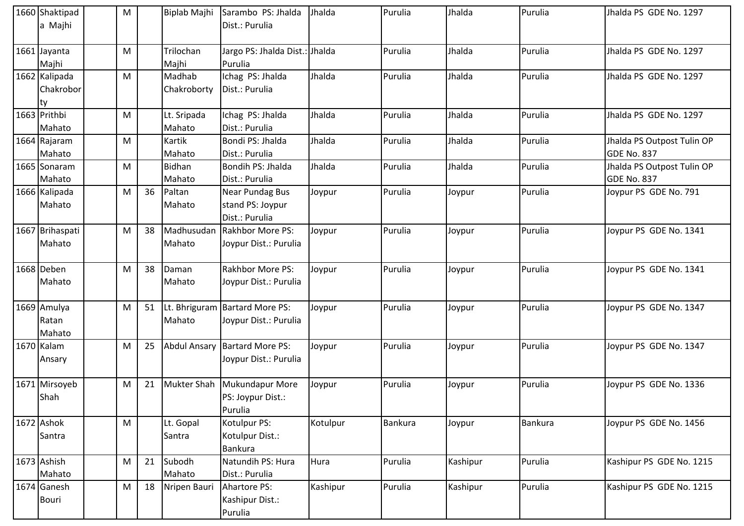| 1660 Shaktipad<br>a Majhi        | M                                                                                                          |    |                       | Biplab Majhi Sarambo PS: Jhalda<br>Dist.: Purulia         | Jhalda   | Purulia | Jhalda   | Purulia        | Jhalda PS GDE No. 1297                           |
|----------------------------------|------------------------------------------------------------------------------------------------------------|----|-----------------------|-----------------------------------------------------------|----------|---------|----------|----------------|--------------------------------------------------|
| 1661 Jayanta<br>Majhi            | М                                                                                                          |    | Trilochan<br>Majhi    | Jargo PS: Jhalda Dist.: Jhalda<br>Purulia                 |          | Purulia | Jhalda   | Purulia        | Jhalda PS GDE No. 1297                           |
| 1662 Kalipada<br>Chakrobor<br>ty | M                                                                                                          |    | Madhab<br>Chakroborty | Ichag PS: Jhalda<br>Dist.: Purulia                        | Jhalda   | Purulia | Jhalda   | Purulia        | Jhalda PS GDE No. 1297                           |
| 1663 Prithbi<br>Mahato           | M                                                                                                          |    | Lt. Sripada<br>Mahato | Ichag PS: Jhalda<br>Dist.: Purulia                        | Jhalda   | Purulia | Jhalda   | Purulia        | Jhalda PS GDE No. 1297                           |
| 1664 Rajaram<br>Mahato           | M                                                                                                          |    | Kartik<br>Mahato      | Bondi PS: Jhalda<br>Dist.: Purulia                        | Jhalda   | Purulia | Jhalda   | Purulia        | Jhalda PS Outpost Tulin OP<br><b>GDE No. 837</b> |
| 1665 Sonaram<br>Mahato           | M                                                                                                          |    | Bidhan<br>Mahato      | Bondih PS: Jhalda<br>Dist.: Purulia                       | Jhalda   | Purulia | Jhalda   | Purulia        | Jhalda PS Outpost Tulin OP<br>GDE No. 837        |
| 1666 Kalipada<br>Mahato          | M                                                                                                          | 36 | Paltan<br>Mahato      | Near Pundag Bus<br>stand PS: Joypur<br>Dist.: Purulia     | Joypur   | Purulia | Joypur   | Purulia        | Joypur PS GDE No. 791                            |
| 1667 Brihaspati<br>Mahato        | M                                                                                                          | 38 | Madhusudan<br>Mahato  | Rakhbor More PS:<br>Joypur Dist.: Purulia                 | Joypur   | Purulia | Joypur   | Purulia        | Joypur PS GDE No. 1341                           |
| 1668 Deben<br>Mahato             | M                                                                                                          | 38 | Daman<br>Mahato       | <b>Rakhbor More PS:</b><br>Joypur Dist.: Purulia          | Joypur   | Purulia | Joypur   | Purulia        | Joypur PS GDE No. 1341                           |
| 1669 Amulya<br>Ratan<br>Mahato   | M                                                                                                          | 51 | Mahato                | Lt. Bhriguram   Bartard More PS:<br>Joypur Dist.: Purulia | Joypur   | Purulia | Joypur   | Purulia        | Joypur PS GDE No. 1347                           |
| 1670 Kalam<br>Ansary             | M                                                                                                          | 25 |                       | Abdul Ansary Bartard More PS:<br>Joypur Dist.: Purulia    | Joypur   | Purulia | Joypur   | Purulia        | Joypur PS GDE No. 1347                           |
| 1671 Mirsoyeb<br>Shah            | M                                                                                                          | 21 | <b>Mukter Shah</b>    | Mukundapur More<br>PS: Joypur Dist.:<br>Purulia           | Joypur   | Purulia | Joypur   | Purulia        | Joypur PS GDE No. 1336                           |
| 1672 Ashok<br>Santra             | $\mathsf{M}% _{T}=\mathsf{M}_{T}\!\left( a,b\right) ,\ \mathsf{M}_{T}=\mathsf{M}_{T}\!\left( a,b\right) ,$ |    | Lt. Gopal<br>Santra   | Kotulpur PS:<br>Kotulpur Dist.:<br><b>Bankura</b>         | Kotulpur | Bankura | Joypur   | <b>Bankura</b> | Joypur PS GDE No. 1456                           |
| 1673 Ashish<br>Mahato            | ${\sf M}$                                                                                                  | 21 | Subodh<br>Mahato      | Natundih PS: Hura<br>Dist.: Purulia                       | Hura     | Purulia | Kashipur | Purulia        | Kashipur PS GDE No. 1215                         |
| 1674 Ganesh<br><b>Bouri</b>      | M                                                                                                          | 18 | Nripen Bauri          | Ahartore PS:<br>Kashipur Dist.:<br>Purulia                | Kashipur | Purulia | Kashipur | Purulia        | Kashipur PS GDE No. 1215                         |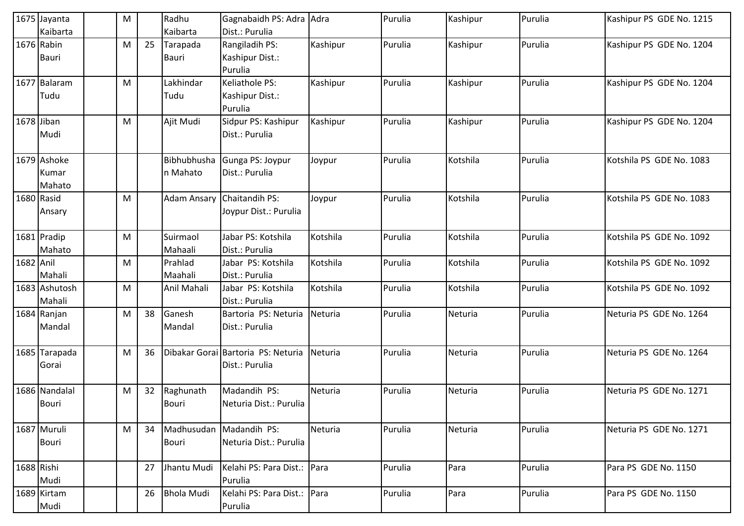|            | 1675 Jayanta  | M |    | Radhu              | Gagnabaidh PS: Adra Adra           |          | Purulia | Kashipur | Purulia | Kashipur PS GDE No. 1215 |
|------------|---------------|---|----|--------------------|------------------------------------|----------|---------|----------|---------|--------------------------|
|            | Kaibarta      |   |    | Kaibarta           | Dist.: Purulia                     |          |         |          |         |                          |
| 1676 Rabin |               | M | 25 | Tarapada           | Rangiladih PS:                     | Kashipur | Purulia | Kashipur | Purulia | Kashipur PS GDE No. 1204 |
|            | Bauri         |   |    | <b>Bauri</b>       | Kashipur Dist.:                    |          |         |          |         |                          |
|            |               |   |    |                    | Purulia                            |          |         |          |         |                          |
|            | 1677 Balaram  | M |    | Lakhindar          | Keliathole PS:                     | Kashipur | Purulia | Kashipur | Purulia | Kashipur PS GDE No. 1204 |
|            | Tudu          |   |    | Tudu               | Kashipur Dist.:                    |          |         |          |         |                          |
|            |               |   |    |                    | Purulia                            |          |         |          |         |                          |
| 1678 Jiban |               | M |    | Ajit Mudi          | Sidpur PS: Kashipur                | Kashipur | Purulia | Kashipur | Purulia | Kashipur PS GDE No. 1204 |
|            | Mudi          |   |    |                    | Dist.: Purulia                     |          |         |          |         |                          |
|            |               |   |    |                    |                                    |          |         |          |         |                          |
|            | 1679 Ashoke   |   |    | Bibhubhusha        | Gunga PS: Joypur                   | Joypur   | Purulia | Kotshila | Purulia | Kotshila PS GDE No. 1083 |
|            | <b>Kumar</b>  |   |    | n Mahato           | Dist.: Purulia                     |          |         |          |         |                          |
|            | Mahato        |   |    |                    |                                    |          |         |          |         |                          |
| 1680 Rasid |               | M |    | <b>Adam Ansary</b> | Chaitandih PS:                     | Joypur   | Purulia | Kotshila | Purulia | Kotshila PS GDE No. 1083 |
|            | Ansary        |   |    |                    | Joypur Dist.: Purulia              |          |         |          |         |                          |
|            |               |   |    |                    |                                    |          |         |          |         |                          |
|            | 1681 Pradip   | M |    | Suirmaol           | Jabar PS: Kotshila                 | Kotshila | Purulia | Kotshila | Purulia | Kotshila PS GDE No. 1092 |
|            | Mahato        |   |    | Mahaali            | Dist.: Purulia                     |          |         |          |         |                          |
| 1682 Anil  |               | M |    | Prahlad            | Jabar PS: Kotshila                 | Kotshila | Purulia | Kotshila | Purulia | Kotshila PS GDE No. 1092 |
|            | Mahali        |   |    | Maahali            | Dist.: Purulia                     |          |         |          |         |                          |
|            | 1683 Ashutosh | M |    | Anil Mahali        | Jabar PS: Kotshila                 | Kotshila | Purulia | Kotshila | Purulia | Kotshila PS GDE No. 1092 |
|            | Mahali        |   |    |                    | Dist.: Purulia                     |          |         |          |         |                          |
|            | 1684 Ranjan   | M | 38 | Ganesh             | Bartoria PS: Neturia               | Neturia  | Purulia | Neturia  | Purulia | Neturia PS GDE No. 1264  |
|            | Mandal        |   |    | Mandal             | Dist.: Purulia                     |          |         |          |         |                          |
|            |               |   |    |                    |                                    |          |         |          |         |                          |
|            | 1685 Tarapada | M | 36 |                    | Dibakar Gorai Bartoria PS: Neturia | Neturia  | Purulia | Neturia  | Purulia | Neturia PS GDE No. 1264  |
|            | Gorai         |   |    |                    | Dist.: Purulia                     |          |         |          |         |                          |
|            |               |   |    |                    |                                    |          |         |          |         |                          |
|            | 1686 Nandalal | M | 32 | Raghunath          | Madandih PS:                       | Neturia  | Purulia | Neturia  | Purulia | Neturia PS GDE No. 1271  |
|            | <b>Bouri</b>  |   |    | <b>Bouri</b>       | Neturia Dist.: Purulia             |          |         |          |         |                          |
|            |               |   |    |                    |                                    |          |         |          |         |                          |
|            | 1687 Muruli   | M | 34 | Madhusudan         | Madandih PS:                       | Neturia  | Purulia | Neturia  | Purulia | Neturia PS GDE No. 1271  |
|            | Bouri         |   |    | <b>Bouri</b>       | Neturia Dist.: Purulia             |          |         |          |         |                          |
|            |               |   |    |                    |                                    |          |         |          |         |                          |
| 1688 Rishi |               |   | 27 | Jhantu Mudi        | Kelahi PS: Para Dist.:             | Para     | Purulia | Para     | Purulia | Para PS GDE No. 1150     |
|            | Mudi          |   |    |                    | Purulia                            |          |         |          |         |                          |
|            | 1689 Kirtam   |   | 26 | <b>Bhola Mudi</b>  | Kelahi PS: Para Dist.:             | Para     | Purulia | Para     | Purulia | Para PS GDE No. 1150     |
|            | Mudi          |   |    |                    | Purulia                            |          |         |          |         |                          |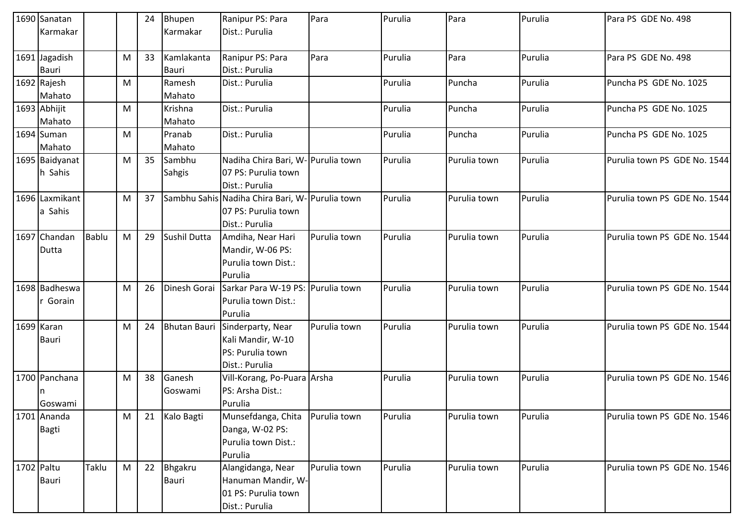| 1690 Sanatan   |              |   | 24 | Bhupen              | Ranipur PS: Para                               | Para         | Purulia | Para         | Purulia | Para PS GDE No. 498          |
|----------------|--------------|---|----|---------------------|------------------------------------------------|--------------|---------|--------------|---------|------------------------------|
| Karmakar       |              |   |    | Karmakar            | Dist.: Purulia                                 |              |         |              |         |                              |
| 1691 Jagadish  |              | M | 33 | Kamlakanta          | Ranipur PS: Para                               | Para         | Purulia | Para         | Purulia | Para PS GDE No. 498          |
| <b>Bauri</b>   |              |   |    | <b>Bauri</b>        | Dist.: Purulia                                 |              |         |              |         |                              |
| 1692 Rajesh    |              | M |    | Ramesh              | Dist.: Purulia                                 |              | Purulia | Puncha       | Purulia | Puncha PS GDE No. 1025       |
| Mahato         |              |   |    | Mahato              |                                                |              |         |              |         |                              |
| 1693 Abhijit   |              | M |    | Krishna             | Dist.: Purulia                                 |              | Purulia | Puncha       | Purulia | Puncha PS GDE No. 1025       |
| Mahato         |              |   |    | Mahato              |                                                |              |         |              |         |                              |
| 1694 Suman     |              | M |    | Pranab              | Dist.: Purulia                                 |              | Purulia | Puncha       | Purulia | Puncha PS GDE No. 1025       |
| Mahato         |              |   |    | Mahato              |                                                |              |         |              |         |                              |
| 1695 Baidyanat |              | М | 35 | Sambhu              | Nadiha Chira Bari, W- Purulia town             |              | Purulia | Purulia town | Purulia | Purulia town PS GDE No. 1544 |
| h Sahis        |              |   |    | <b>Sahgis</b>       | 07 PS: Purulia town                            |              |         |              |         |                              |
|                |              |   |    |                     | Dist.: Purulia                                 |              |         |              |         |                              |
| 1696 Laxmikant |              | M | 37 |                     | Sambhu Sahis Nadiha Chira Bari, W-Purulia town |              | Purulia | Purulia town | Purulia | Purulia town PS GDE No. 1544 |
| a Sahis        |              |   |    |                     | 07 PS: Purulia town                            |              |         |              |         |                              |
|                |              |   |    |                     | Dist.: Purulia                                 |              |         |              |         |                              |
| 1697 Chandan   | <b>Bablu</b> | M | 29 | Sushil Dutta        | Amdiha, Near Hari                              | Purulia town | Purulia | Purulia town | Purulia | Purulia town PS GDE No. 1544 |
| Dutta          |              |   |    |                     | Mandir, W-06 PS:                               |              |         |              |         |                              |
|                |              |   |    |                     | Purulia town Dist.:                            |              |         |              |         |                              |
|                |              |   |    |                     | Purulia                                        |              |         |              |         |                              |
| 1698 Badheswa  |              | M | 26 | Dinesh Gorai        | Sarkar Para W-19 PS: Purulia town              |              | Purulia | Purulia town | Purulia | Purulia town PS GDE No. 1544 |
| r Gorain       |              |   |    |                     | Purulia town Dist.:                            |              |         |              |         |                              |
|                |              |   |    |                     | Purulia                                        |              |         |              |         |                              |
| 1699 Karan     |              | M | 24 | <b>Bhutan Bauri</b> | Sinderparty, Near                              | Purulia town | Purulia | Purulia town | Purulia | Purulia town PS GDE No. 1544 |
| <b>Bauri</b>   |              |   |    |                     | Kali Mandir, W-10                              |              |         |              |         |                              |
|                |              |   |    |                     | PS: Purulia town                               |              |         |              |         |                              |
|                |              |   |    |                     | Dist.: Purulia                                 |              |         |              |         |                              |
| 1700 Panchana  |              | M | 38 | Ganesh              | Vill-Korang, Po-Puara Arsha                    |              | Purulia | Purulia town | Purulia | Purulia town PS GDE No. 1546 |
|                |              |   |    | Goswami             | PS: Arsha Dist.:                               |              |         |              |         |                              |
| Goswami        |              |   |    |                     | Purulia                                        |              |         |              |         |                              |
| 1701 Ananda    |              | M | 21 | Kalo Bagti          | Munsefdanga, Chita                             | Purulia town | Purulia | Purulia town | Purulia | Purulia town PS GDE No. 1546 |
| <b>Bagti</b>   |              |   |    |                     | Danga, W-02 PS:                                |              |         |              |         |                              |
|                |              |   |    |                     | Purulia town Dist.:                            |              |         |              |         |                              |
|                |              |   |    |                     | Purulia                                        |              |         |              |         |                              |
| 1702 Paltu     | Taklu        | M | 22 | Bhgakru             | Alangidanga, Near                              | Purulia town | Purulia | Purulia town | Purulia | Purulia town PS GDE No. 1546 |
| <b>Bauri</b>   |              |   |    | Bauri               | Hanuman Mandir, W-                             |              |         |              |         |                              |
|                |              |   |    |                     | 01 PS: Purulia town                            |              |         |              |         |                              |
|                |              |   |    |                     | Dist.: Purulia                                 |              |         |              |         |                              |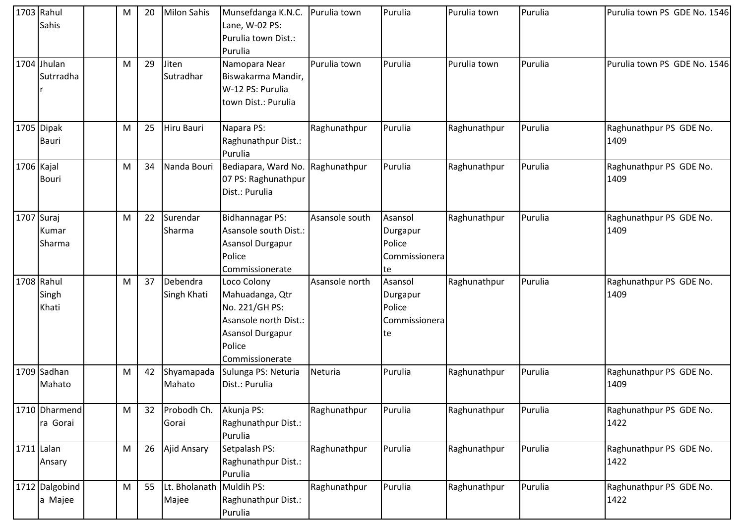|            | 1703 Rahul<br>Sahis           | М | 20 | <b>Milon Sahis</b>      | Munsefdanga K.N.C.<br>Lane, W-02 PS:<br>Purulia town Dist.:<br>Purulia                                                     | Purulia town   | Purulia                                               | Purulia town | Purulia | Purulia town PS GDE No. 1546    |
|------------|-------------------------------|---|----|-------------------------|----------------------------------------------------------------------------------------------------------------------------|----------------|-------------------------------------------------------|--------------|---------|---------------------------------|
|            | 1704 Jhulan<br>Sutrradha      | M | 29 | Jiten<br>Sutradhar      | Namopara Near<br>Biswakarma Mandir,<br>W-12 PS: Purulia<br>town Dist.: Purulia                                             | Purulia town   | Purulia                                               | Purulia town | Purulia | Purulia town PS GDE No. 1546    |
|            | 1705 Dipak<br><b>Bauri</b>    | M | 25 | Hiru Bauri              | Napara PS:<br>Raghunathpur Dist.:<br>Purulia                                                                               | Raghunathpur   | Purulia                                               | Raghunathpur | Purulia | Raghunathpur PS GDE No.<br>1409 |
| 1706 Kajal | <b>Bouri</b>                  | M | 34 | Nanda Bouri             | Bediapara, Ward No.<br>07 PS: Raghunathpur<br>Dist.: Purulia                                                               | Raghunathpur   | Purulia                                               | Raghunathpur | Purulia | Raghunathpur PS GDE No.<br>1409 |
|            | 1707 Suraj<br>Kumar<br>Sharma | M | 22 | Surendar<br>Sharma      | <b>Bidhannagar PS:</b><br>Asansole south Dist.:<br>Asansol Durgapur<br>Police<br>Commissionerate                           | Asansole south | Asansol<br>Durgapur<br>Police<br>Commissionera<br>te  | Raghunathpur | Purulia | Raghunathpur PS GDE No.<br>1409 |
|            | 1708 Rahul<br>Singh<br>Khati  | M | 37 | Debendra<br>Singh Khati | Loco Colony<br>Mahuadanga, Qtr<br>No. 221/GH PS:<br>Asansole north Dist.:<br>Asansol Durgapur<br>Police<br>Commissionerate | Asansole north | Asansol<br>Durgapur<br>Police<br>Commissionera<br> te | Raghunathpur | Purulia | Raghunathpur PS GDE No.<br>1409 |
|            | 1709 Sadhan<br>Mahato         | M | 42 | Shyamapada<br>Mahato    | Sulunga PS: Neturia<br>Dist.: Purulia                                                                                      | Neturia        | Purulia                                               | Raghunathpur | Purulia | Raghunathpur PS GDE No.<br>1409 |
|            | 1710 Dharmend<br>ra Gorai     | M | 32 | Probodh Ch.<br>Gorai    | Akunja PS:<br>Raghunathpur Dist.:<br>Purulia                                                                               | Raghunathpur   | Purulia                                               | Raghunathpur | Purulia | Raghunathpur PS GDE No.<br>1422 |
|            | $1711$ Lalan<br>Ansary        | M | 26 | Ajid Ansary             | Setpalash PS:<br>Raghunathpur Dist.:<br>Purulia                                                                            | Raghunathpur   | Purulia                                               | Raghunathpur | Purulia | Raghunathpur PS GDE No.<br>1422 |
|            | 1712 Dalgobind<br>a Majee     | M | 55 | Lt. Bholanath<br>Majee  | Muldih PS:<br>Raghunathpur Dist.:<br>Purulia                                                                               | Raghunathpur   | Purulia                                               | Raghunathpur | Purulia | Raghunathpur PS GDE No.<br>1422 |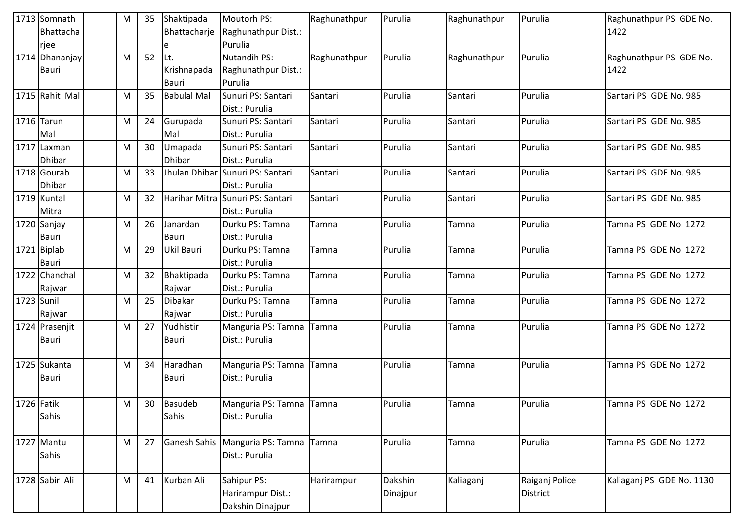|            | 1713 Somnath<br>Bhattacha | М | 35 | Shaktipada<br>Bhattacharje     | Moutorh PS:<br>Raghunathpur Dist.:   | Raghunathpur | Purulia  | Raghunathpur | Purulia        | Raghunathpur PS GDE No.<br>1422 |
|------------|---------------------------|---|----|--------------------------------|--------------------------------------|--------------|----------|--------------|----------------|---------------------------------|
|            | rjee                      |   |    | e                              | Purulia                              |              |          |              |                |                                 |
|            | 1714 Dhananjay            | M | 52 | Lt.                            | <b>Nutandih PS:</b>                  | Raghunathpur | Purulia  | Raghunathpur | Purulia        | Raghunathpur PS GDE No.         |
|            | <b>Bauri</b>              |   |    | Krishnapada                    | Raghunathpur Dist.:                  |              |          |              |                | 1422                            |
|            |                           |   |    | <b>Bauri</b>                   | Purulia                              |              |          |              |                |                                 |
|            | 1715 Rahit Mal            | M | 35 | <b>Babulal Mal</b>             | Sunuri PS: Santari                   | Santari      | Purulia  | Santari      | Purulia        | Santari PS GDE No. 985          |
|            |                           |   |    |                                | Dist.: Purulia                       |              | Purulia  |              |                |                                 |
|            | 1716 Tarun                | M | 24 | Gurupada                       | Sunuri PS: Santari                   | Santari      |          | Santari      | Purulia        | Santari PS GDE No. 985          |
|            | Mal                       |   |    | Mal                            | Dist.: Purulia                       |              |          |              |                |                                 |
|            | 1717 Laxman               | M | 30 | Umapada                        | Sunuri PS: Santari                   | Santari      | Purulia  | Santari      | Purulia        | Santari PS GDE No. 985          |
|            | Dhibar<br>1718 Gourab     |   |    | <b>Dhibar</b><br>Jhulan Dhibar | Dist.: Purulia                       |              |          |              |                |                                 |
|            |                           | M | 33 |                                | Sunuri PS: Santari                   | Santari      | Purulia  | Santari      | Purulia        | Santari PS GDE No. 985          |
|            | Dhibar<br>1719 Kuntal     | M | 32 | Harihar Mitra                  | Dist.: Purulia<br>Sunuri PS: Santari | Santari      | Purulia  | Santari      | Purulia        | Santari PS GDE No. 985          |
|            | Mitra                     |   |    |                                | Dist.: Purulia                       |              |          |              |                |                                 |
|            | 1720 Sanjay               | M | 26 | Janardan                       | Durku PS: Tamna                      | Tamna        | Purulia  | Tamna        | Purulia        | Tamna PS GDE No. 1272           |
|            | <b>Bauri</b>              |   |    | <b>Bauri</b>                   | Dist.: Purulia                       |              |          |              |                |                                 |
|            | 1721 Biplab               | M | 29 | Ukil Bauri                     | Durku PS: Tamna                      | Tamna        | Purulia  | Tamna        | Purulia        | Tamna PS GDE No. 1272           |
|            | <b>Bauri</b>              |   |    |                                | Dist.: Purulia                       |              |          |              |                |                                 |
|            | 1722 Chanchal             | M | 32 | Bhaktipada                     | Durku PS: Tamna                      | Tamna        | Purulia  | Tamna        | Purulia        | Tamna PS GDE No. 1272           |
|            | Rajwar                    |   |    | Rajwar                         | Dist.: Purulia                       |              |          |              |                |                                 |
| 1723 Sunil |                           | M | 25 | Dibakar                        | Durku PS: Tamna                      | Tamna        | Purulia  | Tamna        | Purulia        | Tamna PS GDE No. 1272           |
|            | Rajwar                    |   |    | Rajwar                         | Dist.: Purulia                       |              |          |              |                |                                 |
|            | 1724 Prasenjit            | M | 27 | Yudhistir                      | Manguria PS: Tamna                   | Tamna        | Purulia  | Tamna        | Purulia        | Tamna PS GDE No. 1272           |
|            | <b>Bauri</b>              |   |    | Bauri                          | Dist.: Purulia                       |              |          |              |                |                                 |
|            |                           |   |    |                                |                                      |              |          |              |                |                                 |
|            | 1725 Sukanta              | M | 34 | Haradhan                       | Manguria PS: Tamna                   | Tamna        | Purulia  | Tamna        | Purulia        | Tamna PS GDE No. 1272           |
|            | Bauri                     |   |    | <b>Bauri</b>                   | Dist.: Purulia                       |              |          |              |                |                                 |
| 1726 Fatik |                           | M | 30 | Basudeb                        | Manguria PS: Tamna Tamna             |              | Purulia  | Tamna        | Purulia        | Tamna PS GDE No. 1272           |
|            | Sahis                     |   |    | Sahis                          | Dist.: Purulia                       |              |          |              |                |                                 |
|            |                           |   |    |                                |                                      |              |          |              |                |                                 |
|            | 1727 Mantu                | M | 27 | Ganesh Sahis                   | Manguria PS: Tamna                   | Tamna        | Purulia  | Tamna        | Purulia        | Tamna PS GDE No. 1272           |
|            | Sahis                     |   |    |                                | Dist.: Purulia                       |              |          |              |                |                                 |
|            |                           |   |    |                                |                                      |              |          |              |                |                                 |
|            | 1728 Sabir Ali            | M | 41 | Kurban Ali                     | Sahipur PS:                          | Harirampur   | Dakshin  | Kaliaganj    | Raiganj Police | Kaliaganj PS GDE No. 1130       |
|            |                           |   |    |                                | Harirampur Dist.:                    |              | Dinajpur |              | District       |                                 |
|            |                           |   |    |                                | Dakshin Dinajpur                     |              |          |              |                |                                 |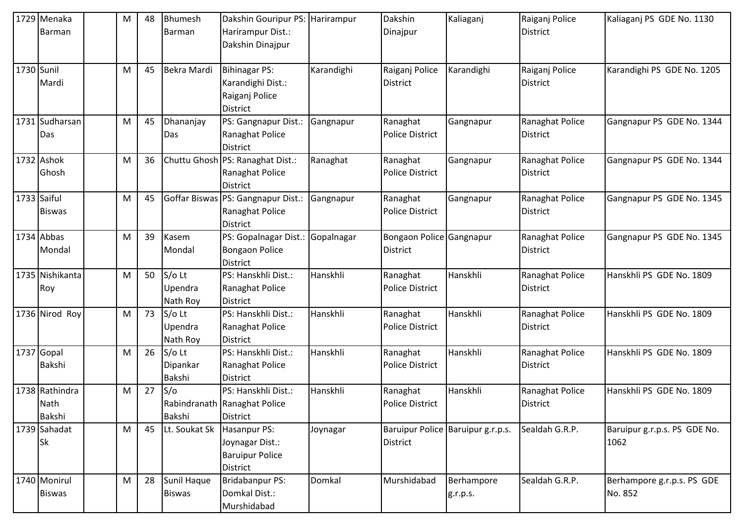|             | 1729 Menaka     | M | 48 | Bhumesh       | Dakshin Gouripur PS:               | Harirampur | Dakshin                  | Kaliaganj                         | Raiganj Police  | Kaliaganj PS GDE No. 1130    |
|-------------|-----------------|---|----|---------------|------------------------------------|------------|--------------------------|-----------------------------------|-----------------|------------------------------|
|             | Barman          |   |    | Barman        | Harirampur Dist.:                  |            | Dinajpur                 |                                   | District        |                              |
|             |                 |   |    |               | Dakshin Dinajpur                   |            |                          |                                   |                 |                              |
|             |                 |   |    |               |                                    |            |                          |                                   |                 |                              |
| 1730 Sunil  |                 | M | 45 | Bekra Mardi   | <b>Bihinagar PS:</b>               | Karandighi | Raiganj Police           | Karandighi                        | Raiganj Police  | Karandighi PS GDE No. 1205   |
|             | Mardi           |   |    |               | Karandighi Dist.:                  |            | <b>District</b>          |                                   | District        |                              |
|             |                 |   |    |               | Raiganj Police                     |            |                          |                                   |                 |                              |
|             |                 |   |    |               | <b>District</b>                    |            |                          |                                   |                 |                              |
|             | 1731 Sudharsan  | M | 45 | Dhananjay     | PS: Gangnapur Dist.:               | Gangnapur  | Ranaghat                 | Gangnapur                         | Ranaghat Police | Gangnapur PS GDE No. 1344    |
|             | Das             |   |    | Das           | Ranaghat Police                    |            | <b>Police District</b>   |                                   | District        |                              |
|             |                 |   |    |               | <b>District</b>                    |            |                          |                                   |                 |                              |
|             | 1732 Ashok      | M | 36 |               | Chuttu Ghosh PS: Ranaghat Dist.:   | Ranaghat   | Ranaghat                 | Gangnapur                         | Ranaghat Police | Gangnapur PS GDE No. 1344    |
|             | Ghosh           |   |    |               | Ranaghat Police                    |            | <b>Police District</b>   |                                   | District        |                              |
|             |                 |   |    |               | <b>District</b>                    |            |                          |                                   |                 |                              |
| 1733 Saiful |                 | M | 45 |               | Goffar Biswas PS: Gangnapur Dist.: | Gangnapur  | Ranaghat                 | Gangnapur                         | Ranaghat Police | Gangnapur PS GDE No. 1345    |
|             | <b>Biswas</b>   |   |    |               | Ranaghat Police                    |            | <b>Police District</b>   |                                   | District        |                              |
|             |                 |   |    |               | <b>District</b>                    |            |                          |                                   |                 |                              |
|             | 1734 Abbas      | M | 39 | Kasem         | PS: Gopalnagar Dist.:              | Gopalnagar | Bongaon Police Gangnapur |                                   | Ranaghat Police | Gangnapur PS GDE No. 1345    |
|             | Mondal          |   |    | Mondal        | <b>Bongaon Police</b>              |            | <b>District</b>          |                                   | District        |                              |
|             |                 |   |    |               | <b>District</b>                    |            |                          |                                   |                 |                              |
|             | 1735 Nishikanta | M | 50 | $S/O$ Lt      | PS: Hanskhli Dist.:                | Hanskhli   | Ranaghat                 | Hanskhli                          | Ranaghat Police | Hanskhli PS GDE No. 1809     |
|             | Roy             |   |    | Upendra       | Ranaghat Police                    |            | <b>Police District</b>   |                                   | District        |                              |
|             |                 |   |    | Nath Roy      | <b>District</b>                    |            |                          |                                   |                 |                              |
|             | 1736 Nirod Roy  | M | 73 | $S/O$ Lt      | PS: Hanskhli Dist.:                | Hanskhli   | Ranaghat                 | Hanskhli                          | Ranaghat Police | Hanskhli PS GDE No. 1809     |
|             |                 |   |    | Upendra       | Ranaghat Police                    |            | <b>Police District</b>   |                                   | District        |                              |
|             |                 |   |    | Nath Roy      | <b>District</b>                    |            |                          |                                   |                 |                              |
|             | 1737 Gopal      | M | 26 | $S/O$ Lt      | PS: Hanskhli Dist.:                | Hanskhli   | Ranaghat                 | Hanskhli                          | Ranaghat Police | Hanskhli PS GDE No. 1809     |
|             | Bakshi          |   |    | Dipankar      | Ranaghat Police                    |            | <b>Police District</b>   |                                   | District        |                              |
|             |                 |   |    | Bakshi        | <b>District</b>                    |            |                          |                                   |                 |                              |
|             | 1738 Rathindra  | M | 27 | S/O           | PS: Hanskhli Dist.:                | Hanskhli   | Ranaghat                 | Hanskhli                          | Ranaghat Police | Hanskhli PS GDE No. 1809     |
|             | Nath            |   |    |               | Rabindranath   Ranaghat Police     |            | <b>Police District</b>   |                                   | <b>District</b> |                              |
|             | Bakshi          |   |    | Bakshi        | <b>District</b>                    |            |                          |                                   |                 |                              |
|             | 1739 Sahadat    | M | 45 | Lt. Soukat Sk | Hasanpur PS:                       | Joynagar   |                          | Baruipur Police Baruipur g.r.p.s. | Sealdah G.R.P.  | Baruipur g.r.p.s. PS GDE No. |
|             | Sk              |   |    |               | Joynagar Dist.:                    |            | <b>District</b>          |                                   |                 | 1062                         |
|             |                 |   |    |               | <b>Baruipur Police</b>             |            |                          |                                   |                 |                              |
|             |                 |   |    |               | <b>District</b>                    |            |                          |                                   |                 |                              |
|             | 1740 Monirul    | M | 28 | Sunil Haque   | <b>Bridabanpur PS:</b>             | Domkal     | Murshidabad              | Berhampore                        | Sealdah G.R.P.  | Berhampore g.r.p.s. PS GDE   |
|             | <b>Biswas</b>   |   |    | <b>Biswas</b> | Domkal Dist.:                      |            |                          | g.r.p.s.                          |                 | No. 852                      |
|             |                 |   |    |               | Murshidabad                        |            |                          |                                   |                 |                              |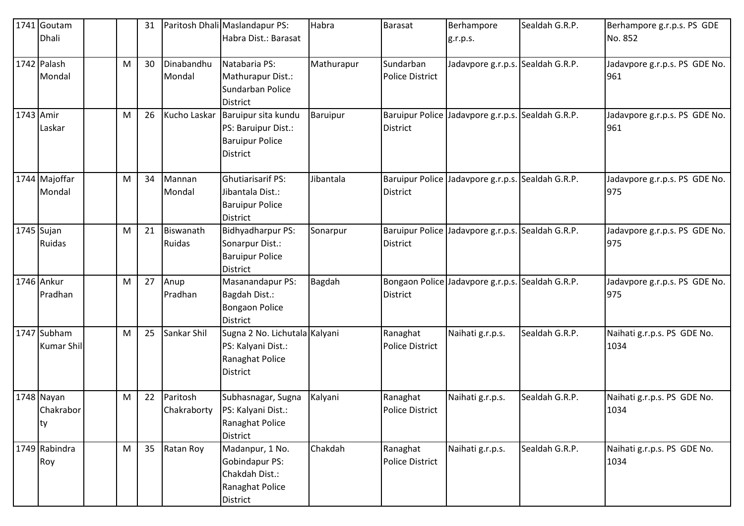|            | 1741 Goutam<br><b>Dhali</b>              |   | 31 |                            | Paritosh Dhali Maslandapur PS:<br>Habra Dist.: Barasat                                       | Habra         | Barasat                                   | Berhampore<br>g.r.p.s.                           | Sealdah G.R.P. | Berhampore g.r.p.s. PS GDE<br>No. 852 |
|------------|------------------------------------------|---|----|----------------------------|----------------------------------------------------------------------------------------------|---------------|-------------------------------------------|--------------------------------------------------|----------------|---------------------------------------|
|            | 1742 Palash<br>Mondal                    | M | 30 | Dinabandhu<br>Mondal       | Natabaria PS:<br>Mathurapur Dist.:<br>Sundarban Police<br><b>District</b>                    | Mathurapur    | Sundarban<br><b>Police District</b>       | Jadavpore g.r.p.s. Sealdah G.R.P.                |                | Jadavpore g.r.p.s. PS GDE No.<br>961  |
| 1743 Amir  | Laskar                                   | M | 26 | Kucho Laskar               | Baruipur sita kundu<br>PS: Baruipur Dist.:<br><b>Baruipur Police</b><br><b>District</b>      | Baruipur      | <b>District</b>                           | Baruipur Police Jadavpore g.r.p.s.               | Sealdah G.R.P. | Jadavpore g.r.p.s. PS GDE No.<br>961  |
|            | 1744 Majoffar<br>Mondal                  | M | 34 | Mannan<br>Mondal           | <b>Ghutiarisarif PS:</b><br>Jibantala Dist.:<br><b>Baruipur Police</b><br><b>District</b>    | Jibantala     | <b>District</b>                           | Baruipur Police Jadavpore g.r.p.s.               | Sealdah G.R.P. | Jadavpore g.r.p.s. PS GDE No.<br>975  |
| 1745 Sujan | <b>Ruidas</b>                            | M | 21 | Biswanath<br><b>Ruidas</b> | Bidhyadharpur PS:<br>Sonarpur Dist.:<br><b>Baruipur Police</b><br><b>District</b>            | Sonarpur      | <b>Baruipur Police</b><br><b>District</b> | Jadavpore g.r.p.s.                               | Sealdah G.R.P. | Jadavpore g.r.p.s. PS GDE No.<br>975  |
|            | 1746 Ankur<br>Pradhan                    | M | 27 | Anup<br>Pradhan            | Masanandapur PS:<br>Bagdah Dist.:<br><b>Bongaon Police</b><br><b>District</b>                | <b>Bagdah</b> | <b>District</b>                           | Bongaon Police Jadavpore g.r.p.s. Sealdah G.R.P. |                | Jadavpore g.r.p.s. PS GDE No.<br>975  |
|            | 1747 Subham<br><b>Kumar Shil</b>         | M | 25 | Sankar Shil                | Sugna 2 No. Lichutala Kalyani<br>PS: Kalyani Dist.:<br>Ranaghat Police<br><b>District</b>    |               | Ranaghat<br><b>Police District</b>        | Naihati g.r.p.s.                                 | Sealdah G.R.P. | Naihati g.r.p.s. PS GDE No.<br>1034   |
|            | 1748 Nayan<br>Chakrabor<br><sub>ty</sub> | M | 22 | Paritosh                   | Subhasnagar, Sugna<br>Chakraborty   PS: Kalyani Dist.:<br>Ranaghat Police<br><b>District</b> | Kalyani       | Ranaghat<br><b>Police District</b>        | Naihati g.r.p.s.                                 | Sealdah G.R.P. | Naihati g.r.p.s. PS GDE No.<br>1034   |
|            | 1749 Rabindra<br>Roy                     | M | 35 | Ratan Roy                  | Madanpur, 1 No.<br>Gobindapur PS:<br>Chakdah Dist.:<br>Ranaghat Police<br>District           | Chakdah       | Ranaghat<br>Police District               | Naihati g.r.p.s.                                 | Sealdah G.R.P. | Naihati g.r.p.s. PS GDE No.<br>1034   |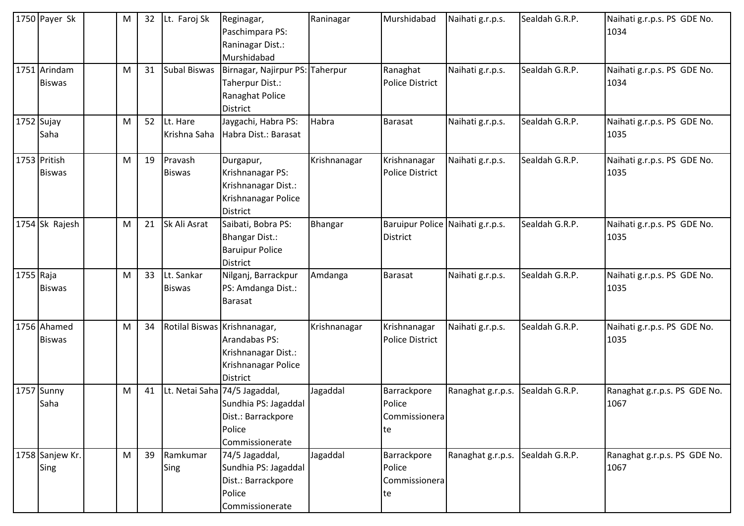|             | 1750 Payer Sk                 | M | 32 | Lt. Faroj Sk                 | Reginagar,<br>Paschimpara PS:<br>Raninagar Dist.:<br>Murshidabad                                         | Raninagar      | Murshidabad                                         | Naihati g.r.p.s.  | Sealdah G.R.P. | Naihati g.r.p.s. PS GDE No.<br>1034  |
|-------------|-------------------------------|---|----|------------------------------|----------------------------------------------------------------------------------------------------------|----------------|-----------------------------------------------------|-------------------|----------------|--------------------------------------|
|             | 1751 Arindam<br><b>Biswas</b> | M | 31 | <b>Subal Biswas</b>          | Birnagar, Najirpur PS: Taherpur<br>Taherpur Dist.:<br>Ranaghat Police<br>District                        |                | Ranaghat<br><b>Police District</b>                  | Naihati g.r.p.s.  | Sealdah G.R.P. | Naihati g.r.p.s. PS GDE No.<br>1034  |
|             | $1752$ Sujay<br>Saha          | M | 52 | Lt. Hare<br>Krishna Saha     | Jaygachi, Habra PS:<br>Habra Dist.: Barasat                                                              | Habra          | <b>Barasat</b>                                      | Naihati g.r.p.s.  | Sealdah G.R.P. | Naihati g.r.p.s. PS GDE No.<br>1035  |
|             | 1753 Pritish<br><b>Biswas</b> | M | 19 | Pravash<br><b>Biswas</b>     | Durgapur,<br>Krishnanagar PS:<br>Krishnanagar Dist.:<br>Krishnanagar Police<br>District                  | Krishnanagar   | Krishnanagar<br><b>Police District</b>              | Naihati g.r.p.s.  | Sealdah G.R.P. | Naihati g.r.p.s. PS GDE No.<br>1035  |
|             | 1754 Sk Rajesh                | M | 21 | Sk Ali Asrat                 | Saibati, Bobra PS:<br><b>Bhangar Dist.:</b><br><b>Baruipur Police</b><br><b>District</b>                 | <b>Bhangar</b> | Baruipur Police Naihati g.r.p.s.<br><b>District</b> |                   | Sealdah G.R.P. | Naihati g.r.p.s. PS GDE No.<br>1035  |
| $1755$ Raja | <b>Biswas</b>                 | M | 33 | Lt. Sankar<br><b>Biswas</b>  | Nilganj, Barrackpur<br>PS: Amdanga Dist.:<br>Barasat                                                     | Amdanga        | <b>Barasat</b>                                      | Naihati g.r.p.s.  | Sealdah G.R.P. | Naihati g.r.p.s. PS GDE No.<br>1035  |
|             | 1756 Ahamed<br><b>Biswas</b>  | M | 34 | Rotilal Biswas Krishnanagar, | Arandabas PS:<br>Krishnanagar Dist.:<br>Krishnanagar Police<br><b>District</b>                           | Krishnanagar   | Krishnanagar<br><b>Police District</b>              | Naihati g.r.p.s.  | Sealdah G.R.P. | Naihati g.r.p.s. PS GDE No.<br>1035  |
|             | 1757 Sunny<br>Saha            | M | 41 |                              | Lt. Netai Saha 74/5 Jagaddal,<br>Sundhia PS: Jagaddal<br>Dist.: Barrackpore<br>Police<br>Commissionerate | Jagaddal       | Barrackpore<br>Police<br>Commissionera<br>te        | Ranaghat g.r.p.s. | Sealdah G.R.P. | Ranaghat g.r.p.s. PS GDE No.<br>1067 |
|             | 1758 Sanjew Kr.<br>Sing       | M | 39 | Ramkumar<br>Sing             | 74/5 Jagaddal,<br>Sundhia PS: Jagaddal<br>Dist.: Barrackpore<br>Police<br>Commissionerate                | Jagaddal       | Barrackpore<br>Police<br>Commissionera<br>te        | Ranaghat g.r.p.s. | Sealdah G.R.P. | Ranaghat g.r.p.s. PS GDE No.<br>1067 |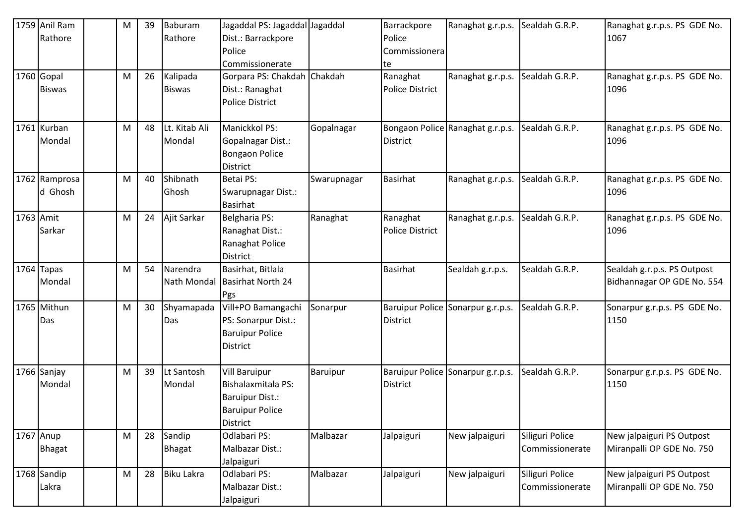|           | 1759 Anil Ram | М | 39 | Baburam           | Jagaddal PS: Jagaddal Jagaddal |             | Barrackpore            | Ranaghat g.r.p.s.                 | Sealdah G.R.P.  | Ranaghat g.r.p.s. PS GDE No. |
|-----------|---------------|---|----|-------------------|--------------------------------|-------------|------------------------|-----------------------------------|-----------------|------------------------------|
|           | Rathore       |   |    | Rathore           | Dist.: Barrackpore             |             | Police                 |                                   |                 | 1067                         |
|           |               |   |    |                   | Police                         |             | Commissionera          |                                   |                 |                              |
|           |               |   |    |                   | Commissionerate                |             | te                     |                                   |                 |                              |
|           | 1760 Gopal    | M | 26 | Kalipada          | Gorpara PS: Chakdah Chakdah    |             | Ranaghat               | Ranaghat g.r.p.s.                 | Sealdah G.R.P.  | Ranaghat g.r.p.s. PS GDE No. |
|           | <b>Biswas</b> |   |    | <b>Biswas</b>     | Dist.: Ranaghat                |             | <b>Police District</b> |                                   |                 | 1096                         |
|           |               |   |    |                   | <b>Police District</b>         |             |                        |                                   |                 |                              |
|           |               |   |    |                   |                                |             |                        |                                   |                 |                              |
|           | 1761 Kurban   | M | 48 | Lt. Kitab Ali     | Manickkol PS:                  | Gopalnagar  |                        | Bongaon Police Ranaghat g.r.p.s.  | Sealdah G.R.P.  | Ranaghat g.r.p.s. PS GDE No. |
|           | Mondal        |   |    | Mondal            | Gopalnagar Dist.:              |             | District               |                                   |                 | 1096                         |
|           |               |   |    |                   | <b>Bongaon Police</b>          |             |                        |                                   |                 |                              |
|           |               |   |    |                   | District                       |             |                        |                                   |                 |                              |
|           | 1762 Ramprosa | м | 40 | Shibnath          | <b>Betai PS:</b>               | Swarupnagar | Basirhat               | Ranaghat g.r.p.s.                 | Sealdah G.R.P.  | Ranaghat g.r.p.s. PS GDE No. |
|           | d Ghosh       |   |    | Ghosh             | Swarupnagar Dist.:             |             |                        |                                   |                 | 1096                         |
|           |               |   |    |                   | <b>Basirhat</b>                |             |                        |                                   |                 |                              |
| 1763 Amit |               | M | 24 | Ajit Sarkar       | Belgharia PS:                  | Ranaghat    | Ranaghat               | Ranaghat g.r.p.s.                 | Sealdah G.R.P.  | Ranaghat g.r.p.s. PS GDE No. |
|           | Sarkar        |   |    |                   | Ranaghat Dist.:                |             | <b>Police District</b> |                                   |                 | 1096                         |
|           |               |   |    |                   | Ranaghat Police                |             |                        |                                   |                 |                              |
|           |               |   |    |                   | <b>District</b>                |             |                        |                                   |                 |                              |
|           | $1764$ Tapas  | м | 54 | Narendra          | Basirhat, Bitlala              |             | Basirhat               | Sealdah g.r.p.s.                  | Sealdah G.R.P.  | Sealdah g.r.p.s. PS Outpost  |
|           | Mondal        |   |    |                   | Nath Mondal Basirhat North 24  |             |                        |                                   |                 | Bidhannagar OP GDE No. 554   |
|           |               |   |    |                   | Pgs                            |             |                        |                                   |                 |                              |
|           | 1765 Mithun   | M | 30 | Shyamapada        | Vill+PO Bamangachi             | Sonarpur    |                        | Baruipur Police Sonarpur g.r.p.s. | Sealdah G.R.P.  | Sonarpur g.r.p.s. PS GDE No. |
|           | Das           |   |    | Das               | PS: Sonarpur Dist.:            |             | District               |                                   |                 | 1150                         |
|           |               |   |    |                   | <b>Baruipur Police</b>         |             |                        |                                   |                 |                              |
|           |               |   |    |                   | District                       |             |                        |                                   |                 |                              |
|           |               |   |    |                   |                                |             |                        |                                   |                 |                              |
|           | 1766 Sanjay   | M | 39 | Lt Santosh        | <b>Vill Baruipur</b>           | Baruipur    |                        | Baruipur Police Sonarpur g.r.p.s. | Sealdah G.R.P.  | Sonarpur g.r.p.s. PS GDE No. |
|           | Mondal        |   |    | Mondal            | Bishalaxmitala PS:             |             | District               |                                   |                 | 1150                         |
|           |               |   |    |                   | <b>Baruipur Dist.:</b>         |             |                        |                                   |                 |                              |
|           |               |   |    |                   | <b>Baruipur Police</b>         |             |                        |                                   |                 |                              |
|           |               |   |    |                   | <b>District</b>                |             |                        |                                   |                 |                              |
|           | 1767 Anup     | M | 28 | Sandip            | Odlabari PS:                   | Malbazar    | Jalpaiguri             | New jalpaiguri                    | Siliguri Police | New jalpaiguri PS Outpost    |
|           | <b>Bhagat</b> |   |    | <b>Bhagat</b>     | Malbazar Dist.:                |             |                        |                                   | Commissionerate | Miranpalli OP GDE No. 750    |
|           |               |   |    |                   | Jalpaiguri                     |             |                        |                                   |                 |                              |
|           | 1768 Sandip   | M | 28 | <b>Biku Lakra</b> | Odlabari PS:                   | Malbazar    | Jalpaiguri             | New jalpaiguri                    | Siliguri Police | New jalpaiguri PS Outpost    |
|           | Lakra         |   |    |                   | Malbazar Dist.:                |             |                        |                                   | Commissionerate | Miranpalli OP GDE No. 750    |
|           |               |   |    |                   | Jalpaiguri                     |             |                        |                                   |                 |                              |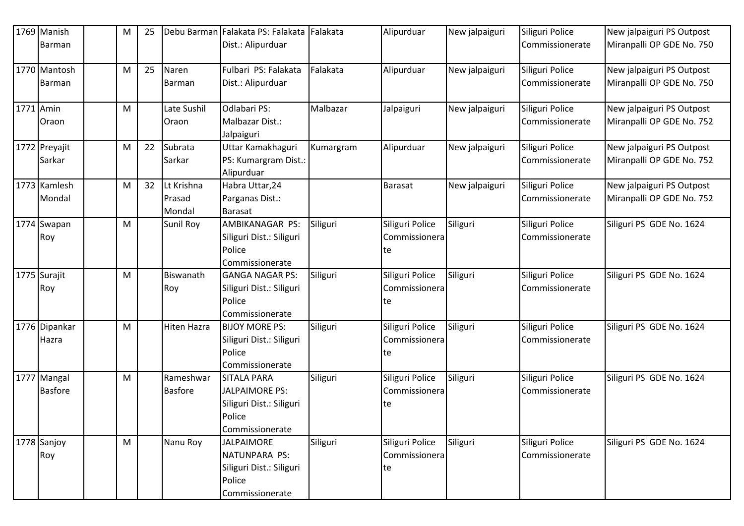|           | 1769 Manish    | м | 25 |                | Debu Barman Falakata PS: Falakata Falakata |           | Alipurduar      | New jalpaiguri | Siliguri Police | New jalpaiguri PS Outpost |
|-----------|----------------|---|----|----------------|--------------------------------------------|-----------|-----------------|----------------|-----------------|---------------------------|
|           | Barman         |   |    |                | Dist.: Alipurduar                          |           |                 |                | Commissionerate | Miranpalli OP GDE No. 750 |
|           | 1770 Mantosh   | M | 25 | Naren          | Fulbari PS: Falakata                       | Falakata  | Alipurduar      | New jalpaiguri | Siliguri Police | New jalpaiguri PS Outpost |
|           | Barman         |   |    | Barman         | Dist.: Alipurduar                          |           |                 |                | Commissionerate | Miranpalli OP GDE No. 750 |
| 1771 Amin |                | M |    | Late Sushil    | Odlabari PS:                               | Malbazar  | Jalpaiguri      | New jalpaiguri | Siliguri Police | New jalpaiguri PS Outpost |
|           | Oraon          |   |    | Oraon          | Malbazar Dist.:                            |           |                 |                | Commissionerate | Miranpalli OP GDE No. 752 |
|           |                |   |    |                | Jalpaiguri                                 |           |                 |                |                 |                           |
|           | 1772 Preyajit  | M | 22 | Subrata        | Uttar Kamakhaguri                          | Kumargram | Alipurduar      | New jalpaiguri | Siliguri Police | New jalpaiguri PS Outpost |
|           | Sarkar         |   |    | Sarkar         | PS: Kumargram Dist.:                       |           |                 |                | Commissionerate | Miranpalli OP GDE No. 752 |
|           |                |   |    |                | Alipurduar                                 |           |                 |                |                 |                           |
|           | 1773 Kamlesh   | M | 32 | Lt Krishna     | Habra Uttar, 24                            |           | Barasat         | New jalpaiguri | Siliguri Police | New jalpaiguri PS Outpost |
|           | Mondal         |   |    | Prasad         | Parganas Dist.:                            |           |                 |                | Commissionerate | Miranpalli OP GDE No. 752 |
|           |                |   |    | Mondal         | <b>Barasat</b>                             |           |                 |                |                 |                           |
|           | 1774 Swapan    | M |    | Sunil Roy      | AMBIKANAGAR PS:                            | Siliguri  | Siliguri Police | Siliguri       | Siliguri Police | Siliguri PS GDE No. 1624  |
|           | Roy            |   |    |                | Siliguri Dist.: Siliguri                   |           | Commissionera   |                | Commissionerate |                           |
|           |                |   |    |                | Police                                     |           | te              |                |                 |                           |
|           | 1775 Surajit   | M |    | Biswanath      | Commissionerate<br><b>GANGA NAGAR PS:</b>  |           | Siliguri Police | Siliguri       | Siliguri Police | Siliguri PS GDE No. 1624  |
|           |                |   |    |                |                                            | Siliguri  | Commissionera   |                | Commissionerate |                           |
|           | Roy            |   |    | Roy            | Siliguri Dist.: Siliguri<br>Police         |           |                 |                |                 |                           |
|           |                |   |    |                | Commissionerate                            |           | te              |                |                 |                           |
|           | 1776 Dipankar  | M |    | Hiten Hazra    | <b>BIJOY MORE PS:</b>                      | Siliguri  | Siliguri Police | Siliguri       | Siliguri Police | Siliguri PS GDE No. 1624  |
|           | Hazra          |   |    |                | Siliguri Dist.: Siliguri                   |           | Commissionera   |                | Commissionerate |                           |
|           |                |   |    |                | Police                                     |           | te              |                |                 |                           |
|           |                |   |    |                | Commissionerate                            |           |                 |                |                 |                           |
|           | 1777 Mangal    | M |    | Rameshwar      | <b>SITALA PARA</b>                         | Siliguri  | Siliguri Police | Siliguri       | Siliguri Police | Siliguri PS GDE No. 1624  |
|           | <b>Basfore</b> |   |    | <b>Basfore</b> | <b>JALPAIMORE PS:</b>                      |           | Commissionera   |                | Commissionerate |                           |
|           |                |   |    |                | Siliguri Dist.: Siliguri                   |           | te              |                |                 |                           |
|           |                |   |    |                | Police                                     |           |                 |                |                 |                           |
|           |                |   |    |                | Commissionerate                            |           |                 |                |                 |                           |
|           | 1778 Sanjoy    | M |    | Nanu Roy       | <b>JALPAIMORE</b>                          | Siliguri  | Siliguri Police | Siliguri       | Siliguri Police | Siliguri PS GDE No. 1624  |
|           | Roy            |   |    |                | NATUNPARA PS:                              |           | Commissionera   |                | Commissionerate |                           |
|           |                |   |    |                | Siliguri Dist.: Siliguri                   |           | te              |                |                 |                           |
|           |                |   |    |                | Police                                     |           |                 |                |                 |                           |
|           |                |   |    |                | Commissionerate                            |           |                 |                |                 |                           |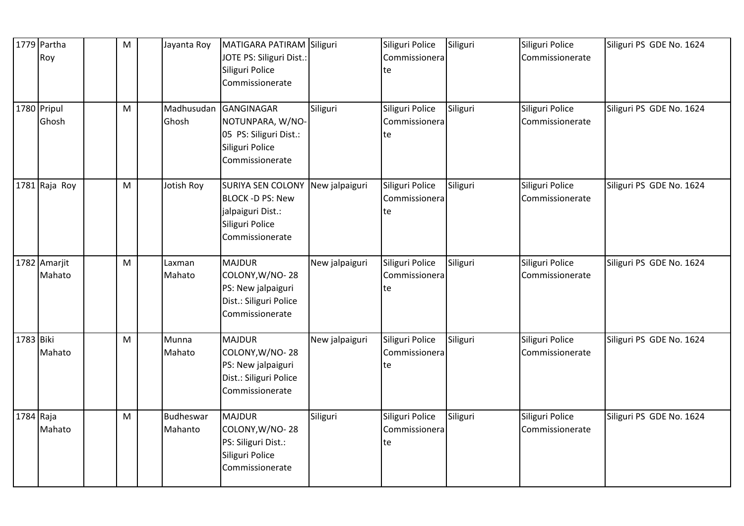|           | 1779 Partha<br>Roy     | M         | Jayanta Roy          | MATIGARA PATIRAM Siliguri<br>JOTE PS: Siliguri Dist.:<br>Siliguri Police<br>Commissionerate                            |                | Siliguri Police<br>Commissionera<br>te | Siliguri | Siliguri Police<br>Commissionerate | Siliguri PS GDE No. 1624 |
|-----------|------------------------|-----------|----------------------|------------------------------------------------------------------------------------------------------------------------|----------------|----------------------------------------|----------|------------------------------------|--------------------------|
|           | 1780 Pripul<br>Ghosh   | M         | Madhusudan<br>Ghosh  | GANGINAGAR<br>NOTUNPARA, W/NO-<br>05 PS: Siliguri Dist.:<br>Siliguri Police<br>Commissionerate                         | Siliguri       | Siliguri Police<br>Commissionera<br>te | Siliguri | Siliguri Police<br>Commissionerate | Siliguri PS GDE No. 1624 |
|           | 1781 Raja Roy          | M         | Jotish Roy           | SURIYA SEN COLONY New jalpaiguri<br><b>BLOCK -D PS: New</b><br>jalpaiguri Dist.:<br>Siliguri Police<br>Commissionerate |                | Siliguri Police<br>Commissionera<br>te | Siliguri | Siliguri Police<br>Commissionerate | Siliguri PS GDE No. 1624 |
|           | 1782 Amarjit<br>Mahato | M         | Laxman<br>Mahato     | <b>MAJDUR</b><br>COLONY, W/NO-28<br>PS: New jalpaiguri<br>Dist.: Siliguri Police<br>Commissionerate                    | New jalpaiguri | Siliguri Police<br>Commissionera<br>te | Siliguri | Siliguri Police<br>Commissionerate | Siliguri PS GDE No. 1624 |
| 1783 Biki | Mahato                 | M         | Munna<br>Mahato      | <b>MAJDUR</b><br>COLONY, W/NO-28<br>PS: New jalpaiguri<br>Dist.: Siliguri Police<br>Commissionerate                    | New jalpaiguri | Siliguri Police<br>Commissionera<br>te | Siliguri | Siliguri Police<br>Commissionerate | Siliguri PS GDE No. 1624 |
|           | 1784 Raja<br>Mahato    | ${\sf M}$ | Budheswar<br>Mahanto | <b>MAJDUR</b><br>COLONY, W/NO-28<br>PS: Siliguri Dist.:<br>Siliguri Police<br>Commissionerate                          | Siliguri       | Siliguri Police<br>Commissionera<br>te | Siliguri | Siliguri Police<br>Commissionerate | Siliguri PS GDE No. 1624 |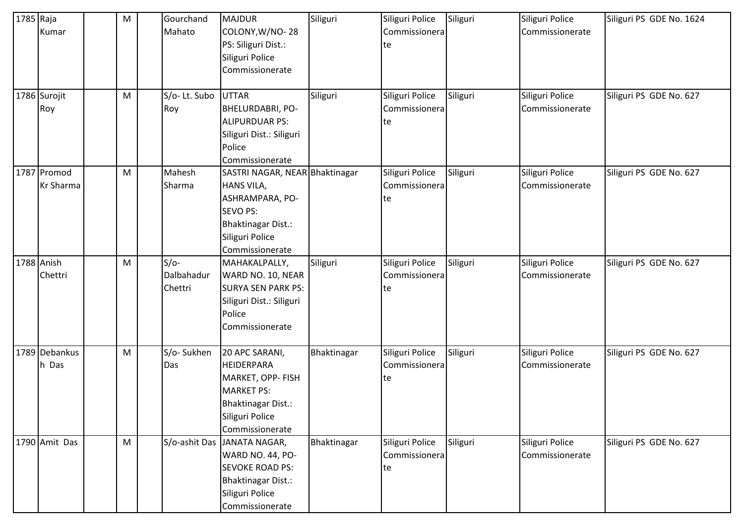| 1785 Raja | Kumar                           | M | Gourchand<br>Mahato             | <b>MAJDUR</b><br>COLONY, W/NO-28<br>PS: Siliguri Dist.:<br>Siliguri Police<br>Commissionerate                                                                | Siliguri    | Siliguri Police<br>Commissionera<br>te | Siliguri | Siliguri Police<br>Commissionerate | Siliguri PS GDE No. 1624 |
|-----------|---------------------------------|---|---------------------------------|--------------------------------------------------------------------------------------------------------------------------------------------------------------|-------------|----------------------------------------|----------|------------------------------------|--------------------------|
|           | 1786 Surojit<br>Roy             | M | S/o-Lt. Subo<br>Roy             | <b>UTTAR</b><br>BHELURDABRI, PO-<br><b>ALIPURDUAR PS:</b><br>Siliguri Dist.: Siliguri<br>Police<br>Commissionerate                                           | Siliguri    | Siliguri Police<br>Commissionera<br>te | Siliguri | Siliguri Police<br>Commissionerate | Siliguri PS GDE No. 627  |
|           | 1787 Promod<br><b>Kr Sharma</b> | M | Mahesh<br>Sharma                | SASTRI NAGAR, NEAR Bhaktinagar<br><b>HANS VILA,</b><br>ASHRAMPARA, PO-<br><b>SEVO PS:</b><br><b>Bhaktinagar Dist.:</b><br>Siliguri Police<br>Commissionerate |             | Siliguri Police<br>Commissionera<br>te | Siliguri | Siliguri Police<br>Commissionerate | Siliguri PS GDE No. 627  |
|           | 1788 Anish<br>Chettri           | M | $S/O-$<br>Dalbahadur<br>Chettri | MAHAKALPALLY,<br>WARD NO. 10, NEAR<br><b>SURYA SEN PARK PS:</b><br>Siliguri Dist.: Siliguri<br>Police<br>Commissionerate                                     | Siliguri    | Siliguri Police<br>Commissionera<br>te | Siliguri | Siliguri Police<br>Commissionerate | Siliguri PS GDE No. 627  |
|           | 1789 Debankus<br>h Das          | M | S/o-Sukhen<br>Das               | 20 APC SARANI,<br><b>HEIDERPARA</b><br>MARKET, OPP- FISH<br><b>MARKET PS:</b><br>Bhaktinagar Dist.:<br>Siliguri Police<br>Commissionerate                    | Bhaktinagar | Siliguri Police<br>Commissionera<br>te | Siliguri | Siliguri Police<br>Commissionerate | Siliguri PS GDE No. 627  |
|           | 1790 Amit Das                   | M | S/o-ashit Das                   | JANATA NAGAR,<br><b>WARD NO. 44, PO-</b><br><b>SEVOKE ROAD PS:</b><br><b>Bhaktinagar Dist.:</b><br>Siliguri Police<br>Commissionerate                        | Bhaktinagar | Siliguri Police<br>Commissionera<br>te | Siliguri | Siliguri Police<br>Commissionerate | Siliguri PS GDE No. 627  |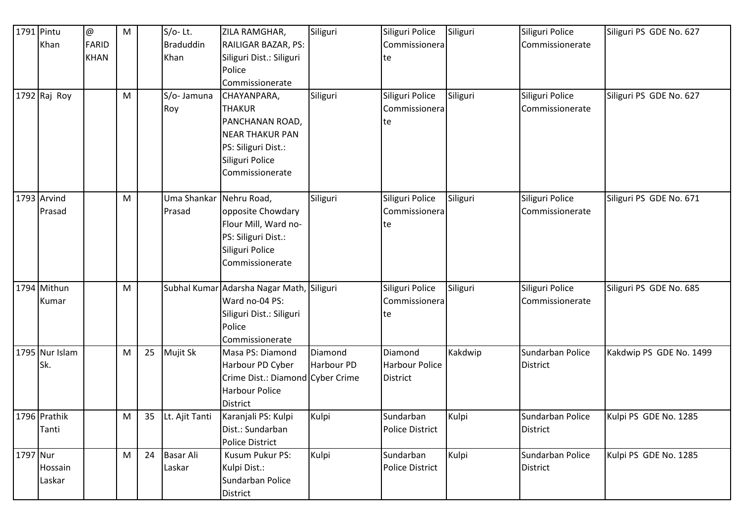|          | 1791 Pintu     | $^\text{\textregistered}$ | M |    | $S/O-$ Lt.        | ZILA RAMGHAR,                             | Siliguri   | Siliguri Police        | Siliguri | Siliguri Police  | Siliguri PS GDE No. 627 |
|----------|----------------|---------------------------|---|----|-------------------|-------------------------------------------|------------|------------------------|----------|------------------|-------------------------|
|          | Khan           | <b>FARID</b>              |   |    | <b>Braduddin</b>  | RAILIGAR BAZAR, PS:                       |            | Commissionera          |          | Commissionerate  |                         |
|          |                | <b>KHAN</b>               |   |    | Khan              | Siliguri Dist.: Siliguri                  |            | te                     |          |                  |                         |
|          |                |                           |   |    |                   | Police                                    |            |                        |          |                  |                         |
|          |                |                           |   |    |                   | Commissionerate                           |            |                        |          |                  |                         |
|          | 1792 Raj Roy   |                           | M |    | S/o- Jamuna       | CHAYANPARA,                               | Siliguri   | Siliguri Police        | Siliguri | Siliguri Police  | Siliguri PS GDE No. 627 |
|          |                |                           |   |    | Roy               | <b>THAKUR</b>                             |            | Commissionera          |          | Commissionerate  |                         |
|          |                |                           |   |    |                   | PANCHANAN ROAD,                           |            | te                     |          |                  |                         |
|          |                |                           |   |    |                   | <b>NEAR THAKUR PAN</b>                    |            |                        |          |                  |                         |
|          |                |                           |   |    |                   | PS: Siliguri Dist.:                       |            |                        |          |                  |                         |
|          |                |                           |   |    |                   | Siliguri Police                           |            |                        |          |                  |                         |
|          |                |                           |   |    |                   | Commissionerate                           |            |                        |          |                  |                         |
|          |                |                           |   |    |                   |                                           |            |                        |          |                  |                         |
|          | 1793 Arvind    |                           | M |    | Uma Shankar       | Nehru Road,                               | Siliguri   | Siliguri Police        | Siliguri | Siliguri Police  | Siliguri PS GDE No. 671 |
|          | Prasad         |                           |   |    | Prasad            | opposite Chowdary                         |            | Commissionera          |          | Commissionerate  |                         |
|          |                |                           |   |    |                   | Flour Mill, Ward no-                      |            | te                     |          |                  |                         |
|          |                |                           |   |    |                   | PS: Siliguri Dist.:                       |            |                        |          |                  |                         |
|          |                |                           |   |    |                   | Siliguri Police                           |            |                        |          |                  |                         |
|          |                |                           |   |    |                   | Commissionerate                           |            |                        |          |                  |                         |
|          |                |                           |   |    |                   |                                           |            |                        |          |                  |                         |
|          | 1794 Mithun    |                           | M |    |                   | Subhal Kumar Adarsha Nagar Math, Siliguri |            | Siliguri Police        | Siliguri | Siliguri Police  | Siliguri PS GDE No. 685 |
|          | Kumar          |                           |   |    |                   | Ward no-04 PS:                            |            | Commissionera          |          | Commissionerate  |                         |
|          |                |                           |   |    |                   | Siliguri Dist.: Siliguri                  |            | te                     |          |                  |                         |
|          |                |                           |   |    |                   | Police                                    |            |                        |          |                  |                         |
|          |                |                           |   |    |                   | Commissionerate                           |            |                        |          |                  |                         |
|          | 1795 Nur Islam |                           | M | 25 | Mujit Sk          | Masa PS: Diamond                          | Diamond    | Diamond                | Kakdwip  | Sundarban Police | Kakdwip PS GDE No. 1499 |
|          | Sk.            |                           |   |    |                   | Harbour PD Cyber                          | Harbour PD | <b>Harbour Police</b>  |          | District         |                         |
|          |                |                           |   |    |                   | Crime Dist.: Diamond Cyber Crime          |            | <b>District</b>        |          |                  |                         |
|          |                |                           |   |    |                   | Harbour Police                            |            |                        |          |                  |                         |
|          |                |                           |   |    |                   | District                                  |            |                        |          |                  |                         |
|          | 1796 Prathik   |                           | M |    | 35 Lt. Ajit Tanti | Karanjali PS: Kulpi                       | Kulpi      | Sundarban              | Kulpi    | Sundarban Police | Kulpi PS GDE No. 1285   |
|          | Tanti          |                           |   |    |                   | Dist.: Sundarban                          |            | Police District        |          | District         |                         |
|          |                |                           |   |    |                   | <b>Police District</b>                    |            |                        |          |                  |                         |
| 1797 Nur |                |                           | M | 24 | <b>Basar Ali</b>  | Kusum Pukur PS:                           | Kulpi      | Sundarban              | Kulpi    | Sundarban Police | Kulpi PS GDE No. 1285   |
|          | Hossain        |                           |   |    | Laskar            | Kulpi Dist.:                              |            | <b>Police District</b> |          | District         |                         |
|          | Laskar         |                           |   |    |                   | Sundarban Police                          |            |                        |          |                  |                         |
|          |                |                           |   |    |                   | District                                  |            |                        |          |                  |                         |